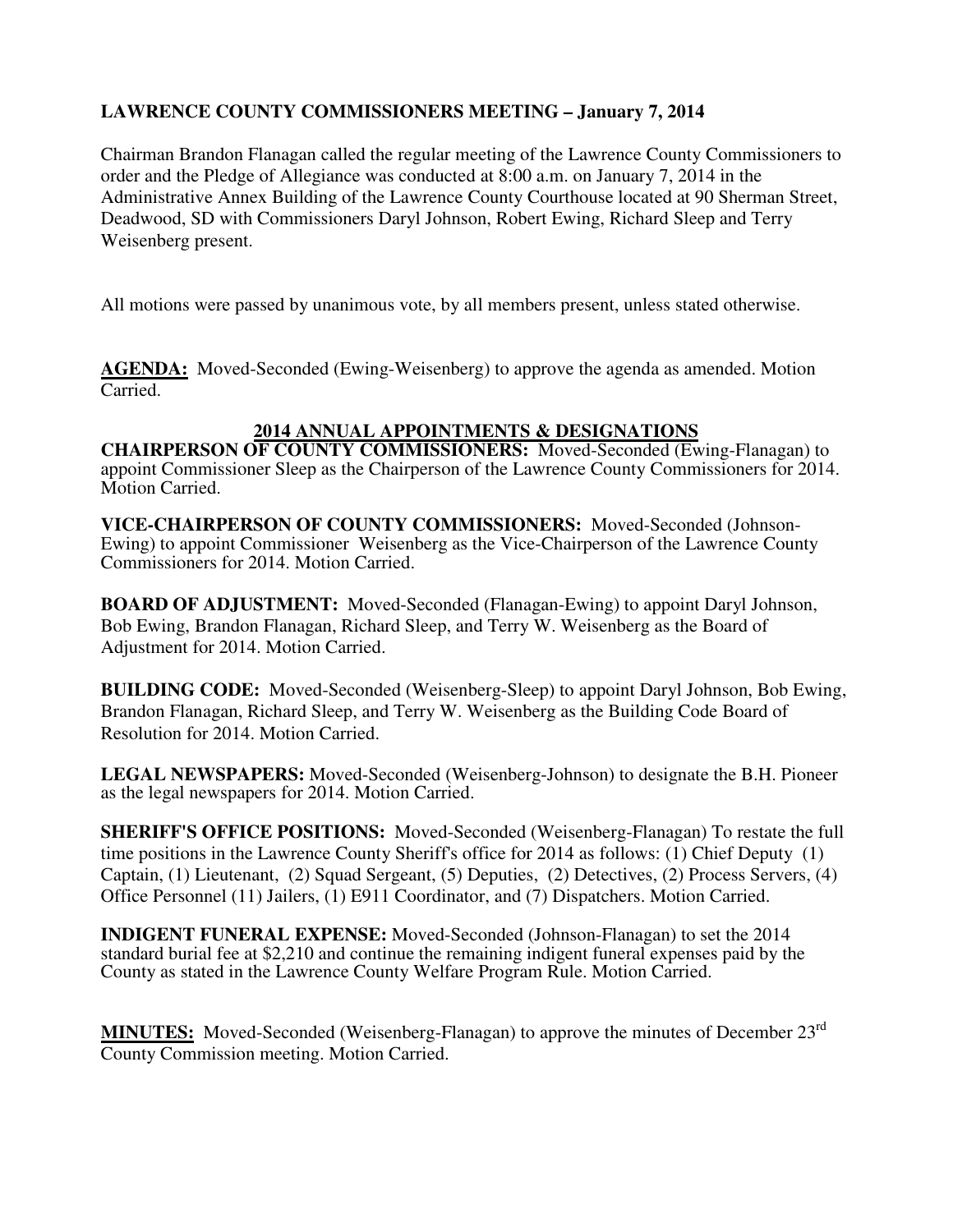## **LAWRENCE COUNTY COMMISSIONERS MEETING – January 7, 2014**

Chairman Brandon Flanagan called the regular meeting of the Lawrence County Commissioners to order and the Pledge of Allegiance was conducted at 8:00 a.m. on January 7, 2014 in the Administrative Annex Building of the Lawrence County Courthouse located at 90 Sherman Street, Deadwood, SD with Commissioners Daryl Johnson, Robert Ewing, Richard Sleep and Terry Weisenberg present.

All motions were passed by unanimous vote, by all members present, unless stated otherwise.

**AGENDA:** Moved-Seconded (Ewing-Weisenberg) to approve the agenda as amended. Motion Carried.

#### **2014 ANNUAL APPOINTMENTS & DESIGNATIONS**

**CHAIRPERSON OF COUNTY COMMISSIONERS:** Moved-Seconded (Ewing-Flanagan) to appoint Commissioner Sleep as the Chairperson of the Lawrence County Commissioners for 2014. Motion Carried.

**VICE-CHAIRPERSON OF COUNTY COMMISSIONERS:** Moved-Seconded (Johnson-Ewing) to appoint Commissioner Weisenberg as the Vice-Chairperson of the Lawrence County Commissioners for 2014. Motion Carried.

**BOARD OF ADJUSTMENT:** Moved-Seconded (Flanagan-Ewing) to appoint Daryl Johnson, Bob Ewing, Brandon Flanagan, Richard Sleep, and Terry W. Weisenberg as the Board of Adjustment for 2014. Motion Carried.

**BUILDING CODE:** Moved-Seconded (Weisenberg-Sleep) to appoint Daryl Johnson, Bob Ewing, Brandon Flanagan, Richard Sleep, and Terry W. Weisenberg as the Building Code Board of Resolution for 2014. Motion Carried.

**LEGAL NEWSPAPERS:** Moved-Seconded (Weisenberg-Johnson) to designate the B.H. Pioneer as the legal newspapers for 2014. Motion Carried.

**SHERIFF'S OFFICE POSITIONS:** Moved-Seconded (Weisenberg-Flanagan) To restate the full time positions in the Lawrence County Sheriff's office for 2014 as follows: (1) Chief Deputy (1) Captain, (1) Lieutenant, (2) Squad Sergeant, (5) Deputies, (2) Detectives, (2) Process Servers, (4) Office Personnel (11) Jailers, (1) E911 Coordinator, and (7) Dispatchers. Motion Carried.

**INDIGENT FUNERAL EXPENSE:** Moved-Seconded (Johnson-Flanagan) to set the 2014 standard burial fee at \$2,210 and continue the remaining indigent funeral expenses paid by the County as stated in the Lawrence County Welfare Program Rule. Motion Carried.

**MINUTES:** Moved-Seconded (Weisenberg-Flanagan) to approve the minutes of December 23<sup>rd</sup> County Commission meeting. Motion Carried.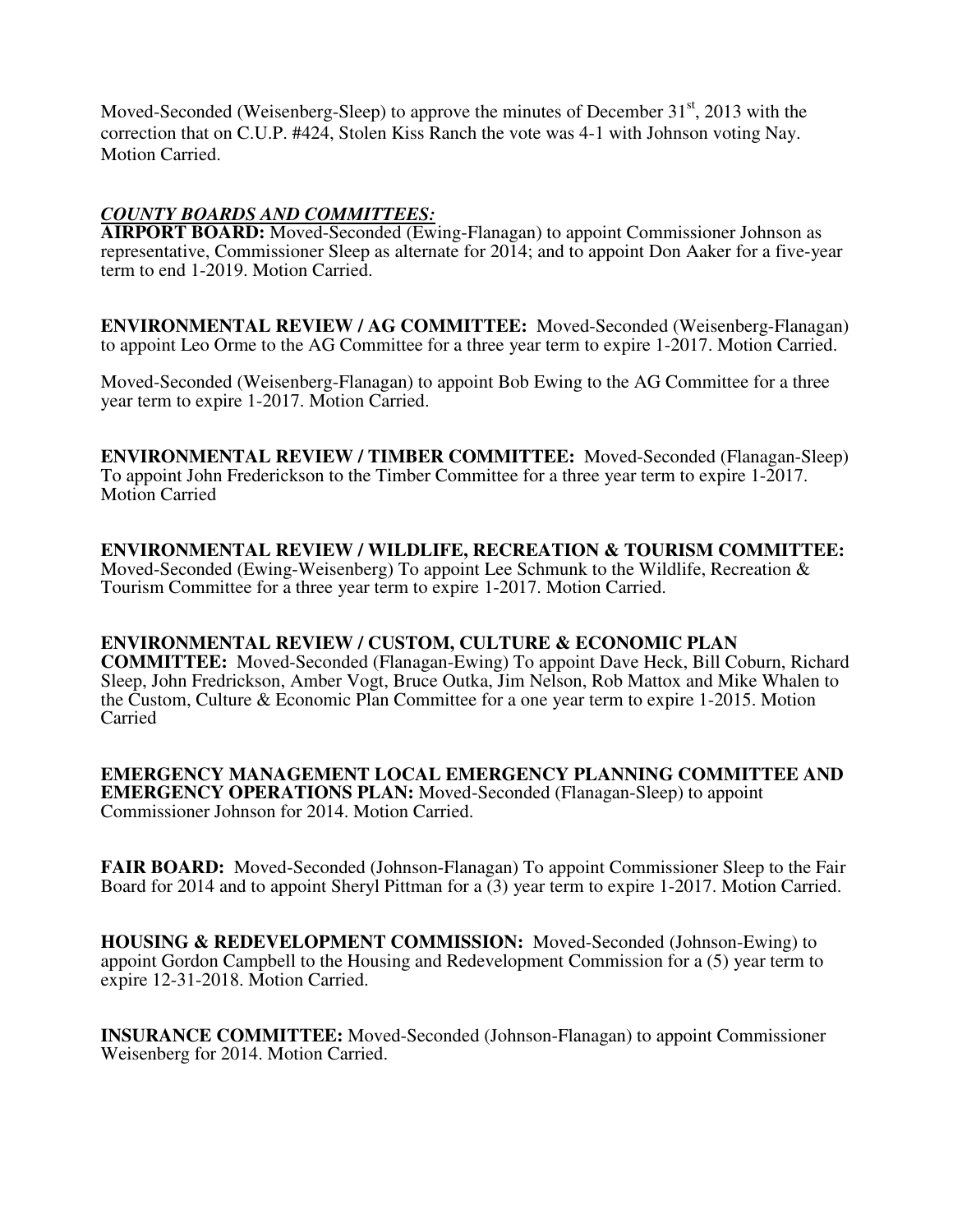Moved-Seconded (Weisenberg-Sleep) to approve the minutes of December  $31<sup>st</sup>$ , 2013 with the correction that on C.U.P. #424, Stolen Kiss Ranch the vote was 4-1 with Johnson voting Nay. Motion Carried.

#### *COUNTY BOARDS AND COMMITTEES:*

**AIRPORT BOARD:** Moved-Seconded (Ewing-Flanagan) to appoint Commissioner Johnson as representative, Commissioner Sleep as alternate for 2014; and to appoint Don Aaker for a five-year term to end 1-2019. Motion Carried.

**ENVIRONMENTAL REVIEW / AG COMMITTEE:** Moved-Seconded (Weisenberg-Flanagan) to appoint Leo Orme to the AG Committee for a three year term to expire 1-2017. Motion Carried.

Moved-Seconded (Weisenberg-Flanagan) to appoint Bob Ewing to the AG Committee for a three year term to expire 1-2017. Motion Carried.

**ENVIRONMENTAL REVIEW / TIMBER COMMITTEE:** Moved-Seconded (Flanagan-Sleep) To appoint John Frederickson to the Timber Committee for a three year term to expire 1-2017. Motion Carried

**ENVIRONMENTAL REVIEW / WILDLIFE, RECREATION & TOURISM COMMITTEE:** Moved-Seconded (Ewing-Weisenberg) To appoint Lee Schmunk to the Wildlife, Recreation  $\&$ Tourism Committee for a three year term to expire 1-2017. Motion Carried.

#### **ENVIRONMENTAL REVIEW / CUSTOM, CULTURE & ECONOMIC PLAN**

**COMMITTEE:** Moved-Seconded (Flanagan-Ewing) To appoint Dave Heck, Bill Coburn, Richard Sleep, John Fredrickson, Amber Vogt, Bruce Outka, Jim Nelson, Rob Mattox and Mike Whalen to the Custom, Culture & Economic Plan Committee for a one year term to expire 1-2015. Motion Carried

**EMERGENCY MANAGEMENT LOCAL EMERGENCY PLANNING COMMITTEE AND EMERGENCY OPERATIONS PLAN:** Moved-Seconded (Flanagan-Sleep) to appoint Commissioner Johnson for 2014. Motion Carried.

**FAIR BOARD:** Moved-Seconded (Johnson-Flanagan) To appoint Commissioner Sleep to the Fair Board for 2014 and to appoint Sheryl Pittman for a (3) year term to expire 1-2017. Motion Carried.

**HOUSING & REDEVELOPMENT COMMISSION:** Moved-Seconded (Johnson-Ewing) to appoint Gordon Campbell to the Housing and Redevelopment Commission for a (5) year term to expire 12-31-2018. Motion Carried.

**INSURANCE COMMITTEE:** Moved-Seconded (Johnson-Flanagan) to appoint Commissioner Weisenberg for 2014. Motion Carried.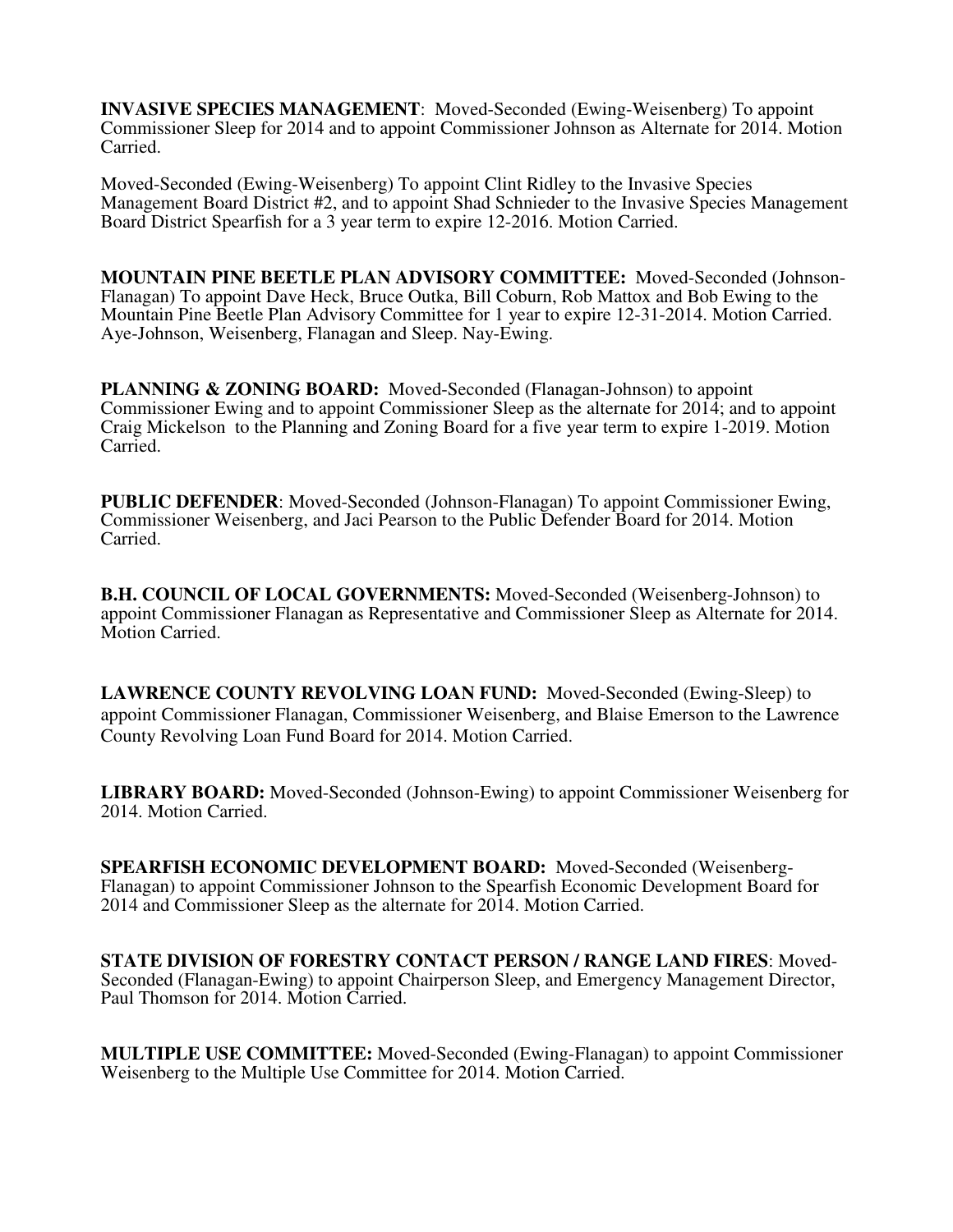**INVASIVE SPECIES MANAGEMENT**: Moved-Seconded (Ewing-Weisenberg) To appoint Commissioner Sleep for 2014 and to appoint Commissioner Johnson as Alternate for 2014. Motion Carried.

Moved-Seconded (Ewing-Weisenberg) To appoint Clint Ridley to the Invasive Species Management Board District #2, and to appoint Shad Schnieder to the Invasive Species Management Board District Spearfish for a 3 year term to expire 12-2016. Motion Carried.

**MOUNTAIN PINE BEETLE PLAN ADVISORY COMMITTEE:** Moved-Seconded (Johnson-Flanagan) To appoint Dave Heck, Bruce Outka, Bill Coburn, Rob Mattox and Bob Ewing to the Mountain Pine Beetle Plan Advisory Committee for 1 year to expire 12-31-2014. Motion Carried. Aye-Johnson, Weisenberg, Flanagan and Sleep. Nay-Ewing.

**PLANNING & ZONING BOARD:** Moved-Seconded (Flanagan-Johnson) to appoint Commissioner Ewing and to appoint Commissioner Sleep as the alternate for 2014; and to appoint Craig Mickelson to the Planning and Zoning Board for a five year term to expire 1-2019. Motion Carried.

**PUBLIC DEFENDER**: Moved-Seconded (Johnson-Flanagan) To appoint Commissioner Ewing, Commissioner Weisenberg, and Jaci Pearson to the Public Defender Board for 2014. Motion Carried.

**B.H. COUNCIL OF LOCAL GOVERNMENTS:** Moved-Seconded (Weisenberg-Johnson) to appoint Commissioner Flanagan as Representative and Commissioner Sleep as Alternate for 2014. Motion Carried.

**LAWRENCE COUNTY REVOLVING LOAN FUND:** Moved-Seconded (Ewing-Sleep) to appoint Commissioner Flanagan, Commissioner Weisenberg, and Blaise Emerson to the Lawrence County Revolving Loan Fund Board for 2014. Motion Carried.

**LIBRARY BOARD:** Moved-Seconded (Johnson-Ewing) to appoint Commissioner Weisenberg for 2014. Motion Carried.

**SPEARFISH ECONOMIC DEVELOPMENT BOARD:** Moved-Seconded (Weisenberg-Flanagan) to appoint Commissioner Johnson to the Spearfish Economic Development Board for 2014 and Commissioner Sleep as the alternate for 2014. Motion Carried.

**STATE DIVISION OF FORESTRY CONTACT PERSON / RANGE LAND FIRES**: Moved-Seconded (Flanagan-Ewing) to appoint Chairperson Sleep, and Emergency Management Director, Paul Thomson for 2014. Motion Carried.

**MULTIPLE USE COMMITTEE:** Moved-Seconded (Ewing-Flanagan) to appoint Commissioner Weisenberg to the Multiple Use Committee for 2014. Motion Carried.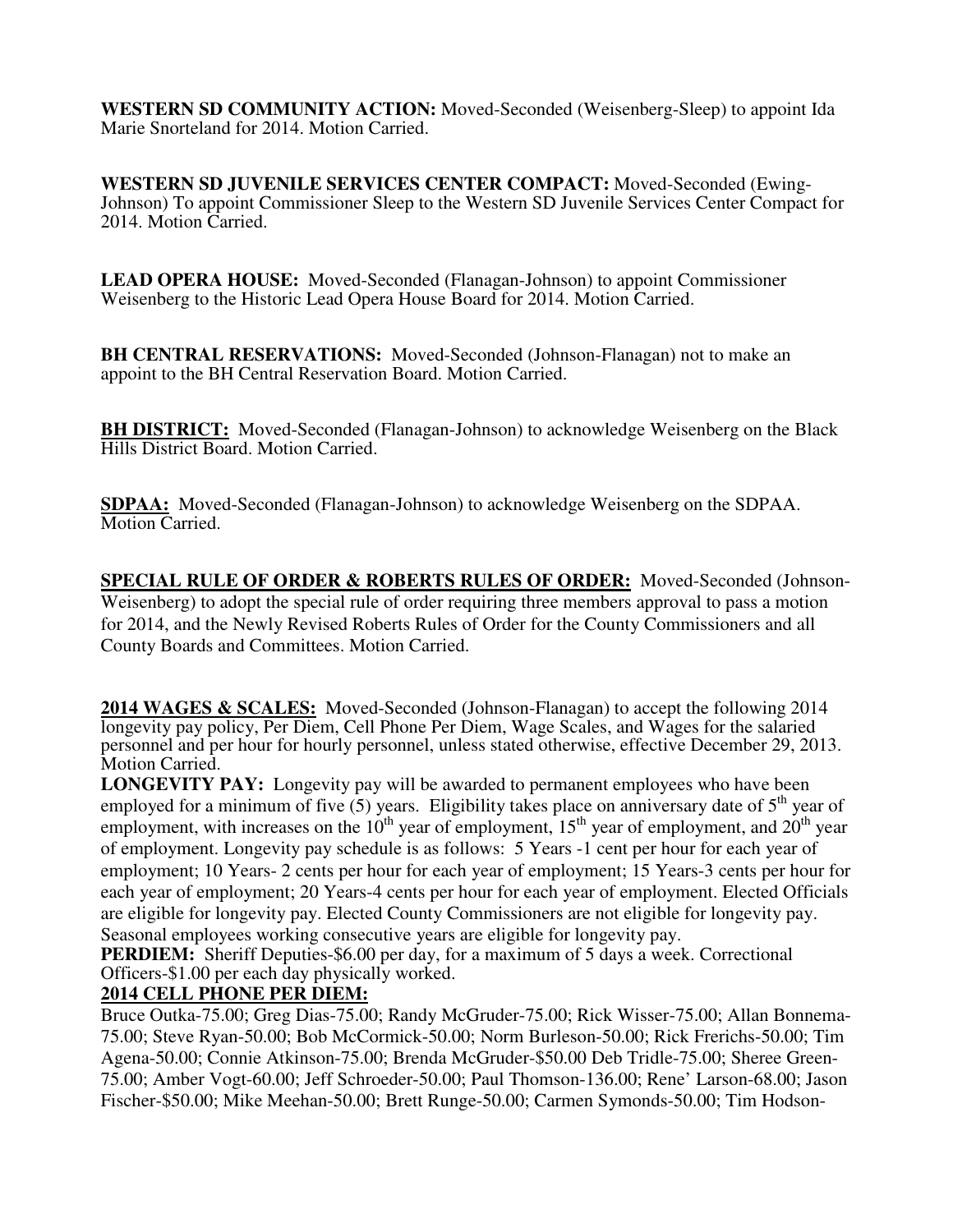**WESTERN SD COMMUNITY ACTION:** Moved-Seconded (Weisenberg-Sleep) to appoint Ida Marie Snorteland for 2014. Motion Carried.

**WESTERN SD JUVENILE SERVICES CENTER COMPACT:** Moved-Seconded (Ewing-Johnson) To appoint Commissioner Sleep to the Western SD Juvenile Services Center Compact for 2014. Motion Carried.

**LEAD OPERA HOUSE:** Moved-Seconded (Flanagan-Johnson) to appoint Commissioner Weisenberg to the Historic Lead Opera House Board for 2014. Motion Carried.

**BH CENTRAL RESERVATIONS:** Moved-Seconded (Johnson-Flanagan) not to make an appoint to the BH Central Reservation Board. Motion Carried.

**BH DISTRICT:** Moved-Seconded (Flanagan-Johnson) to acknowledge Weisenberg on the Black Hills District Board. Motion Carried.

**SDPAA:** Moved-Seconded (Flanagan-Johnson) to acknowledge Weisenberg on the SDPAA. Motion Carried.

**SPECIAL RULE OF ORDER & ROBERTS RULES OF ORDER:** Moved-Seconded (Johnson-Weisenberg) to adopt the special rule of order requiring three members approval to pass a motion for 2014, and the Newly Revised Roberts Rules of Order for the County Commissioners and all County Boards and Committees. Motion Carried.

**2014 WAGES & SCALES:** Moved-Seconded (Johnson-Flanagan) to accept the following 2014 longevity pay policy, Per Diem, Cell Phone Per Diem, Wage Scales, and Wages for the salaried personnel and per hour for hourly personnel, unless stated otherwise, effective December 29, 2013. Motion Carried.

**LONGEVITY PAY:** Longevity pay will be awarded to permanent employees who have been employed for a minimum of five  $(5)$  years. Eligibility takes place on anniversary date of  $5<sup>th</sup>$  year of employment, with increases on the  $10^{th}$  year of employment,  $15^{th}$  year of employment, and  $20^{th}$  year of employment. Longevity pay schedule is as follows: 5 Years -1 cent per hour for each year of employment; 10 Years- 2 cents per hour for each year of employment; 15 Years-3 cents per hour for each year of employment; 20 Years-4 cents per hour for each year of employment. Elected Officials are eligible for longevity pay. Elected County Commissioners are not eligible for longevity pay. Seasonal employees working consecutive years are eligible for longevity pay.

**PERDIEM:** Sheriff Deputies-\$6.00 per day, for a maximum of 5 days a week. Correctional Officers-\$1.00 per each day physically worked.

## **2014 CELL PHONE PER DIEM:**

Bruce Outka-75.00; Greg Dias-75.00; Randy McGruder-75.00; Rick Wisser-75.00; Allan Bonnema-75.00; Steve Ryan-50.00; Bob McCormick-50.00; Norm Burleson-50.00; Rick Frerichs-50.00; Tim Agena-50.00; Connie Atkinson-75.00; Brenda McGruder-\$50.00 Deb Tridle-75.00; Sheree Green-75.00; Amber Vogt-60.00; Jeff Schroeder-50.00; Paul Thomson-136.00; Rene' Larson-68.00; Jason Fischer-\$50.00; Mike Meehan-50.00; Brett Runge-50.00; Carmen Symonds-50.00; Tim Hodson-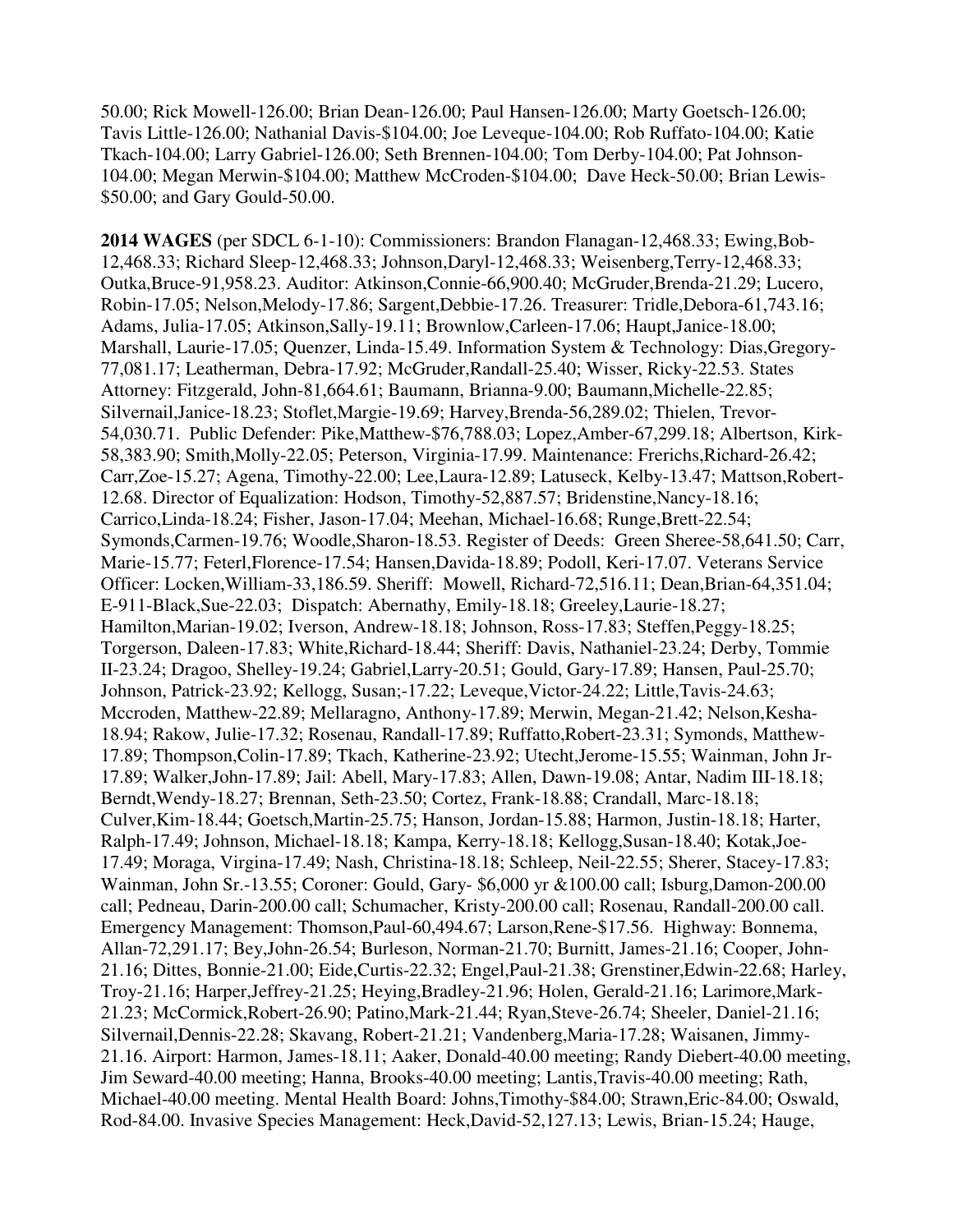50.00; Rick Mowell-126.00; Brian Dean-126.00; Paul Hansen-126.00; Marty Goetsch-126.00; Tavis Little-126.00; Nathanial Davis-\$104.00; Joe Leveque-104.00; Rob Ruffato-104.00; Katie Tkach-104.00; Larry Gabriel-126.00; Seth Brennen-104.00; Tom Derby-104.00; Pat Johnson-104.00; Megan Merwin-\$104.00; Matthew McCroden-\$104.00; Dave Heck-50.00; Brian Lewis- \$50.00; and Gary Gould-50.00.

**2014 WAGES** (per SDCL 6-1-10): Commissioners: Brandon Flanagan-12,468.33; Ewing,Bob-12,468.33; Richard Sleep-12,468.33; Johnson,Daryl-12,468.33; Weisenberg,Terry-12,468.33; Outka,Bruce-91,958.23. Auditor: Atkinson,Connie-66,900.40; McGruder,Brenda-21.29; Lucero, Robin-17.05; Nelson,Melody-17.86; Sargent,Debbie-17.26. Treasurer: Tridle,Debora-61,743.16; Adams, Julia-17.05; Atkinson,Sally-19.11; Brownlow,Carleen-17.06; Haupt,Janice-18.00; Marshall, Laurie-17.05; Quenzer, Linda-15.49. Information System & Technology: Dias,Gregory-77,081.17; Leatherman, Debra-17.92; McGruder,Randall-25.40; Wisser, Ricky-22.53. States Attorney: Fitzgerald, John-81,664.61; Baumann, Brianna-9.00; Baumann,Michelle-22.85; Silvernail,Janice-18.23; Stoflet,Margie-19.69; Harvey,Brenda-56,289.02; Thielen, Trevor-54,030.71. Public Defender: Pike,Matthew-\$76,788.03; Lopez,Amber-67,299.18; Albertson, Kirk-58,383.90; Smith,Molly-22.05; Peterson, Virginia-17.99. Maintenance: Frerichs,Richard-26.42; Carr,Zoe-15.27; Agena, Timothy-22.00; Lee,Laura-12.89; Latuseck, Kelby-13.47; Mattson,Robert-12.68. Director of Equalization: Hodson, Timothy-52,887.57; Bridenstine,Nancy-18.16; Carrico,Linda-18.24; Fisher, Jason-17.04; Meehan, Michael-16.68; Runge,Brett-22.54; Symonds,Carmen-19.76; Woodle,Sharon-18.53. Register of Deeds: Green Sheree-58,641.50; Carr, Marie-15.77; Feterl,Florence-17.54; Hansen,Davida-18.89; Podoll, Keri-17.07. Veterans Service Officer: Locken,William-33,186.59. Sheriff: Mowell, Richard-72,516.11; Dean,Brian-64,351.04; E-911-Black,Sue-22.03; Dispatch: Abernathy, Emily-18.18; Greeley,Laurie-18.27; Hamilton,Marian-19.02; Iverson, Andrew-18.18; Johnson, Ross-17.83; Steffen,Peggy-18.25; Torgerson, Daleen-17.83; White,Richard-18.44; Sheriff: Davis, Nathaniel-23.24; Derby, Tommie II-23.24; Dragoo, Shelley-19.24; Gabriel,Larry-20.51; Gould, Gary-17.89; Hansen, Paul-25.70; Johnson, Patrick-23.92; Kellogg, Susan;-17.22; Leveque,Victor-24.22; Little,Tavis-24.63; Mccroden, Matthew-22.89; Mellaragno, Anthony-17.89; Merwin, Megan-21.42; Nelson,Kesha-18.94; Rakow, Julie-17.32; Rosenau, Randall-17.89; Ruffatto,Robert-23.31; Symonds, Matthew-17.89; Thompson,Colin-17.89; Tkach, Katherine-23.92; Utecht,Jerome-15.55; Wainman, John Jr-17.89; Walker,John-17.89; Jail: Abell, Mary-17.83; Allen, Dawn-19.08; Antar, Nadim III-18.18; Berndt,Wendy-18.27; Brennan, Seth-23.50; Cortez, Frank-18.88; Crandall, Marc-18.18; Culver,Kim-18.44; Goetsch,Martin-25.75; Hanson, Jordan-15.88; Harmon, Justin-18.18; Harter, Ralph-17.49; Johnson, Michael-18.18; Kampa, Kerry-18.18; Kellogg,Susan-18.40; Kotak,Joe-17.49; Moraga, Virgina-17.49; Nash, Christina-18.18; Schleep, Neil-22.55; Sherer, Stacey-17.83; Wainman, John Sr.-13.55; Coroner: Gould, Gary- \$6,000 yr &100.00 call; Isburg,Damon-200.00 call; Pedneau, Darin-200.00 call; Schumacher, Kristy-200.00 call; Rosenau, Randall-200.00 call. Emergency Management: Thomson,Paul-60,494.67; Larson,Rene-\$17.56. Highway: Bonnema, Allan-72,291.17; Bey,John-26.54; Burleson, Norman-21.70; Burnitt, James-21.16; Cooper, John-21.16; Dittes, Bonnie-21.00; Eide,Curtis-22.32; Engel,Paul-21.38; Grenstiner,Edwin-22.68; Harley, Troy-21.16; Harper,Jeffrey-21.25; Heying,Bradley-21.96; Holen, Gerald-21.16; Larimore,Mark-21.23; McCormick,Robert-26.90; Patino,Mark-21.44; Ryan,Steve-26.74; Sheeler, Daniel-21.16; Silvernail,Dennis-22.28; Skavang, Robert-21.21; Vandenberg,Maria-17.28; Waisanen, Jimmy-21.16. Airport: Harmon, James-18.11; Aaker, Donald-40.00 meeting; Randy Diebert-40.00 meeting, Jim Seward-40.00 meeting; Hanna, Brooks-40.00 meeting; Lantis,Travis-40.00 meeting; Rath, Michael-40.00 meeting. Mental Health Board: Johns,Timothy-\$84.00; Strawn,Eric-84.00; Oswald, Rod-84.00. Invasive Species Management: Heck,David-52,127.13; Lewis, Brian-15.24; Hauge,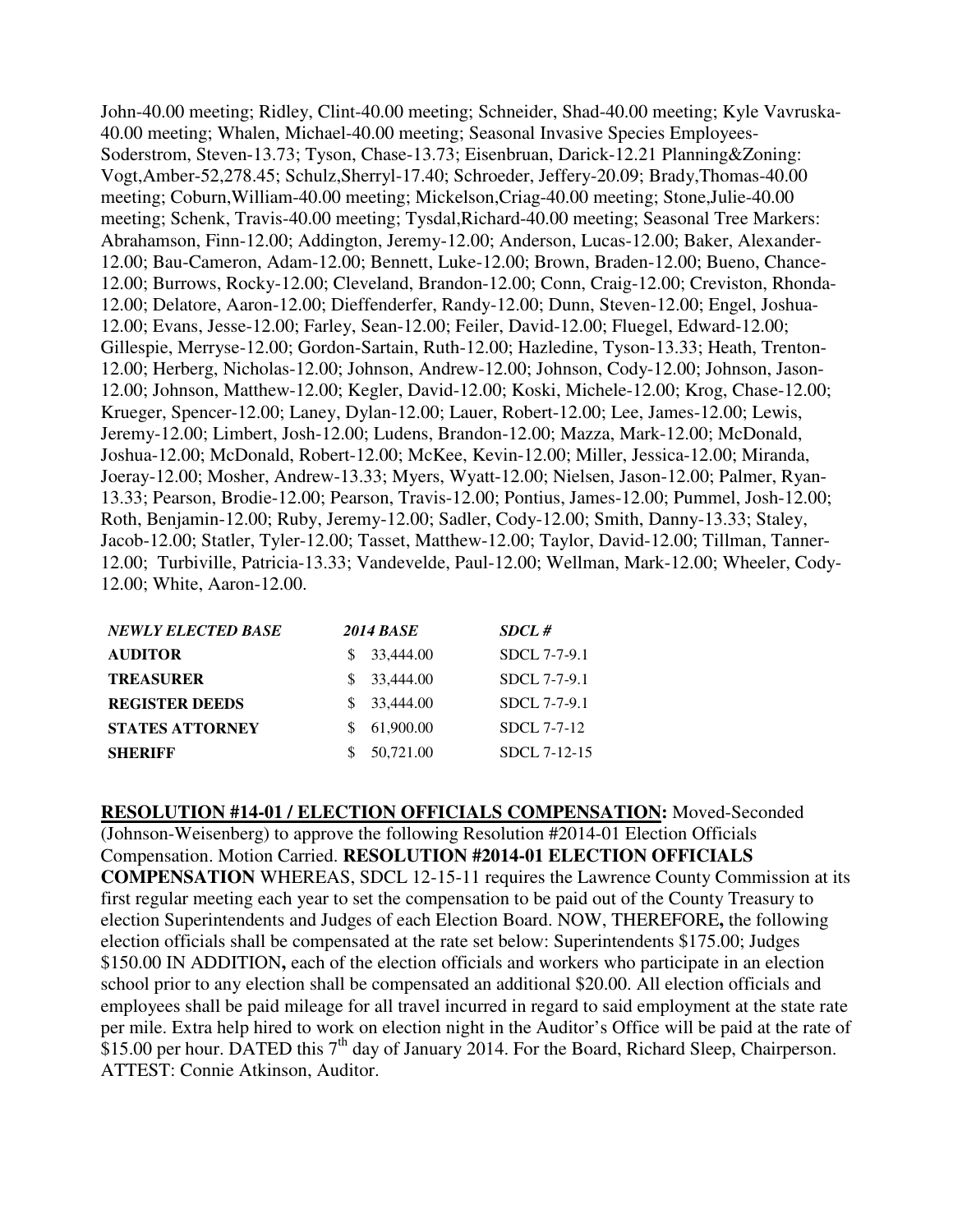John-40.00 meeting; Ridley, Clint-40.00 meeting; Schneider, Shad-40.00 meeting; Kyle Vavruska-40.00 meeting; Whalen, Michael-40.00 meeting; Seasonal Invasive Species Employees-Soderstrom, Steven-13.73; Tyson, Chase-13.73; Eisenbruan, Darick-12.21 Planning&Zoning: Vogt,Amber-52,278.45; Schulz,Sherryl-17.40; Schroeder, Jeffery-20.09; Brady,Thomas-40.00 meeting; Coburn,William-40.00 meeting; Mickelson,Criag-40.00 meeting; Stone,Julie-40.00 meeting; Schenk, Travis-40.00 meeting; Tysdal,Richard-40.00 meeting; Seasonal Tree Markers: Abrahamson, Finn-12.00; Addington, Jeremy-12.00; Anderson, Lucas-12.00; Baker, Alexander-12.00; Bau-Cameron, Adam-12.00; Bennett, Luke-12.00; Brown, Braden-12.00; Bueno, Chance-12.00; Burrows, Rocky-12.00; Cleveland, Brandon-12.00; Conn, Craig-12.00; Creviston, Rhonda-12.00; Delatore, Aaron-12.00; Dieffenderfer, Randy-12.00; Dunn, Steven-12.00; Engel, Joshua-12.00; Evans, Jesse-12.00; Farley, Sean-12.00; Feiler, David-12.00; Fluegel, Edward-12.00; Gillespie, Merryse-12.00; Gordon-Sartain, Ruth-12.00; Hazledine, Tyson-13.33; Heath, Trenton-12.00; Herberg, Nicholas-12.00; Johnson, Andrew-12.00; Johnson, Cody-12.00; Johnson, Jason-12.00; Johnson, Matthew-12.00; Kegler, David-12.00; Koski, Michele-12.00; Krog, Chase-12.00; Krueger, Spencer-12.00; Laney, Dylan-12.00; Lauer, Robert-12.00; Lee, James-12.00; Lewis, Jeremy-12.00; Limbert, Josh-12.00; Ludens, Brandon-12.00; Mazza, Mark-12.00; McDonald, Joshua-12.00; McDonald, Robert-12.00; McKee, Kevin-12.00; Miller, Jessica-12.00; Miranda, Joeray-12.00; Mosher, Andrew-13.33; Myers, Wyatt-12.00; Nielsen, Jason-12.00; Palmer, Ryan-13.33; Pearson, Brodie-12.00; Pearson, Travis-12.00; Pontius, James-12.00; Pummel, Josh-12.00; Roth, Benjamin-12.00; Ruby, Jeremy-12.00; Sadler, Cody-12.00; Smith, Danny-13.33; Staley, Jacob-12.00; Statler, Tyler-12.00; Tasset, Matthew-12.00; Taylor, David-12.00; Tillman, Tanner-12.00; Turbiville, Patricia-13.33; Vandevelde, Paul-12.00; Wellman, Mark-12.00; Wheeler, Cody-12.00; White, Aaron-12.00.

| <b>NEWLY ELECTED BASE</b> | <b>2014 BASE</b> | <b>SDCL#</b> |
|---------------------------|------------------|--------------|
| <b>AUDITOR</b>            | 33,444.00        | SDCL 7-7-9.1 |
| <b>TREASURER</b>          | 33,444.00        | SDCL 7-7-9.1 |
| <b>REGISTER DEEDS</b>     | 33,444.00        | SDCL 7-7-9.1 |
| <b>STATES ATTORNEY</b>    | 61,900.00        | SDCL 7-7-12  |
| <b>SHERIFF</b>            | 50.721.00        | SDCL 7-12-15 |

**RESOLUTION #14-01 / ELECTION OFFICIALS COMPENSATION:** Moved-Seconded (Johnson-Weisenberg) to approve the following Resolution #2014-01 Election Officials Compensation. Motion Carried. **RESOLUTION #2014-01 ELECTION OFFICIALS COMPENSATION** WHEREAS, SDCL 12-15-11 requires the Lawrence County Commission at its first regular meeting each year to set the compensation to be paid out of the County Treasury to election Superintendents and Judges of each Election Board. NOW, THEREFORE**,** the following election officials shall be compensated at the rate set below: Superintendents \$175.00; Judges \$150.00 IN ADDITION**,** each of the election officials and workers who participate in an election school prior to any election shall be compensated an additional \$20.00. All election officials and employees shall be paid mileage for all travel incurred in regard to said employment at the state rate per mile. Extra help hired to work on election night in the Auditor's Office will be paid at the rate of  $$15.00$  per hour. DATED this 7<sup>th</sup> day of January 2014. For the Board, Richard Sleep, Chairperson. ATTEST: Connie Atkinson, Auditor.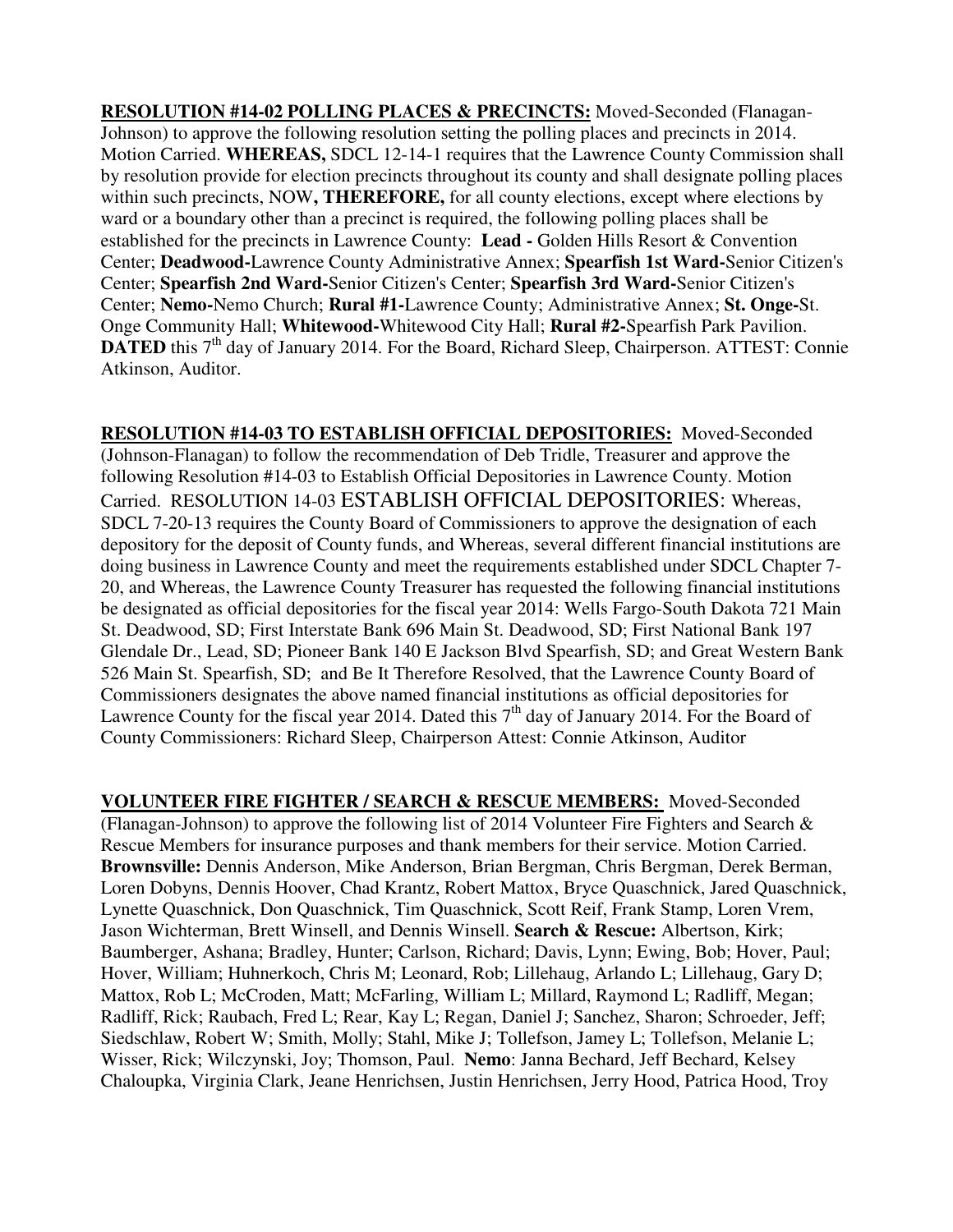**RESOLUTION #14-02 POLLING PLACES & PRECINCTS:** Moved-Seconded (Flanagan-Johnson) to approve the following resolution setting the polling places and precincts in 2014. Motion Carried. **WHEREAS,** SDCL 12-14-1 requires that the Lawrence County Commission shall by resolution provide for election precincts throughout its county and shall designate polling places within such precincts, NOW**, THEREFORE,** for all county elections, except where elections by ward or a boundary other than a precinct is required, the following polling places shall be established for the precincts in Lawrence County: **Lead -** Golden Hills Resort & Convention Center; **Deadwood-**Lawrence County Administrative Annex; **Spearfish 1st Ward-**Senior Citizen's Center; **Spearfish 2nd Ward-**Senior Citizen's Center; **Spearfish 3rd Ward-**Senior Citizen's Center; **Nemo-**Nemo Church; **Rural #1-**Lawrence County; Administrative Annex; **St. Onge-**St. Onge Community Hall; **Whitewood-**Whitewood City Hall; **Rural #2-**Spearfish Park Pavilion. **DATED** this 7<sup>th</sup> day of January 2014. For the Board, Richard Sleep, Chairperson. ATTEST: Connie Atkinson, Auditor.

**RESOLUTION #14-03 TO ESTABLISH OFFICIAL DEPOSITORIES:** Moved-Seconded (Johnson-Flanagan) to follow the recommendation of Deb Tridle, Treasurer and approve the following Resolution #14-03 to Establish Official Depositories in Lawrence County. Motion Carried. RESOLUTION 14-03 ESTABLISH OFFICIAL DEPOSITORIES: Whereas, SDCL 7-20-13 requires the County Board of Commissioners to approve the designation of each depository for the deposit of County funds, and Whereas, several different financial institutions are doing business in Lawrence County and meet the requirements established under SDCL Chapter 7- 20, and Whereas, the Lawrence County Treasurer has requested the following financial institutions be designated as official depositories for the fiscal year 2014: Wells Fargo-South Dakota 721 Main St. Deadwood, SD; First Interstate Bank 696 Main St. Deadwood, SD; First National Bank 197 Glendale Dr., Lead, SD; Pioneer Bank 140 E Jackson Blvd Spearfish, SD; and Great Western Bank 526 Main St. Spearfish, SD; and Be It Therefore Resolved, that the Lawrence County Board of Commissioners designates the above named financial institutions as official depositories for Lawrence County for the fiscal year 2014. Dated this  $7<sup>th</sup>$  day of January 2014. For the Board of County Commissioners: Richard Sleep, Chairperson Attest: Connie Atkinson, Auditor

**VOLUNTEER FIRE FIGHTER / SEARCH & RESCUE MEMBERS:** Moved-Seconded (Flanagan-Johnson) to approve the following list of 2014 Volunteer Fire Fighters and Search  $\&$ Rescue Members for insurance purposes and thank members for their service. Motion Carried. **Brownsville:** Dennis Anderson, Mike Anderson, Brian Bergman, Chris Bergman, Derek Berman, Loren Dobyns, Dennis Hoover, Chad Krantz, Robert Mattox, Bryce Quaschnick, Jared Quaschnick, Lynette Quaschnick, Don Quaschnick, Tim Quaschnick, Scott Reif, Frank Stamp, Loren Vrem, Jason Wichterman, Brett Winsell, and Dennis Winsell. **Search & Rescue:** Albertson, Kirk; Baumberger, Ashana; Bradley, Hunter; Carlson, Richard; Davis, Lynn; Ewing, Bob; Hover, Paul; Hover, William; Huhnerkoch, Chris M; Leonard, Rob; Lillehaug, Arlando L; Lillehaug, Gary D; Mattox, Rob L; McCroden, Matt; McFarling, William L; Millard, Raymond L; Radliff, Megan; Radliff, Rick; Raubach, Fred L; Rear, Kay L; Regan, Daniel J; Sanchez, Sharon; Schroeder, Jeff; Siedschlaw, Robert W; Smith, Molly; Stahl, Mike J; Tollefson, Jamey L; Tollefson, Melanie L; Wisser, Rick; Wilczynski, Joy; Thomson, Paul. **Nemo**: Janna Bechard, Jeff Bechard, Kelsey Chaloupka, Virginia Clark, Jeane Henrichsen, Justin Henrichsen, Jerry Hood, Patrica Hood, Troy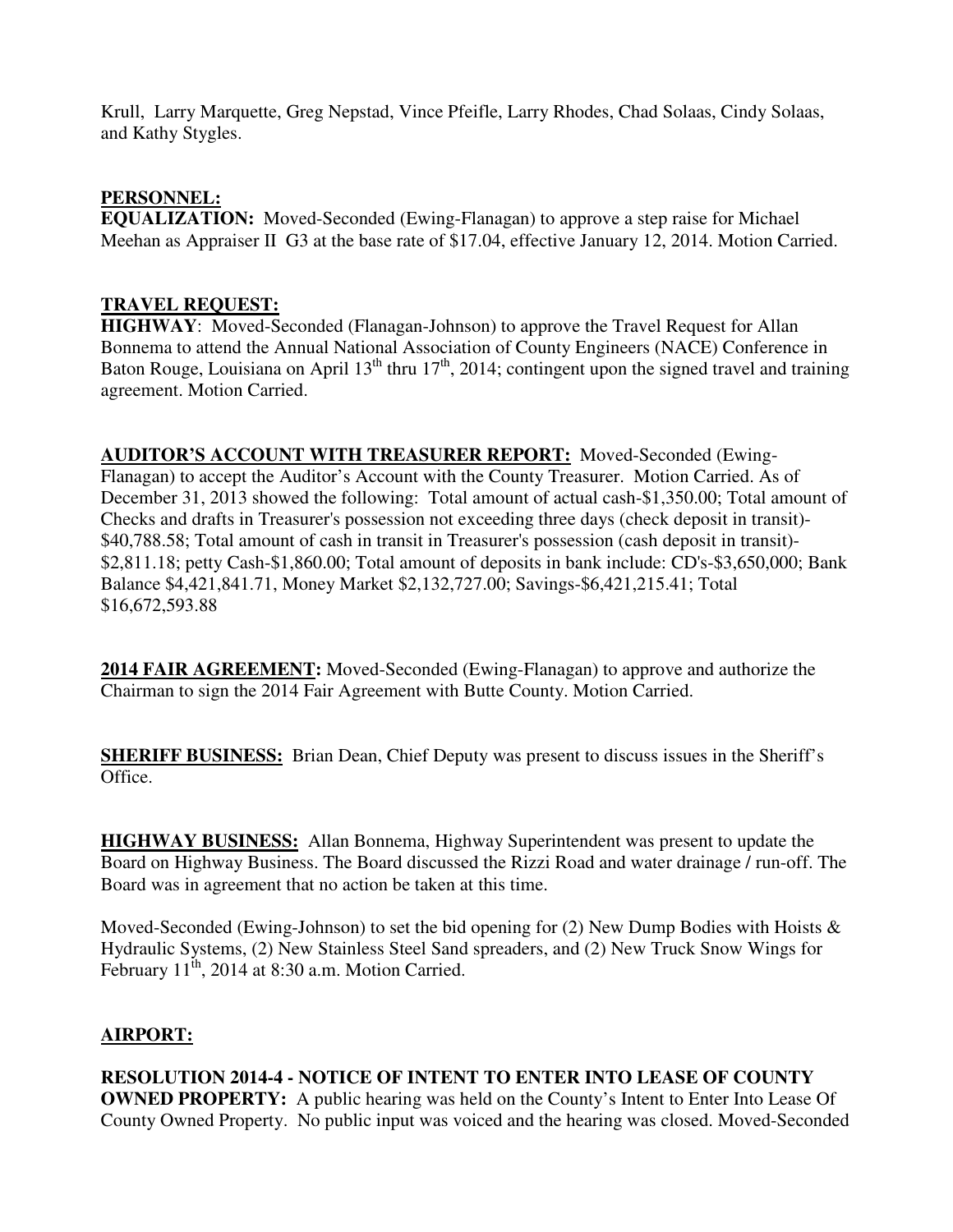Krull, Larry Marquette, Greg Nepstad, Vince Pfeifle, Larry Rhodes, Chad Solaas, Cindy Solaas, and Kathy Stygles.

## **PERSONNEL:**

**EQUALIZATION:** Moved-Seconded (Ewing-Flanagan) to approve a step raise for Michael Meehan as Appraiser II G3 at the base rate of \$17.04, effective January 12, 2014. Motion Carried.

## **TRAVEL REQUEST:**

**HIGHWAY**: Moved-Seconded (Flanagan-Johnson) to approve the Travel Request for Allan Bonnema to attend the Annual National Association of County Engineers (NACE) Conference in Baton Rouge, Louisiana on April 13<sup>th</sup> thru 17<sup>th</sup>, 2014; contingent upon the signed travel and training agreement. Motion Carried.

## **AUDITOR'S ACCOUNT WITH TREASURER REPORT:** Moved-Seconded (Ewing-

Flanagan) to accept the Auditor's Account with the County Treasurer. Motion Carried. As of December 31, 2013 showed the following: Total amount of actual cash-\$1,350.00; Total amount of Checks and drafts in Treasurer's possession not exceeding three days (check deposit in transit)- \$40,788.58; Total amount of cash in transit in Treasurer's possession (cash deposit in transit)- \$2,811.18; petty Cash-\$1,860.00; Total amount of deposits in bank include: CD's-\$3,650,000; Bank Balance \$4,421,841.71, Money Market \$2,132,727.00; Savings-\$6,421,215.41; Total \$16,672,593.88

**2014 FAIR AGREEMENT:** Moved-Seconded (Ewing-Flanagan) to approve and authorize the Chairman to sign the 2014 Fair Agreement with Butte County. Motion Carried.

**SHERIFF BUSINESS:** Brian Dean, Chief Deputy was present to discuss issues in the Sheriff's Office.

**HIGHWAY BUSINESS:** Allan Bonnema, Highway Superintendent was present to update the Board on Highway Business. The Board discussed the Rizzi Road and water drainage / run-off. The Board was in agreement that no action be taken at this time.

Moved-Seconded (Ewing-Johnson) to set the bid opening for (2) New Dump Bodies with Hoists  $\&$ Hydraulic Systems, (2) New Stainless Steel Sand spreaders, and (2) New Truck Snow Wings for February  $11^{th}$ , 2014 at 8:30 a.m. Motion Carried.

## **AIRPORT:**

**RESOLUTION 2014-4 - NOTICE OF INTENT TO ENTER INTO LEASE OF COUNTY OWNED PROPERTY:** A public hearing was held on the County's Intent to Enter Into Lease Of County Owned Property. No public input was voiced and the hearing was closed. Moved-Seconded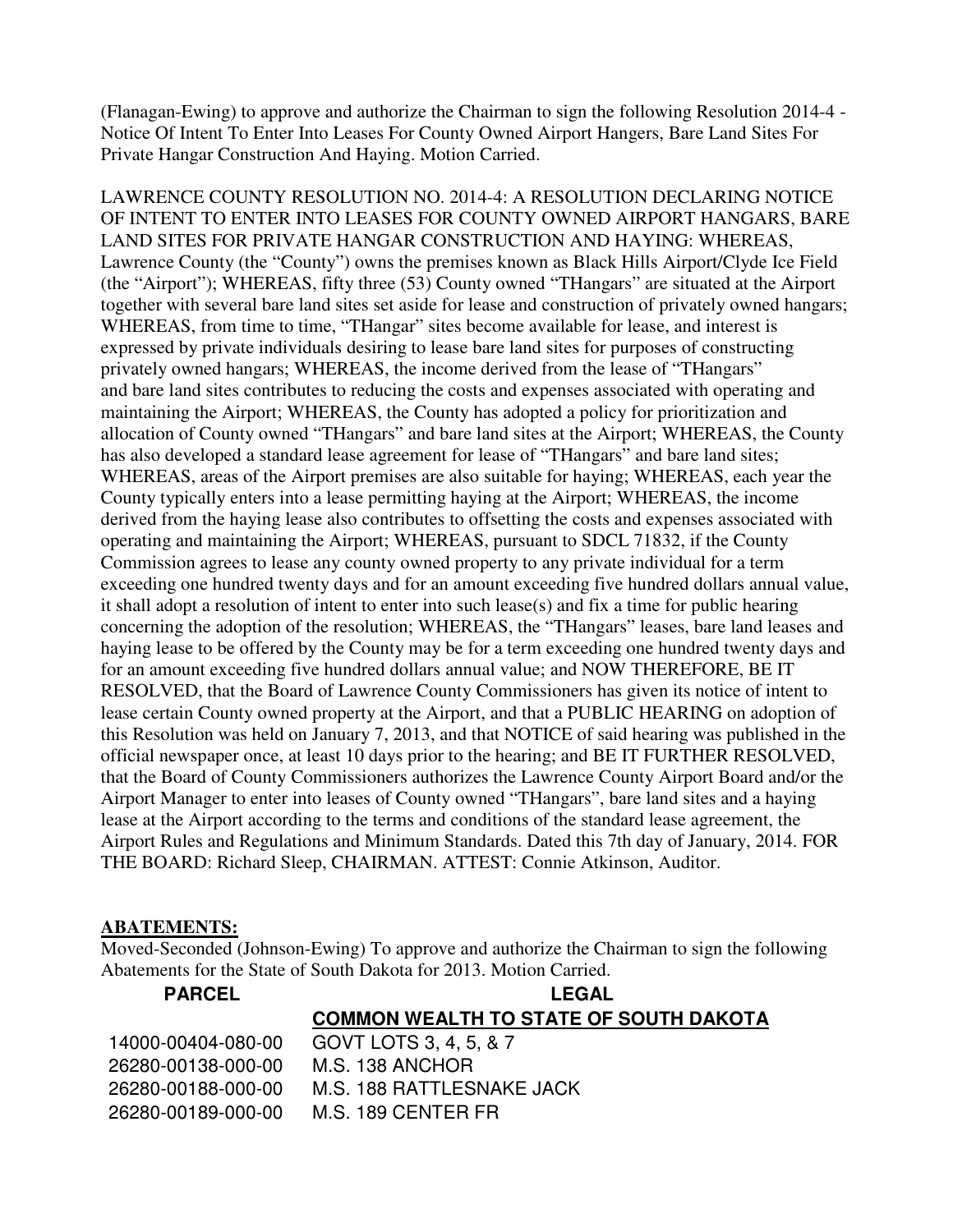(Flanagan-Ewing) to approve and authorize the Chairman to sign the following Resolution 2014-4 - Notice Of Intent To Enter Into Leases For County Owned Airport Hangers, Bare Land Sites For Private Hangar Construction And Haying. Motion Carried.

LAWRENCE COUNTY RESOLUTION NO. 2014-4: A RESOLUTION DECLARING NOTICE OF INTENT TO ENTER INTO LEASES FOR COUNTY OWNED AIRPORT HANGARS, BARE LAND SITES FOR PRIVATE HANGAR CONSTRUCTION AND HAYING: WHEREAS, Lawrence County (the "County") owns the premises known as Black Hills Airport/Clyde Ice Field (the "Airport"); WHEREAS, fifty three (53) County owned "THangars" are situated at the Airport together with several bare land sites set aside for lease and construction of privately owned hangars; WHEREAS, from time to time, "THangar" sites become available for lease, and interest is expressed by private individuals desiring to lease bare land sites for purposes of constructing privately owned hangars; WHEREAS, the income derived from the lease of "THangars" and bare land sites contributes to reducing the costs and expenses associated with operating and maintaining the Airport; WHEREAS, the County has adopted a policy for prioritization and allocation of County owned "THangars" and bare land sites at the Airport; WHEREAS, the County has also developed a standard lease agreement for lease of "THangars" and bare land sites; WHEREAS, areas of the Airport premises are also suitable for haying; WHEREAS, each year the County typically enters into a lease permitting haying at the Airport; WHEREAS, the income derived from the haying lease also contributes to offsetting the costs and expenses associated with operating and maintaining the Airport; WHEREAS, pursuant to SDCL 71832, if the County Commission agrees to lease any county owned property to any private individual for a term exceeding one hundred twenty days and for an amount exceeding five hundred dollars annual value, it shall adopt a resolution of intent to enter into such lease(s) and fix a time for public hearing concerning the adoption of the resolution; WHEREAS, the "THangars" leases, bare land leases and haying lease to be offered by the County may be for a term exceeding one hundred twenty days and for an amount exceeding five hundred dollars annual value; and NOW THEREFORE, BE IT RESOLVED, that the Board of Lawrence County Commissioners has given its notice of intent to lease certain County owned property at the Airport, and that a PUBLIC HEARING on adoption of this Resolution was held on January 7, 2013, and that NOTICE of said hearing was published in the official newspaper once, at least 10 days prior to the hearing; and BE IT FURTHER RESOLVED, that the Board of County Commissioners authorizes the Lawrence County Airport Board and/or the Airport Manager to enter into leases of County owned "THangars", bare land sites and a haying lease at the Airport according to the terms and conditions of the standard lease agreement, the Airport Rules and Regulations and Minimum Standards. Dated this 7th day of January, 2014. FOR THE BOARD: Richard Sleep, CHAIRMAN. ATTEST: Connie Atkinson, Auditor.

#### **ABATEMENTS:**

Moved-Seconded (Johnson-Ewing) To approve and authorize the Chairman to sign the following Abatements for the State of South Dakota for 2013. Motion Carried.

## **PARCEL** LEGAL LEGAL

**COMMON WEALTH TO STATE OF SOUTH DAKOTA**

| 14000-00404-080-00 |
|--------------------|
| 26280-00138-000-00 |
| 26280-00188-000-00 |
| 26280-00189-000-00 |

600 GOVT LOTS 3, 4, 5, & 7 **M.S. 138 ANCHOR** M.S. 188 RATTLESNAKE JACK M.S. 189 CENTER FR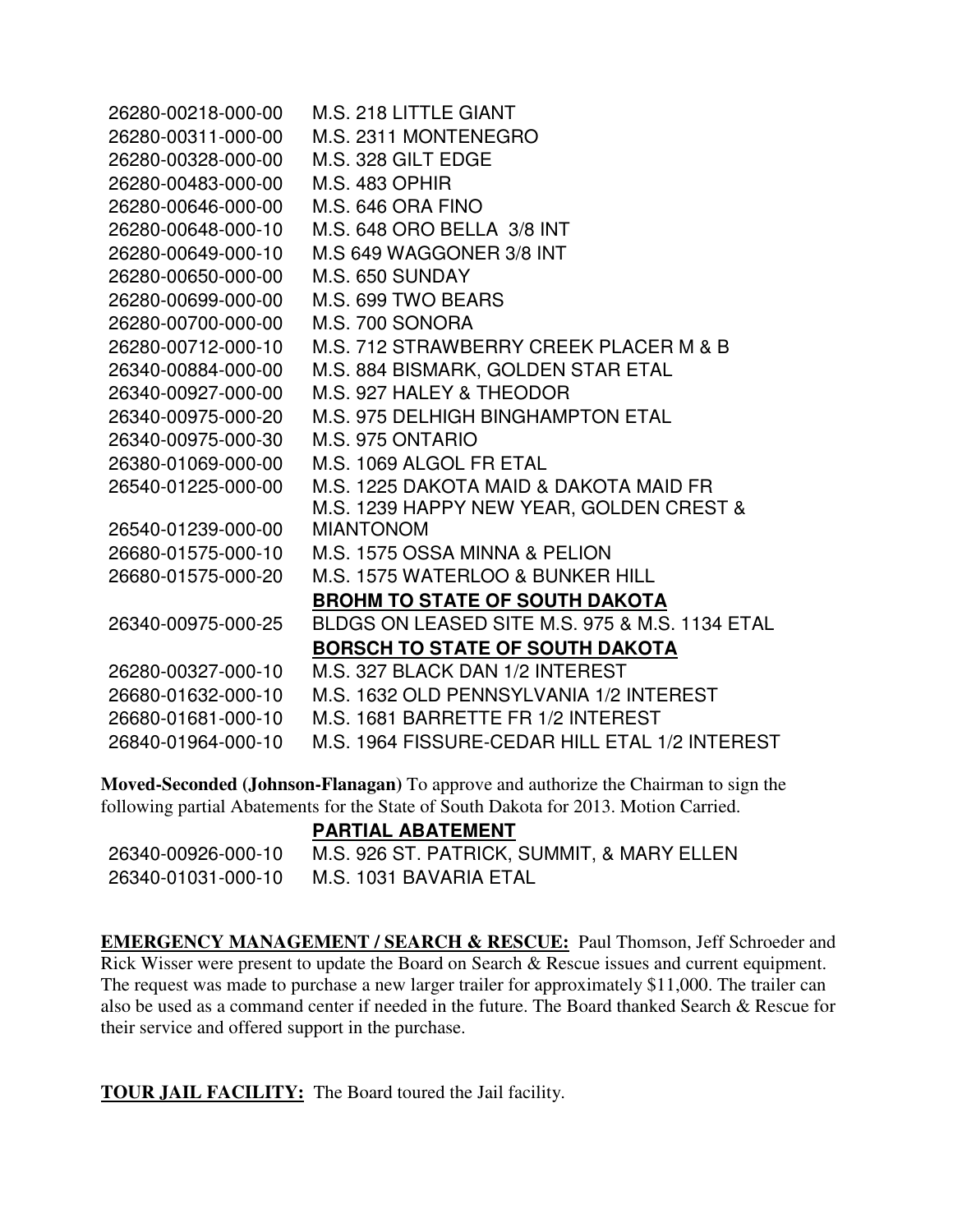| 26280-00218-000-00                                                                                                                                                                                                                                                                                                                                                                                                                              | M.S. 218 LITTLE GIANT                          |  |
|-------------------------------------------------------------------------------------------------------------------------------------------------------------------------------------------------------------------------------------------------------------------------------------------------------------------------------------------------------------------------------------------------------------------------------------------------|------------------------------------------------|--|
| 26280-00311-000-00                                                                                                                                                                                                                                                                                                                                                                                                                              | M.S. 2311 MONTENEGRO                           |  |
| 26280-00328-000-00                                                                                                                                                                                                                                                                                                                                                                                                                              | M.S. 328 GILT EDGE                             |  |
| 26280-00483-000-00                                                                                                                                                                                                                                                                                                                                                                                                                              | <b>M.S. 483 OPHIR</b>                          |  |
| 26280-00646-000-00                                                                                                                                                                                                                                                                                                                                                                                                                              | M.S. 646 ORA FINO                              |  |
| 26280-00648-000-10                                                                                                                                                                                                                                                                                                                                                                                                                              | M.S. 648 ORO BELLA 3/8 INT                     |  |
| 26280-00649-000-10                                                                                                                                                                                                                                                                                                                                                                                                                              | M.S 649 WAGGONER 3/8 INT                       |  |
| 26280-00650-000-00                                                                                                                                                                                                                                                                                                                                                                                                                              | M.S. 650 SUNDAY                                |  |
| 26280-00699-000-00                                                                                                                                                                                                                                                                                                                                                                                                                              | M.S. 699 TWO BEARS                             |  |
| 26280-00700-000-00                                                                                                                                                                                                                                                                                                                                                                                                                              | M.S. 700 SONORA                                |  |
| 26280-00712-000-10                                                                                                                                                                                                                                                                                                                                                                                                                              | M.S. 712 STRAWBERRY CREEK PLACER M & B         |  |
| 26340-00884-000-00                                                                                                                                                                                                                                                                                                                                                                                                                              | M.S. 884 BISMARK, GOLDEN STAR ETAL             |  |
| 26340-00927-000-00                                                                                                                                                                                                                                                                                                                                                                                                                              | M.S. 927 HALEY & THEODOR                       |  |
| 26340-00975-000-20                                                                                                                                                                                                                                                                                                                                                                                                                              | M.S. 975 DELHIGH BINGHAMPTON ETAL              |  |
| 26340-00975-000-30                                                                                                                                                                                                                                                                                                                                                                                                                              | M.S. 975 ONTARIO                               |  |
| 26380-01069-000-00                                                                                                                                                                                                                                                                                                                                                                                                                              | M.S. 1069 ALGOL FR ETAL                        |  |
| 26540-01225-000-00                                                                                                                                                                                                                                                                                                                                                                                                                              | M.S. 1225 DAKOTA MAID & DAKOTA MAID FR         |  |
|                                                                                                                                                                                                                                                                                                                                                                                                                                                 | M.S. 1239 HAPPY NEW YEAR, GOLDEN CREST &       |  |
| 26540-01239-000-00                                                                                                                                                                                                                                                                                                                                                                                                                              | <b>MIANTONOM</b>                               |  |
| 26680-01575-000-10                                                                                                                                                                                                                                                                                                                                                                                                                              | M.S. 1575 OSSA MINNA & PELION                  |  |
| 26680-01575-000-20                                                                                                                                                                                                                                                                                                                                                                                                                              | M.S. 1575 WATERLOO & BUNKER HILL               |  |
|                                                                                                                                                                                                                                                                                                                                                                                                                                                 | <b>BROHM TO STATE OF SOUTH DAKOTA</b>          |  |
| 26340-00975-000-25                                                                                                                                                                                                                                                                                                                                                                                                                              | BLDGS ON LEASED SITE M.S. 975 & M.S. 1134 ETAL |  |
|                                                                                                                                                                                                                                                                                                                                                                                                                                                 | <b>BORSCH TO STATE OF SOUTH DAKOTA</b>         |  |
| 26280-00327-000-10                                                                                                                                                                                                                                                                                                                                                                                                                              | M.S. 327 BLACK DAN 1/2 INTEREST                |  |
| 26680-01632-000-10                                                                                                                                                                                                                                                                                                                                                                                                                              | M.S. 1632 OLD PENNSYLVANIA 1/2 INTEREST        |  |
| 26680-01681-000-10                                                                                                                                                                                                                                                                                                                                                                                                                              | M.S. 1681 BARRETTE FR 1/2 INTEREST             |  |
| 26840-01964-000-10                                                                                                                                                                                                                                                                                                                                                                                                                              | M.S. 1964 FISSURE-CEDAR HILL ETAL 1/2 INTEREST |  |
|                                                                                                                                                                                                                                                                                                                                                                                                                                                 |                                                |  |
| Moved-Seconded (Johnson-Flanagan) To approve and authorize the Chairman to sign the<br>$\mathcal{C}^{11}$ $\mathcal{C}$ $\mathcal{C}^{11}$ $\mathcal{C}$ $\mathcal{C}$ $\mathcal{C}$ $\mathcal{C}$ $\mathcal{C}$ $\mathcal{C}$ $\mathcal{C}$ $\mathcal{C}$ $\mathcal{C}$ $\mathcal{C}$ $\mathcal{C}$ $\mathcal{C}$ $\mathcal{C}$ $\mathcal{C}$ $\mathcal{C}$ $\mathcal{C}$ $\mathcal{C}$ $\mathcal{C}$ $\mathcal{C}$ $\mathcal{C}$ $\mathcal{C$ |                                                |  |

following partial Abatements for the State of South Dakota for 2013. Motion Carried. **PARTIAL ABATEMENT** 

| 26340-00926-000-10 | M.S. 926 ST. PATRICK, SUMMIT, & MARY ELLEN |
|--------------------|--------------------------------------------|
| 26340-01031-000-10 | M.S. 1031 BAVARIA ETAL                     |

**EMERGENCY MANAGEMENT / SEARCH & RESCUE:** Paul Thomson, Jeff Schroeder and Rick Wisser were present to update the Board on Search & Rescue issues and current equipment. The request was made to purchase a new larger trailer for approximately \$11,000. The trailer can also be used as a command center if needed in the future. The Board thanked Search & Rescue for their service and offered support in the purchase.

**TOUR JAIL FACILITY:** The Board toured the Jail facility.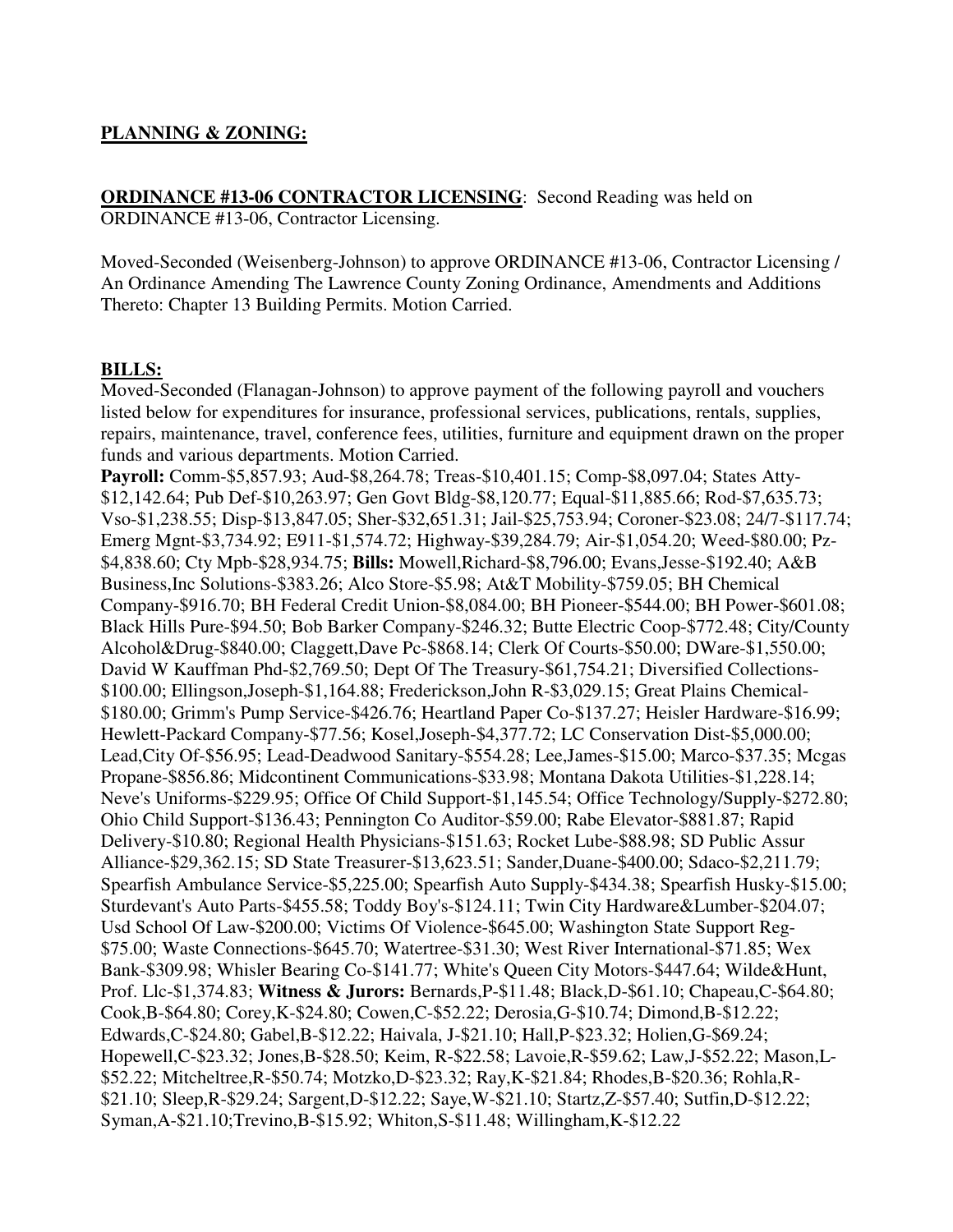## **PLANNING & ZONING:**

**ORDINANCE #13-06 CONTRACTOR LICENSING**: Second Reading was held on ORDINANCE #13-06, Contractor Licensing.

Moved-Seconded (Weisenberg-Johnson) to approve ORDINANCE #13-06, Contractor Licensing / An Ordinance Amending The Lawrence County Zoning Ordinance, Amendments and Additions Thereto: Chapter 13 Building Permits. Motion Carried.

#### **BILLS:**

Moved-Seconded (Flanagan-Johnson) to approve payment of the following payroll and vouchers listed below for expenditures for insurance, professional services, publications, rentals, supplies, repairs, maintenance, travel, conference fees, utilities, furniture and equipment drawn on the proper funds and various departments. Motion Carried.

**Payroll:** Comm-\$5,857.93; Aud-\$8,264.78; Treas-\$10,401.15; Comp-\$8,097.04; States Atty- \$12,142.64; Pub Def-\$10,263.97; Gen Govt Bldg-\$8,120.77; Equal-\$11,885.66; Rod-\$7,635.73; Vso-\$1,238.55; Disp-\$13,847.05; Sher-\$32,651.31; Jail-\$25,753.94; Coroner-\$23.08; 24/7-\$117.74; Emerg Mgnt-\$3,734.92; E911-\$1,574.72; Highway-\$39,284.79; Air-\$1,054.20; Weed-\$80.00; Pz- \$4,838.60; Cty Mpb-\$28,934.75; **Bills:** Mowell,Richard-\$8,796.00; Evans,Jesse-\$192.40; A&B Business,Inc Solutions-\$383.26; Alco Store-\$5.98; At&T Mobility-\$759.05; BH Chemical Company-\$916.70; BH Federal Credit Union-\$8,084.00; BH Pioneer-\$544.00; BH Power-\$601.08; Black Hills Pure-\$94.50; Bob Barker Company-\$246.32; Butte Electric Coop-\$772.48; City/County Alcohol&Drug-\$840.00; Claggett,Dave Pc-\$868.14; Clerk Of Courts-\$50.00; DWare-\$1,550.00; David W Kauffman Phd-\$2,769.50; Dept Of The Treasury-\$61,754.21; Diversified Collections- \$100.00; Ellingson,Joseph-\$1,164.88; Frederickson,John R-\$3,029.15; Great Plains Chemical- \$180.00; Grimm's Pump Service-\$426.76; Heartland Paper Co-\$137.27; Heisler Hardware-\$16.99; Hewlett-Packard Company-\$77.56; Kosel,Joseph-\$4,377.72; LC Conservation Dist-\$5,000.00; Lead,City Of-\$56.95; Lead-Deadwood Sanitary-\$554.28; Lee,James-\$15.00; Marco-\$37.35; Mcgas Propane-\$856.86; Midcontinent Communications-\$33.98; Montana Dakota Utilities-\$1,228.14; Neve's Uniforms-\$229.95; Office Of Child Support-\$1,145.54; Office Technology/Supply-\$272.80; Ohio Child Support-\$136.43; Pennington Co Auditor-\$59.00; Rabe Elevator-\$881.87; Rapid Delivery-\$10.80; Regional Health Physicians-\$151.63; Rocket Lube-\$88.98; SD Public Assur Alliance-\$29,362.15; SD State Treasurer-\$13,623.51; Sander,Duane-\$400.00; Sdaco-\$2,211.79; Spearfish Ambulance Service-\$5,225.00; Spearfish Auto Supply-\$434.38; Spearfish Husky-\$15.00; Sturdevant's Auto Parts-\$455.58; Toddy Boy's-\$124.11; Twin City Hardware&Lumber-\$204.07; Usd School Of Law-\$200.00; Victims Of Violence-\$645.00; Washington State Support Reg- \$75.00; Waste Connections-\$645.70; Watertree-\$31.30; West River International-\$71.85; Wex Bank-\$309.98; Whisler Bearing Co-\$141.77; White's Queen City Motors-\$447.64; Wilde&Hunt, Prof. Llc-\$1,374.83; **Witness & Jurors:** Bernards,P-\$11.48; Black,D-\$61.10; Chapeau,C-\$64.80; Cook,B-\$64.80; Corey,K-\$24.80; Cowen,C-\$52.22; Derosia,G-\$10.74; Dimond,B-\$12.22; Edwards,C-\$24.80; Gabel,B-\$12.22; Haivala, J-\$21.10; Hall,P-\$23.32; Holien,G-\$69.24; Hopewell,C-\$23.32; Jones,B-\$28.50; Keim, R-\$22.58; Lavoie,R-\$59.62; Law,J-\$52.22; Mason,L- \$52.22; Mitcheltree,R-\$50.74; Motzko,D-\$23.32; Ray,K-\$21.84; Rhodes,B-\$20.36; Rohla,R- \$21.10; Sleep,R-\$29.24; Sargent,D-\$12.22; Saye,W-\$21.10; Startz,Z-\$57.40; Sutfin,D-\$12.22; Syman,A-\$21.10;Trevino,B-\$15.92; Whiton,S-\$11.48; Willingham,K-\$12.22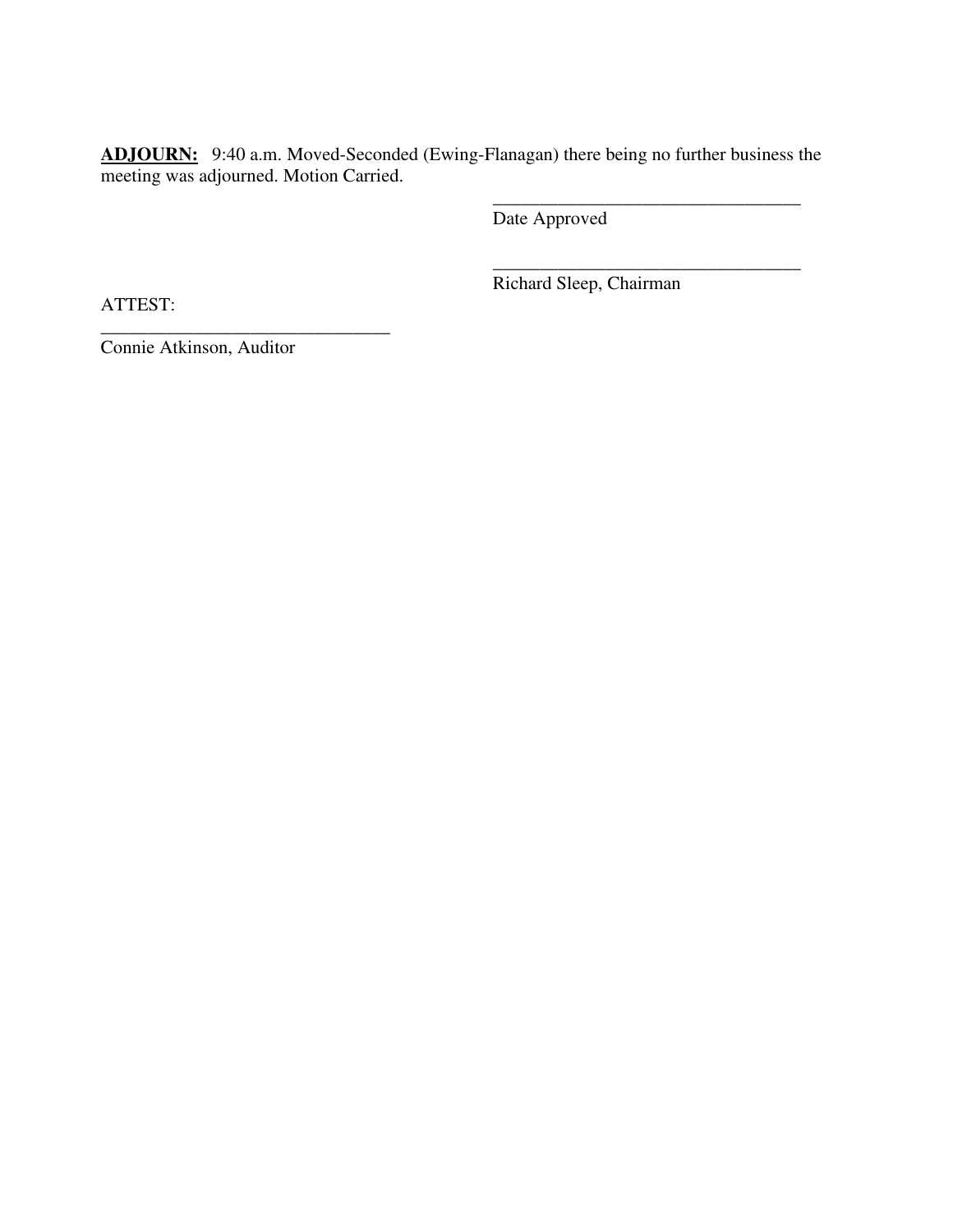**ADJOURN:** 9:40 a.m. Moved-Seconded (Ewing-Flanagan) there being no further business the meeting was adjourned. Motion Carried.

 $\overline{\phantom{a}}$  , and the contract of the contract of the contract of the contract of the contract of the contract of the contract of the contract of the contract of the contract of the contract of the contract of the contrac

 $\overline{\phantom{a}}$  , and the contract of the contract of the contract of the contract of the contract of the contract of the contract of the contract of the contract of the contract of the contract of the contract of the contrac

Date Approved

ATTEST:

Richard Sleep, Chairman

\_\_\_\_\_\_\_\_\_\_\_\_\_\_\_\_\_\_\_\_\_\_\_\_\_\_\_\_\_\_\_ Connie Atkinson, Auditor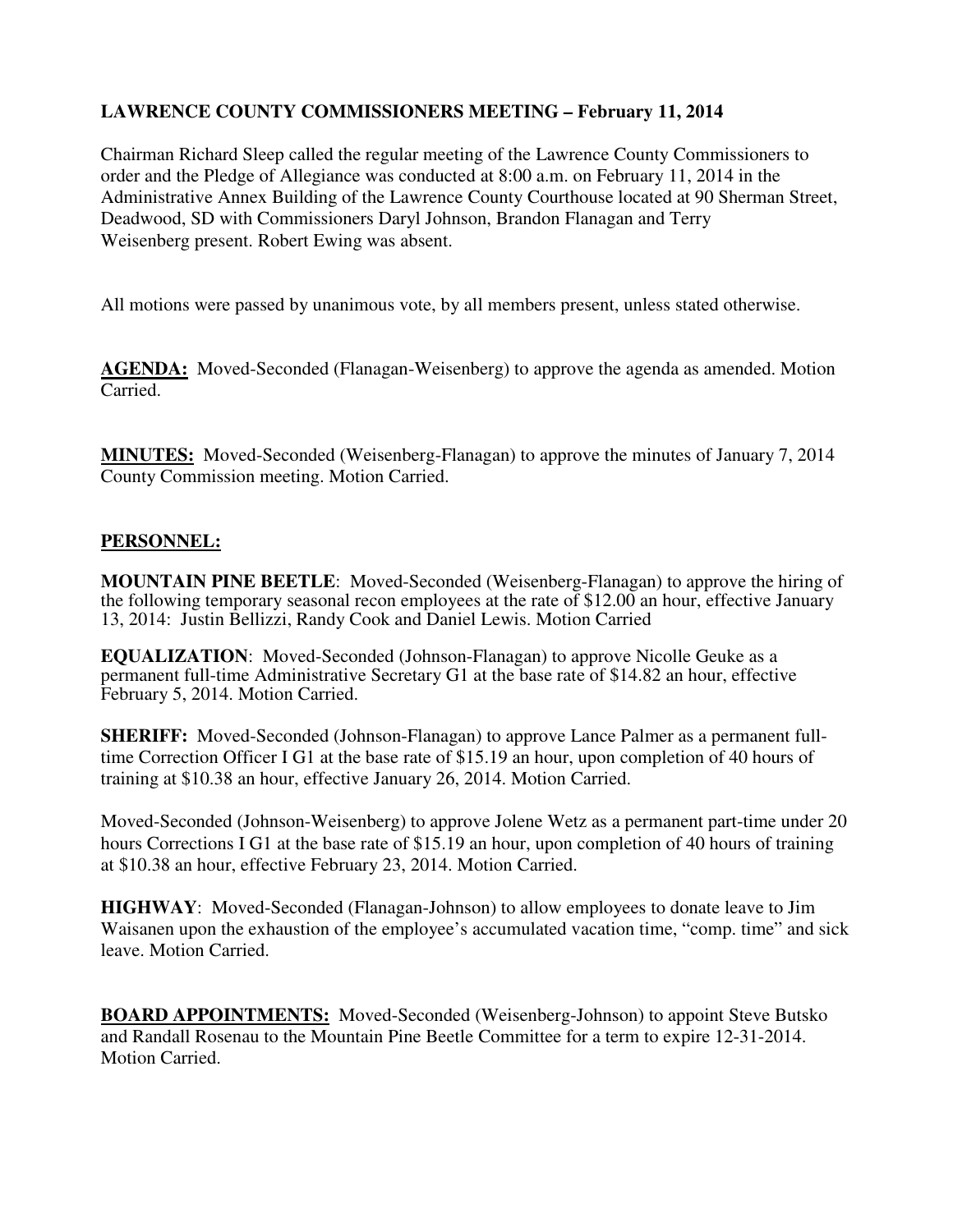## **LAWRENCE COUNTY COMMISSIONERS MEETING – February 11, 2014**

Chairman Richard Sleep called the regular meeting of the Lawrence County Commissioners to order and the Pledge of Allegiance was conducted at 8:00 a.m. on February 11, 2014 in the Administrative Annex Building of the Lawrence County Courthouse located at 90 Sherman Street, Deadwood, SD with Commissioners Daryl Johnson, Brandon Flanagan and Terry Weisenberg present. Robert Ewing was absent.

All motions were passed by unanimous vote, by all members present, unless stated otherwise.

**AGENDA:** Moved-Seconded (Flanagan-Weisenberg) to approve the agenda as amended. Motion Carried.

**MINUTES:** Moved-Seconded (Weisenberg-Flanagan) to approve the minutes of January 7, 2014 County Commission meeting. Motion Carried.

#### **PERSONNEL:**

**MOUNTAIN PINE BEETLE**: Moved-Seconded (Weisenberg-Flanagan) to approve the hiring of the following temporary seasonal recon employees at the rate of \$12.00 an hour, effective January 13, 2014: Justin Bellizzi, Randy Cook and Daniel Lewis. Motion Carried

**EQUALIZATION**: Moved-Seconded (Johnson-Flanagan) to approve Nicolle Geuke as a permanent full-time Administrative Secretary G1 at the base rate of \$14.82 an hour, effective February 5, 2014. Motion Carried.

**SHERIFF:** Moved-Seconded (Johnson-Flanagan) to approve Lance Palmer as a permanent fulltime Correction Officer I G1 at the base rate of \$15.19 an hour, upon completion of 40 hours of training at \$10.38 an hour, effective January 26, 2014. Motion Carried.

Moved-Seconded (Johnson-Weisenberg) to approve Jolene Wetz as a permanent part-time under 20 hours Corrections I G1 at the base rate of \$15.19 an hour, upon completion of 40 hours of training at \$10.38 an hour, effective February 23, 2014. Motion Carried.

**HIGHWAY**: Moved-Seconded (Flanagan-Johnson) to allow employees to donate leave to Jim Waisanen upon the exhaustion of the employee's accumulated vacation time, "comp. time" and sick leave. Motion Carried.

**BOARD APPOINTMENTS:** Moved-Seconded (Weisenberg-Johnson) to appoint Steve Butsko and Randall Rosenau to the Mountain Pine Beetle Committee for a term to expire 12-31-2014. Motion Carried.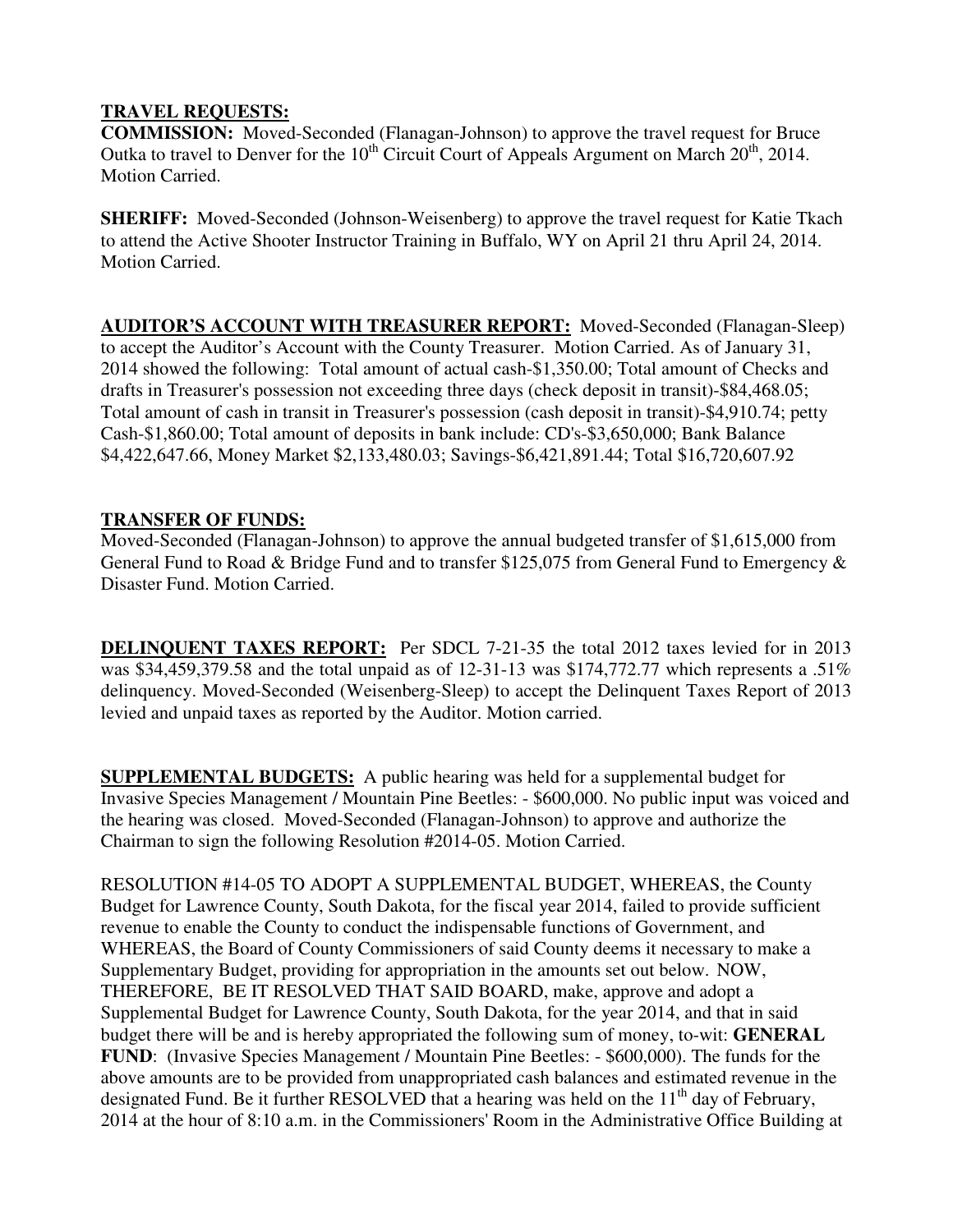## **TRAVEL REQUESTS:**

**COMMISSION:** Moved-Seconded (Flanagan-Johnson) to approve the travel request for Bruce Outka to travel to Denver for the  $10^{th}$  Circuit Court of Appeals Argument on March  $20^{th}$ , 2014. Motion Carried.

**SHERIFF:** Moved-Seconded (Johnson-Weisenberg) to approve the travel request for Katie Tkach to attend the Active Shooter Instructor Training in Buffalo, WY on April 21 thru April 24, 2014. Motion Carried.

**AUDITOR'S ACCOUNT WITH TREASURER REPORT:** Moved-Seconded (Flanagan-Sleep) to accept the Auditor's Account with the County Treasurer. Motion Carried. As of January 31, 2014 showed the following: Total amount of actual cash-\$1,350.00; Total amount of Checks and drafts in Treasurer's possession not exceeding three days (check deposit in transit)-\$84,468.05; Total amount of cash in transit in Treasurer's possession (cash deposit in transit)-\$4,910.74; petty Cash-\$1,860.00; Total amount of deposits in bank include: CD's-\$3,650,000; Bank Balance \$4,422,647.66, Money Market \$2,133,480.03; Savings-\$6,421,891.44; Total \$16,720,607.92

## **TRANSFER OF FUNDS:**

Moved-Seconded (Flanagan-Johnson) to approve the annual budgeted transfer of \$1,615,000 from General Fund to Road & Bridge Fund and to transfer \$125,075 from General Fund to Emergency & Disaster Fund. Motion Carried.

**DELINQUENT TAXES REPORT:** Per SDCL 7-21-35 the total 2012 taxes levied for in 2013 was \$34,459,379.58 and the total unpaid as of 12-31-13 was \$174,772.77 which represents a .51% delinquency. Moved-Seconded (Weisenberg-Sleep) to accept the Delinquent Taxes Report of 2013 levied and unpaid taxes as reported by the Auditor. Motion carried.

**SUPPLEMENTAL BUDGETS:** A public hearing was held for a supplemental budget for Invasive Species Management / Mountain Pine Beetles: - \$600,000. No public input was voiced and the hearing was closed. Moved-Seconded (Flanagan-Johnson) to approve and authorize the Chairman to sign the following Resolution #2014-05. Motion Carried.

RESOLUTION #14-05 TO ADOPT A SUPPLEMENTAL BUDGET, WHEREAS, the County Budget for Lawrence County, South Dakota, for the fiscal year 2014, failed to provide sufficient revenue to enable the County to conduct the indispensable functions of Government, and WHEREAS, the Board of County Commissioners of said County deems it necessary to make a Supplementary Budget, providing for appropriation in the amounts set out below. NOW, THEREFORE, BE IT RESOLVED THAT SAID BOARD, make, approve and adopt a Supplemental Budget for Lawrence County, South Dakota, for the year 2014, and that in said budget there will be and is hereby appropriated the following sum of money, to-wit: **GENERAL FUND**: (Invasive Species Management / Mountain Pine Beetles: - \$600,000). The funds for the above amounts are to be provided from unappropriated cash balances and estimated revenue in the designated Fund. Be it further RESOLVED that a hearing was held on the 11<sup>th</sup> day of February, 2014 at the hour of 8:10 a.m. in the Commissioners' Room in the Administrative Office Building at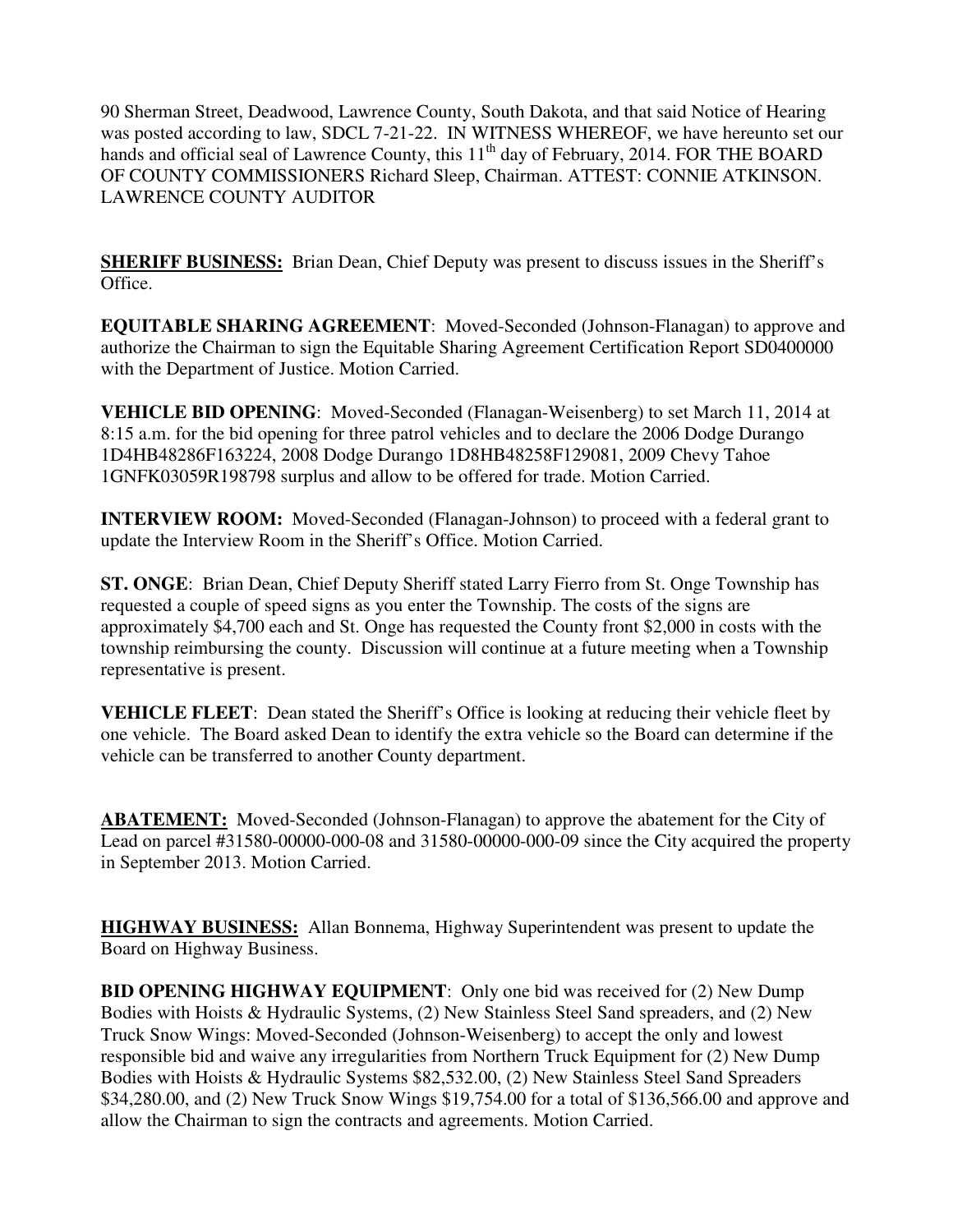90 Sherman Street, Deadwood, Lawrence County, South Dakota, and that said Notice of Hearing was posted according to law, SDCL 7-21-22. IN WITNESS WHEREOF, we have hereunto set our hands and official seal of Lawrence County, this 11<sup>th</sup> day of February, 2014. FOR THE BOARD OF COUNTY COMMISSIONERS Richard Sleep, Chairman. ATTEST: CONNIE ATKINSON. LAWRENCE COUNTY AUDITOR

**SHERIFF BUSINESS:** Brian Dean, Chief Deputy was present to discuss issues in the Sheriff's Office.

**EQUITABLE SHARING AGREEMENT**: Moved-Seconded (Johnson-Flanagan) to approve and authorize the Chairman to sign the Equitable Sharing Agreement Certification Report SD0400000 with the Department of Justice. Motion Carried.

**VEHICLE BID OPENING**: Moved-Seconded (Flanagan-Weisenberg) to set March 11, 2014 at 8:15 a.m. for the bid opening for three patrol vehicles and to declare the 2006 Dodge Durango 1D4HB48286F163224, 2008 Dodge Durango 1D8HB48258F129081, 2009 Chevy Tahoe 1GNFK03059R198798 surplus and allow to be offered for trade. Motion Carried.

**INTERVIEW ROOM:** Moved-Seconded (Flanagan-Johnson) to proceed with a federal grant to update the Interview Room in the Sheriff's Office. Motion Carried.

**ST. ONGE**: Brian Dean, Chief Deputy Sheriff stated Larry Fierro from St. Onge Township has requested a couple of speed signs as you enter the Township. The costs of the signs are approximately \$4,700 each and St. Onge has requested the County front \$2,000 in costs with the township reimbursing the county. Discussion will continue at a future meeting when a Township representative is present.

**VEHICLE FLEET**: Dean stated the Sheriff's Office is looking at reducing their vehicle fleet by one vehicle. The Board asked Dean to identify the extra vehicle so the Board can determine if the vehicle can be transferred to another County department.

**ABATEMENT:** Moved-Seconded (Johnson-Flanagan) to approve the abatement for the City of Lead on parcel #31580-00000-000-08 and 31580-00000-000-09 since the City acquired the property in September 2013. Motion Carried.

**HIGHWAY BUSINESS:** Allan Bonnema, Highway Superintendent was present to update the Board on Highway Business.

**BID OPENING HIGHWAY EQUIPMENT**: Only one bid was received for (2) New Dump Bodies with Hoists & Hydraulic Systems, (2) New Stainless Steel Sand spreaders, and (2) New Truck Snow Wings: Moved-Seconded (Johnson-Weisenberg) to accept the only and lowest responsible bid and waive any irregularities from Northern Truck Equipment for (2) New Dump Bodies with Hoists & Hydraulic Systems \$82,532.00, (2) New Stainless Steel Sand Spreaders \$34,280.00, and (2) New Truck Snow Wings \$19,754.00 for a total of \$136,566.00 and approve and allow the Chairman to sign the contracts and agreements. Motion Carried.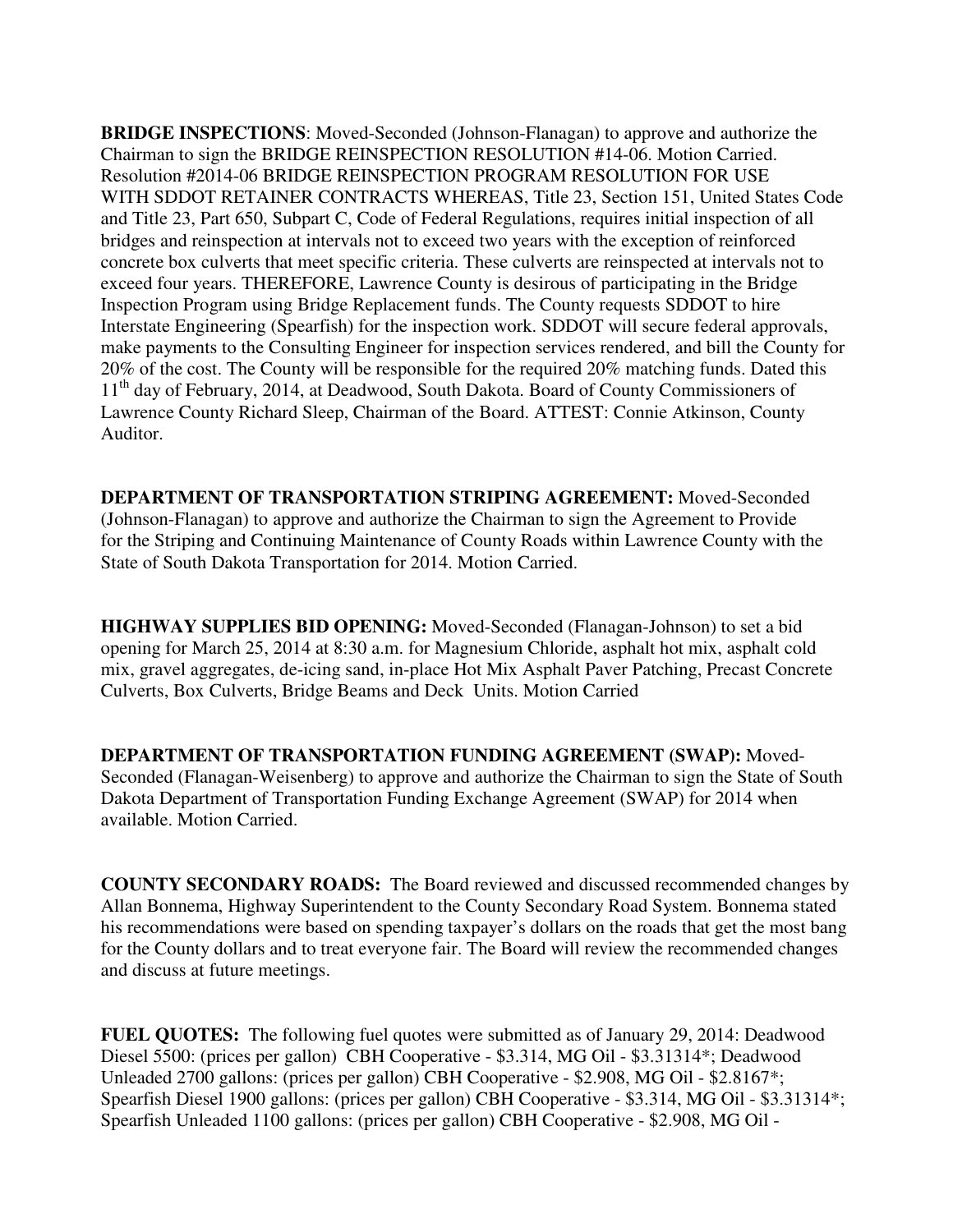**BRIDGE INSPECTIONS**: Moved-Seconded (Johnson-Flanagan) to approve and authorize the Chairman to sign the BRIDGE REINSPECTION RESOLUTION #14-06. Motion Carried. Resolution #2014-06 BRIDGE REINSPECTION PROGRAM RESOLUTION FOR USE WITH SDDOT RETAINER CONTRACTS WHEREAS, Title 23, Section 151, United States Code and Title 23, Part 650, Subpart C, Code of Federal Regulations, requires initial inspection of all bridges and reinspection at intervals not to exceed two years with the exception of reinforced concrete box culverts that meet specific criteria. These culverts are reinspected at intervals not to exceed four years. THEREFORE, Lawrence County is desirous of participating in the Bridge Inspection Program using Bridge Replacement funds. The County requests SDDOT to hire Interstate Engineering (Spearfish) for the inspection work. SDDOT will secure federal approvals, make payments to the Consulting Engineer for inspection services rendered, and bill the County for 20% of the cost. The County will be responsible for the required 20% matching funds. Dated this 11<sup>th</sup> day of February, 2014, at Deadwood, South Dakota. Board of County Commissioners of Lawrence County Richard Sleep, Chairman of the Board. ATTEST: Connie Atkinson, County Auditor.

**DEPARTMENT OF TRANSPORTATION STRIPING AGREEMENT:** Moved-Seconded (Johnson-Flanagan) to approve and authorize the Chairman to sign the Agreement to Provide for the Striping and Continuing Maintenance of County Roads within Lawrence County with the State of South Dakota Transportation for 2014. Motion Carried.

**HIGHWAY SUPPLIES BID OPENING:** Moved-Seconded (Flanagan-Johnson) to set a bid opening for March 25, 2014 at 8:30 a.m. for Magnesium Chloride, asphalt hot mix, asphalt cold mix, gravel aggregates, de-icing sand, in-place Hot Mix Asphalt Paver Patching, Precast Concrete Culverts, Box Culverts, Bridge Beams and Deck Units. Motion Carried

**DEPARTMENT OF TRANSPORTATION FUNDING AGREEMENT (SWAP):** Moved-Seconded (Flanagan-Weisenberg) to approve and authorize the Chairman to sign the State of South Dakota Department of Transportation Funding Exchange Agreement (SWAP) for 2014 when available. Motion Carried.

**COUNTY SECONDARY ROADS:** The Board reviewed and discussed recommended changes by Allan Bonnema, Highway Superintendent to the County Secondary Road System. Bonnema stated his recommendations were based on spending taxpayer's dollars on the roads that get the most bang for the County dollars and to treat everyone fair. The Board will review the recommended changes and discuss at future meetings.

**FUEL QUOTES:** The following fuel quotes were submitted as of January 29, 2014: Deadwood Diesel 5500: (prices per gallon) CBH Cooperative - \$3.314, MG Oil - \$3.31314\*; Deadwood Unleaded 2700 gallons: (prices per gallon) CBH Cooperative - \$2.908, MG Oil - \$2.8167\*; Spearfish Diesel 1900 gallons: (prices per gallon) CBH Cooperative - \$3.314, MG Oil - \$3.31314\*; Spearfish Unleaded 1100 gallons: (prices per gallon) CBH Cooperative - \$2.908, MG Oil -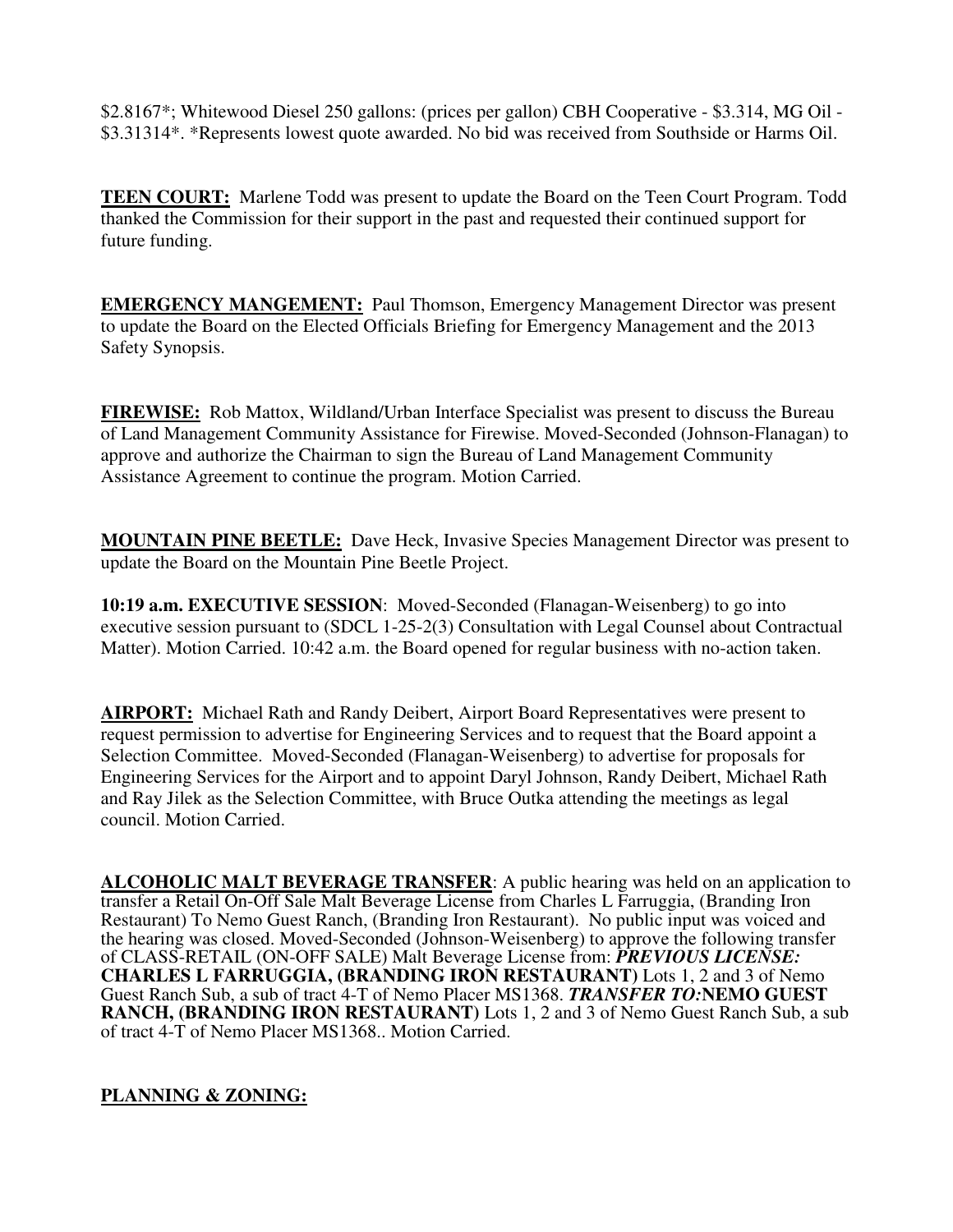\$2.8167\*; Whitewood Diesel 250 gallons: (prices per gallon) CBH Cooperative - \$3.314, MG Oil - \$3.31314\*. \*Represents lowest quote awarded. No bid was received from Southside or Harms Oil.

**TEEN COURT:** Marlene Todd was present to update the Board on the Teen Court Program. Todd thanked the Commission for their support in the past and requested their continued support for future funding.

**EMERGENCY MANGEMENT:** Paul Thomson, Emergency Management Director was present to update the Board on the Elected Officials Briefing for Emergency Management and the 2013 Safety Synopsis.

**FIREWISE:** Rob Mattox, Wildland/Urban Interface Specialist was present to discuss the Bureau of Land Management Community Assistance for Firewise. Moved-Seconded (Johnson-Flanagan) to approve and authorize the Chairman to sign the Bureau of Land Management Community Assistance Agreement to continue the program. Motion Carried.

**MOUNTAIN PINE BEETLE:** Dave Heck, Invasive Species Management Director was present to update the Board on the Mountain Pine Beetle Project.

**10:19 a.m. EXECUTIVE SESSION**: Moved-Seconded (Flanagan-Weisenberg) to go into executive session pursuant to (SDCL 1-25-2(3) Consultation with Legal Counsel about Contractual Matter). Motion Carried. 10:42 a.m. the Board opened for regular business with no-action taken.

**AIRPORT:** Michael Rath and Randy Deibert, Airport Board Representatives were present to request permission to advertise for Engineering Services and to request that the Board appoint a Selection Committee. Moved-Seconded (Flanagan-Weisenberg) to advertise for proposals for Engineering Services for the Airport and to appoint Daryl Johnson, Randy Deibert, Michael Rath and Ray Jilek as the Selection Committee, with Bruce Outka attending the meetings as legal council. Motion Carried.

**ALCOHOLIC MALT BEVERAGE TRANSFER**: A public hearing was held on an application to transfer a Retail On-Off Sale Malt Beverage License from Charles L Farruggia, (Branding Iron Restaurant) To Nemo Guest Ranch, (Branding Iron Restaurant). No public input was voiced and the hearing was closed. Moved-Seconded (Johnson-Weisenberg) to approve the following transfer of CLASS-RETAIL (ON-OFF SALE) Malt Beverage License from: *PREVIOUS LICENSE:*  **CHARLES L FARRUGGIA, (BRANDING IRON RESTAURANT)** Lots 1, 2 and 3 of Nemo Guest Ranch Sub, a sub of tract 4-T of Nemo Placer MS1368. *TRANSFER TO:***NEMO GUEST RANCH, (BRANDING IRON RESTAURANT)** Lots 1, 2 and 3 of Nemo Guest Ranch Sub, a sub of tract 4-T of Nemo Placer MS1368.. Motion Carried.

## **PLANNING & ZONING:**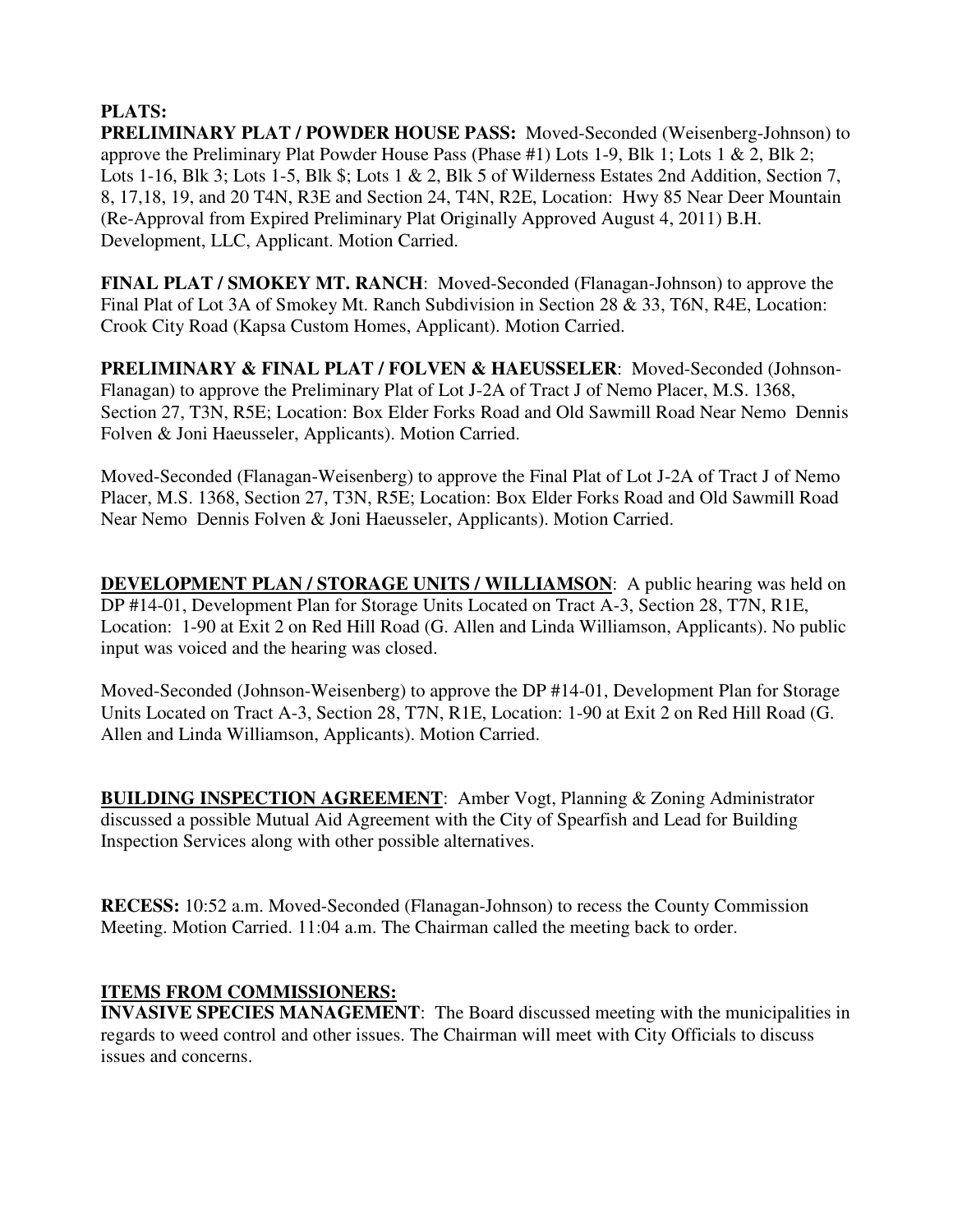# **PLATS:**

**PRELIMINARY PLAT / POWDER HOUSE PASS:** Moved-Seconded (Weisenberg-Johnson) to approve the Preliminary Plat Powder House Pass (Phase #1) Lots 1-9, Blk 1; Lots 1 & 2, Blk 2; Lots 1-16, Blk 3; Lots 1-5, Blk \$; Lots 1 & 2, Blk 5 of Wilderness Estates 2nd Addition, Section 7, 8, 17,18, 19, and 20 T4N, R3E and Section 24, T4N, R2E, Location: Hwy 85 Near Deer Mountain (Re-Approval from Expired Preliminary Plat Originally Approved August 4, 2011) B.H. Development, LLC, Applicant. Motion Carried.

**FINAL PLAT / SMOKEY MT. RANCH**: Moved-Seconded (Flanagan-Johnson) to approve the Final Plat of Lot 3A of Smokey Mt. Ranch Subdivision in Section 28 & 33, T6N, R4E, Location: Crook City Road (Kapsa Custom Homes, Applicant). Motion Carried.

**PRELIMINARY & FINAL PLAT / FOLVEN & HAEUSSELER**: Moved-Seconded (Johnson-Flanagan) to approve the Preliminary Plat of Lot J-2A of Tract J of Nemo Placer, M.S. 1368, Section 27, T3N, R5E; Location: Box Elder Forks Road and Old Sawmill Road Near Nemo Dennis Folven & Joni Haeusseler, Applicants). Motion Carried.

Moved-Seconded (Flanagan-Weisenberg) to approve the Final Plat of Lot J-2A of Tract J of Nemo Placer, M.S. 1368, Section 27, T3N, R5E; Location: Box Elder Forks Road and Old Sawmill Road Near Nemo Dennis Folven & Joni Haeusseler, Applicants). Motion Carried.

**DEVELOPMENT PLAN / STORAGE UNITS / WILLIAMSON**: A public hearing was held on DP #14-01, Development Plan for Storage Units Located on Tract A-3, Section 28, T7N, R1E, Location: 1-90 at Exit 2 on Red Hill Road (G. Allen and Linda Williamson, Applicants). No public input was voiced and the hearing was closed.

Moved-Seconded (Johnson-Weisenberg) to approve the DP #14-01, Development Plan for Storage Units Located on Tract A-3, Section 28, T7N, R1E, Location: 1-90 at Exit 2 on Red Hill Road (G. Allen and Linda Williamson, Applicants). Motion Carried.

**BUILDING INSPECTION AGREEMENT**: Amber Vogt, Planning & Zoning Administrator discussed a possible Mutual Aid Agreement with the City of Spearfish and Lead for Building Inspection Services along with other possible alternatives.

**RECESS:** 10:52 a.m. Moved-Seconded (Flanagan-Johnson) to recess the County Commission Meeting. Motion Carried. 11:04 a.m. The Chairman called the meeting back to order.

## **ITEMS FROM COMMISSIONERS:**

**INVASIVE SPECIES MANAGEMENT:** The Board discussed meeting with the municipalities in regards to weed control and other issues. The Chairman will meet with City Officials to discuss issues and concerns.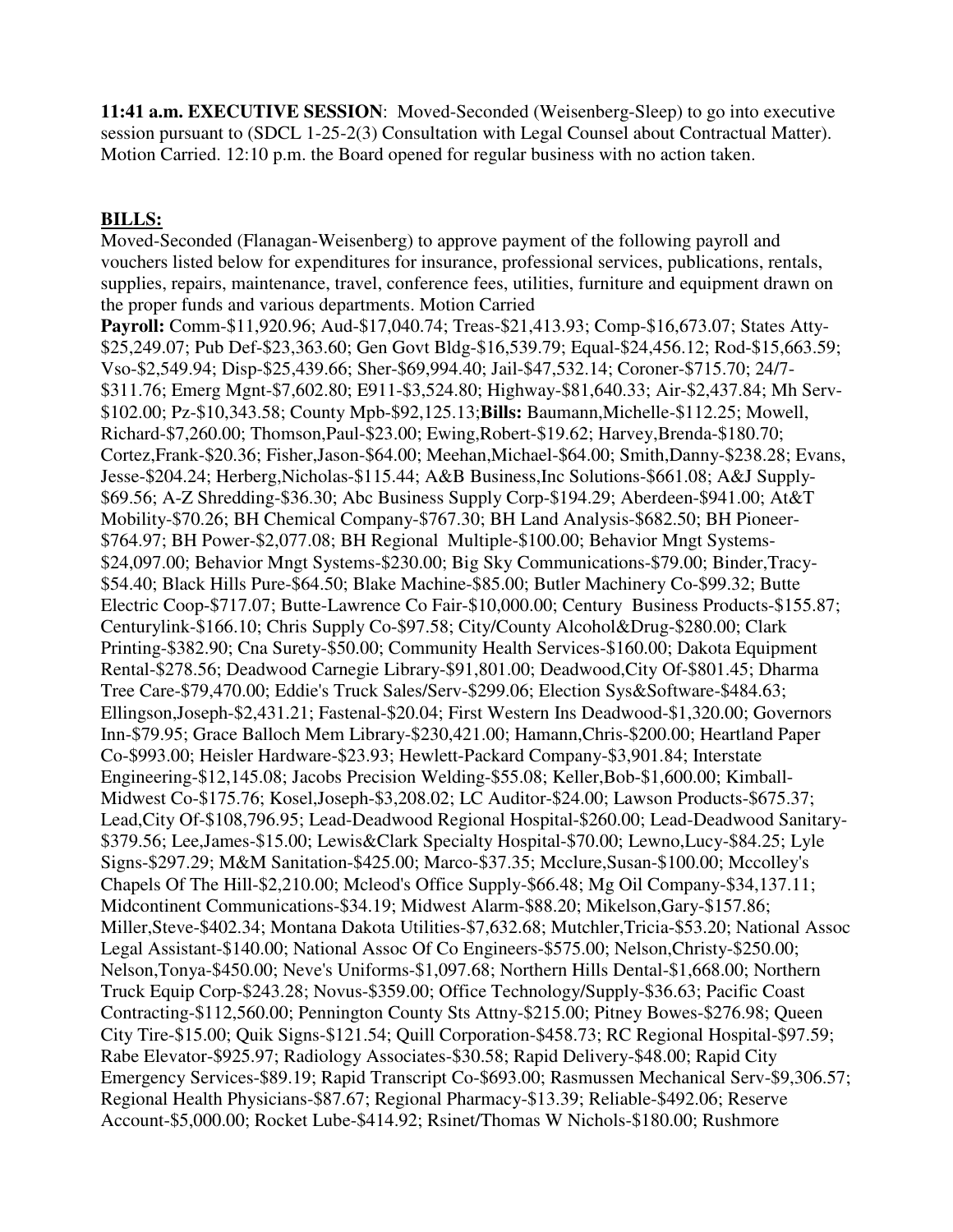**11:41 a.m. EXECUTIVE SESSION**: Moved-Seconded (Weisenberg-Sleep) to go into executive session pursuant to (SDCL 1-25-2(3) Consultation with Legal Counsel about Contractual Matter). Motion Carried. 12:10 p.m. the Board opened for regular business with no action taken.

#### **BILLS:**

Moved-Seconded (Flanagan-Weisenberg) to approve payment of the following payroll and vouchers listed below for expenditures for insurance, professional services, publications, rentals, supplies, repairs, maintenance, travel, conference fees, utilities, furniture and equipment drawn on the proper funds and various departments. Motion Carried **Payroll:** Comm-\$11,920.96; Aud-\$17,040.74; Treas-\$21,413.93; Comp-\$16,673.07; States Atty- \$25,249.07; Pub Def-\$23,363.60; Gen Govt Bldg-\$16,539.79; Equal-\$24,456.12; Rod-\$15,663.59; Vso-\$2,549.94; Disp-\$25,439.66; Sher-\$69,994.40; Jail-\$47,532.14; Coroner-\$715.70; 24/7- \$311.76; Emerg Mgnt-\$7,602.80; E911-\$3,524.80; Highway-\$81,640.33; Air-\$2,437.84; Mh Serv- \$102.00; Pz-\$10,343.58; County Mpb-\$92,125.13;**Bills:** Baumann,Michelle-\$112.25; Mowell, Richard-\$7,260.00; Thomson,Paul-\$23.00; Ewing,Robert-\$19.62; Harvey,Brenda-\$180.70; Cortez,Frank-\$20.36; Fisher,Jason-\$64.00; Meehan,Michael-\$64.00; Smith,Danny-\$238.28; Evans, Jesse-\$204.24; Herberg,Nicholas-\$115.44; A&B Business,Inc Solutions-\$661.08; A&J Supply- \$69.56; A-Z Shredding-\$36.30; Abc Business Supply Corp-\$194.29; Aberdeen-\$941.00; At&T Mobility-\$70.26; BH Chemical Company-\$767.30; BH Land Analysis-\$682.50; BH Pioneer- \$764.97; BH Power-\$2,077.08; BH Regional Multiple-\$100.00; Behavior Mngt Systems- \$24,097.00; Behavior Mngt Systems-\$230.00; Big Sky Communications-\$79.00; Binder,Tracy- \$54.40; Black Hills Pure-\$64.50; Blake Machine-\$85.00; Butler Machinery Co-\$99.32; Butte Electric Coop-\$717.07; Butte-Lawrence Co Fair-\$10,000.00; Century Business Products-\$155.87; Centurylink-\$166.10; Chris Supply Co-\$97.58; City/County Alcohol&Drug-\$280.00; Clark Printing-\$382.90; Cna Surety-\$50.00; Community Health Services-\$160.00; Dakota Equipment Rental-\$278.56; Deadwood Carnegie Library-\$91,801.00; Deadwood,City Of-\$801.45; Dharma Tree Care-\$79,470.00; Eddie's Truck Sales/Serv-\$299.06; Election Sys&Software-\$484.63; Ellingson,Joseph-\$2,431.21; Fastenal-\$20.04; First Western Ins Deadwood-\$1,320.00; Governors Inn-\$79.95; Grace Balloch Mem Library-\$230,421.00; Hamann,Chris-\$200.00; Heartland Paper Co-\$993.00; Heisler Hardware-\$23.93; Hewlett-Packard Company-\$3,901.84; Interstate Engineering-\$12,145.08; Jacobs Precision Welding-\$55.08; Keller,Bob-\$1,600.00; Kimball-Midwest Co-\$175.76; Kosel,Joseph-\$3,208.02; LC Auditor-\$24.00; Lawson Products-\$675.37; Lead,City Of-\$108,796.95; Lead-Deadwood Regional Hospital-\$260.00; Lead-Deadwood Sanitary- \$379.56; Lee,James-\$15.00; Lewis&Clark Specialty Hospital-\$70.00; Lewno,Lucy-\$84.25; Lyle Signs-\$297.29; M&M Sanitation-\$425.00; Marco-\$37.35; Mcclure,Susan-\$100.00; Mccolley's Chapels Of The Hill-\$2,210.00; Mcleod's Office Supply-\$66.48; Mg Oil Company-\$34,137.11; Midcontinent Communications-\$34.19; Midwest Alarm-\$88.20; Mikelson,Gary-\$157.86; Miller,Steve-\$402.34; Montana Dakota Utilities-\$7,632.68; Mutchler,Tricia-\$53.20; National Assoc Legal Assistant-\$140.00; National Assoc Of Co Engineers-\$575.00; Nelson,Christy-\$250.00; Nelson,Tonya-\$450.00; Neve's Uniforms-\$1,097.68; Northern Hills Dental-\$1,668.00; Northern Truck Equip Corp-\$243.28; Novus-\$359.00; Office Technology/Supply-\$36.63; Pacific Coast Contracting-\$112,560.00; Pennington County Sts Attny-\$215.00; Pitney Bowes-\$276.98; Queen City Tire-\$15.00; Quik Signs-\$121.54; Quill Corporation-\$458.73; RC Regional Hospital-\$97.59; Rabe Elevator-\$925.97; Radiology Associates-\$30.58; Rapid Delivery-\$48.00; Rapid City Emergency Services-\$89.19; Rapid Transcript Co-\$693.00; Rasmussen Mechanical Serv-\$9,306.57; Regional Health Physicians-\$87.67; Regional Pharmacy-\$13.39; Reliable-\$492.06; Reserve Account-\$5,000.00; Rocket Lube-\$414.92; Rsinet/Thomas W Nichols-\$180.00; Rushmore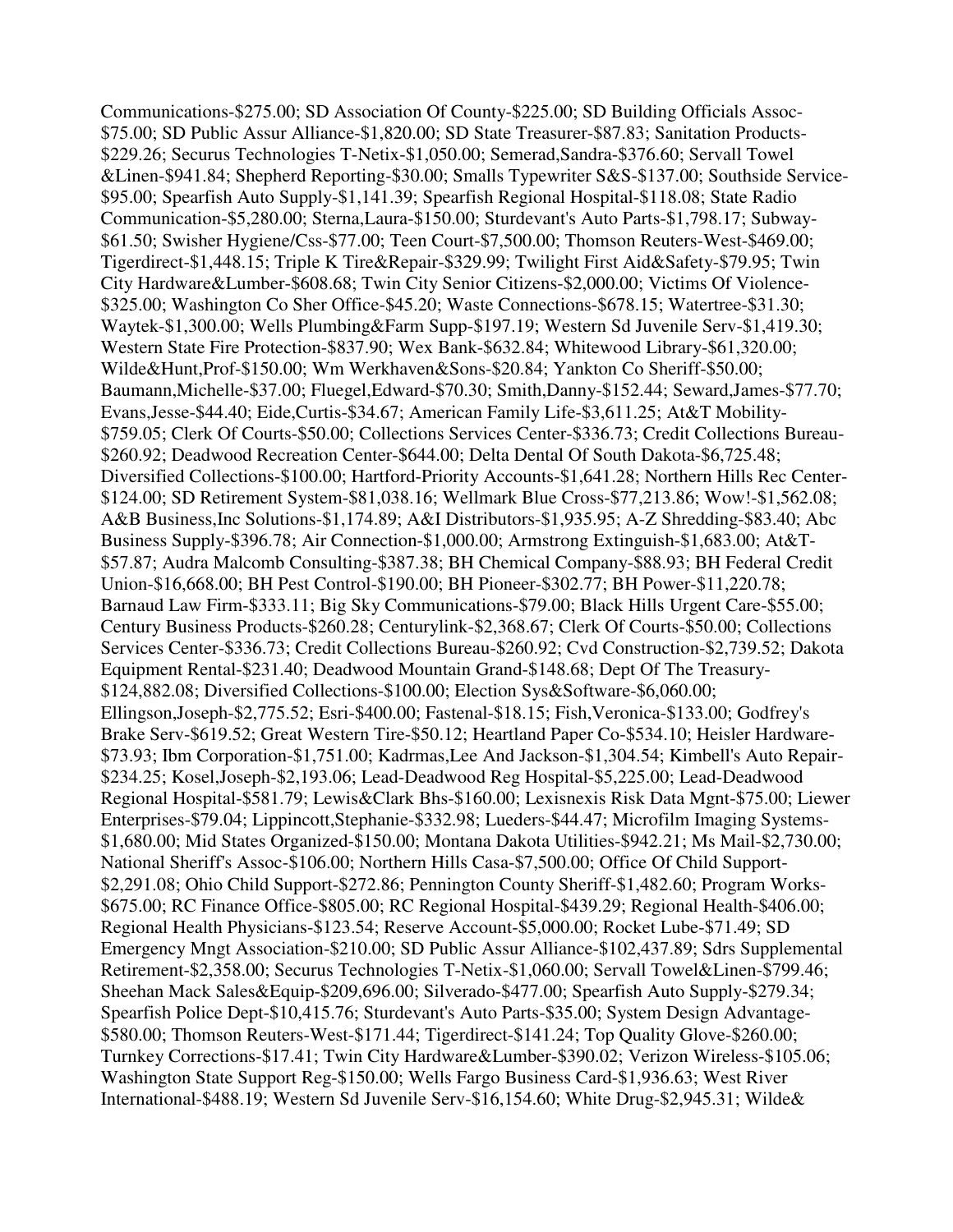Communications-\$275.00; SD Association Of County-\$225.00; SD Building Officials Assoc- \$75.00; SD Public Assur Alliance-\$1,820.00; SD State Treasurer-\$87.83; Sanitation Products- \$229.26; Securus Technologies T-Netix-\$1,050.00; Semerad,Sandra-\$376.60; Servall Towel &Linen-\$941.84; Shepherd Reporting-\$30.00; Smalls Typewriter S&S-\$137.00; Southside Service- \$95.00; Spearfish Auto Supply-\$1,141.39; Spearfish Regional Hospital-\$118.08; State Radio Communication-\$5,280.00; Sterna,Laura-\$150.00; Sturdevant's Auto Parts-\$1,798.17; Subway- \$61.50; Swisher Hygiene/Css-\$77.00; Teen Court-\$7,500.00; Thomson Reuters-West-\$469.00; Tigerdirect-\$1,448.15; Triple K Tire&Repair-\$329.99; Twilight First Aid&Safety-\$79.95; Twin City Hardware&Lumber-\$608.68; Twin City Senior Citizens-\$2,000.00; Victims Of Violence- \$325.00; Washington Co Sher Office-\$45.20; Waste Connections-\$678.15; Watertree-\$31.30; Waytek-\$1,300.00; Wells Plumbing&Farm Supp-\$197.19; Western Sd Juvenile Serv-\$1,419.30; Western State Fire Protection-\$837.90; Wex Bank-\$632.84; Whitewood Library-\$61,320.00; Wilde&Hunt,Prof-\$150.00; Wm Werkhaven&Sons-\$20.84; Yankton Co Sheriff-\$50.00; Baumann,Michelle-\$37.00; Fluegel,Edward-\$70.30; Smith,Danny-\$152.44; Seward,James-\$77.70; Evans,Jesse-\$44.40; Eide,Curtis-\$34.67; American Family Life-\$3,611.25; At&T Mobility- \$759.05; Clerk Of Courts-\$50.00; Collections Services Center-\$336.73; Credit Collections Bureau- \$260.92; Deadwood Recreation Center-\$644.00; Delta Dental Of South Dakota-\$6,725.48; Diversified Collections-\$100.00; Hartford-Priority Accounts-\$1,641.28; Northern Hills Rec Center- \$124.00; SD Retirement System-\$81,038.16; Wellmark Blue Cross-\$77,213.86; Wow!-\$1,562.08; A&B Business,Inc Solutions-\$1,174.89; A&I Distributors-\$1,935.95; A-Z Shredding-\$83.40; Abc Business Supply-\$396.78; Air Connection-\$1,000.00; Armstrong Extinguish-\$1,683.00; At&T- \$57.87; Audra Malcomb Consulting-\$387.38; BH Chemical Company-\$88.93; BH Federal Credit Union-\$16,668.00; BH Pest Control-\$190.00; BH Pioneer-\$302.77; BH Power-\$11,220.78; Barnaud Law Firm-\$333.11; Big Sky Communications-\$79.00; Black Hills Urgent Care-\$55.00; Century Business Products-\$260.28; Centurylink-\$2,368.67; Clerk Of Courts-\$50.00; Collections Services Center-\$336.73; Credit Collections Bureau-\$260.92; Cvd Construction-\$2,739.52; Dakota Equipment Rental-\$231.40; Deadwood Mountain Grand-\$148.68; Dept Of The Treasury- \$124,882.08; Diversified Collections-\$100.00; Election Sys&Software-\$6,060.00; Ellingson,Joseph-\$2,775.52; Esri-\$400.00; Fastenal-\$18.15; Fish,Veronica-\$133.00; Godfrey's Brake Serv-\$619.52; Great Western Tire-\$50.12; Heartland Paper Co-\$534.10; Heisler Hardware- \$73.93; Ibm Corporation-\$1,751.00; Kadrmas,Lee And Jackson-\$1,304.54; Kimbell's Auto Repair- \$234.25; Kosel,Joseph-\$2,193.06; Lead-Deadwood Reg Hospital-\$5,225.00; Lead-Deadwood Regional Hospital-\$581.79; Lewis&Clark Bhs-\$160.00; Lexisnexis Risk Data Mgnt-\$75.00; Liewer Enterprises-\$79.04; Lippincott,Stephanie-\$332.98; Lueders-\$44.47; Microfilm Imaging Systems- \$1,680.00; Mid States Organized-\$150.00; Montana Dakota Utilities-\$942.21; Ms Mail-\$2,730.00; National Sheriff's Assoc-\$106.00; Northern Hills Casa-\$7,500.00; Office Of Child Support- \$2,291.08; Ohio Child Support-\$272.86; Pennington County Sheriff-\$1,482.60; Program Works- \$675.00; RC Finance Office-\$805.00; RC Regional Hospital-\$439.29; Regional Health-\$406.00; Regional Health Physicians-\$123.54; Reserve Account-\$5,000.00; Rocket Lube-\$71.49; SD Emergency Mngt Association-\$210.00; SD Public Assur Alliance-\$102,437.89; Sdrs Supplemental Retirement-\$2,358.00; Securus Technologies T-Netix-\$1,060.00; Servall Towel&Linen-\$799.46; Sheehan Mack Sales&Equip-\$209,696.00; Silverado-\$477.00; Spearfish Auto Supply-\$279.34; Spearfish Police Dept-\$10,415.76; Sturdevant's Auto Parts-\$35.00; System Design Advantage- \$580.00; Thomson Reuters-West-\$171.44; Tigerdirect-\$141.24; Top Quality Glove-\$260.00; Turnkey Corrections-\$17.41; Twin City Hardware&Lumber-\$390.02; Verizon Wireless-\$105.06; Washington State Support Reg-\$150.00; Wells Fargo Business Card-\$1,936.63; West River International-\$488.19; Western Sd Juvenile Serv-\$16,154.60; White Drug-\$2,945.31; Wilde&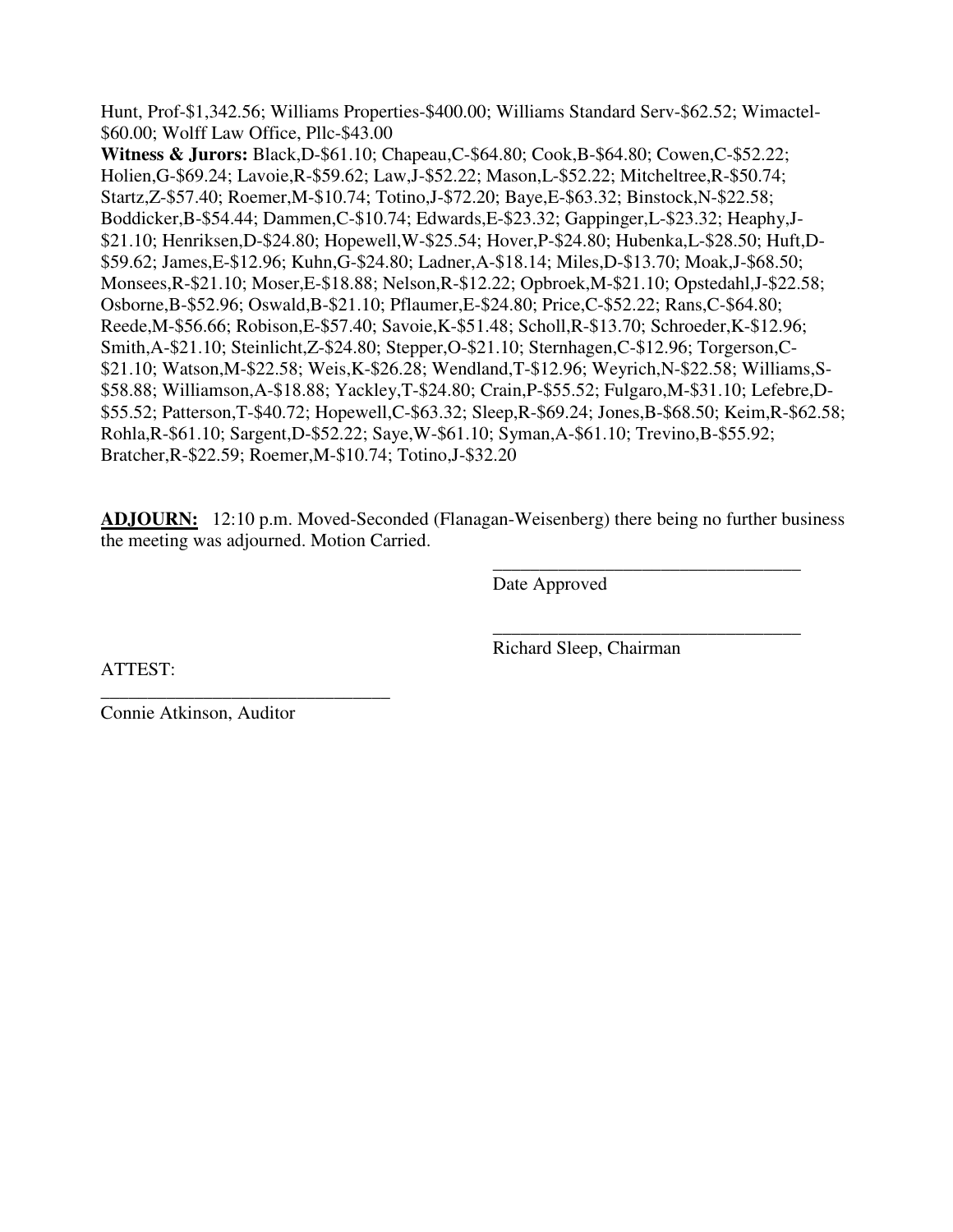Hunt, Prof-\$1,342.56; Williams Properties-\$400.00; Williams Standard Serv-\$62.52; Wimactel- \$60.00; Wolff Law Office, Pllc-\$43.00

**Witness & Jurors:** Black,D-\$61.10; Chapeau,C-\$64.80; Cook,B-\$64.80; Cowen,C-\$52.22; Holien,G-\$69.24; Lavoie,R-\$59.62; Law,J-\$52.22; Mason,L-\$52.22; Mitcheltree,R-\$50.74; Startz,Z-\$57.40; Roemer,M-\$10.74; Totino,J-\$72.20; Baye,E-\$63.32; Binstock,N-\$22.58; Boddicker,B-\$54.44; Dammen,C-\$10.74; Edwards,E-\$23.32; Gappinger,L-\$23.32; Heaphy,J- \$21.10; Henriksen,D-\$24.80; Hopewell,W-\$25.54; Hover,P-\$24.80; Hubenka,L-\$28.50; Huft,D- \$59.62; James,E-\$12.96; Kuhn,G-\$24.80; Ladner,A-\$18.14; Miles,D-\$13.70; Moak,J-\$68.50; Monsees,R-\$21.10; Moser,E-\$18.88; Nelson,R-\$12.22; Opbroek,M-\$21.10; Opstedahl,J-\$22.58; Osborne,B-\$52.96; Oswald,B-\$21.10; Pflaumer,E-\$24.80; Price,C-\$52.22; Rans,C-\$64.80; Reede,M-\$56.66; Robison,E-\$57.40; Savoie,K-\$51.48; Scholl,R-\$13.70; Schroeder,K-\$12.96; Smith,A-\$21.10; Steinlicht,Z-\$24.80; Stepper,O-\$21.10; Sternhagen,C-\$12.96; Torgerson,C- \$21.10; Watson,M-\$22.58; Weis,K-\$26.28; Wendland,T-\$12.96; Weyrich,N-\$22.58; Williams,S- \$58.88; Williamson,A-\$18.88; Yackley,T-\$24.80; Crain,P-\$55.52; Fulgaro,M-\$31.10; Lefebre,D- \$55.52; Patterson,T-\$40.72; Hopewell,C-\$63.32; Sleep,R-\$69.24; Jones,B-\$68.50; Keim,R-\$62.58; Rohla,R-\$61.10; Sargent,D-\$52.22; Saye,W-\$61.10; Syman,A-\$61.10; Trevino,B-\$55.92; Bratcher,R-\$22.59; Roemer,M-\$10.74; Totino,J-\$32.20

**ADJOURN:** 12:10 p.m. Moved-Seconded (Flanagan-Weisenberg) there being no further business the meeting was adjourned. Motion Carried.

 $\overline{\phantom{a}}$  , and the contract of the contract of the contract of the contract of the contract of the contract of the contract of the contract of the contract of the contract of the contract of the contract of the contrac

 $\overline{\phantom{a}}$  , and the contract of the contract of the contract of the contract of the contract of the contract of the contract of the contract of the contract of the contract of the contract of the contract of the contrac

Date Approved

ATTEST:

Richard Sleep, Chairman

\_\_\_\_\_\_\_\_\_\_\_\_\_\_\_\_\_\_\_\_\_\_\_\_\_\_\_\_\_\_\_ Connie Atkinson, Auditor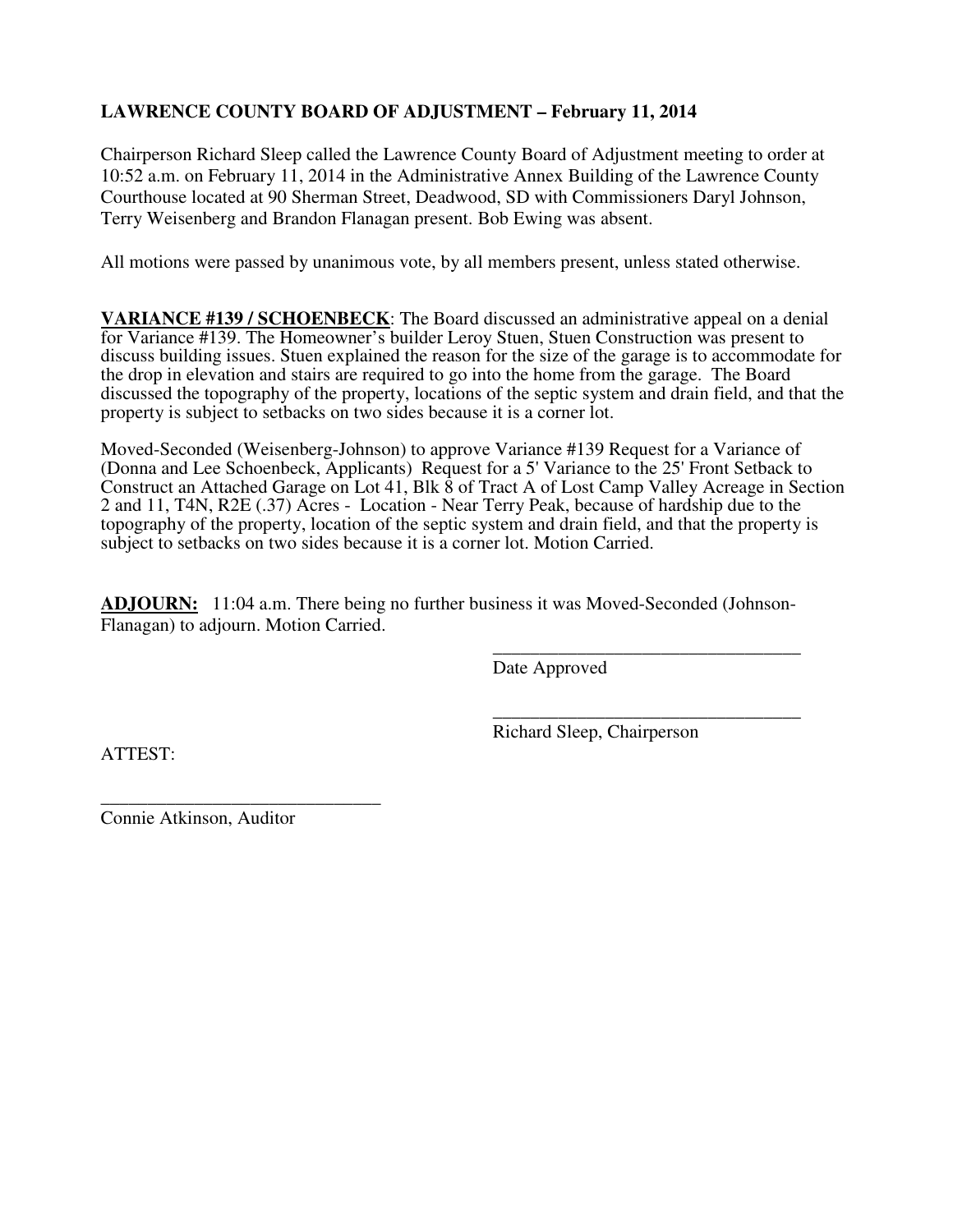## **LAWRENCE COUNTY BOARD OF ADJUSTMENT – February 11, 2014**

Chairperson Richard Sleep called the Lawrence County Board of Adjustment meeting to order at 10:52 a.m. on February 11, 2014 in the Administrative Annex Building of the Lawrence County Courthouse located at 90 Sherman Street, Deadwood, SD with Commissioners Daryl Johnson, Terry Weisenberg and Brandon Flanagan present. Bob Ewing was absent.

All motions were passed by unanimous vote, by all members present, unless stated otherwise.

**VARIANCE #139 / SCHOENBECK**: The Board discussed an administrative appeal on a denial for Variance #139. The Homeowner's builder Leroy Stuen, Stuen Construction was present to discuss building issues. Stuen explained the reason for the size of the garage is to accommodate for the drop in elevation and stairs are required to go into the home from the garage. The Board discussed the topography of the property, locations of the septic system and drain field, and that the property is subject to setbacks on two sides because it is a corner lot.

Moved-Seconded (Weisenberg-Johnson) to approve Variance #139 Request for a Variance of (Donna and Lee Schoenbeck, Applicants) Request for a 5' Variance to the 25' Front Setback to Construct an Attached Garage on Lot 41, Blk  $\bar{8}$  of Tract A of Lost Camp Valley Acreage in Section 2 and 11, T4N, R2E (.37) Acres - Location - Near Terry Peak, because of hardship due to the topography of the property, location of the septic system and drain field, and that the property is subject to setbacks on two sides because it is a corner lot. Motion Carried.

**ADJOURN:** 11:04 a.m. There being no further business it was Moved-Seconded (Johnson-Flanagan) to adjourn. Motion Carried.

 $\overline{\phantom{a}}$  , and the contract of the contract of the contract of the contract of the contract of the contract of the contract of the contract of the contract of the contract of the contract of the contract of the contrac

 $\overline{\phantom{a}}$  , and the contract of the contract of the contract of the contract of the contract of the contract of the contract of the contract of the contract of the contract of the contract of the contract of the contrac

Date Approved

Richard Sleep, Chairperson

ATTEST:

\_\_\_\_\_\_\_\_\_\_\_\_\_\_\_\_\_\_\_\_\_\_\_\_\_\_\_\_\_\_ Connie Atkinson, Auditor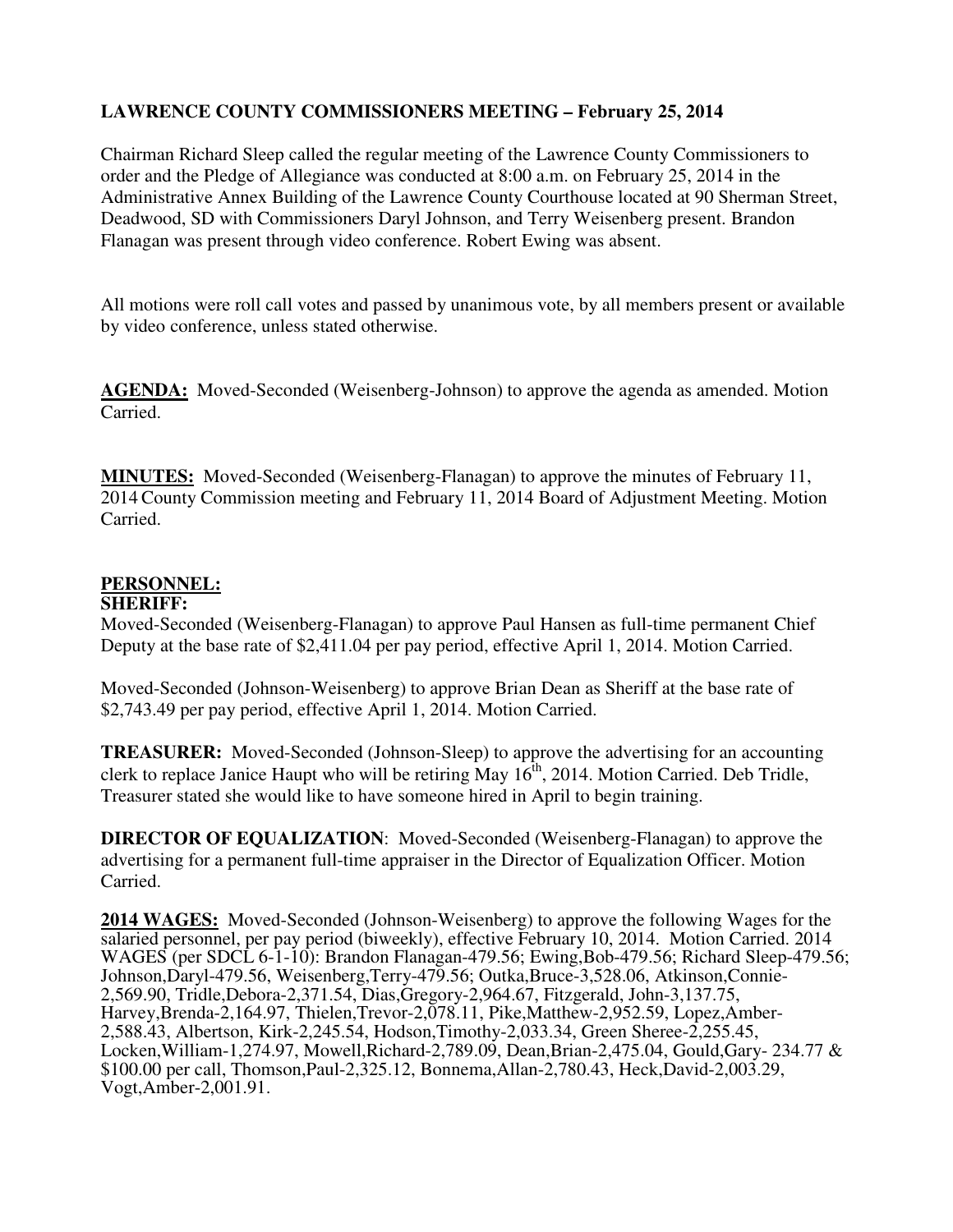## **LAWRENCE COUNTY COMMISSIONERS MEETING – February 25, 2014**

Chairman Richard Sleep called the regular meeting of the Lawrence County Commissioners to order and the Pledge of Allegiance was conducted at 8:00 a.m. on February 25, 2014 in the Administrative Annex Building of the Lawrence County Courthouse located at 90 Sherman Street, Deadwood, SD with Commissioners Daryl Johnson, and Terry Weisenberg present. Brandon Flanagan was present through video conference. Robert Ewing was absent.

All motions were roll call votes and passed by unanimous vote, by all members present or available by video conference, unless stated otherwise.

AGENDA: Moved-Seconded (Weisenberg-Johnson) to approve the agenda as amended. Motion Carried.

**MINUTES:** Moved-Seconded (Weisenberg-Flanagan) to approve the minutes of February 11, 2014 County Commission meeting and February 11, 2014 Board of Adjustment Meeting. Motion Carried.

## **PERSONNEL:**

**SHERIFF:** 

Moved-Seconded (Weisenberg-Flanagan) to approve Paul Hansen as full-time permanent Chief Deputy at the base rate of \$2,411.04 per pay period, effective April 1, 2014. Motion Carried.

Moved-Seconded (Johnson-Weisenberg) to approve Brian Dean as Sheriff at the base rate of \$2,743.49 per pay period, effective April 1, 2014. Motion Carried.

**TREASURER:** Moved-Seconded (Johnson-Sleep) to approve the advertising for an accounting clerk to replace Janice Haupt who will be retiring May  $16<sup>th</sup>$ , 2014. Motion Carried. Deb Tridle, Treasurer stated she would like to have someone hired in April to begin training.

**DIRECTOR OF EQUALIZATION**: Moved-Seconded (Weisenberg-Flanagan) to approve the advertising for a permanent full-time appraiser in the Director of Equalization Officer. Motion Carried.

**2014 WAGES:** Moved-Seconded (Johnson-Weisenberg) to approve the following Wages for the salaried personnel, per pay period (biweekly), effective February 10, 2014. Motion Carried. 2014 WAGES (per SDCL 6-1-10): Brandon Flanagan-479.56; Ewing,Bob-479.56; Richard Sleep-479.56; Johnson,Daryl-479.56, Weisenberg,Terry-479.56; Outka,Bruce-3,528.06, Atkinson,Connie-2,569.90, Tridle,Debora-2,371.54, Dias,Gregory-2,964.67, Fitzgerald, John-3,137.75, Harvey,Brenda-2,164.97, Thielen,Trevor-2,078.11, Pike,Matthew-2,952.59, Lopez,Amber-2,588.43, Albertson, Kirk-2,245.54, Hodson,Timothy-2,033.34, Green Sheree-2,255.45, Locken,William-1,274.97, Mowell,Richard-2,789.09, Dean,Brian-2,475.04, Gould,Gary- 234.77 & \$100.00 per call, Thomson,Paul-2,325.12, Bonnema,Allan-2,780.43, Heck,David-2,003.29, Vogt,Amber-2,001.91.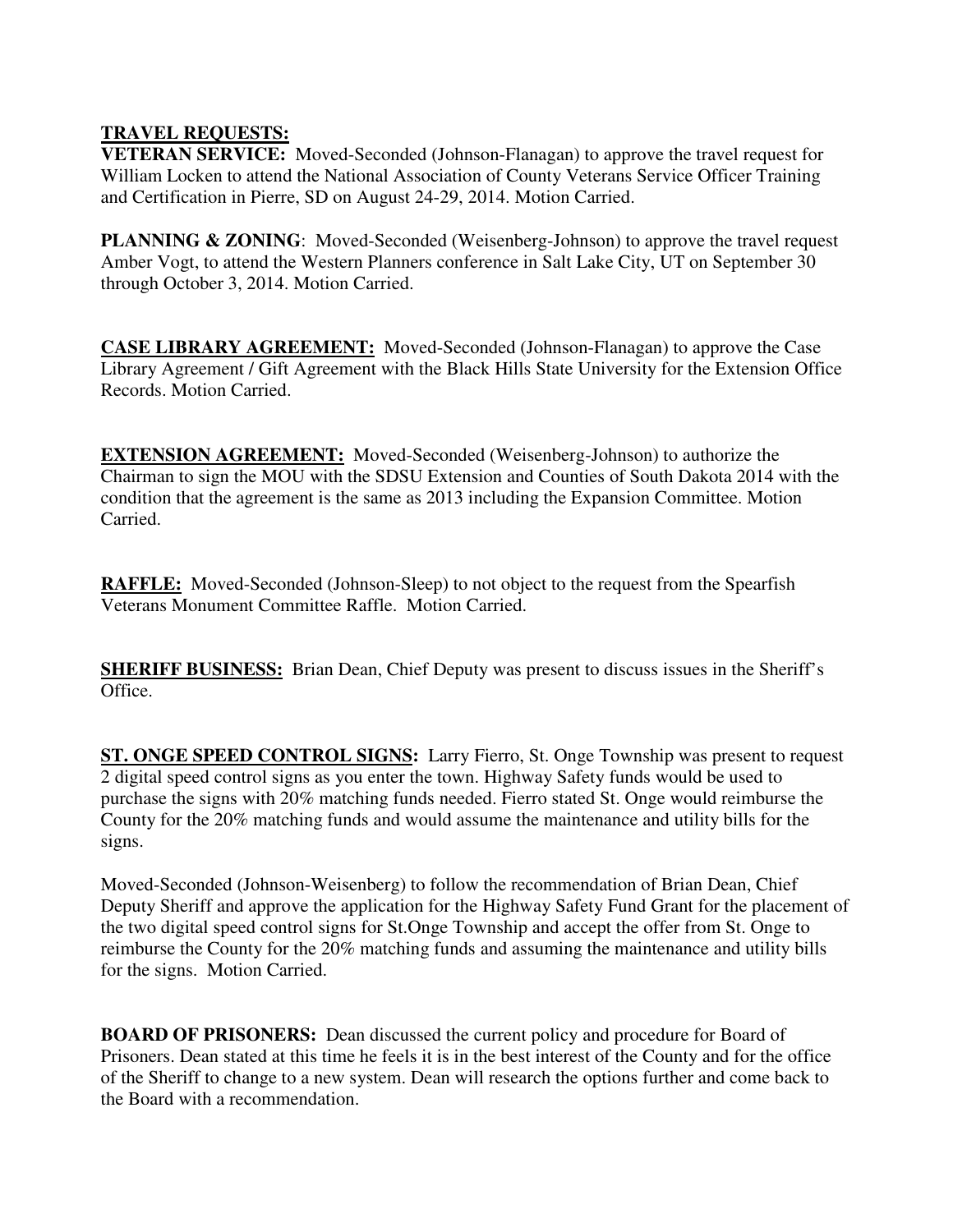## **TRAVEL REQUESTS:**

**VETERAN SERVICE:** Moved-Seconded (Johnson-Flanagan) to approve the travel request for William Locken to attend the National Association of County Veterans Service Officer Training and Certification in Pierre, SD on August 24-29, 2014. Motion Carried.

**PLANNING & ZONING:** Moved-Seconded (Weisenberg-Johnson) to approve the travel request Amber Vogt, to attend the Western Planners conference in Salt Lake City, UT on September 30 through October 3, 2014. Motion Carried.

**CASE LIBRARY AGREEMENT:** Moved-Seconded (Johnson-Flanagan) to approve the Case Library Agreement / Gift Agreement with the Black Hills State University for the Extension Office Records. Motion Carried.

**EXTENSION AGREEMENT:** Moved-Seconded (Weisenberg-Johnson) to authorize the Chairman to sign the MOU with the SDSU Extension and Counties of South Dakota 2014 with the condition that the agreement is the same as 2013 including the Expansion Committee. Motion Carried.

**RAFFLE:** Moved-Seconded (Johnson-Sleep) to not object to the request from the Spearfish Veterans Monument Committee Raffle. Motion Carried.

**SHERIFF BUSINESS:** Brian Dean, Chief Deputy was present to discuss issues in the Sheriff's Office.

**ST. ONGE SPEED CONTROL SIGNS:** Larry Fierro, St. Onge Township was present to request 2 digital speed control signs as you enter the town. Highway Safety funds would be used to purchase the signs with 20% matching funds needed. Fierro stated St. Onge would reimburse the County for the 20% matching funds and would assume the maintenance and utility bills for the signs.

Moved-Seconded (Johnson-Weisenberg) to follow the recommendation of Brian Dean, Chief Deputy Sheriff and approve the application for the Highway Safety Fund Grant for the placement of the two digital speed control signs for St.Onge Township and accept the offer from St. Onge to reimburse the County for the 20% matching funds and assuming the maintenance and utility bills for the signs. Motion Carried.

**BOARD OF PRISONERS:** Dean discussed the current policy and procedure for Board of Prisoners. Dean stated at this time he feels it is in the best interest of the County and for the office of the Sheriff to change to a new system. Dean will research the options further and come back to the Board with a recommendation.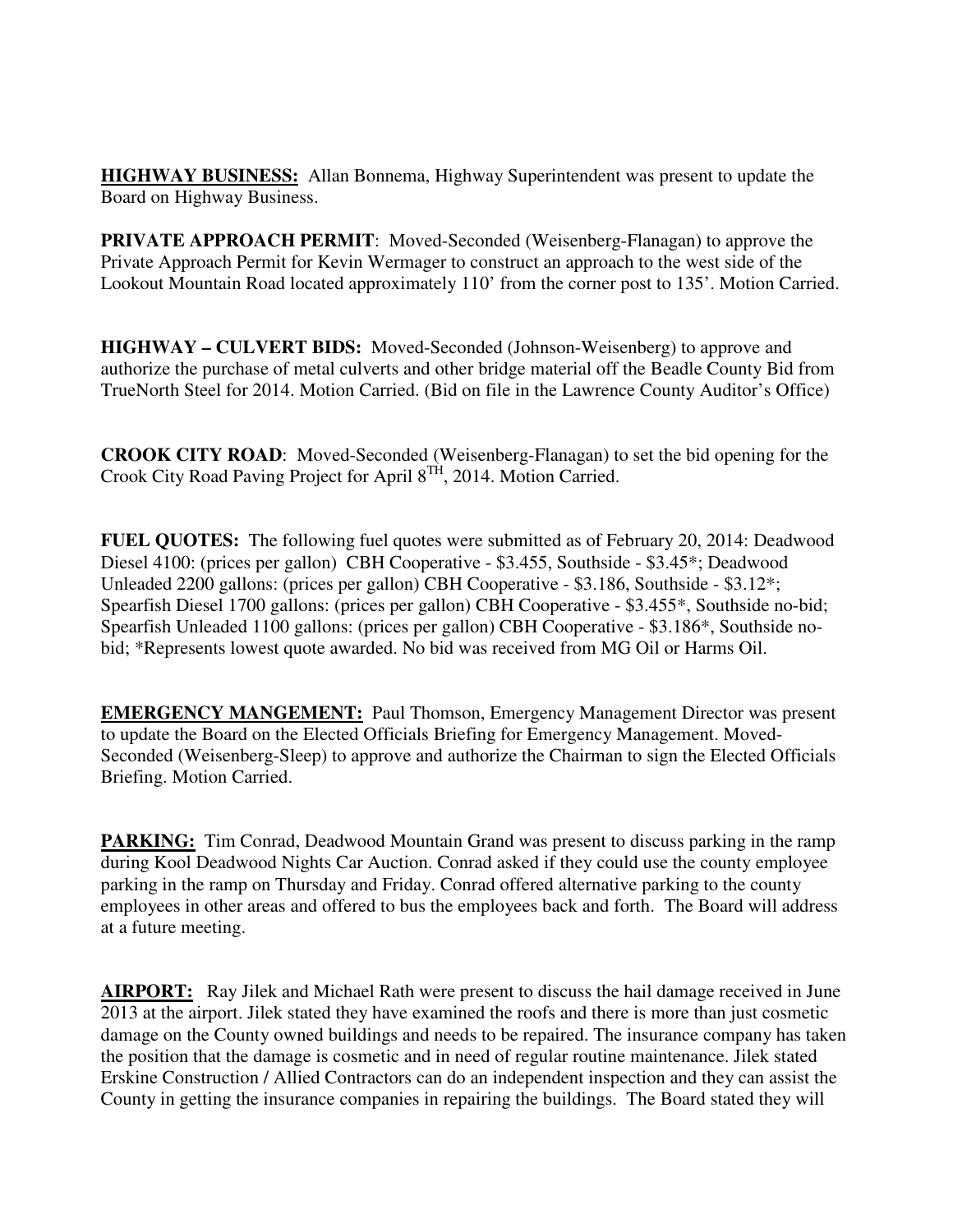**HIGHWAY BUSINESS:** Allan Bonnema, Highway Superintendent was present to update the Board on Highway Business.

**PRIVATE APPROACH PERMIT**: Moved-Seconded (Weisenberg-Flanagan) to approve the Private Approach Permit for Kevin Wermager to construct an approach to the west side of the Lookout Mountain Road located approximately 110' from the corner post to 135'. Motion Carried.

**HIGHWAY – CULVERT BIDS:** Moved-Seconded (Johnson-Weisenberg) to approve and authorize the purchase of metal culverts and other bridge material off the Beadle County Bid from TrueNorth Steel for 2014. Motion Carried. (Bid on file in the Lawrence County Auditor's Office)

**CROOK CITY ROAD**: Moved-Seconded (Weisenberg-Flanagan) to set the bid opening for the Crook City Road Paving Project for April 8<sup>TH</sup>, 2014. Motion Carried.

**FUEL QUOTES:** The following fuel quotes were submitted as of February 20, 2014: Deadwood Diesel 4100: (prices per gallon) CBH Cooperative - \$3.455, Southside - \$3.45\*; Deadwood Unleaded 2200 gallons: (prices per gallon) CBH Cooperative - \$3.186, Southside - \$3.12\*; Spearfish Diesel 1700 gallons: (prices per gallon) CBH Cooperative - \$3.455\*, Southside no-bid; Spearfish Unleaded 1100 gallons: (prices per gallon) CBH Cooperative - \$3.186\*, Southside nobid; \*Represents lowest quote awarded. No bid was received from MG Oil or Harms Oil.

**EMERGENCY MANGEMENT:** Paul Thomson, Emergency Management Director was present to update the Board on the Elected Officials Briefing for Emergency Management. Moved-Seconded (Weisenberg-Sleep) to approve and authorize the Chairman to sign the Elected Officials Briefing. Motion Carried.

**PARKING:** Tim Conrad, Deadwood Mountain Grand was present to discuss parking in the ramp during Kool Deadwood Nights Car Auction. Conrad asked if they could use the county employee parking in the ramp on Thursday and Friday. Conrad offered alternative parking to the county employees in other areas and offered to bus the employees back and forth. The Board will address at a future meeting.

**AIRPORT:** Ray Jilek and Michael Rath were present to discuss the hail damage received in June 2013 at the airport. Jilek stated they have examined the roofs and there is more than just cosmetic damage on the County owned buildings and needs to be repaired. The insurance company has taken the position that the damage is cosmetic and in need of regular routine maintenance. Jilek stated Erskine Construction / Allied Contractors can do an independent inspection and they can assist the County in getting the insurance companies in repairing the buildings. The Board stated they will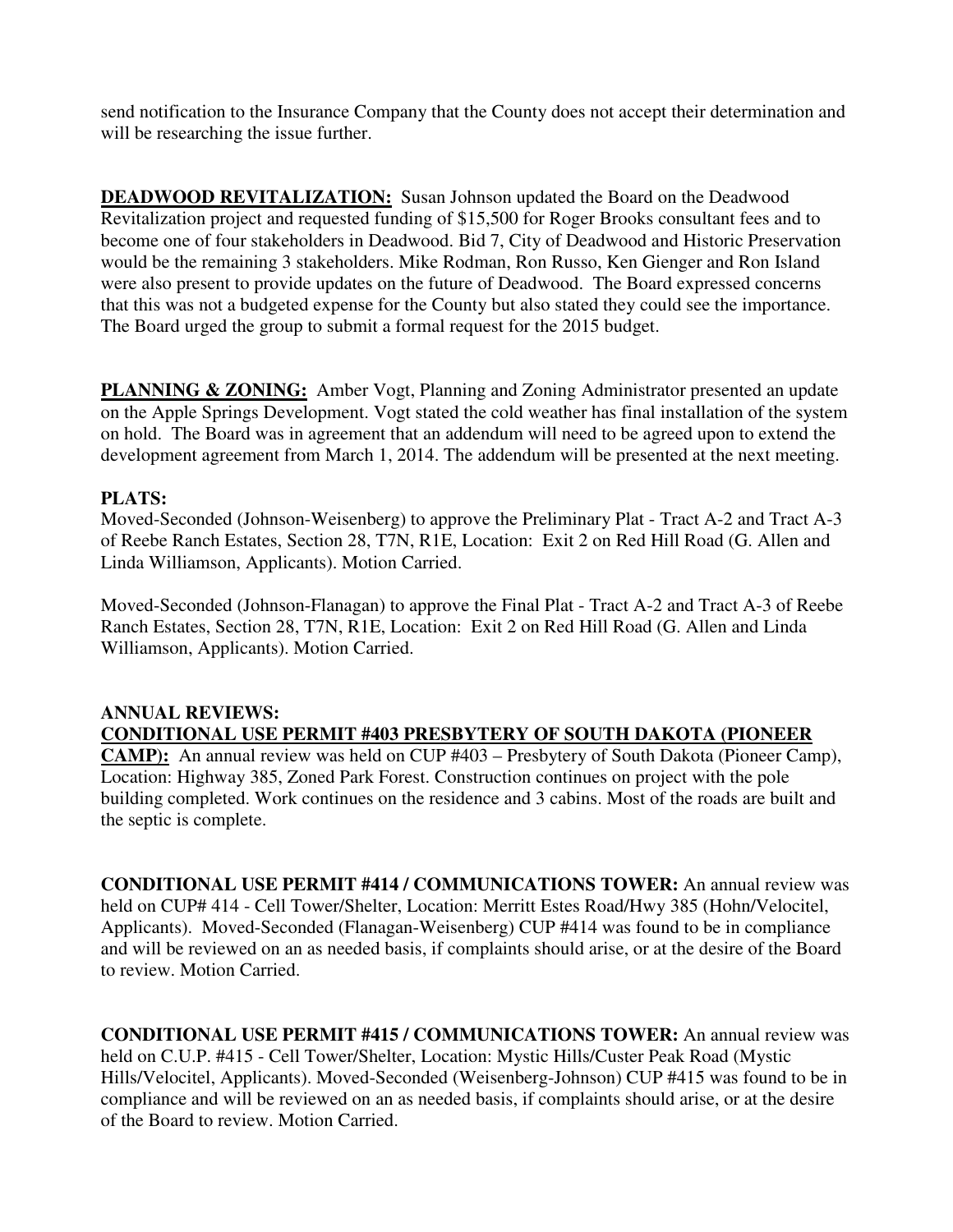send notification to the Insurance Company that the County does not accept their determination and will be researching the issue further.

**DEADWOOD REVITALIZATION:** Susan Johnson updated the Board on the Deadwood Revitalization project and requested funding of \$15,500 for Roger Brooks consultant fees and to become one of four stakeholders in Deadwood. Bid 7, City of Deadwood and Historic Preservation would be the remaining 3 stakeholders. Mike Rodman, Ron Russo, Ken Gienger and Ron Island were also present to provide updates on the future of Deadwood. The Board expressed concerns that this was not a budgeted expense for the County but also stated they could see the importance. The Board urged the group to submit a formal request for the 2015 budget.

**PLANNING & ZONING:** Amber Vogt, Planning and Zoning Administrator presented an update on the Apple Springs Development. Vogt stated the cold weather has final installation of the system on hold. The Board was in agreement that an addendum will need to be agreed upon to extend the development agreement from March 1, 2014. The addendum will be presented at the next meeting.

## **PLATS:**

Moved-Seconded (Johnson-Weisenberg) to approve the Preliminary Plat - Tract A-2 and Tract A-3 of Reebe Ranch Estates, Section 28, T7N, R1E, Location: Exit 2 on Red Hill Road (G. Allen and Linda Williamson, Applicants). Motion Carried.

Moved-Seconded (Johnson-Flanagan) to approve the Final Plat - Tract A-2 and Tract A-3 of Reebe Ranch Estates, Section 28, T7N, R1E, Location: Exit 2 on Red Hill Road (G. Allen and Linda Williamson, Applicants). Motion Carried.

## **ANNUAL REVIEWS: CONDITIONAL USE PERMIT #403 PRESBYTERY OF SOUTH DAKOTA (PIONEER**

**CAMP):** An annual review was held on CUP #403 – Presbytery of South Dakota (Pioneer Camp), Location: Highway 385, Zoned Park Forest. Construction continues on project with the pole building completed. Work continues on the residence and 3 cabins. Most of the roads are built and the septic is complete.

**CONDITIONAL USE PERMIT #414 / COMMUNICATIONS TOWER:** An annual review was held on CUP# 414 - Cell Tower/Shelter, Location: Merritt Estes Road/Hwy 385 (Hohn/Velocitel, Applicants). Moved-Seconded (Flanagan-Weisenberg) CUP #414 was found to be in compliance and will be reviewed on an as needed basis, if complaints should arise, or at the desire of the Board to review. Motion Carried.

**CONDITIONAL USE PERMIT #415 / COMMUNICATIONS TOWER:** An annual review was held on C.U.P. #415 - Cell Tower/Shelter, Location: Mystic Hills/Custer Peak Road (Mystic Hills/Velocitel, Applicants). Moved-Seconded (Weisenberg-Johnson) CUP #415 was found to be in compliance and will be reviewed on an as needed basis, if complaints should arise, or at the desire of the Board to review. Motion Carried.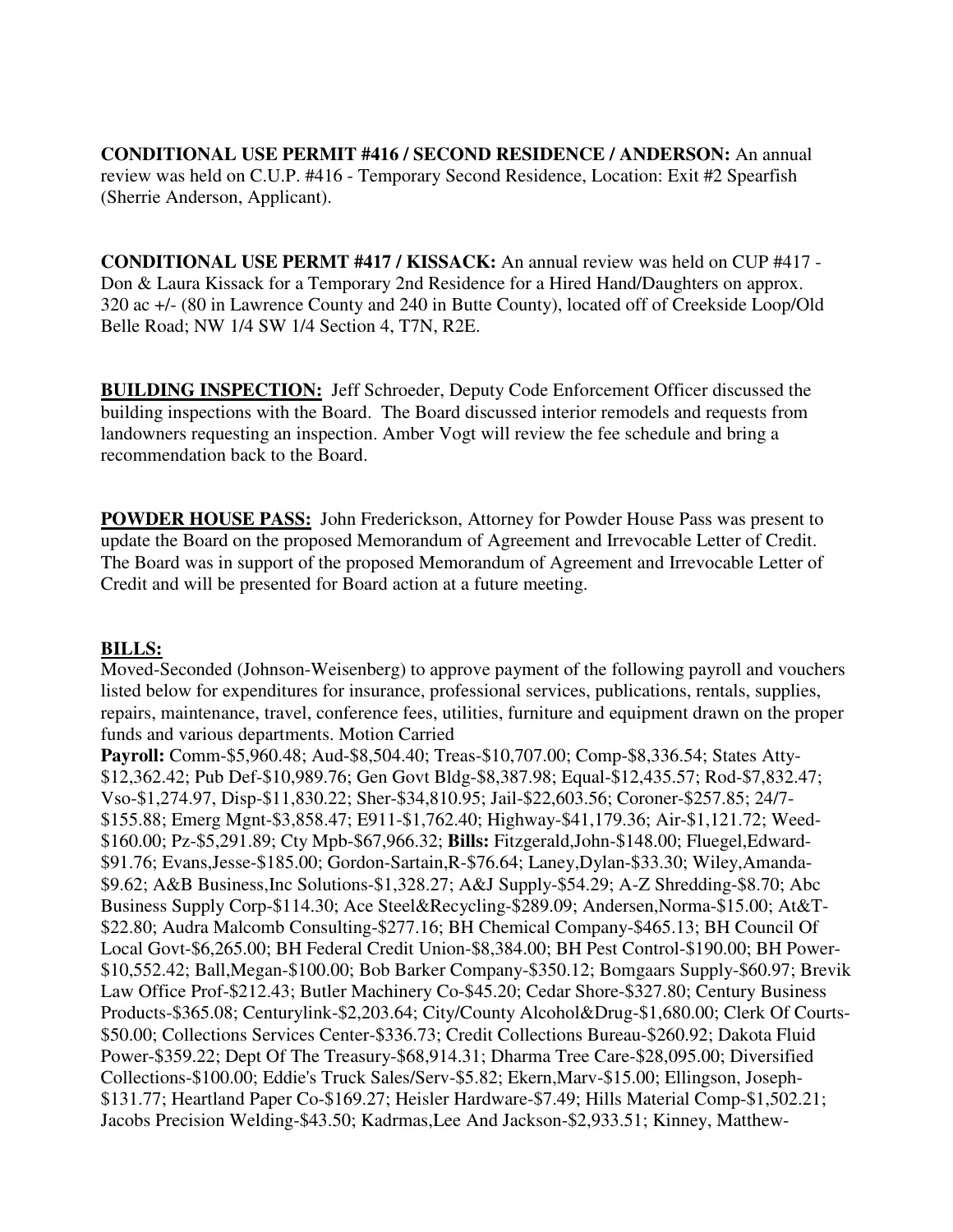**CONDITIONAL USE PERMIT #416 / SECOND RESIDENCE / ANDERSON:** An annual review was held on C.U.P. #416 - Temporary Second Residence, Location: Exit #2 Spearfish (Sherrie Anderson, Applicant).

**CONDITIONAL USE PERMT #417 / KISSACK:** An annual review was held on CUP #417 - Don & Laura Kissack for a Temporary 2nd Residence for a Hired Hand/Daughters on approx. 320 ac +/- (80 in Lawrence County and 240 in Butte County), located off of Creekside Loop/Old Belle Road; NW 1/4 SW 1/4 Section 4, T7N, R2E.

**BUILDING INSPECTION:** Jeff Schroeder, Deputy Code Enforcement Officer discussed the building inspections with the Board. The Board discussed interior remodels and requests from landowners requesting an inspection. Amber Vogt will review the fee schedule and bring a recommendation back to the Board.

**POWDER HOUSE PASS:** John Frederickson, Attorney for Powder House Pass was present to update the Board on the proposed Memorandum of Agreement and Irrevocable Letter of Credit. The Board was in support of the proposed Memorandum of Agreement and Irrevocable Letter of Credit and will be presented for Board action at a future meeting.

#### **BILLS:**

Moved-Seconded (Johnson-Weisenberg) to approve payment of the following payroll and vouchers listed below for expenditures for insurance, professional services, publications, rentals, supplies, repairs, maintenance, travel, conference fees, utilities, furniture and equipment drawn on the proper funds and various departments. Motion Carried

**Payroll:** Comm-\$5,960.48; Aud-\$8,504.40; Treas-\$10,707.00; Comp-\$8,336.54; States Atty- \$12,362.42; Pub Def-\$10,989.76; Gen Govt Bldg-\$8,387.98; Equal-\$12,435.57; Rod-\$7,832.47; Vso-\$1,274.97, Disp-\$11,830.22; Sher-\$34,810.95; Jail-\$22,603.56; Coroner-\$257.85; 24/7- \$155.88; Emerg Mgnt-\$3,858.47; E911-\$1,762.40; Highway-\$41,179.36; Air-\$1,121.72; Weed- \$160.00; Pz-\$5,291.89; Cty Mpb-\$67,966.32; **Bills:** Fitzgerald,John-\$148.00; Fluegel,Edward- \$91.76; Evans,Jesse-\$185.00; Gordon-Sartain,R-\$76.64; Laney,Dylan-\$33.30; Wiley,Amanda- \$9.62; A&B Business,Inc Solutions-\$1,328.27; A&J Supply-\$54.29; A-Z Shredding-\$8.70; Abc Business Supply Corp-\$114.30; Ace Steel&Recycling-\$289.09; Andersen,Norma-\$15.00; At&T- \$22.80; Audra Malcomb Consulting-\$277.16; BH Chemical Company-\$465.13; BH Council Of Local Govt-\$6,265.00; BH Federal Credit Union-\$8,384.00; BH Pest Control-\$190.00; BH Power- \$10,552.42; Ball,Megan-\$100.00; Bob Barker Company-\$350.12; Bomgaars Supply-\$60.97; Brevik Law Office Prof-\$212.43; Butler Machinery Co-\$45.20; Cedar Shore-\$327.80; Century Business Products-\$365.08; Centurylink-\$2,203.64; City/County Alcohol&Drug-\$1,680.00; Clerk Of Courts- \$50.00; Collections Services Center-\$336.73; Credit Collections Bureau-\$260.92; Dakota Fluid Power-\$359.22; Dept Of The Treasury-\$68,914.31; Dharma Tree Care-\$28,095.00; Diversified Collections-\$100.00; Eddie's Truck Sales/Serv-\$5.82; Ekern,Marv-\$15.00; Ellingson, Joseph- \$131.77; Heartland Paper Co-\$169.27; Heisler Hardware-\$7.49; Hills Material Comp-\$1,502.21; Jacobs Precision Welding-\$43.50; Kadrmas,Lee And Jackson-\$2,933.51; Kinney, Matthew-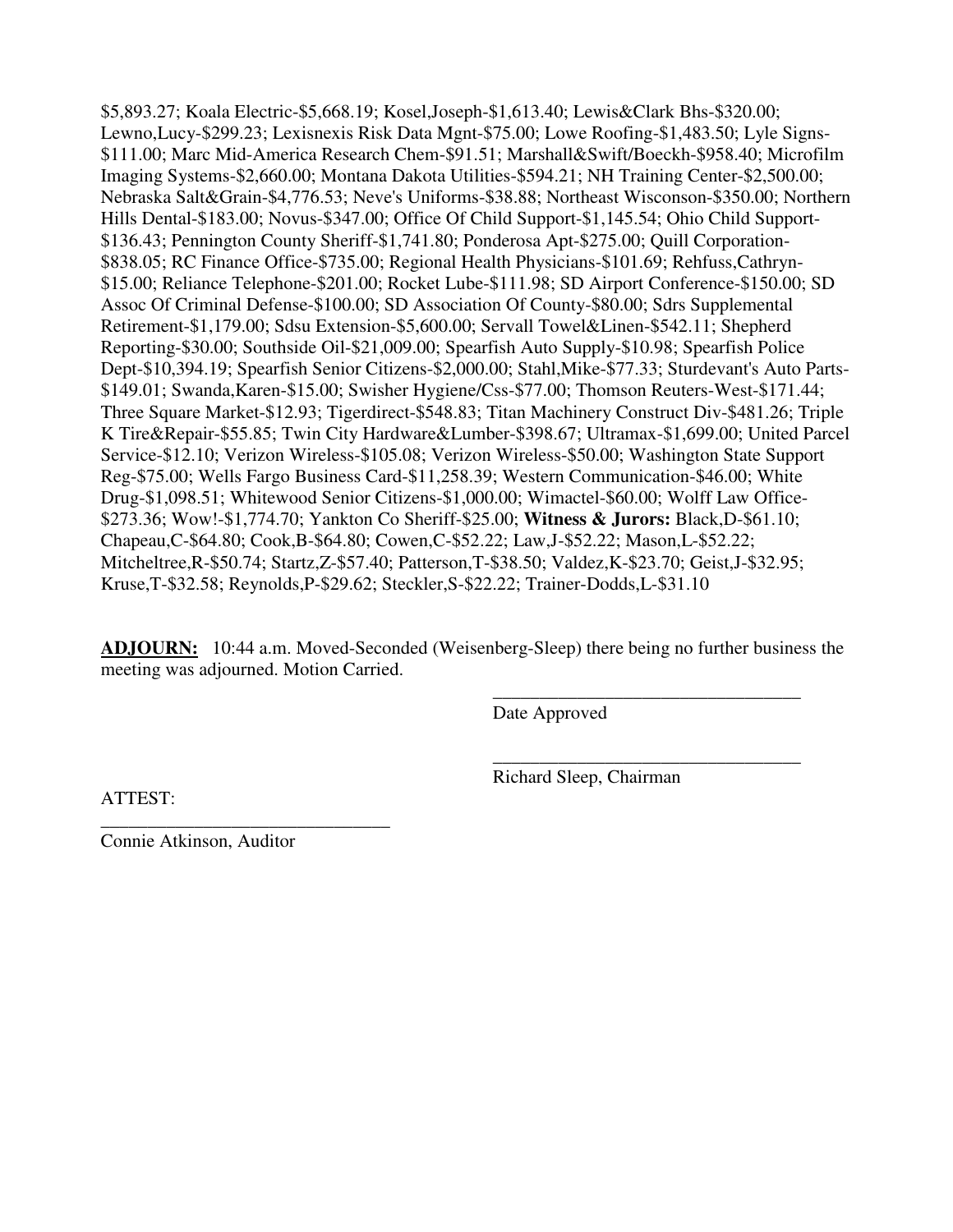\$5,893.27; Koala Electric-\$5,668.19; Kosel,Joseph-\$1,613.40; Lewis&Clark Bhs-\$320.00; Lewno,Lucy-\$299.23; Lexisnexis Risk Data Mgnt-\$75.00; Lowe Roofing-\$1,483.50; Lyle Signs- \$111.00; Marc Mid-America Research Chem-\$91.51; Marshall&Swift/Boeckh-\$958.40; Microfilm Imaging Systems-\$2,660.00; Montana Dakota Utilities-\$594.21; NH Training Center-\$2,500.00; Nebraska Salt&Grain-\$4,776.53; Neve's Uniforms-\$38.88; Northeast Wisconson-\$350.00; Northern Hills Dental-\$183.00; Novus-\$347.00; Office Of Child Support-\$1,145.54; Ohio Child Support- \$136.43; Pennington County Sheriff-\$1,741.80; Ponderosa Apt-\$275.00; Quill Corporation- \$838.05; RC Finance Office-\$735.00; Regional Health Physicians-\$101.69; Rehfuss,Cathryn- \$15.00; Reliance Telephone-\$201.00; Rocket Lube-\$111.98; SD Airport Conference-\$150.00; SD Assoc Of Criminal Defense-\$100.00; SD Association Of County-\$80.00; Sdrs Supplemental Retirement-\$1,179.00; Sdsu Extension-\$5,600.00; Servall Towel&Linen-\$542.11; Shepherd Reporting-\$30.00; Southside Oil-\$21,009.00; Spearfish Auto Supply-\$10.98; Spearfish Police Dept-\$10,394.19; Spearfish Senior Citizens-\$2,000.00; Stahl,Mike-\$77.33; Sturdevant's Auto Parts- \$149.01; Swanda,Karen-\$15.00; Swisher Hygiene/Css-\$77.00; Thomson Reuters-West-\$171.44; Three Square Market-\$12.93; Tigerdirect-\$548.83; Titan Machinery Construct Div-\$481.26; Triple K Tire&Repair-\$55.85; Twin City Hardware&Lumber-\$398.67; Ultramax-\$1,699.00; United Parcel Service-\$12.10; Verizon Wireless-\$105.08; Verizon Wireless-\$50.00; Washington State Support Reg-\$75.00; Wells Fargo Business Card-\$11,258.39; Western Communication-\$46.00; White Drug-\$1,098.51; Whitewood Senior Citizens-\$1,000.00; Wimactel-\$60.00; Wolff Law Office- \$273.36; Wow!-\$1,774.70; Yankton Co Sheriff-\$25.00; **Witness & Jurors:** Black,D-\$61.10; Chapeau,C-\$64.80; Cook,B-\$64.80; Cowen,C-\$52.22; Law,J-\$52.22; Mason,L-\$52.22; Mitcheltree,R-\$50.74; Startz,Z-\$57.40; Patterson,T-\$38.50; Valdez,K-\$23.70; Geist,J-\$32.95; Kruse,T-\$32.58; Reynolds,P-\$29.62; Steckler,S-\$22.22; Trainer-Dodds,L-\$31.10

**ADJOURN:** 10:44 a.m. Moved-Seconded (Weisenberg-Sleep) there being no further business the meeting was adjourned. Motion Carried.

 $\overline{\phantom{a}}$  , and the contract of the contract of the contract of the contract of the contract of the contract of the contract of the contract of the contract of the contract of the contract of the contract of the contrac

 $\overline{\phantom{a}}$  , and the contract of the contract of the contract of the contract of the contract of the contract of the contract of the contract of the contract of the contract of the contract of the contract of the contrac

Date Approved

Richard Sleep, Chairman

ATTEST:

\_\_\_\_\_\_\_\_\_\_\_\_\_\_\_\_\_\_\_\_\_\_\_\_\_\_\_\_\_\_\_ Connie Atkinson, Auditor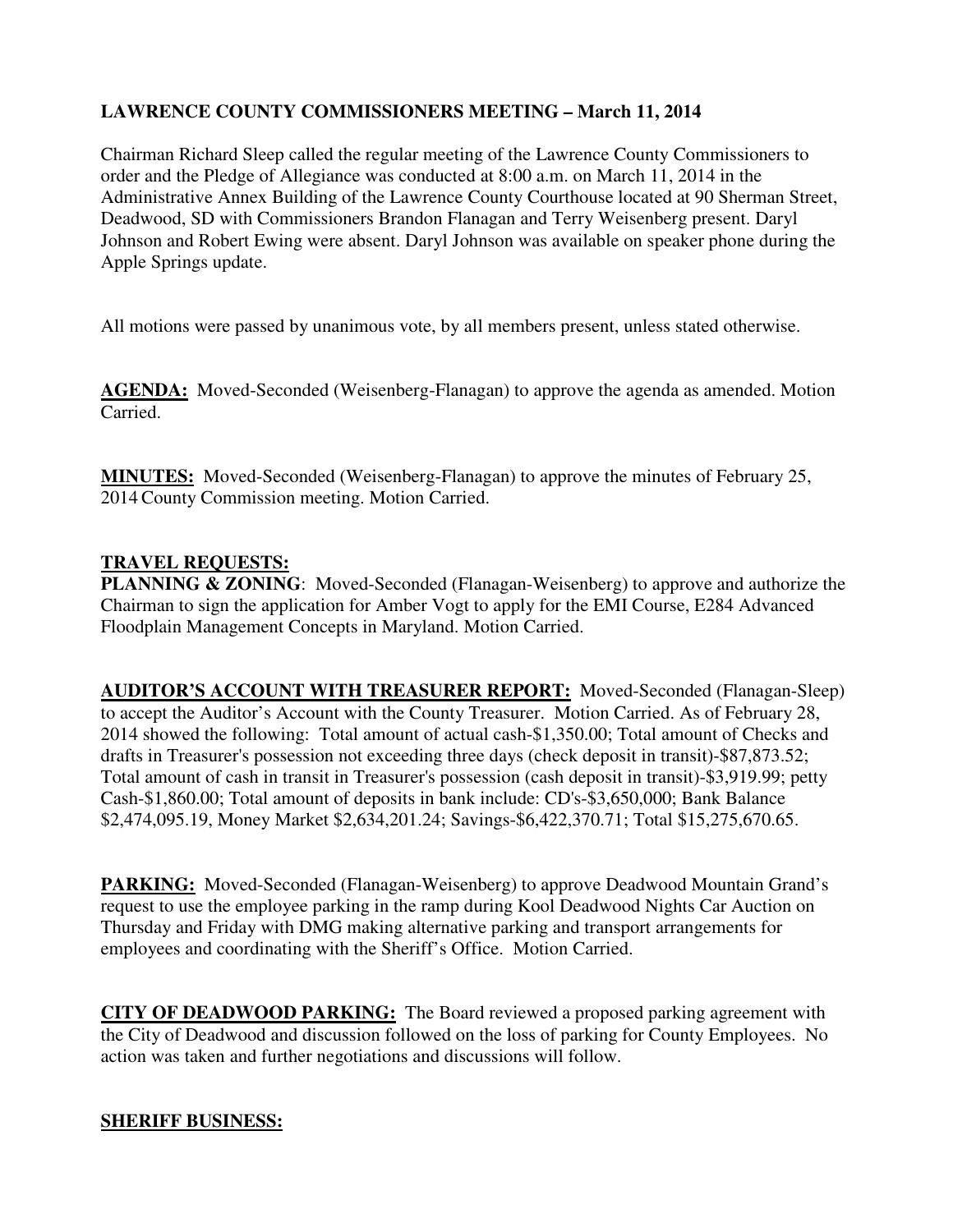## **LAWRENCE COUNTY COMMISSIONERS MEETING – March 11, 2014**

Chairman Richard Sleep called the regular meeting of the Lawrence County Commissioners to order and the Pledge of Allegiance was conducted at 8:00 a.m. on March 11, 2014 in the Administrative Annex Building of the Lawrence County Courthouse located at 90 Sherman Street, Deadwood, SD with Commissioners Brandon Flanagan and Terry Weisenberg present. Daryl Johnson and Robert Ewing were absent. Daryl Johnson was available on speaker phone during the Apple Springs update.

All motions were passed by unanimous vote, by all members present, unless stated otherwise.

AGENDA: Moved-Seconded (Weisenberg-Flanagan) to approve the agenda as amended. Motion Carried.

**MINUTES:** Moved-Seconded (Weisenberg-Flanagan) to approve the minutes of February 25, 2014 County Commission meeting. Motion Carried.

## **TRAVEL REQUESTS:**

**PLANNING & ZONING**: Moved-Seconded (Flanagan-Weisenberg) to approve and authorize the Chairman to sign the application for Amber Vogt to apply for the EMI Course, E284 Advanced Floodplain Management Concepts in Maryland. Motion Carried.

**AUDITOR'S ACCOUNT WITH TREASURER REPORT:** Moved-Seconded (Flanagan-Sleep) to accept the Auditor's Account with the County Treasurer. Motion Carried. As of February 28, 2014 showed the following: Total amount of actual cash-\$1,350.00; Total amount of Checks and drafts in Treasurer's possession not exceeding three days (check deposit in transit)-\$87,873.52; Total amount of cash in transit in Treasurer's possession (cash deposit in transit)-\$3,919.99; petty Cash-\$1,860.00; Total amount of deposits in bank include: CD's-\$3,650,000; Bank Balance \$2,474,095.19, Money Market \$2,634,201.24; Savings-\$6,422,370.71; Total \$15,275,670.65.

**PARKING:** Moved-Seconded (Flanagan-Weisenberg) to approve Deadwood Mountain Grand's request to use the employee parking in the ramp during Kool Deadwood Nights Car Auction on Thursday and Friday with DMG making alternative parking and transport arrangements for employees and coordinating with the Sheriff's Office. Motion Carried.

**CITY OF DEADWOOD PARKING:** The Board reviewed a proposed parking agreement with the City of Deadwood and discussion followed on the loss of parking for County Employees. No action was taken and further negotiations and discussions will follow.

## **SHERIFF BUSINESS:**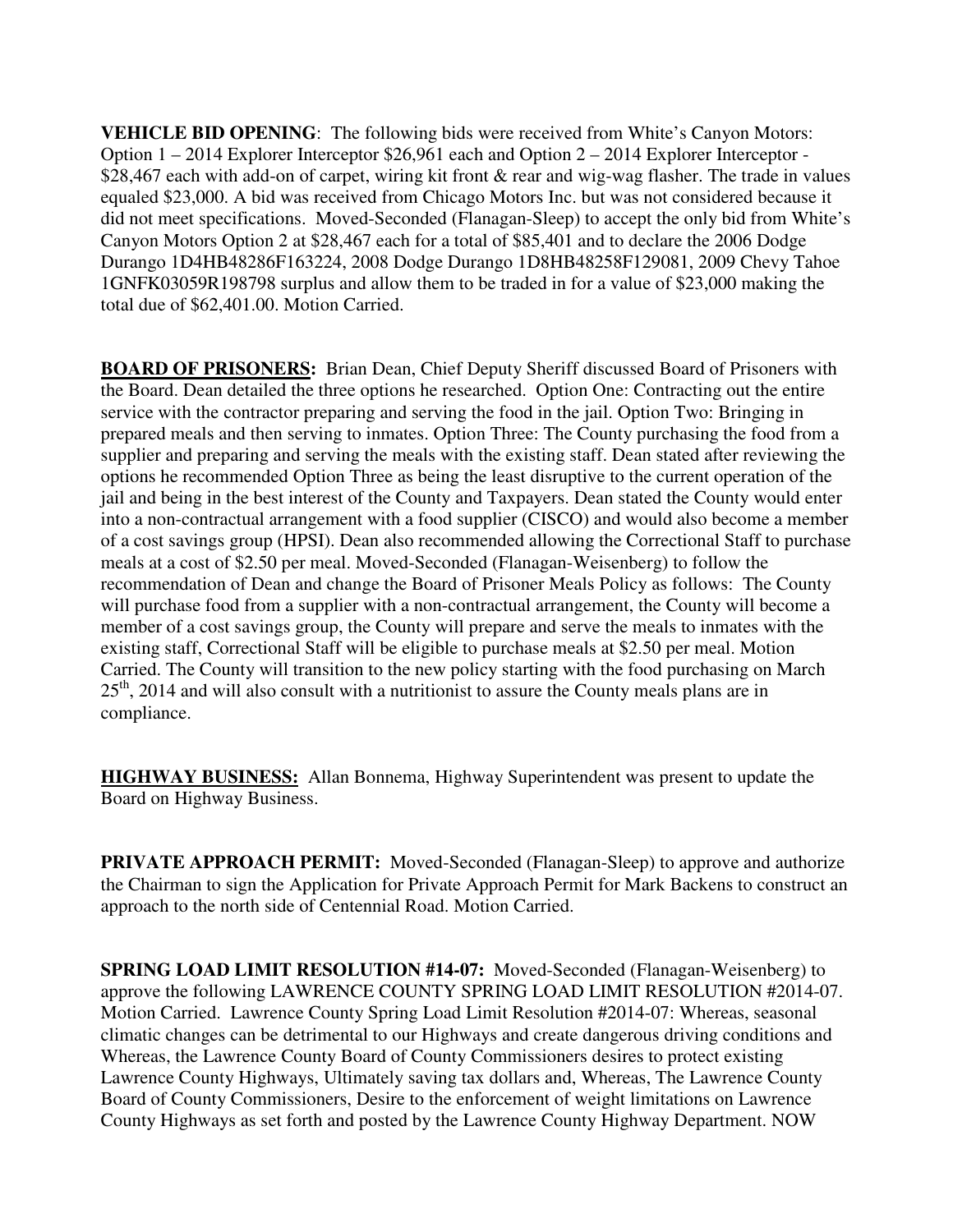**VEHICLE BID OPENING:** The following bids were received from White's Canyon Motors: Option 1 – 2014 Explorer Interceptor \$26,961 each and Option 2 – 2014 Explorer Interceptor - \$28,467 each with add-on of carpet, wiring kit front & rear and wig-wag flasher. The trade in values equaled \$23,000. A bid was received from Chicago Motors Inc. but was not considered because it did not meet specifications. Moved-Seconded (Flanagan-Sleep) to accept the only bid from White's Canyon Motors Option 2 at \$28,467 each for a total of \$85,401 and to declare the 2006 Dodge Durango 1D4HB48286F163224, 2008 Dodge Durango 1D8HB48258F129081, 2009 Chevy Tahoe 1GNFK03059R198798 surplus and allow them to be traded in for a value of \$23,000 making the total due of \$62,401.00. Motion Carried.

**BOARD OF PRISONERS:** Brian Dean, Chief Deputy Sheriff discussed Board of Prisoners with the Board. Dean detailed the three options he researched. Option One: Contracting out the entire service with the contractor preparing and serving the food in the jail. Option Two: Bringing in prepared meals and then serving to inmates. Option Three: The County purchasing the food from a supplier and preparing and serving the meals with the existing staff. Dean stated after reviewing the options he recommended Option Three as being the least disruptive to the current operation of the jail and being in the best interest of the County and Taxpayers. Dean stated the County would enter into a non-contractual arrangement with a food supplier (CISCO) and would also become a member of a cost savings group (HPSI). Dean also recommended allowing the Correctional Staff to purchase meals at a cost of \$2.50 per meal. Moved-Seconded (Flanagan-Weisenberg) to follow the recommendation of Dean and change the Board of Prisoner Meals Policy as follows: The County will purchase food from a supplier with a non-contractual arrangement, the County will become a member of a cost savings group, the County will prepare and serve the meals to inmates with the existing staff, Correctional Staff will be eligible to purchase meals at \$2.50 per meal. Motion Carried. The County will transition to the new policy starting with the food purchasing on March  $25<sup>th</sup>$ , 2014 and will also consult with a nutritionist to assure the County meals plans are in compliance.

**HIGHWAY BUSINESS:** Allan Bonnema, Highway Superintendent was present to update the Board on Highway Business.

**PRIVATE APPROACH PERMIT:** Moved-Seconded (Flanagan-Sleep) to approve and authorize the Chairman to sign the Application for Private Approach Permit for Mark Backens to construct an approach to the north side of Centennial Road. Motion Carried.

**SPRING LOAD LIMIT RESOLUTION #14-07:** Moved-Seconded (Flanagan-Weisenberg) to approve the following LAWRENCE COUNTY SPRING LOAD LIMIT RESOLUTION #2014-07. Motion Carried. Lawrence County Spring Load Limit Resolution #2014-07: Whereas, seasonal climatic changes can be detrimental to our Highways and create dangerous driving conditions and Whereas, the Lawrence County Board of County Commissioners desires to protect existing Lawrence County Highways, Ultimately saving tax dollars and, Whereas, The Lawrence County Board of County Commissioners, Desire to the enforcement of weight limitations on Lawrence County Highways as set forth and posted by the Lawrence County Highway Department. NOW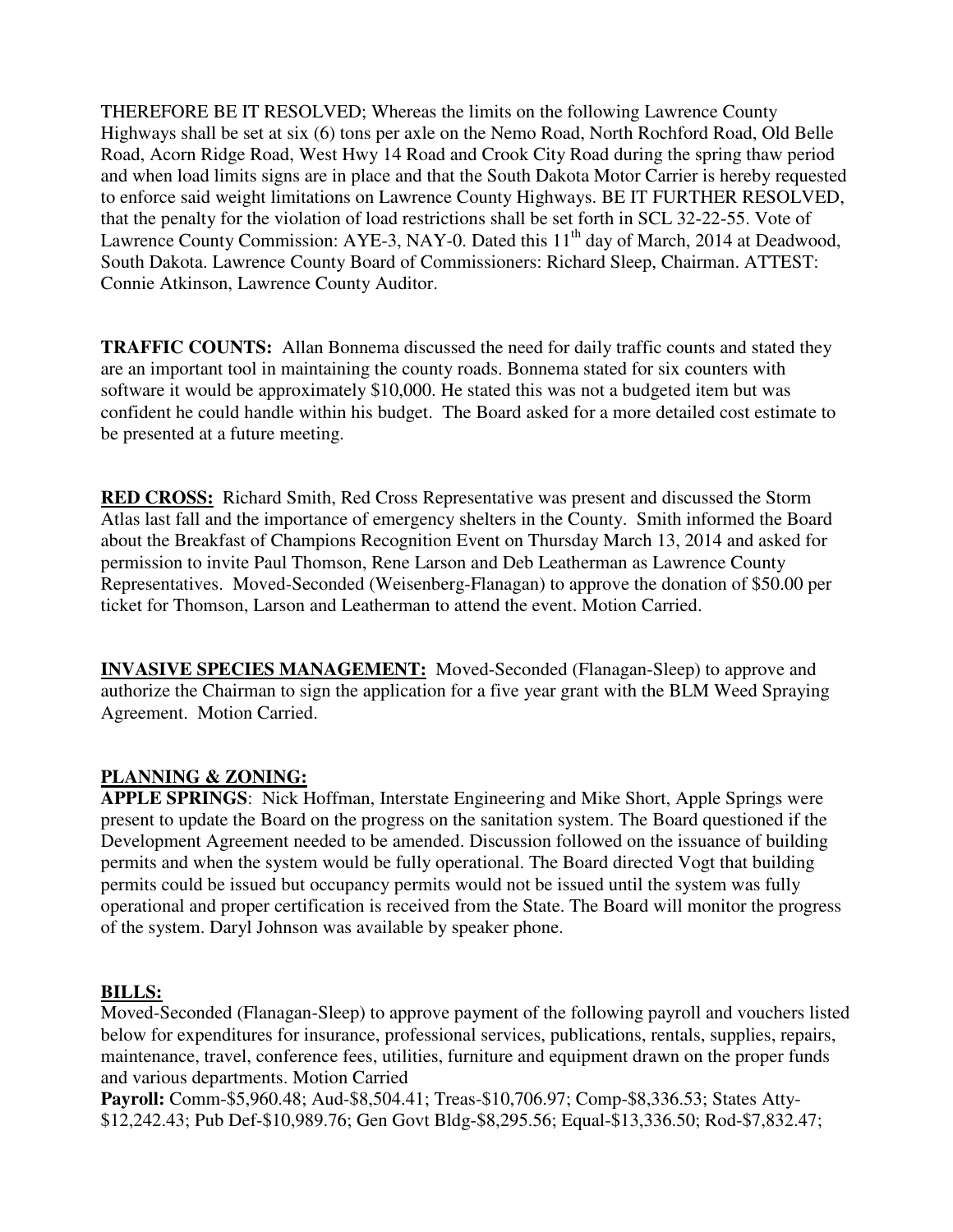THEREFORE BE IT RESOLVED; Whereas the limits on the following Lawrence County Highways shall be set at six (6) tons per axle on the Nemo Road, North Rochford Road, Old Belle Road, Acorn Ridge Road, West Hwy 14 Road and Crook City Road during the spring thaw period and when load limits signs are in place and that the South Dakota Motor Carrier is hereby requested to enforce said weight limitations on Lawrence County Highways. BE IT FURTHER RESOLVED, that the penalty for the violation of load restrictions shall be set forth in SCL 32-22-55. Vote of Lawrence County Commission: AYE-3, NAY-0. Dated this 11<sup>th</sup> day of March, 2014 at Deadwood, South Dakota. Lawrence County Board of Commissioners: Richard Sleep, Chairman. ATTEST: Connie Atkinson, Lawrence County Auditor.

**TRAFFIC COUNTS:** Allan Bonnema discussed the need for daily traffic counts and stated they are an important tool in maintaining the county roads. Bonnema stated for six counters with software it would be approximately \$10,000. He stated this was not a budgeted item but was confident he could handle within his budget. The Board asked for a more detailed cost estimate to be presented at a future meeting.

**RED CROSS:** Richard Smith, Red Cross Representative was present and discussed the Storm Atlas last fall and the importance of emergency shelters in the County. Smith informed the Board about the Breakfast of Champions Recognition Event on Thursday March 13, 2014 and asked for permission to invite Paul Thomson, Rene Larson and Deb Leatherman as Lawrence County Representatives. Moved-Seconded (Weisenberg-Flanagan) to approve the donation of \$50.00 per ticket for Thomson, Larson and Leatherman to attend the event. Motion Carried.

**INVASIVE SPECIES MANAGEMENT:** Moved-Seconded (Flanagan-Sleep) to approve and authorize the Chairman to sign the application for a five year grant with the BLM Weed Spraying Agreement. Motion Carried.

## **PLANNING & ZONING:**

**APPLE SPRINGS**: Nick Hoffman, Interstate Engineering and Mike Short, Apple Springs were present to update the Board on the progress on the sanitation system. The Board questioned if the Development Agreement needed to be amended. Discussion followed on the issuance of building permits and when the system would be fully operational. The Board directed Vogt that building permits could be issued but occupancy permits would not be issued until the system was fully operational and proper certification is received from the State. The Board will monitor the progress of the system. Daryl Johnson was available by speaker phone.

## **BILLS:**

Moved-Seconded (Flanagan-Sleep) to approve payment of the following payroll and vouchers listed below for expenditures for insurance, professional services, publications, rentals, supplies, repairs, maintenance, travel, conference fees, utilities, furniture and equipment drawn on the proper funds and various departments. Motion Carried

**Payroll:** Comm-\$5,960.48; Aud-\$8,504.41; Treas-\$10,706.97; Comp-\$8,336.53; States Atty- \$12,242.43; Pub Def-\$10,989.76; Gen Govt Bldg-\$8,295.56; Equal-\$13,336.50; Rod-\$7,832.47;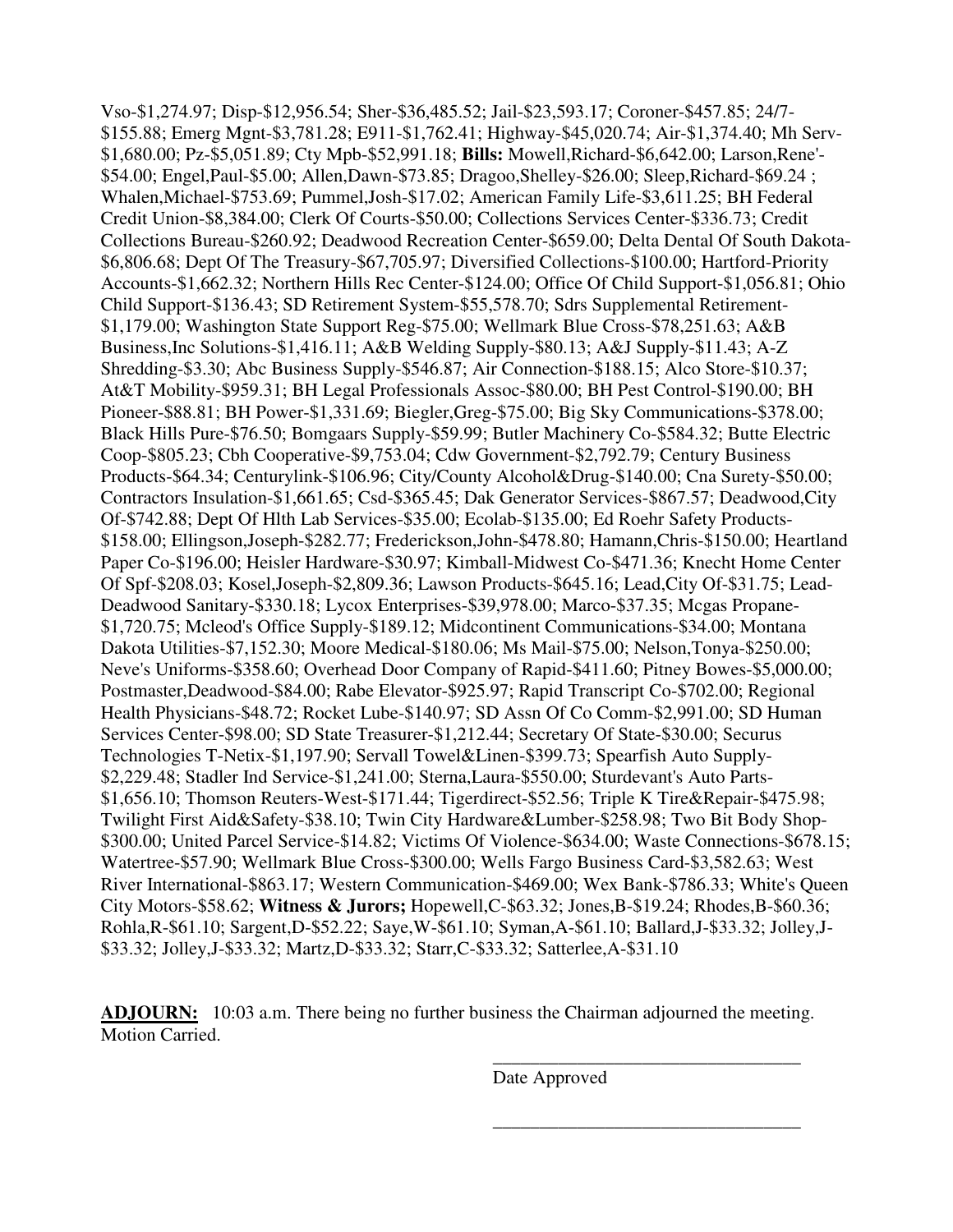Vso-\$1,274.97; Disp-\$12,956.54; Sher-\$36,485.52; Jail-\$23,593.17; Coroner-\$457.85; 24/7- \$155.88; Emerg Mgnt-\$3,781.28; E911-\$1,762.41; Highway-\$45,020.74; Air-\$1,374.40; Mh Serv- \$1,680.00; Pz-\$5,051.89; Cty Mpb-\$52,991.18; **Bills:** Mowell,Richard-\$6,642.00; Larson,Rene'- \$54.00; Engel,Paul-\$5.00; Allen,Dawn-\$73.85; Dragoo,Shelley-\$26.00; Sleep,Richard-\$69.24 ; Whalen,Michael-\$753.69; Pummel,Josh-\$17.02; American Family Life-\$3,611.25; BH Federal Credit Union-\$8,384.00; Clerk Of Courts-\$50.00; Collections Services Center-\$336.73; Credit Collections Bureau-\$260.92; Deadwood Recreation Center-\$659.00; Delta Dental Of South Dakota- \$6,806.68; Dept Of The Treasury-\$67,705.97; Diversified Collections-\$100.00; Hartford-Priority Accounts-\$1,662.32; Northern Hills Rec Center-\$124.00; Office Of Child Support-\$1,056.81; Ohio Child Support-\$136.43; SD Retirement System-\$55,578.70; Sdrs Supplemental Retirement- \$1,179.00; Washington State Support Reg-\$75.00; Wellmark Blue Cross-\$78,251.63; A&B Business,Inc Solutions-\$1,416.11; A&B Welding Supply-\$80.13; A&J Supply-\$11.43; A-Z Shredding-\$3.30; Abc Business Supply-\$546.87; Air Connection-\$188.15; Alco Store-\$10.37; At&T Mobility-\$959.31; BH Legal Professionals Assoc-\$80.00; BH Pest Control-\$190.00; BH Pioneer-\$88.81; BH Power-\$1,331.69; Biegler,Greg-\$75.00; Big Sky Communications-\$378.00; Black Hills Pure-\$76.50; Bomgaars Supply-\$59.99; Butler Machinery Co-\$584.32; Butte Electric Coop-\$805.23; Cbh Cooperative-\$9,753.04; Cdw Government-\$2,792.79; Century Business Products-\$64.34; Centurylink-\$106.96; City/County Alcohol&Drug-\$140.00; Cna Surety-\$50.00; Contractors Insulation-\$1,661.65; Csd-\$365.45; Dak Generator Services-\$867.57; Deadwood,City Of-\$742.88; Dept Of Hlth Lab Services-\$35.00; Ecolab-\$135.00; Ed Roehr Safety Products- \$158.00; Ellingson,Joseph-\$282.77; Frederickson,John-\$478.80; Hamann,Chris-\$150.00; Heartland Paper Co-\$196.00; Heisler Hardware-\$30.97; Kimball-Midwest Co-\$471.36; Knecht Home Center Of Spf-\$208.03; Kosel,Joseph-\$2,809.36; Lawson Products-\$645.16; Lead,City Of-\$31.75; Lead-Deadwood Sanitary-\$330.18; Lycox Enterprises-\$39,978.00; Marco-\$37.35; Mcgas Propane- \$1,720.75; Mcleod's Office Supply-\$189.12; Midcontinent Communications-\$34.00; Montana Dakota Utilities-\$7,152.30; Moore Medical-\$180.06; Ms Mail-\$75.00; Nelson,Tonya-\$250.00; Neve's Uniforms-\$358.60; Overhead Door Company of Rapid-\$411.60; Pitney Bowes-\$5,000.00; Postmaster,Deadwood-\$84.00; Rabe Elevator-\$925.97; Rapid Transcript Co-\$702.00; Regional Health Physicians-\$48.72; Rocket Lube-\$140.97; SD Assn Of Co Comm-\$2,991.00; SD Human Services Center-\$98.00; SD State Treasurer-\$1,212.44; Secretary Of State-\$30.00; Securus Technologies T-Netix-\$1,197.90; Servall Towel&Linen-\$399.73; Spearfish Auto Supply- \$2,229.48; Stadler Ind Service-\$1,241.00; Sterna,Laura-\$550.00; Sturdevant's Auto Parts- \$1,656.10; Thomson Reuters-West-\$171.44; Tigerdirect-\$52.56; Triple K Tire&Repair-\$475.98; Twilight First Aid&Safety-\$38.10; Twin City Hardware&Lumber-\$258.98; Two Bit Body Shop- \$300.00; United Parcel Service-\$14.82; Victims Of Violence-\$634.00; Waste Connections-\$678.15; Watertree-\$57.90; Wellmark Blue Cross-\$300.00; Wells Fargo Business Card-\$3,582.63; West River International-\$863.17; Western Communication-\$469.00; Wex Bank-\$786.33; White's Queen City Motors-\$58.62; **Witness & Jurors;** Hopewell,C-\$63.32; Jones,B-\$19.24; Rhodes,B-\$60.36; Rohla,R-\$61.10; Sargent,D-\$52.22; Saye,W-\$61.10; Syman,A-\$61.10; Ballard,J-\$33.32; Jolley,J- \$33.32; Jolley,J-\$33.32; Martz,D-\$33.32; Starr,C-\$33.32; Satterlee,A-\$31.10

ADJOURN: 10:03 a.m. There being no further business the Chairman adjourned the meeting. Motion Carried.

 $\overline{\phantom{a}}$  , and the contract of the contract of the contract of the contract of the contract of the contract of the contract of the contract of the contract of the contract of the contract of the contract of the contrac

 $\overline{\phantom{a}}$  , and the contract of the contract of the contract of the contract of the contract of the contract of the contract of the contract of the contract of the contract of the contract of the contract of the contrac

Date Approved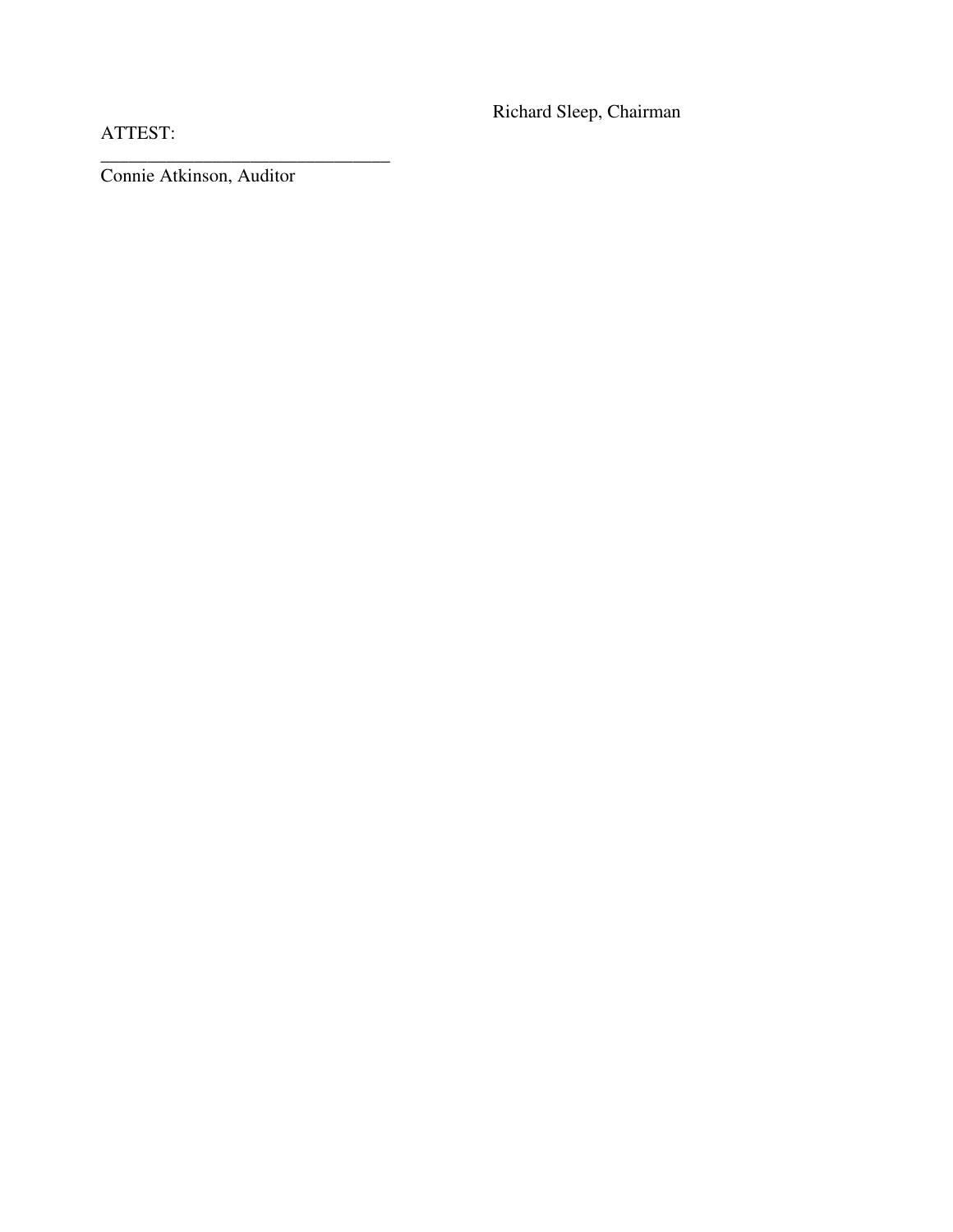Richard Sleep, Chairman

ATTEST:

Connie Atkinson, Auditor

\_\_\_\_\_\_\_\_\_\_\_\_\_\_\_\_\_\_\_\_\_\_\_\_\_\_\_\_\_\_\_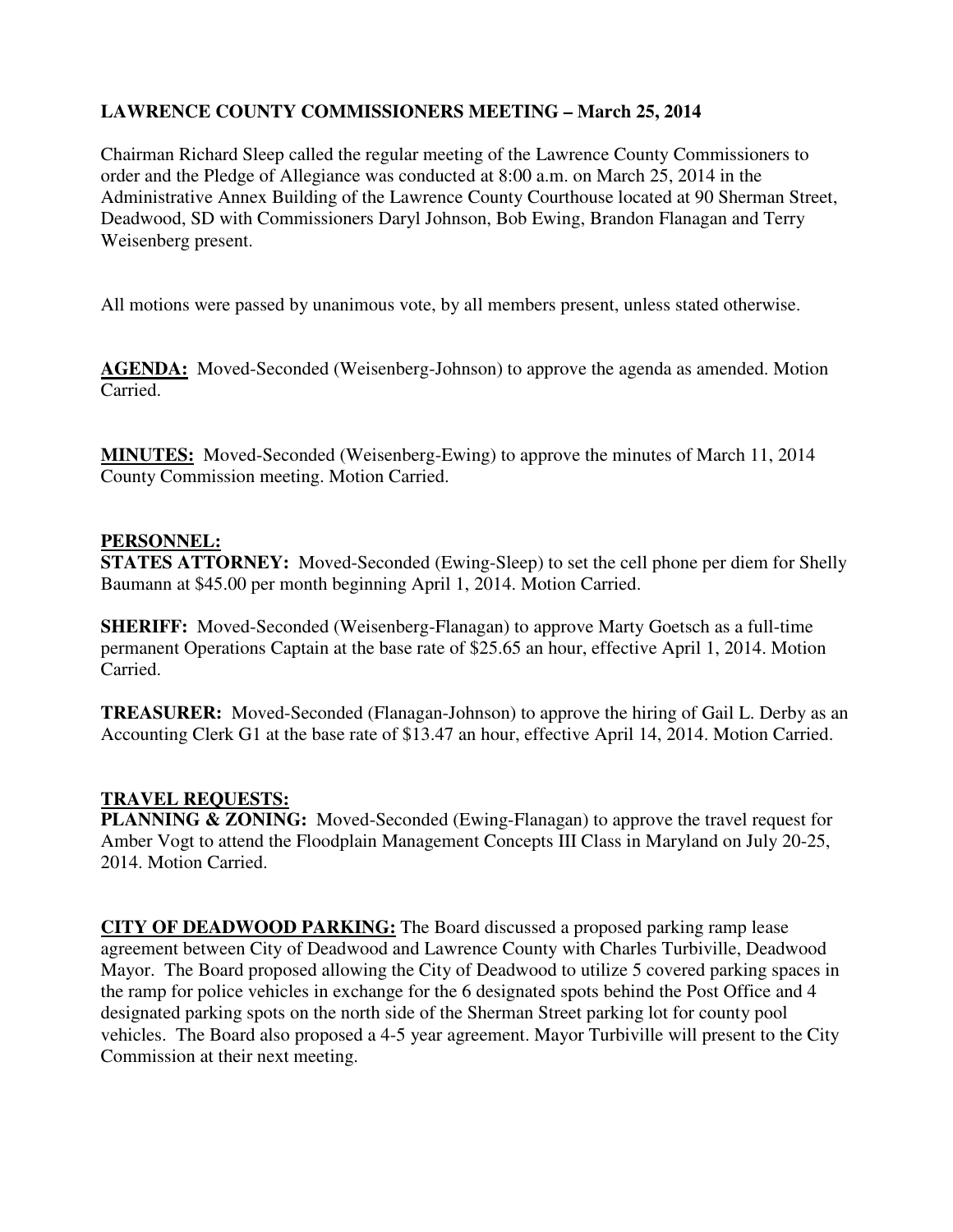## **LAWRENCE COUNTY COMMISSIONERS MEETING – March 25, 2014**

Chairman Richard Sleep called the regular meeting of the Lawrence County Commissioners to order and the Pledge of Allegiance was conducted at 8:00 a.m. on March 25, 2014 in the Administrative Annex Building of the Lawrence County Courthouse located at 90 Sherman Street, Deadwood, SD with Commissioners Daryl Johnson, Bob Ewing, Brandon Flanagan and Terry Weisenberg present.

All motions were passed by unanimous vote, by all members present, unless stated otherwise.

**AGENDA:** Moved-Seconded (Weisenberg-Johnson) to approve the agenda as amended. Motion Carried.

**MINUTES:** Moved-Seconded (Weisenberg-Ewing) to approve the minutes of March 11, 2014 County Commission meeting. Motion Carried.

#### **PERSONNEL:**

**STATES ATTORNEY:** Moved-Seconded (Ewing-Sleep) to set the cell phone per diem for Shelly Baumann at \$45.00 per month beginning April 1, 2014. Motion Carried.

**SHERIFF:** Moved-Seconded (Weisenberg-Flanagan) to approve Marty Goetsch as a full-time permanent Operations Captain at the base rate of \$25.65 an hour, effective April 1, 2014. Motion Carried.

**TREASURER:** Moved-Seconded (Flanagan-Johnson) to approve the hiring of Gail L. Derby as an Accounting Clerk G1 at the base rate of \$13.47 an hour, effective April 14, 2014. Motion Carried.

## **TRAVEL REQUESTS:**

**PLANNING & ZONING:** Moved-Seconded (Ewing-Flanagan) to approve the travel request for Amber Vogt to attend the Floodplain Management Concepts III Class in Maryland on July 20-25, 2014. Motion Carried.

**CITY OF DEADWOOD PARKING:** The Board discussed a proposed parking ramp lease agreement between City of Deadwood and Lawrence County with Charles Turbiville, Deadwood Mayor. The Board proposed allowing the City of Deadwood to utilize 5 covered parking spaces in the ramp for police vehicles in exchange for the 6 designated spots behind the Post Office and 4 designated parking spots on the north side of the Sherman Street parking lot for county pool vehicles. The Board also proposed a 4-5 year agreement. Mayor Turbiville will present to the City Commission at their next meeting.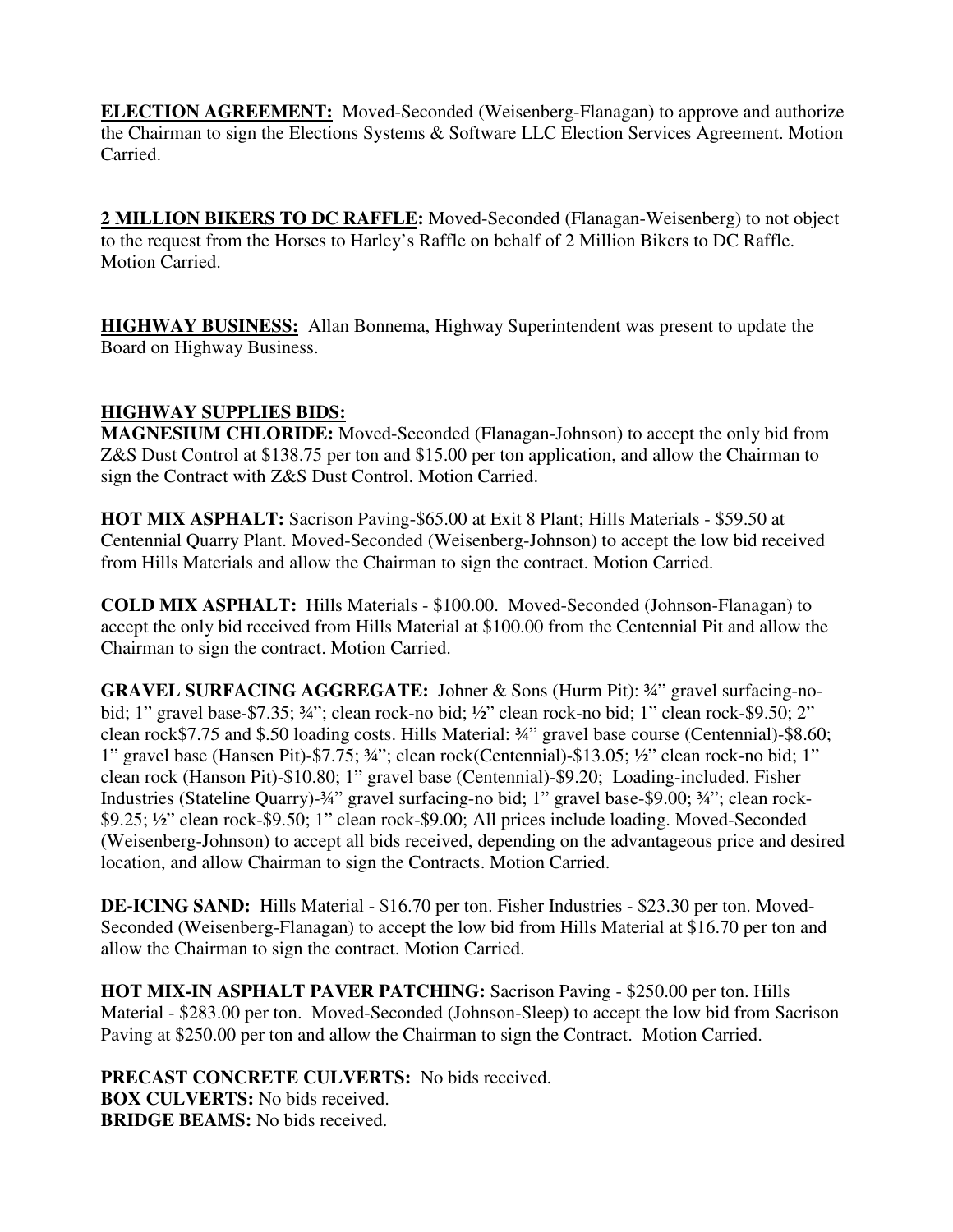**ELECTION AGREEMENT:** Moved-Seconded (Weisenberg-Flanagan) to approve and authorize the Chairman to sign the Elections Systems & Software LLC Election Services Agreement. Motion Carried.

**2 MILLION BIKERS TO DC RAFFLE:** Moved-Seconded (Flanagan-Weisenberg) to not object to the request from the Horses to Harley's Raffle on behalf of 2 Million Bikers to DC Raffle. Motion Carried.

**HIGHWAY BUSINESS:** Allan Bonnema, Highway Superintendent was present to update the Board on Highway Business.

## **HIGHWAY SUPPLIES BIDS:**

**MAGNESIUM CHLORIDE:** Moved-Seconded (Flanagan-Johnson) to accept the only bid from Z&S Dust Control at \$138.75 per ton and \$15.00 per ton application, and allow the Chairman to sign the Contract with Z&S Dust Control. Motion Carried.

**HOT MIX ASPHALT:** Sacrison Paving-\$65.00 at Exit 8 Plant; Hills Materials - \$59.50 at Centennial Quarry Plant. Moved-Seconded (Weisenberg-Johnson) to accept the low bid received from Hills Materials and allow the Chairman to sign the contract. Motion Carried.

**COLD MIX ASPHALT:** Hills Materials - \$100.00. Moved-Seconded (Johnson-Flanagan) to accept the only bid received from Hills Material at \$100.00 from the Centennial Pit and allow the Chairman to sign the contract. Motion Carried.

**GRAVEL SURFACING AGGREGATE:** Johner & Sons (Hurm Pit): ¾" gravel surfacing-nobid; 1" gravel base-\$7.35; 3/4"; clean rock-no bid; 1/2" clean rock-no bid; 1" clean rock-\$9.50; 2" clean rock\$7.75 and \$.50 loading costs. Hills Material: ¾" gravel base course (Centennial)-\$8.60; 1" gravel base (Hansen Pit)-\$7.75; ¾"; clean rock(Centennial)-\$13.05; ½" clean rock-no bid; 1" clean rock (Hanson Pit)-\$10.80; 1" gravel base (Centennial)-\$9.20; Loading-included. Fisher Industries (Stateline Quarry)-¾" gravel surfacing-no bid; 1" gravel base-\$9.00; ¾"; clean rock- \$9.25; ½" clean rock-\$9.50; 1" clean rock-\$9.00; All prices include loading. Moved-Seconded (Weisenberg-Johnson) to accept all bids received, depending on the advantageous price and desired location, and allow Chairman to sign the Contracts. Motion Carried.

**DE-ICING SAND:** Hills Material - \$16.70 per ton. Fisher Industries - \$23.30 per ton. Moved-Seconded (Weisenberg-Flanagan) to accept the low bid from Hills Material at \$16.70 per ton and allow the Chairman to sign the contract. Motion Carried.

**HOT MIX-IN ASPHALT PAVER PATCHING:** Sacrison Paving - \$250.00 per ton. Hills Material - \$283.00 per ton. Moved-Seconded (Johnson-Sleep) to accept the low bid from Sacrison Paving at \$250.00 per ton and allow the Chairman to sign the Contract. Motion Carried.

**PRECAST CONCRETE CULVERTS:** No bids received. **BOX CULVERTS:** No bids received. **BRIDGE BEAMS:** No bids received.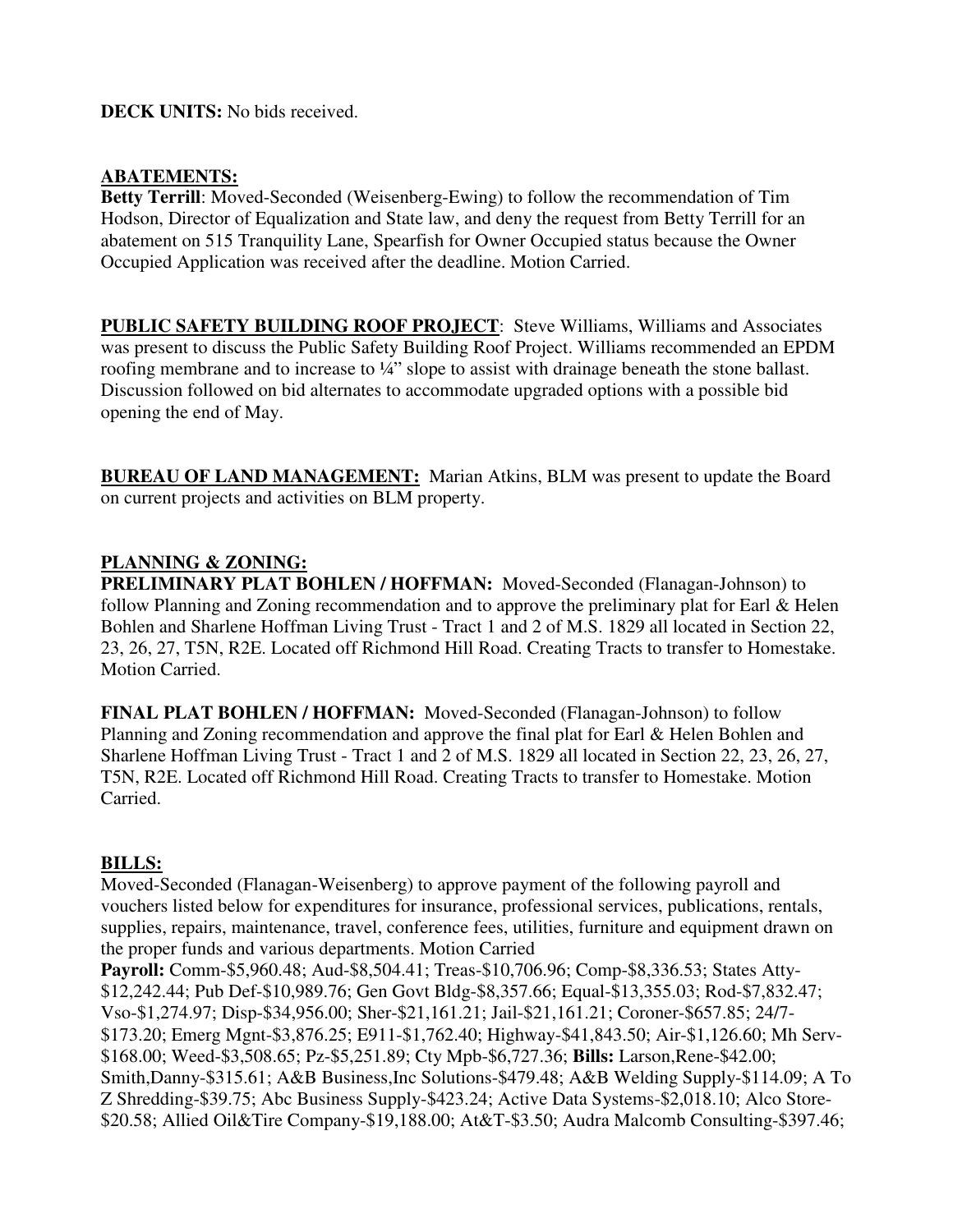## **ABATEMENTS:**

**Betty Terrill**: Moved-Seconded (Weisenberg-Ewing) to follow the recommendation of Tim Hodson, Director of Equalization and State law, and deny the request from Betty Terrill for an abatement on 515 Tranquility Lane, Spearfish for Owner Occupied status because the Owner Occupied Application was received after the deadline. Motion Carried.

**PUBLIC SAFETY BUILDING ROOF PROJECT**: Steve Williams, Williams and Associates was present to discuss the Public Safety Building Roof Project. Williams recommended an EPDM roofing membrane and to increase to ¼" slope to assist with drainage beneath the stone ballast. Discussion followed on bid alternates to accommodate upgraded options with a possible bid opening the end of May.

**BUREAU OF LAND MANAGEMENT:** Marian Atkins, BLM was present to update the Board on current projects and activities on BLM property.

## **PLANNING & ZONING:**

**PRELIMINARY PLAT BOHLEN / HOFFMAN:** Moved-Seconded (Flanagan-Johnson) to follow Planning and Zoning recommendation and to approve the preliminary plat for Earl & Helen Bohlen and Sharlene Hoffman Living Trust - Tract 1 and 2 of M.S. 1829 all located in Section 22, 23, 26, 27, T5N, R2E. Located off Richmond Hill Road. Creating Tracts to transfer to Homestake. Motion Carried.

**FINAL PLAT BOHLEN / HOFFMAN:** Moved-Seconded (Flanagan-Johnson) to follow Planning and Zoning recommendation and approve the final plat for Earl & Helen Bohlen and Sharlene Hoffman Living Trust - Tract 1 and 2 of M.S. 1829 all located in Section 22, 23, 26, 27, T5N, R2E. Located off Richmond Hill Road. Creating Tracts to transfer to Homestake. Motion Carried.

## **BILLS:**

Moved-Seconded (Flanagan-Weisenberg) to approve payment of the following payroll and vouchers listed below for expenditures for insurance, professional services, publications, rentals, supplies, repairs, maintenance, travel, conference fees, utilities, furniture and equipment drawn on the proper funds and various departments. Motion Carried

**Payroll:** Comm-\$5,960.48; Aud-\$8,504.41; Treas-\$10,706.96; Comp-\$8,336.53; States Atty- \$12,242.44; Pub Def-\$10,989.76; Gen Govt Bldg-\$8,357.66; Equal-\$13,355.03; Rod-\$7,832.47; Vso-\$1,274.97; Disp-\$34,956.00; Sher-\$21,161.21; Jail-\$21,161.21; Coroner-\$657.85; 24/7- \$173.20; Emerg Mgnt-\$3,876.25; E911-\$1,762.40; Highway-\$41,843.50; Air-\$1,126.60; Mh Serv- \$168.00; Weed-\$3,508.65; Pz-\$5,251.89; Cty Mpb-\$6,727.36; **Bills:** Larson,Rene-\$42.00; Smith,Danny-\$315.61; A&B Business,Inc Solutions-\$479.48; A&B Welding Supply-\$114.09; A To Z Shredding-\$39.75; Abc Business Supply-\$423.24; Active Data Systems-\$2,018.10; Alco Store- \$20.58; Allied Oil&Tire Company-\$19,188.00; At&T-\$3.50; Audra Malcomb Consulting-\$397.46;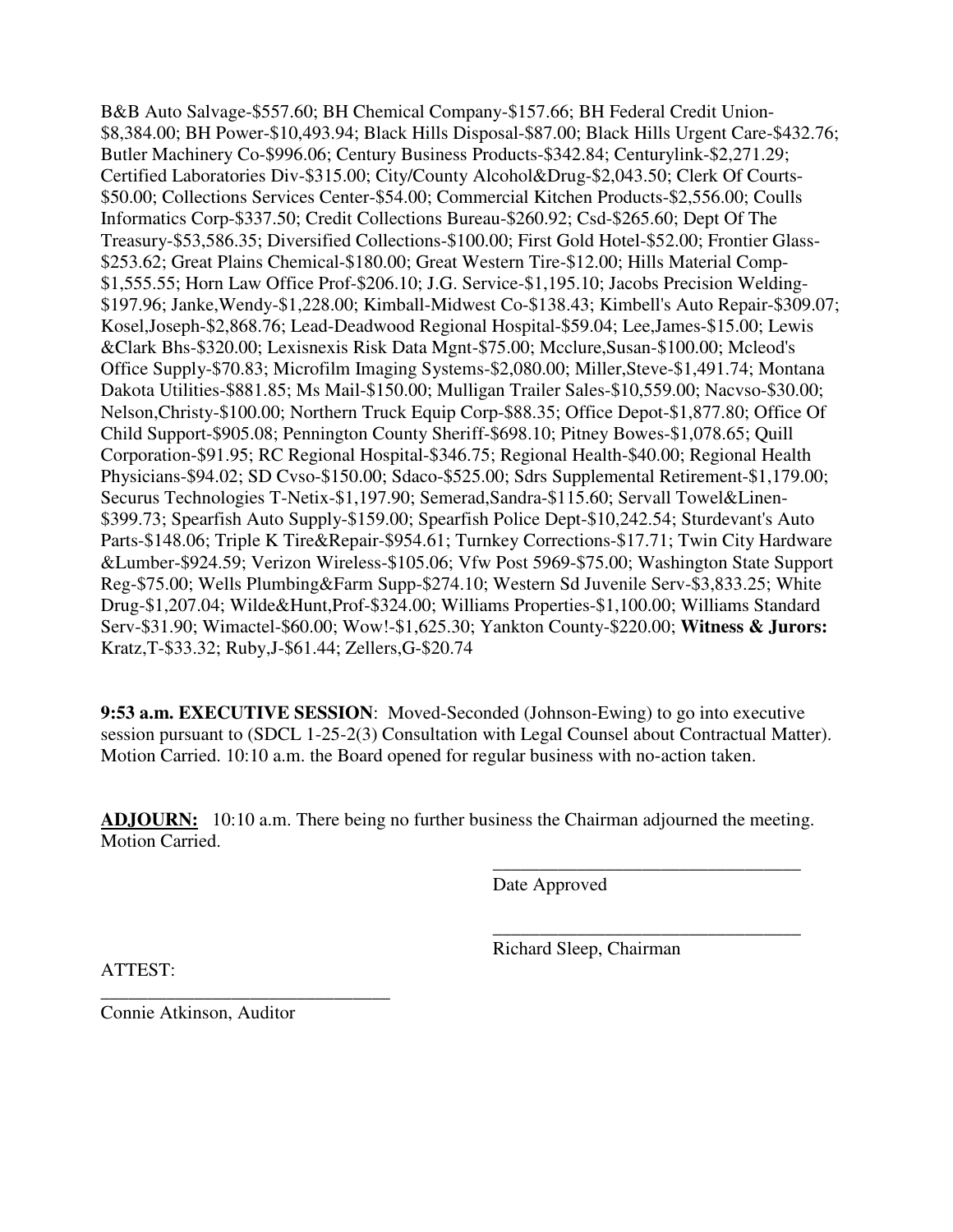B&B Auto Salvage-\$557.60; BH Chemical Company-\$157.66; BH Federal Credit Union- \$8,384.00; BH Power-\$10,493.94; Black Hills Disposal-\$87.00; Black Hills Urgent Care-\$432.76; Butler Machinery Co-\$996.06; Century Business Products-\$342.84; Centurylink-\$2,271.29; Certified Laboratories Div-\$315.00; City/County Alcohol&Drug-\$2,043.50; Clerk Of Courts- \$50.00; Collections Services Center-\$54.00; Commercial Kitchen Products-\$2,556.00; Coulls Informatics Corp-\$337.50; Credit Collections Bureau-\$260.92; Csd-\$265.60; Dept Of The Treasury-\$53,586.35; Diversified Collections-\$100.00; First Gold Hotel-\$52.00; Frontier Glass- \$253.62; Great Plains Chemical-\$180.00; Great Western Tire-\$12.00; Hills Material Comp- \$1,555.55; Horn Law Office Prof-\$206.10; J.G. Service-\$1,195.10; Jacobs Precision Welding- \$197.96; Janke,Wendy-\$1,228.00; Kimball-Midwest Co-\$138.43; Kimbell's Auto Repair-\$309.07; Kosel,Joseph-\$2,868.76; Lead-Deadwood Regional Hospital-\$59.04; Lee,James-\$15.00; Lewis &Clark Bhs-\$320.00; Lexisnexis Risk Data Mgnt-\$75.00; Mcclure,Susan-\$100.00; Mcleod's Office Supply-\$70.83; Microfilm Imaging Systems-\$2,080.00; Miller,Steve-\$1,491.74; Montana Dakota Utilities-\$881.85; Ms Mail-\$150.00; Mulligan Trailer Sales-\$10,559.00; Nacvso-\$30.00; Nelson,Christy-\$100.00; Northern Truck Equip Corp-\$88.35; Office Depot-\$1,877.80; Office Of Child Support-\$905.08; Pennington County Sheriff-\$698.10; Pitney Bowes-\$1,078.65; Quill Corporation-\$91.95; RC Regional Hospital-\$346.75; Regional Health-\$40.00; Regional Health Physicians-\$94.02; SD Cvso-\$150.00; Sdaco-\$525.00; Sdrs Supplemental Retirement-\$1,179.00; Securus Technologies T-Netix-\$1,197.90; Semerad,Sandra-\$115.60; Servall Towel&Linen- \$399.73; Spearfish Auto Supply-\$159.00; Spearfish Police Dept-\$10,242.54; Sturdevant's Auto Parts-\$148.06; Triple K Tire&Repair-\$954.61; Turnkey Corrections-\$17.71; Twin City Hardware &Lumber-\$924.59; Verizon Wireless-\$105.06; Vfw Post 5969-\$75.00; Washington State Support Reg-\$75.00; Wells Plumbing&Farm Supp-\$274.10; Western Sd Juvenile Serv-\$3,833.25; White Drug-\$1,207.04; Wilde&Hunt,Prof-\$324.00; Williams Properties-\$1,100.00; Williams Standard Serv-\$31.90; Wimactel-\$60.00; Wow!-\$1,625.30; Yankton County-\$220.00; **Witness & Jurors:**  Kratz,T-\$33.32; Ruby,J-\$61.44; Zellers,G-\$20.74

**9:53 a.m. EXECUTIVE SESSION**: Moved-Seconded (Johnson-Ewing) to go into executive session pursuant to (SDCL 1-25-2(3) Consultation with Legal Counsel about Contractual Matter). Motion Carried. 10:10 a.m. the Board opened for regular business with no-action taken.

ADJOURN: 10:10 a.m. There being no further business the Chairman adjourned the meeting. Motion Carried.

 $\overline{\phantom{a}}$  , and the contract of the contract of the contract of the contract of the contract of the contract of the contract of the contract of the contract of the contract of the contract of the contract of the contrac

 $\overline{\phantom{a}}$  , and the contract of the contract of the contract of the contract of the contract of the contract of the contract of the contract of the contract of the contract of the contract of the contract of the contrac

Date Approved

Richard Sleep, Chairman

ATTEST:

Connie Atkinson, Auditor

\_\_\_\_\_\_\_\_\_\_\_\_\_\_\_\_\_\_\_\_\_\_\_\_\_\_\_\_\_\_\_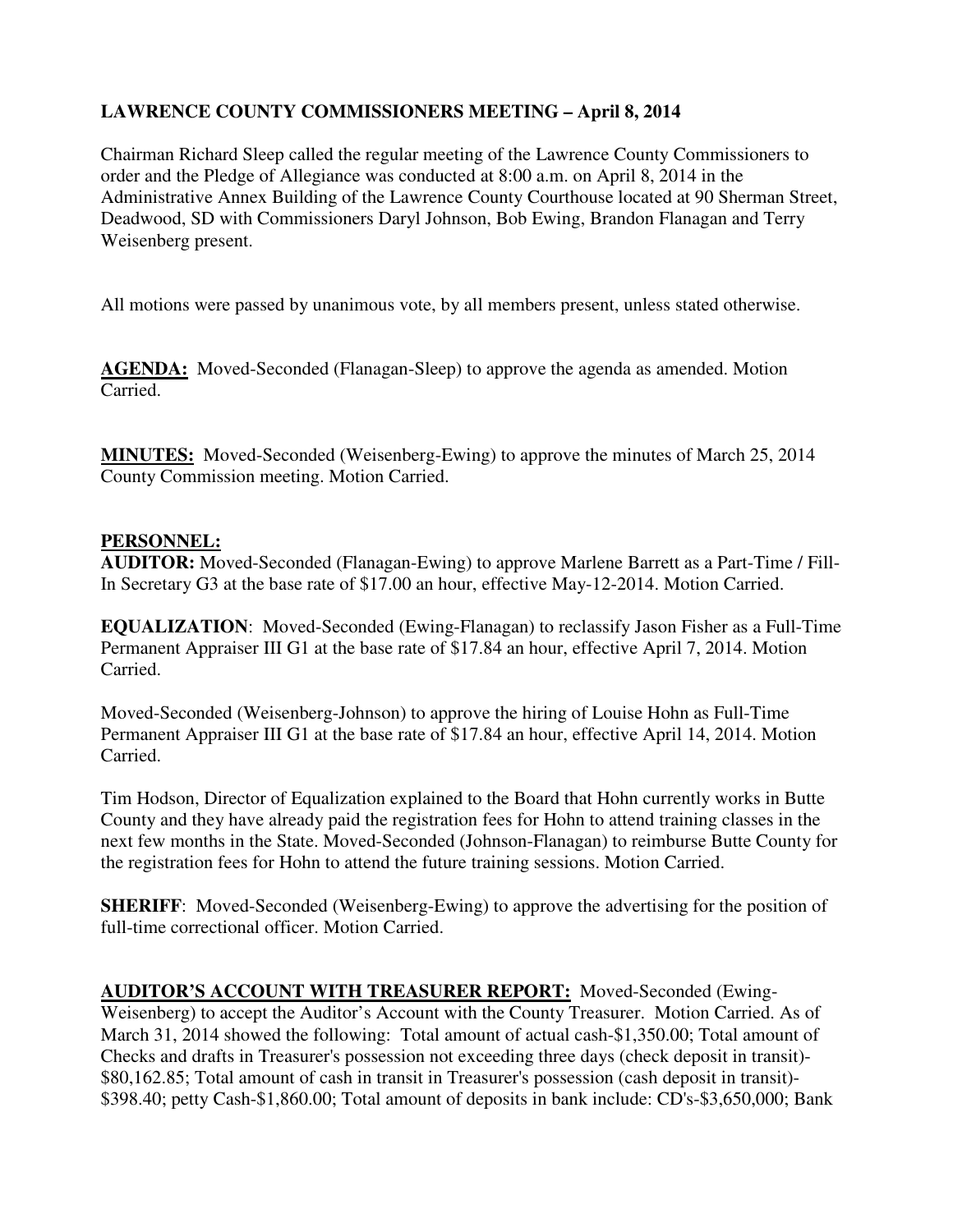# **LAWRENCE COUNTY COMMISSIONERS MEETING – April 8, 2014**

Chairman Richard Sleep called the regular meeting of the Lawrence County Commissioners to order and the Pledge of Allegiance was conducted at 8:00 a.m. on April 8, 2014 in the Administrative Annex Building of the Lawrence County Courthouse located at 90 Sherman Street, Deadwood, SD with Commissioners Daryl Johnson, Bob Ewing, Brandon Flanagan and Terry Weisenberg present.

All motions were passed by unanimous vote, by all members present, unless stated otherwise.

**AGENDA:** Moved-Seconded (Flanagan-Sleep) to approve the agenda as amended. Motion Carried.

**MINUTES:** Moved-Seconded (Weisenberg-Ewing) to approve the minutes of March 25, 2014 County Commission meeting. Motion Carried.

#### **PERSONNEL:**

**AUDITOR:** Moved-Seconded (Flanagan-Ewing) to approve Marlene Barrett as a Part-Time / Fill-In Secretary G3 at the base rate of \$17.00 an hour, effective May-12-2014. Motion Carried.

**EQUALIZATION**: Moved-Seconded (Ewing-Flanagan) to reclassify Jason Fisher as a Full-Time Permanent Appraiser III G1 at the base rate of \$17.84 an hour, effective April 7, 2014. Motion Carried.

Moved-Seconded (Weisenberg-Johnson) to approve the hiring of Louise Hohn as Full-Time Permanent Appraiser III G1 at the base rate of \$17.84 an hour, effective April 14, 2014. Motion Carried.

Tim Hodson, Director of Equalization explained to the Board that Hohn currently works in Butte County and they have already paid the registration fees for Hohn to attend training classes in the next few months in the State. Moved-Seconded (Johnson-Flanagan) to reimburse Butte County for the registration fees for Hohn to attend the future training sessions. Motion Carried.

**SHERIFF:** Moved-Seconded (Weisenberg-Ewing) to approve the advertising for the position of full-time correctional officer. Motion Carried.

**AUDITOR'S ACCOUNT WITH TREASURER REPORT:** Moved-Seconded (Ewing-

Weisenberg) to accept the Auditor's Account with the County Treasurer. Motion Carried. As of March 31, 2014 showed the following: Total amount of actual cash-\$1,350.00; Total amount of Checks and drafts in Treasurer's possession not exceeding three days (check deposit in transit)- \$80,162.85; Total amount of cash in transit in Treasurer's possession (cash deposit in transit)- \$398.40; petty Cash-\$1,860.00; Total amount of deposits in bank include: CD's-\$3,650,000; Bank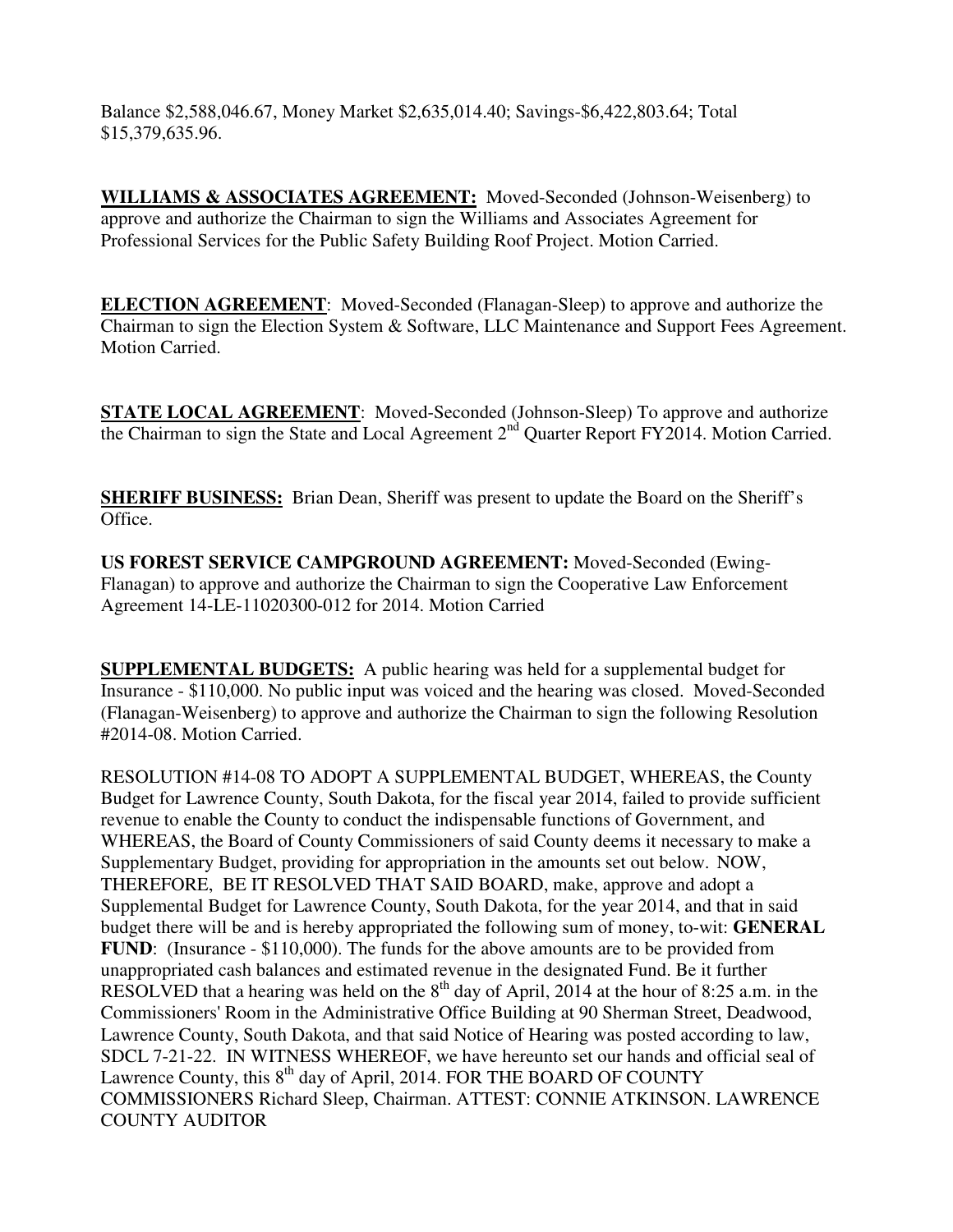Balance \$2,588,046.67, Money Market \$2,635,014.40; Savings-\$6,422,803.64; Total \$15,379,635.96.

**WILLIAMS & ASSOCIATES AGREEMENT:** Moved-Seconded (Johnson-Weisenberg) to approve and authorize the Chairman to sign the Williams and Associates Agreement for Professional Services for the Public Safety Building Roof Project. Motion Carried.

**ELECTION AGREEMENT**: Moved-Seconded (Flanagan-Sleep) to approve and authorize the Chairman to sign the Election System & Software, LLC Maintenance and Support Fees Agreement. Motion Carried.

**STATE LOCAL AGREEMENT**: Moved-Seconded (Johnson-Sleep) To approve and authorize the Chairman to sign the State and Local Agreement  $2<sup>nd</sup>$  Quarter Report FY2014. Motion Carried.

**SHERIFF BUSINESS:** Brian Dean, Sheriff was present to update the Board on the Sheriff's Office.

**US FOREST SERVICE CAMPGROUND AGREEMENT:** Moved-Seconded (Ewing-Flanagan) to approve and authorize the Chairman to sign the Cooperative Law Enforcement Agreement 14-LE-11020300-012 for 2014. Motion Carried

**SUPPLEMENTAL BUDGETS:** A public hearing was held for a supplemental budget for Insurance - \$110,000. No public input was voiced and the hearing was closed. Moved-Seconded (Flanagan-Weisenberg) to approve and authorize the Chairman to sign the following Resolution #2014-08. Motion Carried.

RESOLUTION #14-08 TO ADOPT A SUPPLEMENTAL BUDGET, WHEREAS, the County Budget for Lawrence County, South Dakota, for the fiscal year 2014, failed to provide sufficient revenue to enable the County to conduct the indispensable functions of Government, and WHEREAS, the Board of County Commissioners of said County deems it necessary to make a Supplementary Budget, providing for appropriation in the amounts set out below. NOW, THEREFORE, BE IT RESOLVED THAT SAID BOARD, make, approve and adopt a Supplemental Budget for Lawrence County, South Dakota, for the year 2014, and that in said budget there will be and is hereby appropriated the following sum of money, to-wit: **GENERAL FUND**: (Insurance - \$110,000). The funds for the above amounts are to be provided from unappropriated cash balances and estimated revenue in the designated Fund. Be it further RESOLVED that a hearing was held on the  $8<sup>th</sup>$  day of April, 2014 at the hour of 8:25 a.m. in the Commissioners' Room in the Administrative Office Building at 90 Sherman Street, Deadwood, Lawrence County, South Dakota, and that said Notice of Hearing was posted according to law, SDCL 7-21-22. IN WITNESS WHEREOF, we have hereunto set our hands and official seal of Lawrence County, this  $8^{th}$  day of April, 2014. FOR THE BOARD OF COUNTY COMMISSIONERS Richard Sleep, Chairman. ATTEST: CONNIE ATKINSON. LAWRENCE COUNTY AUDITOR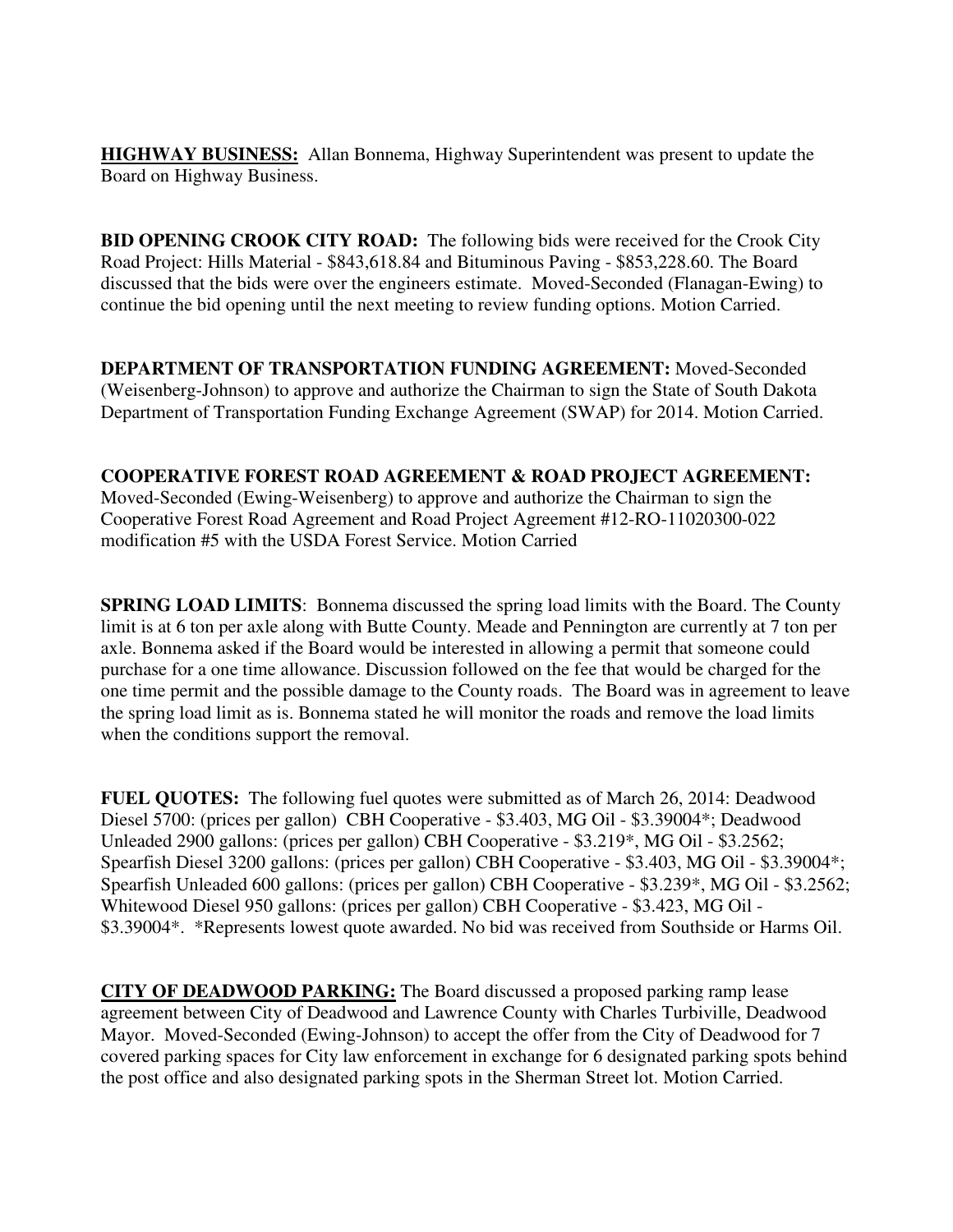**HIGHWAY BUSINESS:** Allan Bonnema, Highway Superintendent was present to update the Board on Highway Business.

**BID OPENING CROOK CITY ROAD:** The following bids were received for the Crook City Road Project: Hills Material - \$843,618.84 and Bituminous Paving - \$853,228.60. The Board discussed that the bids were over the engineers estimate. Moved-Seconded (Flanagan-Ewing) to continue the bid opening until the next meeting to review funding options. Motion Carried.

**DEPARTMENT OF TRANSPORTATION FUNDING AGREEMENT:** Moved-Seconded (Weisenberg-Johnson) to approve and authorize the Chairman to sign the State of South Dakota Department of Transportation Funding Exchange Agreement (SWAP) for 2014. Motion Carried.

#### **COOPERATIVE FOREST ROAD AGREEMENT & ROAD PROJECT AGREEMENT:**

Moved-Seconded (Ewing-Weisenberg) to approve and authorize the Chairman to sign the Cooperative Forest Road Agreement and Road Project Agreement #12-RO-11020300-022 modification #5 with the USDA Forest Service. Motion Carried

**SPRING LOAD LIMITS:** Bonnema discussed the spring load limits with the Board. The County limit is at 6 ton per axle along with Butte County. Meade and Pennington are currently at 7 ton per axle. Bonnema asked if the Board would be interested in allowing a permit that someone could purchase for a one time allowance. Discussion followed on the fee that would be charged for the one time permit and the possible damage to the County roads. The Board was in agreement to leave the spring load limit as is. Bonnema stated he will monitor the roads and remove the load limits when the conditions support the removal.

**FUEL QUOTES:** The following fuel quotes were submitted as of March 26, 2014: Deadwood Diesel 5700: (prices per gallon) CBH Cooperative - \$3.403, MG Oil - \$3.39004\*; Deadwood Unleaded 2900 gallons: (prices per gallon) CBH Cooperative - \$3.219\*, MG Oil - \$3.2562; Spearfish Diesel 3200 gallons: (prices per gallon) CBH Cooperative - \$3.403, MG Oil - \$3.39004\*; Spearfish Unleaded 600 gallons: (prices per gallon) CBH Cooperative - \$3.239\*, MG Oil - \$3.2562; Whitewood Diesel 950 gallons: (prices per gallon) CBH Cooperative - \$3.423, MG Oil - \$3.39004\*. \*Represents lowest quote awarded. No bid was received from Southside or Harms Oil.

**CITY OF DEADWOOD PARKING:** The Board discussed a proposed parking ramp lease agreement between City of Deadwood and Lawrence County with Charles Turbiville, Deadwood Mayor. Moved-Seconded (Ewing-Johnson) to accept the offer from the City of Deadwood for 7 covered parking spaces for City law enforcement in exchange for 6 designated parking spots behind the post office and also designated parking spots in the Sherman Street lot. Motion Carried.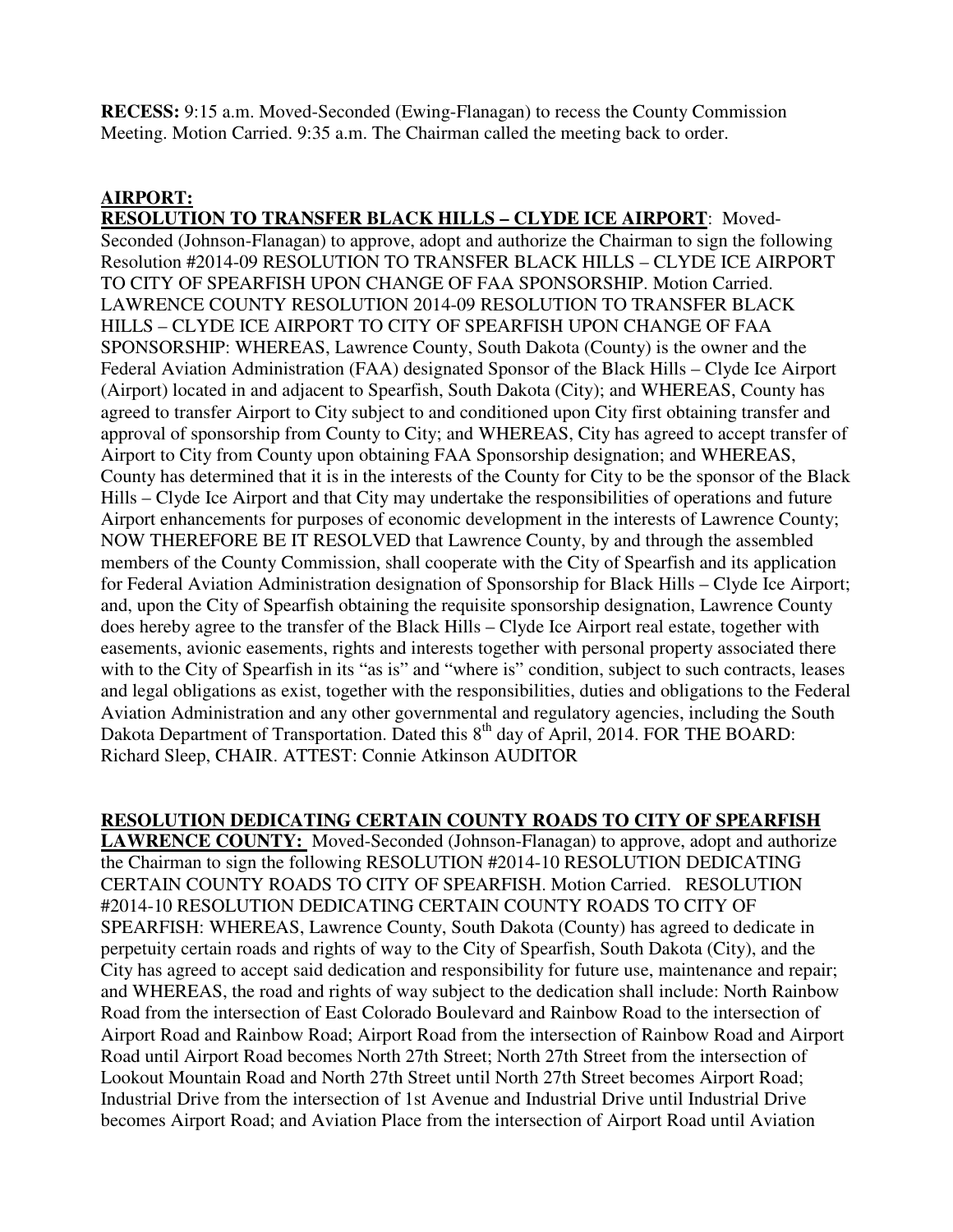**RECESS:** 9:15 a.m. Moved-Seconded (Ewing-Flanagan) to recess the County Commission Meeting. Motion Carried. 9:35 a.m. The Chairman called the meeting back to order.

## **AIRPORT:**

**RESOLUTION TO TRANSFER BLACK HILLS – CLYDE ICE AIRPORT**: Moved-Seconded (Johnson-Flanagan) to approve, adopt and authorize the Chairman to sign the following Resolution #2014-09 RESOLUTION TO TRANSFER BLACK HILLS – CLYDE ICE AIRPORT TO CITY OF SPEARFISH UPON CHANGE OF FAA SPONSORSHIP. Motion Carried. LAWRENCE COUNTY RESOLUTION 2014-09 RESOLUTION TO TRANSFER BLACK HILLS – CLYDE ICE AIRPORT TO CITY OF SPEARFISH UPON CHANGE OF FAA SPONSORSHIP: WHEREAS, Lawrence County, South Dakota (County) is the owner and the Federal Aviation Administration (FAA) designated Sponsor of the Black Hills – Clyde Ice Airport (Airport) located in and adjacent to Spearfish, South Dakota (City); and WHEREAS, County has agreed to transfer Airport to City subject to and conditioned upon City first obtaining transfer and approval of sponsorship from County to City; and WHEREAS, City has agreed to accept transfer of Airport to City from County upon obtaining FAA Sponsorship designation; and WHEREAS, County has determined that it is in the interests of the County for City to be the sponsor of the Black Hills – Clyde Ice Airport and that City may undertake the responsibilities of operations and future Airport enhancements for purposes of economic development in the interests of Lawrence County; NOW THEREFORE BE IT RESOLVED that Lawrence County, by and through the assembled members of the County Commission, shall cooperate with the City of Spearfish and its application for Federal Aviation Administration designation of Sponsorship for Black Hills – Clyde Ice Airport; and, upon the City of Spearfish obtaining the requisite sponsorship designation, Lawrence County does hereby agree to the transfer of the Black Hills – Clyde Ice Airport real estate, together with easements, avionic easements, rights and interests together with personal property associated there with to the City of Spearfish in its "as is" and "where is" condition, subject to such contracts, leases and legal obligations as exist, together with the responsibilities, duties and obligations to the Federal Aviation Administration and any other governmental and regulatory agencies, including the South Dakota Department of Transportation. Dated this 8<sup>th</sup> day of April, 2014. FOR THE BOARD: Richard Sleep, CHAIR. ATTEST: Connie Atkinson AUDITOR

## **RESOLUTION DEDICATING CERTAIN COUNTY ROADS TO CITY OF SPEARFISH**

**LAWRENCE COUNTY:** Moved-Seconded (Johnson-Flanagan) to approve, adopt and authorize the Chairman to sign the following RESOLUTION #2014-10 RESOLUTION DEDICATING CERTAIN COUNTY ROADS TO CITY OF SPEARFISH. Motion Carried. RESOLUTION #2014-10 RESOLUTION DEDICATING CERTAIN COUNTY ROADS TO CITY OF SPEARFISH: WHEREAS, Lawrence County, South Dakota (County) has agreed to dedicate in perpetuity certain roads and rights of way to the City of Spearfish, South Dakota (City), and the City has agreed to accept said dedication and responsibility for future use, maintenance and repair; and WHEREAS, the road and rights of way subject to the dedication shall include: North Rainbow Road from the intersection of East Colorado Boulevard and Rainbow Road to the intersection of Airport Road and Rainbow Road; Airport Road from the intersection of Rainbow Road and Airport Road until Airport Road becomes North 27th Street; North 27th Street from the intersection of Lookout Mountain Road and North 27th Street until North 27th Street becomes Airport Road; Industrial Drive from the intersection of 1st Avenue and Industrial Drive until Industrial Drive becomes Airport Road; and Aviation Place from the intersection of Airport Road until Aviation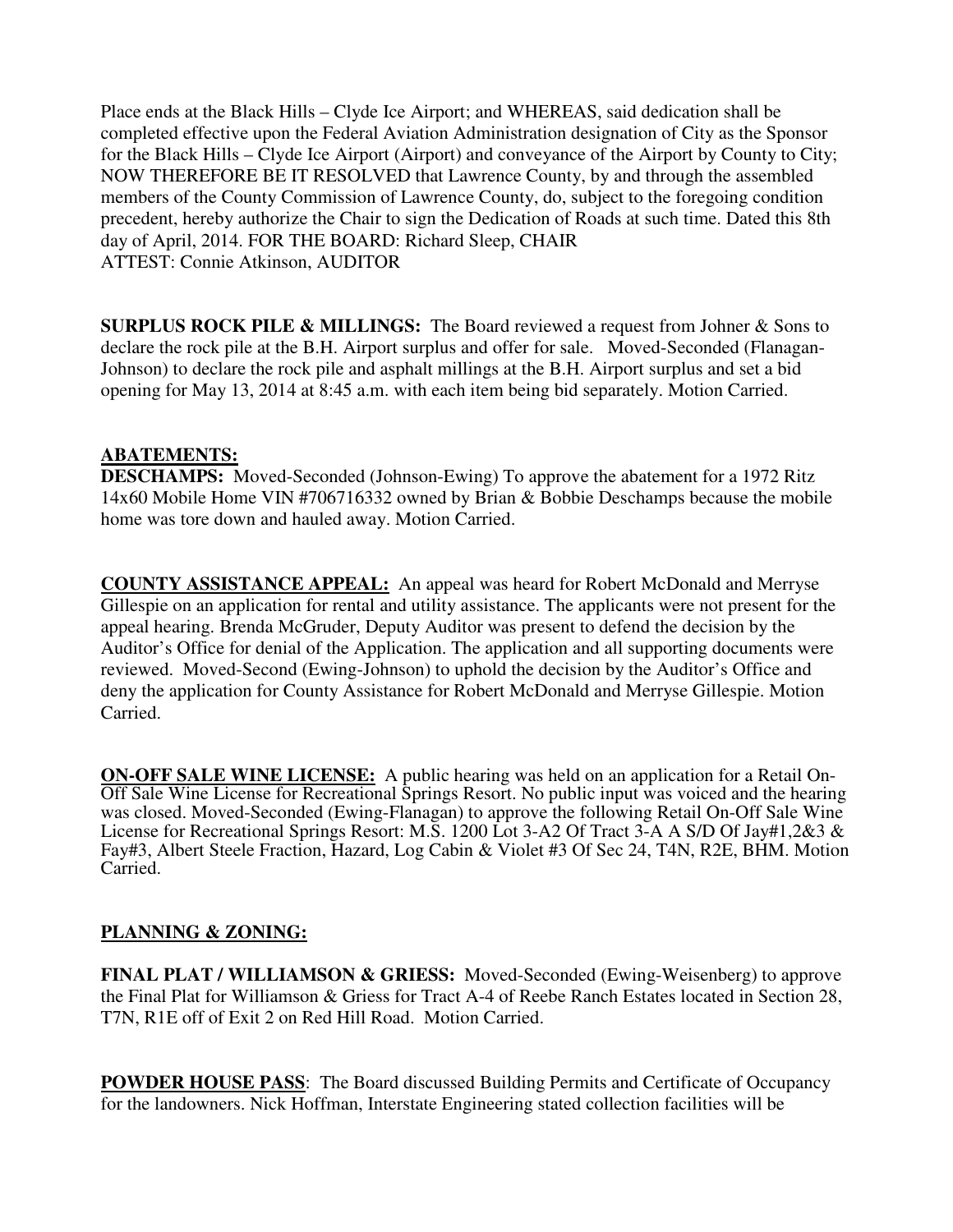Place ends at the Black Hills – Clyde Ice Airport; and WHEREAS, said dedication shall be completed effective upon the Federal Aviation Administration designation of City as the Sponsor for the Black Hills – Clyde Ice Airport (Airport) and conveyance of the Airport by County to City; NOW THEREFORE BE IT RESOLVED that Lawrence County, by and through the assembled members of the County Commission of Lawrence County, do, subject to the foregoing condition precedent, hereby authorize the Chair to sign the Dedication of Roads at such time. Dated this 8th day of April, 2014. FOR THE BOARD: Richard Sleep, CHAIR ATTEST: Connie Atkinson, AUDITOR

**SURPLUS ROCK PILE & MILLINGS:** The Board reviewed a request from Johner & Sons to declare the rock pile at the B.H. Airport surplus and offer for sale. Moved-Seconded (Flanagan-Johnson) to declare the rock pile and asphalt millings at the B.H. Airport surplus and set a bid opening for May 13, 2014 at 8:45 a.m. with each item being bid separately. Motion Carried.

## **ABATEMENTS:**

**DESCHAMPS:** Moved-Seconded (Johnson-Ewing) To approve the abatement for a 1972 Ritz 14x60 Mobile Home VIN #706716332 owned by Brian & Bobbie Deschamps because the mobile home was tore down and hauled away. Motion Carried.

**COUNTY ASSISTANCE APPEAL:** An appeal was heard for Robert McDonald and Merryse Gillespie on an application for rental and utility assistance. The applicants were not present for the appeal hearing. Brenda McGruder, Deputy Auditor was present to defend the decision by the Auditor's Office for denial of the Application. The application and all supporting documents were reviewed. Moved-Second (Ewing-Johnson) to uphold the decision by the Auditor's Office and deny the application for County Assistance for Robert McDonald and Merryse Gillespie. Motion Carried.

**ON-OFF SALE WINE LICENSE:** A public hearing was held on an application for a Retail On-Off Sale Wine License for Recreational Springs Resort. No public input was voiced and the hearing was closed. Moved-Seconded (Ewing-Flanagan) to approve the following Retail On-Off Sale Wine License for Recreational Springs Resort: M.S. 1200 Lot 3-A2 Of Tract 3-A A S/D Of Jay#1,2&3 & Fay#3, Albert Steele Fraction, Hazard, Log Cabin & Violet #3 Of Sec 24, T4N, R2E, BHM. Motion Carried.

#### **PLANNING & ZONING:**

**FINAL PLAT / WILLIAMSON & GRIESS:** Moved-Seconded (Ewing-Weisenberg) to approve the Final Plat for Williamson & Griess for Tract A-4 of Reebe Ranch Estates located in Section 28, T7N, R1E off of Exit 2 on Red Hill Road. Motion Carried.

**POWDER HOUSE PASS:** The Board discussed Building Permits and Certificate of Occupancy for the landowners. Nick Hoffman, Interstate Engineering stated collection facilities will be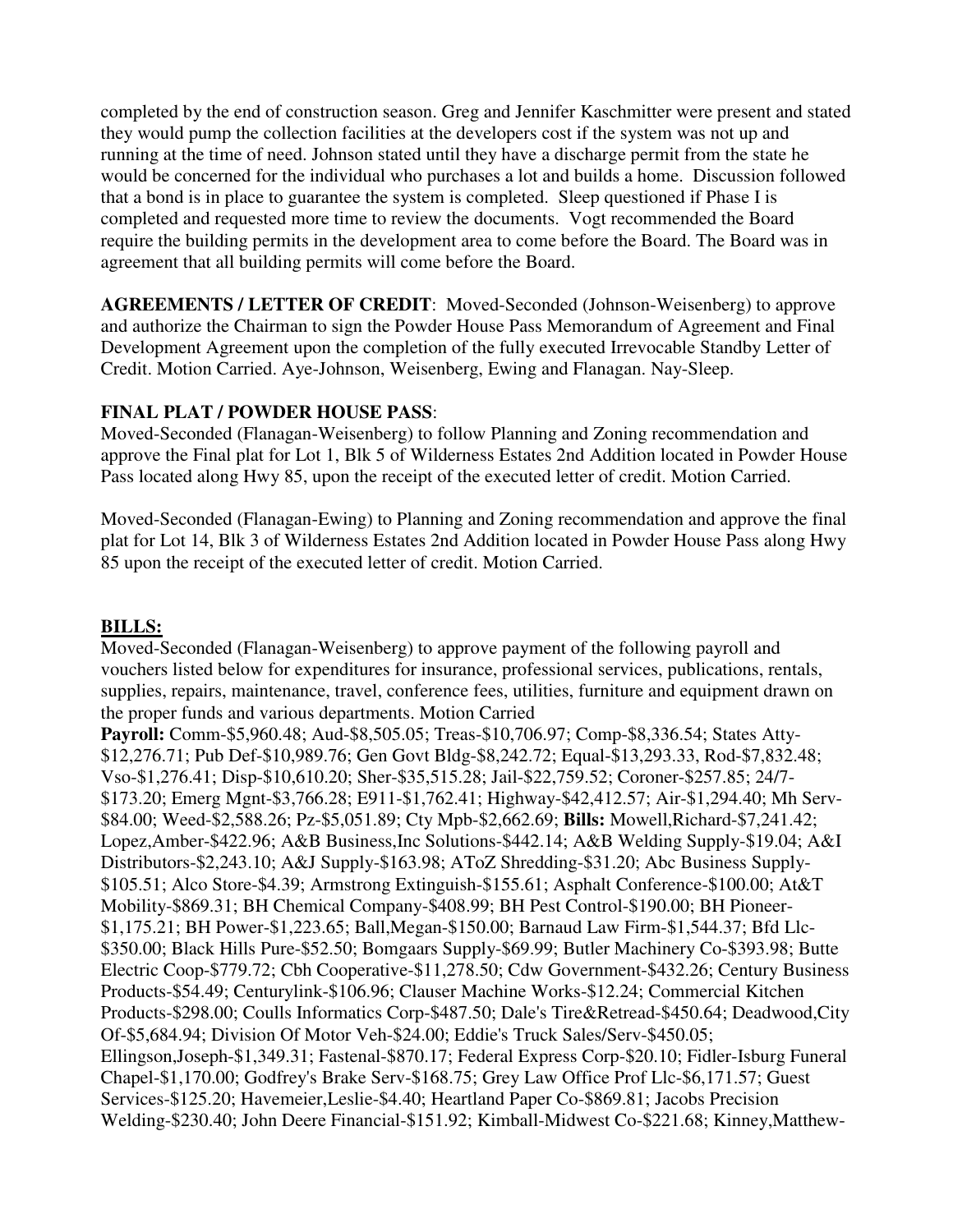completed by the end of construction season. Greg and Jennifer Kaschmitter were present and stated they would pump the collection facilities at the developers cost if the system was not up and running at the time of need. Johnson stated until they have a discharge permit from the state he would be concerned for the individual who purchases a lot and builds a home. Discussion followed that a bond is in place to guarantee the system is completed. Sleep questioned if Phase I is completed and requested more time to review the documents. Vogt recommended the Board require the building permits in the development area to come before the Board. The Board was in agreement that all building permits will come before the Board.

**AGREEMENTS / LETTER OF CREDIT**: Moved-Seconded (Johnson-Weisenberg) to approve and authorize the Chairman to sign the Powder House Pass Memorandum of Agreement and Final Development Agreement upon the completion of the fully executed Irrevocable Standby Letter of Credit. Motion Carried. Aye-Johnson, Weisenberg, Ewing and Flanagan. Nay-Sleep.

#### **FINAL PLAT / POWDER HOUSE PASS**:

Moved-Seconded (Flanagan-Weisenberg) to follow Planning and Zoning recommendation and approve the Final plat for Lot 1, Blk 5 of Wilderness Estates 2nd Addition located in Powder House Pass located along Hwy 85, upon the receipt of the executed letter of credit. Motion Carried.

Moved-Seconded (Flanagan-Ewing) to Planning and Zoning recommendation and approve the final plat for Lot 14, Blk 3 of Wilderness Estates 2nd Addition located in Powder House Pass along Hwy 85 upon the receipt of the executed letter of credit. Motion Carried.

#### **BILLS:**

Moved-Seconded (Flanagan-Weisenberg) to approve payment of the following payroll and vouchers listed below for expenditures for insurance, professional services, publications, rentals, supplies, repairs, maintenance, travel, conference fees, utilities, furniture and equipment drawn on the proper funds and various departments. Motion Carried

**Payroll:** Comm-\$5,960.48; Aud-\$8,505.05; Treas-\$10,706.97; Comp-\$8,336.54; States Atty- \$12,276.71; Pub Def-\$10,989.76; Gen Govt Bldg-\$8,242.72; Equal-\$13,293.33, Rod-\$7,832.48; Vso-\$1,276.41; Disp-\$10,610.20; Sher-\$35,515.28; Jail-\$22,759.52; Coroner-\$257.85; 24/7- \$173.20; Emerg Mgnt-\$3,766.28; E911-\$1,762.41; Highway-\$42,412.57; Air-\$1,294.40; Mh Serv- \$84.00; Weed-\$2,588.26; Pz-\$5,051.89; Cty Mpb-\$2,662.69; **Bills:** Mowell,Richard-\$7,241.42; Lopez,Amber-\$422.96; A&B Business,Inc Solutions-\$442.14; A&B Welding Supply-\$19.04; A&I Distributors-\$2,243.10; A&J Supply-\$163.98; AToZ Shredding-\$31.20; Abc Business Supply- \$105.51; Alco Store-\$4.39; Armstrong Extinguish-\$155.61; Asphalt Conference-\$100.00; At&T Mobility-\$869.31; BH Chemical Company-\$408.99; BH Pest Control-\$190.00; BH Pioneer- \$1,175.21; BH Power-\$1,223.65; Ball,Megan-\$150.00; Barnaud Law Firm-\$1,544.37; Bfd Llc- \$350.00; Black Hills Pure-\$52.50; Bomgaars Supply-\$69.99; Butler Machinery Co-\$393.98; Butte Electric Coop-\$779.72; Cbh Cooperative-\$11,278.50; Cdw Government-\$432.26; Century Business Products-\$54.49; Centurylink-\$106.96; Clauser Machine Works-\$12.24; Commercial Kitchen Products-\$298.00; Coulls Informatics Corp-\$487.50; Dale's Tire&Retread-\$450.64; Deadwood,City Of-\$5,684.94; Division Of Motor Veh-\$24.00; Eddie's Truck Sales/Serv-\$450.05; Ellingson,Joseph-\$1,349.31; Fastenal-\$870.17; Federal Express Corp-\$20.10; Fidler-Isburg Funeral Chapel-\$1,170.00; Godfrey's Brake Serv-\$168.75; Grey Law Office Prof Llc-\$6,171.57; Guest Services-\$125.20; Havemeier,Leslie-\$4.40; Heartland Paper Co-\$869.81; Jacobs Precision Welding-\$230.40; John Deere Financial-\$151.92; Kimball-Midwest Co-\$221.68; Kinney,Matthew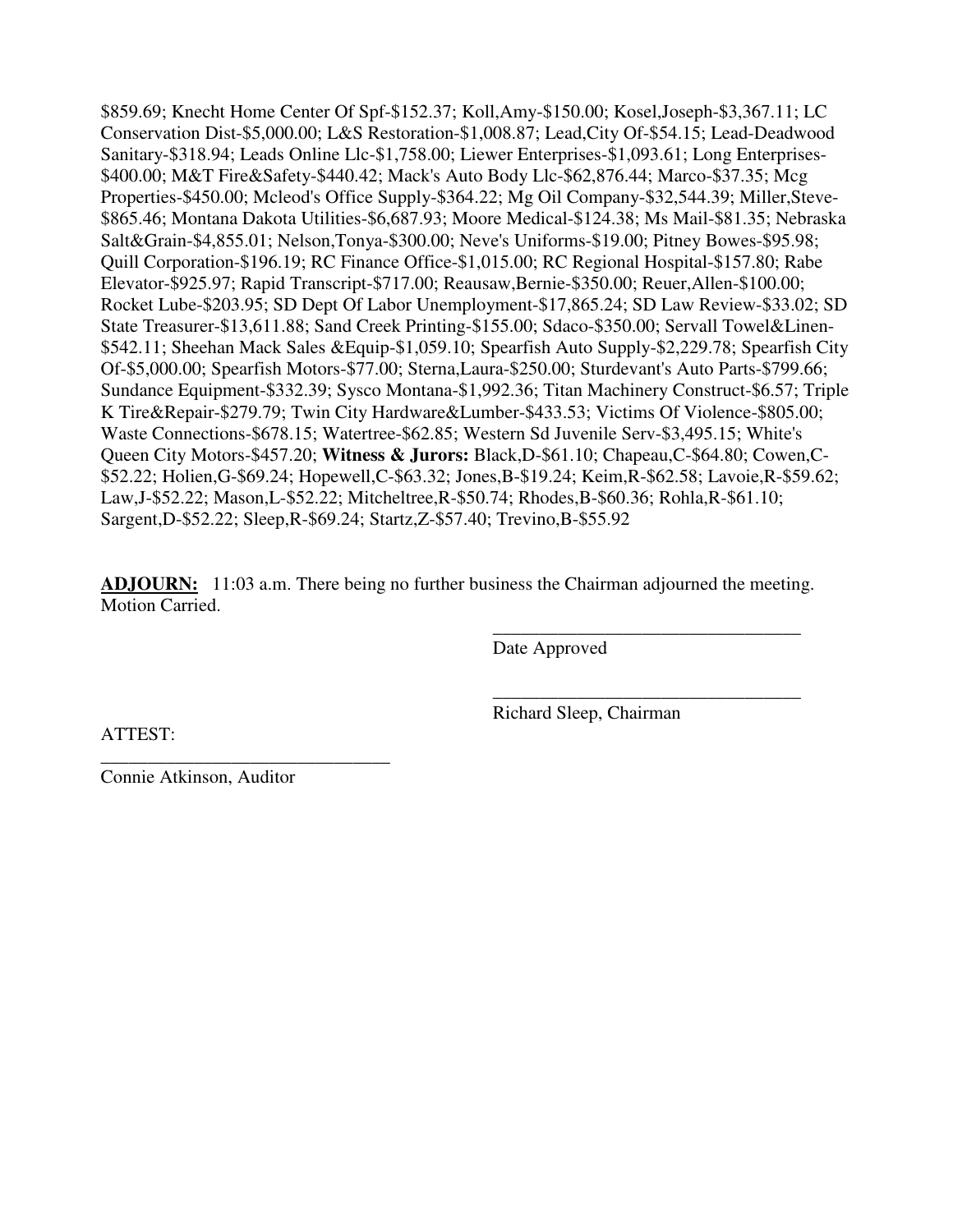\$859.69; Knecht Home Center Of Spf-\$152.37; Koll,Amy-\$150.00; Kosel,Joseph-\$3,367.11; LC Conservation Dist-\$5,000.00; L&S Restoration-\$1,008.87; Lead,City Of-\$54.15; Lead-Deadwood Sanitary-\$318.94; Leads Online Llc-\$1,758.00; Liewer Enterprises-\$1,093.61; Long Enterprises- \$400.00; M&T Fire&Safety-\$440.42; Mack's Auto Body Llc-\$62,876.44; Marco-\$37.35; Mcg Properties-\$450.00; Mcleod's Office Supply-\$364.22; Mg Oil Company-\$32,544.39; Miller,Steve- \$865.46; Montana Dakota Utilities-\$6,687.93; Moore Medical-\$124.38; Ms Mail-\$81.35; Nebraska Salt&Grain-\$4,855.01; Nelson,Tonya-\$300.00; Neve's Uniforms-\$19.00; Pitney Bowes-\$95.98; Quill Corporation-\$196.19; RC Finance Office-\$1,015.00; RC Regional Hospital-\$157.80; Rabe Elevator-\$925.97; Rapid Transcript-\$717.00; Reausaw,Bernie-\$350.00; Reuer,Allen-\$100.00; Rocket Lube-\$203.95; SD Dept Of Labor Unemployment-\$17,865.24; SD Law Review-\$33.02; SD State Treasurer-\$13,611.88; Sand Creek Printing-\$155.00; Sdaco-\$350.00; Servall Towel&Linen- \$542.11; Sheehan Mack Sales &Equip-\$1,059.10; Spearfish Auto Supply-\$2,229.78; Spearfish City Of-\$5,000.00; Spearfish Motors-\$77.00; Sterna,Laura-\$250.00; Sturdevant's Auto Parts-\$799.66; Sundance Equipment-\$332.39; Sysco Montana-\$1,992.36; Titan Machinery Construct-\$6.57; Triple K Tire&Repair-\$279.79; Twin City Hardware&Lumber-\$433.53; Victims Of Violence-\$805.00; Waste Connections-\$678.15; Watertree-\$62.85; Western Sd Juvenile Serv-\$3,495.15; White's Queen City Motors-\$457.20; **Witness & Jurors:** Black,D-\$61.10; Chapeau,C-\$64.80; Cowen,C- \$52.22; Holien,G-\$69.24; Hopewell,C-\$63.32; Jones,B-\$19.24; Keim,R-\$62.58; Lavoie,R-\$59.62; Law,J-\$52.22; Mason,L-\$52.22; Mitcheltree,R-\$50.74; Rhodes,B-\$60.36; Rohla,R-\$61.10; Sargent,D-\$52.22; Sleep,R-\$69.24; Startz,Z-\$57.40; Trevino,B-\$55.92

**ADJOURN:** 11:03 a.m. There being no further business the Chairman adjourned the meeting. Motion Carried.

 $\overline{\phantom{a}}$  , and the contract of the contract of the contract of the contract of the contract of the contract of the contract of the contract of the contract of the contract of the contract of the contract of the contrac

 $\overline{\phantom{a}}$  , and the contract of the contract of the contract of the contract of the contract of the contract of the contract of the contract of the contract of the contract of the contract of the contract of the contrac

Date Approved

ATTEST:

Richard Sleep, Chairman

Connie Atkinson, Auditor

\_\_\_\_\_\_\_\_\_\_\_\_\_\_\_\_\_\_\_\_\_\_\_\_\_\_\_\_\_\_\_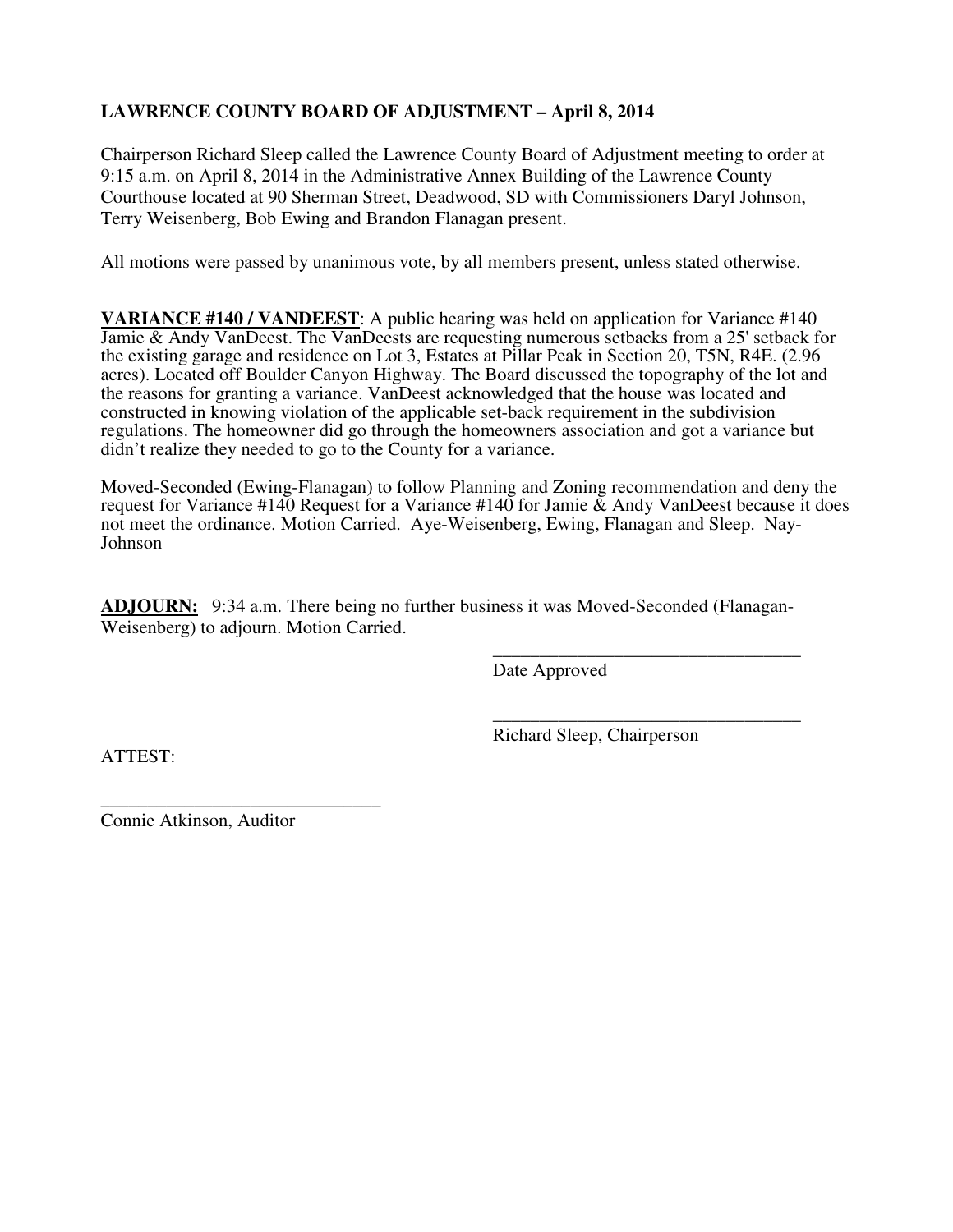# **LAWRENCE COUNTY BOARD OF ADJUSTMENT – April 8, 2014**

Chairperson Richard Sleep called the Lawrence County Board of Adjustment meeting to order at 9:15 a.m. on April 8, 2014 in the Administrative Annex Building of the Lawrence County Courthouse located at 90 Sherman Street, Deadwood, SD with Commissioners Daryl Johnson, Terry Weisenberg, Bob Ewing and Brandon Flanagan present.

All motions were passed by unanimous vote, by all members present, unless stated otherwise.

**VARIANCE #140 / VANDEEST**: A public hearing was held on application for Variance #140 Jamie & Andy VanDeest. The VanDeests are requesting numerous setbacks from a 25' setback for the existing garage and residence on Lot 3, Estates at Pillar Peak in Section 20, T5N, R4E. (2.96 acres). Located off Boulder Canyon Highway. The Board discussed the topography of the lot and the reasons for granting a variance. VanDeest acknowledged that the house was located and constructed in knowing violation of the applicable set-back requirement in the subdivision regulations. The homeowner did go through the homeowners association and got a variance but didn't realize they needed to go to the County for a variance.

Moved-Seconded (Ewing-Flanagan) to follow Planning and Zoning recommendation and deny the request for Variance #140 Request for a Variance #140 for Jamie  $\&$  Andy VanDeest because it does not meet the ordinance. Motion Carried. Aye-Weisenberg, Ewing, Flanagan and Sleep. Nay-Johnson

**ADJOURN:** 9:34 a.m. There being no further business it was Moved-Seconded (Flanagan-Weisenberg) to adjourn. Motion Carried.

 $\overline{\phantom{a}}$  , and the contract of the contract of the contract of the contract of the contract of the contract of the contract of the contract of the contract of the contract of the contract of the contract of the contrac

Date Approved

 $\overline{\phantom{a}}$  , and the contract of the contract of the contract of the contract of the contract of the contract of the contract of the contract of the contract of the contract of the contract of the contract of the contrac Richard Sleep, Chairperson

ATTEST:

Connie Atkinson, Auditor

\_\_\_\_\_\_\_\_\_\_\_\_\_\_\_\_\_\_\_\_\_\_\_\_\_\_\_\_\_\_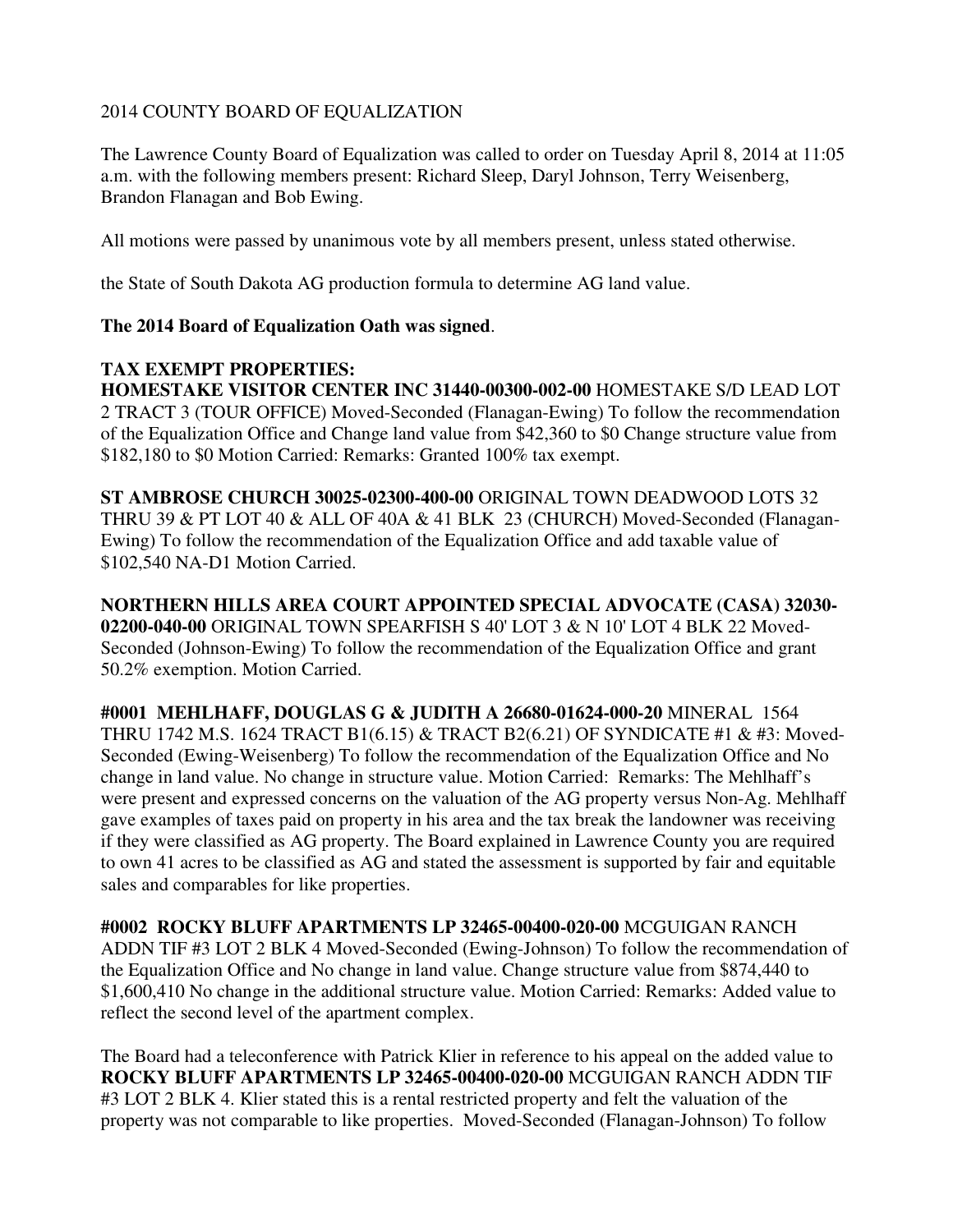## 2014 COUNTY BOARD OF EQUALIZATION

The Lawrence County Board of Equalization was called to order on Tuesday April 8, 2014 at 11:05 a.m. with the following members present: Richard Sleep, Daryl Johnson, Terry Weisenberg, Brandon Flanagan and Bob Ewing.

All motions were passed by unanimous vote by all members present, unless stated otherwise.

the State of South Dakota AG production formula to determine AG land value.

## **The 2014 Board of Equalization Oath was signed**.

## **TAX EXEMPT PROPERTIES:**

**HOMESTAKE VISITOR CENTER INC 31440-00300-002-00** HOMESTAKE S/D LEAD LOT 2 TRACT 3 (TOUR OFFICE) Moved-Seconded (Flanagan-Ewing) To follow the recommendation of the Equalization Office and Change land value from \$42,360 to \$0 Change structure value from \$182,180 to \$0 Motion Carried: Remarks: Granted 100% tax exempt.

**ST AMBROSE CHURCH 30025-02300-400-00** ORIGINAL TOWN DEADWOOD LOTS 32 THRU 39 & PT LOT 40 & ALL OF 40A & 41 BLK 23 (CHURCH) Moved-Seconded (Flanagan-Ewing) To follow the recommendation of the Equalization Office and add taxable value of \$102,540 NA-D1 Motion Carried.

**NORTHERN HILLS AREA COURT APPOINTED SPECIAL ADVOCATE (CASA) 32030- 02200-040-00** ORIGINAL TOWN SPEARFISH S 40' LOT 3 & N 10' LOT 4 BLK 22 Moved-Seconded (Johnson-Ewing) To follow the recommendation of the Equalization Office and grant 50.2% exemption. Motion Carried.

**#0001 MEHLHAFF, DOUGLAS G & JUDITH A 26680-01624-000-20** MINERAL 1564 THRU 1742 M.S. 1624 TRACT B1(6.15) & TRACT B2(6.21) OF SYNDICATE #1 & #3: Moved-Seconded (Ewing-Weisenberg) To follow the recommendation of the Equalization Office and No change in land value. No change in structure value. Motion Carried: Remarks: The Mehlhaff's were present and expressed concerns on the valuation of the AG property versus Non-Ag. Mehlhaff gave examples of taxes paid on property in his area and the tax break the landowner was receiving if they were classified as AG property. The Board explained in Lawrence County you are required to own 41 acres to be classified as AG and stated the assessment is supported by fair and equitable sales and comparables for like properties.

**#0002 ROCKY BLUFF APARTMENTS LP 32465-00400-020-00** MCGUIGAN RANCH ADDN TIF #3 LOT 2 BLK 4 Moved-Seconded (Ewing-Johnson) To follow the recommendation of the Equalization Office and No change in land value. Change structure value from \$874,440 to \$1,600,410 No change in the additional structure value. Motion Carried: Remarks: Added value to reflect the second level of the apartment complex.

The Board had a teleconference with Patrick Klier in reference to his appeal on the added value to **ROCKY BLUFF APARTMENTS LP 32465-00400-020-00** MCGUIGAN RANCH ADDN TIF #3 LOT 2 BLK 4. Klier stated this is a rental restricted property and felt the valuation of the property was not comparable to like properties. Moved-Seconded (Flanagan-Johnson) To follow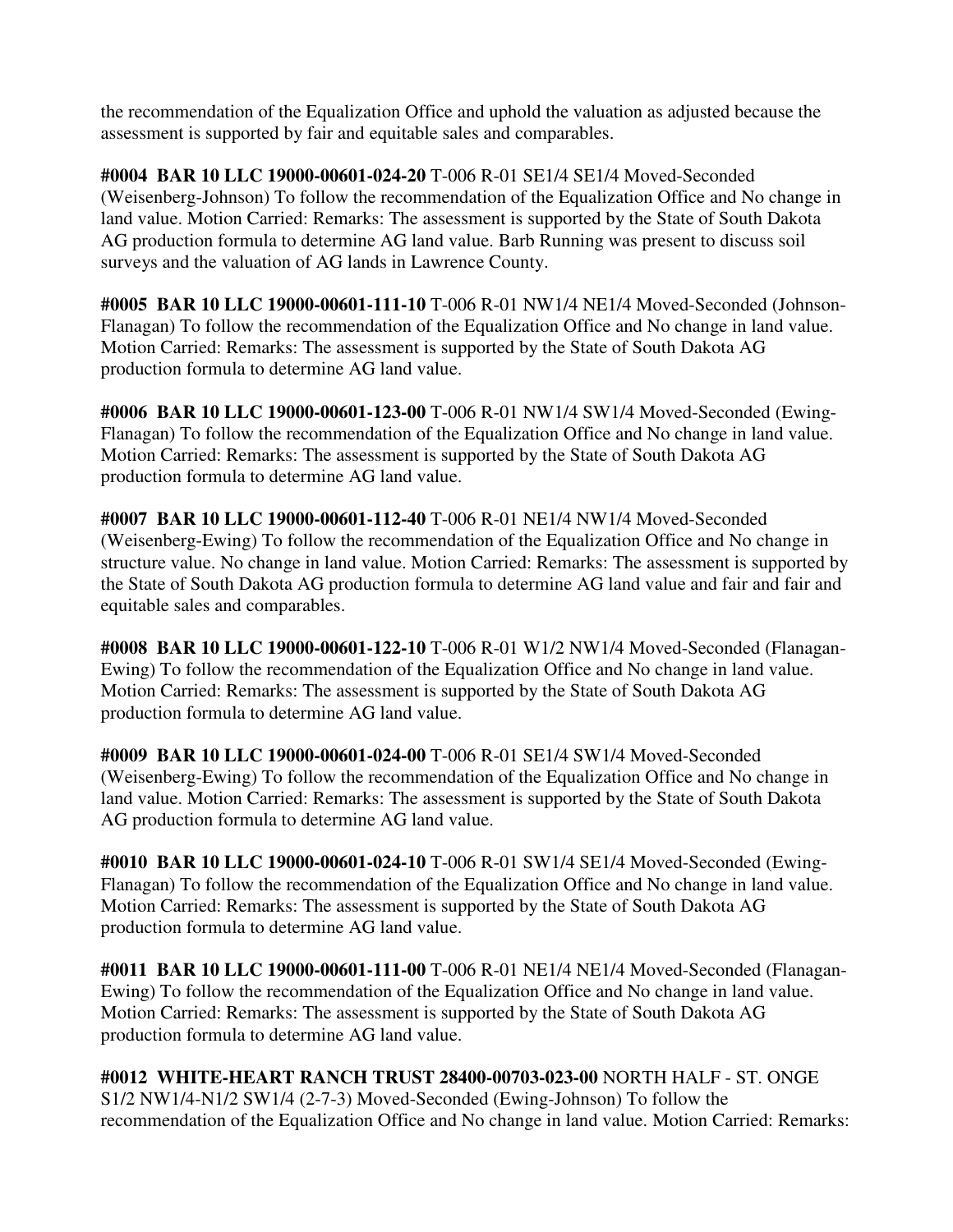the recommendation of the Equalization Office and uphold the valuation as adjusted because the assessment is supported by fair and equitable sales and comparables.

**#0004 BAR 10 LLC 19000-00601-024-20** T-006 R-01 SE1/4 SE1/4 Moved-Seconded (Weisenberg-Johnson) To follow the recommendation of the Equalization Office and No change in land value. Motion Carried: Remarks: The assessment is supported by the State of South Dakota AG production formula to determine AG land value. Barb Running was present to discuss soil surveys and the valuation of AG lands in Lawrence County.

**#0005 BAR 10 LLC 19000-00601-111-10** T-006 R-01 NW1/4 NE1/4 Moved-Seconded (Johnson-Flanagan) To follow the recommendation of the Equalization Office and No change in land value. Motion Carried: Remarks: The assessment is supported by the State of South Dakota AG production formula to determine AG land value.

**#0006 BAR 10 LLC 19000-00601-123-00** T-006 R-01 NW1/4 SW1/4 Moved-Seconded (Ewing-Flanagan) To follow the recommendation of the Equalization Office and No change in land value. Motion Carried: Remarks: The assessment is supported by the State of South Dakota AG production formula to determine AG land value.

**#0007 BAR 10 LLC 19000-00601-112-40** T-006 R-01 NE1/4 NW1/4 Moved-Seconded (Weisenberg-Ewing) To follow the recommendation of the Equalization Office and No change in structure value. No change in land value. Motion Carried: Remarks: The assessment is supported by the State of South Dakota AG production formula to determine AG land value and fair and fair and equitable sales and comparables.

**#0008 BAR 10 LLC 19000-00601-122-10** T-006 R-01 W1/2 NW1/4 Moved-Seconded (Flanagan-Ewing) To follow the recommendation of the Equalization Office and No change in land value. Motion Carried: Remarks: The assessment is supported by the State of South Dakota AG production formula to determine AG land value.

**#0009 BAR 10 LLC 19000-00601-024-00** T-006 R-01 SE1/4 SW1/4 Moved-Seconded (Weisenberg-Ewing) To follow the recommendation of the Equalization Office and No change in land value. Motion Carried: Remarks: The assessment is supported by the State of South Dakota AG production formula to determine AG land value.

**#0010 BAR 10 LLC 19000-00601-024-10** T-006 R-01 SW1/4 SE1/4 Moved-Seconded (Ewing-Flanagan) To follow the recommendation of the Equalization Office and No change in land value. Motion Carried: Remarks: The assessment is supported by the State of South Dakota AG production formula to determine AG land value.

**#0011 BAR 10 LLC 19000-00601-111-00** T-006 R-01 NE1/4 NE1/4 Moved-Seconded (Flanagan-Ewing) To follow the recommendation of the Equalization Office and No change in land value. Motion Carried: Remarks: The assessment is supported by the State of South Dakota AG production formula to determine AG land value.

**#0012 WHITE-HEART RANCH TRUST 28400-00703-023-00** NORTH HALF - ST. ONGE S1/2 NW1/4-N1/2 SW1/4 (2-7-3) Moved-Seconded (Ewing-Johnson) To follow the recommendation of the Equalization Office and No change in land value. Motion Carried: Remarks: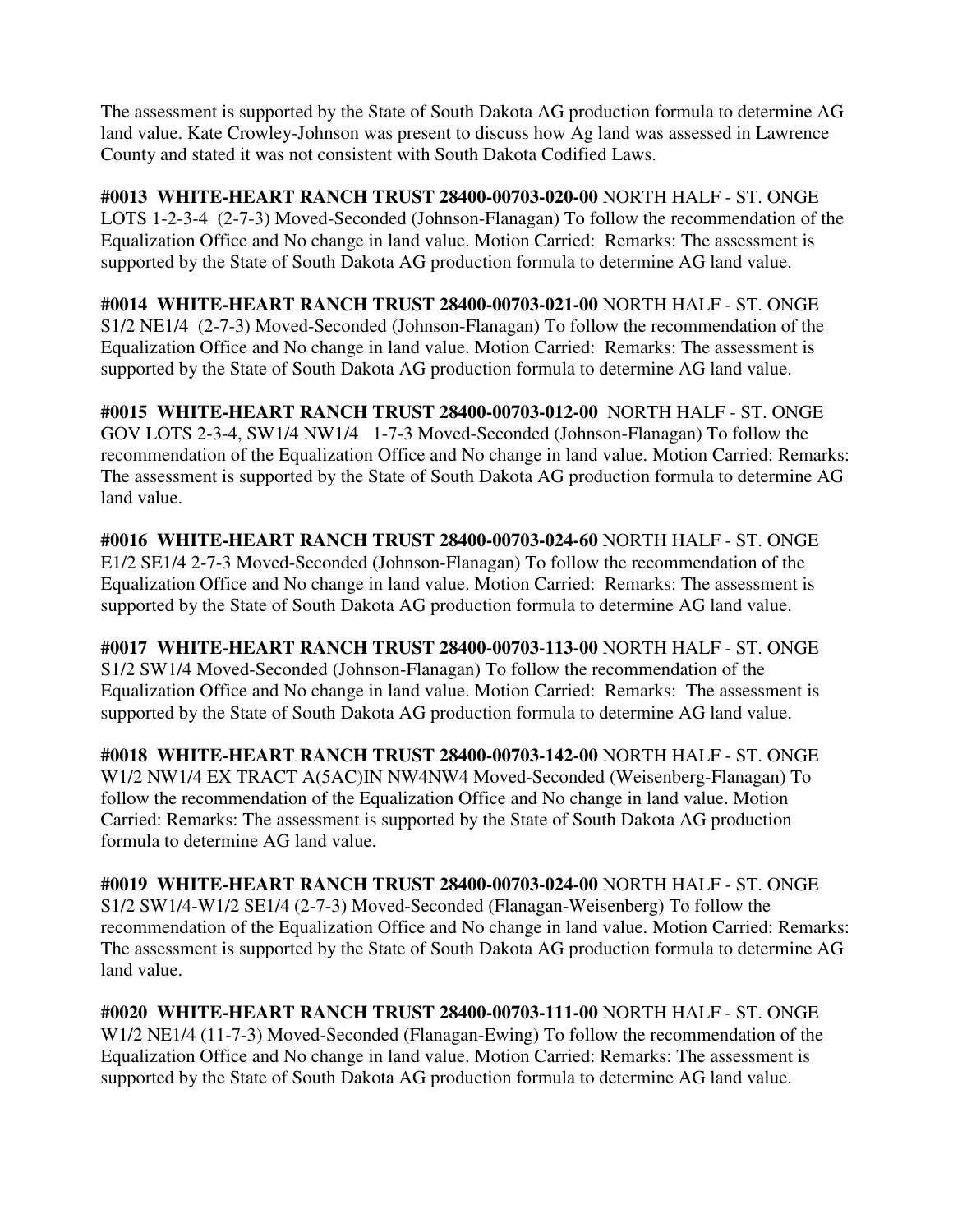The assessment is supported by the State of South Dakota AG production formula to determine AG land value. Kate Crowley-Johnson was present to discuss how Ag land was assessed in Lawrence County and stated it was not consistent with South Dakota Codified Laws.

**#0013 WHITE-HEART RANCH TRUST 28400-00703-020-00** NORTH HALF - ST. ONGE LOTS 1-2-3-4 (2-7-3) Moved-Seconded (Johnson-Flanagan) To follow the recommendation of the Equalization Office and No change in land value. Motion Carried: Remarks: The assessment is supported by the State of South Dakota AG production formula to determine AG land value.

**#0014 WHITE-HEART RANCH TRUST 28400-00703-021-00** NORTH HALF - ST. ONGE S1/2 NE1/4 (2-7-3) Moved-Seconded (Johnson-Flanagan) To follow the recommendation of the Equalization Office and No change in land value. Motion Carried: Remarks: The assessment is supported by the State of South Dakota AG production formula to determine AG land value.

**#0015 WHITE-HEART RANCH TRUST 28400-00703-012-00** NORTH HALF - ST. ONGE GOV LOTS 2-3-4, SW1/4 NW1/4 1-7-3 Moved-Seconded (Johnson-Flanagan) To follow the recommendation of the Equalization Office and No change in land value. Motion Carried: Remarks: The assessment is supported by the State of South Dakota AG production formula to determine AG land value.

**#0016 WHITE-HEART RANCH TRUST 28400-00703-024-60** NORTH HALF - ST. ONGE E1/2 SE1/4 2-7-3 Moved-Seconded (Johnson-Flanagan) To follow the recommendation of the Equalization Office and No change in land value. Motion Carried: Remarks: The assessment is supported by the State of South Dakota AG production formula to determine AG land value.

**#0017 WHITE-HEART RANCH TRUST 28400-00703-113-00** NORTH HALF - ST. ONGE S1/2 SW1/4 Moved-Seconded (Johnson-Flanagan) To follow the recommendation of the Equalization Office and No change in land value. Motion Carried: Remarks: The assessment is supported by the State of South Dakota AG production formula to determine AG land value.

**#0018 WHITE-HEART RANCH TRUST 28400-00703-142-00** NORTH HALF - ST. ONGE W1/2 NW1/4 EX TRACT A(5AC)IN NW4NW4 Moved-Seconded (Weisenberg-Flanagan) To follow the recommendation of the Equalization Office and No change in land value. Motion Carried: Remarks: The assessment is supported by the State of South Dakota AG production formula to determine AG land value.

**#0019 WHITE-HEART RANCH TRUST 28400-00703-024-00** NORTH HALF - ST. ONGE S1/2 SW1/4-W1/2 SE1/4 (2-7-3) Moved-Seconded (Flanagan-Weisenberg) To follow the recommendation of the Equalization Office and No change in land value. Motion Carried: Remarks: The assessment is supported by the State of South Dakota AG production formula to determine AG land value.

**#0020 WHITE-HEART RANCH TRUST 28400-00703-111-00** NORTH HALF - ST. ONGE W1/2 NE1/4 (11-7-3) Moved-Seconded (Flanagan-Ewing) To follow the recommendation of the Equalization Office and No change in land value. Motion Carried: Remarks: The assessment is supported by the State of South Dakota AG production formula to determine AG land value.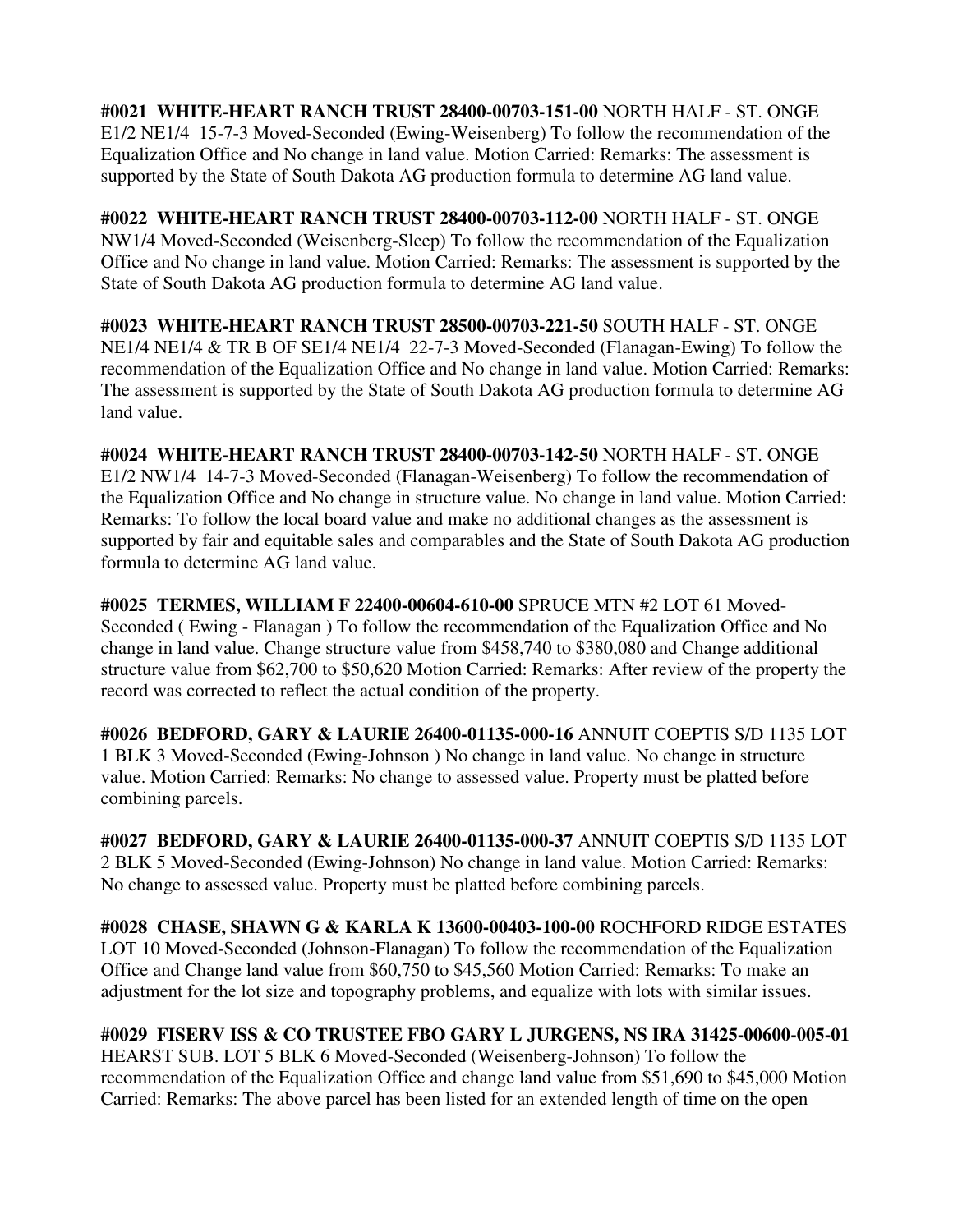**#0021 WHITE-HEART RANCH TRUST 28400-00703-151-00** NORTH HALF - ST. ONGE E1/2 NE1/4 15-7-3 Moved-Seconded (Ewing-Weisenberg) To follow the recommendation of the Equalization Office and No change in land value. Motion Carried: Remarks: The assessment is supported by the State of South Dakota AG production formula to determine AG land value.

**#0022 WHITE-HEART RANCH TRUST 28400-00703-112-00** NORTH HALF - ST. ONGE NW1/4 Moved-Seconded (Weisenberg-Sleep) To follow the recommendation of the Equalization Office and No change in land value. Motion Carried: Remarks: The assessment is supported by the State of South Dakota AG production formula to determine AG land value.

**#0023 WHITE-HEART RANCH TRUST 28500-00703-221-50** SOUTH HALF - ST. ONGE NE1/4 NE1/4 & TR B OF SE1/4 NE1/4 22-7-3 Moved-Seconded (Flanagan-Ewing) To follow the recommendation of the Equalization Office and No change in land value. Motion Carried: Remarks: The assessment is supported by the State of South Dakota AG production formula to determine AG land value.

**#0024 WHITE-HEART RANCH TRUST 28400-00703-142-50** NORTH HALF - ST. ONGE E1/2 NW1/4 14-7-3 Moved-Seconded (Flanagan-Weisenberg) To follow the recommendation of the Equalization Office and No change in structure value. No change in land value. Motion Carried: Remarks: To follow the local board value and make no additional changes as the assessment is supported by fair and equitable sales and comparables and the State of South Dakota AG production formula to determine AG land value.

**#0025 TERMES, WILLIAM F 22400-00604-610-00** SPRUCE MTN #2 LOT 61 Moved-Seconded ( Ewing - Flanagan ) To follow the recommendation of the Equalization Office and No change in land value. Change structure value from \$458,740 to \$380,080 and Change additional structure value from \$62,700 to \$50,620 Motion Carried: Remarks: After review of the property the record was corrected to reflect the actual condition of the property.

**#0026 BEDFORD, GARY & LAURIE 26400-01135-000-16** ANNUIT COEPTIS S/D 1135 LOT 1 BLK 3 Moved-Seconded (Ewing-Johnson ) No change in land value. No change in structure value. Motion Carried: Remarks: No change to assessed value. Property must be platted before combining parcels.

**#0027 BEDFORD, GARY & LAURIE 26400-01135-000-37** ANNUIT COEPTIS S/D 1135 LOT 2 BLK 5 Moved-Seconded (Ewing-Johnson) No change in land value. Motion Carried: Remarks: No change to assessed value. Property must be platted before combining parcels.

**#0028 CHASE, SHAWN G & KARLA K 13600-00403-100-00** ROCHFORD RIDGE ESTATES LOT 10 Moved-Seconded (Johnson-Flanagan) To follow the recommendation of the Equalization Office and Change land value from \$60,750 to \$45,560 Motion Carried: Remarks: To make an adjustment for the lot size and topography problems, and equalize with lots with similar issues.

**#0029 FISERV ISS & CO TRUSTEE FBO GARY L JURGENS, NS IRA 31425-00600-005-01**  HEARST SUB. LOT 5 BLK 6 Moved-Seconded (Weisenberg-Johnson) To follow the recommendation of the Equalization Office and change land value from \$51,690 to \$45,000 Motion Carried: Remarks: The above parcel has been listed for an extended length of time on the open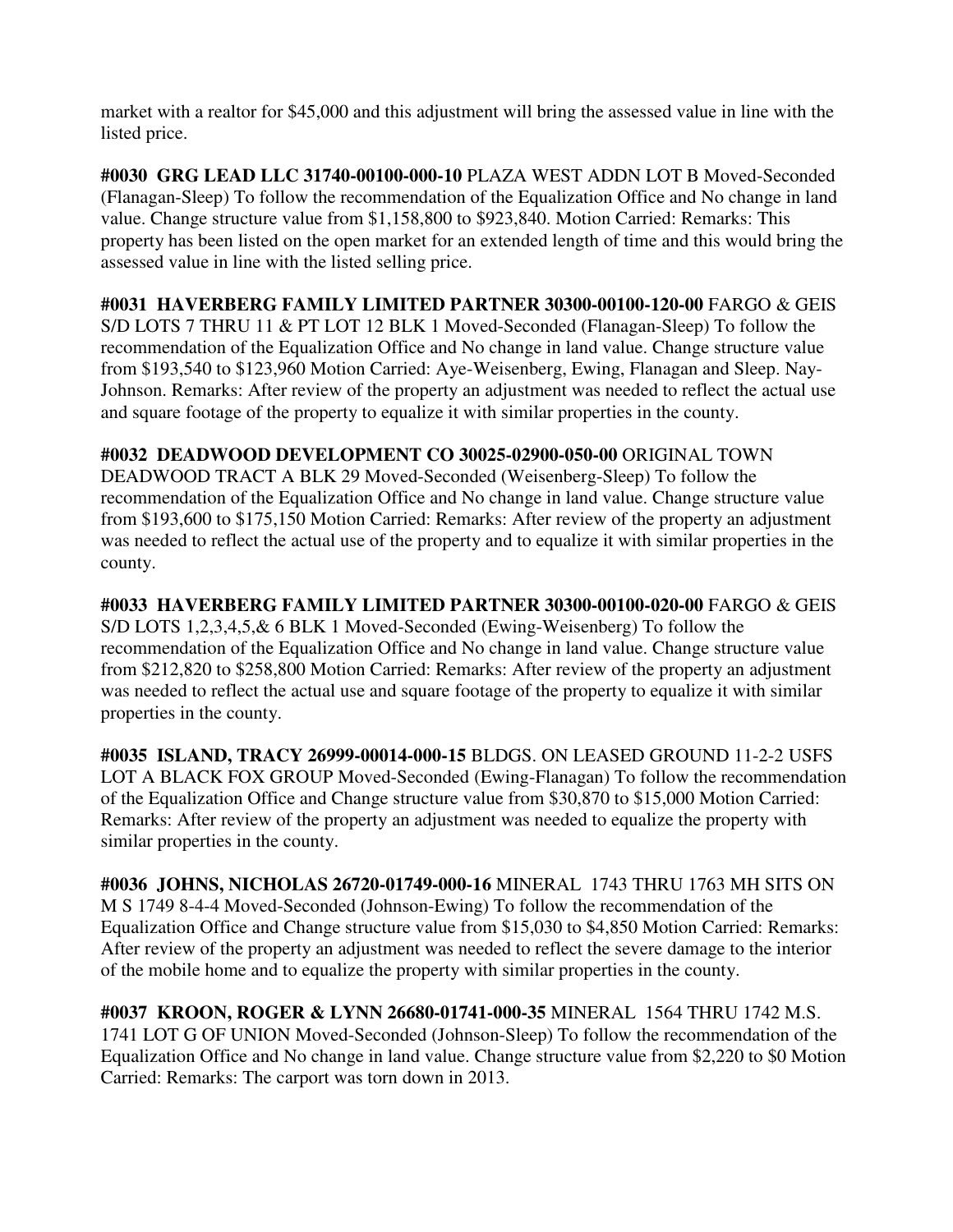market with a realtor for \$45,000 and this adjustment will bring the assessed value in line with the listed price.

**#0030 GRG LEAD LLC 31740-00100-000-10** PLAZA WEST ADDN LOT B Moved-Seconded (Flanagan-Sleep) To follow the recommendation of the Equalization Office and No change in land value. Change structure value from \$1,158,800 to \$923,840. Motion Carried: Remarks: This property has been listed on the open market for an extended length of time and this would bring the assessed value in line with the listed selling price.

## **#0031 HAVERBERG FAMILY LIMITED PARTNER 30300-00100-120-00** FARGO & GEIS

S/D LOTS 7 THRU 11 & PT LOT 12 BLK 1 Moved-Seconded (Flanagan-Sleep) To follow the recommendation of the Equalization Office and No change in land value. Change structure value from \$193,540 to \$123,960 Motion Carried: Aye-Weisenberg, Ewing, Flanagan and Sleep. Nay-Johnson. Remarks: After review of the property an adjustment was needed to reflect the actual use and square footage of the property to equalize it with similar properties in the county.

## **#0032 DEADWOOD DEVELOPMENT CO 30025-02900-050-00** ORIGINAL TOWN

DEADWOOD TRACT A BLK 29 Moved-Seconded (Weisenberg-Sleep) To follow the recommendation of the Equalization Office and No change in land value. Change structure value from \$193,600 to \$175,150 Motion Carried: Remarks: After review of the property an adjustment was needed to reflect the actual use of the property and to equalize it with similar properties in the county.

**#0033 HAVERBERG FAMILY LIMITED PARTNER 30300-00100-020-00** FARGO & GEIS S/D LOTS 1,2,3,4,5,& 6 BLK 1 Moved-Seconded (Ewing-Weisenberg) To follow the recommendation of the Equalization Office and No change in land value. Change structure value from \$212,820 to \$258,800 Motion Carried: Remarks: After review of the property an adjustment was needed to reflect the actual use and square footage of the property to equalize it with similar properties in the county.

**#0035 ISLAND, TRACY 26999-00014-000-15** BLDGS. ON LEASED GROUND 11-2-2 USFS LOT A BLACK FOX GROUP Moved-Seconded (Ewing-Flanagan) To follow the recommendation of the Equalization Office and Change structure value from \$30,870 to \$15,000 Motion Carried: Remarks: After review of the property an adjustment was needed to equalize the property with similar properties in the county.

**#0036 JOHNS, NICHOLAS 26720-01749-000-16** MINERAL 1743 THRU 1763 MH SITS ON M S 1749 8-4-4 Moved-Seconded (Johnson-Ewing) To follow the recommendation of the Equalization Office and Change structure value from \$15,030 to \$4,850 Motion Carried: Remarks: After review of the property an adjustment was needed to reflect the severe damage to the interior of the mobile home and to equalize the property with similar properties in the county.

**#0037 KROON, ROGER & LYNN 26680-01741-000-35** MINERAL 1564 THRU 1742 M.S. 1741 LOT G OF UNION Moved-Seconded (Johnson-Sleep) To follow the recommendation of the Equalization Office and No change in land value. Change structure value from \$2,220 to \$0 Motion Carried: Remarks: The carport was torn down in 2013.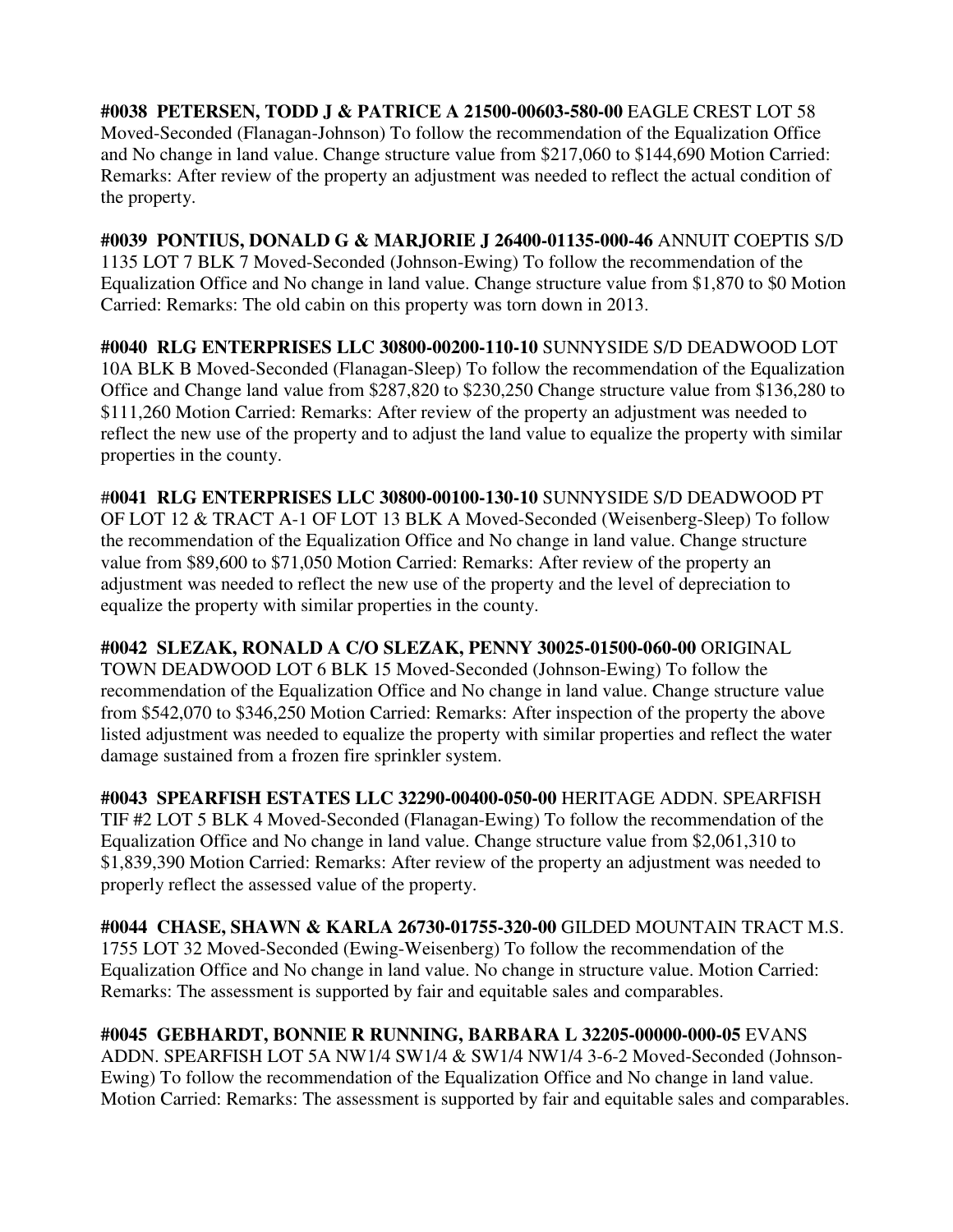**#0038 PETERSEN, TODD J & PATRICE A 21500-00603-580-00** EAGLE CREST LOT 58 Moved-Seconded (Flanagan-Johnson) To follow the recommendation of the Equalization Office and No change in land value. Change structure value from \$217,060 to \$144,690 Motion Carried: Remarks: After review of the property an adjustment was needed to reflect the actual condition of the property.

**#0039 PONTIUS, DONALD G & MARJORIE J 26400-01135-000-46** ANNUIT COEPTIS S/D 1135 LOT 7 BLK 7 Moved-Seconded (Johnson-Ewing) To follow the recommendation of the Equalization Office and No change in land value. Change structure value from \$1,870 to \$0 Motion Carried: Remarks: The old cabin on this property was torn down in 2013.

**#0040 RLG ENTERPRISES LLC 30800-00200-110-10** SUNNYSIDE S/D DEADWOOD LOT 10A BLK B Moved-Seconded (Flanagan-Sleep) To follow the recommendation of the Equalization Office and Change land value from \$287,820 to \$230,250 Change structure value from \$136,280 to \$111,260 Motion Carried: Remarks: After review of the property an adjustment was needed to reflect the new use of the property and to adjust the land value to equalize the property with similar properties in the county.

#**0041 RLG ENTERPRISES LLC 30800-00100-130-10** SUNNYSIDE S/D DEADWOOD PT OF LOT 12 & TRACT A-1 OF LOT 13 BLK A Moved-Seconded (Weisenberg-Sleep) To follow the recommendation of the Equalization Office and No change in land value. Change structure value from \$89,600 to \$71,050 Motion Carried: Remarks: After review of the property an adjustment was needed to reflect the new use of the property and the level of depreciation to equalize the property with similar properties in the county.

**#0042 SLEZAK, RONALD A C/O SLEZAK, PENNY 30025-01500-060-00** ORIGINAL TOWN DEADWOOD LOT 6 BLK 15 Moved-Seconded (Johnson-Ewing) To follow the recommendation of the Equalization Office and No change in land value. Change structure value from \$542,070 to \$346,250 Motion Carried: Remarks: After inspection of the property the above listed adjustment was needed to equalize the property with similar properties and reflect the water damage sustained from a frozen fire sprinkler system.

**#0043 SPEARFISH ESTATES LLC 32290-00400-050-00** HERITAGE ADDN. SPEARFISH TIF #2 LOT 5 BLK 4 Moved-Seconded (Flanagan-Ewing) To follow the recommendation of the Equalization Office and No change in land value. Change structure value from \$2,061,310 to \$1,839,390 Motion Carried: Remarks: After review of the property an adjustment was needed to properly reflect the assessed value of the property.

**#0044 CHASE, SHAWN & KARLA 26730-01755-320-00** GILDED MOUNTAIN TRACT M.S. 1755 LOT 32 Moved-Seconded (Ewing-Weisenberg) To follow the recommendation of the Equalization Office and No change in land value. No change in structure value. Motion Carried: Remarks: The assessment is supported by fair and equitable sales and comparables.

**#0045 GEBHARDT, BONNIE R RUNNING, BARBARA L 32205-00000-000-05** EVANS ADDN. SPEARFISH LOT 5A NW1/4 SW1/4 & SW1/4 NW1/4 3-6-2 Moved-Seconded (Johnson-Ewing) To follow the recommendation of the Equalization Office and No change in land value. Motion Carried: Remarks: The assessment is supported by fair and equitable sales and comparables.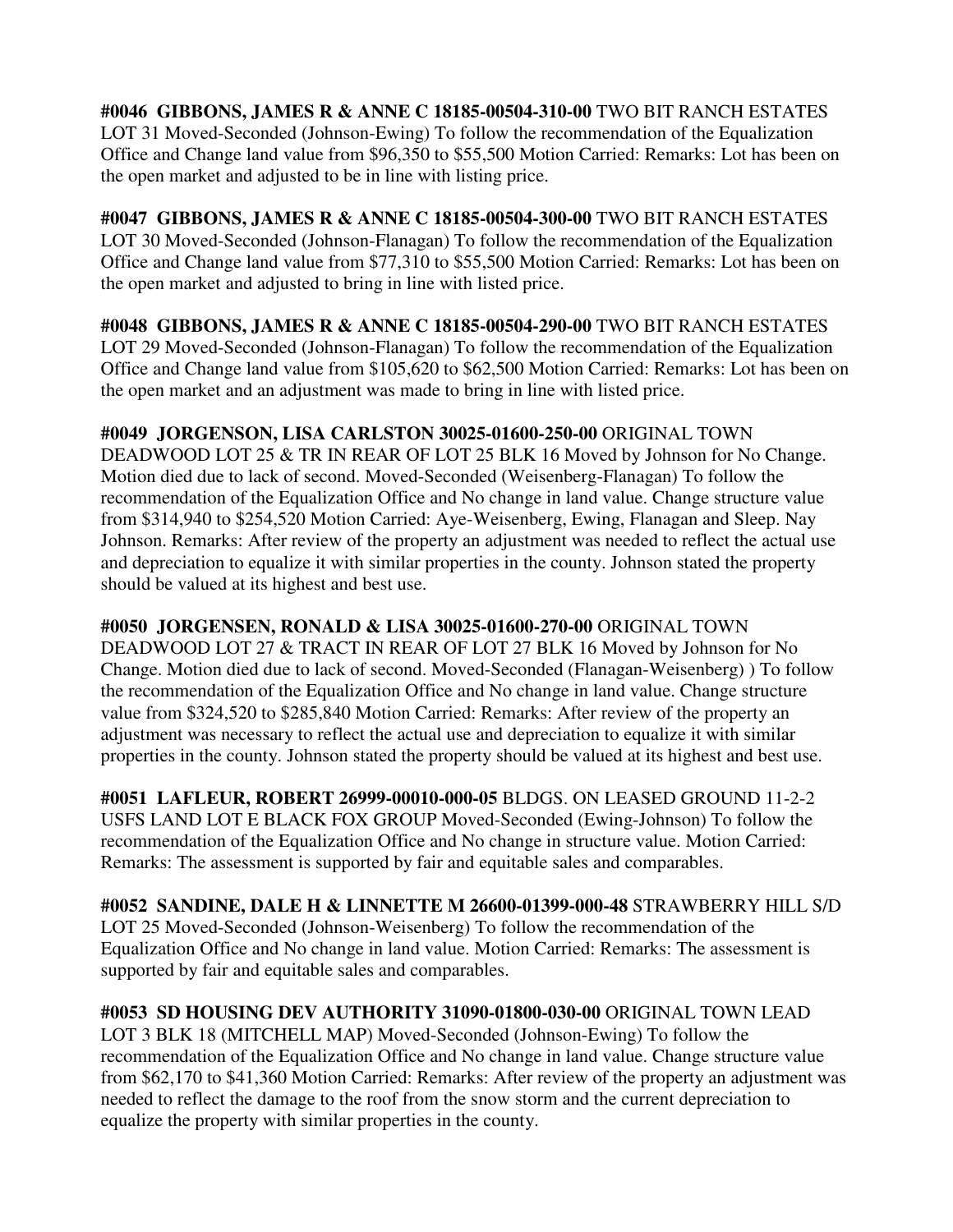**#0046 GIBBONS, JAMES R & ANNE C 18185-00504-310-00** TWO BIT RANCH ESTATES LOT 31 Moved-Seconded (Johnson-Ewing) To follow the recommendation of the Equalization Office and Change land value from \$96,350 to \$55,500 Motion Carried: Remarks: Lot has been on the open market and adjusted to be in line with listing price.

**#0047 GIBBONS, JAMES R & ANNE C 18185-00504-300-00** TWO BIT RANCH ESTATES LOT 30 Moved-Seconded (Johnson-Flanagan) To follow the recommendation of the Equalization Office and Change land value from \$77,310 to \$55,500 Motion Carried: Remarks: Lot has been on the open market and adjusted to bring in line with listed price.

**#0048 GIBBONS, JAMES R & ANNE C 18185-00504-290-00** TWO BIT RANCH ESTATES LOT 29 Moved-Seconded (Johnson-Flanagan) To follow the recommendation of the Equalization Office and Change land value from \$105,620 to \$62,500 Motion Carried: Remarks: Lot has been on the open market and an adjustment was made to bring in line with listed price.

**#0049 JORGENSON, LISA CARLSTON 30025-01600-250-00** ORIGINAL TOWN DEADWOOD LOT 25 & TR IN REAR OF LOT 25 BLK 16 Moved by Johnson for No Change. Motion died due to lack of second. Moved-Seconded (Weisenberg-Flanagan) To follow the recommendation of the Equalization Office and No change in land value. Change structure value from \$314,940 to \$254,520 Motion Carried: Aye-Weisenberg, Ewing, Flanagan and Sleep. Nay Johnson. Remarks: After review of the property an adjustment was needed to reflect the actual use and depreciation to equalize it with similar properties in the county. Johnson stated the property should be valued at its highest and best use.

**#0050 JORGENSEN, RONALD & LISA 30025-01600-270-00** ORIGINAL TOWN DEADWOOD LOT 27 & TRACT IN REAR OF LOT 27 BLK 16 Moved by Johnson for No Change. Motion died due to lack of second. Moved-Seconded (Flanagan-Weisenberg) ) To follow the recommendation of the Equalization Office and No change in land value. Change structure value from \$324,520 to \$285,840 Motion Carried: Remarks: After review of the property an adjustment was necessary to reflect the actual use and depreciation to equalize it with similar properties in the county. Johnson stated the property should be valued at its highest and best use.

**#0051 LAFLEUR, ROBERT 26999-00010-000-05** BLDGS. ON LEASED GROUND 11-2-2 USFS LAND LOT E BLACK FOX GROUP Moved-Seconded (Ewing-Johnson) To follow the recommendation of the Equalization Office and No change in structure value. Motion Carried: Remarks: The assessment is supported by fair and equitable sales and comparables.

**#0052 SANDINE, DALE H & LINNETTE M 26600-01399-000-48** STRAWBERRY HILL S/D LOT 25 Moved-Seconded (Johnson-Weisenberg) To follow the recommendation of the Equalization Office and No change in land value. Motion Carried: Remarks: The assessment is supported by fair and equitable sales and comparables.

**#0053 SD HOUSING DEV AUTHORITY 31090-01800-030-00** ORIGINAL TOWN LEAD LOT 3 BLK 18 (MITCHELL MAP) Moved-Seconded (Johnson-Ewing) To follow the recommendation of the Equalization Office and No change in land value. Change structure value from \$62,170 to \$41,360 Motion Carried: Remarks: After review of the property an adjustment was needed to reflect the damage to the roof from the snow storm and the current depreciation to equalize the property with similar properties in the county.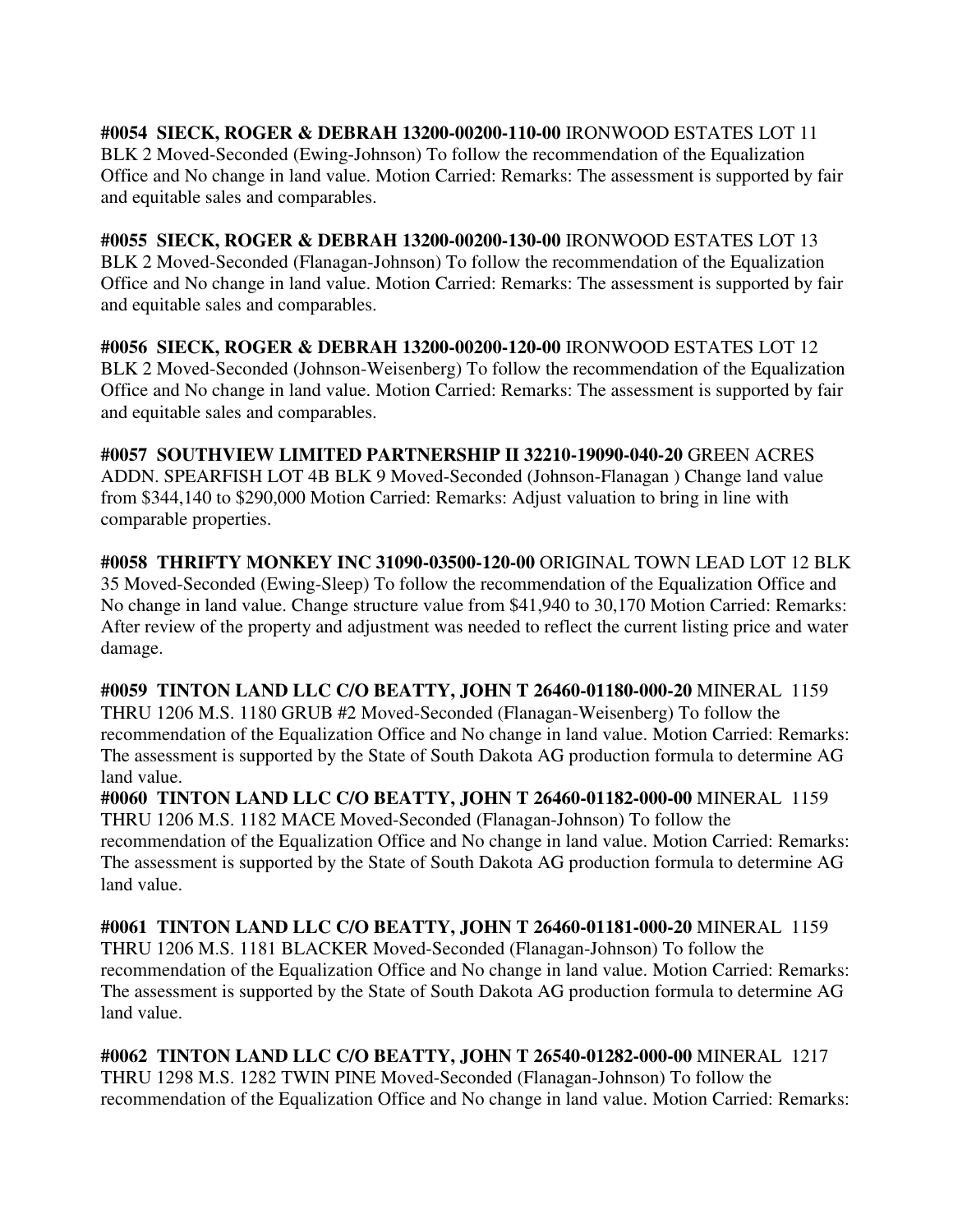**#0054 SIECK, ROGER & DEBRAH 13200-00200-110-00** IRONWOOD ESTATES LOT 11 BLK 2 Moved-Seconded (Ewing-Johnson) To follow the recommendation of the Equalization Office and No change in land value. Motion Carried: Remarks: The assessment is supported by fair and equitable sales and comparables.

**#0055 SIECK, ROGER & DEBRAH 13200-00200-130-00** IRONWOOD ESTATES LOT 13 BLK 2 Moved-Seconded (Flanagan-Johnson) To follow the recommendation of the Equalization Office and No change in land value. Motion Carried: Remarks: The assessment is supported by fair and equitable sales and comparables.

**#0056 SIECK, ROGER & DEBRAH 13200-00200-120-00** IRONWOOD ESTATES LOT 12 BLK 2 Moved-Seconded (Johnson-Weisenberg) To follow the recommendation of the Equalization Office and No change in land value. Motion Carried: Remarks: The assessment is supported by fair and equitable sales and comparables.

**#0057 SOUTHVIEW LIMITED PARTNERSHIP II 32210-19090-040-20** GREEN ACRES ADDN. SPEARFISH LOT 4B BLK 9 Moved-Seconded (Johnson-Flanagan ) Change land value from \$344,140 to \$290,000 Motion Carried: Remarks: Adjust valuation to bring in line with comparable properties.

**#0058 THRIFTY MONKEY INC 31090-03500-120-00** ORIGINAL TOWN LEAD LOT 12 BLK 35 Moved-Seconded (Ewing-Sleep) To follow the recommendation of the Equalization Office and No change in land value. Change structure value from \$41,940 to 30,170 Motion Carried: Remarks: After review of the property and adjustment was needed to reflect the current listing price and water damage.

**#0059 TINTON LAND LLC C/O BEATTY, JOHN T 26460-01180-000-20** MINERAL 1159 THRU 1206 M.S. 1180 GRUB #2 Moved-Seconded (Flanagan-Weisenberg) To follow the recommendation of the Equalization Office and No change in land value. Motion Carried: Remarks: The assessment is supported by the State of South Dakota AG production formula to determine AG land value.

**#0060 TINTON LAND LLC C/O BEATTY, JOHN T 26460-01182-000-00** MINERAL 1159 THRU 1206 M.S. 1182 MACE Moved-Seconded (Flanagan-Johnson) To follow the recommendation of the Equalization Office and No change in land value. Motion Carried: Remarks: The assessment is supported by the State of South Dakota AG production formula to determine AG land value.

**#0061 TINTON LAND LLC C/O BEATTY, JOHN T 26460-01181-000-20** MINERAL 1159 THRU 1206 M.S. 1181 BLACKER Moved-Seconded (Flanagan-Johnson) To follow the recommendation of the Equalization Office and No change in land value. Motion Carried: Remarks: The assessment is supported by the State of South Dakota AG production formula to determine AG land value.

**#0062 TINTON LAND LLC C/O BEATTY, JOHN T 26540-01282-000-00** MINERAL 1217 THRU 1298 M.S. 1282 TWIN PINE Moved-Seconded (Flanagan-Johnson) To follow the recommendation of the Equalization Office and No change in land value. Motion Carried: Remarks: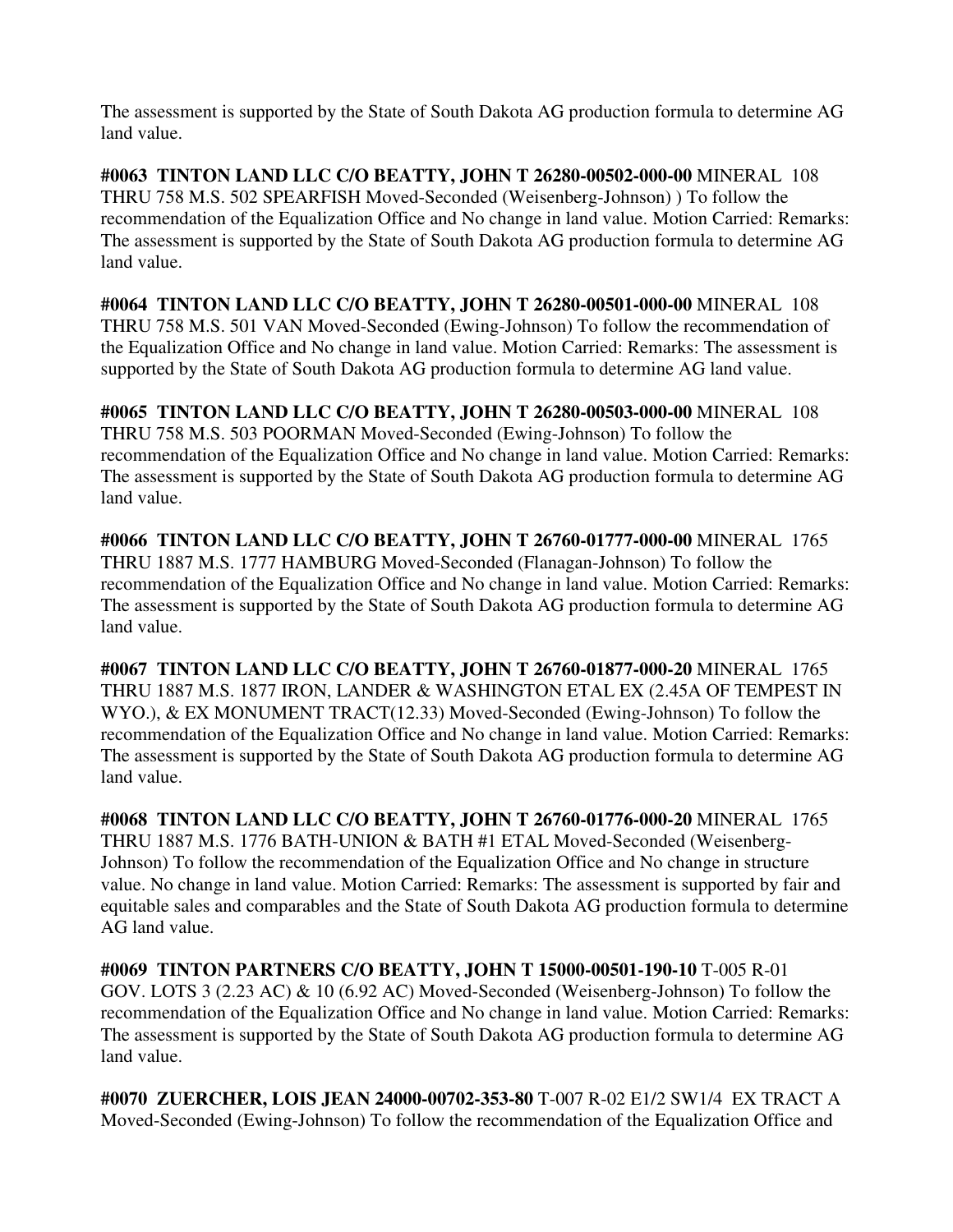The assessment is supported by the State of South Dakota AG production formula to determine AG land value.

**#0063 TINTON LAND LLC C/O BEATTY, JOHN T 26280-00502-000-00** MINERAL 108 THRU 758 M.S. 502 SPEARFISH Moved-Seconded (Weisenberg-Johnson) ) To follow the recommendation of the Equalization Office and No change in land value. Motion Carried: Remarks: The assessment is supported by the State of South Dakota AG production formula to determine AG land value.

**#0064 TINTON LAND LLC C/O BEATTY, JOHN T 26280-00501-000-00** MINERAL 108 THRU 758 M.S. 501 VAN Moved-Seconded (Ewing-Johnson) To follow the recommendation of the Equalization Office and No change in land value. Motion Carried: Remarks: The assessment is supported by the State of South Dakota AG production formula to determine AG land value.

**#0065 TINTON LAND LLC C/O BEATTY, JOHN T 26280-00503-000-00** MINERAL 108 THRU 758 M.S. 503 POORMAN Moved-Seconded (Ewing-Johnson) To follow the recommendation of the Equalization Office and No change in land value. Motion Carried: Remarks: The assessment is supported by the State of South Dakota AG production formula to determine AG land value.

**#0066 TINTON LAND LLC C/O BEATTY, JOHN T 26760-01777-000-00** MINERAL 1765 THRU 1887 M.S. 1777 HAMBURG Moved-Seconded (Flanagan-Johnson) To follow the recommendation of the Equalization Office and No change in land value. Motion Carried: Remarks: The assessment is supported by the State of South Dakota AG production formula to determine AG land value.

**#0067 TINTON LAND LLC C/O BEATTY, JOHN T 26760-01877-000-20** MINERAL 1765 THRU 1887 M.S. 1877 IRON, LANDER & WASHINGTON ETAL EX (2.45A OF TEMPEST IN WYO.), & EX MONUMENT TRACT(12.33) Moved-Seconded (Ewing-Johnson) To follow the recommendation of the Equalization Office and No change in land value. Motion Carried: Remarks: The assessment is supported by the State of South Dakota AG production formula to determine AG land value.

**#0068 TINTON LAND LLC C/O BEATTY, JOHN T 26760-01776-000-20** MINERAL 1765 THRU 1887 M.S. 1776 BATH-UNION & BATH #1 ETAL Moved-Seconded (Weisenberg-Johnson) To follow the recommendation of the Equalization Office and No change in structure value. No change in land value. Motion Carried: Remarks: The assessment is supported by fair and equitable sales and comparables and the State of South Dakota AG production formula to determine AG land value.

**#0069 TINTON PARTNERS C/O BEATTY, JOHN T 15000-00501-190-10** T-005 R-01 GOV. LOTS 3 (2.23 AC) & 10 (6.92 AC) Moved-Seconded (Weisenberg-Johnson) To follow the recommendation of the Equalization Office and No change in land value. Motion Carried: Remarks: The assessment is supported by the State of South Dakota AG production formula to determine AG land value.

**#0070 ZUERCHER, LOIS JEAN 24000-00702-353-80** T-007 R-02 E1/2 SW1/4 EX TRACT A Moved-Seconded (Ewing-Johnson) To follow the recommendation of the Equalization Office and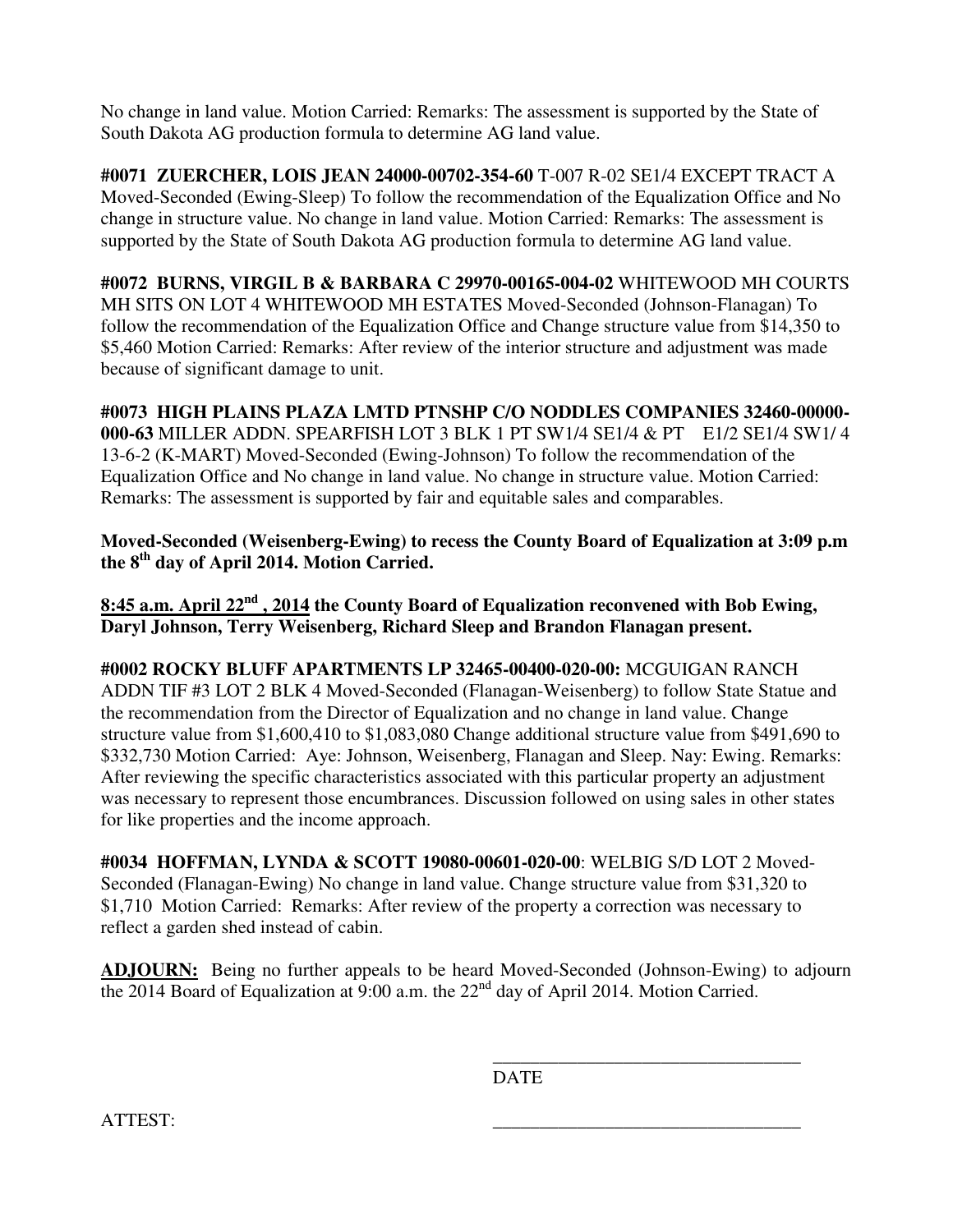No change in land value. Motion Carried: Remarks: The assessment is supported by the State of South Dakota AG production formula to determine AG land value.

**#0071 ZUERCHER, LOIS JEAN 24000-00702-354-60** T-007 R-02 SE1/4 EXCEPT TRACT A Moved-Seconded (Ewing-Sleep) To follow the recommendation of the Equalization Office and No change in structure value. No change in land value. Motion Carried: Remarks: The assessment is supported by the State of South Dakota AG production formula to determine AG land value.

**#0072 BURNS, VIRGIL B & BARBARA C 29970-00165-004-02** WHITEWOOD MH COURTS MH SITS ON LOT 4 WHITEWOOD MH ESTATES Moved-Seconded (Johnson-Flanagan) To follow the recommendation of the Equalization Office and Change structure value from \$14,350 to \$5,460 Motion Carried: Remarks: After review of the interior structure and adjustment was made because of significant damage to unit.

**#0073 HIGH PLAINS PLAZA LMTD PTNSHP C/O NODDLES COMPANIES 32460-00000- 000-63** MILLER ADDN. SPEARFISH LOT 3 BLK 1 PT SW1/4 SE1/4 & PT E1/2 SE1/4 SW1/ 4 13-6-2 (K-MART) Moved-Seconded (Ewing-Johnson) To follow the recommendation of the Equalization Office and No change in land value. No change in structure value. Motion Carried: Remarks: The assessment is supported by fair and equitable sales and comparables.

**Moved-Seconded (Weisenberg-Ewing) to recess the County Board of Equalization at 3:09 p.m the 8th day of April 2014. Motion Carried.** 

**8:45 a.m. April 22nd , 2014 the County Board of Equalization reconvened with Bob Ewing, Daryl Johnson, Terry Weisenberg, Richard Sleep and Brandon Flanagan present.** 

**#0002 ROCKY BLUFF APARTMENTS LP 32465-00400-020-00:** MCGUIGAN RANCH ADDN TIF #3 LOT 2 BLK 4 Moved-Seconded (Flanagan-Weisenberg) to follow State Statue and the recommendation from the Director of Equalization and no change in land value. Change structure value from \$1,600,410 to \$1,083,080 Change additional structure value from \$491,690 to \$332,730 Motion Carried: Aye: Johnson, Weisenberg, Flanagan and Sleep. Nay: Ewing. Remarks: After reviewing the specific characteristics associated with this particular property an adjustment was necessary to represent those encumbrances. Discussion followed on using sales in other states for like properties and the income approach.

**#0034 HOFFMAN, LYNDA & SCOTT 19080-00601-020-00**: WELBIG S/D LOT 2 Moved-Seconded (Flanagan-Ewing) No change in land value. Change structure value from \$31,320 to \$1,710 Motion Carried: Remarks: After review of the property a correction was necessary to reflect a garden shed instead of cabin.

 $\overline{\phantom{a}}$  , and the contract of the contract of the contract of the contract of the contract of the contract of the contract of the contract of the contract of the contract of the contract of the contract of the contrac

**ADJOURN:** Being no further appeals to be heard Moved-Seconded (Johnson-Ewing) to adjourn the 2014 Board of Equalization at 9:00 a.m. the  $22<sup>nd</sup>$  day of April 2014. Motion Carried.

DATE

ATTEST: \_\_\_\_\_\_\_\_\_\_\_\_\_\_\_\_\_\_\_\_\_\_\_\_\_\_\_\_\_\_\_\_\_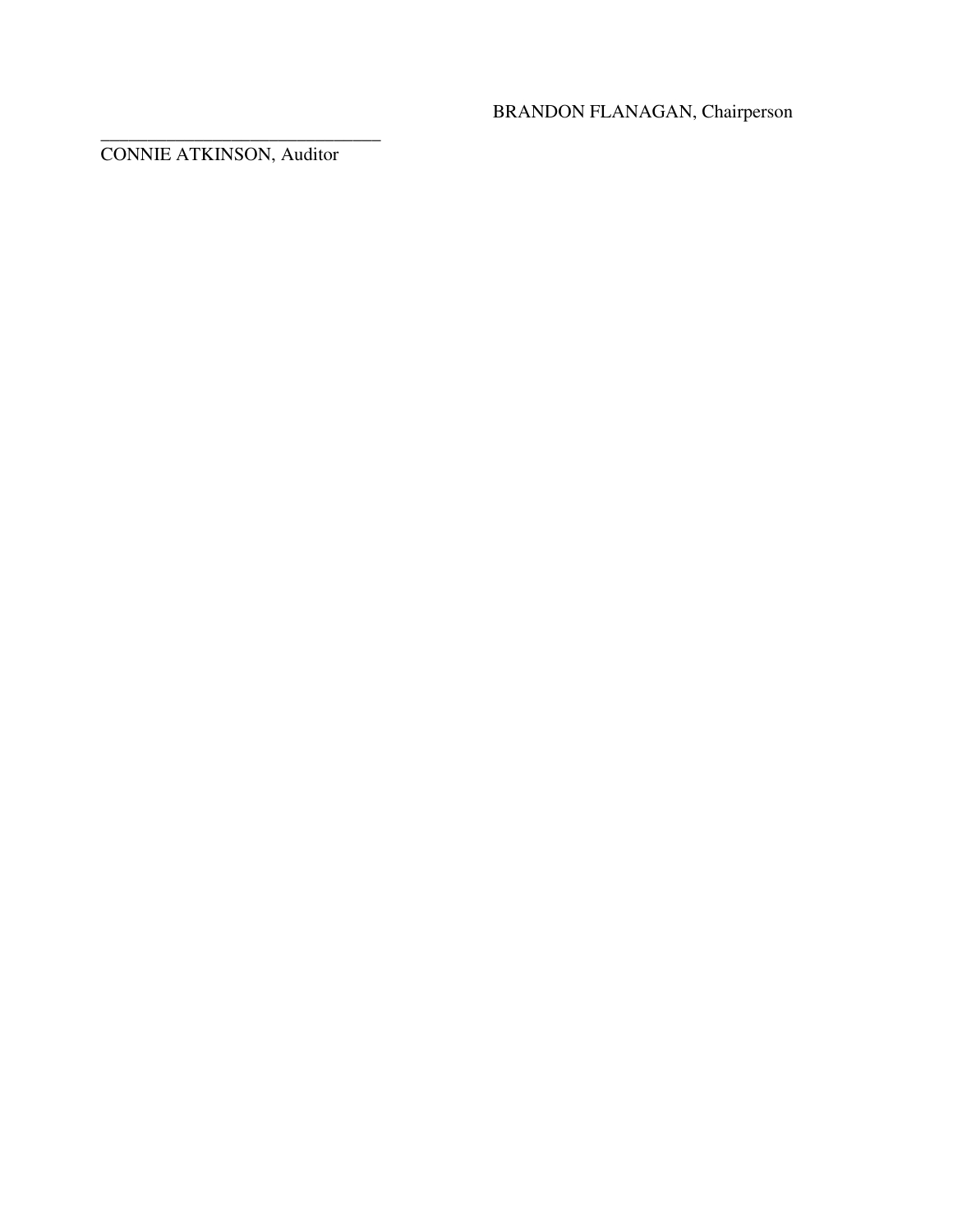# BRANDON FLANAGAN, Chairperson

CONNIE ATKINSON, Auditor

\_\_\_\_\_\_\_\_\_\_\_\_\_\_\_\_\_\_\_\_\_\_\_\_\_\_\_\_\_\_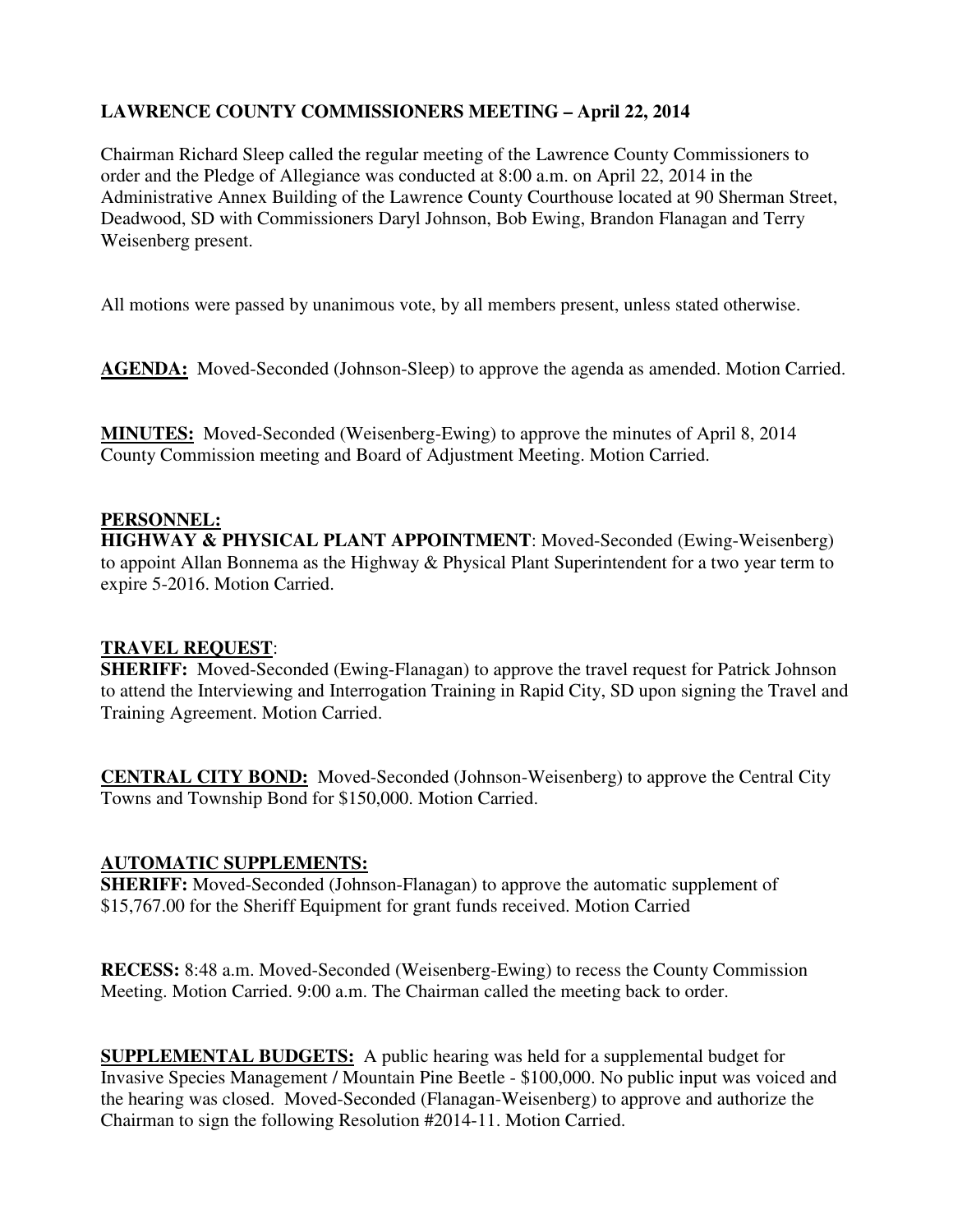## **LAWRENCE COUNTY COMMISSIONERS MEETING – April 22, 2014**

Chairman Richard Sleep called the regular meeting of the Lawrence County Commissioners to order and the Pledge of Allegiance was conducted at 8:00 a.m. on April 22, 2014 in the Administrative Annex Building of the Lawrence County Courthouse located at 90 Sherman Street, Deadwood, SD with Commissioners Daryl Johnson, Bob Ewing, Brandon Flanagan and Terry Weisenberg present.

All motions were passed by unanimous vote, by all members present, unless stated otherwise.

**AGENDA:** Moved-Seconded (Johnson-Sleep) to approve the agenda as amended. Motion Carried.

**MINUTES:** Moved-Seconded (Weisenberg-Ewing) to approve the minutes of April 8, 2014 County Commission meeting and Board of Adjustment Meeting. Motion Carried.

#### **PERSONNEL:**

**HIGHWAY & PHYSICAL PLANT APPOINTMENT**: Moved-Seconded (Ewing-Weisenberg) to appoint Allan Bonnema as the Highway & Physical Plant Superintendent for a two year term to expire 5-2016. Motion Carried.

#### **TRAVEL REQUEST**:

**SHERIFF:** Moved-Seconded (Ewing-Flanagan) to approve the travel request for Patrick Johnson to attend the Interviewing and Interrogation Training in Rapid City, SD upon signing the Travel and Training Agreement. Motion Carried.

**CENTRAL CITY BOND:** Moved-Seconded (Johnson-Weisenberg) to approve the Central City Towns and Township Bond for \$150,000. Motion Carried.

## **AUTOMATIC SUPPLEMENTS:**

**SHERIFF:** Moved-Seconded (Johnson-Flanagan) to approve the automatic supplement of \$15,767.00 for the Sheriff Equipment for grant funds received. Motion Carried

**RECESS:** 8:48 a.m. Moved-Seconded (Weisenberg-Ewing) to recess the County Commission Meeting. Motion Carried. 9:00 a.m. The Chairman called the meeting back to order.

**SUPPLEMENTAL BUDGETS:** A public hearing was held for a supplemental budget for Invasive Species Management / Mountain Pine Beetle - \$100,000. No public input was voiced and the hearing was closed. Moved-Seconded (Flanagan-Weisenberg) to approve and authorize the Chairman to sign the following Resolution #2014-11. Motion Carried.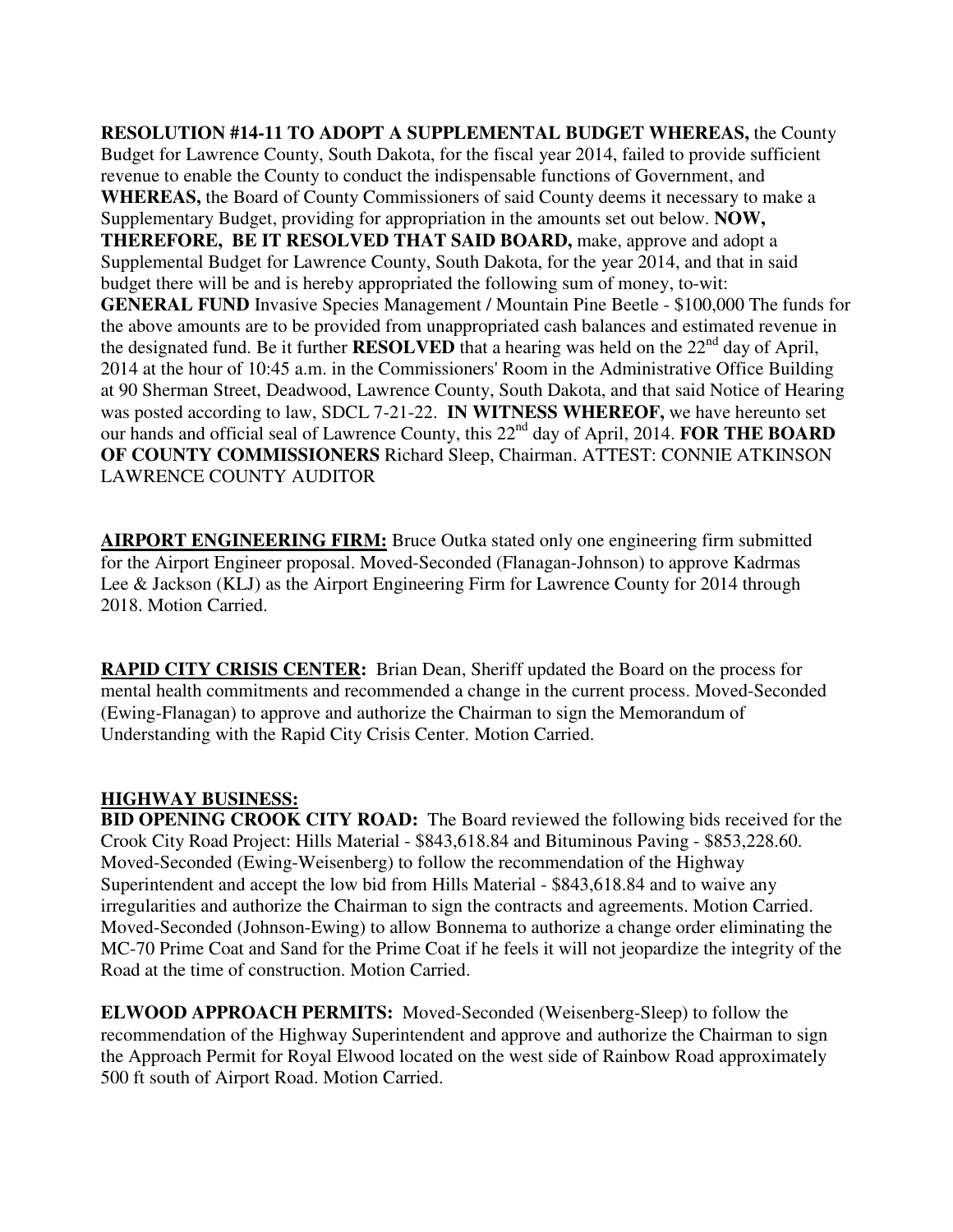**RESOLUTION #14-11 TO ADOPT A SUPPLEMENTAL BUDGET WHEREAS,** the County Budget for Lawrence County, South Dakota, for the fiscal year 2014, failed to provide sufficient revenue to enable the County to conduct the indispensable functions of Government, and **WHEREAS,** the Board of County Commissioners of said County deems it necessary to make a Supplementary Budget, providing for appropriation in the amounts set out below. **NOW, THEREFORE, BE IT RESOLVED THAT SAID BOARD,** make, approve and adopt a Supplemental Budget for Lawrence County, South Dakota, for the year 2014, and that in said budget there will be and is hereby appropriated the following sum of money, to-wit: **GENERAL FUND** Invasive Species Management / Mountain Pine Beetle - \$100,000 The funds for the above amounts are to be provided from unappropriated cash balances and estimated revenue in the designated fund. Be it further **RESOLVED** that a hearing was held on the 22<sup>nd</sup> day of April, 2014 at the hour of 10:45 a.m. in the Commissioners' Room in the Administrative Office Building at 90 Sherman Street, Deadwood, Lawrence County, South Dakota, and that said Notice of Hearing was posted according to law, SDCL 7-21-22. **IN WITNESS WHEREOF,** we have hereunto set our hands and official seal of Lawrence County, this 22<sup>nd</sup> day of April, 2014. **FOR THE BOARD OF COUNTY COMMISSIONERS** Richard Sleep, Chairman. ATTEST: CONNIE ATKINSON LAWRENCE COUNTY AUDITOR

**AIRPORT ENGINEERING FIRM:** Bruce Outka stated only one engineering firm submitted for the Airport Engineer proposal. Moved-Seconded (Flanagan-Johnson) to approve Kadrmas Lee & Jackson (KLJ) as the Airport Engineering Firm for Lawrence County for 2014 through 2018. Motion Carried.

**RAPID CITY CRISIS CENTER:** Brian Dean, Sheriff updated the Board on the process for mental health commitments and recommended a change in the current process. Moved-Seconded (Ewing-Flanagan) to approve and authorize the Chairman to sign the Memorandum of Understanding with the Rapid City Crisis Center. Motion Carried.

#### **HIGHWAY BUSINESS:**

**BID OPENING CROOK CITY ROAD:** The Board reviewed the following bids received for the Crook City Road Project: Hills Material - \$843,618.84 and Bituminous Paving - \$853,228.60. Moved-Seconded (Ewing-Weisenberg) to follow the recommendation of the Highway Superintendent and accept the low bid from Hills Material - \$843,618.84 and to waive any irregularities and authorize the Chairman to sign the contracts and agreements. Motion Carried. Moved-Seconded (Johnson-Ewing) to allow Bonnema to authorize a change order eliminating the MC-70 Prime Coat and Sand for the Prime Coat if he feels it will not jeopardize the integrity of the Road at the time of construction. Motion Carried.

**ELWOOD APPROACH PERMITS:** Moved-Seconded (Weisenberg-Sleep) to follow the recommendation of the Highway Superintendent and approve and authorize the Chairman to sign the Approach Permit for Royal Elwood located on the west side of Rainbow Road approximately 500 ft south of Airport Road. Motion Carried.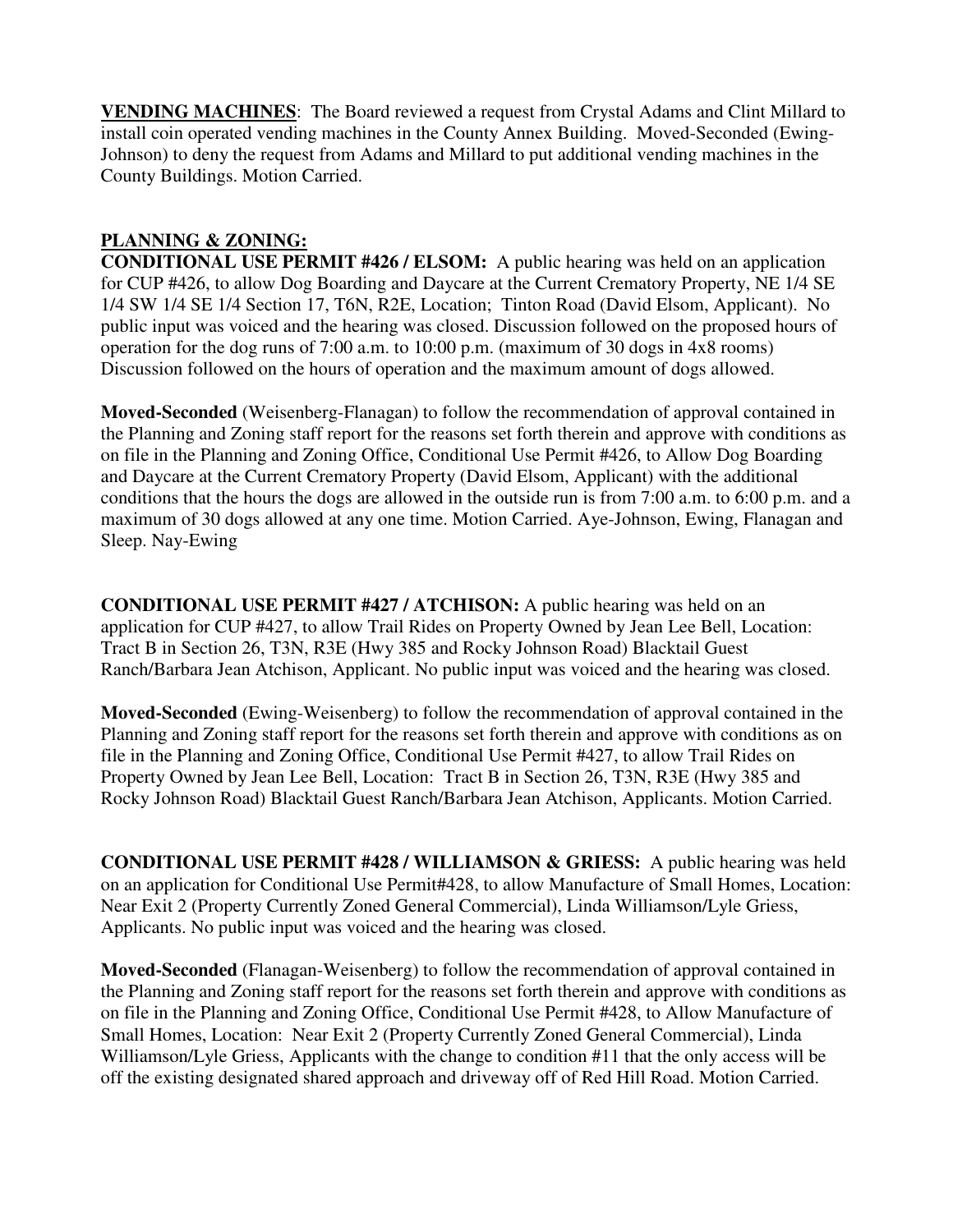**VENDING MACHINES**: The Board reviewed a request from Crystal Adams and Clint Millard to install coin operated vending machines in the County Annex Building. Moved-Seconded (Ewing-Johnson) to deny the request from Adams and Millard to put additional vending machines in the County Buildings. Motion Carried.

## **PLANNING & ZONING:**

**CONDITIONAL USE PERMIT #426 / ELSOM:** A public hearing was held on an application for CUP #426, to allow Dog Boarding and Daycare at the Current Crematory Property, NE 1/4 SE 1/4 SW 1/4 SE 1/4 Section 17, T6N, R2E, Location; Tinton Road (David Elsom, Applicant). No public input was voiced and the hearing was closed. Discussion followed on the proposed hours of operation for the dog runs of 7:00 a.m. to 10:00 p.m. (maximum of 30 dogs in  $4x8$  rooms) Discussion followed on the hours of operation and the maximum amount of dogs allowed.

**Moved-Seconded** (Weisenberg-Flanagan) to follow the recommendation of approval contained in the Planning and Zoning staff report for the reasons set forth therein and approve with conditions as on file in the Planning and Zoning Office, Conditional Use Permit #426, to Allow Dog Boarding and Daycare at the Current Crematory Property (David Elsom, Applicant) with the additional conditions that the hours the dogs are allowed in the outside run is from 7:00 a.m. to 6:00 p.m. and a maximum of 30 dogs allowed at any one time. Motion Carried. Aye-Johnson, Ewing, Flanagan and Sleep. Nay-Ewing

**CONDITIONAL USE PERMIT #427 / ATCHISON:** A public hearing was held on an application for CUP #427, to allow Trail Rides on Property Owned by Jean Lee Bell, Location: Tract B in Section 26, T3N, R3E (Hwy 385 and Rocky Johnson Road) Blacktail Guest Ranch/Barbara Jean Atchison, Applicant. No public input was voiced and the hearing was closed.

**Moved-Seconded** (Ewing-Weisenberg) to follow the recommendation of approval contained in the Planning and Zoning staff report for the reasons set forth therein and approve with conditions as on file in the Planning and Zoning Office, Conditional Use Permit #427, to allow Trail Rides on Property Owned by Jean Lee Bell, Location: Tract B in Section 26, T3N, R3E (Hwy 385 and Rocky Johnson Road) Blacktail Guest Ranch/Barbara Jean Atchison, Applicants. Motion Carried.

**CONDITIONAL USE PERMIT #428 / WILLIAMSON & GRIESS:** A public hearing was held on an application for Conditional Use Permit#428, to allow Manufacture of Small Homes, Location: Near Exit 2 (Property Currently Zoned General Commercial), Linda Williamson/Lyle Griess, Applicants. No public input was voiced and the hearing was closed.

**Moved-Seconded** (Flanagan-Weisenberg) to follow the recommendation of approval contained in the Planning and Zoning staff report for the reasons set forth therein and approve with conditions as on file in the Planning and Zoning Office, Conditional Use Permit #428, to Allow Manufacture of Small Homes, Location: Near Exit 2 (Property Currently Zoned General Commercial), Linda Williamson/Lyle Griess, Applicants with the change to condition #11 that the only access will be off the existing designated shared approach and driveway off of Red Hill Road. Motion Carried.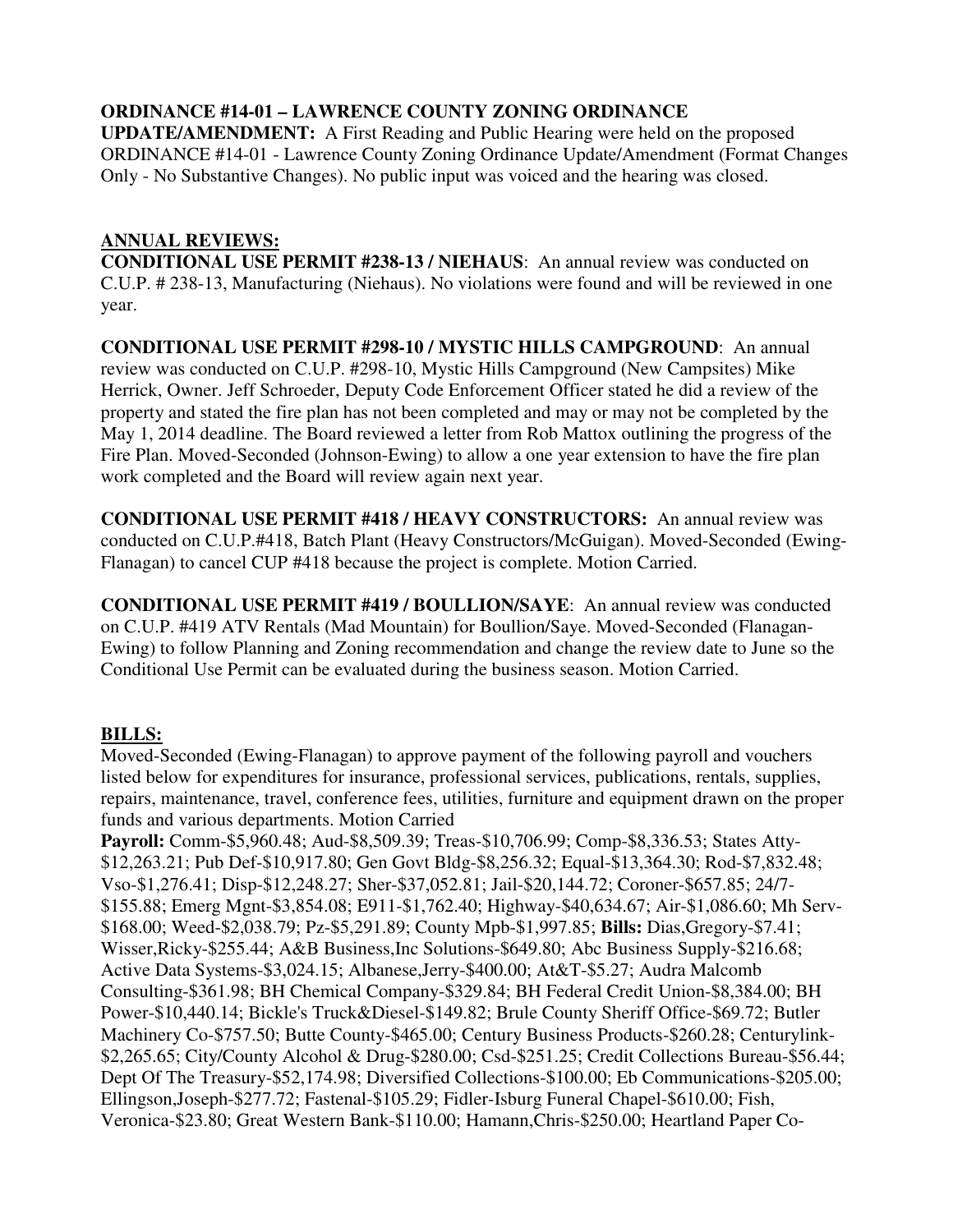## **ORDINANCE #14-01 – LAWRENCE COUNTY ZONING ORDINANCE**

**UPDATE/AMENDMENT:** A First Reading and Public Hearing were held on the proposed ORDINANCE #14-01 - Lawrence County Zoning Ordinance Update/Amendment (Format Changes Only - No Substantive Changes). No public input was voiced and the hearing was closed.

#### **ANNUAL REVIEWS:**

**CONDITIONAL USE PERMIT #238-13 / NIEHAUS**: An annual review was conducted on C.U.P. # 238-13, Manufacturing (Niehaus). No violations were found and will be reviewed in one year.

**CONDITIONAL USE PERMIT #298-10 / MYSTIC HILLS CAMPGROUND**: An annual review was conducted on C.U.P. #298-10, Mystic Hills Campground (New Campsites) Mike Herrick, Owner. Jeff Schroeder, Deputy Code Enforcement Officer stated he did a review of the property and stated the fire plan has not been completed and may or may not be completed by the May 1, 2014 deadline. The Board reviewed a letter from Rob Mattox outlining the progress of the Fire Plan. Moved-Seconded (Johnson-Ewing) to allow a one year extension to have the fire plan work completed and the Board will review again next year.

**CONDITIONAL USE PERMIT #418 / HEAVY CONSTRUCTORS:** An annual review was conducted on C.U.P.#418, Batch Plant (Heavy Constructors/McGuigan). Moved-Seconded (Ewing-Flanagan) to cancel CUP #418 because the project is complete. Motion Carried.

**CONDITIONAL USE PERMIT #419 / BOULLION/SAYE**: An annual review was conducted on C.U.P. #419 ATV Rentals (Mad Mountain) for Boullion/Saye. Moved-Seconded (Flanagan-Ewing) to follow Planning and Zoning recommendation and change the review date to June so the Conditional Use Permit can be evaluated during the business season. Motion Carried.

## **BILLS:**

Moved-Seconded (Ewing-Flanagan) to approve payment of the following payroll and vouchers listed below for expenditures for insurance, professional services, publications, rentals, supplies, repairs, maintenance, travel, conference fees, utilities, furniture and equipment drawn on the proper funds and various departments. Motion Carried

**Payroll:** Comm-\$5,960.48; Aud-\$8,509.39; Treas-\$10,706.99; Comp-\$8,336.53; States Atty- \$12,263.21; Pub Def-\$10,917.80; Gen Govt Bldg-\$8,256.32; Equal-\$13,364.30; Rod-\$7,832.48; Vso-\$1,276.41; Disp-\$12,248.27; Sher-\$37,052.81; Jail-\$20,144.72; Coroner-\$657.85; 24/7- \$155.88; Emerg Mgnt-\$3,854.08; E911-\$1,762.40; Highway-\$40,634.67; Air-\$1,086.60; Mh Serv- \$168.00; Weed-\$2,038.79; Pz-\$5,291.89; County Mpb-\$1,997.85; **Bills:** Dias,Gregory-\$7.41; Wisser,Ricky-\$255.44; A&B Business,Inc Solutions-\$649.80; Abc Business Supply-\$216.68; Active Data Systems-\$3,024.15; Albanese,Jerry-\$400.00; At&T-\$5.27; Audra Malcomb Consulting-\$361.98; BH Chemical Company-\$329.84; BH Federal Credit Union-\$8,384.00; BH Power-\$10,440.14; Bickle's Truck&Diesel-\$149.82; Brule County Sheriff Office-\$69.72; Butler Machinery Co-\$757.50; Butte County-\$465.00; Century Business Products-\$260.28; Centurylink- \$2,265.65; City/County Alcohol & Drug-\$280.00; Csd-\$251.25; Credit Collections Bureau-\$56.44; Dept Of The Treasury-\$52,174.98; Diversified Collections-\$100.00; Eb Communications-\$205.00; Ellingson,Joseph-\$277.72; Fastenal-\$105.29; Fidler-Isburg Funeral Chapel-\$610.00; Fish, Veronica-\$23.80; Great Western Bank-\$110.00; Hamann,Chris-\$250.00; Heartland Paper Co-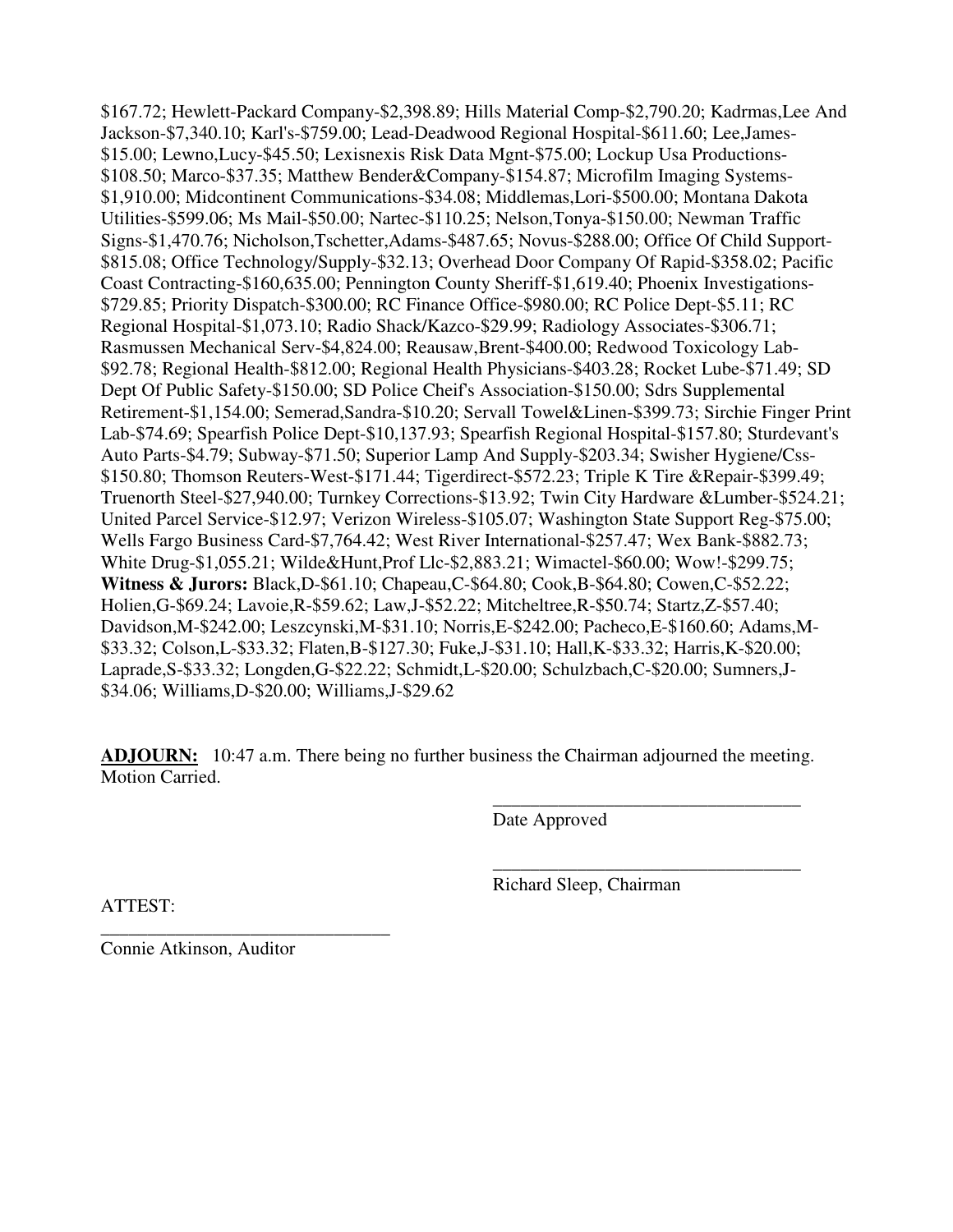\$167.72; Hewlett-Packard Company-\$2,398.89; Hills Material Comp-\$2,790.20; Kadrmas,Lee And Jackson-\$7,340.10; Karl's-\$759.00; Lead-Deadwood Regional Hospital-\$611.60; Lee,James- \$15.00; Lewno,Lucy-\$45.50; Lexisnexis Risk Data Mgnt-\$75.00; Lockup Usa Productions- \$108.50; Marco-\$37.35; Matthew Bender&Company-\$154.87; Microfilm Imaging Systems- \$1,910.00; Midcontinent Communications-\$34.08; Middlemas,Lori-\$500.00; Montana Dakota Utilities-\$599.06; Ms Mail-\$50.00; Nartec-\$110.25; Nelson,Tonya-\$150.00; Newman Traffic Signs-\$1,470.76; Nicholson,Tschetter,Adams-\$487.65; Novus-\$288.00; Office Of Child Support- \$815.08; Office Technology/Supply-\$32.13; Overhead Door Company Of Rapid-\$358.02; Pacific Coast Contracting-\$160,635.00; Pennington County Sheriff-\$1,619.40; Phoenix Investigations- \$729.85; Priority Dispatch-\$300.00; RC Finance Office-\$980.00; RC Police Dept-\$5.11; RC Regional Hospital-\$1,073.10; Radio Shack/Kazco-\$29.99; Radiology Associates-\$306.71; Rasmussen Mechanical Serv-\$4,824.00; Reausaw,Brent-\$400.00; Redwood Toxicology Lab- \$92.78; Regional Health-\$812.00; Regional Health Physicians-\$403.28; Rocket Lube-\$71.49; SD Dept Of Public Safety-\$150.00; SD Police Cheif's Association-\$150.00; Sdrs Supplemental Retirement-\$1,154.00; Semerad,Sandra-\$10.20; Servall Towel&Linen-\$399.73; Sirchie Finger Print Lab-\$74.69; Spearfish Police Dept-\$10,137.93; Spearfish Regional Hospital-\$157.80; Sturdevant's Auto Parts-\$4.79; Subway-\$71.50; Superior Lamp And Supply-\$203.34; Swisher Hygiene/Css- \$150.80; Thomson Reuters-West-\$171.44; Tigerdirect-\$572.23; Triple K Tire &Repair-\$399.49; Truenorth Steel-\$27,940.00; Turnkey Corrections-\$13.92; Twin City Hardware &Lumber-\$524.21; United Parcel Service-\$12.97; Verizon Wireless-\$105.07; Washington State Support Reg-\$75.00; Wells Fargo Business Card-\$7,764.42; West River International-\$257.47; Wex Bank-\$882.73; White Drug-\$1,055.21; Wilde&Hunt,Prof Llc-\$2,883.21; Wimactel-\$60.00; Wow!-\$299.75; **Witness & Jurors:** Black,D-\$61.10; Chapeau,C-\$64.80; Cook,B-\$64.80; Cowen,C-\$52.22; Holien,G-\$69.24; Lavoie,R-\$59.62; Law,J-\$52.22; Mitcheltree,R-\$50.74; Startz,Z-\$57.40; Davidson,M-\$242.00; Leszcynski,M-\$31.10; Norris,E-\$242.00; Pacheco,E-\$160.60; Adams,M- \$33.32; Colson,L-\$33.32; Flaten,B-\$127.30; Fuke,J-\$31.10; Hall,K-\$33.32; Harris,K-\$20.00; Laprade,S-\$33.32; Longden,G-\$22.22; Schmidt,L-\$20.00; Schulzbach,C-\$20.00; Sumners,J- \$34.06; Williams,D-\$20.00; Williams,J-\$29.62

**ADJOURN:** 10:47 a.m. There being no further business the Chairman adjourned the meeting. Motion Carried.

 $\overline{\phantom{a}}$  , and the contract of the contract of the contract of the contract of the contract of the contract of the contract of the contract of the contract of the contract of the contract of the contract of the contrac

 $\overline{\phantom{a}}$  , and the contract of the contract of the contract of the contract of the contract of the contract of the contract of the contract of the contract of the contract of the contract of the contract of the contrac

Date Approved

Richard Sleep, Chairman

ATTEST:

\_\_\_\_\_\_\_\_\_\_\_\_\_\_\_\_\_\_\_\_\_\_\_\_\_\_\_\_\_\_\_ Connie Atkinson, Auditor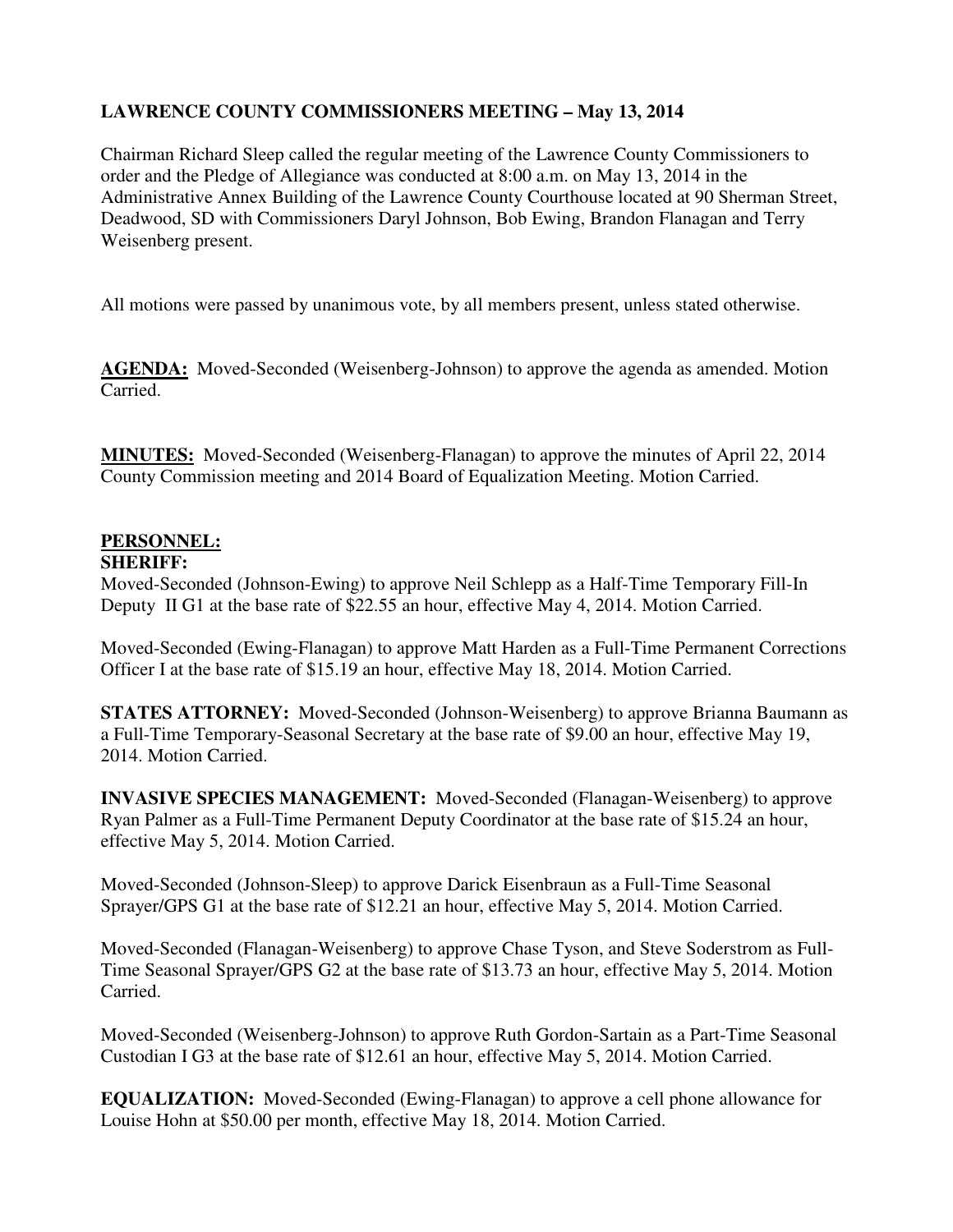# **LAWRENCE COUNTY COMMISSIONERS MEETING – May 13, 2014**

Chairman Richard Sleep called the regular meeting of the Lawrence County Commissioners to order and the Pledge of Allegiance was conducted at 8:00 a.m. on May 13, 2014 in the Administrative Annex Building of the Lawrence County Courthouse located at 90 Sherman Street, Deadwood, SD with Commissioners Daryl Johnson, Bob Ewing, Brandon Flanagan and Terry Weisenberg present.

All motions were passed by unanimous vote, by all members present, unless stated otherwise.

**AGENDA:** Moved-Seconded (Weisenberg-Johnson) to approve the agenda as amended. Motion Carried.

**MINUTES:** Moved-Seconded (Weisenberg-Flanagan) to approve the minutes of April 22, 2014 County Commission meeting and 2014 Board of Equalization Meeting. Motion Carried.

## **PERSONNEL:**

#### **SHERIFF:**

Moved-Seconded (Johnson-Ewing) to approve Neil Schlepp as a Half-Time Temporary Fill-In Deputy II G1 at the base rate of \$22.55 an hour, effective May 4, 2014. Motion Carried.

Moved-Seconded (Ewing-Flanagan) to approve Matt Harden as a Full-Time Permanent Corrections Officer I at the base rate of \$15.19 an hour, effective May 18, 2014. Motion Carried.

**STATES ATTORNEY:** Moved-Seconded (Johnson-Weisenberg) to approve Brianna Baumann as a Full-Time Temporary-Seasonal Secretary at the base rate of \$9.00 an hour, effective May 19, 2014. Motion Carried.

**INVASIVE SPECIES MANAGEMENT:** Moved-Seconded (Flanagan-Weisenberg) to approve Ryan Palmer as a Full-Time Permanent Deputy Coordinator at the base rate of \$15.24 an hour, effective May 5, 2014. Motion Carried.

Moved-Seconded (Johnson-Sleep) to approve Darick Eisenbraun as a Full-Time Seasonal Sprayer/GPS G1 at the base rate of \$12.21 an hour, effective May 5, 2014. Motion Carried.

Moved-Seconded (Flanagan-Weisenberg) to approve Chase Tyson, and Steve Soderstrom as Full-Time Seasonal Sprayer/GPS G2 at the base rate of \$13.73 an hour, effective May 5, 2014. Motion Carried.

Moved-Seconded (Weisenberg-Johnson) to approve Ruth Gordon-Sartain as a Part-Time Seasonal Custodian I G3 at the base rate of \$12.61 an hour, effective May 5, 2014. Motion Carried.

**EQUALIZATION:** Moved-Seconded (Ewing-Flanagan) to approve a cell phone allowance for Louise Hohn at \$50.00 per month, effective May 18, 2014. Motion Carried.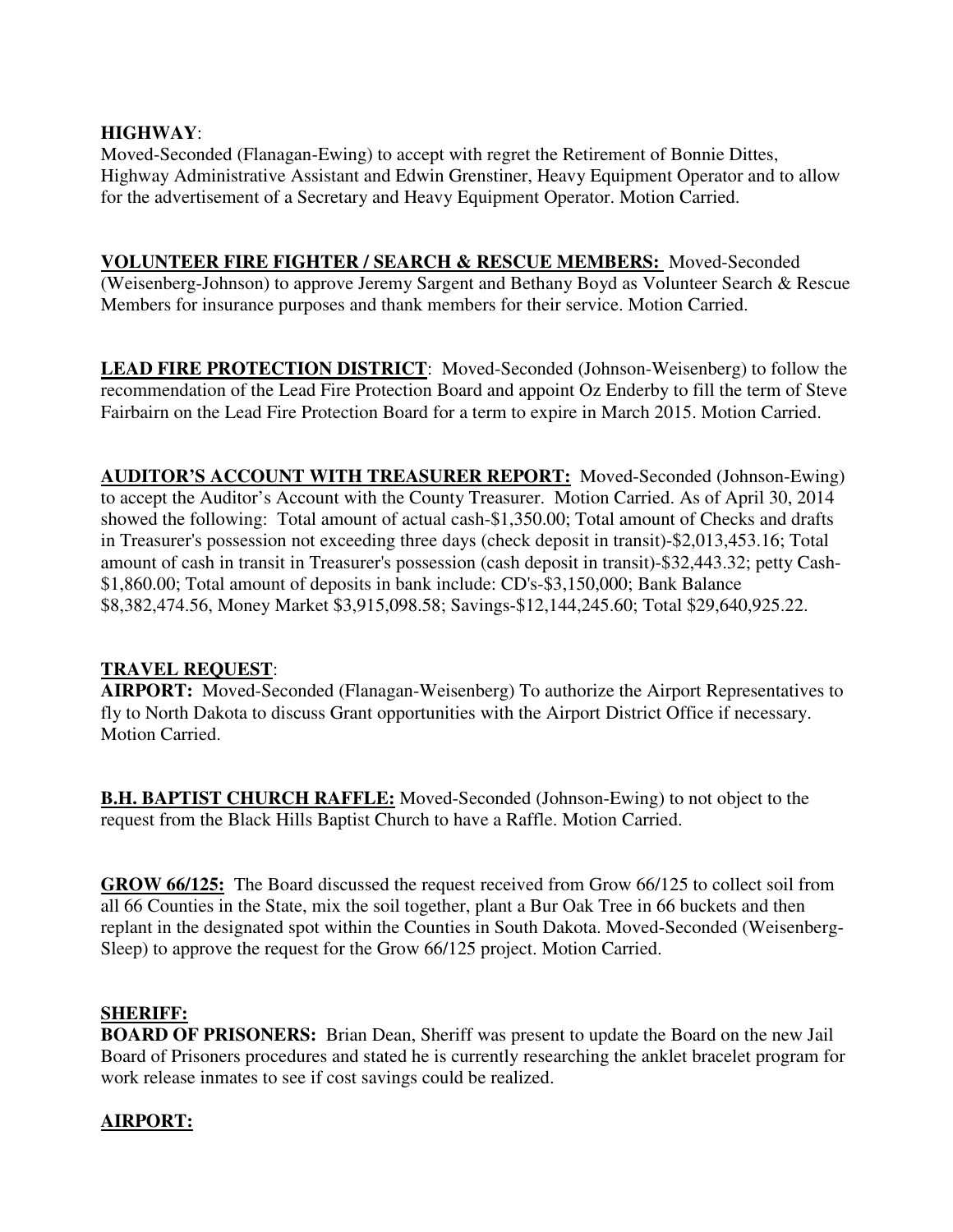## **HIGHWAY**:

Moved-Seconded (Flanagan-Ewing) to accept with regret the Retirement of Bonnie Dittes, Highway Administrative Assistant and Edwin Grenstiner, Heavy Equipment Operator and to allow for the advertisement of a Secretary and Heavy Equipment Operator. Motion Carried.

**VOLUNTEER FIRE FIGHTER / SEARCH & RESCUE MEMBERS:** Moved-Seconded (Weisenberg-Johnson) to approve Jeremy Sargent and Bethany Boyd as Volunteer Search & Rescue Members for insurance purposes and thank members for their service. Motion Carried.

**LEAD FIRE PROTECTION DISTRICT**: Moved-Seconded (Johnson-Weisenberg) to follow the recommendation of the Lead Fire Protection Board and appoint Oz Enderby to fill the term of Steve Fairbairn on the Lead Fire Protection Board for a term to expire in March 2015. Motion Carried.

**AUDITOR'S ACCOUNT WITH TREASURER REPORT:** Moved-Seconded (Johnson-Ewing) to accept the Auditor's Account with the County Treasurer. Motion Carried. As of April 30, 2014 showed the following: Total amount of actual cash-\$1,350.00; Total amount of Checks and drafts in Treasurer's possession not exceeding three days (check deposit in transit)-\$2,013,453.16; Total amount of cash in transit in Treasurer's possession (cash deposit in transit)-\$32,443.32; petty Cash- \$1,860.00; Total amount of deposits in bank include: CD's-\$3,150,000; Bank Balance \$8,382,474.56, Money Market \$3,915,098.58; Savings-\$12,144,245.60; Total \$29,640,925.22.

## **TRAVEL REQUEST**:

**AIRPORT:** Moved-Seconded (Flanagan-Weisenberg) To authorize the Airport Representatives to fly to North Dakota to discuss Grant opportunities with the Airport District Office if necessary. Motion Carried.

**B.H. BAPTIST CHURCH RAFFLE:** Moved-Seconded (Johnson-Ewing) to not object to the request from the Black Hills Baptist Church to have a Raffle. Motion Carried.

**GROW 66/125:** The Board discussed the request received from Grow 66/125 to collect soil from all 66 Counties in the State, mix the soil together, plant a Bur Oak Tree in 66 buckets and then replant in the designated spot within the Counties in South Dakota. Moved-Seconded (Weisenberg-Sleep) to approve the request for the Grow 66/125 project. Motion Carried.

# **SHERIFF:**

**BOARD OF PRISONERS:** Brian Dean, Sheriff was present to update the Board on the new Jail Board of Prisoners procedures and stated he is currently researching the anklet bracelet program for work release inmates to see if cost savings could be realized.

# **AIRPORT:**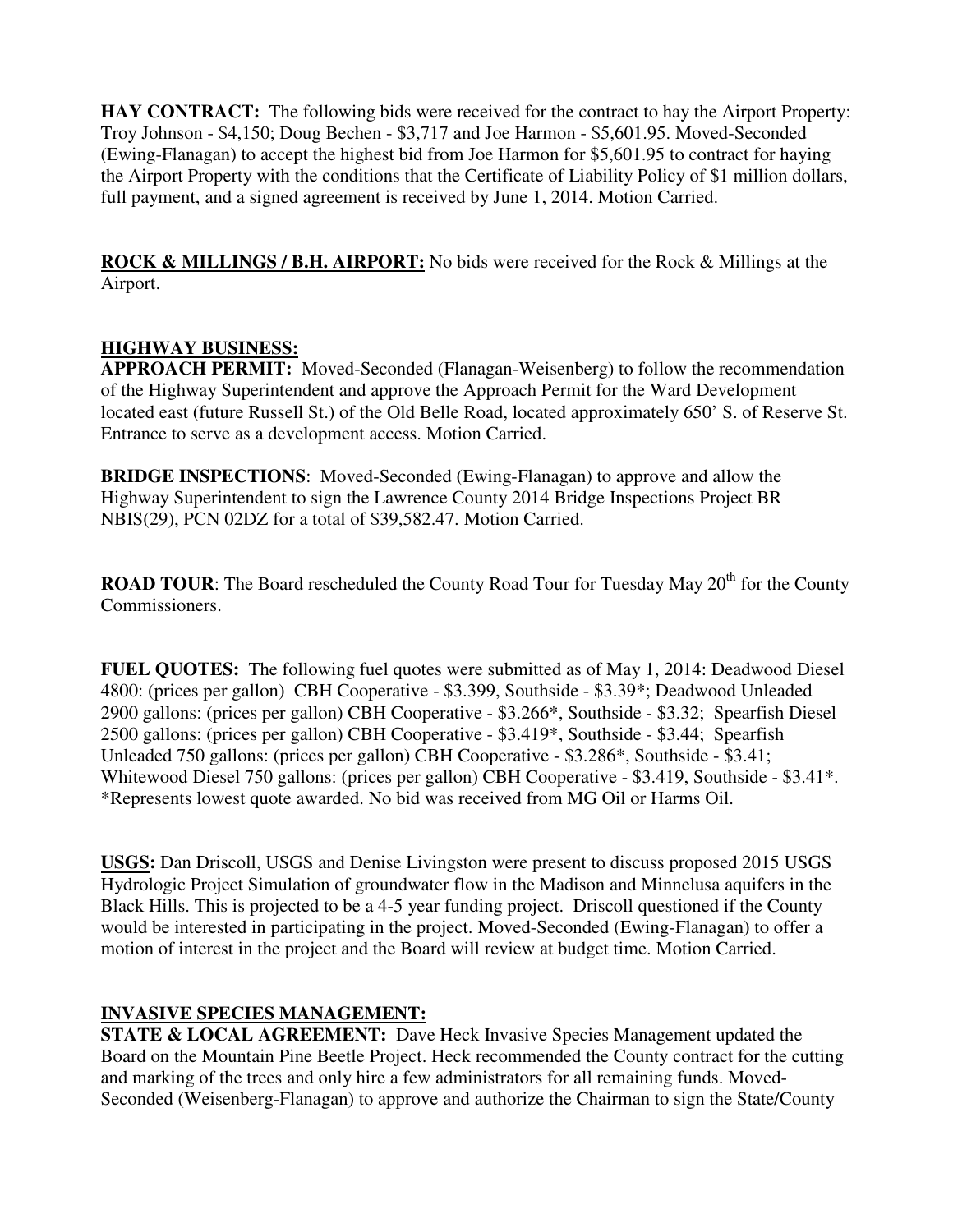**HAY CONTRACT:** The following bids were received for the contract to hay the Airport Property: Troy Johnson - \$4,150; Doug Bechen - \$3,717 and Joe Harmon - \$5,601.95. Moved-Seconded (Ewing-Flanagan) to accept the highest bid from Joe Harmon for \$5,601.95 to contract for haying the Airport Property with the conditions that the Certificate of Liability Policy of \$1 million dollars, full payment, and a signed agreement is received by June 1, 2014. Motion Carried.

**ROCK & MILLINGS / B.H. AIRPORT:** No bids were received for the Rock & Millings at the Airport.

## **HIGHWAY BUSINESS:**

**APPROACH PERMIT:** Moved-Seconded (Flanagan-Weisenberg) to follow the recommendation of the Highway Superintendent and approve the Approach Permit for the Ward Development located east (future Russell St.) of the Old Belle Road, located approximately 650' S. of Reserve St. Entrance to serve as a development access. Motion Carried.

**BRIDGE INSPECTIONS**: Moved-Seconded (Ewing-Flanagan) to approve and allow the Highway Superintendent to sign the Lawrence County 2014 Bridge Inspections Project BR NBIS(29), PCN 02DZ for a total of \$39,582.47. Motion Carried.

**ROAD TOUR:** The Board rescheduled the County Road Tour for Tuesday May 20<sup>th</sup> for the County Commissioners.

**FUEL QUOTES:** The following fuel quotes were submitted as of May 1, 2014: Deadwood Diesel 4800: (prices per gallon) CBH Cooperative - \$3.399, Southside - \$3.39\*; Deadwood Unleaded 2900 gallons: (prices per gallon) CBH Cooperative - \$3.266\*, Southside - \$3.32; Spearfish Diesel 2500 gallons: (prices per gallon) CBH Cooperative - \$3.419\*, Southside - \$3.44; Spearfish Unleaded 750 gallons: (prices per gallon) CBH Cooperative - \$3.286\*, Southside - \$3.41; Whitewood Diesel 750 gallons: (prices per gallon) CBH Cooperative - \$3.419, Southside - \$3.41\*. \*Represents lowest quote awarded. No bid was received from MG Oil or Harms Oil.

**USGS:** Dan Driscoll, USGS and Denise Livingston were present to discuss proposed 2015 USGS Hydrologic Project Simulation of groundwater flow in the Madison and Minnelusa aquifers in the Black Hills. This is projected to be a 4-5 year funding project. Driscoll questioned if the County would be interested in participating in the project. Moved-Seconded (Ewing-Flanagan) to offer a motion of interest in the project and the Board will review at budget time. Motion Carried.

# **INVASIVE SPECIES MANAGEMENT:**

**STATE & LOCAL AGREEMENT:** Dave Heck Invasive Species Management updated the Board on the Mountain Pine Beetle Project. Heck recommended the County contract for the cutting and marking of the trees and only hire a few administrators for all remaining funds. Moved-Seconded (Weisenberg-Flanagan) to approve and authorize the Chairman to sign the State/County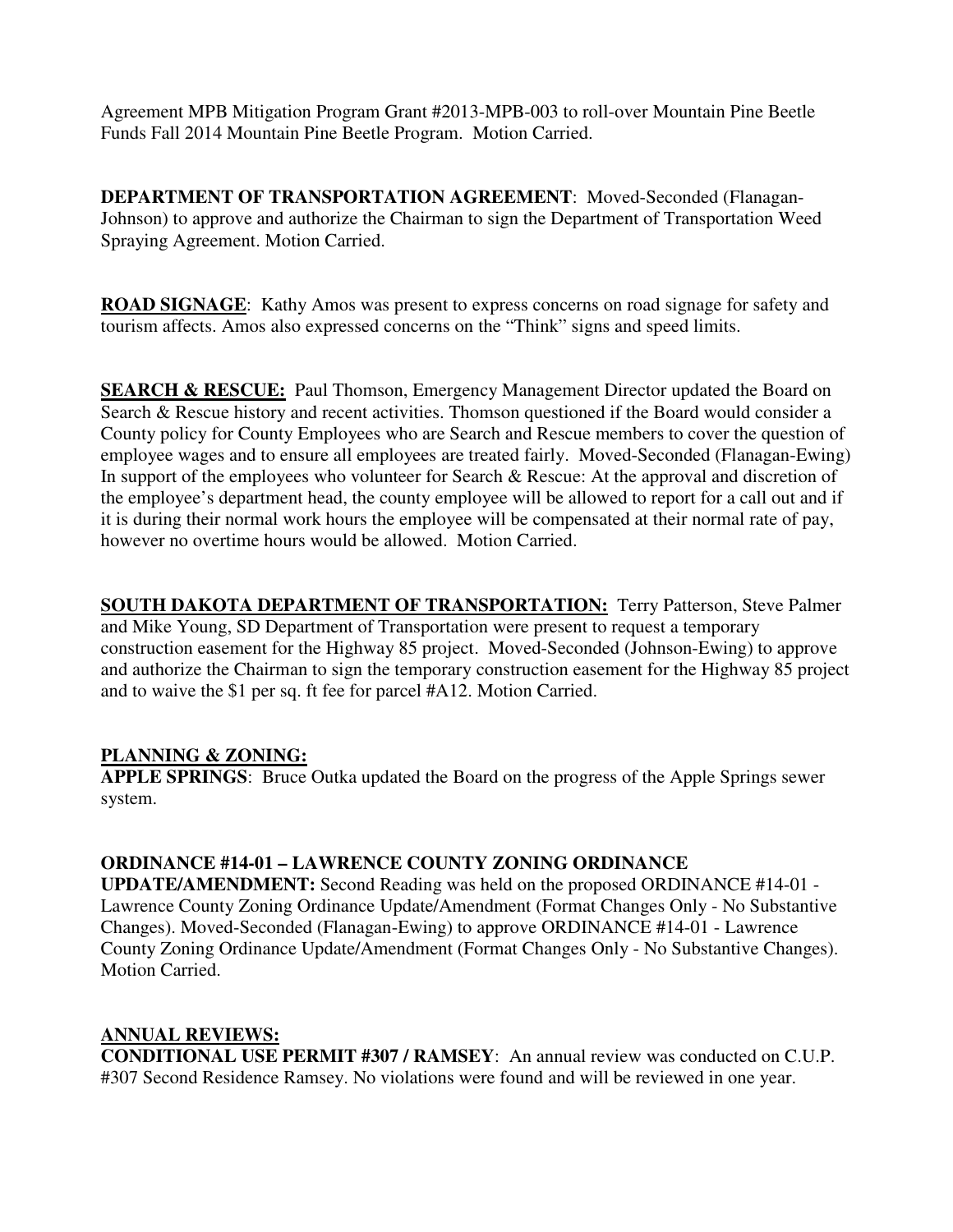Agreement MPB Mitigation Program Grant #2013-MPB-003 to roll-over Mountain Pine Beetle Funds Fall 2014 Mountain Pine Beetle Program. Motion Carried.

**DEPARTMENT OF TRANSPORTATION AGREEMENT**: Moved-Seconded (Flanagan-Johnson) to approve and authorize the Chairman to sign the Department of Transportation Weed Spraying Agreement. Motion Carried.

**ROAD SIGNAGE**: Kathy Amos was present to express concerns on road signage for safety and tourism affects. Amos also expressed concerns on the "Think" signs and speed limits.

**SEARCH & RESCUE:** Paul Thomson, Emergency Management Director updated the Board on Search & Rescue history and recent activities. Thomson questioned if the Board would consider a County policy for County Employees who are Search and Rescue members to cover the question of employee wages and to ensure all employees are treated fairly. Moved-Seconded (Flanagan-Ewing) In support of the employees who volunteer for Search & Rescue: At the approval and discretion of the employee's department head, the county employee will be allowed to report for a call out and if it is during their normal work hours the employee will be compensated at their normal rate of pay, however no overtime hours would be allowed. Motion Carried.

**SOUTH DAKOTA DEPARTMENT OF TRANSPORTATION:** Terry Patterson, Steve Palmer and Mike Young, SD Department of Transportation were present to request a temporary construction easement for the Highway 85 project. Moved-Seconded (Johnson-Ewing) to approve and authorize the Chairman to sign the temporary construction easement for the Highway 85 project and to waive the \$1 per sq. ft fee for parcel #A12. Motion Carried.

## **PLANNING & ZONING:**

**APPLE SPRINGS**: Bruce Outka updated the Board on the progress of the Apple Springs sewer system.

## **ORDINANCE #14-01 – LAWRENCE COUNTY ZONING ORDINANCE**

**UPDATE/AMENDMENT:** Second Reading was held on the proposed ORDINANCE #14-01 - Lawrence County Zoning Ordinance Update/Amendment (Format Changes Only - No Substantive Changes). Moved-Seconded (Flanagan-Ewing) to approve ORDINANCE #14-01 - Lawrence County Zoning Ordinance Update/Amendment (Format Changes Only - No Substantive Changes). Motion Carried.

# **ANNUAL REVIEWS:**

**CONDITIONAL USE PERMIT #307 / RAMSEY**: An annual review was conducted on C.U.P. #307 Second Residence Ramsey. No violations were found and will be reviewed in one year.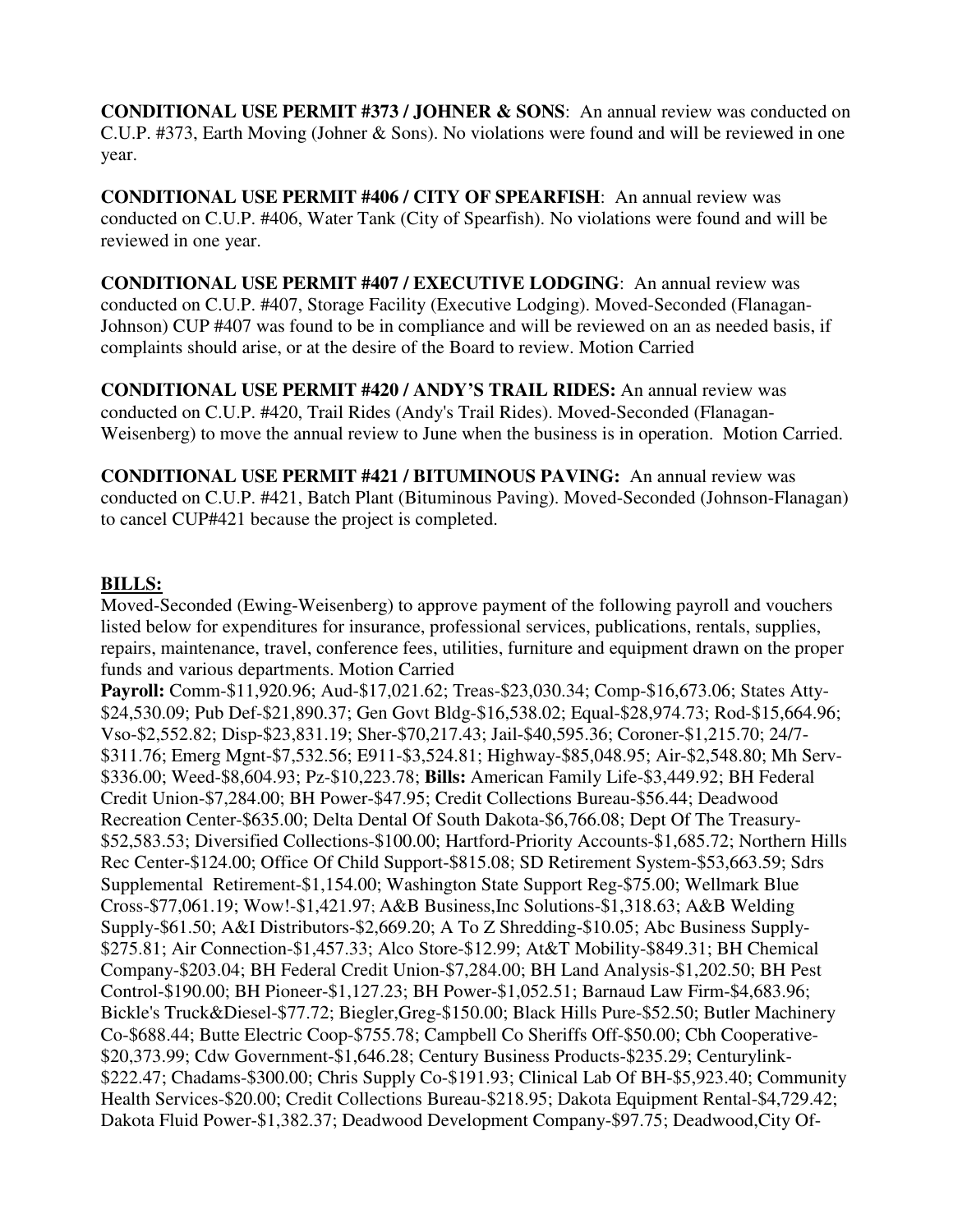**CONDITIONAL USE PERMIT #373 / JOHNER & SONS**: An annual review was conducted on C.U.P. #373, Earth Moving (Johner & Sons). No violations were found and will be reviewed in one year.

**CONDITIONAL USE PERMIT #406 / CITY OF SPEARFISH**: An annual review was conducted on C.U.P. #406, Water Tank (City of Spearfish). No violations were found and will be reviewed in one year.

**CONDITIONAL USE PERMIT #407 / EXECUTIVE LODGING**: An annual review was conducted on C.U.P. #407, Storage Facility (Executive Lodging). Moved-Seconded (Flanagan-Johnson) CUP #407 was found to be in compliance and will be reviewed on an as needed basis, if complaints should arise, or at the desire of the Board to review. Motion Carried

**CONDITIONAL USE PERMIT #420 / ANDY'S TRAIL RIDES:** An annual review was conducted on C.U.P. #420, Trail Rides (Andy's Trail Rides). Moved-Seconded (Flanagan-Weisenberg) to move the annual review to June when the business is in operation. Motion Carried.

**CONDITIONAL USE PERMIT #421 / BITUMINOUS PAVING:** An annual review was conducted on C.U.P. #421, Batch Plant (Bituminous Paving). Moved-Seconded (Johnson-Flanagan) to cancel CUP#421 because the project is completed.

## **BILLS:**

Moved-Seconded (Ewing-Weisenberg) to approve payment of the following payroll and vouchers listed below for expenditures for insurance, professional services, publications, rentals, supplies, repairs, maintenance, travel, conference fees, utilities, furniture and equipment drawn on the proper funds and various departments. Motion Carried

**Payroll:** Comm-\$11,920.96; Aud-\$17,021.62; Treas-\$23,030.34; Comp-\$16,673.06; States Atty- \$24,530.09; Pub Def-\$21,890.37; Gen Govt Bldg-\$16,538.02; Equal-\$28,974.73; Rod-\$15,664.96; Vso-\$2,552.82; Disp-\$23,831.19; Sher-\$70,217.43; Jail-\$40,595.36; Coroner-\$1,215.70; 24/7- \$311.76; Emerg Mgnt-\$7,532.56; E911-\$3,524.81; Highway-\$85,048.95; Air-\$2,548.80; Mh Serv- \$336.00; Weed-\$8,604.93; Pz-\$10,223.78; **Bills:** American Family Life-\$3,449.92; BH Federal Credit Union-\$7,284.00; BH Power-\$47.95; Credit Collections Bureau-\$56.44; Deadwood Recreation Center-\$635.00; Delta Dental Of South Dakota-\$6,766.08; Dept Of The Treasury- \$52,583.53; Diversified Collections-\$100.00; Hartford-Priority Accounts-\$1,685.72; Northern Hills Rec Center-\$124.00; Office Of Child Support-\$815.08; SD Retirement System-\$53,663.59; Sdrs Supplemental Retirement-\$1,154.00; Washington State Support Reg-\$75.00; Wellmark Blue Cross-\$77,061.19; Wow!-\$1,421.97; A&B Business,Inc Solutions-\$1,318.63; A&B Welding Supply-\$61.50; A&I Distributors-\$2,669.20; A To Z Shredding-\$10.05; Abc Business Supply- \$275.81; Air Connection-\$1,457.33; Alco Store-\$12.99; At&T Mobility-\$849.31; BH Chemical Company-\$203.04; BH Federal Credit Union-\$7,284.00; BH Land Analysis-\$1,202.50; BH Pest Control-\$190.00; BH Pioneer-\$1,127.23; BH Power-\$1,052.51; Barnaud Law Firm-\$4,683.96; Bickle's Truck&Diesel-\$77.72; Biegler,Greg-\$150.00; Black Hills Pure-\$52.50; Butler Machinery Co-\$688.44; Butte Electric Coop-\$755.78; Campbell Co Sheriffs Off-\$50.00; Cbh Cooperative- \$20,373.99; Cdw Government-\$1,646.28; Century Business Products-\$235.29; Centurylink- \$222.47; Chadams-\$300.00; Chris Supply Co-\$191.93; Clinical Lab Of BH-\$5,923.40; Community Health Services-\$20.00; Credit Collections Bureau-\$218.95; Dakota Equipment Rental-\$4,729.42; Dakota Fluid Power-\$1,382.37; Deadwood Development Company-\$97.75; Deadwood,City Of-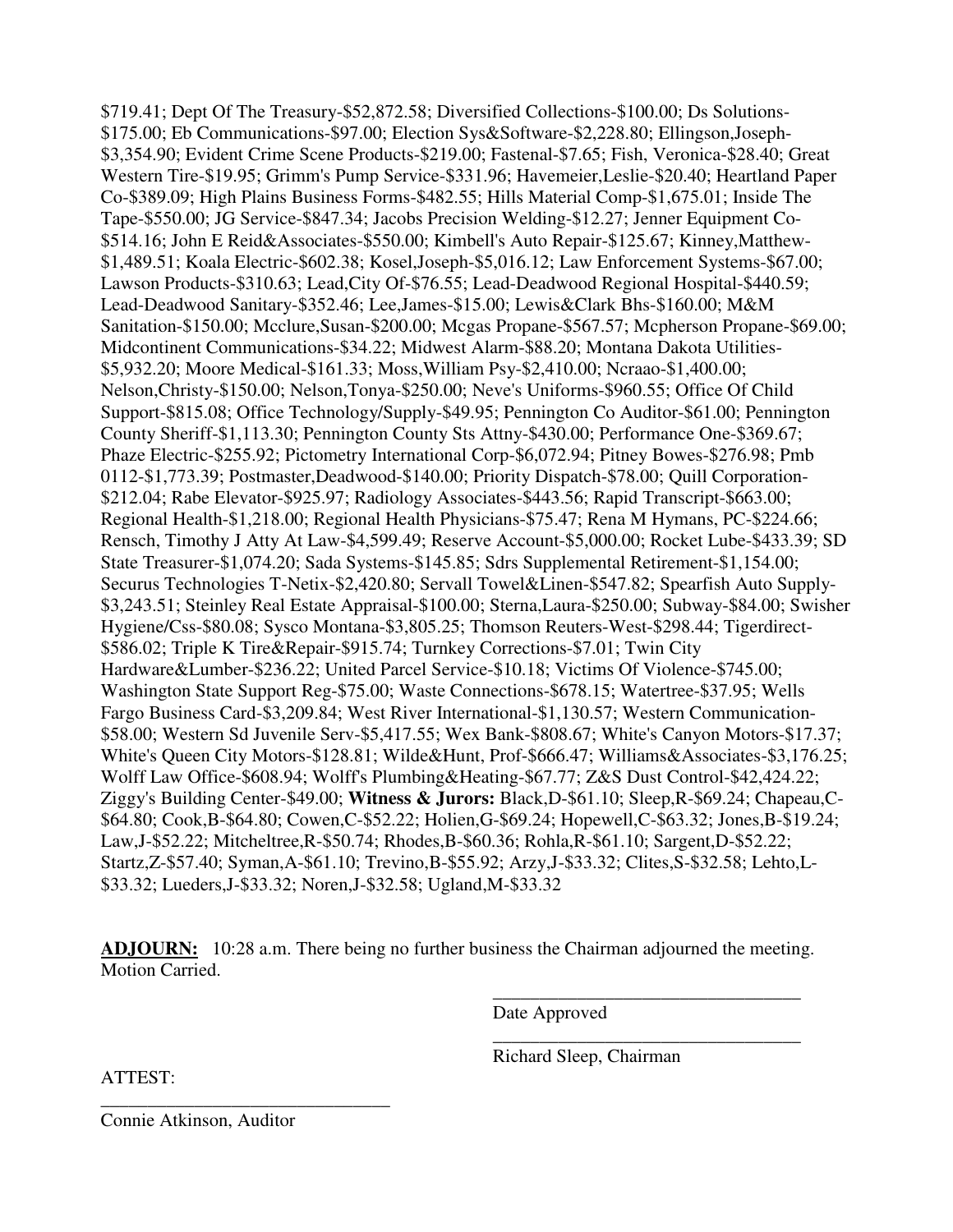\$719.41; Dept Of The Treasury-\$52,872.58; Diversified Collections-\$100.00; Ds Solutions- \$175.00; Eb Communications-\$97.00; Election Sys&Software-\$2,228.80; Ellingson,Joseph- \$3,354.90; Evident Crime Scene Products-\$219.00; Fastenal-\$7.65; Fish, Veronica-\$28.40; Great Western Tire-\$19.95; Grimm's Pump Service-\$331.96; Havemeier,Leslie-\$20.40; Heartland Paper Co-\$389.09; High Plains Business Forms-\$482.55; Hills Material Comp-\$1,675.01; Inside The Tape-\$550.00; JG Service-\$847.34; Jacobs Precision Welding-\$12.27; Jenner Equipment Co- \$514.16; John E Reid&Associates-\$550.00; Kimbell's Auto Repair-\$125.67; Kinney,Matthew- \$1,489.51; Koala Electric-\$602.38; Kosel,Joseph-\$5,016.12; Law Enforcement Systems-\$67.00; Lawson Products-\$310.63; Lead,City Of-\$76.55; Lead-Deadwood Regional Hospital-\$440.59; Lead-Deadwood Sanitary-\$352.46; Lee,James-\$15.00; Lewis&Clark Bhs-\$160.00; M&M Sanitation-\$150.00; Mcclure,Susan-\$200.00; Mcgas Propane-\$567.57; Mcpherson Propane-\$69.00; Midcontinent Communications-\$34.22; Midwest Alarm-\$88.20; Montana Dakota Utilities- \$5,932.20; Moore Medical-\$161.33; Moss,William Psy-\$2,410.00; Ncraao-\$1,400.00; Nelson,Christy-\$150.00; Nelson,Tonya-\$250.00; Neve's Uniforms-\$960.55; Office Of Child Support-\$815.08; Office Technology/Supply-\$49.95; Pennington Co Auditor-\$61.00; Pennington County Sheriff-\$1,113.30; Pennington County Sts Attny-\$430.00; Performance One-\$369.67; Phaze Electric-\$255.92; Pictometry International Corp-\$6,072.94; Pitney Bowes-\$276.98; Pmb 0112-\$1,773.39; Postmaster,Deadwood-\$140.00; Priority Dispatch-\$78.00; Quill Corporation- \$212.04; Rabe Elevator-\$925.97; Radiology Associates-\$443.56; Rapid Transcript-\$663.00; Regional Health-\$1,218.00; Regional Health Physicians-\$75.47; Rena M Hymans, PC-\$224.66; Rensch, Timothy J Atty At Law-\$4,599.49; Reserve Account-\$5,000.00; Rocket Lube-\$433.39; SD State Treasurer-\$1,074.20; Sada Systems-\$145.85; Sdrs Supplemental Retirement-\$1,154.00; Securus Technologies T-Netix-\$2,420.80; Servall Towel&Linen-\$547.82; Spearfish Auto Supply- \$3,243.51; Steinley Real Estate Appraisal-\$100.00; Sterna,Laura-\$250.00; Subway-\$84.00; Swisher Hygiene/Css-\$80.08; Sysco Montana-\$3,805.25; Thomson Reuters-West-\$298.44; Tigerdirect- \$586.02; Triple K Tire&Repair-\$915.74; Turnkey Corrections-\$7.01; Twin City Hardware&Lumber-\$236.22; United Parcel Service-\$10.18; Victims Of Violence-\$745.00; Washington State Support Reg-\$75.00; Waste Connections-\$678.15; Watertree-\$37.95; Wells Fargo Business Card-\$3,209.84; West River International-\$1,130.57; Western Communication- \$58.00; Western Sd Juvenile Serv-\$5,417.55; Wex Bank-\$808.67; White's Canyon Motors-\$17.37; White's Queen City Motors-\$128.81; Wilde&Hunt, Prof-\$666.47; Williams&Associates-\$3,176.25; Wolff Law Office-\$608.94; Wolff's Plumbing&Heating-\$67.77; Z&S Dust Control-\$42,424.22; Ziggy's Building Center-\$49.00; **Witness & Jurors:** Black,D-\$61.10; Sleep,R-\$69.24; Chapeau,C- \$64.80; Cook,B-\$64.80; Cowen,C-\$52.22; Holien,G-\$69.24; Hopewell,C-\$63.32; Jones,B-\$19.24; Law,J-\$52.22; Mitcheltree,R-\$50.74; Rhodes,B-\$60.36; Rohla,R-\$61.10; Sargent,D-\$52.22; Startz,Z-\$57.40; Syman,A-\$61.10; Trevino,B-\$55.92; Arzy,J-\$33.32; Clites,S-\$32.58; Lehto,L- \$33.32; Lueders,J-\$33.32; Noren,J-\$32.58; Ugland,M-\$33.32

**ADJOURN:** 10:28 a.m. There being no further business the Chairman adjourned the meeting. Motion Carried.

 $\overline{\phantom{a}}$  , and the contract of the contract of the contract of the contract of the contract of the contract of the contract of the contract of the contract of the contract of the contract of the contract of the contrac

 $\overline{\phantom{a}}$  , and the contract of the contract of the contract of the contract of the contract of the contract of the contract of the contract of the contract of the contract of the contract of the contract of the contrac

Date Approved

Richard Sleep, Chairman

ATTEST:

Connie Atkinson, Auditor

\_\_\_\_\_\_\_\_\_\_\_\_\_\_\_\_\_\_\_\_\_\_\_\_\_\_\_\_\_\_\_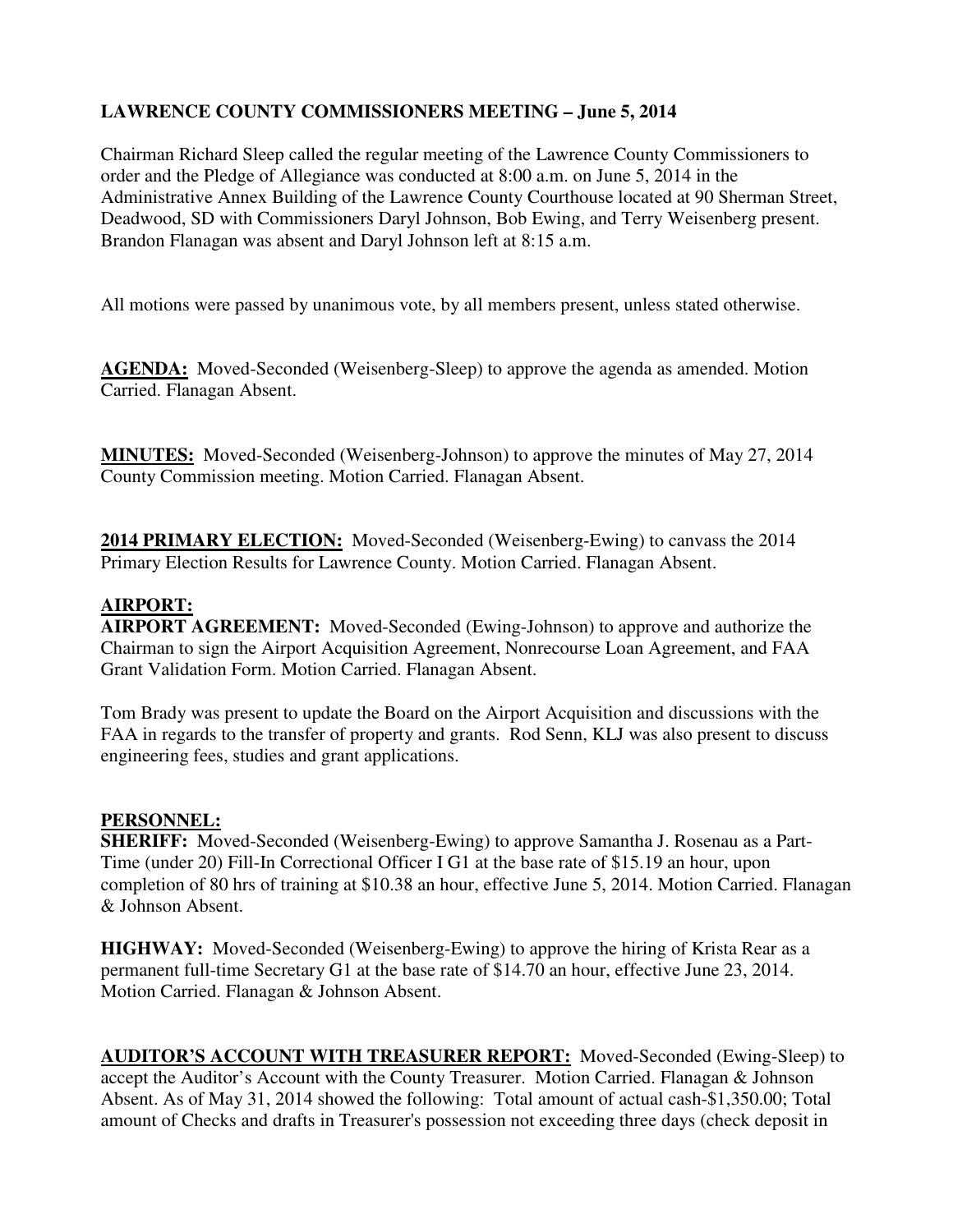# **LAWRENCE COUNTY COMMISSIONERS MEETING – June 5, 2014**

Chairman Richard Sleep called the regular meeting of the Lawrence County Commissioners to order and the Pledge of Allegiance was conducted at 8:00 a.m. on June 5, 2014 in the Administrative Annex Building of the Lawrence County Courthouse located at 90 Sherman Street, Deadwood, SD with Commissioners Daryl Johnson, Bob Ewing, and Terry Weisenberg present. Brandon Flanagan was absent and Daryl Johnson left at 8:15 a.m.

All motions were passed by unanimous vote, by all members present, unless stated otherwise.

**AGENDA:** Moved-Seconded (Weisenberg-Sleep) to approve the agenda as amended. Motion Carried. Flanagan Absent.

**MINUTES:** Moved-Seconded (Weisenberg-Johnson) to approve the minutes of May 27, 2014 County Commission meeting. Motion Carried. Flanagan Absent.

**2014 PRIMARY ELECTION:** Moved-Seconded (Weisenberg-Ewing) to canvass the 2014 Primary Election Results for Lawrence County. Motion Carried. Flanagan Absent.

## **AIRPORT:**

**AIRPORT AGREEMENT:** Moved-Seconded (Ewing-Johnson) to approve and authorize the Chairman to sign the Airport Acquisition Agreement, Nonrecourse Loan Agreement, and FAA Grant Validation Form. Motion Carried. Flanagan Absent.

Tom Brady was present to update the Board on the Airport Acquisition and discussions with the FAA in regards to the transfer of property and grants. Rod Senn, KLJ was also present to discuss engineering fees, studies and grant applications.

# **PERSONNEL:**

**SHERIFF:** Moved-Seconded (Weisenberg-Ewing) to approve Samantha J. Rosenau as a Part-Time (under 20) Fill-In Correctional Officer I G1 at the base rate of \$15.19 an hour, upon completion of 80 hrs of training at \$10.38 an hour, effective June 5, 2014. Motion Carried. Flanagan & Johnson Absent.

**HIGHWAY:** Moved-Seconded (Weisenberg-Ewing) to approve the hiring of Krista Rear as a permanent full-time Secretary G1 at the base rate of \$14.70 an hour, effective June 23, 2014. Motion Carried. Flanagan & Johnson Absent.

**AUDITOR'S ACCOUNT WITH TREASURER REPORT:** Moved-Seconded (Ewing-Sleep) to accept the Auditor's Account with the County Treasurer. Motion Carried. Flanagan & Johnson Absent. As of May 31, 2014 showed the following: Total amount of actual cash-\$1,350.00; Total amount of Checks and drafts in Treasurer's possession not exceeding three days (check deposit in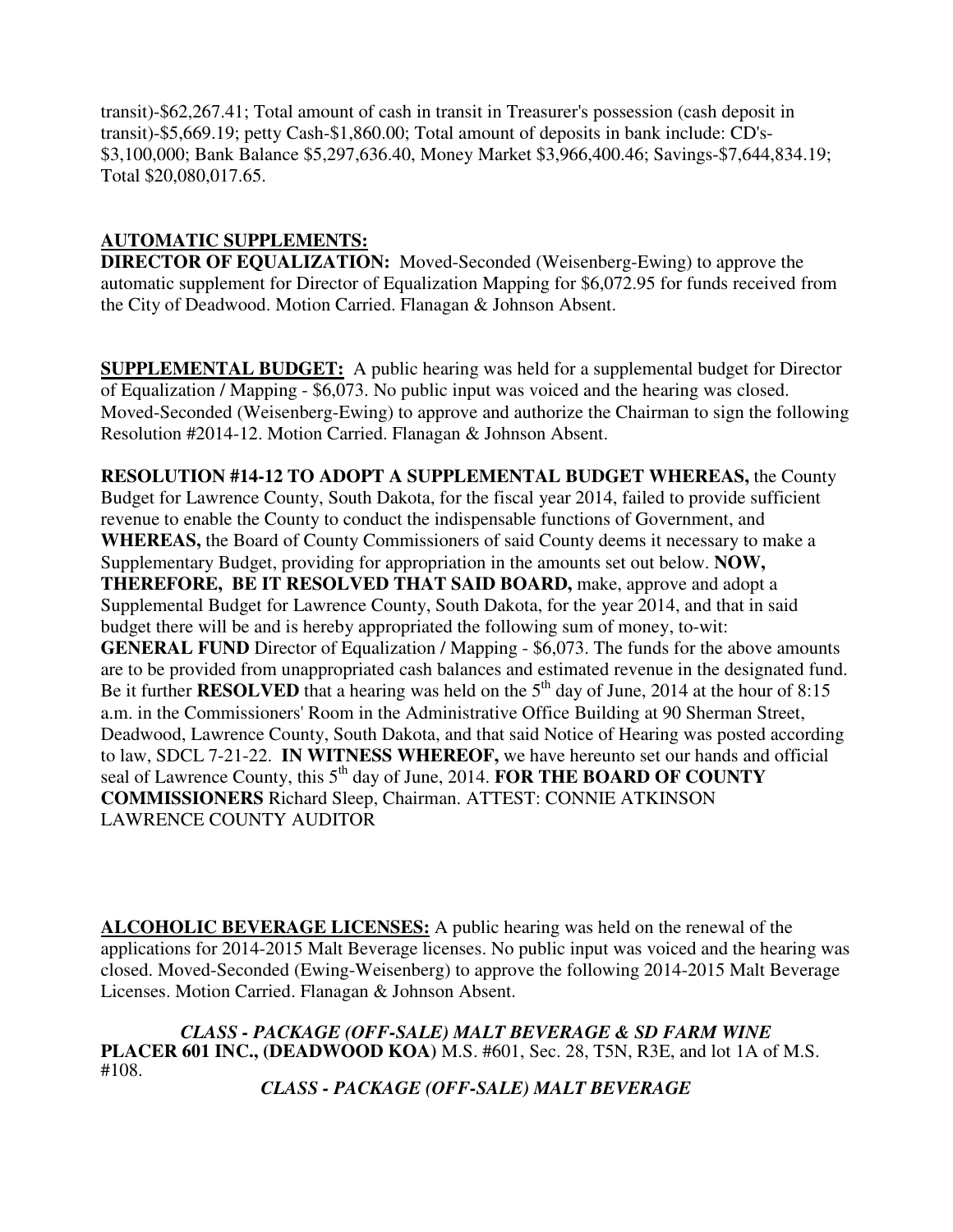transit)-\$62,267.41; Total amount of cash in transit in Treasurer's possession (cash deposit in transit)-\$5,669.19; petty Cash-\$1,860.00; Total amount of deposits in bank include: CD's- \$3,100,000; Bank Balance \$5,297,636.40, Money Market \$3,966,400.46; Savings-\$7,644,834.19; Total \$20,080,017.65.

## **AUTOMATIC SUPPLEMENTS:**

**DIRECTOR OF EQUALIZATION:** Moved-Seconded (Weisenberg-Ewing) to approve the automatic supplement for Director of Equalization Mapping for \$6,072.95 for funds received from the City of Deadwood. Motion Carried. Flanagan & Johnson Absent.

**SUPPLEMENTAL BUDGET:** A public hearing was held for a supplemental budget for Director of Equalization / Mapping - \$6,073. No public input was voiced and the hearing was closed. Moved-Seconded (Weisenberg-Ewing) to approve and authorize the Chairman to sign the following Resolution #2014-12. Motion Carried. Flanagan & Johnson Absent.

**RESOLUTION #14-12 TO ADOPT A SUPPLEMENTAL BUDGET WHEREAS,** the County Budget for Lawrence County, South Dakota, for the fiscal year 2014, failed to provide sufficient revenue to enable the County to conduct the indispensable functions of Government, and **WHEREAS,** the Board of County Commissioners of said County deems it necessary to make a Supplementary Budget, providing for appropriation in the amounts set out below. **NOW, THEREFORE, BE IT RESOLVED THAT SAID BOARD,** make, approve and adopt a Supplemental Budget for Lawrence County, South Dakota, for the year 2014, and that in said budget there will be and is hereby appropriated the following sum of money, to-wit: **GENERAL FUND** Director of Equalization / Mapping - \$6,073. The funds for the above amounts are to be provided from unappropriated cash balances and estimated revenue in the designated fund. Be it further **RESOLVED** that a hearing was held on the 5<sup>th</sup> day of June, 2014 at the hour of 8:15 a.m. in the Commissioners' Room in the Administrative Office Building at 90 Sherman Street, Deadwood, Lawrence County, South Dakota, and that said Notice of Hearing was posted according to law, SDCL 7-21-22. **IN WITNESS WHEREOF,** we have hereunto set our hands and official seal of Lawrence County, this 5<sup>th</sup> day of June, 2014. **FOR THE BOARD OF COUNTY COMMISSIONERS** Richard Sleep, Chairman. ATTEST: CONNIE ATKINSON LAWRENCE COUNTY AUDITOR

**ALCOHOLIC BEVERAGE LICENSES:** A public hearing was held on the renewal of the applications for 2014-2015 Malt Beverage licenses. No public input was voiced and the hearing was closed. Moved-Seconded (Ewing-Weisenberg) to approve the following 2014-2015 Malt Beverage Licenses. Motion Carried. Flanagan & Johnson Absent.

*CLASS - PACKAGE (OFF-SALE) MALT BEVERAGE & SD FARM WINE*  **PLACER 601 INC., (DEADWOOD KOA)** M.S. #601, Sec. 28, T5N, R3E, and lot 1A of M.S. #108. *CLASS - PACKAGE (OFF-SALE) MALT BEVERAGE*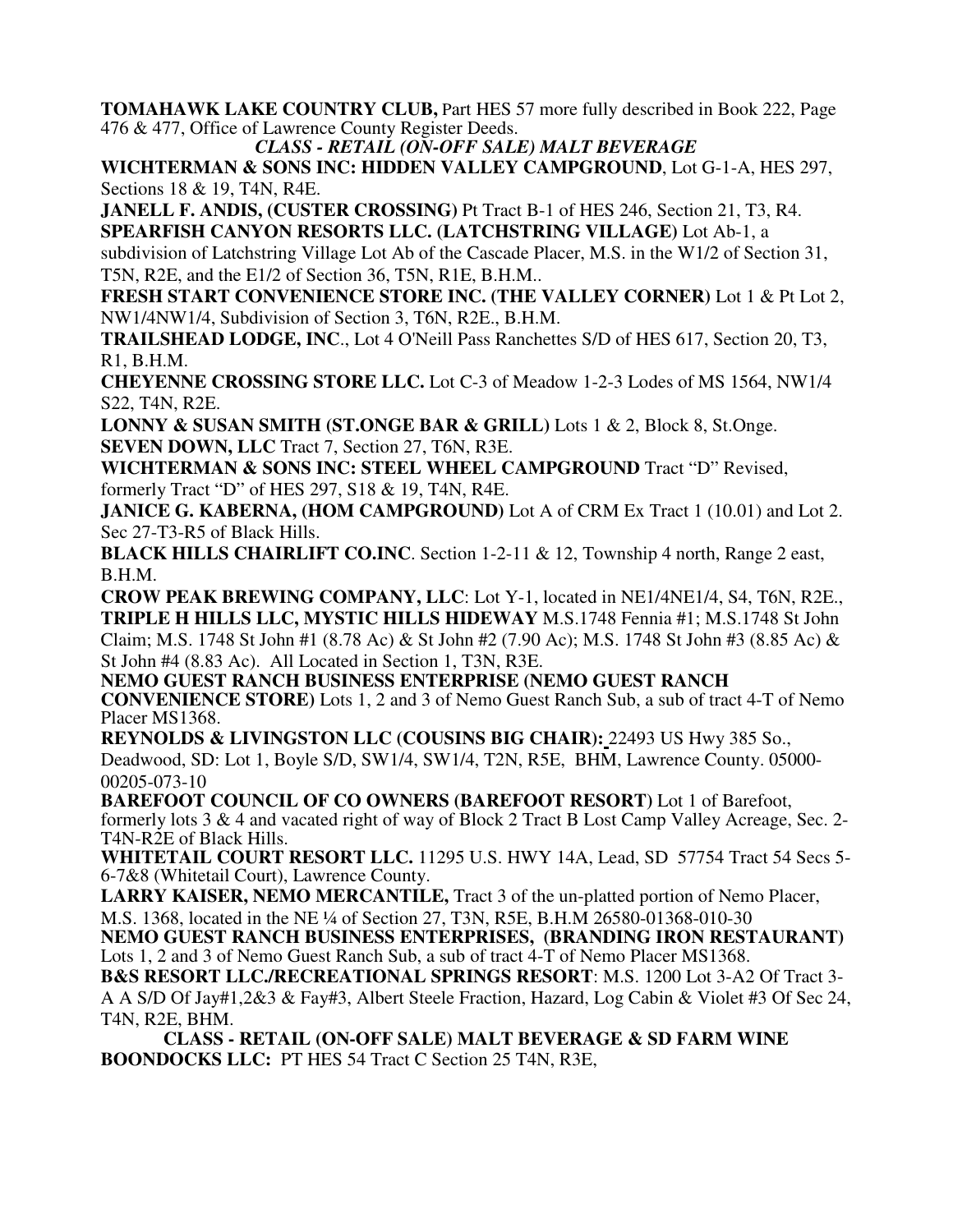**TOMAHAWK LAKE COUNTRY CLUB,** Part HES 57 more fully described in Book 222, Page 476 & 477, Office of Lawrence County Register Deeds.

*CLASS - RETAIL (ON-OFF SALE) MALT BEVERAGE*  **WICHTERMAN & SONS INC: HIDDEN VALLEY CAMPGROUND**, Lot G-1-A, HES 297, Sections 18 & 19, T4N, R4E.

**JANELL F. ANDIS, (CUSTER CROSSING)** Pt Tract B-1 of HES 246, Section 21, T3, R4. **SPEARFISH CANYON RESORTS LLC. (LATCHSTRING VILLAGE)** Lot Ab-1, a

subdivision of Latchstring Village Lot Ab of the Cascade Placer, M.S. in the W1/2 of Section 31, T5N, R2E, and the E1/2 of Section 36, T5N, R1E, B.H.M..

**FRESH START CONVENIENCE STORE INC. (THE VALLEY CORNER)** Lot 1 & Pt Lot 2, NW1/4NW1/4, Subdivision of Section 3, T6N, R2E., B.H.M.

**TRAILSHEAD LODGE, INC**., Lot 4 O'Neill Pass Ranchettes S/D of HES 617, Section 20, T3, R1, B.H.M.

**CHEYENNE CROSSING STORE LLC.** Lot C-3 of Meadow 1-2-3 Lodes of MS 1564, NW1/4 S22, T4N, R2E.

**LONNY & SUSAN SMITH (ST.ONGE BAR & GRILL)** Lots 1 & 2, Block 8, St.Onge. **SEVEN DOWN, LLC** Tract 7, Section 27, T6N, R3E.

**WICHTERMAN & SONS INC: STEEL WHEEL CAMPGROUND** Tract "D" Revised, formerly Tract "D" of HES 297, S18 & 19, T4N, R4E.

**JANICE G. KABERNA, (HOM CAMPGROUND)** Lot A of CRM Ex Tract 1 (10.01) and Lot 2. Sec 27-T3-R5 of Black Hills.

**BLACK HILLS CHAIRLIFT CO.INC**. Section 1-2-11 & 12, Township 4 north, Range 2 east, B.H.M.

**CROW PEAK BREWING COMPANY, LLC**: Lot Y-1, located in NE1/4NE1/4, S4, T6N, R2E., **TRIPLE H HILLS LLC, MYSTIC HILLS HIDEWAY** M.S.1748 Fennia #1; M.S.1748 St John Claim; M.S. 1748 St John #1 (8.78 Ac) & St John #2 (7.90 Ac); M.S. 1748 St John #3 (8.85 Ac) &

St John #4 (8.83 Ac). All Located in Section 1, T3N, R3E.

**NEMO GUEST RANCH BUSINESS ENTERPRISE (NEMO GUEST RANCH CONVENIENCE STORE)** Lots 1, 2 and 3 of Nemo Guest Ranch Sub, a sub of tract 4-T of Nemo Placer MS1368.

**REYNOLDS & LIVINGSTON LLC (COUSINS BIG CHAIR):** 22493 US Hwy 385 So., Deadwood, SD: Lot 1, Boyle S/D, SW1/4, SW1/4, T2N, R5E, BHM, Lawrence County. 05000- 00205-073-10

**BAREFOOT COUNCIL OF CO OWNERS (BAREFOOT RESORT)** Lot 1 of Barefoot, formerly lots 3 & 4 and vacated right of way of Block 2 Tract B Lost Camp Valley Acreage, Sec. 2- T4N-R2E of Black Hills.

**WHITETAIL COURT RESORT LLC.** 11295 U.S. HWY 14A, Lead, SD 57754 Tract 54 Secs 5- 6-7&8 (Whitetail Court), Lawrence County.

**LARRY KAISER, NEMO MERCANTILE,** Tract 3 of the un-platted portion of Nemo Placer, M.S. 1368, located in the NE ¼ of Section 27, T3N, R5E, B.H.M 26580-01368-010-30

**NEMO GUEST RANCH BUSINESS ENTERPRISES, (BRANDING IRON RESTAURANT)**  Lots 1, 2 and 3 of Nemo Guest Ranch Sub, a sub of tract 4-T of Nemo Placer MS1368.

**B&S RESORT LLC./RECREATIONAL SPRINGS RESORT**: M.S. 1200 Lot 3-A2 Of Tract 3- A A S/D Of Jay#1,2&3 & Fay#3, Albert Steele Fraction, Hazard, Log Cabin & Violet #3 Of Sec 24, T4N, R2E, BHM.

**CLASS - RETAIL (ON-OFF SALE) MALT BEVERAGE & SD FARM WINE BOONDOCKS LLC:** PT HES 54 Tract C Section 25 T4N, R3E,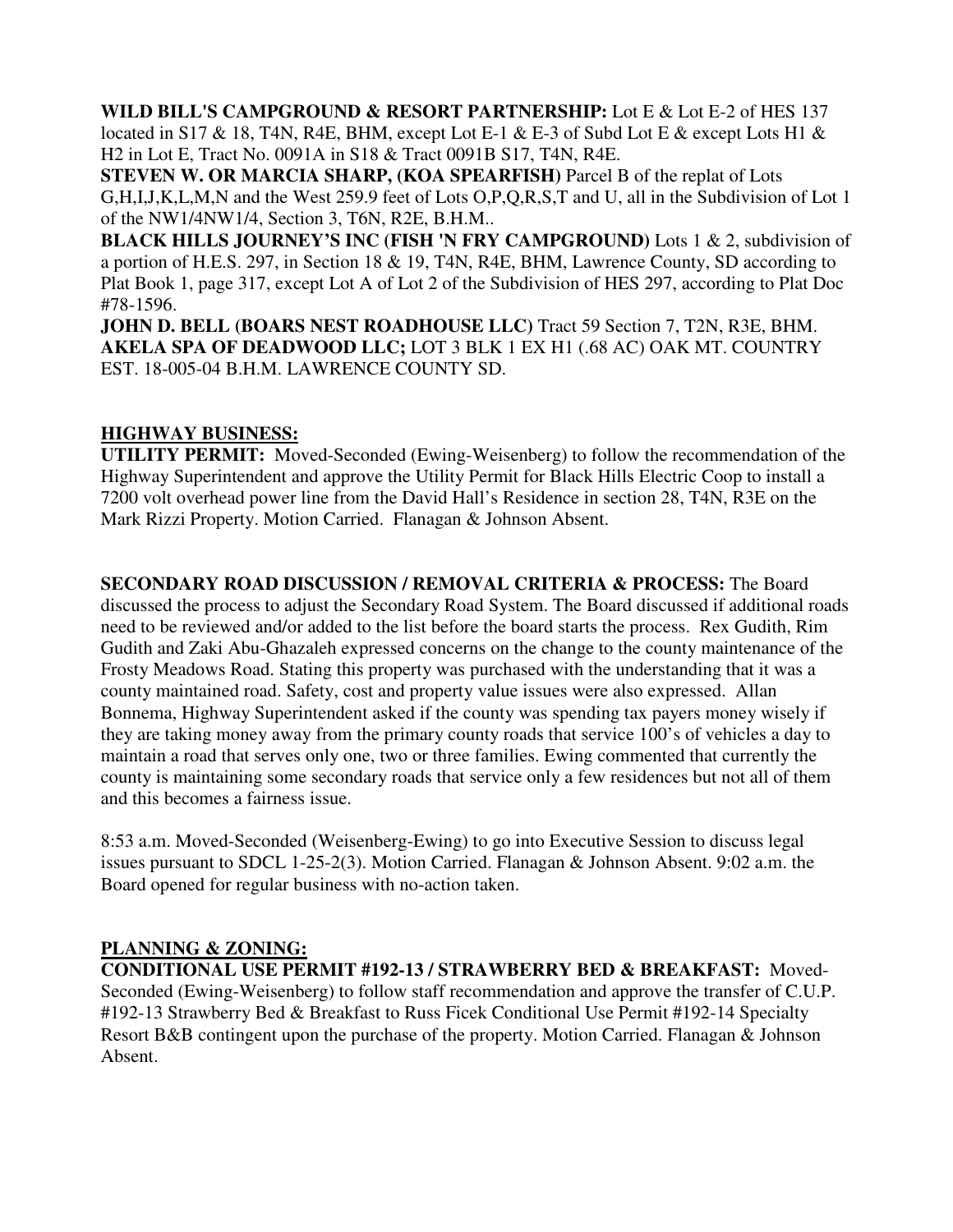**WILD BILL'S CAMPGROUND & RESORT PARTNERSHIP:** Lot E & Lot E-2 of HES 137 located in S17 & 18, T4N, R4E, BHM, except Lot E-1 & E-3 of Subd Lot E & except Lots H1 & H2 in Lot E, Tract No. 0091A in S18 & Tract 0091B S17, T4N, R4E.

**STEVEN W. OR MARCIA SHARP, (KOA SPEARFISH)** Parcel B of the replat of Lots G,H,I,J,K,L,M,N and the West 259.9 feet of Lots O,P,Q,R,S,T and U, all in the Subdivision of Lot 1 of the NW1/4NW1/4, Section 3, T6N, R2E, B.H.M..

**BLACK HILLS JOURNEY'S INC (FISH 'N FRY CAMPGROUND)** Lots 1 & 2, subdivision of a portion of H.E.S. 297, in Section 18 & 19, T4N, R4E, BHM, Lawrence County, SD according to Plat Book 1, page 317, except Lot A of Lot 2 of the Subdivision of HES 297, according to Plat Doc #78-1596.

**JOHN D. BELL (BOARS NEST ROADHOUSE LLC)** Tract 59 Section 7, T2N, R3E, BHM. **AKELA SPA OF DEADWOOD LLC;** LOT 3 BLK 1 EX H1 (.68 AC) OAK MT. COUNTRY EST. 18-005-04 B.H.M. LAWRENCE COUNTY SD.

## **HIGHWAY BUSINESS:**

**UTILITY PERMIT:** Moved-Seconded (Ewing-Weisenberg) to follow the recommendation of the Highway Superintendent and approve the Utility Permit for Black Hills Electric Coop to install a 7200 volt overhead power line from the David Hall's Residence in section 28, T4N, R3E on the Mark Rizzi Property. Motion Carried. Flanagan & Johnson Absent.

**SECONDARY ROAD DISCUSSION / REMOVAL CRITERIA & PROCESS:** The Board discussed the process to adjust the Secondary Road System. The Board discussed if additional roads need to be reviewed and/or added to the list before the board starts the process. Rex Gudith, Rim Gudith and Zaki Abu-Ghazaleh expressed concerns on the change to the county maintenance of the Frosty Meadows Road. Stating this property was purchased with the understanding that it was a county maintained road. Safety, cost and property value issues were also expressed. Allan Bonnema, Highway Superintendent asked if the county was spending tax payers money wisely if they are taking money away from the primary county roads that service 100's of vehicles a day to maintain a road that serves only one, two or three families. Ewing commented that currently the county is maintaining some secondary roads that service only a few residences but not all of them and this becomes a fairness issue.

8:53 a.m. Moved-Seconded (Weisenberg-Ewing) to go into Executive Session to discuss legal issues pursuant to SDCL 1-25-2(3). Motion Carried. Flanagan & Johnson Absent. 9:02 a.m. the Board opened for regular business with no-action taken.

# **PLANNING & ZONING:**

**CONDITIONAL USE PERMIT #192-13 / STRAWBERRY BED & BREAKFAST:** Moved-Seconded (Ewing-Weisenberg) to follow staff recommendation and approve the transfer of C.U.P. #192-13 Strawberry Bed & Breakfast to Russ Ficek Conditional Use Permit #192-14 Specialty Resort B&B contingent upon the purchase of the property. Motion Carried. Flanagan & Johnson Absent.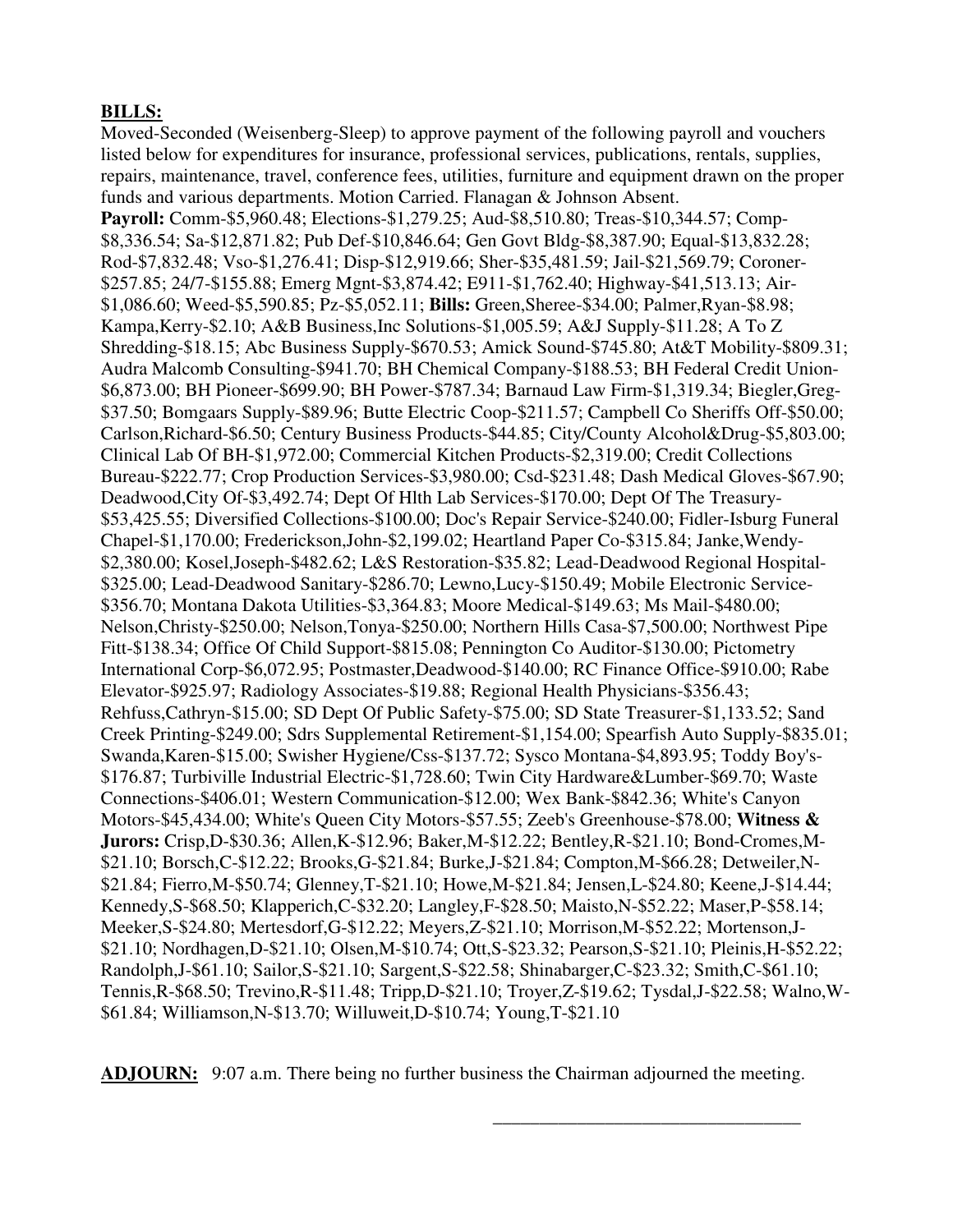## **BILLS:**

Moved-Seconded (Weisenberg-Sleep) to approve payment of the following payroll and vouchers listed below for expenditures for insurance, professional services, publications, rentals, supplies, repairs, maintenance, travel, conference fees, utilities, furniture and equipment drawn on the proper funds and various departments. Motion Carried. Flanagan & Johnson Absent. **Payroll:** Comm-\$5,960.48; Elections-\$1,279.25; Aud-\$8,510.80; Treas-\$10,344.57; Comp- \$8,336.54; Sa-\$12,871.82; Pub Def-\$10,846.64; Gen Govt Bldg-\$8,387.90; Equal-\$13,832.28; Rod-\$7,832.48; Vso-\$1,276.41; Disp-\$12,919.66; Sher-\$35,481.59; Jail-\$21,569.79; Coroner- \$257.85; 24/7-\$155.88; Emerg Mgnt-\$3,874.42; E911-\$1,762.40; Highway-\$41,513.13; Air- \$1,086.60; Weed-\$5,590.85; Pz-\$5,052.11; **Bills:** Green,Sheree-\$34.00; Palmer,Ryan-\$8.98; Kampa,Kerry-\$2.10; A&B Business,Inc Solutions-\$1,005.59; A&J Supply-\$11.28; A To Z Shredding-\$18.15; Abc Business Supply-\$670.53; Amick Sound-\$745.80; At&T Mobility-\$809.31; Audra Malcomb Consulting-\$941.70; BH Chemical Company-\$188.53; BH Federal Credit Union- \$6,873.00; BH Pioneer-\$699.90; BH Power-\$787.34; Barnaud Law Firm-\$1,319.34; Biegler,Greg- \$37.50; Bomgaars Supply-\$89.96; Butte Electric Coop-\$211.57; Campbell Co Sheriffs Off-\$50.00; Carlson,Richard-\$6.50; Century Business Products-\$44.85; City/County Alcohol&Drug-\$5,803.00; Clinical Lab Of BH-\$1,972.00; Commercial Kitchen Products-\$2,319.00; Credit Collections Bureau-\$222.77; Crop Production Services-\$3,980.00; Csd-\$231.48; Dash Medical Gloves-\$67.90; Deadwood,City Of-\$3,492.74; Dept Of Hlth Lab Services-\$170.00; Dept Of The Treasury- \$53,425.55; Diversified Collections-\$100.00; Doc's Repair Service-\$240.00; Fidler-Isburg Funeral Chapel-\$1,170.00; Frederickson,John-\$2,199.02; Heartland Paper Co-\$315.84; Janke,Wendy- \$2,380.00; Kosel,Joseph-\$482.62; L&S Restoration-\$35.82; Lead-Deadwood Regional Hospital- \$325.00; Lead-Deadwood Sanitary-\$286.70; Lewno,Lucy-\$150.49; Mobile Electronic Service- \$356.70; Montana Dakota Utilities-\$3,364.83; Moore Medical-\$149.63; Ms Mail-\$480.00; Nelson,Christy-\$250.00; Nelson,Tonya-\$250.00; Northern Hills Casa-\$7,500.00; Northwest Pipe Fitt-\$138.34; Office Of Child Support-\$815.08; Pennington Co Auditor-\$130.00; Pictometry International Corp-\$6,072.95; Postmaster,Deadwood-\$140.00; RC Finance Office-\$910.00; Rabe Elevator-\$925.97; Radiology Associates-\$19.88; Regional Health Physicians-\$356.43; Rehfuss,Cathryn-\$15.00; SD Dept Of Public Safety-\$75.00; SD State Treasurer-\$1,133.52; Sand Creek Printing-\$249.00; Sdrs Supplemental Retirement-\$1,154.00; Spearfish Auto Supply-\$835.01; Swanda,Karen-\$15.00; Swisher Hygiene/Css-\$137.72; Sysco Montana-\$4,893.95; Toddy Boy's- \$176.87; Turbiville Industrial Electric-\$1,728.60; Twin City Hardware&Lumber-\$69.70; Waste Connections-\$406.01; Western Communication-\$12.00; Wex Bank-\$842.36; White's Canyon Motors-\$45,434.00; White's Queen City Motors-\$57.55; Zeeb's Greenhouse-\$78.00; **Witness & Jurors:** Crisp,D-\$30.36; Allen,K-\$12.96; Baker,M-\$12.22; Bentley,R-\$21.10; Bond-Cromes,M- \$21.10; Borsch,C-\$12.22; Brooks,G-\$21.84; Burke,J-\$21.84; Compton,M-\$66.28; Detweiler,N- \$21.84; Fierro,M-\$50.74; Glenney,T-\$21.10; Howe,M-\$21.84; Jensen,L-\$24.80; Keene,J-\$14.44; Kennedy,S-\$68.50; Klapperich,C-\$32.20; Langley,F-\$28.50; Maisto,N-\$52.22; Maser,P-\$58.14; Meeker,S-\$24.80; Mertesdorf,G-\$12.22; Meyers,Z-\$21.10; Morrison,M-\$52.22; Mortenson,J- \$21.10; Nordhagen,D-\$21.10; Olsen,M-\$10.74; Ott,S-\$23.32; Pearson,S-\$21.10; Pleinis,H-\$52.22; Randolph,J-\$61.10; Sailor,S-\$21.10; Sargent,S-\$22.58; Shinabarger,C-\$23.32; Smith,C-\$61.10; Tennis,R-\$68.50; Trevino,R-\$11.48; Tripp,D-\$21.10; Troyer,Z-\$19.62; Tysdal,J-\$22.58; Walno,W- \$61.84; Williamson,N-\$13.70; Willuweit,D-\$10.74; Young,T-\$21.10

**ADJOURN:** 9:07 a.m. There being no further business the Chairman adjourned the meeting.

 $\overline{\phantom{a}}$  , and the contract of the contract of the contract of the contract of the contract of the contract of the contract of the contract of the contract of the contract of the contract of the contract of the contrac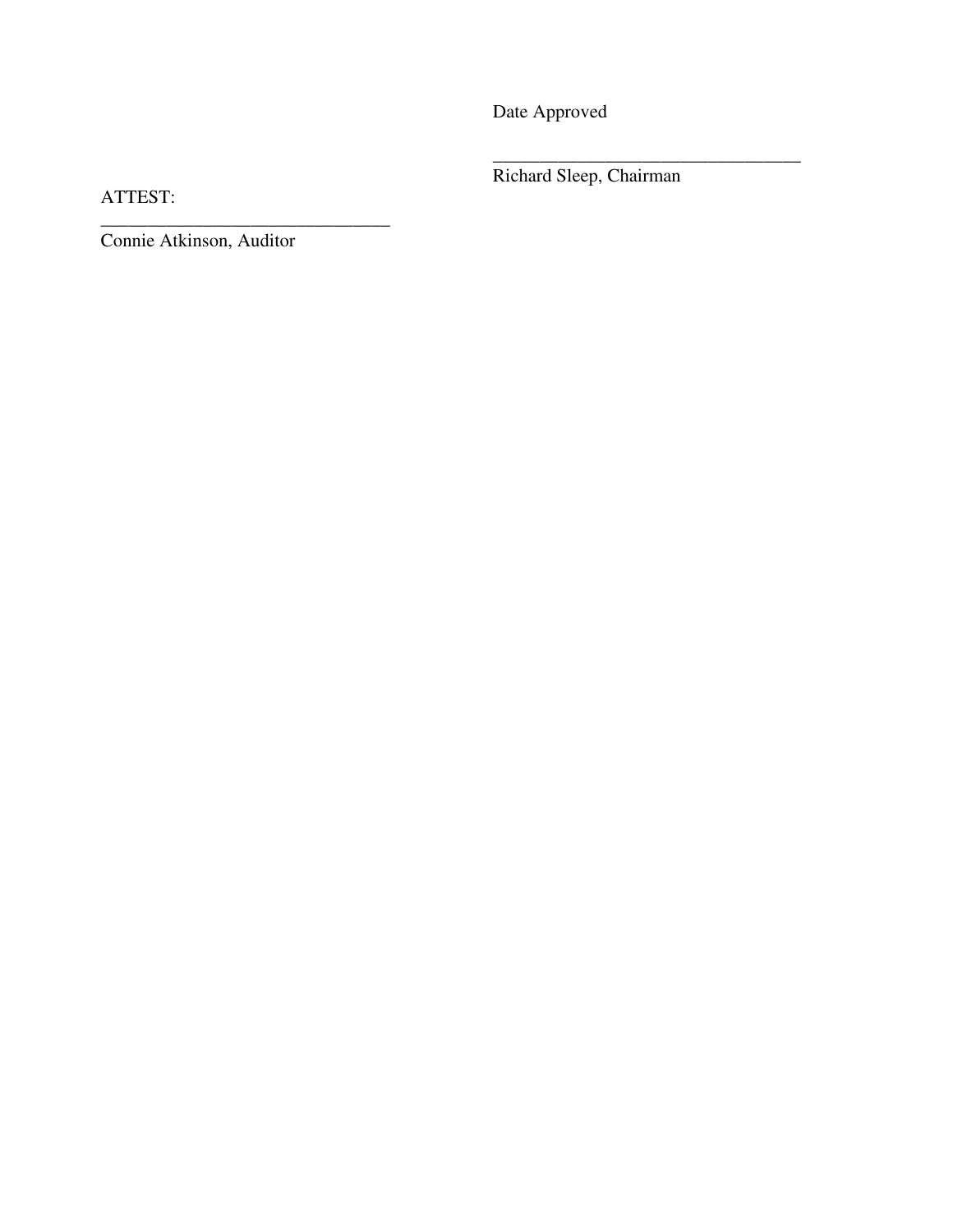Date Approved

 $\overline{\phantom{a}}$  , and the contract of the contract of the contract of the contract of the contract of the contract of the contract of the contract of the contract of the contract of the contract of the contract of the contrac Richard Sleep, Chairman

ATTEST:

Connie Atkinson, Auditor

\_\_\_\_\_\_\_\_\_\_\_\_\_\_\_\_\_\_\_\_\_\_\_\_\_\_\_\_\_\_\_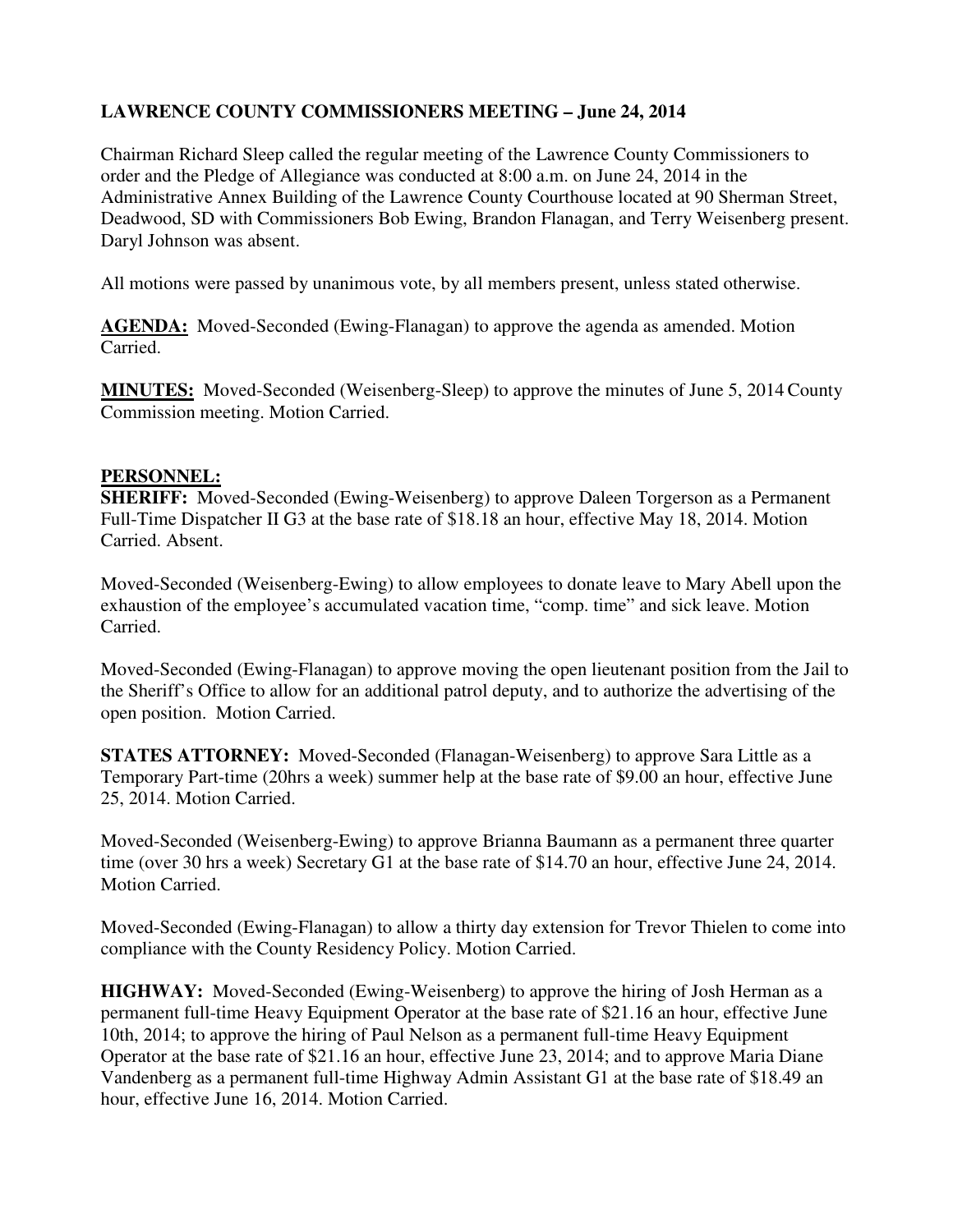# **LAWRENCE COUNTY COMMISSIONERS MEETING – June 24, 2014**

Chairman Richard Sleep called the regular meeting of the Lawrence County Commissioners to order and the Pledge of Allegiance was conducted at 8:00 a.m. on June 24, 2014 in the Administrative Annex Building of the Lawrence County Courthouse located at 90 Sherman Street, Deadwood, SD with Commissioners Bob Ewing, Brandon Flanagan, and Terry Weisenberg present. Daryl Johnson was absent.

All motions were passed by unanimous vote, by all members present, unless stated otherwise.

**AGENDA:** Moved-Seconded (Ewing-Flanagan) to approve the agenda as amended. Motion Carried.

**MINUTES:** Moved-Seconded (Weisenberg-Sleep) to approve the minutes of June 5, 2014 County Commission meeting. Motion Carried.

#### **PERSONNEL:**

**SHERIFF:** Moved-Seconded (Ewing-Weisenberg) to approve Daleen Torgerson as a Permanent Full-Time Dispatcher II G3 at the base rate of \$18.18 an hour, effective May 18, 2014. Motion Carried. Absent.

Moved-Seconded (Weisenberg-Ewing) to allow employees to donate leave to Mary Abell upon the exhaustion of the employee's accumulated vacation time, "comp. time" and sick leave. Motion Carried.

Moved-Seconded (Ewing-Flanagan) to approve moving the open lieutenant position from the Jail to the Sheriff's Office to allow for an additional patrol deputy, and to authorize the advertising of the open position. Motion Carried.

**STATES ATTORNEY:** Moved-Seconded (Flanagan-Weisenberg) to approve Sara Little as a Temporary Part-time (20hrs a week) summer help at the base rate of \$9.00 an hour, effective June 25, 2014. Motion Carried.

Moved-Seconded (Weisenberg-Ewing) to approve Brianna Baumann as a permanent three quarter time (over 30 hrs a week) Secretary G1 at the base rate of \$14.70 an hour, effective June 24, 2014. Motion Carried.

Moved-Seconded (Ewing-Flanagan) to allow a thirty day extension for Trevor Thielen to come into compliance with the County Residency Policy. Motion Carried.

**HIGHWAY:** Moved-Seconded (Ewing-Weisenberg) to approve the hiring of Josh Herman as a permanent full-time Heavy Equipment Operator at the base rate of \$21.16 an hour, effective June 10th, 2014; to approve the hiring of Paul Nelson as a permanent full-time Heavy Equipment Operator at the base rate of \$21.16 an hour, effective June 23, 2014; and to approve Maria Diane Vandenberg as a permanent full-time Highway Admin Assistant G1 at the base rate of \$18.49 an hour, effective June 16, 2014. Motion Carried.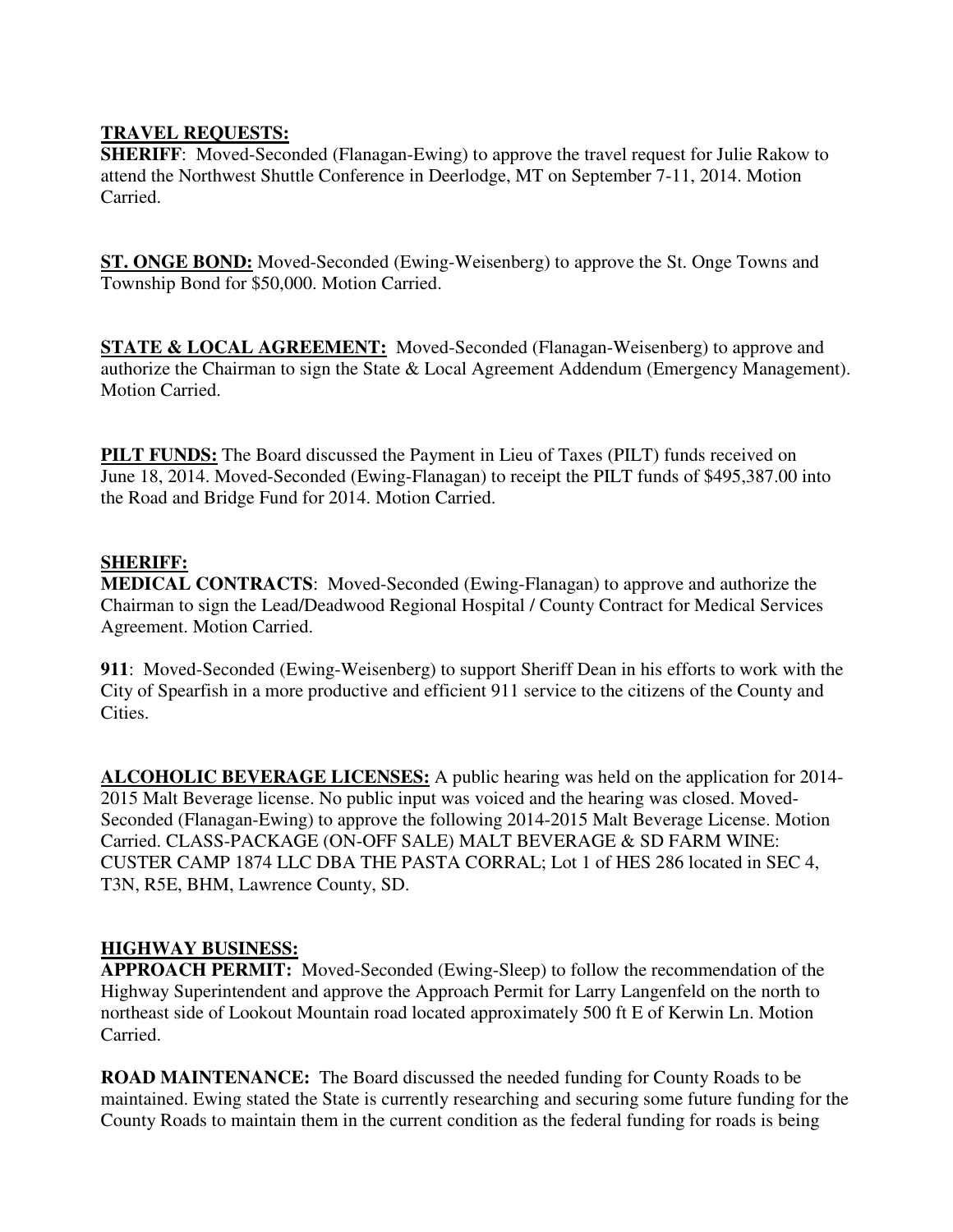### **TRAVEL REQUESTS:**

**SHERIFF:** Moved-Seconded (Flanagan-Ewing) to approve the travel request for Julie Rakow to attend the Northwest Shuttle Conference in Deerlodge, MT on September 7-11, 2014. Motion Carried.

**ST. ONGE BOND:** Moved-Seconded (Ewing-Weisenberg) to approve the St. Onge Towns and Township Bond for \$50,000. Motion Carried.

**STATE & LOCAL AGREEMENT:** Moved-Seconded (Flanagan-Weisenberg) to approve and authorize the Chairman to sign the State & Local Agreement Addendum (Emergency Management). Motion Carried.

**PILT FUNDS:** The Board discussed the Payment in Lieu of Taxes (PILT) funds received on June 18, 2014. Moved-Seconded (Ewing-Flanagan) to receipt the PILT funds of \$495,387.00 into the Road and Bridge Fund for 2014. Motion Carried.

# **SHERIFF:**

**MEDICAL CONTRACTS**: Moved-Seconded (Ewing-Flanagan) to approve and authorize the Chairman to sign the Lead/Deadwood Regional Hospital / County Contract for Medical Services Agreement. Motion Carried.

**911**: Moved-Seconded (Ewing-Weisenberg) to support Sheriff Dean in his efforts to work with the City of Spearfish in a more productive and efficient 911 service to the citizens of the County and Cities.

**ALCOHOLIC BEVERAGE LICENSES:** A public hearing was held on the application for 2014- 2015 Malt Beverage license. No public input was voiced and the hearing was closed. Moved-Seconded (Flanagan-Ewing) to approve the following 2014-2015 Malt Beverage License. Motion Carried. CLASS-PACKAGE (ON-OFF SALE) MALT BEVERAGE & SD FARM WINE: CUSTER CAMP 1874 LLC DBA THE PASTA CORRAL; Lot 1 of HES 286 located in SEC 4, T3N, R5E, BHM, Lawrence County, SD.

### **HIGHWAY BUSINESS:**

**APPROACH PERMIT:** Moved-Seconded (Ewing-Sleep) to follow the recommendation of the Highway Superintendent and approve the Approach Permit for Larry Langenfeld on the north to northeast side of Lookout Mountain road located approximately 500 ft E of Kerwin Ln. Motion Carried.

**ROAD MAINTENANCE:** The Board discussed the needed funding for County Roads to be maintained. Ewing stated the State is currently researching and securing some future funding for the County Roads to maintain them in the current condition as the federal funding for roads is being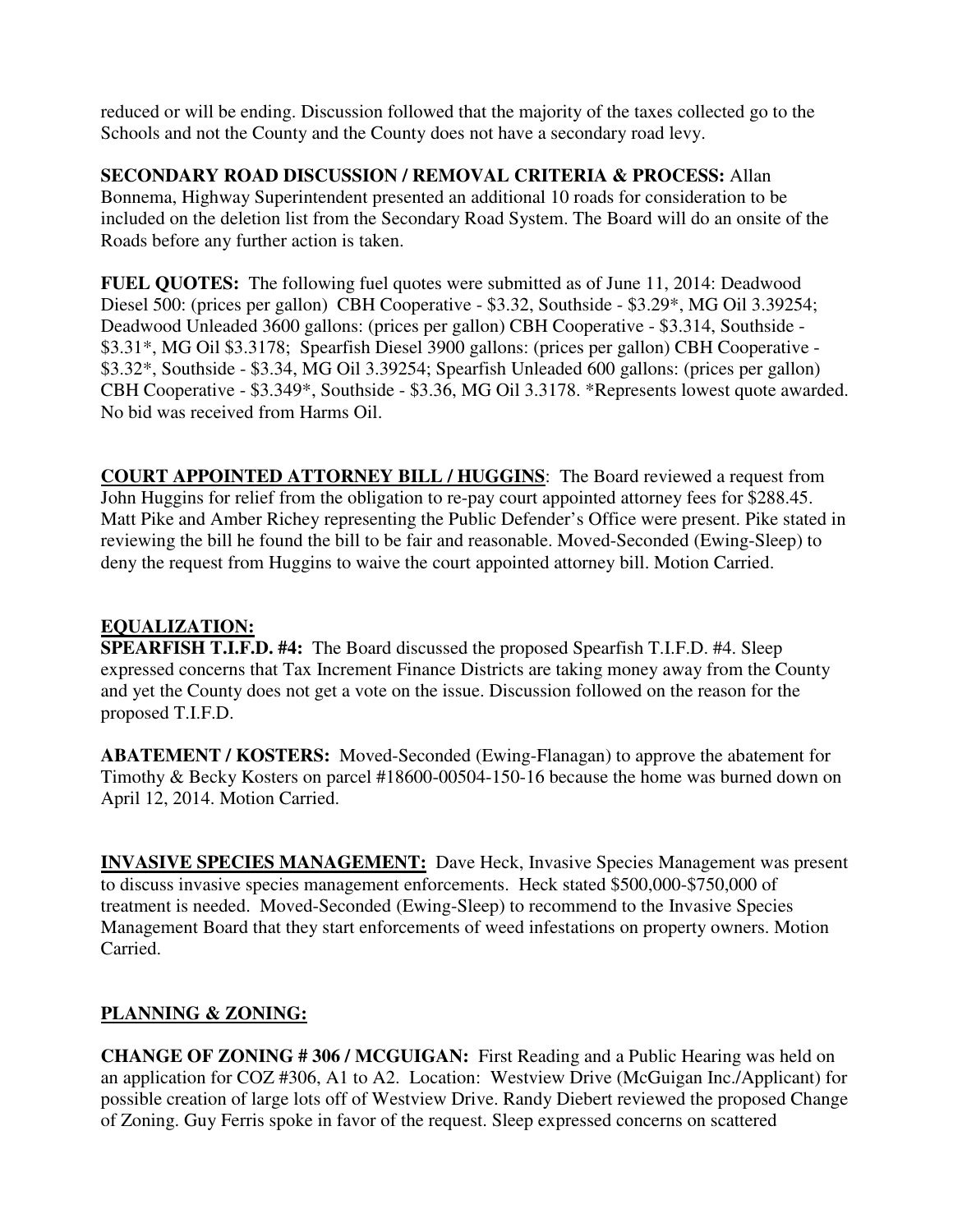reduced or will be ending. Discussion followed that the majority of the taxes collected go to the Schools and not the County and the County does not have a secondary road levy.

**SECONDARY ROAD DISCUSSION / REMOVAL CRITERIA & PROCESS:** Allan Bonnema, Highway Superintendent presented an additional 10 roads for consideration to be included on the deletion list from the Secondary Road System. The Board will do an onsite of the Roads before any further action is taken.

**FUEL QUOTES:** The following fuel quotes were submitted as of June 11, 2014: Deadwood Diesel 500: (prices per gallon) CBH Cooperative - \$3.32, Southside - \$3.29\*, MG Oil 3.39254; Deadwood Unleaded 3600 gallons: (prices per gallon) CBH Cooperative - \$3.314, Southside - \$3.31\*, MG Oil \$3.3178; Spearfish Diesel 3900 gallons: (prices per gallon) CBH Cooperative - \$3.32\*, Southside - \$3.34, MG Oil 3.39254; Spearfish Unleaded 600 gallons: (prices per gallon) CBH Cooperative - \$3.349\*, Southside - \$3.36, MG Oil 3.3178. \*Represents lowest quote awarded. No bid was received from Harms Oil.

**COURT APPOINTED ATTORNEY BILL / HUGGINS**: The Board reviewed a request from John Huggins for relief from the obligation to re-pay court appointed attorney fees for \$288.45. Matt Pike and Amber Richey representing the Public Defender's Office were present. Pike stated in reviewing the bill he found the bill to be fair and reasonable. Moved-Seconded (Ewing-Sleep) to deny the request from Huggins to waive the court appointed attorney bill. Motion Carried.

### **EQUALIZATION:**

**SPEARFISH T.I.F.D. #4:** The Board discussed the proposed Spearfish T.I.F.D. #4. Sleep expressed concerns that Tax Increment Finance Districts are taking money away from the County and yet the County does not get a vote on the issue. Discussion followed on the reason for the proposed T.I.F.D.

**ABATEMENT / KOSTERS:** Moved-Seconded (Ewing-Flanagan) to approve the abatement for Timothy & Becky Kosters on parcel #18600-00504-150-16 because the home was burned down on April 12, 2014. Motion Carried.

**INVASIVE SPECIES MANAGEMENT:** Dave Heck, Invasive Species Management was present to discuss invasive species management enforcements. Heck stated \$500,000-\$750,000 of treatment is needed. Moved-Seconded (Ewing-Sleep) to recommend to the Invasive Species Management Board that they start enforcements of weed infestations on property owners. Motion Carried.

# **PLANNING & ZONING:**

**CHANGE OF ZONING # 306 / MCGUIGAN:** First Reading and a Public Hearing was held on an application for COZ #306, A1 to A2. Location: Westview Drive (McGuigan Inc./Applicant) for possible creation of large lots off of Westview Drive. Randy Diebert reviewed the proposed Change of Zoning. Guy Ferris spoke in favor of the request. Sleep expressed concerns on scattered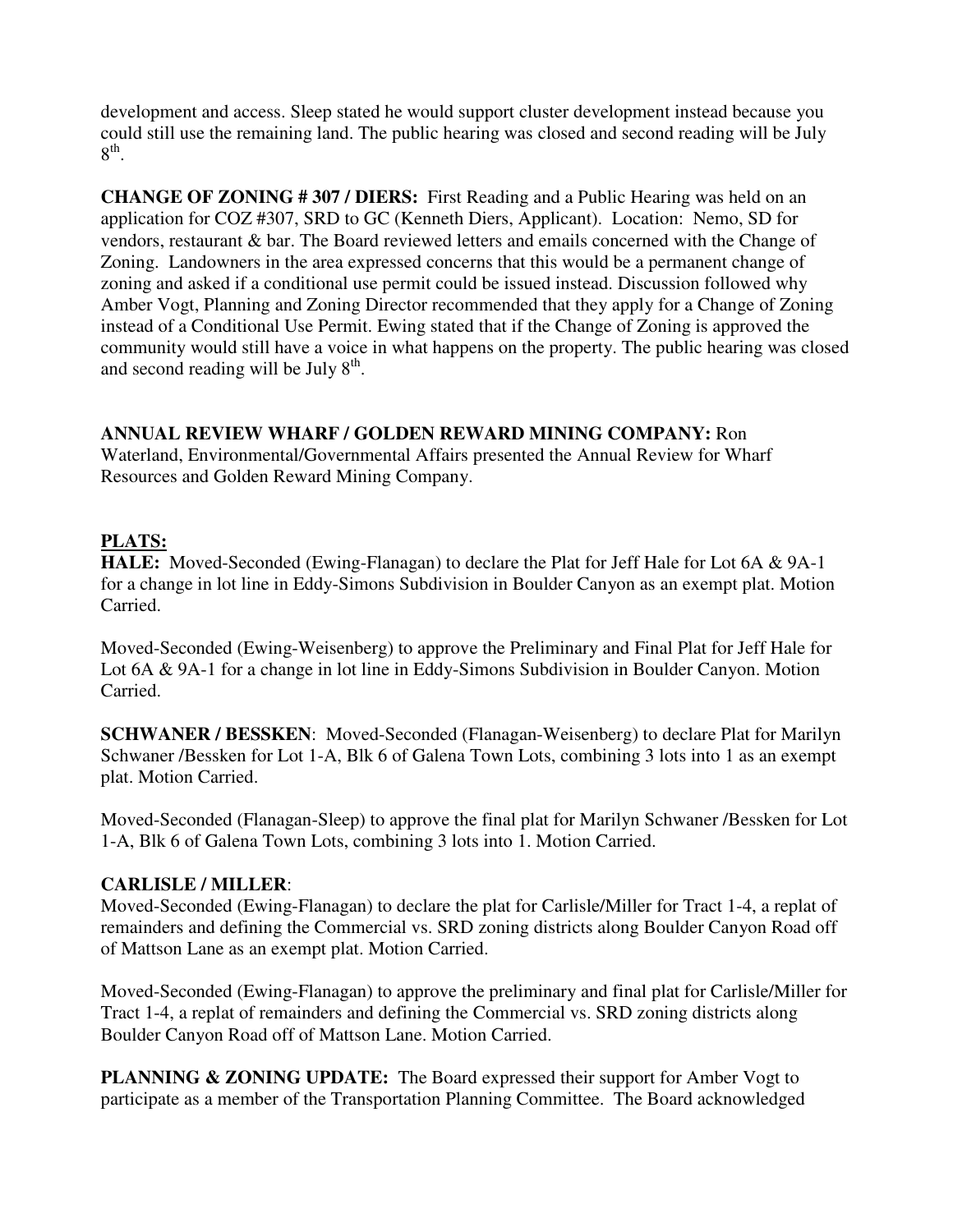development and access. Sleep stated he would support cluster development instead because you could still use the remaining land. The public hearing was closed and second reading will be July  $8^{\text{th}}$ .

**CHANGE OF ZONING # 307 / DIERS:** First Reading and a Public Hearing was held on an application for COZ #307, SRD to GC (Kenneth Diers, Applicant). Location: Nemo, SD for vendors, restaurant & bar. The Board reviewed letters and emails concerned with the Change of Zoning. Landowners in the area expressed concerns that this would be a permanent change of zoning and asked if a conditional use permit could be issued instead. Discussion followed why Amber Vogt, Planning and Zoning Director recommended that they apply for a Change of Zoning instead of a Conditional Use Permit. Ewing stated that if the Change of Zoning is approved the community would still have a voice in what happens on the property. The public hearing was closed and second reading will be July 8<sup>th</sup>.

## **ANNUAL REVIEW WHARF / GOLDEN REWARD MINING COMPANY:** Ron

Waterland, Environmental/Governmental Affairs presented the Annual Review for Wharf Resources and Golden Reward Mining Company.

# **PLATS:**

**HALE:** Moved-Seconded (Ewing-Flanagan) to declare the Plat for Jeff Hale for Lot 6A & 9A-1 for a change in lot line in Eddy-Simons Subdivision in Boulder Canyon as an exempt plat. Motion Carried.

Moved-Seconded (Ewing-Weisenberg) to approve the Preliminary and Final Plat for Jeff Hale for Lot 6A & 9A-1 for a change in lot line in Eddy-Simons Subdivision in Boulder Canyon. Motion Carried.

**SCHWANER / BESSKEN**: Moved-Seconded (Flanagan-Weisenberg) to declare Plat for Marilyn Schwaner /Bessken for Lot 1-A, Blk 6 of Galena Town Lots, combining 3 lots into 1 as an exempt plat. Motion Carried.

Moved-Seconded (Flanagan-Sleep) to approve the final plat for Marilyn Schwaner /Bessken for Lot 1-A, Blk 6 of Galena Town Lots, combining 3 lots into 1. Motion Carried.

### **CARLISLE / MILLER**:

Moved-Seconded (Ewing-Flanagan) to declare the plat for Carlisle/Miller for Tract 1-4, a replat of remainders and defining the Commercial vs. SRD zoning districts along Boulder Canyon Road off of Mattson Lane as an exempt plat. Motion Carried.

Moved-Seconded (Ewing-Flanagan) to approve the preliminary and final plat for Carlisle/Miller for Tract 1-4, a replat of remainders and defining the Commercial vs. SRD zoning districts along Boulder Canyon Road off of Mattson Lane. Motion Carried.

**PLANNING & ZONING UPDATE:** The Board expressed their support for Amber Vogt to participate as a member of the Transportation Planning Committee. The Board acknowledged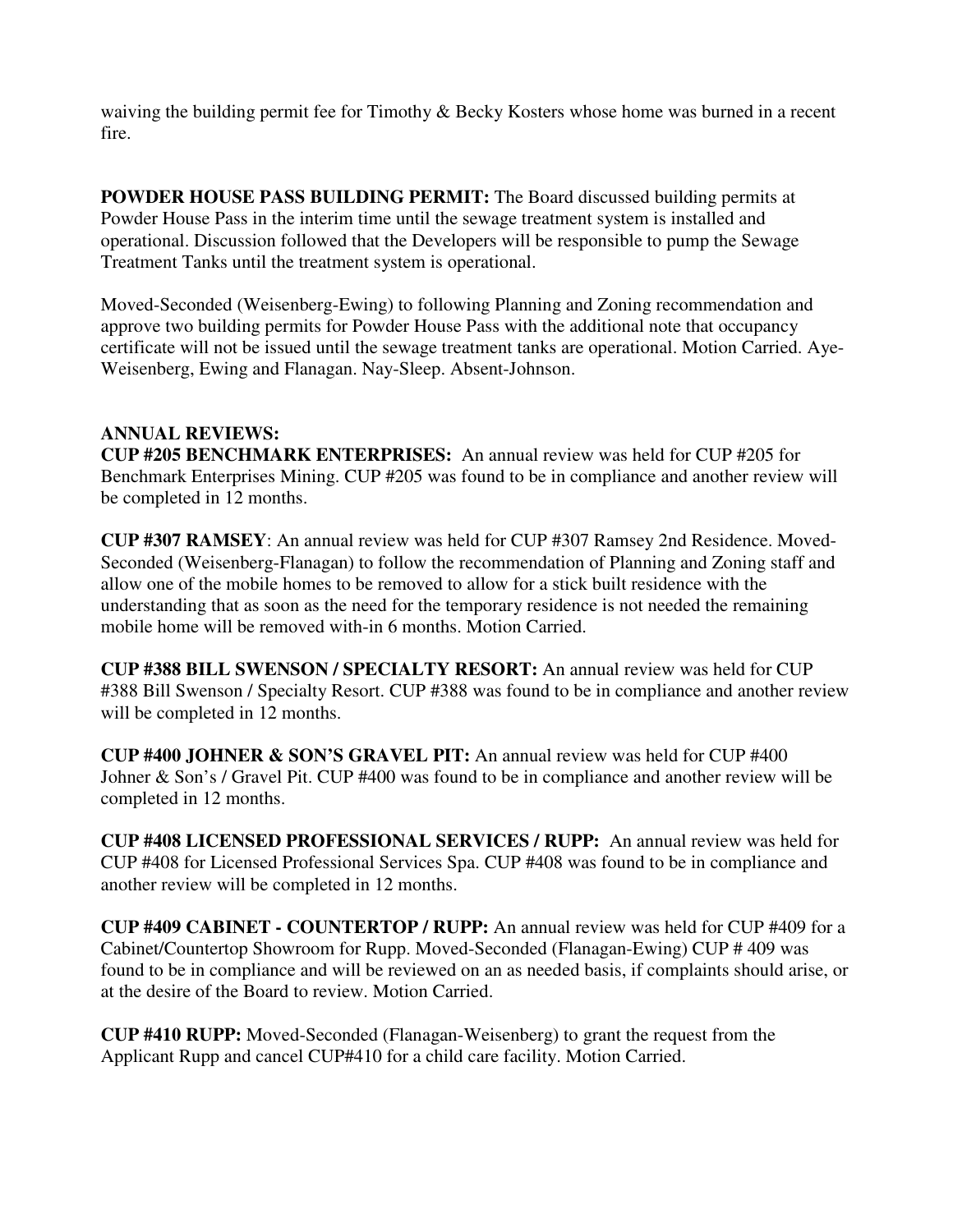waiving the building permit fee for Timothy & Becky Kosters whose home was burned in a recent fire.

**POWDER HOUSE PASS BUILDING PERMIT:** The Board discussed building permits at Powder House Pass in the interim time until the sewage treatment system is installed and operational. Discussion followed that the Developers will be responsible to pump the Sewage Treatment Tanks until the treatment system is operational.

Moved-Seconded (Weisenberg-Ewing) to following Planning and Zoning recommendation and approve two building permits for Powder House Pass with the additional note that occupancy certificate will not be issued until the sewage treatment tanks are operational. Motion Carried. Aye-Weisenberg, Ewing and Flanagan. Nay-Sleep. Absent-Johnson.

### **ANNUAL REVIEWS:**

**CUP #205 BENCHMARK ENTERPRISES:** An annual review was held for CUP #205 for Benchmark Enterprises Mining. CUP #205 was found to be in compliance and another review will be completed in 12 months.

**CUP #307 RAMSEY**: An annual review was held for CUP #307 Ramsey 2nd Residence. Moved-Seconded (Weisenberg-Flanagan) to follow the recommendation of Planning and Zoning staff and allow one of the mobile homes to be removed to allow for a stick built residence with the understanding that as soon as the need for the temporary residence is not needed the remaining mobile home will be removed with-in 6 months. Motion Carried.

**CUP #388 BILL SWENSON / SPECIALTY RESORT:** An annual review was held for CUP #388 Bill Swenson / Specialty Resort. CUP #388 was found to be in compliance and another review will be completed in 12 months.

**CUP #400 JOHNER & SON'S GRAVEL PIT:** An annual review was held for CUP #400 Johner & Son's / Gravel Pit. CUP #400 was found to be in compliance and another review will be completed in 12 months.

**CUP #408 LICENSED PROFESSIONAL SERVICES / RUPP:** An annual review was held for CUP #408 for Licensed Professional Services Spa. CUP #408 was found to be in compliance and another review will be completed in 12 months.

**CUP #409 CABINET - COUNTERTOP / RUPP:** An annual review was held for CUP #409 for a Cabinet/Countertop Showroom for Rupp. Moved-Seconded (Flanagan-Ewing) CUP # 409 was found to be in compliance and will be reviewed on an as needed basis, if complaints should arise, or at the desire of the Board to review. Motion Carried.

**CUP #410 RUPP:** Moved-Seconded (Flanagan-Weisenberg) to grant the request from the Applicant Rupp and cancel CUP#410 for a child care facility. Motion Carried.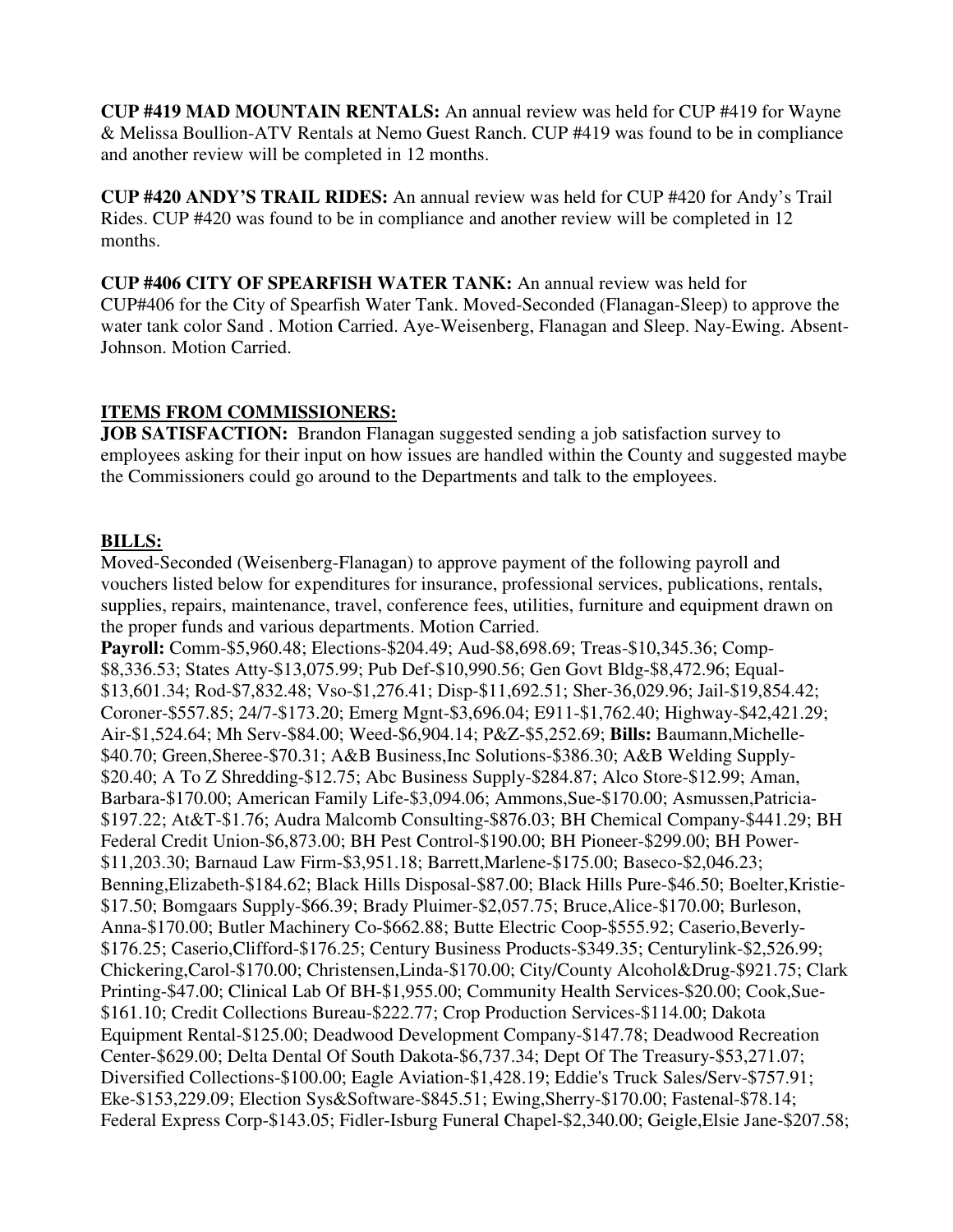**CUP #419 MAD MOUNTAIN RENTALS:** An annual review was held for CUP #419 for Wayne & Melissa Boullion-ATV Rentals at Nemo Guest Ranch. CUP #419 was found to be in compliance and another review will be completed in 12 months.

**CUP #420 ANDY'S TRAIL RIDES:** An annual review was held for CUP #420 for Andy's Trail Rides. CUP #420 was found to be in compliance and another review will be completed in 12 months.

**CUP #406 CITY OF SPEARFISH WATER TANK:** An annual review was held for CUP#406 for the City of Spearfish Water Tank. Moved-Seconded (Flanagan-Sleep) to approve the water tank color Sand . Motion Carried. Aye-Weisenberg, Flanagan and Sleep. Nay-Ewing. Absent-Johnson. Motion Carried.

## **ITEMS FROM COMMISSIONERS:**

**JOB SATISFACTION:** Brandon Flanagan suggested sending a job satisfaction survey to employees asking for their input on how issues are handled within the County and suggested maybe the Commissioners could go around to the Departments and talk to the employees.

## **BILLS:**

Moved-Seconded (Weisenberg-Flanagan) to approve payment of the following payroll and vouchers listed below for expenditures for insurance, professional services, publications, rentals, supplies, repairs, maintenance, travel, conference fees, utilities, furniture and equipment drawn on the proper funds and various departments. Motion Carried.

**Payroll:** Comm-\$5,960.48; Elections-\$204.49; Aud-\$8,698.69; Treas-\$10,345.36; Comp- \$8,336.53; States Atty-\$13,075.99; Pub Def-\$10,990.56; Gen Govt Bldg-\$8,472.96; Equal- \$13,601.34; Rod-\$7,832.48; Vso-\$1,276.41; Disp-\$11,692.51; Sher-36,029.96; Jail-\$19,854.42; Coroner-\$557.85; 24/7-\$173.20; Emerg Mgnt-\$3,696.04; E911-\$1,762.40; Highway-\$42,421.29; Air-\$1,524.64; Mh Serv-\$84.00; Weed-\$6,904.14; P&Z-\$5,252.69; **Bills:** Baumann,Michelle- \$40.70; Green,Sheree-\$70.31; A&B Business,Inc Solutions-\$386.30; A&B Welding Supply- \$20.40; A To Z Shredding-\$12.75; Abc Business Supply-\$284.87; Alco Store-\$12.99; Aman, Barbara-\$170.00; American Family Life-\$3,094.06; Ammons,Sue-\$170.00; Asmussen,Patricia- \$197.22; At&T-\$1.76; Audra Malcomb Consulting-\$876.03; BH Chemical Company-\$441.29; BH Federal Credit Union-\$6,873.00; BH Pest Control-\$190.00; BH Pioneer-\$299.00; BH Power- \$11,203.30; Barnaud Law Firm-\$3,951.18; Barrett,Marlene-\$175.00; Baseco-\$2,046.23; Benning,Elizabeth-\$184.62; Black Hills Disposal-\$87.00; Black Hills Pure-\$46.50; Boelter,Kristie- \$17.50; Bomgaars Supply-\$66.39; Brady Pluimer-\$2,057.75; Bruce,Alice-\$170.00; Burleson, Anna-\$170.00; Butler Machinery Co-\$662.88; Butte Electric Coop-\$555.92; Caserio,Beverly- \$176.25; Caserio,Clifford-\$176.25; Century Business Products-\$349.35; Centurylink-\$2,526.99; Chickering,Carol-\$170.00; Christensen,Linda-\$170.00; City/County Alcohol&Drug-\$921.75; Clark Printing-\$47.00; Clinical Lab Of BH-\$1,955.00; Community Health Services-\$20.00; Cook,Sue- \$161.10; Credit Collections Bureau-\$222.77; Crop Production Services-\$114.00; Dakota Equipment Rental-\$125.00; Deadwood Development Company-\$147.78; Deadwood Recreation Center-\$629.00; Delta Dental Of South Dakota-\$6,737.34; Dept Of The Treasury-\$53,271.07; Diversified Collections-\$100.00; Eagle Aviation-\$1,428.19; Eddie's Truck Sales/Serv-\$757.91; Eke-\$153,229.09; Election Sys&Software-\$845.51; Ewing,Sherry-\$170.00; Fastenal-\$78.14; Federal Express Corp-\$143.05; Fidler-Isburg Funeral Chapel-\$2,340.00; Geigle,Elsie Jane-\$207.58;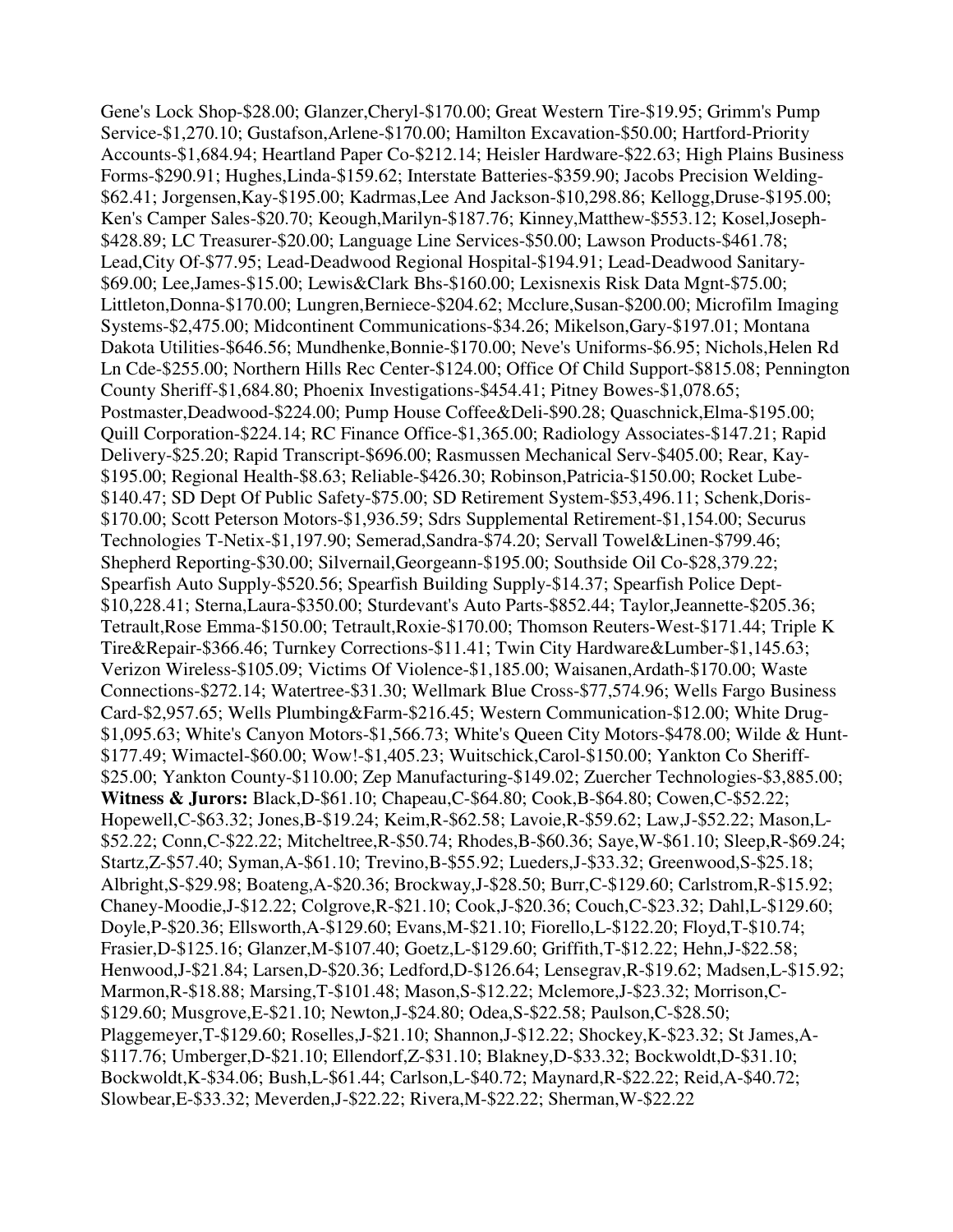Gene's Lock Shop-\$28.00; Glanzer,Cheryl-\$170.00; Great Western Tire-\$19.95; Grimm's Pump Service-\$1,270.10; Gustafson,Arlene-\$170.00; Hamilton Excavation-\$50.00; Hartford-Priority Accounts-\$1,684.94; Heartland Paper Co-\$212.14; Heisler Hardware-\$22.63; High Plains Business Forms-\$290.91; Hughes,Linda-\$159.62; Interstate Batteries-\$359.90; Jacobs Precision Welding- \$62.41; Jorgensen,Kay-\$195.00; Kadrmas,Lee And Jackson-\$10,298.86; Kellogg,Druse-\$195.00; Ken's Camper Sales-\$20.70; Keough,Marilyn-\$187.76; Kinney,Matthew-\$553.12; Kosel,Joseph- \$428.89; LC Treasurer-\$20.00; Language Line Services-\$50.00; Lawson Products-\$461.78; Lead,City Of-\$77.95; Lead-Deadwood Regional Hospital-\$194.91; Lead-Deadwood Sanitary- \$69.00; Lee,James-\$15.00; Lewis&Clark Bhs-\$160.00; Lexisnexis Risk Data Mgnt-\$75.00; Littleton,Donna-\$170.00; Lungren,Berniece-\$204.62; Mcclure,Susan-\$200.00; Microfilm Imaging Systems-\$2,475.00; Midcontinent Communications-\$34.26; Mikelson,Gary-\$197.01; Montana Dakota Utilities-\$646.56; Mundhenke,Bonnie-\$170.00; Neve's Uniforms-\$6.95; Nichols,Helen Rd Ln Cde-\$255.00; Northern Hills Rec Center-\$124.00; Office Of Child Support-\$815.08; Pennington County Sheriff-\$1,684.80; Phoenix Investigations-\$454.41; Pitney Bowes-\$1,078.65; Postmaster,Deadwood-\$224.00; Pump House Coffee&Deli-\$90.28; Quaschnick,Elma-\$195.00; Quill Corporation-\$224.14; RC Finance Office-\$1,365.00; Radiology Associates-\$147.21; Rapid Delivery-\$25.20; Rapid Transcript-\$696.00; Rasmussen Mechanical Serv-\$405.00; Rear, Kay- \$195.00; Regional Health-\$8.63; Reliable-\$426.30; Robinson,Patricia-\$150.00; Rocket Lube- \$140.47; SD Dept Of Public Safety-\$75.00; SD Retirement System-\$53,496.11; Schenk,Doris- \$170.00; Scott Peterson Motors-\$1,936.59; Sdrs Supplemental Retirement-\$1,154.00; Securus Technologies T-Netix-\$1,197.90; Semerad,Sandra-\$74.20; Servall Towel&Linen-\$799.46; Shepherd Reporting-\$30.00; Silvernail,Georgeann-\$195.00; Southside Oil Co-\$28,379.22; Spearfish Auto Supply-\$520.56; Spearfish Building Supply-\$14.37; Spearfish Police Dept- \$10,228.41; Sterna,Laura-\$350.00; Sturdevant's Auto Parts-\$852.44; Taylor,Jeannette-\$205.36; Tetrault,Rose Emma-\$150.00; Tetrault,Roxie-\$170.00; Thomson Reuters-West-\$171.44; Triple K Tire&Repair-\$366.46; Turnkey Corrections-\$11.41; Twin City Hardware&Lumber-\$1,145.63; Verizon Wireless-\$105.09; Victims Of Violence-\$1,185.00; Waisanen,Ardath-\$170.00; Waste Connections-\$272.14; Watertree-\$31.30; Wellmark Blue Cross-\$77,574.96; Wells Fargo Business Card-\$2,957.65; Wells Plumbing&Farm-\$216.45; Western Communication-\$12.00; White Drug- \$1,095.63; White's Canyon Motors-\$1,566.73; White's Queen City Motors-\$478.00; Wilde & Hunt- \$177.49; Wimactel-\$60.00; Wow!-\$1,405.23; Wuitschick,Carol-\$150.00; Yankton Co Sheriff- \$25.00; Yankton County-\$110.00; Zep Manufacturing-\$149.02; Zuercher Technologies-\$3,885.00; **Witness & Jurors:** Black,D-\$61.10; Chapeau,C-\$64.80; Cook,B-\$64.80; Cowen,C-\$52.22; Hopewell,C-\$63.32; Jones,B-\$19.24; Keim,R-\$62.58; Lavoie,R-\$59.62; Law,J-\$52.22; Mason,L- \$52.22; Conn,C-\$22.22; Mitcheltree,R-\$50.74; Rhodes,B-\$60.36; Saye,W-\$61.10; Sleep,R-\$69.24; Startz,Z-\$57.40; Syman,A-\$61.10; Trevino,B-\$55.92; Lueders,J-\$33.32; Greenwood,S-\$25.18; Albright,S-\$29.98; Boateng,A-\$20.36; Brockway,J-\$28.50; Burr,C-\$129.60; Carlstrom,R-\$15.92; Chaney-Moodie,J-\$12.22; Colgrove,R-\$21.10; Cook,J-\$20.36; Couch,C-\$23.32; Dahl,L-\$129.60; Doyle,P-\$20.36; Ellsworth,A-\$129.60; Evans,M-\$21.10; Fiorello,L-\$122.20; Floyd,T-\$10.74; Frasier,D-\$125.16; Glanzer,M-\$107.40; Goetz,L-\$129.60; Griffith,T-\$12.22; Hehn,J-\$22.58; Henwood,J-\$21.84; Larsen,D-\$20.36; Ledford,D-\$126.64; Lensegrav,R-\$19.62; Madsen,L-\$15.92; Marmon,R-\$18.88; Marsing,T-\$101.48; Mason,S-\$12.22; Mclemore,J-\$23.32; Morrison,C- \$129.60; Musgrove,E-\$21.10; Newton,J-\$24.80; Odea,S-\$22.58; Paulson,C-\$28.50; Plaggemeyer,T-\$129.60; Roselles,J-\$21.10; Shannon,J-\$12.22; Shockey,K-\$23.32; St James,A- \$117.76; Umberger,D-\$21.10; Ellendorf,Z-\$31.10; Blakney,D-\$33.32; Bockwoldt,D-\$31.10; Bockwoldt,K-\$34.06; Bush,L-\$61.44; Carlson,L-\$40.72; Maynard,R-\$22.22; Reid,A-\$40.72; Slowbear,E-\$33.32; Meverden,J-\$22.22; Rivera,M-\$22.22; Sherman,W-\$22.22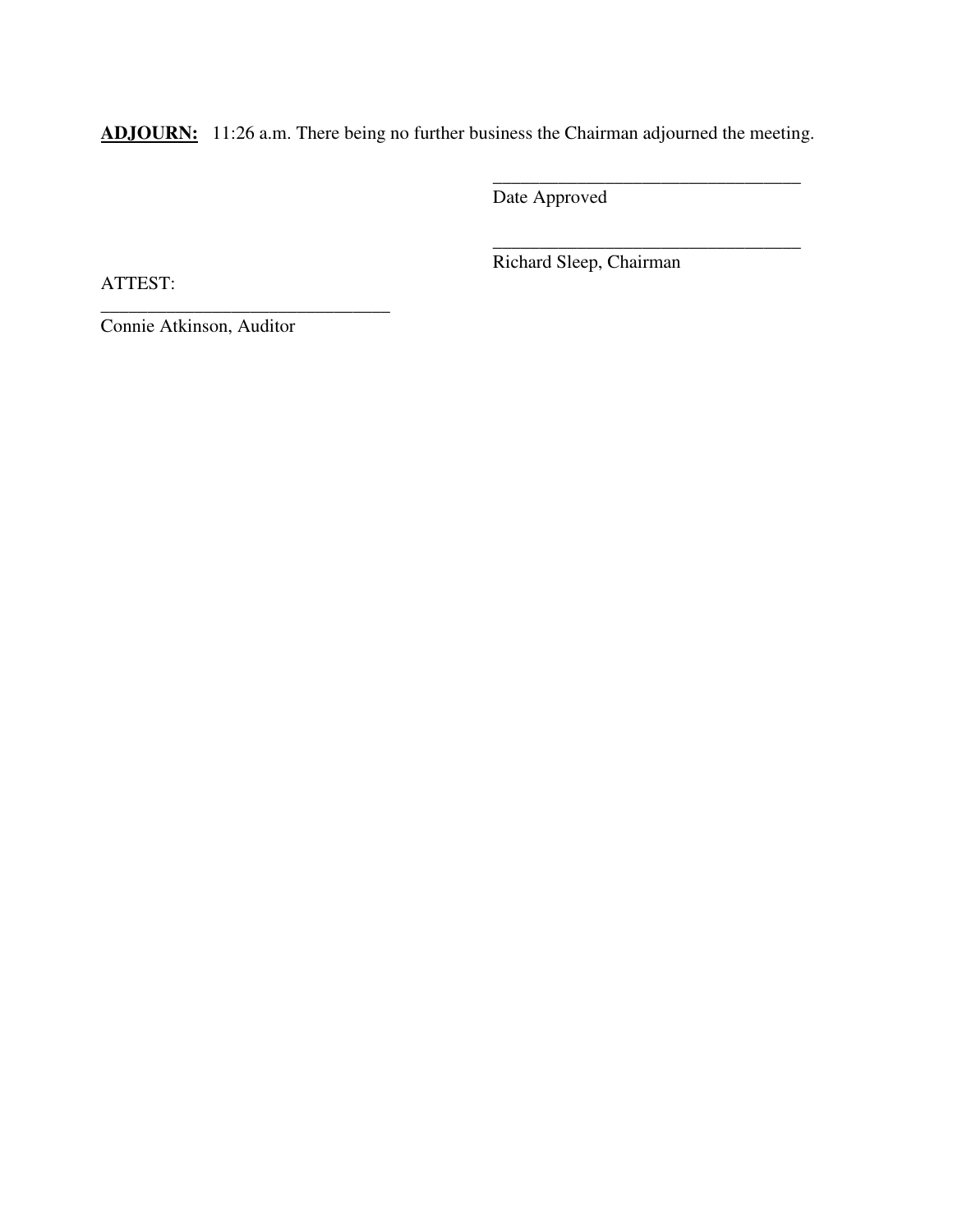ADJOURN: 11:26 a.m. There being no further business the Chairman adjourned the meeting.

 $\overline{\phantom{a}}$  , and the contract of the contract of the contract of the contract of the contract of the contract of the contract of the contract of the contract of the contract of the contract of the contract of the contrac

 $\overline{\phantom{a}}$  , and the contract of the contract of the contract of the contract of the contract of the contract of the contract of the contract of the contract of the contract of the contract of the contract of the contrac

Date Approved

ATTEST:

Richard Sleep, Chairman

Connie Atkinson, Auditor

\_\_\_\_\_\_\_\_\_\_\_\_\_\_\_\_\_\_\_\_\_\_\_\_\_\_\_\_\_\_\_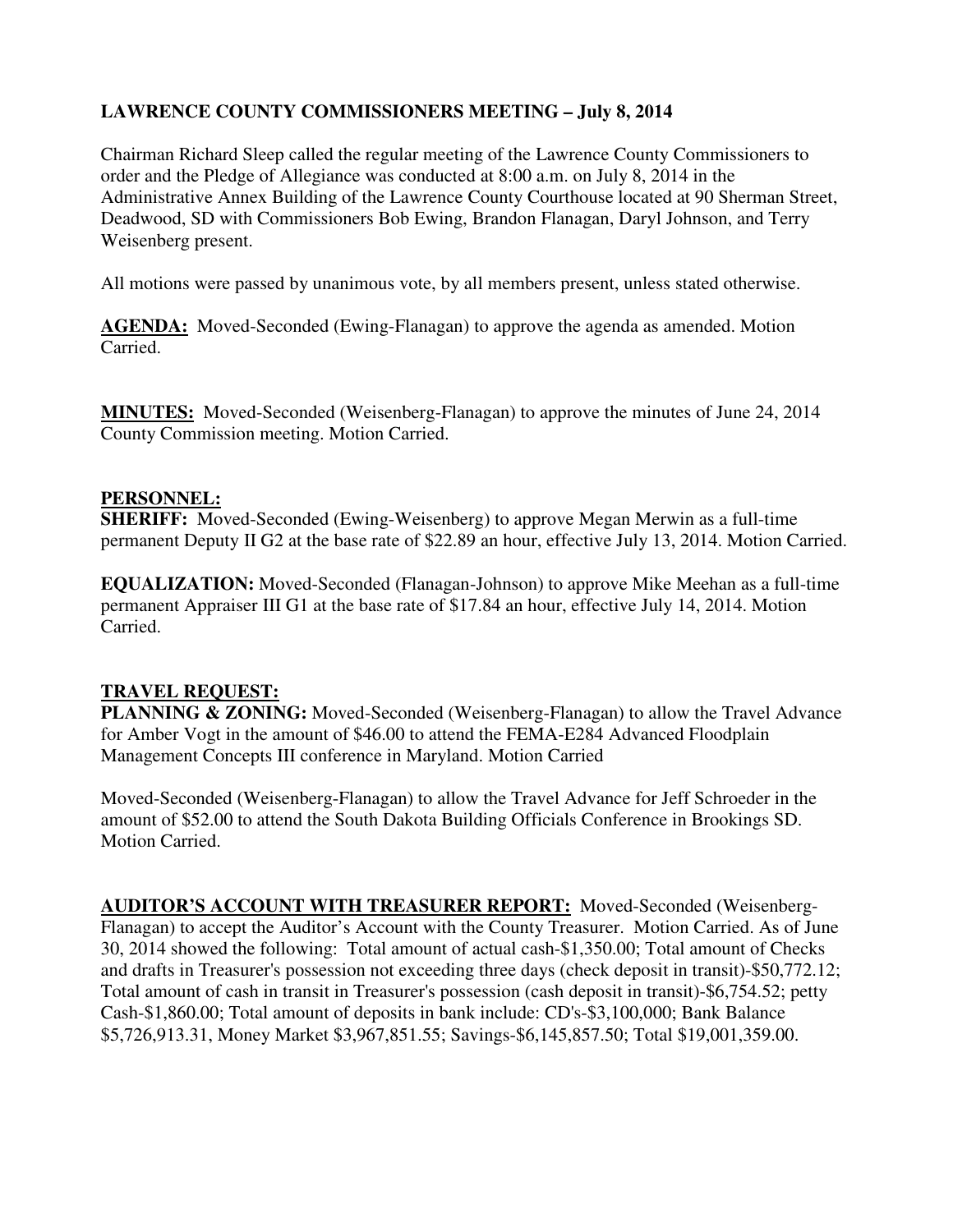# **LAWRENCE COUNTY COMMISSIONERS MEETING – July 8, 2014**

Chairman Richard Sleep called the regular meeting of the Lawrence County Commissioners to order and the Pledge of Allegiance was conducted at 8:00 a.m. on July 8, 2014 in the Administrative Annex Building of the Lawrence County Courthouse located at 90 Sherman Street, Deadwood, SD with Commissioners Bob Ewing, Brandon Flanagan, Daryl Johnson, and Terry Weisenberg present.

All motions were passed by unanimous vote, by all members present, unless stated otherwise.

**AGENDA:** Moved-Seconded (Ewing-Flanagan) to approve the agenda as amended. Motion Carried.

**MINUTES:** Moved-Seconded (Weisenberg-Flanagan) to approve the minutes of June 24, 2014 County Commission meeting. Motion Carried.

### **PERSONNEL:**

**SHERIFF:** Moved-Seconded (Ewing-Weisenberg) to approve Megan Merwin as a full-time permanent Deputy II G2 at the base rate of \$22.89 an hour, effective July 13, 2014. Motion Carried.

**EQUALIZATION:** Moved-Seconded (Flanagan-Johnson) to approve Mike Meehan as a full-time permanent Appraiser III G1 at the base rate of \$17.84 an hour, effective July 14, 2014. Motion Carried.

### **TRAVEL REQUEST:**

**PLANNING & ZONING:** Moved-Seconded (Weisenberg-Flanagan) to allow the Travel Advance for Amber Vogt in the amount of \$46.00 to attend the FEMA-E284 Advanced Floodplain Management Concepts III conference in Maryland. Motion Carried

Moved-Seconded (Weisenberg-Flanagan) to allow the Travel Advance for Jeff Schroeder in the amount of \$52.00 to attend the South Dakota Building Officials Conference in Brookings SD. Motion Carried.

**AUDITOR'S ACCOUNT WITH TREASURER REPORT:** Moved-Seconded (Weisenberg-Flanagan) to accept the Auditor's Account with the County Treasurer. Motion Carried. As of June 30, 2014 showed the following: Total amount of actual cash-\$1,350.00; Total amount of Checks and drafts in Treasurer's possession not exceeding three days (check deposit in transit)-\$50,772.12; Total amount of cash in transit in Treasurer's possession (cash deposit in transit)-\$6,754.52; petty Cash-\$1,860.00; Total amount of deposits in bank include: CD's-\$3,100,000; Bank Balance \$5,726,913.31, Money Market \$3,967,851.55; Savings-\$6,145,857.50; Total \$19,001,359.00.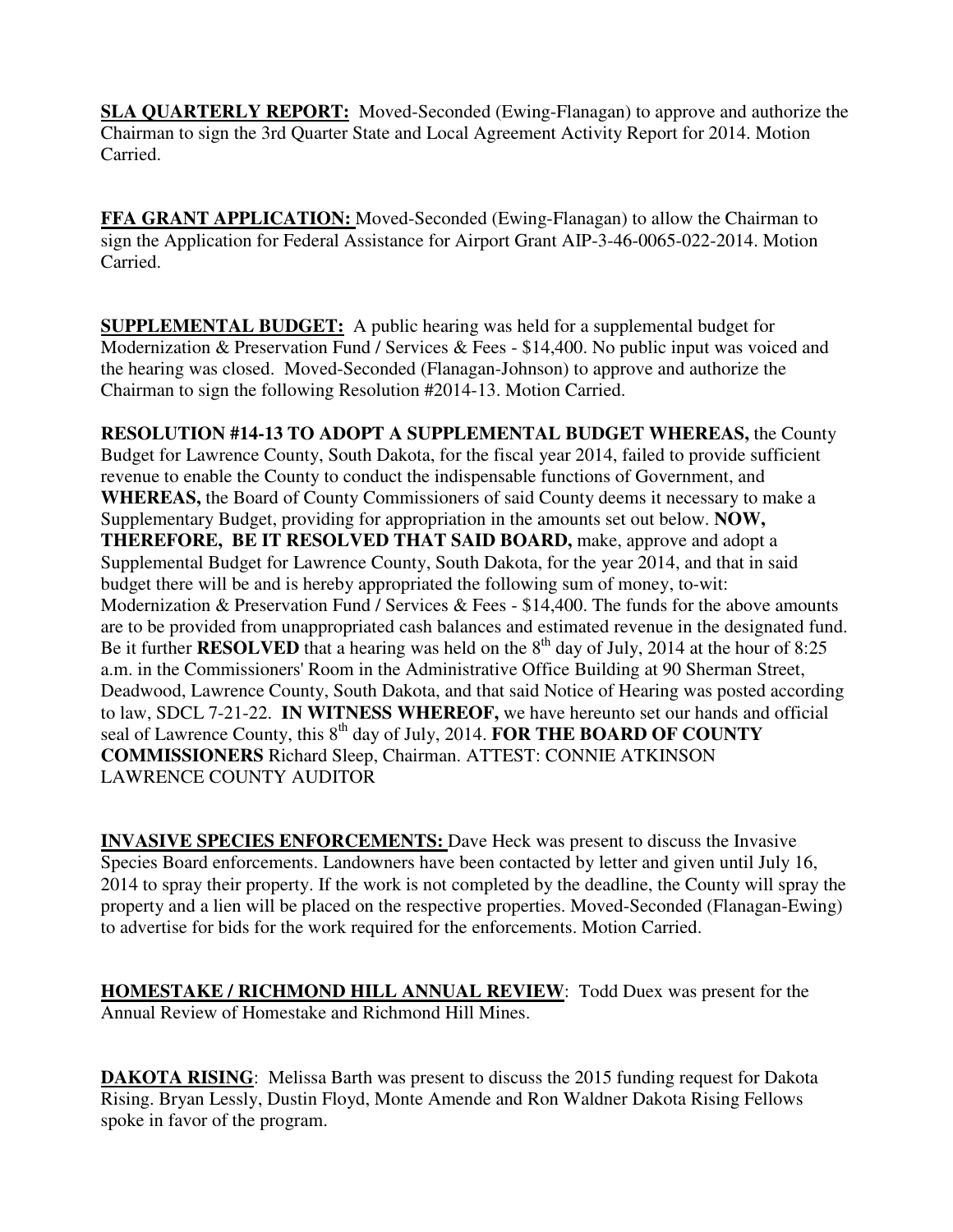**SLA QUARTERLY REPORT:** Moved-Seconded (Ewing-Flanagan) to approve and authorize the Chairman to sign the 3rd Quarter State and Local Agreement Activity Report for 2014. Motion Carried.

**FFA GRANT APPLICATION:** Moved-Seconded (Ewing-Flanagan) to allow the Chairman to sign the Application for Federal Assistance for Airport Grant AIP-3-46-0065-022-2014. Motion Carried.

**SUPPLEMENTAL BUDGET:** A public hearing was held for a supplemental budget for Modernization & Preservation Fund / Services & Fees - \$14,400. No public input was voiced and the hearing was closed. Moved-Seconded (Flanagan-Johnson) to approve and authorize the Chairman to sign the following Resolution #2014-13. Motion Carried.

**RESOLUTION #14-13 TO ADOPT A SUPPLEMENTAL BUDGET WHEREAS,** the County Budget for Lawrence County, South Dakota, for the fiscal year 2014, failed to provide sufficient revenue to enable the County to conduct the indispensable functions of Government, and **WHEREAS,** the Board of County Commissioners of said County deems it necessary to make a Supplementary Budget, providing for appropriation in the amounts set out below. **NOW, THEREFORE, BE IT RESOLVED THAT SAID BOARD,** make, approve and adopt a Supplemental Budget for Lawrence County, South Dakota, for the year 2014, and that in said budget there will be and is hereby appropriated the following sum of money, to-wit: Modernization & Preservation Fund / Services & Fees - \$14,400. The funds for the above amounts are to be provided from unappropriated cash balances and estimated revenue in the designated fund. Be it further **RESOLVED** that a hearing was held on the 8<sup>th</sup> day of July, 2014 at the hour of 8:25 a.m. in the Commissioners' Room in the Administrative Office Building at 90 Sherman Street, Deadwood, Lawrence County, South Dakota, and that said Notice of Hearing was posted according to law, SDCL 7-21-22. **IN WITNESS WHEREOF,** we have hereunto set our hands and official seal of Lawrence County, this  $8<sup>th</sup>$  day of July, 2014. **FOR THE BOARD OF COUNTY COMMISSIONERS** Richard Sleep, Chairman. ATTEST: CONNIE ATKINSON LAWRENCE COUNTY AUDITOR

**INVASIVE SPECIES ENFORCEMENTS:** Dave Heck was present to discuss the Invasive Species Board enforcements. Landowners have been contacted by letter and given until July 16, 2014 to spray their property. If the work is not completed by the deadline, the County will spray the property and a lien will be placed on the respective properties. Moved-Seconded (Flanagan-Ewing) to advertise for bids for the work required for the enforcements. Motion Carried.

**HOMESTAKE / RICHMOND HILL ANNUAL REVIEW**: Todd Duex was present for the Annual Review of Homestake and Richmond Hill Mines.

**DAKOTA RISING**: Melissa Barth was present to discuss the 2015 funding request for Dakota Rising. Bryan Lessly, Dustin Floyd, Monte Amende and Ron Waldner Dakota Rising Fellows spoke in favor of the program.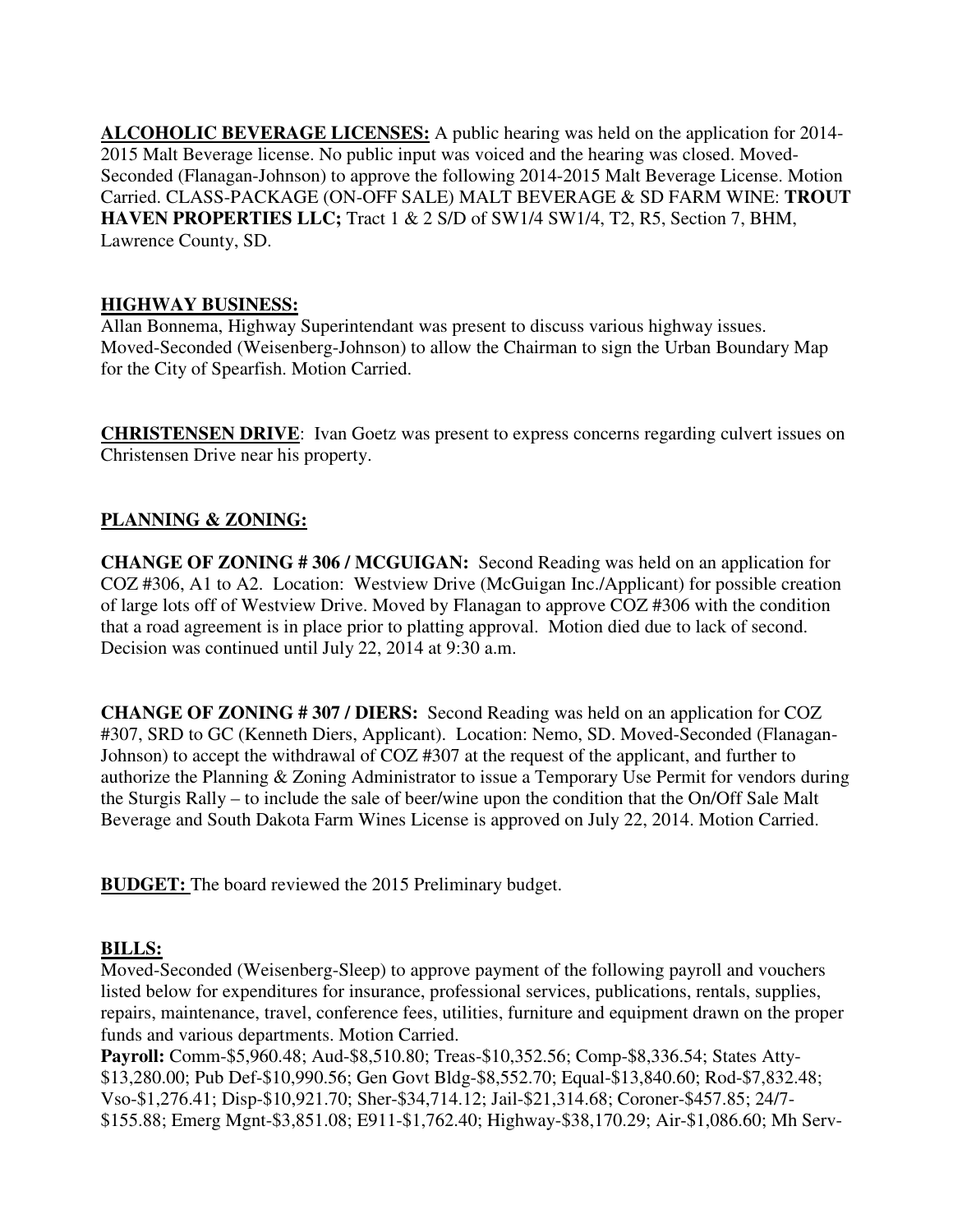**ALCOHOLIC BEVERAGE LICENSES:** A public hearing was held on the application for 2014- 2015 Malt Beverage license. No public input was voiced and the hearing was closed. Moved-Seconded (Flanagan-Johnson) to approve the following 2014-2015 Malt Beverage License. Motion Carried. CLASS-PACKAGE (ON-OFF SALE) MALT BEVERAGE & SD FARM WINE: **TROUT HAVEN PROPERTIES LLC;** Tract 1 & 2 S/D of SW1/4 SW1/4, T2, R5, Section 7, BHM, Lawrence County, SD.

#### **HIGHWAY BUSINESS:**

Allan Bonnema, Highway Superintendant was present to discuss various highway issues. Moved-Seconded (Weisenberg-Johnson) to allow the Chairman to sign the Urban Boundary Map for the City of Spearfish. Motion Carried.

**CHRISTENSEN DRIVE**: Ivan Goetz was present to express concerns regarding culvert issues on Christensen Drive near his property.

## **PLANNING & ZONING:**

**CHANGE OF ZONING # 306 / MCGUIGAN:** Second Reading was held on an application for COZ #306, A1 to A2. Location: Westview Drive (McGuigan Inc./Applicant) for possible creation of large lots off of Westview Drive. Moved by Flanagan to approve COZ #306 with the condition that a road agreement is in place prior to platting approval. Motion died due to lack of second. Decision was continued until July 22, 2014 at 9:30 a.m.

**CHANGE OF ZONING # 307 / DIERS:** Second Reading was held on an application for COZ #307, SRD to GC (Kenneth Diers, Applicant). Location: Nemo, SD. Moved-Seconded (Flanagan-Johnson) to accept the withdrawal of COZ #307 at the request of the applicant, and further to authorize the Planning & Zoning Administrator to issue a Temporary Use Permit for vendors during the Sturgis Rally – to include the sale of beer/wine upon the condition that the On/Off Sale Malt Beverage and South Dakota Farm Wines License is approved on July 22, 2014. Motion Carried.

**BUDGET:** The board reviewed the 2015 Preliminary budget.

### **BILLS:**

Moved-Seconded (Weisenberg-Sleep) to approve payment of the following payroll and vouchers listed below for expenditures for insurance, professional services, publications, rentals, supplies, repairs, maintenance, travel, conference fees, utilities, furniture and equipment drawn on the proper funds and various departments. Motion Carried.

**Payroll:** Comm-\$5,960.48; Aud-\$8,510.80; Treas-\$10,352.56; Comp-\$8,336.54; States Atty- \$13,280.00; Pub Def-\$10,990.56; Gen Govt Bldg-\$8,552.70; Equal-\$13,840.60; Rod-\$7,832.48; Vso-\$1,276.41; Disp-\$10,921.70; Sher-\$34,714.12; Jail-\$21,314.68; Coroner-\$457.85; 24/7- \$155.88; Emerg Mgnt-\$3,851.08; E911-\$1,762.40; Highway-\$38,170.29; Air-\$1,086.60; Mh Serv-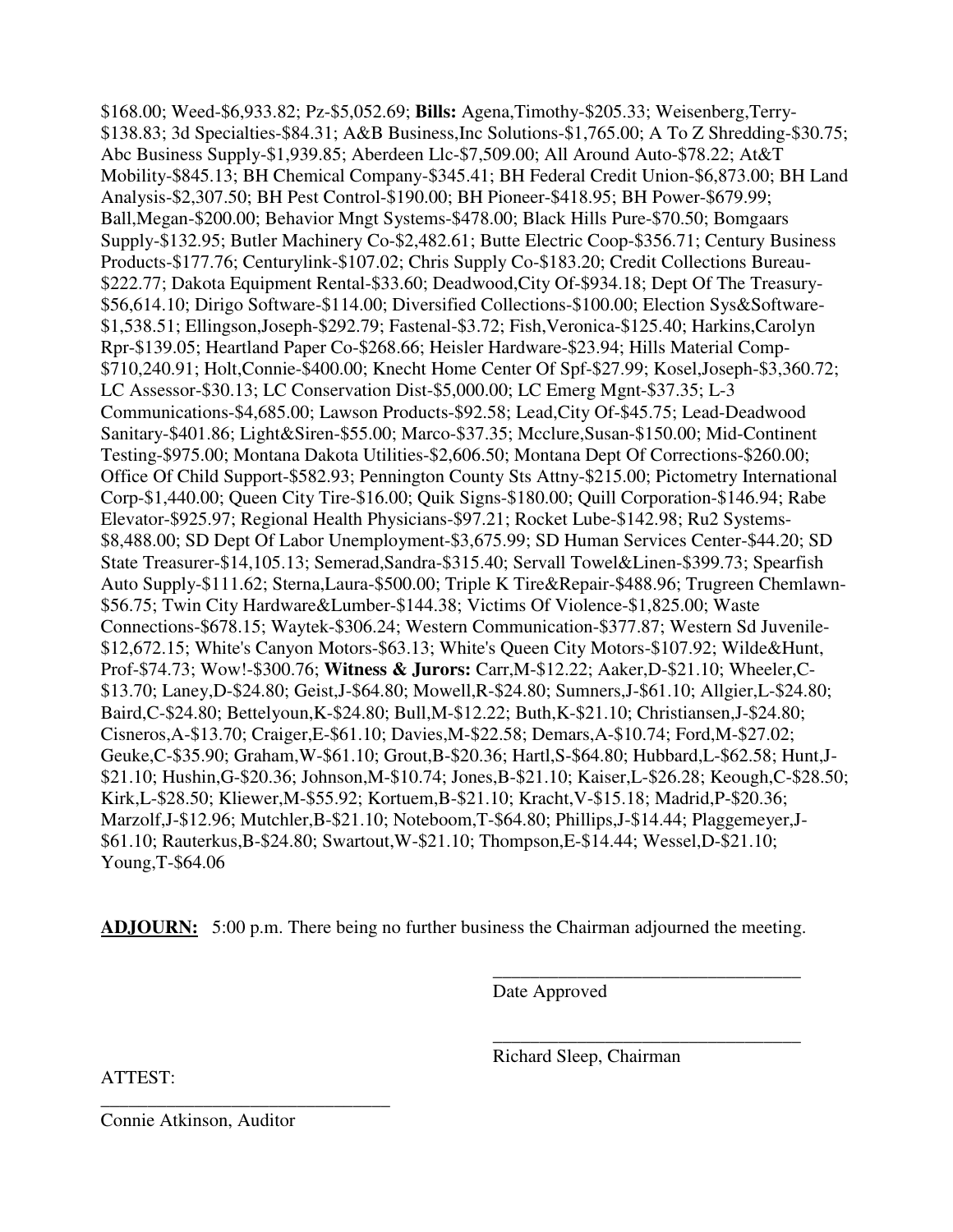\$168.00; Weed-\$6,933.82; Pz-\$5,052.69; **Bills:** Agena,Timothy-\$205.33; Weisenberg,Terry- \$138.83; 3d Specialties-\$84.31; A&B Business,Inc Solutions-\$1,765.00; A To Z Shredding-\$30.75; Abc Business Supply-\$1,939.85; Aberdeen Llc-\$7,509.00; All Around Auto-\$78.22; At&T Mobility-\$845.13; BH Chemical Company-\$345.41; BH Federal Credit Union-\$6,873.00; BH Land Analysis-\$2,307.50; BH Pest Control-\$190.00; BH Pioneer-\$418.95; BH Power-\$679.99; Ball,Megan-\$200.00; Behavior Mngt Systems-\$478.00; Black Hills Pure-\$70.50; Bomgaars Supply-\$132.95; Butler Machinery Co-\$2,482.61; Butte Electric Coop-\$356.71; Century Business Products-\$177.76; Centurylink-\$107.02; Chris Supply Co-\$183.20; Credit Collections Bureau- \$222.77; Dakota Equipment Rental-\$33.60; Deadwood,City Of-\$934.18; Dept Of The Treasury- \$56,614.10; Dirigo Software-\$114.00; Diversified Collections-\$100.00; Election Sys&Software- \$1,538.51; Ellingson,Joseph-\$292.79; Fastenal-\$3.72; Fish,Veronica-\$125.40; Harkins,Carolyn Rpr-\$139.05; Heartland Paper Co-\$268.66; Heisler Hardware-\$23.94; Hills Material Comp- \$710,240.91; Holt,Connie-\$400.00; Knecht Home Center Of Spf-\$27.99; Kosel,Joseph-\$3,360.72; LC Assessor-\$30.13; LC Conservation Dist-\$5,000.00; LC Emerg Mgnt-\$37.35; L-3 Communications-\$4,685.00; Lawson Products-\$92.58; Lead,City Of-\$45.75; Lead-Deadwood Sanitary-\$401.86; Light&Siren-\$55.00; Marco-\$37.35; Mcclure,Susan-\$150.00; Mid-Continent Testing-\$975.00; Montana Dakota Utilities-\$2,606.50; Montana Dept Of Corrections-\$260.00; Office Of Child Support-\$582.93; Pennington County Sts Attny-\$215.00; Pictometry International Corp-\$1,440.00; Queen City Tire-\$16.00; Quik Signs-\$180.00; Quill Corporation-\$146.94; Rabe Elevator-\$925.97; Regional Health Physicians-\$97.21; Rocket Lube-\$142.98; Ru2 Systems- \$8,488.00; SD Dept Of Labor Unemployment-\$3,675.99; SD Human Services Center-\$44.20; SD State Treasurer-\$14,105.13; Semerad,Sandra-\$315.40; Servall Towel&Linen-\$399.73; Spearfish Auto Supply-\$111.62; Sterna,Laura-\$500.00; Triple K Tire&Repair-\$488.96; Trugreen Chemlawn- \$56.75; Twin City Hardware&Lumber-\$144.38; Victims Of Violence-\$1,825.00; Waste Connections-\$678.15; Waytek-\$306.24; Western Communication-\$377.87; Western Sd Juvenile- \$12,672.15; White's Canyon Motors-\$63.13; White's Queen City Motors-\$107.92; Wilde&Hunt, Prof-\$74.73; Wow!-\$300.76; **Witness & Jurors:** Carr,M-\$12.22; Aaker,D-\$21.10; Wheeler,C- \$13.70; Laney,D-\$24.80; Geist,J-\$64.80; Mowell,R-\$24.80; Sumners,J-\$61.10; Allgier,L-\$24.80; Baird,C-\$24.80; Bettelyoun,K-\$24.80; Bull,M-\$12.22; Buth,K-\$21.10; Christiansen,J-\$24.80; Cisneros,A-\$13.70; Craiger,E-\$61.10; Davies,M-\$22.58; Demars,A-\$10.74; Ford,M-\$27.02; Geuke,C-\$35.90; Graham,W-\$61.10; Grout,B-\$20.36; Hartl,S-\$64.80; Hubbard,L-\$62.58; Hunt,J- \$21.10; Hushin,G-\$20.36; Johnson,M-\$10.74; Jones,B-\$21.10; Kaiser,L-\$26.28; Keough,C-\$28.50; Kirk,L-\$28.50; Kliewer,M-\$55.92; Kortuem,B-\$21.10; Kracht,V-\$15.18; Madrid,P-\$20.36; Marzolf,J-\$12.96; Mutchler,B-\$21.10; Noteboom,T-\$64.80; Phillips,J-\$14.44; Plaggemeyer,J- \$61.10; Rauterkus,B-\$24.80; Swartout,W-\$21.10; Thompson,E-\$14.44; Wessel,D-\$21.10; Young,T-\$64.06

**ADJOURN:** 5:00 p.m. There being no further business the Chairman adjourned the meeting.

 $\overline{\phantom{a}}$  , and the contract of the contract of the contract of the contract of the contract of the contract of the contract of the contract of the contract of the contract of the contract of the contract of the contrac

 $\overline{\phantom{a}}$  , and the contract of the contract of the contract of the contract of the contract of the contract of the contract of the contract of the contract of the contract of the contract of the contract of the contrac

Date Approved

Richard Sleep, Chairman

ATTEST:

Connie Atkinson, Auditor

\_\_\_\_\_\_\_\_\_\_\_\_\_\_\_\_\_\_\_\_\_\_\_\_\_\_\_\_\_\_\_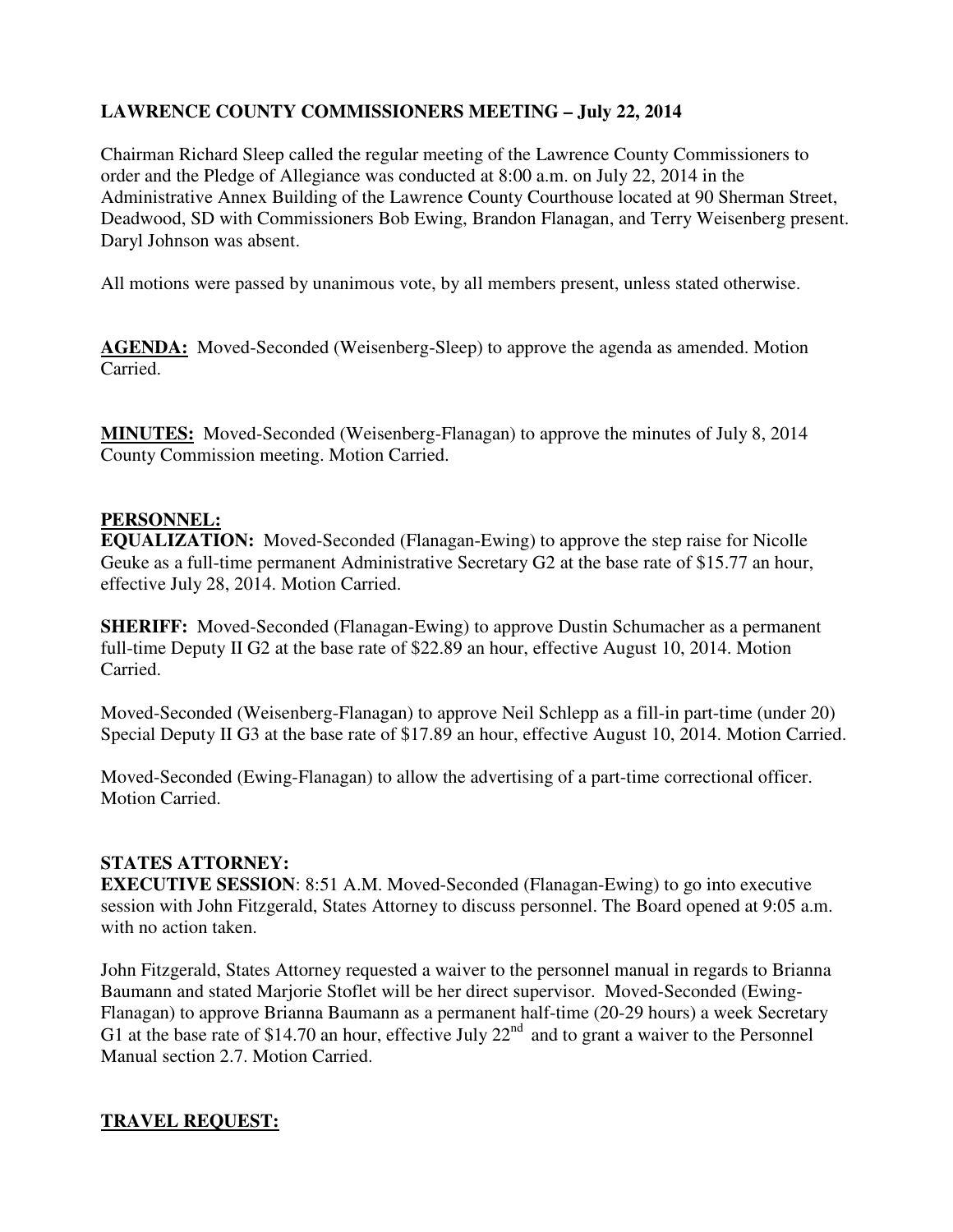# **LAWRENCE COUNTY COMMISSIONERS MEETING – July 22, 2014**

Chairman Richard Sleep called the regular meeting of the Lawrence County Commissioners to order and the Pledge of Allegiance was conducted at 8:00 a.m. on July 22, 2014 in the Administrative Annex Building of the Lawrence County Courthouse located at 90 Sherman Street, Deadwood, SD with Commissioners Bob Ewing, Brandon Flanagan, and Terry Weisenberg present. Daryl Johnson was absent.

All motions were passed by unanimous vote, by all members present, unless stated otherwise.

**AGENDA:** Moved-Seconded (Weisenberg-Sleep) to approve the agenda as amended. Motion Carried.

**MINUTES:** Moved-Seconded (Weisenberg-Flanagan) to approve the minutes of July 8, 2014 County Commission meeting. Motion Carried.

#### **PERSONNEL:**

**EQUALIZATION:** Moved-Seconded (Flanagan-Ewing) to approve the step raise for Nicolle Geuke as a full-time permanent Administrative Secretary G2 at the base rate of \$15.77 an hour, effective July 28, 2014. Motion Carried.

**SHERIFF:** Moved-Seconded (Flanagan-Ewing) to approve Dustin Schumacher as a permanent full-time Deputy II G2 at the base rate of \$22.89 an hour, effective August 10, 2014. Motion Carried.

Moved-Seconded (Weisenberg-Flanagan) to approve Neil Schlepp as a fill-in part-time (under 20) Special Deputy II G3 at the base rate of \$17.89 an hour, effective August 10, 2014. Motion Carried.

Moved-Seconded (Ewing-Flanagan) to allow the advertising of a part-time correctional officer. Motion Carried.

### **STATES ATTORNEY:**

**EXECUTIVE SESSION**: 8:51 A.M. Moved-Seconded (Flanagan-Ewing) to go into executive session with John Fitzgerald, States Attorney to discuss personnel. The Board opened at 9:05 a.m. with no action taken.

John Fitzgerald, States Attorney requested a waiver to the personnel manual in regards to Brianna Baumann and stated Marjorie Stoflet will be her direct supervisor. Moved-Seconded (Ewing-Flanagan) to approve Brianna Baumann as a permanent half-time (20-29 hours) a week Secretary G1 at the base rate of \$14.70 an hour, effective July  $22<sup>nd</sup>$  and to grant a waiver to the Personnel Manual section 2.7. Motion Carried.

### **TRAVEL REQUEST:**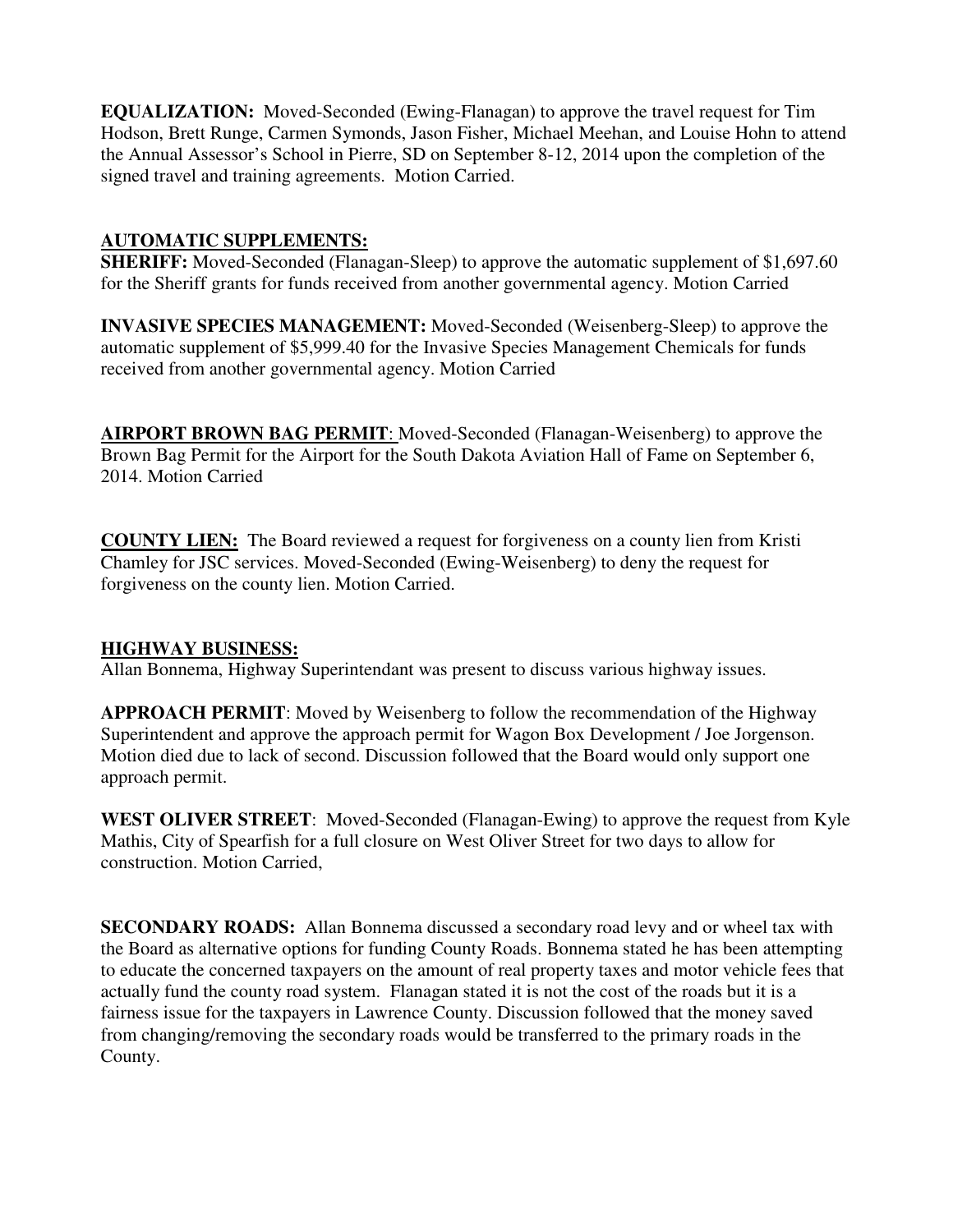**EQUALIZATION:** Moved-Seconded (Ewing-Flanagan) to approve the travel request for Tim Hodson, Brett Runge, Carmen Symonds, Jason Fisher, Michael Meehan, and Louise Hohn to attend the Annual Assessor's School in Pierre, SD on September 8-12, 2014 upon the completion of the signed travel and training agreements. Motion Carried.

### **AUTOMATIC SUPPLEMENTS:**

**SHERIFF:** Moved-Seconded (Flanagan-Sleep) to approve the automatic supplement of \$1,697.60 for the Sheriff grants for funds received from another governmental agency. Motion Carried

**INVASIVE SPECIES MANAGEMENT:** Moved-Seconded (Weisenberg-Sleep) to approve the automatic supplement of \$5,999.40 for the Invasive Species Management Chemicals for funds received from another governmental agency. Motion Carried

**AIRPORT BROWN BAG PERMIT**: Moved-Seconded (Flanagan-Weisenberg) to approve the Brown Bag Permit for the Airport for the South Dakota Aviation Hall of Fame on September 6, 2014. Motion Carried

**COUNTY LIEN:** The Board reviewed a request for forgiveness on a county lien from Kristi Chamley for JSC services. Moved-Seconded (Ewing-Weisenberg) to deny the request for forgiveness on the county lien. Motion Carried.

### **HIGHWAY BUSINESS:**

Allan Bonnema, Highway Superintendant was present to discuss various highway issues.

**APPROACH PERMIT**: Moved by Weisenberg to follow the recommendation of the Highway Superintendent and approve the approach permit for Wagon Box Development / Joe Jorgenson. Motion died due to lack of second. Discussion followed that the Board would only support one approach permit.

**WEST OLIVER STREET**: Moved-Seconded (Flanagan-Ewing) to approve the request from Kyle Mathis, City of Spearfish for a full closure on West Oliver Street for two days to allow for construction. Motion Carried,

**SECONDARY ROADS:** Allan Bonnema discussed a secondary road levy and or wheel tax with the Board as alternative options for funding County Roads. Bonnema stated he has been attempting to educate the concerned taxpayers on the amount of real property taxes and motor vehicle fees that actually fund the county road system. Flanagan stated it is not the cost of the roads but it is a fairness issue for the taxpayers in Lawrence County. Discussion followed that the money saved from changing/removing the secondary roads would be transferred to the primary roads in the County.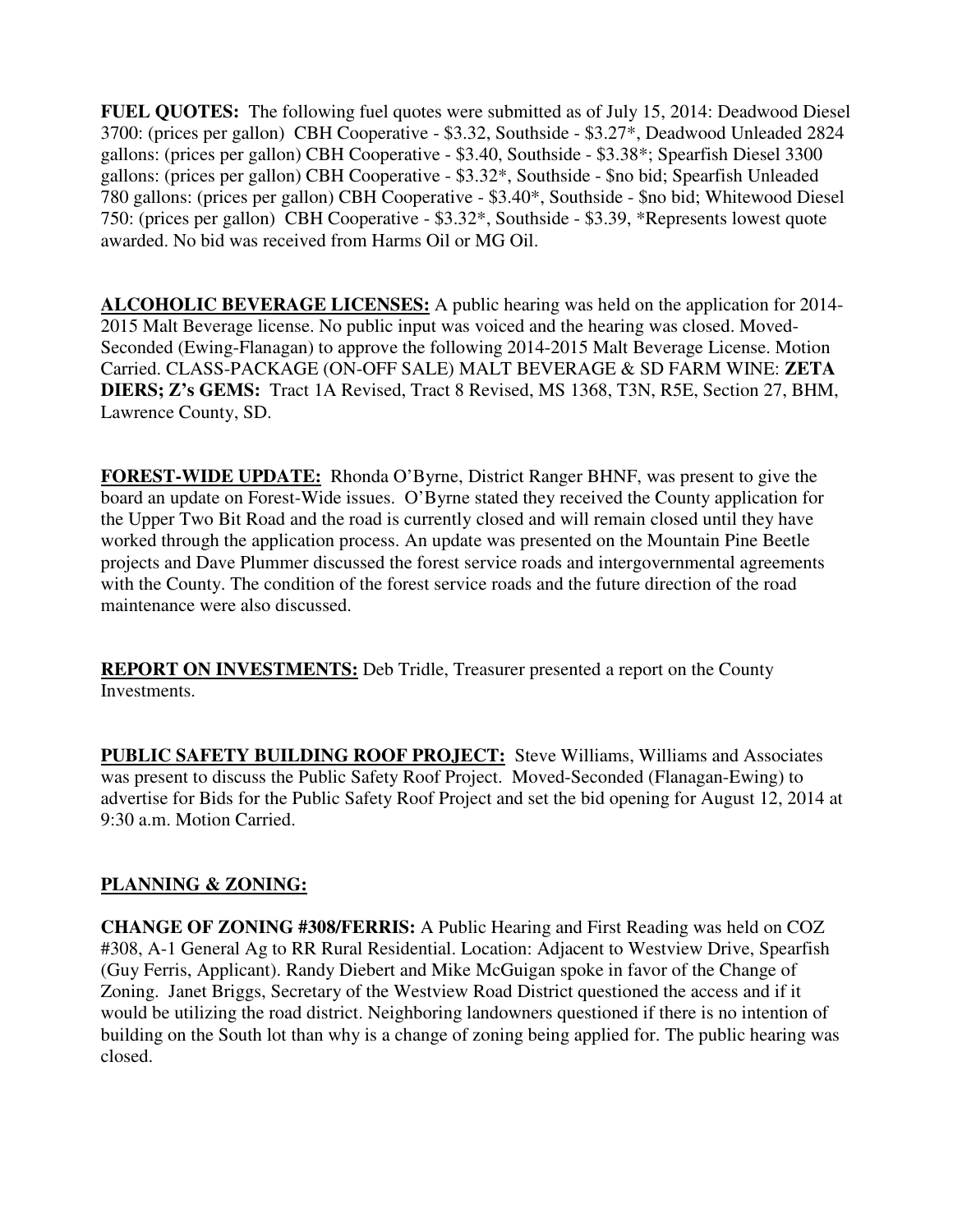**FUEL QUOTES:** The following fuel quotes were submitted as of July 15, 2014: Deadwood Diesel 3700: (prices per gallon) CBH Cooperative - \$3.32, Southside - \$3.27\*, Deadwood Unleaded 2824 gallons: (prices per gallon) CBH Cooperative - \$3.40, Southside - \$3.38\*; Spearfish Diesel 3300 gallons: (prices per gallon) CBH Cooperative - \$3.32\*, Southside - \$no bid; Spearfish Unleaded 780 gallons: (prices per gallon) CBH Cooperative - \$3.40\*, Southside - \$no bid; Whitewood Diesel 750: (prices per gallon) CBH Cooperative - \$3.32\*, Southside - \$3.39, \*Represents lowest quote awarded. No bid was received from Harms Oil or MG Oil.

**ALCOHOLIC BEVERAGE LICENSES:** A public hearing was held on the application for 2014- 2015 Malt Beverage license. No public input was voiced and the hearing was closed. Moved-Seconded (Ewing-Flanagan) to approve the following 2014-2015 Malt Beverage License. Motion Carried. CLASS-PACKAGE (ON-OFF SALE) MALT BEVERAGE & SD FARM WINE: **ZETA DIERS; Z's GEMS:** Tract 1A Revised, Tract 8 Revised, MS 1368, T3N, R5E, Section 27, BHM, Lawrence County, SD.

**FOREST-WIDE UPDATE:** Rhonda O'Byrne, District Ranger BHNF, was present to give the board an update on Forest-Wide issues. O'Byrne stated they received the County application for the Upper Two Bit Road and the road is currently closed and will remain closed until they have worked through the application process. An update was presented on the Mountain Pine Beetle projects and Dave Plummer discussed the forest service roads and intergovernmental agreements with the County. The condition of the forest service roads and the future direction of the road maintenance were also discussed.

**REPORT ON INVESTMENTS:** Deb Tridle, Treasurer presented a report on the County Investments.

**PUBLIC SAFETY BUILDING ROOF PROJECT:** Steve Williams, Williams and Associates was present to discuss the Public Safety Roof Project. Moved-Seconded (Flanagan-Ewing) to advertise for Bids for the Public Safety Roof Project and set the bid opening for August 12, 2014 at 9:30 a.m. Motion Carried.

### **PLANNING & ZONING:**

**CHANGE OF ZONING #308/FERRIS:** A Public Hearing and First Reading was held on COZ #308, A-1 General Ag to RR Rural Residential. Location: Adjacent to Westview Drive, Spearfish (Guy Ferris, Applicant). Randy Diebert and Mike McGuigan spoke in favor of the Change of Zoning. Janet Briggs, Secretary of the Westview Road District questioned the access and if it would be utilizing the road district. Neighboring landowners questioned if there is no intention of building on the South lot than why is a change of zoning being applied for. The public hearing was closed.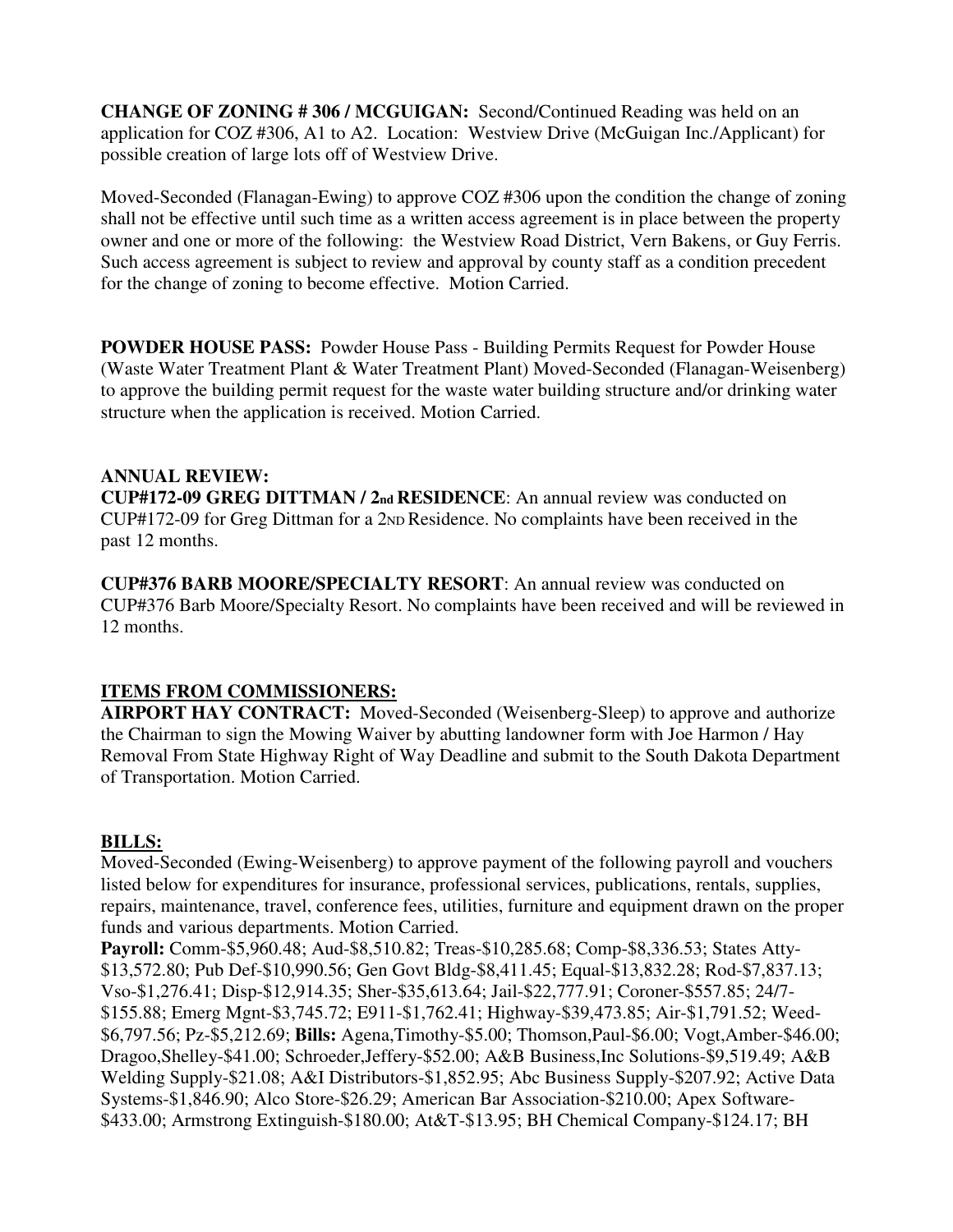**CHANGE OF ZONING # 306 / MCGUIGAN:** Second/Continued Reading was held on an application for COZ #306, A1 to A2. Location: Westview Drive (McGuigan Inc./Applicant) for possible creation of large lots off of Westview Drive.

Moved-Seconded (Flanagan-Ewing) to approve COZ #306 upon the condition the change of zoning shall not be effective until such time as a written access agreement is in place between the property owner and one or more of the following: the Westview Road District, Vern Bakens, or Guy Ferris. Such access agreement is subject to review and approval by county staff as a condition precedent for the change of zoning to become effective. Motion Carried.

**POWDER HOUSE PASS:** Powder House Pass - Building Permits Request for Powder House (Waste Water Treatment Plant & Water Treatment Plant) Moved-Seconded (Flanagan-Weisenberg) to approve the building permit request for the waste water building structure and/or drinking water structure when the application is received. Motion Carried.

#### **ANNUAL REVIEW:**

**CUP#172-09 GREG DITTMAN / 2nd RESIDENCE**: An annual review was conducted on CUP#172-09 for Greg Dittman for a 2ND Residence. No complaints have been received in the past 12 months.

**CUP#376 BARB MOORE/SPECIALTY RESORT**: An annual review was conducted on CUP#376 Barb Moore/Specialty Resort. No complaints have been received and will be reviewed in 12 months.

### **ITEMS FROM COMMISSIONERS:**

**AIRPORT HAY CONTRACT:** Moved-Seconded (Weisenberg-Sleep) to approve and authorize the Chairman to sign the Mowing Waiver by abutting landowner form with Joe Harmon / Hay Removal From State Highway Right of Way Deadline and submit to the South Dakota Department of Transportation. Motion Carried.

### **BILLS:**

Moved-Seconded (Ewing-Weisenberg) to approve payment of the following payroll and vouchers listed below for expenditures for insurance, professional services, publications, rentals, supplies, repairs, maintenance, travel, conference fees, utilities, furniture and equipment drawn on the proper funds and various departments. Motion Carried.

**Payroll:** Comm-\$5,960.48; Aud-\$8,510.82; Treas-\$10,285.68; Comp-\$8,336.53; States Atty- \$13,572.80; Pub Def-\$10,990.56; Gen Govt Bldg-\$8,411.45; Equal-\$13,832.28; Rod-\$7,837.13; Vso-\$1,276.41; Disp-\$12,914.35; Sher-\$35,613.64; Jail-\$22,777.91; Coroner-\$557.85; 24/7- \$155.88; Emerg Mgnt-\$3,745.72; E911-\$1,762.41; Highway-\$39,473.85; Air-\$1,791.52; Weed- \$6,797.56; Pz-\$5,212.69; **Bills:** Agena,Timothy-\$5.00; Thomson,Paul-\$6.00; Vogt,Amber-\$46.00; Dragoo,Shelley-\$41.00; Schroeder,Jeffery-\$52.00; A&B Business,Inc Solutions-\$9,519.49; A&B Welding Supply-\$21.08; A&I Distributors-\$1,852.95; Abc Business Supply-\$207.92; Active Data Systems-\$1,846.90; Alco Store-\$26.29; American Bar Association-\$210.00; Apex Software- \$433.00; Armstrong Extinguish-\$180.00; At&T-\$13.95; BH Chemical Company-\$124.17; BH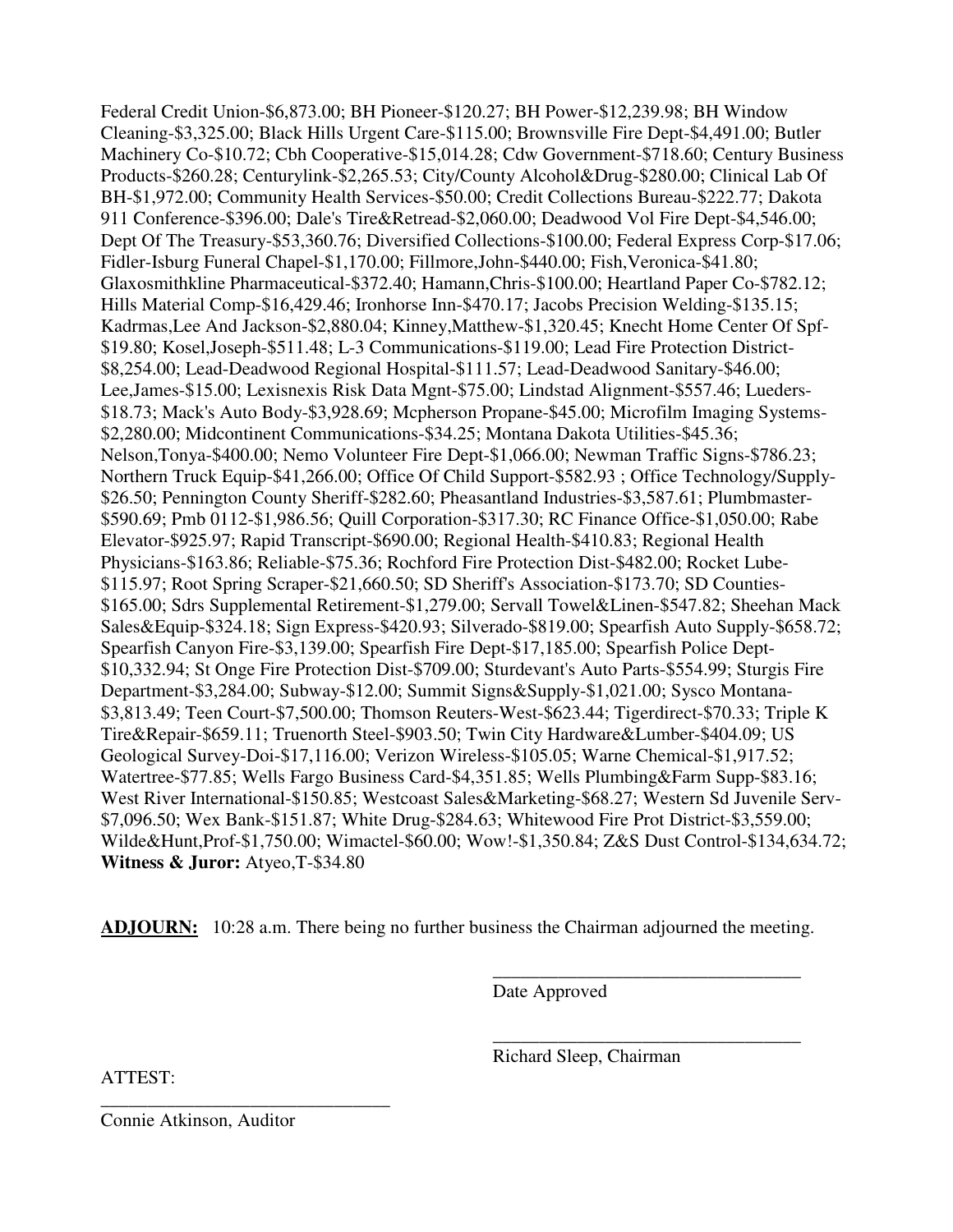Federal Credit Union-\$6,873.00; BH Pioneer-\$120.27; BH Power-\$12,239.98; BH Window Cleaning-\$3,325.00; Black Hills Urgent Care-\$115.00; Brownsville Fire Dept-\$4,491.00; Butler Machinery Co-\$10.72; Cbh Cooperative-\$15,014.28; Cdw Government-\$718.60; Century Business Products-\$260.28; Centurylink-\$2,265.53; City/County Alcohol&Drug-\$280.00; Clinical Lab Of BH-\$1,972.00; Community Health Services-\$50.00; Credit Collections Bureau-\$222.77; Dakota 911 Conference-\$396.00; Dale's Tire&Retread-\$2,060.00; Deadwood Vol Fire Dept-\$4,546.00; Dept Of The Treasury-\$53,360.76; Diversified Collections-\$100.00; Federal Express Corp-\$17.06; Fidler-Isburg Funeral Chapel-\$1,170.00; Fillmore,John-\$440.00; Fish,Veronica-\$41.80; Glaxosmithkline Pharmaceutical-\$372.40; Hamann,Chris-\$100.00; Heartland Paper Co-\$782.12; Hills Material Comp-\$16,429.46; Ironhorse Inn-\$470.17; Jacobs Precision Welding-\$135.15; Kadrmas,Lee And Jackson-\$2,880.04; Kinney,Matthew-\$1,320.45; Knecht Home Center Of Spf- \$19.80; Kosel,Joseph-\$511.48; L-3 Communications-\$119.00; Lead Fire Protection District- \$8,254.00; Lead-Deadwood Regional Hospital-\$111.57; Lead-Deadwood Sanitary-\$46.00; Lee,James-\$15.00; Lexisnexis Risk Data Mgnt-\$75.00; Lindstad Alignment-\$557.46; Lueders- \$18.73; Mack's Auto Body-\$3,928.69; Mcpherson Propane-\$45.00; Microfilm Imaging Systems- \$2,280.00; Midcontinent Communications-\$34.25; Montana Dakota Utilities-\$45.36; Nelson,Tonya-\$400.00; Nemo Volunteer Fire Dept-\$1,066.00; Newman Traffic Signs-\$786.23; Northern Truck Equip-\$41,266.00; Office Of Child Support-\$582.93 ; Office Technology/Supply- \$26.50; Pennington County Sheriff-\$282.60; Pheasantland Industries-\$3,587.61; Plumbmaster- \$590.69; Pmb 0112-\$1,986.56; Quill Corporation-\$317.30; RC Finance Office-\$1,050.00; Rabe Elevator-\$925.97; Rapid Transcript-\$690.00; Regional Health-\$410.83; Regional Health Physicians-\$163.86; Reliable-\$75.36; Rochford Fire Protection Dist-\$482.00; Rocket Lube- \$115.97; Root Spring Scraper-\$21,660.50; SD Sheriff's Association-\$173.70; SD Counties- \$165.00; Sdrs Supplemental Retirement-\$1,279.00; Servall Towel&Linen-\$547.82; Sheehan Mack Sales&Equip-\$324.18; Sign Express-\$420.93; Silverado-\$819.00; Spearfish Auto Supply-\$658.72; Spearfish Canyon Fire-\$3,139.00; Spearfish Fire Dept-\$17,185.00; Spearfish Police Dept- \$10,332.94; St Onge Fire Protection Dist-\$709.00; Sturdevant's Auto Parts-\$554.99; Sturgis Fire Department-\$3,284.00; Subway-\$12.00; Summit Signs&Supply-\$1,021.00; Sysco Montana- \$3,813.49; Teen Court-\$7,500.00; Thomson Reuters-West-\$623.44; Tigerdirect-\$70.33; Triple K Tire&Repair-\$659.11; Truenorth Steel-\$903.50; Twin City Hardware&Lumber-\$404.09; US Geological Survey-Doi-\$17,116.00; Verizon Wireless-\$105.05; Warne Chemical-\$1,917.52; Watertree-\$77.85; Wells Fargo Business Card-\$4,351.85; Wells Plumbing&Farm Supp-\$83.16; West River International-\$150.85; Westcoast Sales&Marketing-\$68.27; Western Sd Juvenile Serv- \$7,096.50; Wex Bank-\$151.87; White Drug-\$284.63; Whitewood Fire Prot District-\$3,559.00; Wilde&Hunt,Prof-\$1,750.00; Wimactel-\$60.00; Wow!-\$1,350.84; Z&S Dust Control-\$134,634.72; **Witness & Juror:** Atyeo,T-\$34.80

**ADJOURN:** 10:28 a.m. There being no further business the Chairman adjourned the meeting.

 $\overline{\phantom{a}}$  , and the contract of the contract of the contract of the contract of the contract of the contract of the contract of the contract of the contract of the contract of the contract of the contract of the contrac

 $\overline{\phantom{a}}$  , and the contract of the contract of the contract of the contract of the contract of the contract of the contract of the contract of the contract of the contract of the contract of the contract of the contrac

Date Approved

Richard Sleep, Chairman

ATTEST:

Connie Atkinson, Auditor

\_\_\_\_\_\_\_\_\_\_\_\_\_\_\_\_\_\_\_\_\_\_\_\_\_\_\_\_\_\_\_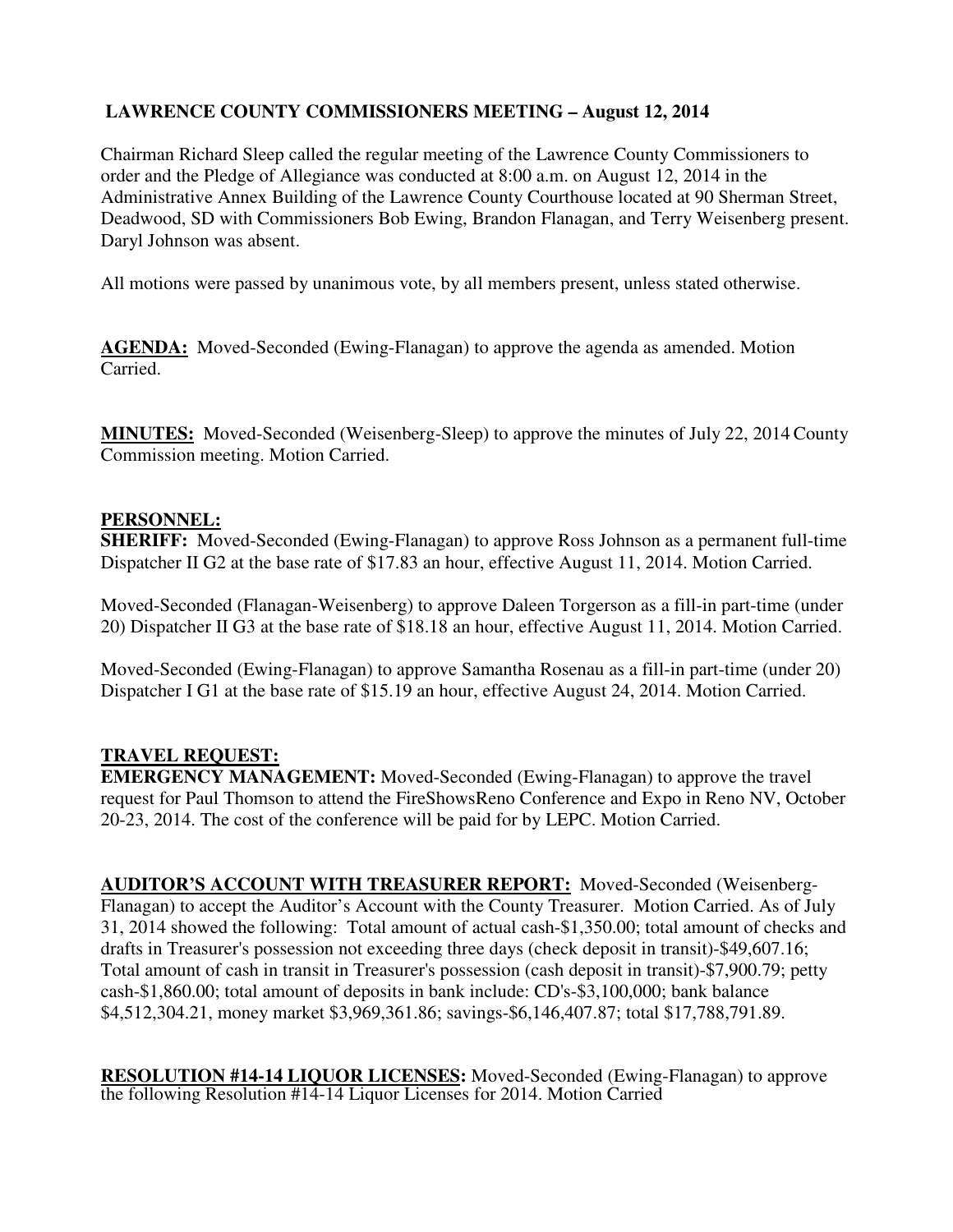## **LAWRENCE COUNTY COMMISSIONERS MEETING – August 12, 2014**

Chairman Richard Sleep called the regular meeting of the Lawrence County Commissioners to order and the Pledge of Allegiance was conducted at 8:00 a.m. on August 12, 2014 in the Administrative Annex Building of the Lawrence County Courthouse located at 90 Sherman Street, Deadwood, SD with Commissioners Bob Ewing, Brandon Flanagan, and Terry Weisenberg present. Daryl Johnson was absent.

All motions were passed by unanimous vote, by all members present, unless stated otherwise.

**AGENDA:** Moved-Seconded (Ewing-Flanagan) to approve the agenda as amended. Motion Carried.

**MINUTES:** Moved-Seconded (Weisenberg-Sleep) to approve the minutes of July 22, 2014 County Commission meeting. Motion Carried.

#### **PERSONNEL:**

**SHERIFF:** Moved-Seconded (Ewing-Flanagan) to approve Ross Johnson as a permanent full-time Dispatcher II G2 at the base rate of \$17.83 an hour, effective August 11, 2014. Motion Carried.

Moved-Seconded (Flanagan-Weisenberg) to approve Daleen Torgerson as a fill-in part-time (under 20) Dispatcher II G3 at the base rate of \$18.18 an hour, effective August 11, 2014. Motion Carried.

Moved-Seconded (Ewing-Flanagan) to approve Samantha Rosenau as a fill-in part-time (under 20) Dispatcher I G1 at the base rate of \$15.19 an hour, effective August 24, 2014. Motion Carried.

### **TRAVEL REQUEST:**

**EMERGENCY MANAGEMENT:** Moved-Seconded (Ewing-Flanagan) to approve the travel request for Paul Thomson to attend the FireShowsReno Conference and Expo in Reno NV, October 20-23, 2014. The cost of the conference will be paid for by LEPC. Motion Carried.

**AUDITOR'S ACCOUNT WITH TREASURER REPORT:** Moved-Seconded (Weisenberg-Flanagan) to accept the Auditor's Account with the County Treasurer. Motion Carried. As of July 31, 2014 showed the following: Total amount of actual cash-\$1,350.00; total amount of checks and drafts in Treasurer's possession not exceeding three days (check deposit in transit)-\$49,607.16; Total amount of cash in transit in Treasurer's possession (cash deposit in transit)-\$7,900.79; petty cash-\$1,860.00; total amount of deposits in bank include: CD's-\$3,100,000; bank balance \$4,512,304.21, money market \$3,969,361.86; savings-\$6,146,407.87; total \$17,788,791.89.

**RESOLUTION #14-14 LIQUOR LICENSES:** Moved-Seconded (Ewing-Flanagan) to approve the following Resolution #14-14 Liquor Licenses for 2014. Motion Carried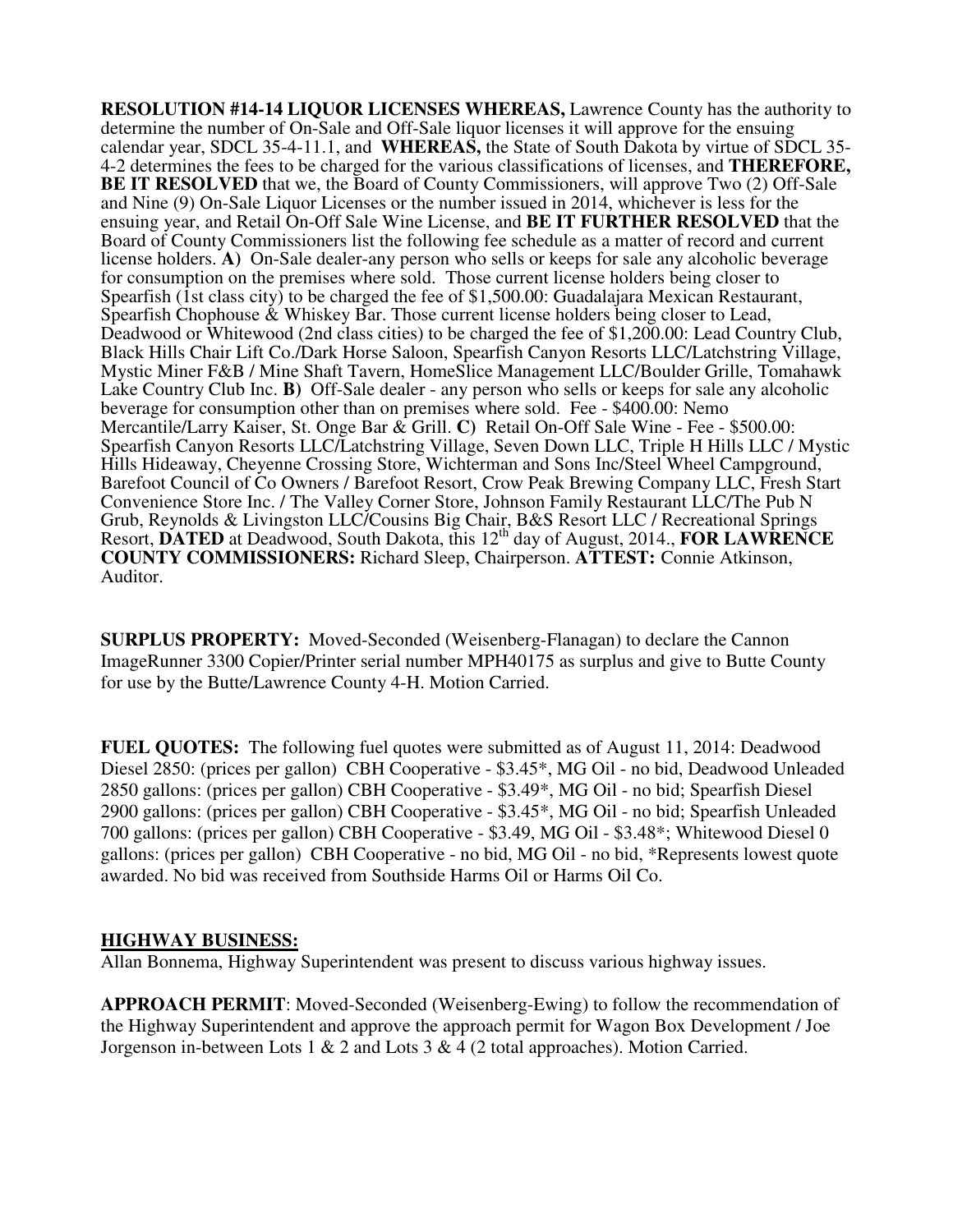**RESOLUTION #14-14 LIQUOR LICENSES WHEREAS,** Lawrence County has the authority to determine the number of On-Sale and Off-Sale liquor licenses it will approve for the ensuing calendar year, SDCL 35-4-11.1, and **WHEREAS,** the State of South Dakota by virtue of SDCL 35- 4-2 determines the fees to be charged for the various classifications of licenses, and **THEREFORE, BE IT RESOLVED** that we, the Board of County Commissioners, will approve Two (2) Off-Sale and Nine (9) On-Sale Liquor Licenses or the number issued in 2014, whichever is less for the ensuing year, and Retail On-Off Sale Wine License, and **BE IT FURTHER RESOLVED** that the Board of County Commissioners list the following fee schedule as a matter of record and current license holders. **A)** On-Sale dealer-any person who sells or keeps for sale any alcoholic beverage for consumption on the premises where sold. Those current license holders being closer to Spearfish (1st class city) to be charged the fee of \$1,500.00: Guadalajara Mexican Restaurant, Spearfish Chophouse & Whiskey Bar. Those current license holders being closer to Lead, Deadwood or Whitewood (2nd class cities) to be charged the fee of \$1,200.00: Lead Country Club, Black Hills Chair Lift Co./Dark Horse Saloon, Spearfish Canyon Resorts LLC/Latchstring Village, Mystic Miner F&B / Mine Shaft Tavern, HomeSlice Management LLC/Boulder Grille, Tomahawk Lake Country Club Inc. **B)** Off-Sale dealer - any person who sells or keeps for sale any alcoholic beverage for consumption other than on premises where sold. Fee - \$400.00: Nemo Mercantile/Larry Kaiser, St. Onge Bar & Grill. **C)** Retail On-Off Sale Wine - Fee - \$500.00: Spearfish Canyon Resorts LLC/Latchstring Village, Seven Down LLC, Triple H Hills LLC / Mystic Hills Hideaway, Cheyenne Crossing Store, Wichterman and Sons Inc/Steel Wheel Campground, Barefoot Council of Co Owners / Barefoot Resort, Crow Peak Brewing Company LLC, Fresh Start Convenience Store Inc. / The Valley Corner Store, Johnson Family Restaurant LLC/The Pub N Grub, Reynolds & Livingston LLC/Cousins Big Chair, B&S Resort LLC / Recreational Springs Resort, DATED at Deadwood, South Dakota, this 12<sup>th</sup> day of August, 2014., FOR LAWRENCE **COUNTY COMMISSIONERS:** Richard Sleep, Chairperson. **ATTEST:** Connie Atkinson, Auditor.

**SURPLUS PROPERTY:** Moved-Seconded (Weisenberg-Flanagan) to declare the Cannon ImageRunner 3300 Copier/Printer serial number MPH40175 as surplus and give to Butte County for use by the Butte/Lawrence County 4-H. Motion Carried.

**FUEL QUOTES:** The following fuel quotes were submitted as of August 11, 2014: Deadwood Diesel 2850: (prices per gallon) CBH Cooperative - \$3.45\*, MG Oil - no bid, Deadwood Unleaded 2850 gallons: (prices per gallon) CBH Cooperative - \$3.49\*, MG Oil - no bid; Spearfish Diesel 2900 gallons: (prices per gallon) CBH Cooperative - \$3.45\*, MG Oil - no bid; Spearfish Unleaded 700 gallons: (prices per gallon) CBH Cooperative - \$3.49, MG Oil - \$3.48\*; Whitewood Diesel 0 gallons: (prices per gallon) CBH Cooperative - no bid, MG Oil - no bid, \*Represents lowest quote awarded. No bid was received from Southside Harms Oil or Harms Oil Co.

#### **HIGHWAY BUSINESS:**

Allan Bonnema, Highway Superintendent was present to discuss various highway issues.

**APPROACH PERMIT**: Moved-Seconded (Weisenberg-Ewing) to follow the recommendation of the Highway Superintendent and approve the approach permit for Wagon Box Development / Joe Jorgenson in-between Lots 1  $\&$  2 and Lots 3  $\&$  4 (2 total approaches). Motion Carried.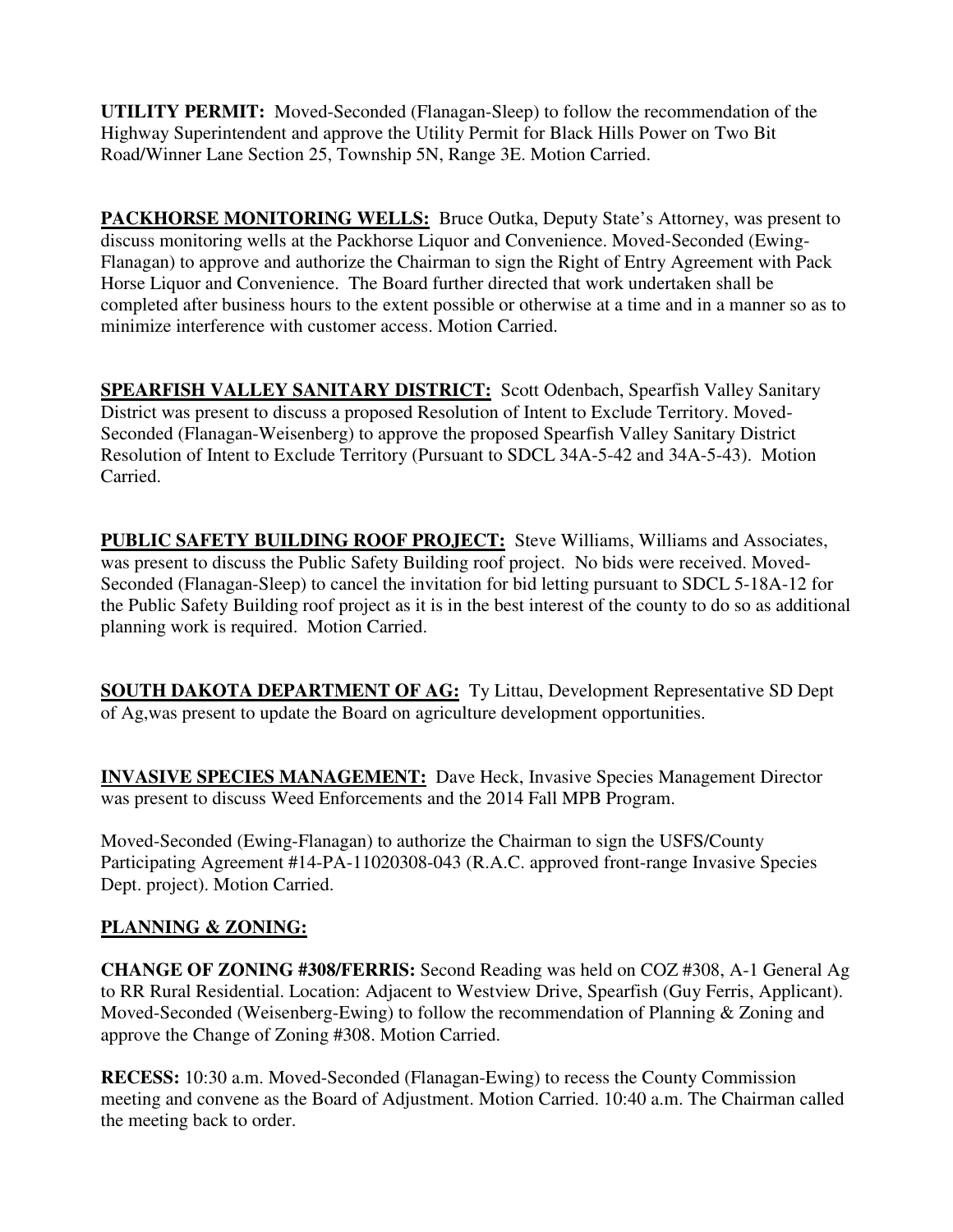**UTILITY PERMIT:** Moved-Seconded (Flanagan-Sleep) to follow the recommendation of the Highway Superintendent and approve the Utility Permit for Black Hills Power on Two Bit Road/Winner Lane Section 25, Township 5N, Range 3E. Motion Carried.

**PACKHORSE MONITORING WELLS:** Bruce Outka, Deputy State's Attorney, was present to discuss monitoring wells at the Packhorse Liquor and Convenience. Moved-Seconded (Ewing-Flanagan) to approve and authorize the Chairman to sign the Right of Entry Agreement with Pack Horse Liquor and Convenience. The Board further directed that work undertaken shall be completed after business hours to the extent possible or otherwise at a time and in a manner so as to minimize interference with customer access. Motion Carried.

**SPEARFISH VALLEY SANITARY DISTRICT:** Scott Odenbach, Spearfish Valley Sanitary District was present to discuss a proposed Resolution of Intent to Exclude Territory. Moved-Seconded (Flanagan-Weisenberg) to approve the proposed Spearfish Valley Sanitary District Resolution of Intent to Exclude Territory (Pursuant to SDCL 34A-5-42 and 34A-5-43). Motion Carried.

**PUBLIC SAFETY BUILDING ROOF PROJECT:** Steve Williams, Williams and Associates, was present to discuss the Public Safety Building roof project. No bids were received. Moved-Seconded (Flanagan-Sleep) to cancel the invitation for bid letting pursuant to SDCL 5-18A-12 for the Public Safety Building roof project as it is in the best interest of the county to do so as additional planning work is required. Motion Carried.

**SOUTH DAKOTA DEPARTMENT OF AG:** Ty Littau, Development Representative SD Dept of Ag,was present to update the Board on agriculture development opportunities.

**INVASIVE SPECIES MANAGEMENT:** Dave Heck, Invasive Species Management Director was present to discuss Weed Enforcements and the 2014 Fall MPB Program.

Moved-Seconded (Ewing-Flanagan) to authorize the Chairman to sign the USFS/County Participating Agreement #14-PA-11020308-043 (R.A.C. approved front-range Invasive Species Dept. project). Motion Carried.

# **PLANNING & ZONING:**

**CHANGE OF ZONING #308/FERRIS:** Second Reading was held on COZ #308, A-1 General Ag to RR Rural Residential. Location: Adjacent to Westview Drive, Spearfish (Guy Ferris, Applicant). Moved-Seconded (Weisenberg-Ewing) to follow the recommendation of Planning & Zoning and approve the Change of Zoning #308. Motion Carried.

**RECESS:** 10:30 a.m. Moved-Seconded (Flanagan-Ewing) to recess the County Commission meeting and convene as the Board of Adjustment. Motion Carried. 10:40 a.m. The Chairman called the meeting back to order.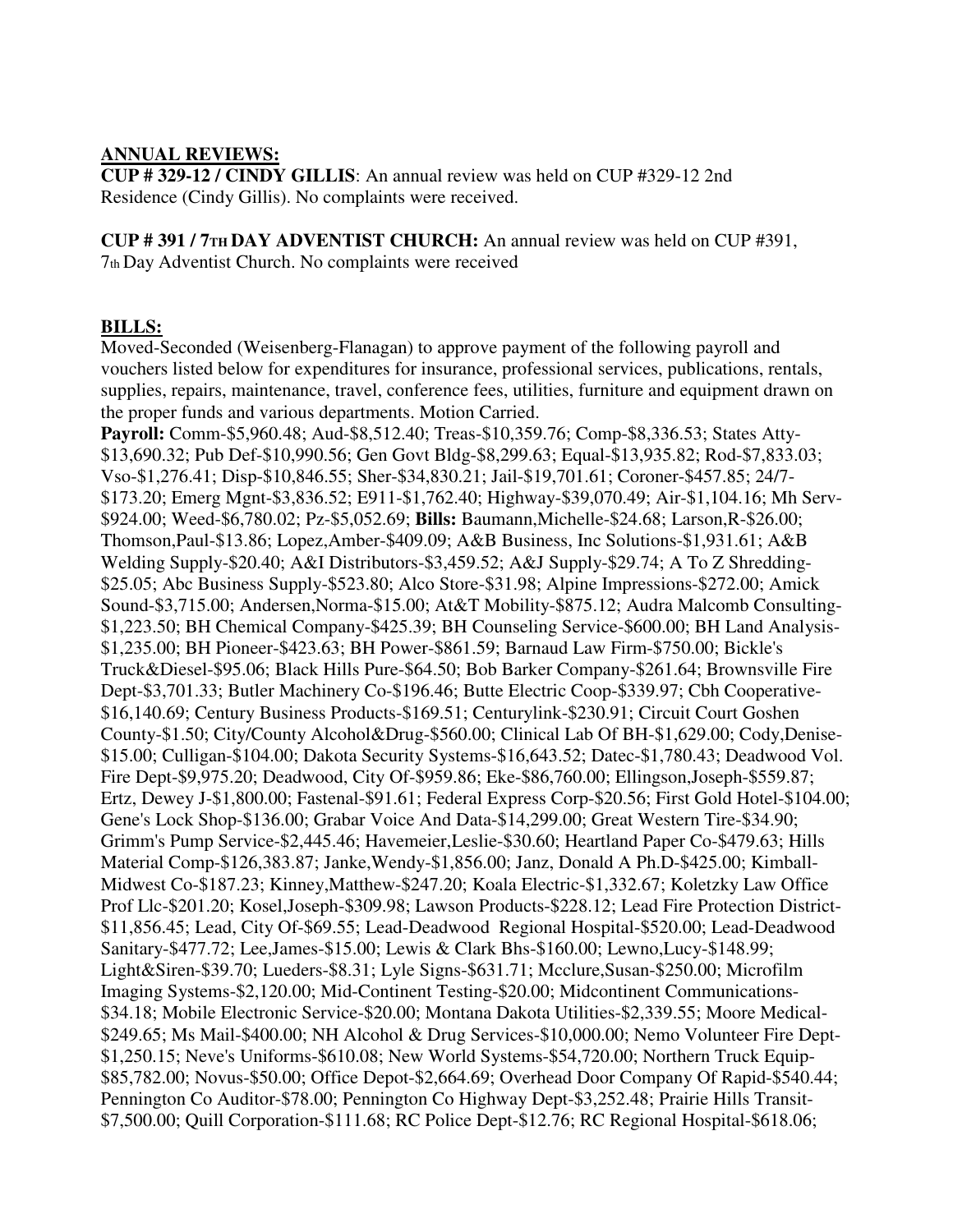#### **ANNUAL REVIEWS:**

**CUP # 329-12 / CINDY GILLIS**: An annual review was held on CUP #329-12 2nd Residence (Cindy Gillis). No complaints were received.

**CUP # 391 / 7TH DAY ADVENTIST CHURCH:** An annual review was held on CUP #391, 7th Day Adventist Church. No complaints were received

#### **BILLS:**

Moved-Seconded (Weisenberg-Flanagan) to approve payment of the following payroll and vouchers listed below for expenditures for insurance, professional services, publications, rentals, supplies, repairs, maintenance, travel, conference fees, utilities, furniture and equipment drawn on the proper funds and various departments. Motion Carried.

**Payroll:** Comm-\$5,960.48; Aud-\$8,512.40; Treas-\$10,359.76; Comp-\$8,336.53; States Atty- \$13,690.32; Pub Def-\$10,990.56; Gen Govt Bldg-\$8,299.63; Equal-\$13,935.82; Rod-\$7,833.03; Vso-\$1,276.41; Disp-\$10,846.55; Sher-\$34,830.21; Jail-\$19,701.61; Coroner-\$457.85; 24/7- \$173.20; Emerg Mgnt-\$3,836.52; E911-\$1,762.40; Highway-\$39,070.49; Air-\$1,104.16; Mh Serv- \$924.00; Weed-\$6,780.02; Pz-\$5,052.69; **Bills:** Baumann,Michelle-\$24.68; Larson,R-\$26.00; Thomson,Paul-\$13.86; Lopez,Amber-\$409.09; A&B Business, Inc Solutions-\$1,931.61; A&B Welding Supply-\$20.40; A&I Distributors-\$3,459.52; A&J Supply-\$29.74; A To Z Shredding- \$25.05; Abc Business Supply-\$523.80; Alco Store-\$31.98; Alpine Impressions-\$272.00; Amick Sound-\$3,715.00; Andersen,Norma-\$15.00; At&T Mobility-\$875.12; Audra Malcomb Consulting- \$1,223.50; BH Chemical Company-\$425.39; BH Counseling Service-\$600.00; BH Land Analysis- \$1,235.00; BH Pioneer-\$423.63; BH Power-\$861.59; Barnaud Law Firm-\$750.00; Bickle's Truck&Diesel-\$95.06; Black Hills Pure-\$64.50; Bob Barker Company-\$261.64; Brownsville Fire Dept-\$3,701.33; Butler Machinery Co-\$196.46; Butte Electric Coop-\$339.97; Cbh Cooperative- \$16,140.69; Century Business Products-\$169.51; Centurylink-\$230.91; Circuit Court Goshen County-\$1.50; City/County Alcohol&Drug-\$560.00; Clinical Lab Of BH-\$1,629.00; Cody,Denise- \$15.00; Culligan-\$104.00; Dakota Security Systems-\$16,643.52; Datec-\$1,780.43; Deadwood Vol. Fire Dept-\$9,975.20; Deadwood, City Of-\$959.86; Eke-\$86,760.00; Ellingson,Joseph-\$559.87; Ertz, Dewey J-\$1,800.00; Fastenal-\$91.61; Federal Express Corp-\$20.56; First Gold Hotel-\$104.00; Gene's Lock Shop-\$136.00; Grabar Voice And Data-\$14,299.00; Great Western Tire-\$34.90; Grimm's Pump Service-\$2,445.46; Havemeier,Leslie-\$30.60; Heartland Paper Co-\$479.63; Hills Material Comp-\$126,383.87; Janke,Wendy-\$1,856.00; Janz, Donald A Ph.D-\$425.00; Kimball-Midwest Co-\$187.23; Kinney,Matthew-\$247.20; Koala Electric-\$1,332.67; Koletzky Law Office Prof Llc-\$201.20; Kosel,Joseph-\$309.98; Lawson Products-\$228.12; Lead Fire Protection District- \$11,856.45; Lead, City Of-\$69.55; Lead-Deadwood Regional Hospital-\$520.00; Lead-Deadwood Sanitary-\$477.72; Lee,James-\$15.00; Lewis & Clark Bhs-\$160.00; Lewno,Lucy-\$148.99; Light&Siren-\$39.70; Lueders-\$8.31; Lyle Signs-\$631.71; Mcclure,Susan-\$250.00; Microfilm Imaging Systems-\$2,120.00; Mid-Continent Testing-\$20.00; Midcontinent Communications- \$34.18; Mobile Electronic Service-\$20.00; Montana Dakota Utilities-\$2,339.55; Moore Medical- \$249.65; Ms Mail-\$400.00; NH Alcohol & Drug Services-\$10,000.00; Nemo Volunteer Fire Dept- \$1,250.15; Neve's Uniforms-\$610.08; New World Systems-\$54,720.00; Northern Truck Equip- \$85,782.00; Novus-\$50.00; Office Depot-\$2,664.69; Overhead Door Company Of Rapid-\$540.44; Pennington Co Auditor-\$78.00; Pennington Co Highway Dept-\$3,252.48; Prairie Hills Transit- \$7,500.00; Quill Corporation-\$111.68; RC Police Dept-\$12.76; RC Regional Hospital-\$618.06;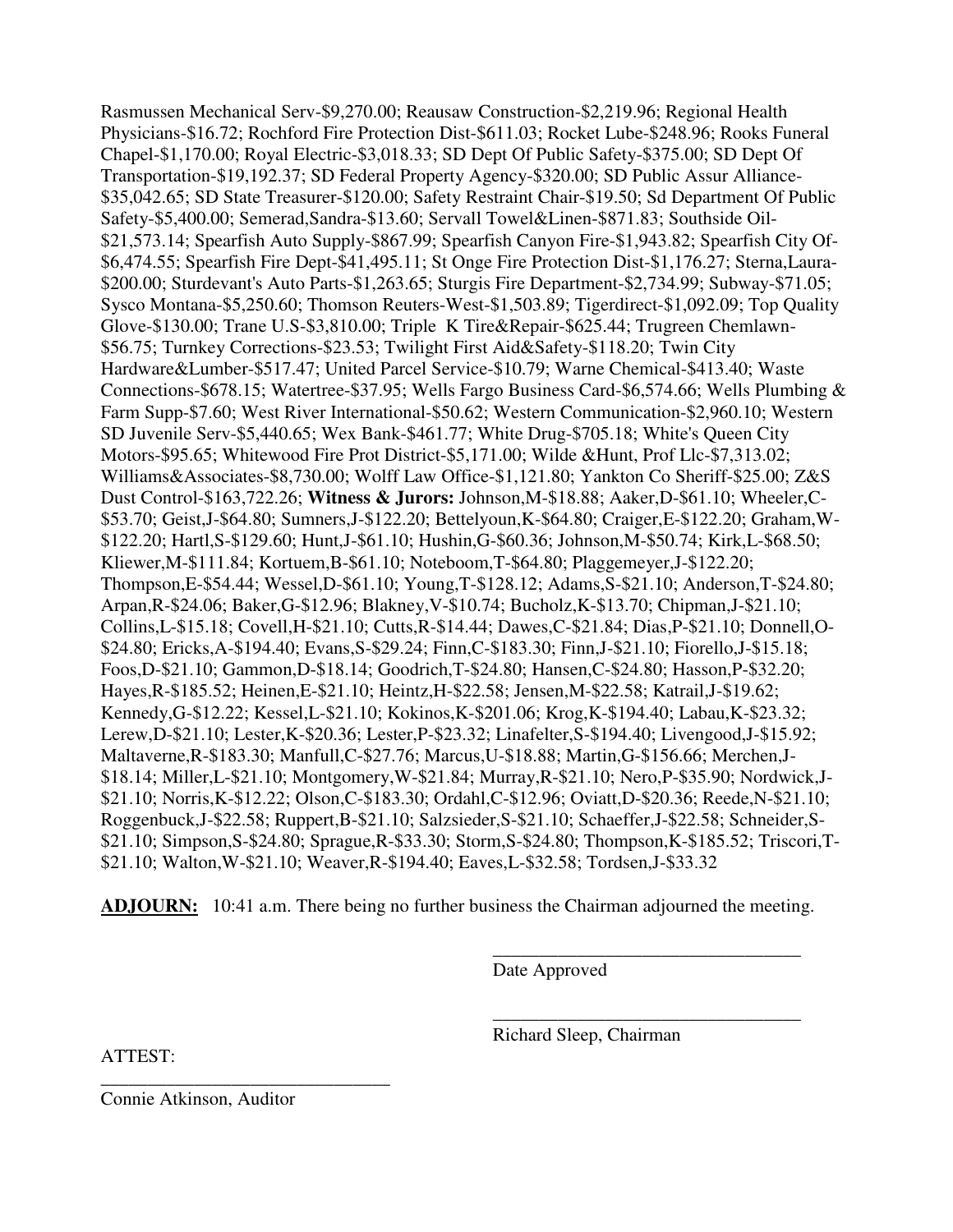Rasmussen Mechanical Serv-\$9,270.00; Reausaw Construction-\$2,219.96; Regional Health Physicians-\$16.72; Rochford Fire Protection Dist-\$611.03; Rocket Lube-\$248.96; Rooks Funeral Chapel-\$1,170.00; Royal Electric-\$3,018.33; SD Dept Of Public Safety-\$375.00; SD Dept Of Transportation-\$19,192.37; SD Federal Property Agency-\$320.00; SD Public Assur Alliance- \$35,042.65; SD State Treasurer-\$120.00; Safety Restraint Chair-\$19.50; Sd Department Of Public Safety-\$5,400.00; Semerad,Sandra-\$13.60; Servall Towel&Linen-\$871.83; Southside Oil- \$21,573.14; Spearfish Auto Supply-\$867.99; Spearfish Canyon Fire-\$1,943.82; Spearfish City Of- \$6,474.55; Spearfish Fire Dept-\$41,495.11; St Onge Fire Protection Dist-\$1,176.27; Sterna,Laura- \$200.00; Sturdevant's Auto Parts-\$1,263.65; Sturgis Fire Department-\$2,734.99; Subway-\$71.05; Sysco Montana-\$5,250.60; Thomson Reuters-West-\$1,503.89; Tigerdirect-\$1,092.09; Top Quality Glove-\$130.00; Trane U.S-\$3,810.00; Triple K Tire&Repair-\$625.44; Trugreen Chemlawn- \$56.75; Turnkey Corrections-\$23.53; Twilight First Aid&Safety-\$118.20; Twin City Hardware&Lumber-\$517.47; United Parcel Service-\$10.79; Warne Chemical-\$413.40; Waste Connections-\$678.15; Watertree-\$37.95; Wells Fargo Business Card-\$6,574.66; Wells Plumbing & Farm Supp-\$7.60; West River International-\$50.62; Western Communication-\$2,960.10; Western SD Juvenile Serv-\$5,440.65; Wex Bank-\$461.77; White Drug-\$705.18; White's Queen City Motors-\$95.65; Whitewood Fire Prot District-\$5,171.00; Wilde &Hunt, Prof Llc-\$7,313.02; Williams&Associates-\$8,730.00; Wolff Law Office-\$1,121.80; Yankton Co Sheriff-\$25.00; Z&S Dust Control-\$163,722.26; **Witness & Jurors:** Johnson,M-\$18.88; Aaker,D-\$61.10; Wheeler,C- \$53.70; Geist,J-\$64.80; Sumners,J-\$122.20; Bettelyoun,K-\$64.80; Craiger,E-\$122.20; Graham,W- \$122.20; Hartl,S-\$129.60; Hunt,J-\$61.10; Hushin,G-\$60.36; Johnson,M-\$50.74; Kirk,L-\$68.50; Kliewer,M-\$111.84; Kortuem,B-\$61.10; Noteboom,T-\$64.80; Plaggemeyer,J-\$122.20; Thompson,E-\$54.44; Wessel,D-\$61.10; Young,T-\$128.12; Adams,S-\$21.10; Anderson,T-\$24.80; Arpan,R-\$24.06; Baker,G-\$12.96; Blakney,V-\$10.74; Bucholz,K-\$13.70; Chipman,J-\$21.10; Collins,L-\$15.18; Covell,H-\$21.10; Cutts,R-\$14.44; Dawes,C-\$21.84; Dias,P-\$21.10; Donnell,O- \$24.80; Ericks,A-\$194.40; Evans,S-\$29.24; Finn,C-\$183.30; Finn,J-\$21.10; Fiorello,J-\$15.18; Foos,D-\$21.10; Gammon,D-\$18.14; Goodrich,T-\$24.80; Hansen,C-\$24.80; Hasson,P-\$32.20; Hayes,R-\$185.52; Heinen,E-\$21.10; Heintz,H-\$22.58; Jensen,M-\$22.58; Katrail,J-\$19.62; Kennedy,G-\$12.22; Kessel,L-\$21.10; Kokinos,K-\$201.06; Krog,K-\$194.40; Labau,K-\$23.32; Lerew,D-\$21.10; Lester,K-\$20.36; Lester,P-\$23.32; Linafelter,S-\$194.40; Livengood,J-\$15.92; Maltaverne,R-\$183.30; Manfull,C-\$27.76; Marcus,U-\$18.88; Martin,G-\$156.66; Merchen,J- \$18.14; Miller,L-\$21.10; Montgomery,W-\$21.84; Murray,R-\$21.10; Nero,P-\$35.90; Nordwick,J- \$21.10; Norris,K-\$12.22; Olson,C-\$183.30; Ordahl,C-\$12.96; Oviatt,D-\$20.36; Reede,N-\$21.10; Roggenbuck,J-\$22.58; Ruppert,B-\$21.10; Salzsieder,S-\$21.10; Schaeffer,J-\$22.58; Schneider,S- \$21.10; Simpson,S-\$24.80; Sprague,R-\$33.30; Storm,S-\$24.80; Thompson,K-\$185.52; Triscori,T- \$21.10; Walton,W-\$21.10; Weaver,R-\$194.40; Eaves,L-\$32.58; Tordsen,J-\$33.32

**ADJOURN:** 10:41 a.m. There being no further business the Chairman adjourned the meeting.

 $\overline{\phantom{a}}$  , and the contract of the contract of the contract of the contract of the contract of the contract of the contract of the contract of the contract of the contract of the contract of the contract of the contrac

 $\overline{\phantom{a}}$  , and the contract of the contract of the contract of the contract of the contract of the contract of the contract of the contract of the contract of the contract of the contract of the contract of the contrac

Date Approved

Richard Sleep, Chairman

ATTEST:

Connie Atkinson, Auditor

\_\_\_\_\_\_\_\_\_\_\_\_\_\_\_\_\_\_\_\_\_\_\_\_\_\_\_\_\_\_\_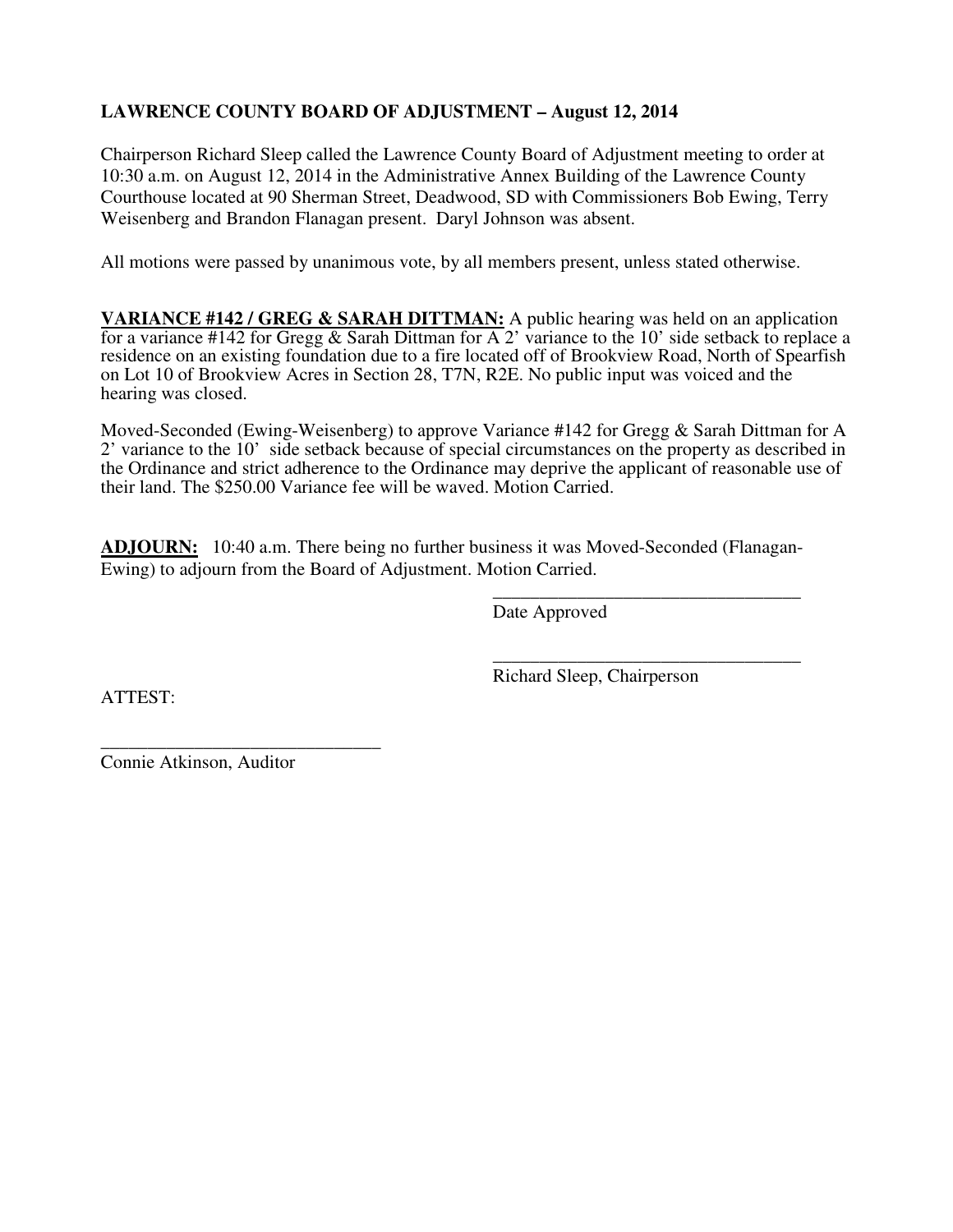# **LAWRENCE COUNTY BOARD OF ADJUSTMENT – August 12, 2014**

Chairperson Richard Sleep called the Lawrence County Board of Adjustment meeting to order at 10:30 a.m. on August 12, 2014 in the Administrative Annex Building of the Lawrence County Courthouse located at 90 Sherman Street, Deadwood, SD with Commissioners Bob Ewing, Terry Weisenberg and Brandon Flanagan present. Daryl Johnson was absent.

All motions were passed by unanimous vote, by all members present, unless stated otherwise.

**VARIANCE #142 / GREG & SARAH DITTMAN:** A public hearing was held on an application for a variance #142 for Gregg & Sarah Dittman for A 2' variance to the 10' side setback to replace a residence on an existing foundation due to a fire located off of Brookview Road, North of Spearfish on Lot 10 of Brookview Acres in Section 28, T7N, R2E. No public input was voiced and the hearing was closed.

Moved-Seconded (Ewing-Weisenberg) to approve Variance #142 for Gregg & Sarah Dittman for A 2' variance to the 10' side setback because of special circumstances on the property as described in the Ordinance and strict adherence to the Ordinance may deprive the applicant of reasonable use of their land. The \$250.00 Variance fee will be waved. Motion Carried.

**ADJOURN:** 10:40 a.m. There being no further business it was Moved-Seconded (Flanagan-Ewing) to adjourn from the Board of Adjustment. Motion Carried.

 $\overline{\phantom{a}}$  , and the contract of the contract of the contract of the contract of the contract of the contract of the contract of the contract of the contract of the contract of the contract of the contract of the contrac

 $\overline{\phantom{a}}$  , and the contract of the contract of the contract of the contract of the contract of the contract of the contract of the contract of the contract of the contract of the contract of the contract of the contrac

Date Approved

ATTEST:

Richard Sleep, Chairperson

\_\_\_\_\_\_\_\_\_\_\_\_\_\_\_\_\_\_\_\_\_\_\_\_\_\_\_\_\_\_ Connie Atkinson, Auditor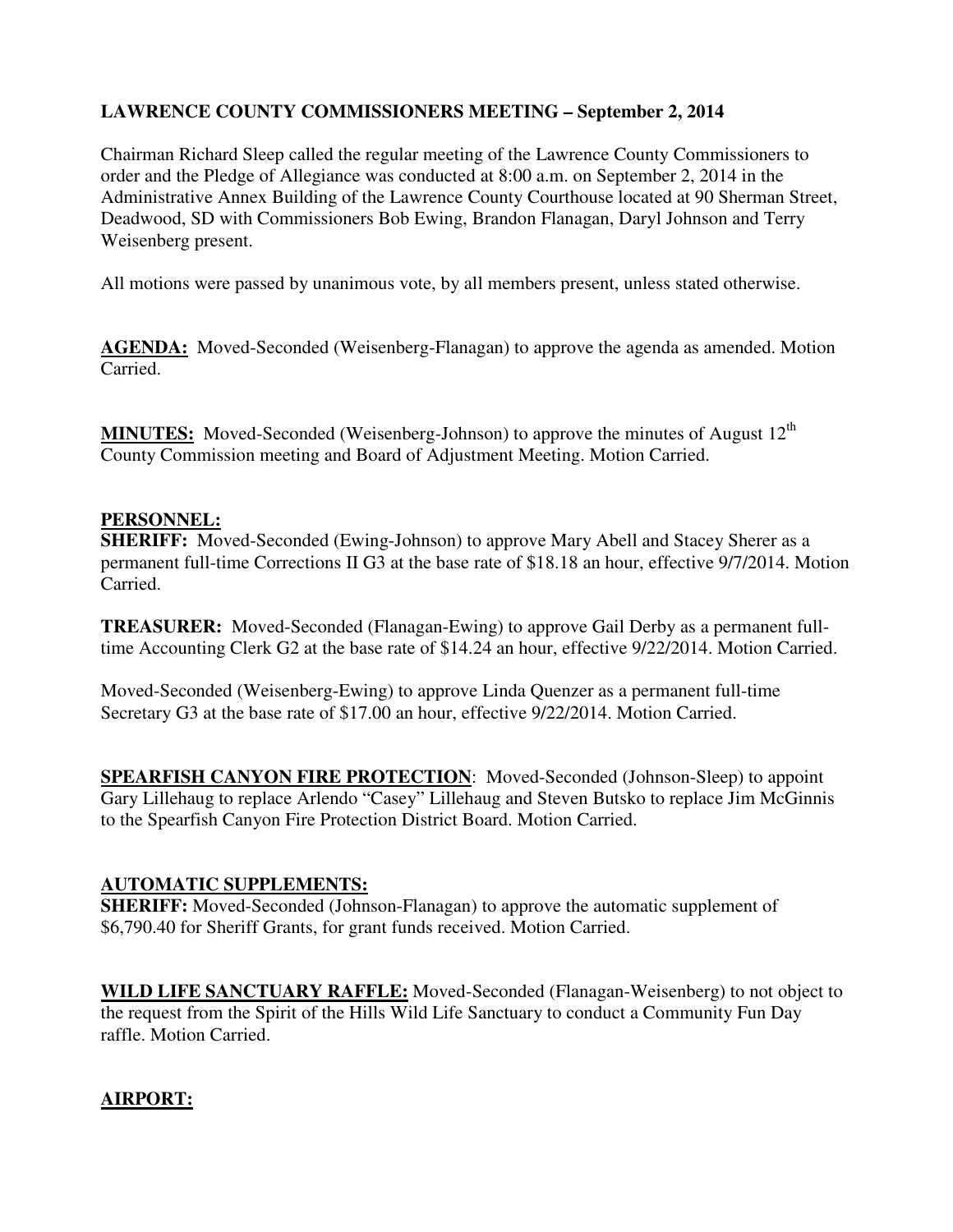# **LAWRENCE COUNTY COMMISSIONERS MEETING – September 2, 2014**

Chairman Richard Sleep called the regular meeting of the Lawrence County Commissioners to order and the Pledge of Allegiance was conducted at 8:00 a.m. on September 2, 2014 in the Administrative Annex Building of the Lawrence County Courthouse located at 90 Sherman Street, Deadwood, SD with Commissioners Bob Ewing, Brandon Flanagan, Daryl Johnson and Terry Weisenberg present.

All motions were passed by unanimous vote, by all members present, unless stated otherwise.

**AGENDA:** Moved-Seconded (Weisenberg-Flanagan) to approve the agenda as amended. Motion Carried.

**MINUTES:** Moved-Seconded (Weisenberg-Johnson) to approve the minutes of August 12<sup>th</sup> County Commission meeting and Board of Adjustment Meeting. Motion Carried.

#### **PERSONNEL:**

**SHERIFF:** Moved-Seconded (Ewing-Johnson) to approve Mary Abell and Stacey Sherer as a permanent full-time Corrections II G3 at the base rate of \$18.18 an hour, effective 9/7/2014. Motion Carried.

**TREASURER:** Moved-Seconded (Flanagan-Ewing) to approve Gail Derby as a permanent fulltime Accounting Clerk G2 at the base rate of \$14.24 an hour, effective 9/22/2014. Motion Carried.

Moved-Seconded (Weisenberg-Ewing) to approve Linda Quenzer as a permanent full-time Secretary G3 at the base rate of \$17.00 an hour, effective 9/22/2014. Motion Carried.

**SPEARFISH CANYON FIRE PROTECTION**: Moved-Seconded (Johnson-Sleep) to appoint Gary Lillehaug to replace Arlendo "Casey" Lillehaug and Steven Butsko to replace Jim McGinnis to the Spearfish Canyon Fire Protection District Board. Motion Carried.

### **AUTOMATIC SUPPLEMENTS:**

**SHERIFF:** Moved-Seconded (Johnson-Flanagan) to approve the automatic supplement of \$6,790.40 for Sheriff Grants, for grant funds received. Motion Carried.

**WILD LIFE SANCTUARY RAFFLE:** Moved-Seconded (Flanagan-Weisenberg) to not object to the request from the Spirit of the Hills Wild Life Sanctuary to conduct a Community Fun Day raffle. Motion Carried.

### **AIRPORT:**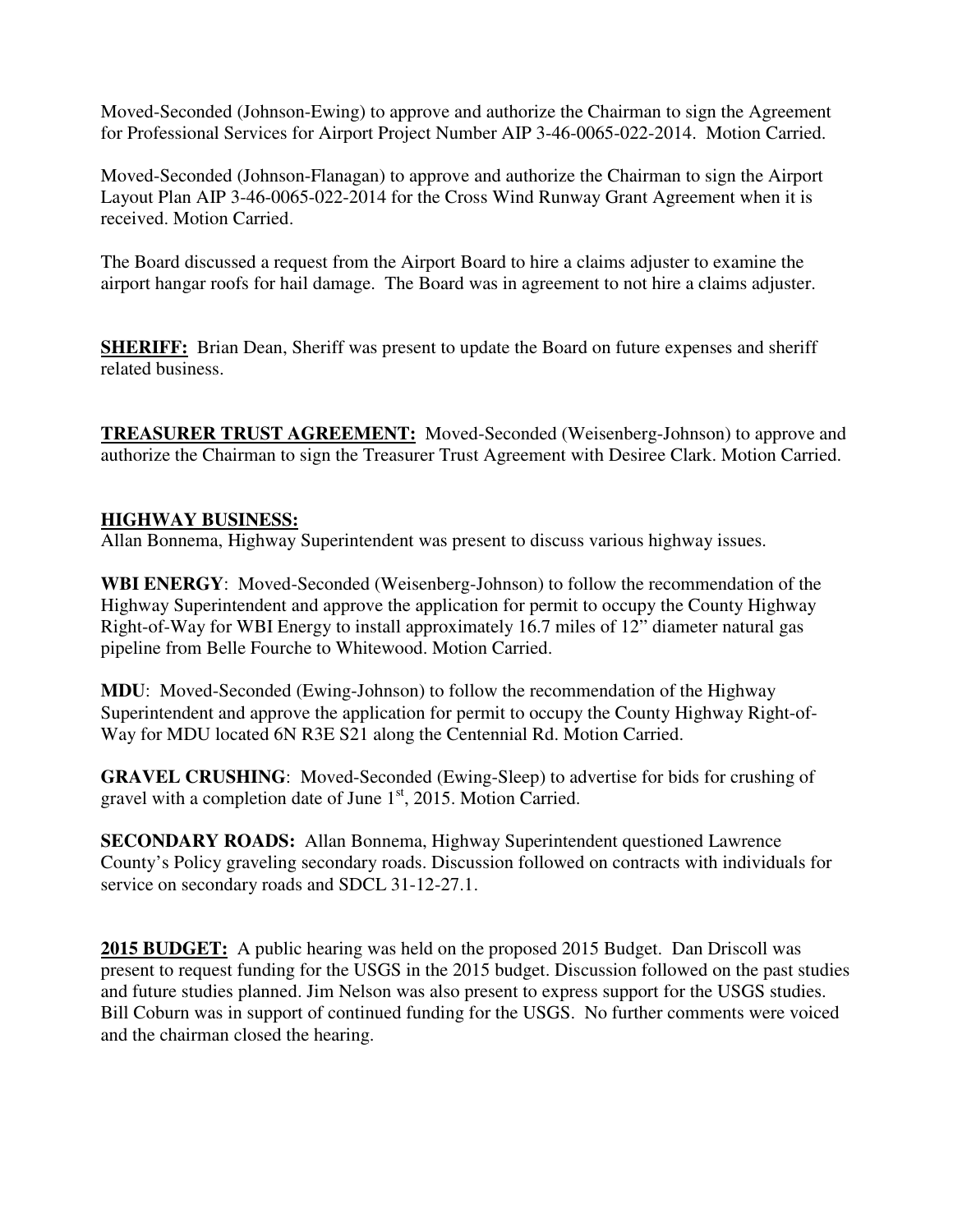Moved-Seconded (Johnson-Ewing) to approve and authorize the Chairman to sign the Agreement for Professional Services for Airport Project Number AIP 3-46-0065-022-2014. Motion Carried.

Moved-Seconded (Johnson-Flanagan) to approve and authorize the Chairman to sign the Airport Layout Plan AIP 3-46-0065-022-2014 for the Cross Wind Runway Grant Agreement when it is received. Motion Carried.

The Board discussed a request from the Airport Board to hire a claims adjuster to examine the airport hangar roofs for hail damage. The Board was in agreement to not hire a claims adjuster.

**SHERIFF:** Brian Dean, Sheriff was present to update the Board on future expenses and sheriff related business.

**TREASURER TRUST AGREEMENT:** Moved-Seconded (Weisenberg-Johnson) to approve and authorize the Chairman to sign the Treasurer Trust Agreement with Desiree Clark. Motion Carried.

#### **HIGHWAY BUSINESS:**

Allan Bonnema, Highway Superintendent was present to discuss various highway issues.

**WBI ENERGY**: Moved-Seconded (Weisenberg-Johnson) to follow the recommendation of the Highway Superintendent and approve the application for permit to occupy the County Highway Right-of-Way for WBI Energy to install approximately 16.7 miles of 12" diameter natural gas pipeline from Belle Fourche to Whitewood. Motion Carried.

**MDU**: Moved-Seconded (Ewing-Johnson) to follow the recommendation of the Highway Superintendent and approve the application for permit to occupy the County Highway Right-of-Way for MDU located 6N R3E S21 along the Centennial Rd. Motion Carried.

**GRAVEL CRUSHING**: Moved-Seconded (Ewing-Sleep) to advertise for bids for crushing of gravel with a completion date of June  $1<sup>st</sup>$ , 2015. Motion Carried.

**SECONDARY ROADS:** Allan Bonnema, Highway Superintendent questioned Lawrence County's Policy graveling secondary roads. Discussion followed on contracts with individuals for service on secondary roads and SDCL 31-12-27.1.

**2015 BUDGET:** A public hearing was held on the proposed 2015 Budget. Dan Driscoll was present to request funding for the USGS in the 2015 budget. Discussion followed on the past studies and future studies planned. Jim Nelson was also present to express support for the USGS studies. Bill Coburn was in support of continued funding for the USGS. No further comments were voiced and the chairman closed the hearing.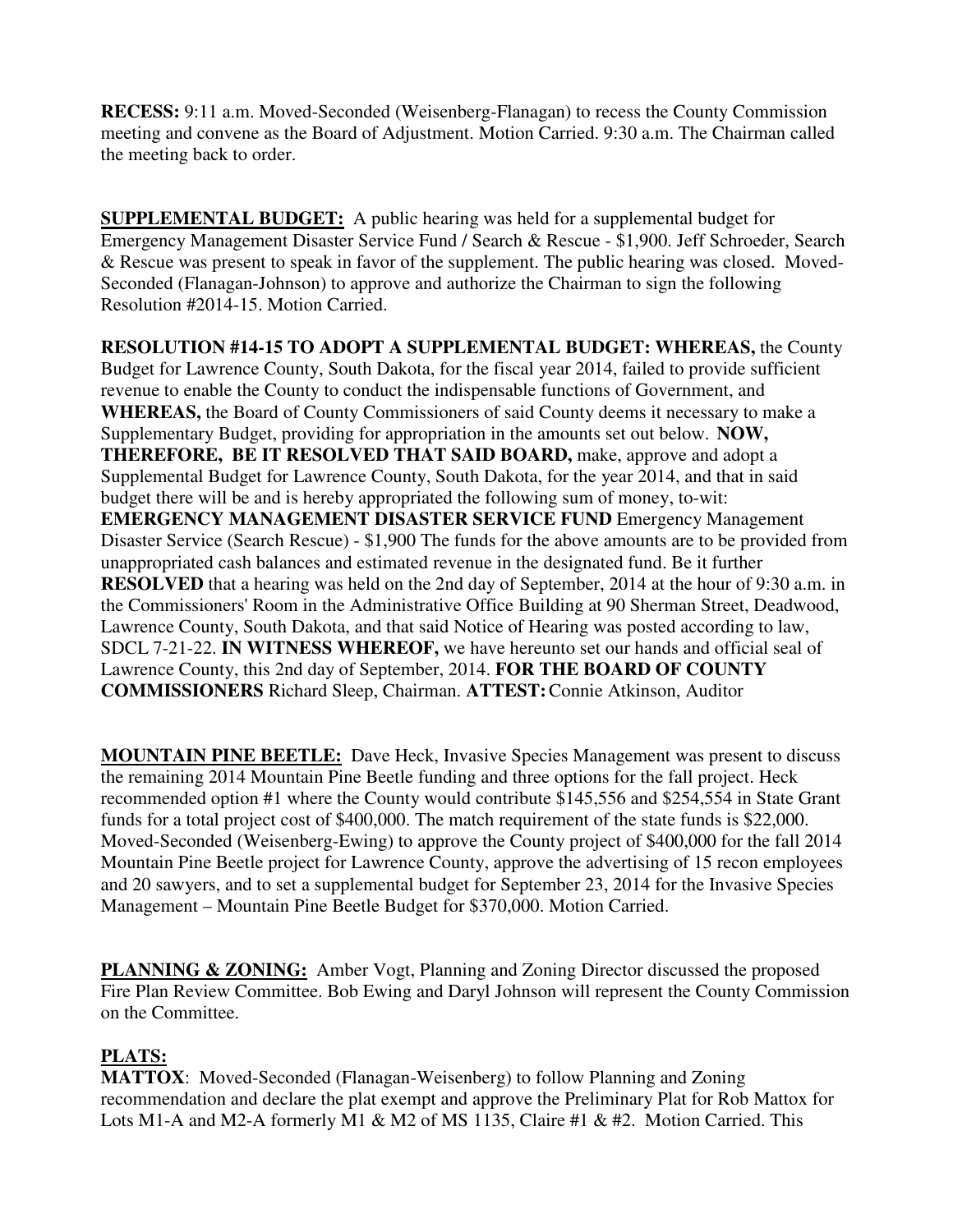**RECESS:** 9:11 a.m. Moved-Seconded (Weisenberg-Flanagan) to recess the County Commission meeting and convene as the Board of Adjustment. Motion Carried. 9:30 a.m. The Chairman called the meeting back to order.

**SUPPLEMENTAL BUDGET:** A public hearing was held for a supplemental budget for Emergency Management Disaster Service Fund / Search & Rescue - \$1,900. Jeff Schroeder, Search & Rescue was present to speak in favor of the supplement. The public hearing was closed. Moved-Seconded (Flanagan-Johnson) to approve and authorize the Chairman to sign the following Resolution #2014-15. Motion Carried.

**RESOLUTION #14-15 TO ADOPT A SUPPLEMENTAL BUDGET: WHEREAS,** the County Budget for Lawrence County, South Dakota, for the fiscal year 2014, failed to provide sufficient revenue to enable the County to conduct the indispensable functions of Government, and **WHEREAS,** the Board of County Commissioners of said County deems it necessary to make a Supplementary Budget, providing for appropriation in the amounts set out below. **NOW, THEREFORE, BE IT RESOLVED THAT SAID BOARD,** make, approve and adopt a Supplemental Budget for Lawrence County, South Dakota, for the year 2014, and that in said budget there will be and is hereby appropriated the following sum of money, to-wit: **EMERGENCY MANAGEMENT DISASTER SERVICE FUND** Emergency Management Disaster Service (Search Rescue) - \$1,900 The funds for the above amounts are to be provided from unappropriated cash balances and estimated revenue in the designated fund. Be it further **RESOLVED** that a hearing was held on the 2nd day of September, 2014 at the hour of 9:30 a.m. in the Commissioners' Room in the Administrative Office Building at 90 Sherman Street, Deadwood, Lawrence County, South Dakota, and that said Notice of Hearing was posted according to law, SDCL 7-21-22. **IN WITNESS WHEREOF,** we have hereunto set our hands and official seal of Lawrence County, this 2nd day of September, 2014. **FOR THE BOARD OF COUNTY COMMISSIONERS** Richard Sleep, Chairman. **ATTEST:** Connie Atkinson, Auditor

**MOUNTAIN PINE BEETLE:** Dave Heck, Invasive Species Management was present to discuss the remaining 2014 Mountain Pine Beetle funding and three options for the fall project. Heck recommended option #1 where the County would contribute \$145,556 and \$254,554 in State Grant funds for a total project cost of \$400,000. The match requirement of the state funds is \$22,000. Moved-Seconded (Weisenberg-Ewing) to approve the County project of \$400,000 for the fall 2014 Mountain Pine Beetle project for Lawrence County, approve the advertising of 15 recon employees and 20 sawyers, and to set a supplemental budget for September 23, 2014 for the Invasive Species Management – Mountain Pine Beetle Budget for \$370,000. Motion Carried.

**PLANNING & ZONING:** Amber Vogt, Planning and Zoning Director discussed the proposed Fire Plan Review Committee. Bob Ewing and Daryl Johnson will represent the County Commission on the Committee.

# **PLATS:**

**MATTOX**: Moved-Seconded (Flanagan-Weisenberg) to follow Planning and Zoning recommendation and declare the plat exempt and approve the Preliminary Plat for Rob Mattox for Lots M1-A and M2-A formerly M1 & M2 of MS 1135, Claire #1 & #2. Motion Carried. This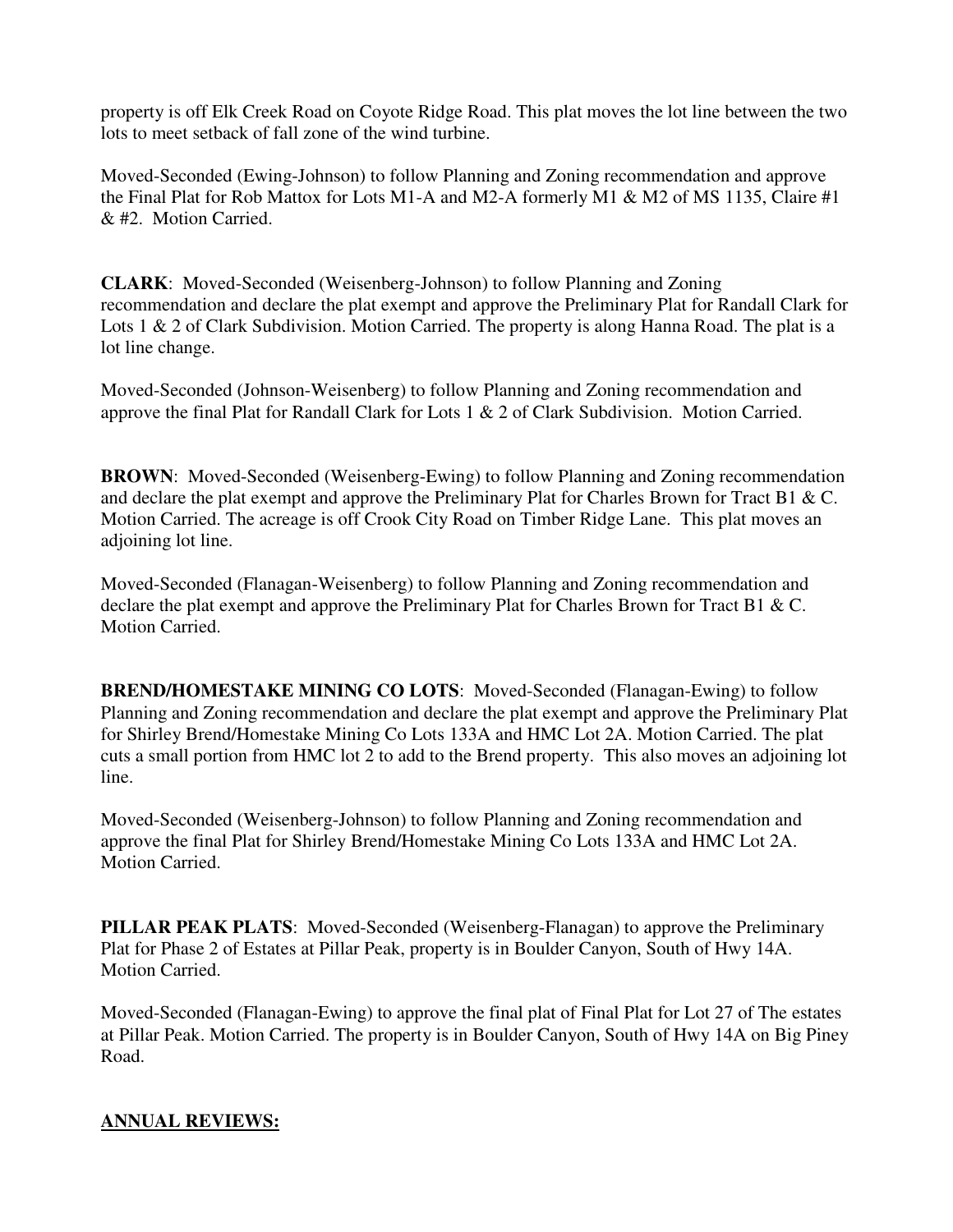property is off Elk Creek Road on Coyote Ridge Road. This plat moves the lot line between the two lots to meet setback of fall zone of the wind turbine.

Moved-Seconded (Ewing-Johnson) to follow Planning and Zoning recommendation and approve the Final Plat for Rob Mattox for Lots M1-A and M2-A formerly M1 & M2 of MS 1135, Claire #1 & #2. Motion Carried.

**CLARK**: Moved-Seconded (Weisenberg-Johnson) to follow Planning and Zoning recommendation and declare the plat exempt and approve the Preliminary Plat for Randall Clark for Lots 1 & 2 of Clark Subdivision. Motion Carried. The property is along Hanna Road. The plat is a lot line change.

Moved-Seconded (Johnson-Weisenberg) to follow Planning and Zoning recommendation and approve the final Plat for Randall Clark for Lots 1 & 2 of Clark Subdivision. Motion Carried.

**BROWN**: Moved-Seconded (Weisenberg-Ewing) to follow Planning and Zoning recommendation and declare the plat exempt and approve the Preliminary Plat for Charles Brown for Tract B1 & C. Motion Carried. The acreage is off Crook City Road on Timber Ridge Lane. This plat moves an adioining lot line.

Moved-Seconded (Flanagan-Weisenberg) to follow Planning and Zoning recommendation and declare the plat exempt and approve the Preliminary Plat for Charles Brown for Tract B1 & C. Motion Carried.

**BREND/HOMESTAKE MINING CO LOTS**: Moved-Seconded (Flanagan-Ewing) to follow Planning and Zoning recommendation and declare the plat exempt and approve the Preliminary Plat for Shirley Brend/Homestake Mining Co Lots 133A and HMC Lot 2A. Motion Carried. The plat cuts a small portion from HMC lot 2 to add to the Brend property. This also moves an adjoining lot line.

Moved-Seconded (Weisenberg-Johnson) to follow Planning and Zoning recommendation and approve the final Plat for Shirley Brend/Homestake Mining Co Lots 133A and HMC Lot 2A. Motion Carried.

**PILLAR PEAK PLATS**: Moved-Seconded (Weisenberg-Flanagan) to approve the Preliminary Plat for Phase 2 of Estates at Pillar Peak, property is in Boulder Canyon, South of Hwy 14A. Motion Carried.

Moved-Seconded (Flanagan-Ewing) to approve the final plat of Final Plat for Lot 27 of The estates at Pillar Peak. Motion Carried. The property is in Boulder Canyon, South of Hwy 14A on Big Piney Road.

### **ANNUAL REVIEWS:**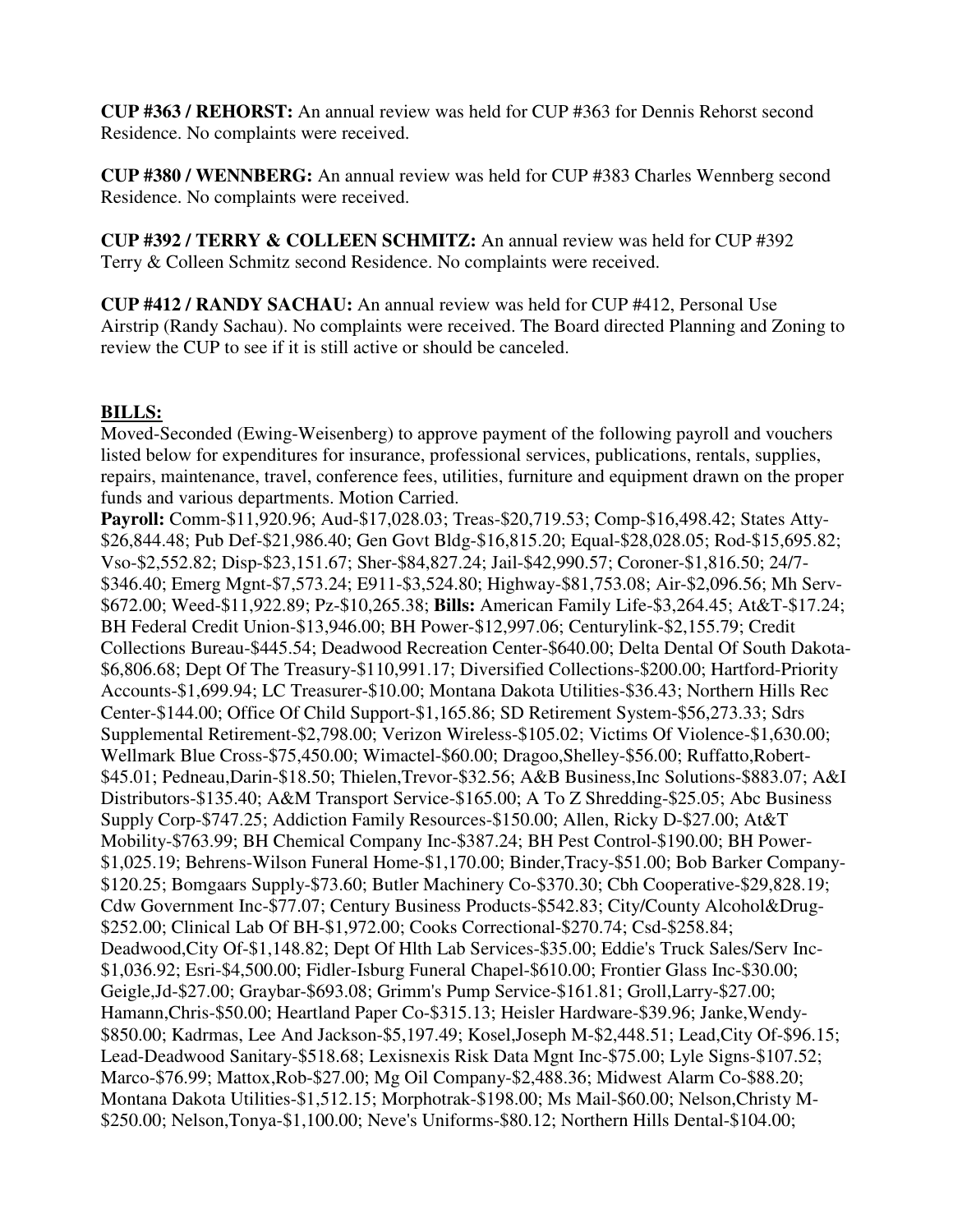**CUP #363 / REHORST:** An annual review was held for CUP #363 for Dennis Rehorst second Residence. No complaints were received.

**CUP #380 / WENNBERG:** An annual review was held for CUP #383 Charles Wennberg second Residence. No complaints were received.

**CUP #392 / TERRY & COLLEEN SCHMITZ:** An annual review was held for CUP #392 Terry & Colleen Schmitz second Residence. No complaints were received.

**CUP #412 / RANDY SACHAU:** An annual review was held for CUP #412, Personal Use Airstrip (Randy Sachau). No complaints were received. The Board directed Planning and Zoning to review the CUP to see if it is still active or should be canceled.

### **BILLS:**

Moved-Seconded (Ewing-Weisenberg) to approve payment of the following payroll and vouchers listed below for expenditures for insurance, professional services, publications, rentals, supplies, repairs, maintenance, travel, conference fees, utilities, furniture and equipment drawn on the proper funds and various departments. Motion Carried.

**Payroll:** Comm-\$11,920.96; Aud-\$17,028.03; Treas-\$20,719.53; Comp-\$16,498.42; States Atty- \$26,844.48; Pub Def-\$21,986.40; Gen Govt Bldg-\$16,815.20; Equal-\$28,028.05; Rod-\$15,695.82; Vso-\$2,552.82; Disp-\$23,151.67; Sher-\$84,827.24; Jail-\$42,990.57; Coroner-\$1,816.50; 24/7- \$346.40; Emerg Mgnt-\$7,573.24; E911-\$3,524.80; Highway-\$81,753.08; Air-\$2,096.56; Mh Serv- \$672.00; Weed-\$11,922.89; Pz-\$10,265.38; **Bills:** American Family Life-\$3,264.45; At&T-\$17.24; BH Federal Credit Union-\$13,946.00; BH Power-\$12,997.06; Centurylink-\$2,155.79; Credit Collections Bureau-\$445.54; Deadwood Recreation Center-\$640.00; Delta Dental Of South Dakota- \$6,806.68; Dept Of The Treasury-\$110,991.17; Diversified Collections-\$200.00; Hartford-Priority Accounts-\$1,699.94; LC Treasurer-\$10.00; Montana Dakota Utilities-\$36.43; Northern Hills Rec Center-\$144.00; Office Of Child Support-\$1,165.86; SD Retirement System-\$56,273.33; Sdrs Supplemental Retirement-\$2,798.00; Verizon Wireless-\$105.02; Victims Of Violence-\$1,630.00; Wellmark Blue Cross-\$75,450.00; Wimactel-\$60.00; Dragoo,Shelley-\$56.00; Ruffatto,Robert- \$45.01; Pedneau,Darin-\$18.50; Thielen,Trevor-\$32.56; A&B Business,Inc Solutions-\$883.07; A&I Distributors-\$135.40; A&M Transport Service-\$165.00; A To Z Shredding-\$25.05; Abc Business Supply Corp-\$747.25; Addiction Family Resources-\$150.00; Allen, Ricky D-\$27.00; At&T Mobility-\$763.99; BH Chemical Company Inc-\$387.24; BH Pest Control-\$190.00; BH Power- \$1,025.19; Behrens-Wilson Funeral Home-\$1,170.00; Binder,Tracy-\$51.00; Bob Barker Company- \$120.25; Bomgaars Supply-\$73.60; Butler Machinery Co-\$370.30; Cbh Cooperative-\$29,828.19; Cdw Government Inc-\$77.07; Century Business Products-\$542.83; City/County Alcohol&Drug- \$252.00; Clinical Lab Of BH-\$1,972.00; Cooks Correctional-\$270.74; Csd-\$258.84; Deadwood,City Of-\$1,148.82; Dept Of Hlth Lab Services-\$35.00; Eddie's Truck Sales/Serv Inc- \$1,036.92; Esri-\$4,500.00; Fidler-Isburg Funeral Chapel-\$610.00; Frontier Glass Inc-\$30.00; Geigle,Jd-\$27.00; Graybar-\$693.08; Grimm's Pump Service-\$161.81; Groll,Larry-\$27.00; Hamann,Chris-\$50.00; Heartland Paper Co-\$315.13; Heisler Hardware-\$39.96; Janke,Wendy- \$850.00; Kadrmas, Lee And Jackson-\$5,197.49; Kosel,Joseph M-\$2,448.51; Lead,City Of-\$96.15; Lead-Deadwood Sanitary-\$518.68; Lexisnexis Risk Data Mgnt Inc-\$75.00; Lyle Signs-\$107.52; Marco-\$76.99; Mattox,Rob-\$27.00; Mg Oil Company-\$2,488.36; Midwest Alarm Co-\$88.20; Montana Dakota Utilities-\$1,512.15; Morphotrak-\$198.00; Ms Mail-\$60.00; Nelson,Christy M- \$250.00; Nelson,Tonya-\$1,100.00; Neve's Uniforms-\$80.12; Northern Hills Dental-\$104.00;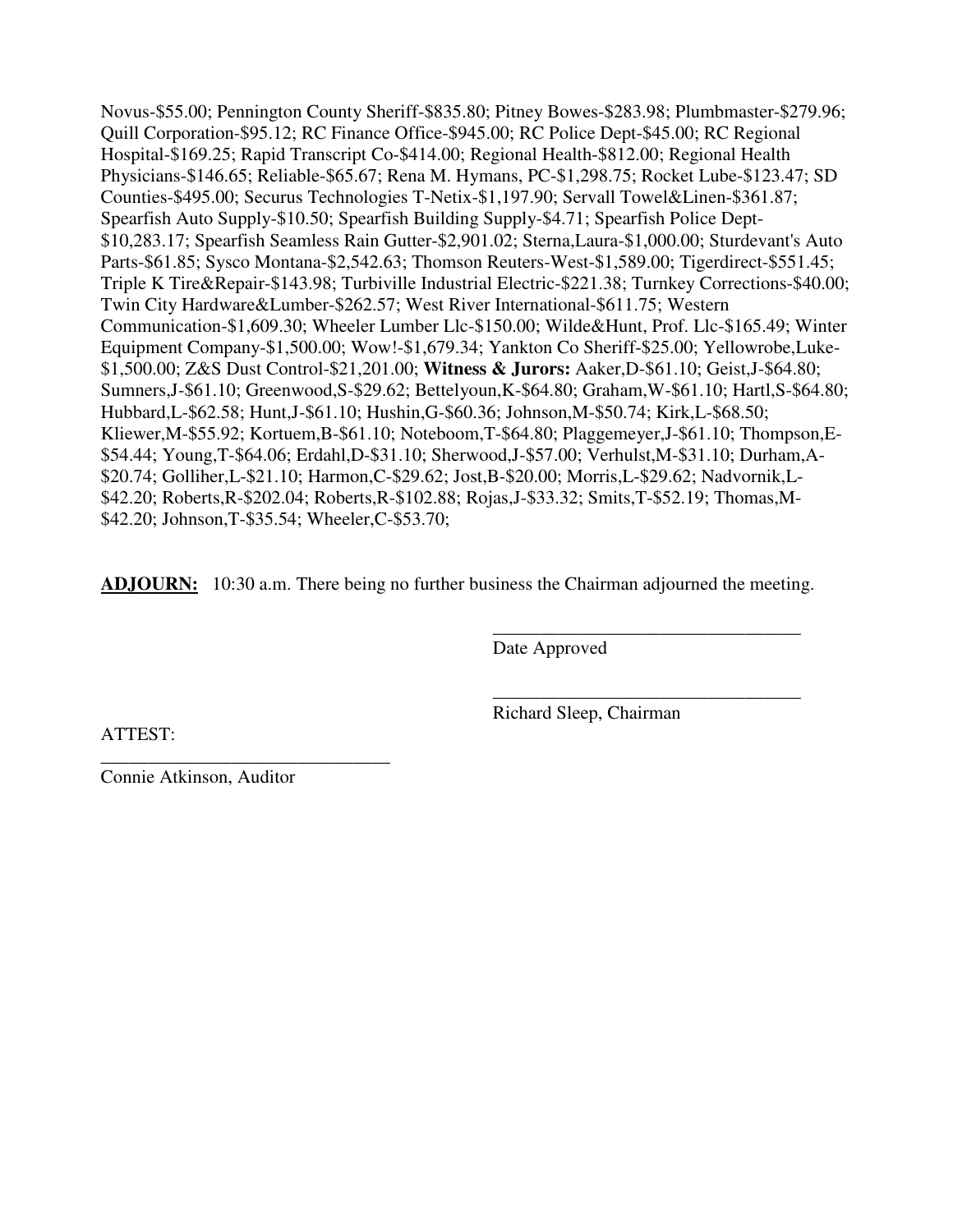Novus-\$55.00; Pennington County Sheriff-\$835.80; Pitney Bowes-\$283.98; Plumbmaster-\$279.96; Quill Corporation-\$95.12; RC Finance Office-\$945.00; RC Police Dept-\$45.00; RC Regional Hospital-\$169.25; Rapid Transcript Co-\$414.00; Regional Health-\$812.00; Regional Health Physicians-\$146.65; Reliable-\$65.67; Rena M. Hymans, PC-\$1,298.75; Rocket Lube-\$123.47; SD Counties-\$495.00; Securus Technologies T-Netix-\$1,197.90; Servall Towel&Linen-\$361.87; Spearfish Auto Supply-\$10.50; Spearfish Building Supply-\$4.71; Spearfish Police Dept- \$10,283.17; Spearfish Seamless Rain Gutter-\$2,901.02; Sterna,Laura-\$1,000.00; Sturdevant's Auto Parts-\$61.85; Sysco Montana-\$2,542.63; Thomson Reuters-West-\$1,589.00; Tigerdirect-\$551.45; Triple K Tire&Repair-\$143.98; Turbiville Industrial Electric-\$221.38; Turnkey Corrections-\$40.00; Twin City Hardware&Lumber-\$262.57; West River International-\$611.75; Western Communication-\$1,609.30; Wheeler Lumber Llc-\$150.00; Wilde&Hunt, Prof. Llc-\$165.49; Winter Equipment Company-\$1,500.00; Wow!-\$1,679.34; Yankton Co Sheriff-\$25.00; Yellowrobe,Luke- \$1,500.00; Z&S Dust Control-\$21,201.00; **Witness & Jurors:** Aaker,D-\$61.10; Geist,J-\$64.80; Sumners,J-\$61.10; Greenwood,S-\$29.62; Bettelyoun,K-\$64.80; Graham,W-\$61.10; Hartl,S-\$64.80; Hubbard,L-\$62.58; Hunt,J-\$61.10; Hushin,G-\$60.36; Johnson,M-\$50.74; Kirk,L-\$68.50; Kliewer,M-\$55.92; Kortuem,B-\$61.10; Noteboom,T-\$64.80; Plaggemeyer,J-\$61.10; Thompson,E- \$54.44; Young,T-\$64.06; Erdahl,D-\$31.10; Sherwood,J-\$57.00; Verhulst,M-\$31.10; Durham,A- \$20.74; Golliher,L-\$21.10; Harmon,C-\$29.62; Jost,B-\$20.00; Morris,L-\$29.62; Nadvornik,L- \$42.20; Roberts,R-\$202.04; Roberts,R-\$102.88; Rojas,J-\$33.32; Smits,T-\$52.19; Thomas,M- \$42.20; Johnson,T-\$35.54; Wheeler,C-\$53.70;

**ADJOURN:** 10:30 a.m. There being no further business the Chairman adjourned the meeting.

 $\overline{\phantom{a}}$  , and the contract of the contract of the contract of the contract of the contract of the contract of the contract of the contract of the contract of the contract of the contract of the contract of the contrac

 $\overline{\phantom{a}}$  , and the contract of the contract of the contract of the contract of the contract of the contract of the contract of the contract of the contract of the contract of the contract of the contract of the contrac

Date Approved

ATTEST:

Richard Sleep, Chairman

Connie Atkinson, Auditor

\_\_\_\_\_\_\_\_\_\_\_\_\_\_\_\_\_\_\_\_\_\_\_\_\_\_\_\_\_\_\_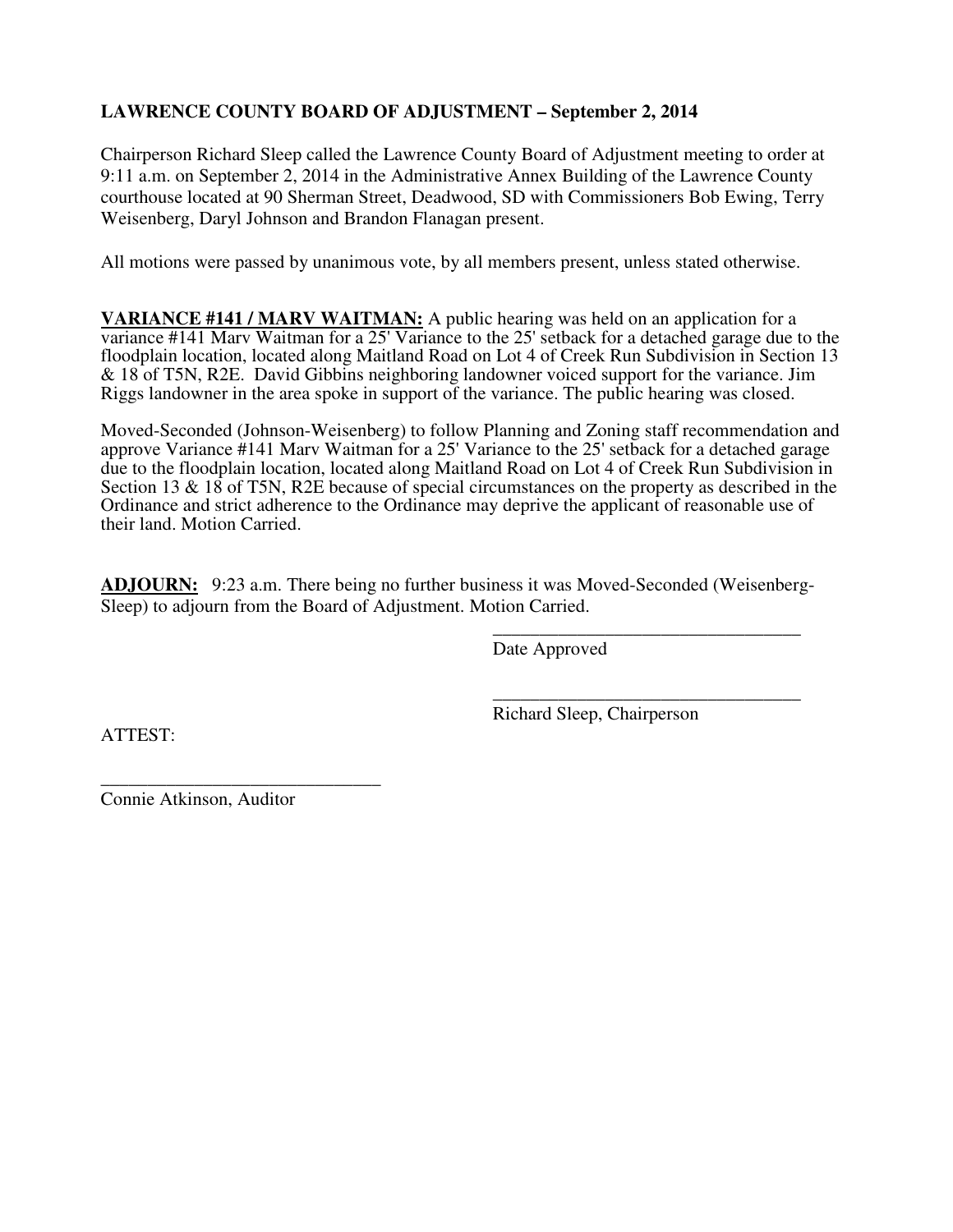# **LAWRENCE COUNTY BOARD OF ADJUSTMENT – September 2, 2014**

Chairperson Richard Sleep called the Lawrence County Board of Adjustment meeting to order at 9:11 a.m. on September 2, 2014 in the Administrative Annex Building of the Lawrence County courthouse located at 90 Sherman Street, Deadwood, SD with Commissioners Bob Ewing, Terry Weisenberg, Daryl Johnson and Brandon Flanagan present.

All motions were passed by unanimous vote, by all members present, unless stated otherwise.

**VARIANCE #141 / MARV WAITMAN:** A public hearing was held on an application for a variance #141 Mary Waitman for a 25' Variance to the 25' setback for a detached garage due to the floodplain location, located along Maitland Road on Lot 4 of Creek Run Subdivision in Section 13 & 18 of T5N, R2E. David Gibbins neighboring landowner voiced support for the variance. Jim Riggs landowner in the area spoke in support of the variance. The public hearing was closed.

Moved-Seconded (Johnson-Weisenberg) to follow Planning and Zoning staff recommendation and approve Variance #141 Marv Waitman for a 25' Variance to the 25' setback for a detached garage due to the floodplain location, located along Maitland Road on Lot 4 of Creek Run Subdivision in Section 13 & 18 of T5N, R2E because of special circumstances on the property as described in the Ordinance and strict adherence to the Ordinance may deprive the applicant of reasonable use of their land. Motion Carried.

**ADJOURN:** 9:23 a.m. There being no further business it was Moved-Seconded (Weisenberg-Sleep) to adjourn from the Board of Adjustment. Motion Carried.

 $\overline{\phantom{a}}$  , and the contract of the contract of the contract of the contract of the contract of the contract of the contract of the contract of the contract of the contract of the contract of the contract of the contrac

 $\overline{\phantom{a}}$  , and the contract of the contract of the contract of the contract of the contract of the contract of the contract of the contract of the contract of the contract of the contract of the contract of the contrac

Date Approved

Richard Sleep, Chairperson

ATTEST:

\_\_\_\_\_\_\_\_\_\_\_\_\_\_\_\_\_\_\_\_\_\_\_\_\_\_\_\_\_\_ Connie Atkinson, Auditor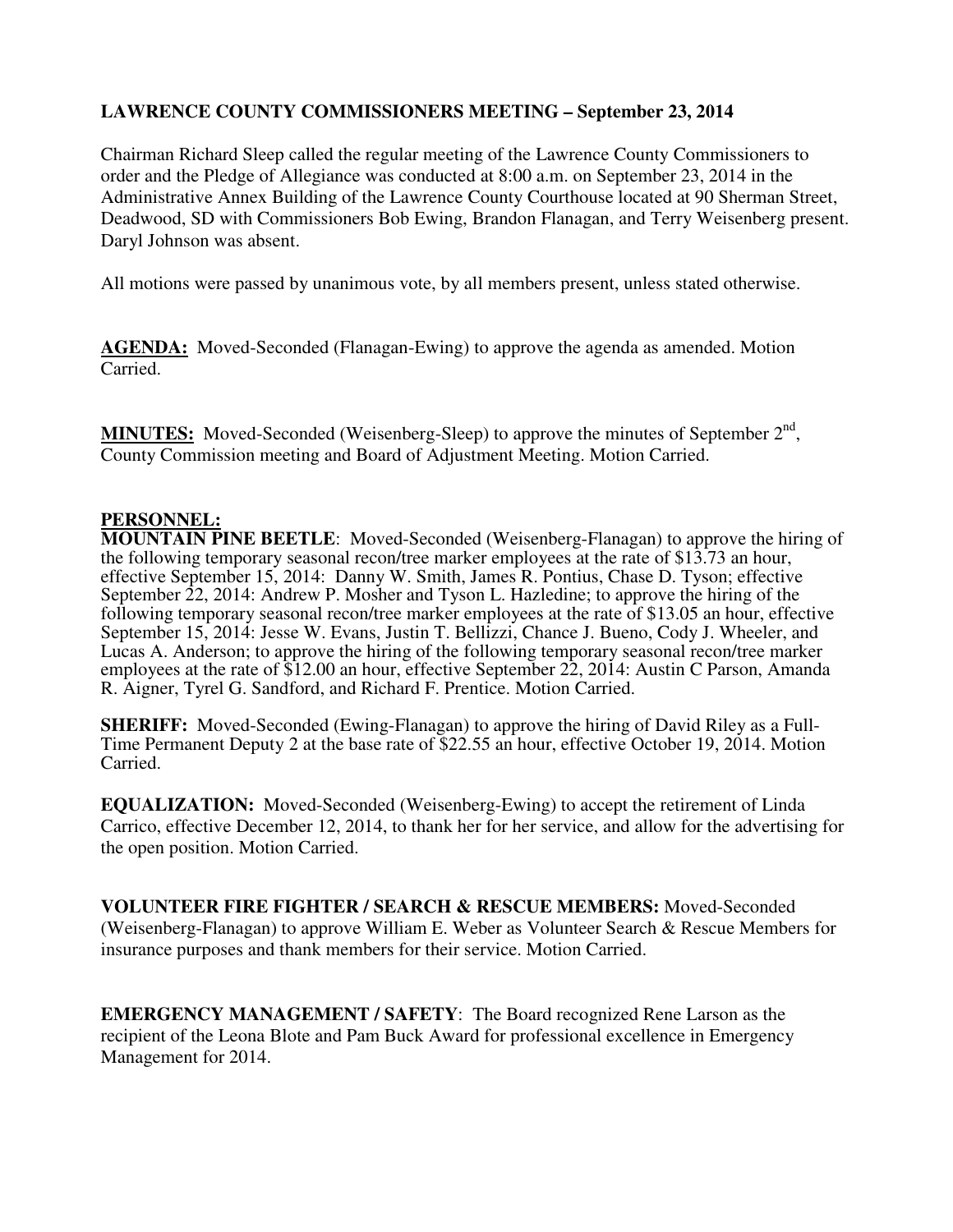### **LAWRENCE COUNTY COMMISSIONERS MEETING – September 23, 2014**

Chairman Richard Sleep called the regular meeting of the Lawrence County Commissioners to order and the Pledge of Allegiance was conducted at 8:00 a.m. on September 23, 2014 in the Administrative Annex Building of the Lawrence County Courthouse located at 90 Sherman Street, Deadwood, SD with Commissioners Bob Ewing, Brandon Flanagan, and Terry Weisenberg present. Daryl Johnson was absent.

All motions were passed by unanimous vote, by all members present, unless stated otherwise.

**AGENDA:** Moved-Seconded (Flanagan-Ewing) to approve the agenda as amended. Motion Carried.

**MINUTES:** Moved-Seconded (Weisenberg-Sleep) to approve the minutes of September 2<sup>nd</sup>, County Commission meeting and Board of Adjustment Meeting. Motion Carried.

#### **PERSONNEL:**

**MOUNTAIN PINE BEETLE**: Moved-Seconded (Weisenberg-Flanagan) to approve the hiring of the following temporary seasonal recon/tree marker employees at the rate of \$13.73 an hour, effective September 15, 2014: Danny W. Smith, James R. Pontius, Chase D. Tyson; effective September 22, 2014: Andrew P. Mosher and Tyson L. Hazledine; to approve the hiring of the following temporary seasonal recon/tree marker employees at the rate of \$13.05 an hour, effective September 15, 2014: Jesse W. Evans, Justin T. Bellizzi, Chance J. Bueno, Cody J. Wheeler, and Lucas A. Anderson; to approve the hiring of the following temporary seasonal recon/tree marker employees at the rate of \$12.00 an hour, effective September 22, 2014: Austin C Parson, Amanda R. Aigner, Tyrel G. Sandford, and Richard F. Prentice. Motion Carried.

**SHERIFF:** Moved-Seconded (Ewing-Flanagan) to approve the hiring of David Riley as a Full-Time Permanent Deputy 2 at the base rate of \$22.55 an hour, effective October 19, 2014. Motion Carried.

**EQUALIZATION:** Moved-Seconded (Weisenberg-Ewing) to accept the retirement of Linda Carrico, effective December 12, 2014, to thank her for her service, and allow for the advertising for the open position. Motion Carried.

**VOLUNTEER FIRE FIGHTER / SEARCH & RESCUE MEMBERS:** Moved-Seconded (Weisenberg-Flanagan) to approve William E. Weber as Volunteer Search & Rescue Members for insurance purposes and thank members for their service. Motion Carried.

**EMERGENCY MANAGEMENT / SAFETY**: The Board recognized Rene Larson as the recipient of the Leona Blote and Pam Buck Award for professional excellence in Emergency Management for 2014.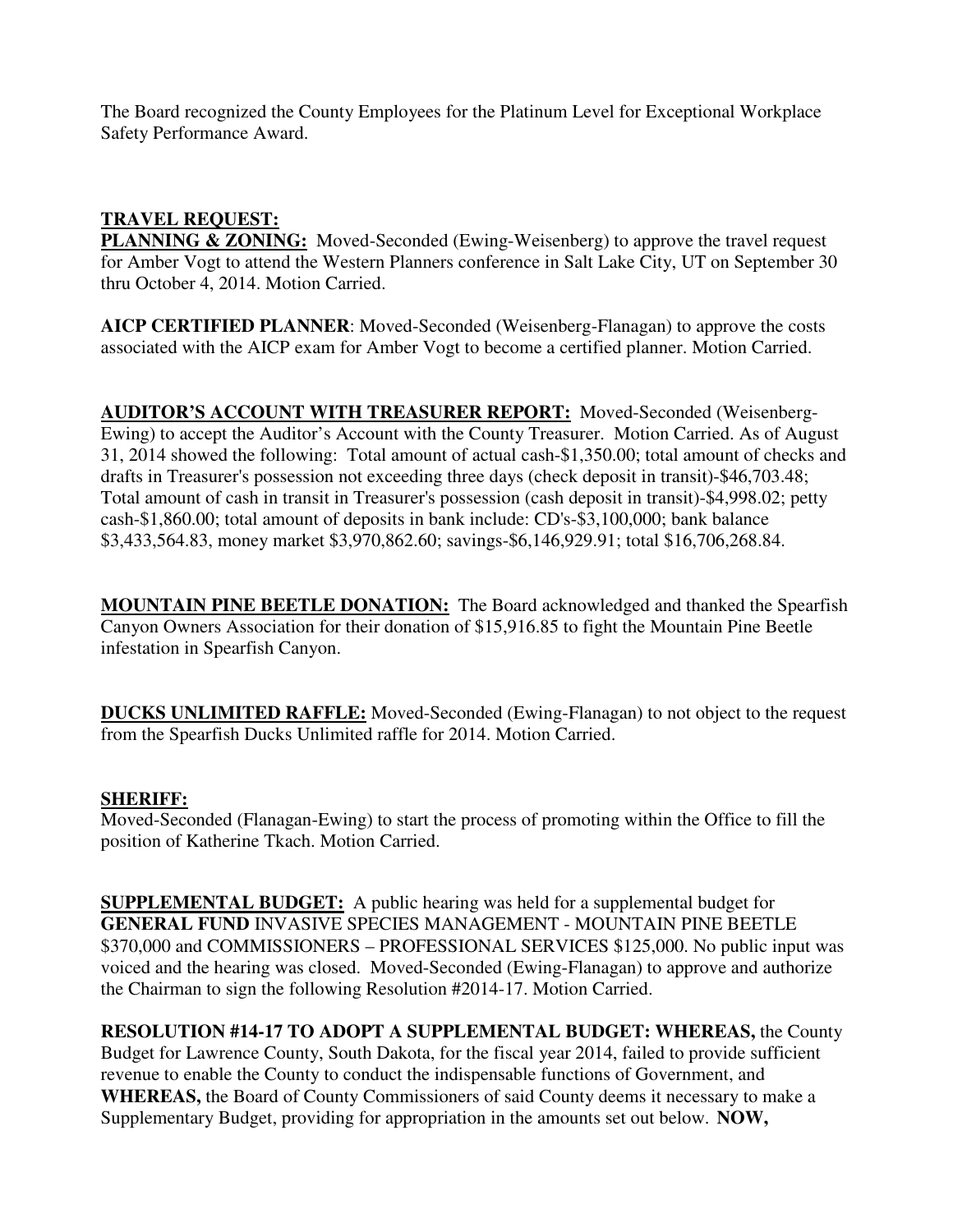The Board recognized the County Employees for the Platinum Level for Exceptional Workplace Safety Performance Award.

## **TRAVEL REQUEST:**

**PLANNING & ZONING:** Moved-Seconded (Ewing-Weisenberg) to approve the travel request for Amber Vogt to attend the Western Planners conference in Salt Lake City, UT on September 30 thru October 4, 2014. Motion Carried.

**AICP CERTIFIED PLANNER**: Moved-Seconded (Weisenberg-Flanagan) to approve the costs associated with the AICP exam for Amber Vogt to become a certified planner. Motion Carried.

**AUDITOR'S ACCOUNT WITH TREASURER REPORT:** Moved-Seconded (Weisenberg-Ewing) to accept the Auditor's Account with the County Treasurer. Motion Carried. As of August 31, 2014 showed the following: Total amount of actual cash-\$1,350.00; total amount of checks and drafts in Treasurer's possession not exceeding three days (check deposit in transit)-\$46,703.48; Total amount of cash in transit in Treasurer's possession (cash deposit in transit)-\$4,998.02; petty cash-\$1,860.00; total amount of deposits in bank include: CD's-\$3,100,000; bank balance \$3,433,564.83, money market \$3,970,862.60; savings-\$6,146,929.91; total \$16,706,268.84.

**MOUNTAIN PINE BEETLE DONATION:** The Board acknowledged and thanked the Spearfish Canyon Owners Association for their donation of \$15,916.85 to fight the Mountain Pine Beetle infestation in Spearfish Canyon.

**DUCKS UNLIMITED RAFFLE:** Moved-Seconded (Ewing-Flanagan) to not object to the request from the Spearfish Ducks Unlimited raffle for 2014. Motion Carried.

### **SHERIFF:**

Moved-Seconded (Flanagan-Ewing) to start the process of promoting within the Office to fill the position of Katherine Tkach. Motion Carried.

**SUPPLEMENTAL BUDGET:** A public hearing was held for a supplemental budget for **GENERAL FUND** INVASIVE SPECIES MANAGEMENT - MOUNTAIN PINE BEETLE \$370,000 and COMMISSIONERS – PROFESSIONAL SERVICES \$125,000. No public input was voiced and the hearing was closed. Moved-Seconded (Ewing-Flanagan) to approve and authorize the Chairman to sign the following Resolution #2014-17. Motion Carried.

**RESOLUTION #14-17 TO ADOPT A SUPPLEMENTAL BUDGET: WHEREAS,** the County Budget for Lawrence County, South Dakota, for the fiscal year 2014, failed to provide sufficient revenue to enable the County to conduct the indispensable functions of Government, and **WHEREAS,** the Board of County Commissioners of said County deems it necessary to make a Supplementary Budget, providing for appropriation in the amounts set out below. **NOW,**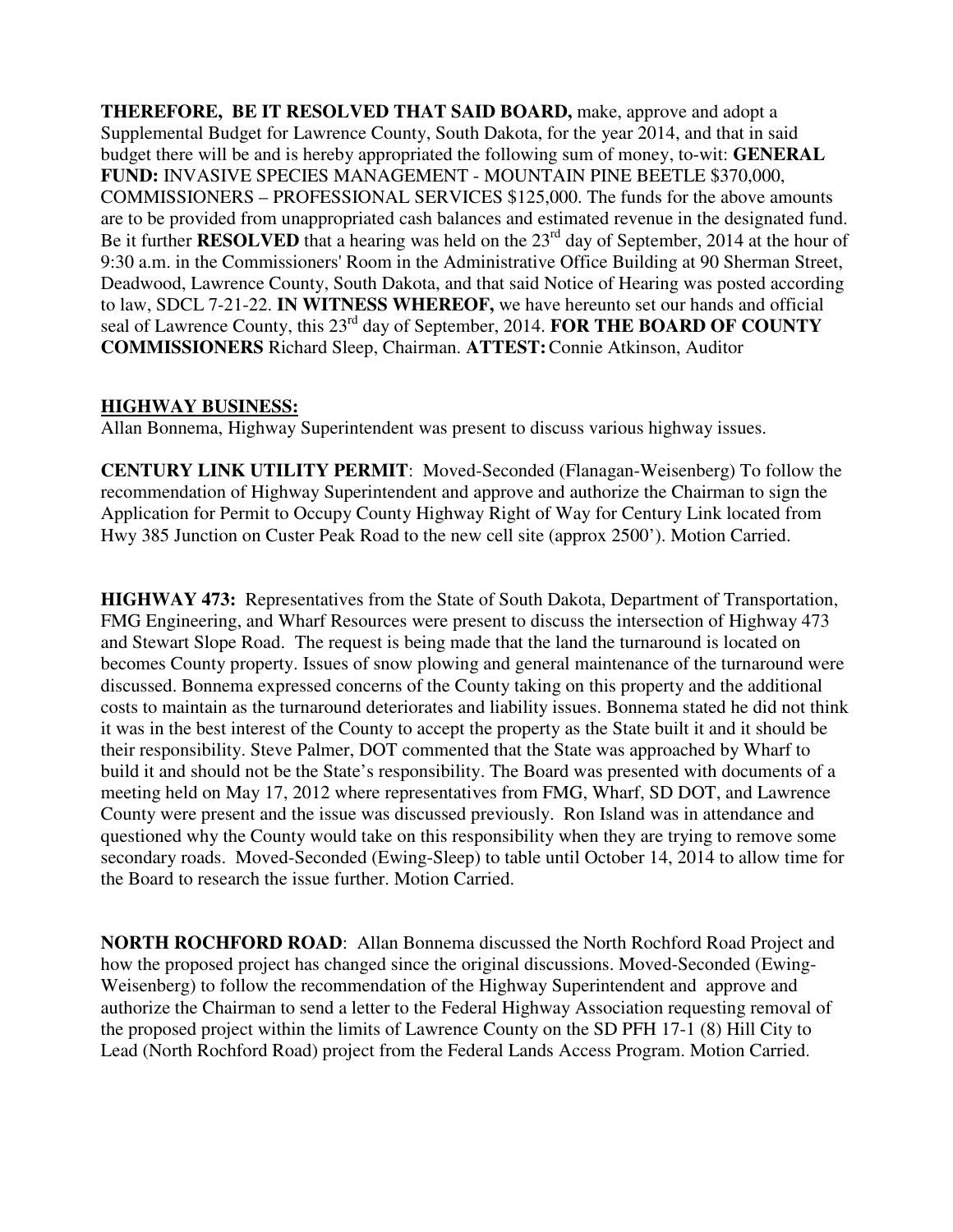**THEREFORE, BE IT RESOLVED THAT SAID BOARD,** make, approve and adopt a Supplemental Budget for Lawrence County, South Dakota, for the year 2014, and that in said budget there will be and is hereby appropriated the following sum of money, to-wit: **GENERAL FUND:** INVASIVE SPECIES MANAGEMENT - MOUNTAIN PINE BEETLE \$370,000, COMMISSIONERS – PROFESSIONAL SERVICES \$125,000. The funds for the above amounts are to be provided from unappropriated cash balances and estimated revenue in the designated fund. Be it further **RESOLVED** that a hearing was held on the 23<sup>rd</sup> day of September, 2014 at the hour of 9:30 a.m. in the Commissioners' Room in the Administrative Office Building at 90 Sherman Street, Deadwood, Lawrence County, South Dakota, and that said Notice of Hearing was posted according to law, SDCL 7-21-22. **IN WITNESS WHEREOF,** we have hereunto set our hands and official seal of Lawrence County, this 23<sup>rd</sup> day of September, 2014. **FOR THE BOARD OF COUNTY COMMISSIONERS** Richard Sleep, Chairman. **ATTEST:** Connie Atkinson, Auditor

#### **HIGHWAY BUSINESS:**

Allan Bonnema, Highway Superintendent was present to discuss various highway issues.

**CENTURY LINK UTILITY PERMIT**: Moved-Seconded (Flanagan-Weisenberg) To follow the recommendation of Highway Superintendent and approve and authorize the Chairman to sign the Application for Permit to Occupy County Highway Right of Way for Century Link located from Hwy 385 Junction on Custer Peak Road to the new cell site (approx 2500'). Motion Carried.

**HIGHWAY 473:** Representatives from the State of South Dakota, Department of Transportation, FMG Engineering, and Wharf Resources were present to discuss the intersection of Highway 473 and Stewart Slope Road. The request is being made that the land the turnaround is located on becomes County property. Issues of snow plowing and general maintenance of the turnaround were discussed. Bonnema expressed concerns of the County taking on this property and the additional costs to maintain as the turnaround deteriorates and liability issues. Bonnema stated he did not think it was in the best interest of the County to accept the property as the State built it and it should be their responsibility. Steve Palmer, DOT commented that the State was approached by Wharf to build it and should not be the State's responsibility. The Board was presented with documents of a meeting held on May 17, 2012 where representatives from FMG, Wharf, SD DOT, and Lawrence County were present and the issue was discussed previously. Ron Island was in attendance and questioned why the County would take on this responsibility when they are trying to remove some secondary roads. Moved-Seconded (Ewing-Sleep) to table until October 14, 2014 to allow time for the Board to research the issue further. Motion Carried.

**NORTH ROCHFORD ROAD**: Allan Bonnema discussed the North Rochford Road Project and how the proposed project has changed since the original discussions. Moved-Seconded (Ewing-Weisenberg) to follow the recommendation of the Highway Superintendent and approve and authorize the Chairman to send a letter to the Federal Highway Association requesting removal of the proposed project within the limits of Lawrence County on the SD PFH 17-1 (8) Hill City to Lead (North Rochford Road) project from the Federal Lands Access Program. Motion Carried.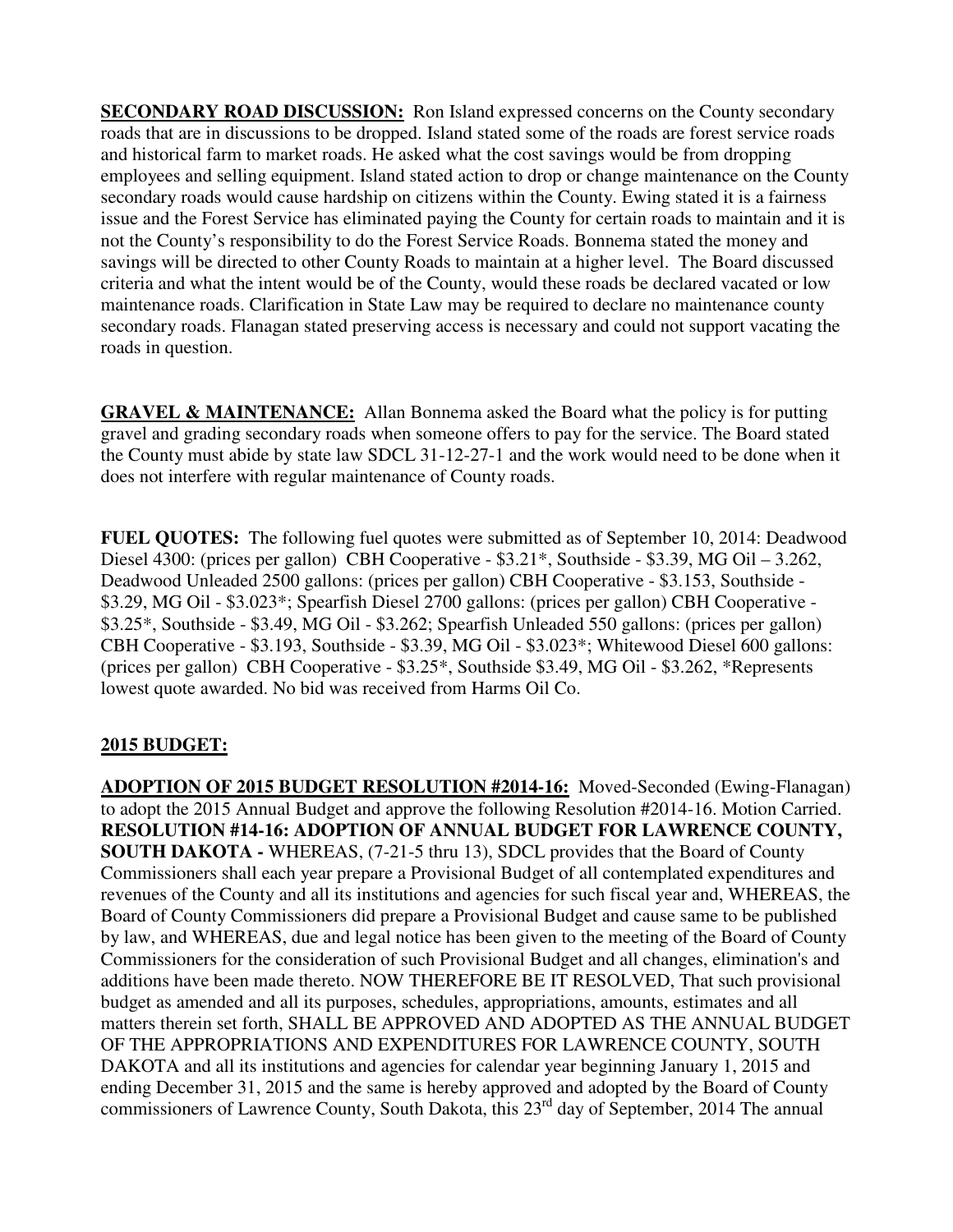**SECONDARY ROAD DISCUSSION:** Ron Island expressed concerns on the County secondary roads that are in discussions to be dropped. Island stated some of the roads are forest service roads and historical farm to market roads. He asked what the cost savings would be from dropping employees and selling equipment. Island stated action to drop or change maintenance on the County secondary roads would cause hardship on citizens within the County. Ewing stated it is a fairness issue and the Forest Service has eliminated paying the County for certain roads to maintain and it is not the County's responsibility to do the Forest Service Roads. Bonnema stated the money and savings will be directed to other County Roads to maintain at a higher level. The Board discussed criteria and what the intent would be of the County, would these roads be declared vacated or low maintenance roads. Clarification in State Law may be required to declare no maintenance county secondary roads. Flanagan stated preserving access is necessary and could not support vacating the roads in question.

**GRAVEL & MAINTENANCE:** Allan Bonnema asked the Board what the policy is for putting gravel and grading secondary roads when someone offers to pay for the service. The Board stated the County must abide by state law SDCL 31-12-27-1 and the work would need to be done when it does not interfere with regular maintenance of County roads.

**FUEL QUOTES:** The following fuel quotes were submitted as of September 10, 2014: Deadwood Diesel 4300: (prices per gallon) CBH Cooperative - \$3.21\*, Southside - \$3.39, MG Oil – 3.262, Deadwood Unleaded 2500 gallons: (prices per gallon) CBH Cooperative - \$3.153, Southside - \$3.29, MG Oil - \$3.023\*; Spearfish Diesel 2700 gallons: (prices per gallon) CBH Cooperative - \$3.25\*, Southside - \$3.49, MG Oil - \$3.262; Spearfish Unleaded 550 gallons: (prices per gallon) CBH Cooperative - \$3.193, Southside - \$3.39, MG Oil - \$3.023\*; Whitewood Diesel 600 gallons: (prices per gallon) CBH Cooperative - \$3.25\*, Southside \$3.49, MG Oil - \$3.262, \*Represents lowest quote awarded. No bid was received from Harms Oil Co.

### **2015 BUDGET:**

**ADOPTION OF 2015 BUDGET RESOLUTION #2014-16:** Moved-Seconded (Ewing-Flanagan) to adopt the 2015 Annual Budget and approve the following Resolution #2014-16. Motion Carried. **RESOLUTION #14-16: ADOPTION OF ANNUAL BUDGET FOR LAWRENCE COUNTY, SOUTH DAKOTA -** WHEREAS, (7-21-5 thru 13), SDCL provides that the Board of County Commissioners shall each year prepare a Provisional Budget of all contemplated expenditures and revenues of the County and all its institutions and agencies for such fiscal year and, WHEREAS, the Board of County Commissioners did prepare a Provisional Budget and cause same to be published by law, and WHEREAS, due and legal notice has been given to the meeting of the Board of County Commissioners for the consideration of such Provisional Budget and all changes, elimination's and additions have been made thereto. NOW THEREFORE BE IT RESOLVED, That such provisional budget as amended and all its purposes, schedules, appropriations, amounts, estimates and all matters therein set forth, SHALL BE APPROVED AND ADOPTED AS THE ANNUAL BUDGET OF THE APPROPRIATIONS AND EXPENDITURES FOR LAWRENCE COUNTY, SOUTH DAKOTA and all its institutions and agencies for calendar year beginning January 1, 2015 and ending December 31, 2015 and the same is hereby approved and adopted by the Board of County commissioners of Lawrence County, South Dakota, this 23<sup>rd</sup> day of September, 2014 The annual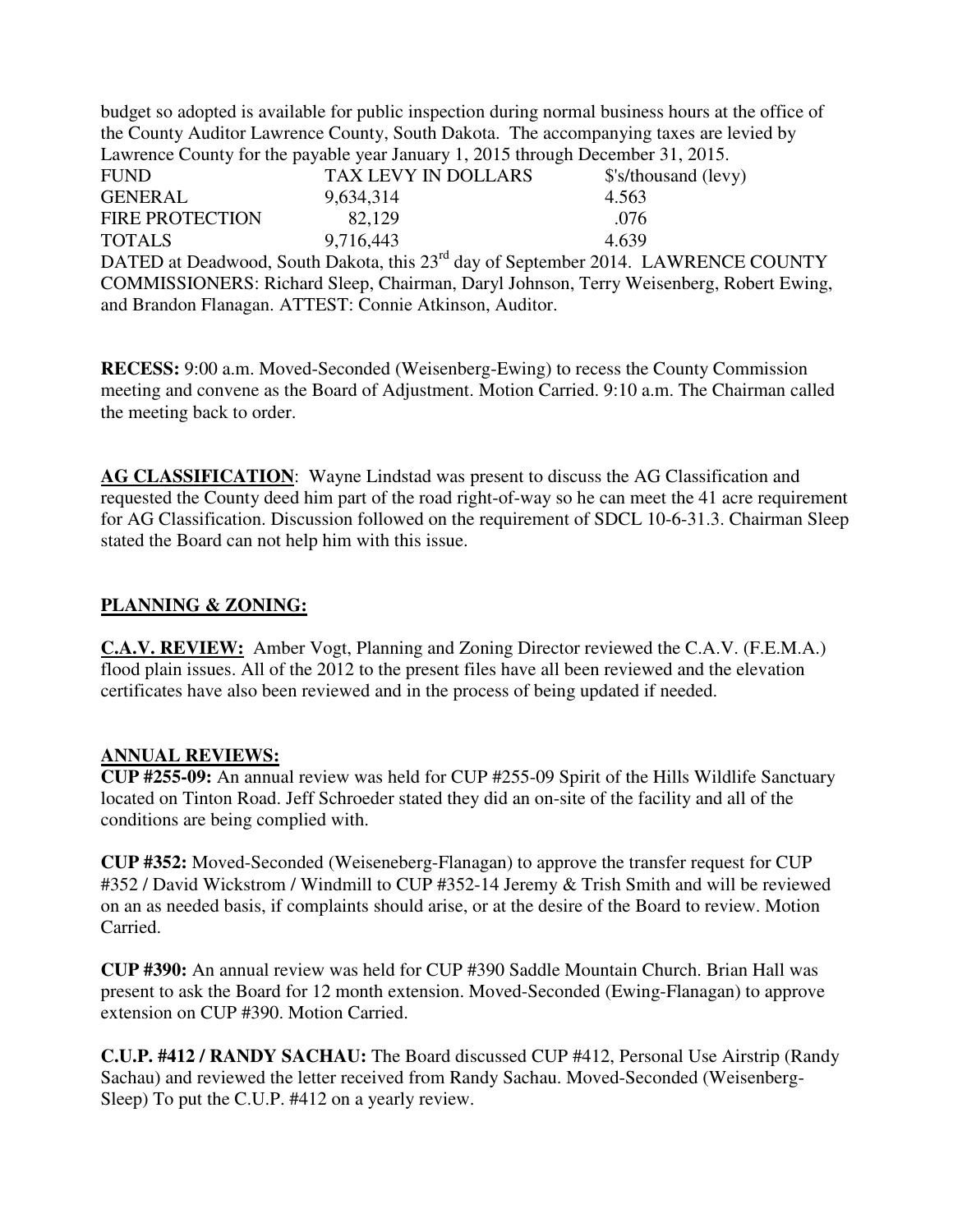budget so adopted is available for public inspection during normal business hours at the office of the County Auditor Lawrence County, South Dakota. The accompanying taxes are levied by Lawrence County for the payable year January 1, 2015 through December 31, 2015. FUND TAX LEVY IN DOLLARS \$'s/thousand (levy) GENERAL 9,634,314 4.563 FIRE PROTECTION 82.129 .076 TOTALS 9,716,443 4.639 DATED at Deadwood, South Dakota, this 23<sup>rd</sup> day of September 2014. LAWRENCE COUNTY COMMISSIONERS: Richard Sleep, Chairman, Daryl Johnson, Terry Weisenberg, Robert Ewing, and Brandon Flanagan. ATTEST: Connie Atkinson, Auditor.

**RECESS:** 9:00 a.m. Moved-Seconded (Weisenberg-Ewing) to recess the County Commission meeting and convene as the Board of Adjustment. Motion Carried. 9:10 a.m. The Chairman called the meeting back to order.

**AG CLASSIFICATION**: Wayne Lindstad was present to discuss the AG Classification and requested the County deed him part of the road right-of-way so he can meet the 41 acre requirement for AG Classification. Discussion followed on the requirement of SDCL 10-6-31.3. Chairman Sleep stated the Board can not help him with this issue.

### **PLANNING & ZONING:**

**C.A.V. REVIEW:** Amber Vogt, Planning and Zoning Director reviewed the C.A.V. (F.E.M.A.) flood plain issues. All of the 2012 to the present files have all been reviewed and the elevation certificates have also been reviewed and in the process of being updated if needed.

#### **ANNUAL REVIEWS:**

**CUP #255-09:** An annual review was held for CUP #255-09 Spirit of the Hills Wildlife Sanctuary located on Tinton Road. Jeff Schroeder stated they did an on-site of the facility and all of the conditions are being complied with.

**CUP #352:** Moved-Seconded (Weiseneberg-Flanagan) to approve the transfer request for CUP #352 / David Wickstrom / Windmill to CUP #352-14 Jeremy & Trish Smith and will be reviewed on an as needed basis, if complaints should arise, or at the desire of the Board to review. Motion Carried.

**CUP #390:** An annual review was held for CUP #390 Saddle Mountain Church. Brian Hall was present to ask the Board for 12 month extension. Moved-Seconded (Ewing-Flanagan) to approve extension on CUP #390. Motion Carried.

**C.U.P. #412 / RANDY SACHAU:** The Board discussed CUP #412, Personal Use Airstrip (Randy Sachau) and reviewed the letter received from Randy Sachau. Moved-Seconded (Weisenberg-Sleep) To put the C.U.P. #412 on a yearly review.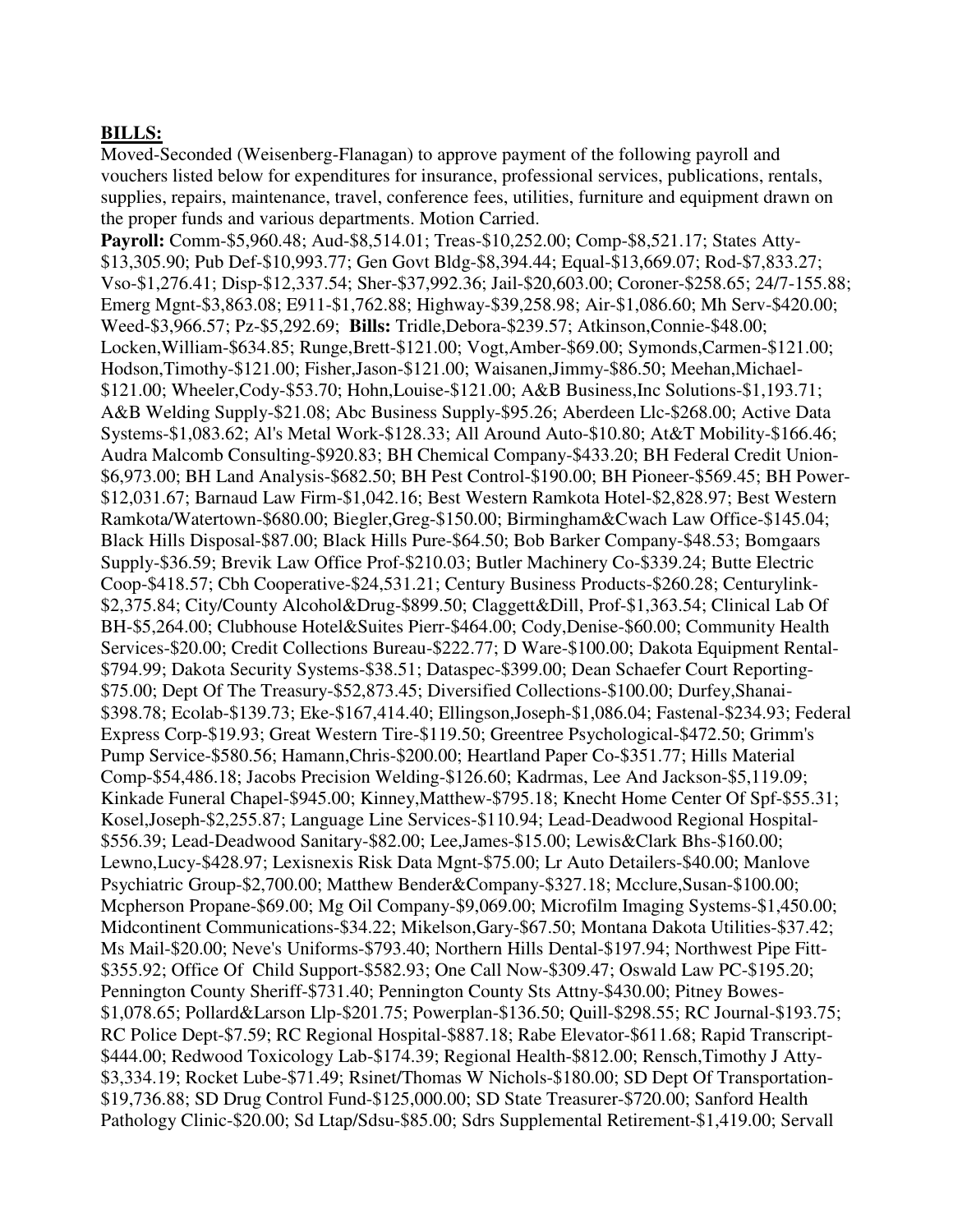## **BILLS:**

Moved-Seconded (Weisenberg-Flanagan) to approve payment of the following payroll and vouchers listed below for expenditures for insurance, professional services, publications, rentals, supplies, repairs, maintenance, travel, conference fees, utilities, furniture and equipment drawn on the proper funds and various departments. Motion Carried.

**Payroll:** Comm-\$5,960.48; Aud-\$8,514.01; Treas-\$10,252.00; Comp-\$8,521.17; States Atty- \$13,305.90; Pub Def-\$10,993.77; Gen Govt Bldg-\$8,394.44; Equal-\$13,669.07; Rod-\$7,833.27; Vso-\$1,276.41; Disp-\$12,337.54; Sher-\$37,992.36; Jail-\$20,603.00; Coroner-\$258.65; 24/7-155.88; Emerg Mgnt-\$3,863.08; E911-\$1,762.88; Highway-\$39,258.98; Air-\$1,086.60; Mh Serv-\$420.00; Weed-\$3,966.57; Pz-\$5,292.69; **Bills:** Tridle,Debora-\$239.57; Atkinson,Connie-\$48.00; Locken,William-\$634.85; Runge,Brett-\$121.00; Vogt,Amber-\$69.00; Symonds,Carmen-\$121.00; Hodson,Timothy-\$121.00; Fisher,Jason-\$121.00; Waisanen,Jimmy-\$86.50; Meehan,Michael- \$121.00; Wheeler,Cody-\$53.70; Hohn,Louise-\$121.00; A&B Business,Inc Solutions-\$1,193.71; A&B Welding Supply-\$21.08; Abc Business Supply-\$95.26; Aberdeen Llc-\$268.00; Active Data Systems-\$1,083.62; Al's Metal Work-\$128.33; All Around Auto-\$10.80; At&T Mobility-\$166.46; Audra Malcomb Consulting-\$920.83; BH Chemical Company-\$433.20; BH Federal Credit Union- \$6,973.00; BH Land Analysis-\$682.50; BH Pest Control-\$190.00; BH Pioneer-\$569.45; BH Power- \$12,031.67; Barnaud Law Firm-\$1,042.16; Best Western Ramkota Hotel-\$2,828.97; Best Western Ramkota/Watertown-\$680.00; Biegler,Greg-\$150.00; Birmingham&Cwach Law Office-\$145.04; Black Hills Disposal-\$87.00; Black Hills Pure-\$64.50; Bob Barker Company-\$48.53; Bomgaars Supply-\$36.59; Brevik Law Office Prof-\$210.03; Butler Machinery Co-\$339.24; Butte Electric Coop-\$418.57; Cbh Cooperative-\$24,531.21; Century Business Products-\$260.28; Centurylink- \$2,375.84; City/County Alcohol&Drug-\$899.50; Claggett&Dill, Prof-\$1,363.54; Clinical Lab Of BH-\$5,264.00; Clubhouse Hotel&Suites Pierr-\$464.00; Cody,Denise-\$60.00; Community Health Services-\$20.00; Credit Collections Bureau-\$222.77; D Ware-\$100.00; Dakota Equipment Rental- \$794.99; Dakota Security Systems-\$38.51; Dataspec-\$399.00; Dean Schaefer Court Reporting- \$75.00; Dept Of The Treasury-\$52,873.45; Diversified Collections-\$100.00; Durfey,Shanai- \$398.78; Ecolab-\$139.73; Eke-\$167,414.40; Ellingson,Joseph-\$1,086.04; Fastenal-\$234.93; Federal Express Corp-\$19.93; Great Western Tire-\$119.50; Greentree Psychological-\$472.50; Grimm's Pump Service-\$580.56; Hamann,Chris-\$200.00; Heartland Paper Co-\$351.77; Hills Material Comp-\$54,486.18; Jacobs Precision Welding-\$126.60; Kadrmas, Lee And Jackson-\$5,119.09; Kinkade Funeral Chapel-\$945.00; Kinney,Matthew-\$795.18; Knecht Home Center Of Spf-\$55.31; Kosel,Joseph-\$2,255.87; Language Line Services-\$110.94; Lead-Deadwood Regional Hospital- \$556.39; Lead-Deadwood Sanitary-\$82.00; Lee,James-\$15.00; Lewis&Clark Bhs-\$160.00; Lewno,Lucy-\$428.97; Lexisnexis Risk Data Mgnt-\$75.00; Lr Auto Detailers-\$40.00; Manlove Psychiatric Group-\$2,700.00; Matthew Bender&Company-\$327.18; Mcclure,Susan-\$100.00; Mcpherson Propane-\$69.00; Mg Oil Company-\$9,069.00; Microfilm Imaging Systems-\$1,450.00; Midcontinent Communications-\$34.22; Mikelson,Gary-\$67.50; Montana Dakota Utilities-\$37.42; Ms Mail-\$20.00; Neve's Uniforms-\$793.40; Northern Hills Dental-\$197.94; Northwest Pipe Fitt- \$355.92; Office Of Child Support-\$582.93; One Call Now-\$309.47; Oswald Law PC-\$195.20; Pennington County Sheriff-\$731.40; Pennington County Sts Attny-\$430.00; Pitney Bowes- \$1,078.65; Pollard&Larson Llp-\$201.75; Powerplan-\$136.50; Quill-\$298.55; RC Journal-\$193.75; RC Police Dept-\$7.59; RC Regional Hospital-\$887.18; Rabe Elevator-\$611.68; Rapid Transcript- \$444.00; Redwood Toxicology Lab-\$174.39; Regional Health-\$812.00; Rensch,Timothy J Atty- \$3,334.19; Rocket Lube-\$71.49; Rsinet/Thomas W Nichols-\$180.00; SD Dept Of Transportation- \$19,736.88; SD Drug Control Fund-\$125,000.00; SD State Treasurer-\$720.00; Sanford Health Pathology Clinic-\$20.00; Sd Ltap/Sdsu-\$85.00; Sdrs Supplemental Retirement-\$1,419.00; Servall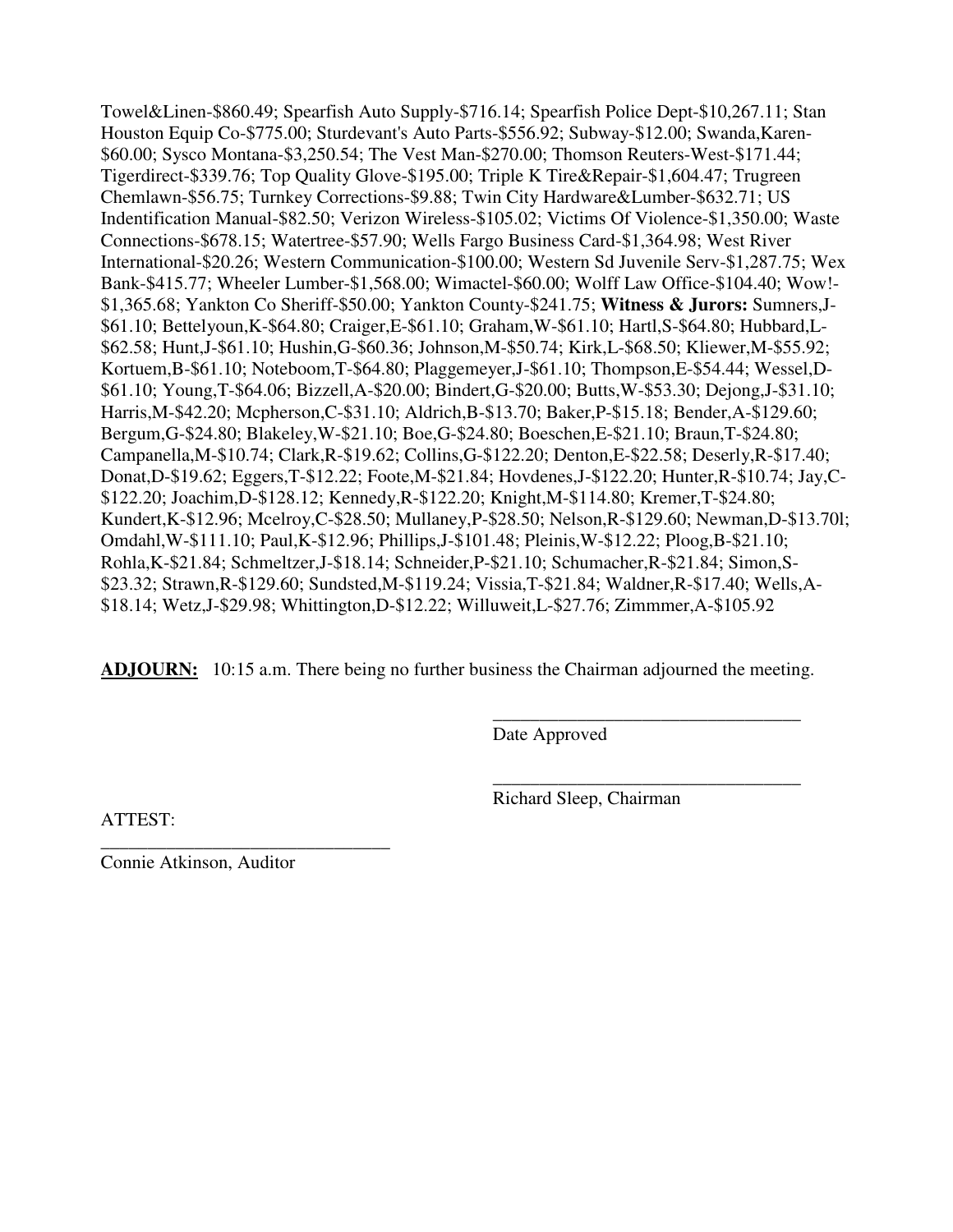Towel&Linen-\$860.49; Spearfish Auto Supply-\$716.14; Spearfish Police Dept-\$10,267.11; Stan Houston Equip Co-\$775.00; Sturdevant's Auto Parts-\$556.92; Subway-\$12.00; Swanda,Karen- \$60.00; Sysco Montana-\$3,250.54; The Vest Man-\$270.00; Thomson Reuters-West-\$171.44; Tigerdirect-\$339.76; Top Quality Glove-\$195.00; Triple K Tire&Repair-\$1,604.47; Trugreen Chemlawn-\$56.75; Turnkey Corrections-\$9.88; Twin City Hardware&Lumber-\$632.71; US Indentification Manual-\$82.50; Verizon Wireless-\$105.02; Victims Of Violence-\$1,350.00; Waste Connections-\$678.15; Watertree-\$57.90; Wells Fargo Business Card-\$1,364.98; West River International-\$20.26; Western Communication-\$100.00; Western Sd Juvenile Serv-\$1,287.75; Wex Bank-\$415.77; Wheeler Lumber-\$1,568.00; Wimactel-\$60.00; Wolff Law Office-\$104.40; Wow!- \$1,365.68; Yankton Co Sheriff-\$50.00; Yankton County-\$241.75; **Witness & Jurors:** Sumners,J- \$61.10; Bettelyoun,K-\$64.80; Craiger,E-\$61.10; Graham,W-\$61.10; Hartl,S-\$64.80; Hubbard,L- \$62.58; Hunt,J-\$61.10; Hushin,G-\$60.36; Johnson,M-\$50.74; Kirk,L-\$68.50; Kliewer,M-\$55.92; Kortuem,B-\$61.10; Noteboom,T-\$64.80; Plaggemeyer,J-\$61.10; Thompson,E-\$54.44; Wessel,D- \$61.10; Young,T-\$64.06; Bizzell,A-\$20.00; Bindert,G-\$20.00; Butts,W-\$53.30; Dejong,J-\$31.10; Harris,M-\$42.20; Mcpherson,C-\$31.10; Aldrich,B-\$13.70; Baker,P-\$15.18; Bender,A-\$129.60; Bergum,G-\$24.80; Blakeley,W-\$21.10; Boe,G-\$24.80; Boeschen,E-\$21.10; Braun,T-\$24.80; Campanella,M-\$10.74; Clark,R-\$19.62; Collins,G-\$122.20; Denton,E-\$22.58; Deserly,R-\$17.40; Donat,D-\$19.62; Eggers,T-\$12.22; Foote,M-\$21.84; Hovdenes,J-\$122.20; Hunter,R-\$10.74; Jay,C- \$122.20; Joachim,D-\$128.12; Kennedy,R-\$122.20; Knight,M-\$114.80; Kremer,T-\$24.80; Kundert,K-\$12.96; Mcelroy,C-\$28.50; Mullaney,P-\$28.50; Nelson,R-\$129.60; Newman,D-\$13.70l; Omdahl,W-\$111.10; Paul,K-\$12.96; Phillips,J-\$101.48; Pleinis,W-\$12.22; Ploog,B-\$21.10; Rohla,K-\$21.84; Schmeltzer,J-\$18.14; Schneider,P-\$21.10; Schumacher,R-\$21.84; Simon,S- \$23.32; Strawn,R-\$129.60; Sundsted,M-\$119.24; Vissia,T-\$21.84; Waldner,R-\$17.40; Wells,A- \$18.14; Wetz,J-\$29.98; Whittington,D-\$12.22; Willuweit,L-\$27.76; Zimmmer,A-\$105.92

**ADJOURN:** 10:15 a.m. There being no further business the Chairman adjourned the meeting.

 $\overline{\phantom{a}}$  , and the contract of the contract of the contract of the contract of the contract of the contract of the contract of the contract of the contract of the contract of the contract of the contract of the contrac

 $\overline{\phantom{a}}$  , and the contract of the contract of the contract of the contract of the contract of the contract of the contract of the contract of the contract of the contract of the contract of the contract of the contrac

Date Approved

ATTEST:

Richard Sleep, Chairman

Connie Atkinson, Auditor

\_\_\_\_\_\_\_\_\_\_\_\_\_\_\_\_\_\_\_\_\_\_\_\_\_\_\_\_\_\_\_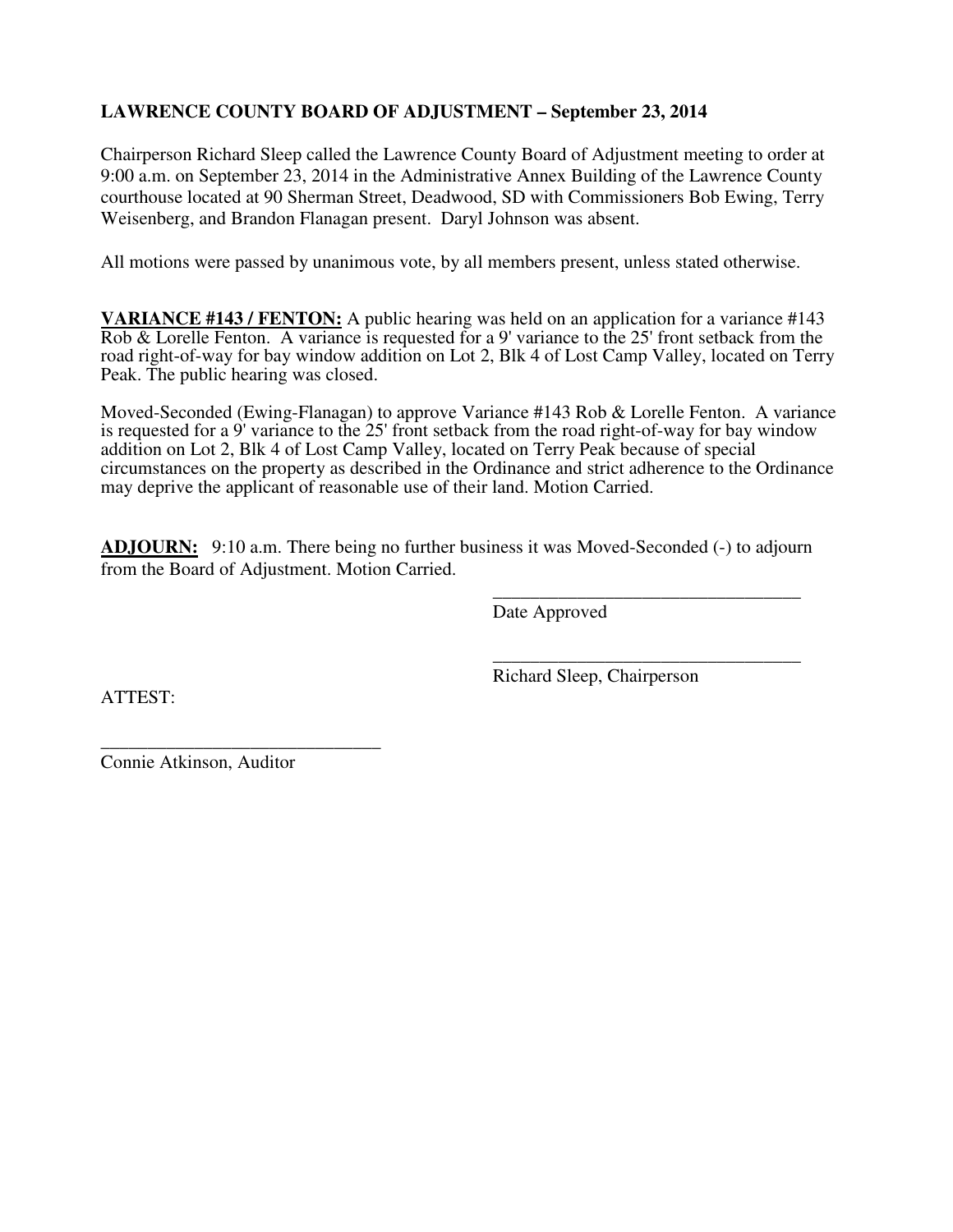# **LAWRENCE COUNTY BOARD OF ADJUSTMENT – September 23, 2014**

Chairperson Richard Sleep called the Lawrence County Board of Adjustment meeting to order at 9:00 a.m. on September 23, 2014 in the Administrative Annex Building of the Lawrence County courthouse located at 90 Sherman Street, Deadwood, SD with Commissioners Bob Ewing, Terry Weisenberg, and Brandon Flanagan present. Daryl Johnson was absent.

All motions were passed by unanimous vote, by all members present, unless stated otherwise.

**VARIANCE #143 / FENTON:** A public hearing was held on an application for a variance #143 Rob & Lorelle Fenton. A variance is requested for a 9' variance to the 25' front setback from the road right-of-way for bay window addition on Lot 2, Blk 4 of Lost Camp Valley, located on Terry Peak. The public hearing was closed.

Moved-Seconded (Ewing-Flanagan) to approve Variance #143 Rob & Lorelle Fenton. A variance is requested for a 9' variance to the  $25'$  front setback from the road right-of-way for bay window addition on Lot 2, Blk 4 of Lost Camp Valley, located on Terry Peak because of special circumstances on the property as described in the Ordinance and strict adherence to the Ordinance may deprive the applicant of reasonable use of their land. Motion Carried.

**ADJOURN:** 9:10 a.m. There being no further business it was Moved-Seconded (-) to adjourn from the Board of Adjustment. Motion Carried.

 $\overline{\phantom{a}}$  , and the contract of the contract of the contract of the contract of the contract of the contract of the contract of the contract of the contract of the contract of the contract of the contract of the contrac

 $\overline{\phantom{a}}$  , and the contract of the contract of the contract of the contract of the contract of the contract of the contract of the contract of the contract of the contract of the contract of the contract of the contrac

Date Approved

Richard Sleep, Chairperson

ATTEST:

\_\_\_\_\_\_\_\_\_\_\_\_\_\_\_\_\_\_\_\_\_\_\_\_\_\_\_\_\_\_ Connie Atkinson, Auditor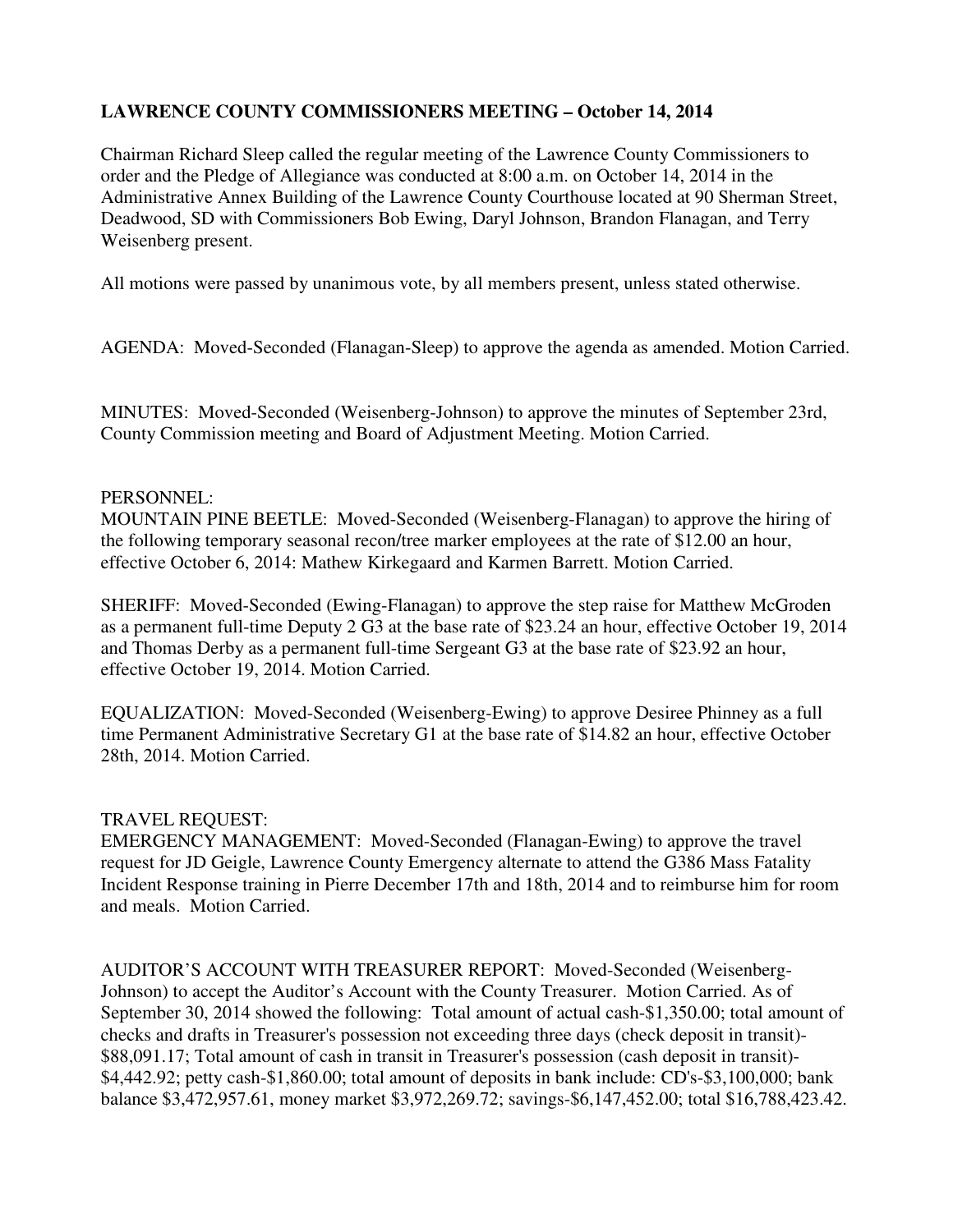# **LAWRENCE COUNTY COMMISSIONERS MEETING – October 14, 2014**

Chairman Richard Sleep called the regular meeting of the Lawrence County Commissioners to order and the Pledge of Allegiance was conducted at 8:00 a.m. on October 14, 2014 in the Administrative Annex Building of the Lawrence County Courthouse located at 90 Sherman Street, Deadwood, SD with Commissioners Bob Ewing, Daryl Johnson, Brandon Flanagan, and Terry Weisenberg present.

All motions were passed by unanimous vote, by all members present, unless stated otherwise.

AGENDA: Moved-Seconded (Flanagan-Sleep) to approve the agenda as amended. Motion Carried.

MINUTES: Moved-Seconded (Weisenberg-Johnson) to approve the minutes of September 23rd, County Commission meeting and Board of Adjustment Meeting. Motion Carried.

#### PERSONNEL:

MOUNTAIN PINE BEETLE: Moved-Seconded (Weisenberg-Flanagan) to approve the hiring of the following temporary seasonal recon/tree marker employees at the rate of \$12.00 an hour, effective October 6, 2014: Mathew Kirkegaard and Karmen Barrett. Motion Carried.

SHERIFF: Moved-Seconded (Ewing-Flanagan) to approve the step raise for Matthew McGroden as a permanent full-time Deputy 2 G3 at the base rate of \$23.24 an hour, effective October 19, 2014 and Thomas Derby as a permanent full-time Sergeant G3 at the base rate of \$23.92 an hour, effective October 19, 2014. Motion Carried.

EQUALIZATION: Moved-Seconded (Weisenberg-Ewing) to approve Desiree Phinney as a full time Permanent Administrative Secretary G1 at the base rate of \$14.82 an hour, effective October 28th, 2014. Motion Carried.

### TRAVEL REQUEST:

EMERGENCY MANAGEMENT: Moved-Seconded (Flanagan-Ewing) to approve the travel request for JD Geigle, Lawrence County Emergency alternate to attend the G386 Mass Fatality Incident Response training in Pierre December 17th and 18th, 2014 and to reimburse him for room and meals. Motion Carried.

AUDITOR'S ACCOUNT WITH TREASURER REPORT: Moved-Seconded (Weisenberg-Johnson) to accept the Auditor's Account with the County Treasurer. Motion Carried. As of September 30, 2014 showed the following: Total amount of actual cash-\$1,350.00; total amount of checks and drafts in Treasurer's possession not exceeding three days (check deposit in transit)- \$88,091.17; Total amount of cash in transit in Treasurer's possession (cash deposit in transit)- \$4,442.92; petty cash-\$1,860.00; total amount of deposits in bank include: CD's-\$3,100,000; bank balance \$3,472,957.61, money market \$3,972,269.72; savings-\$6,147,452.00; total \$16,788,423.42.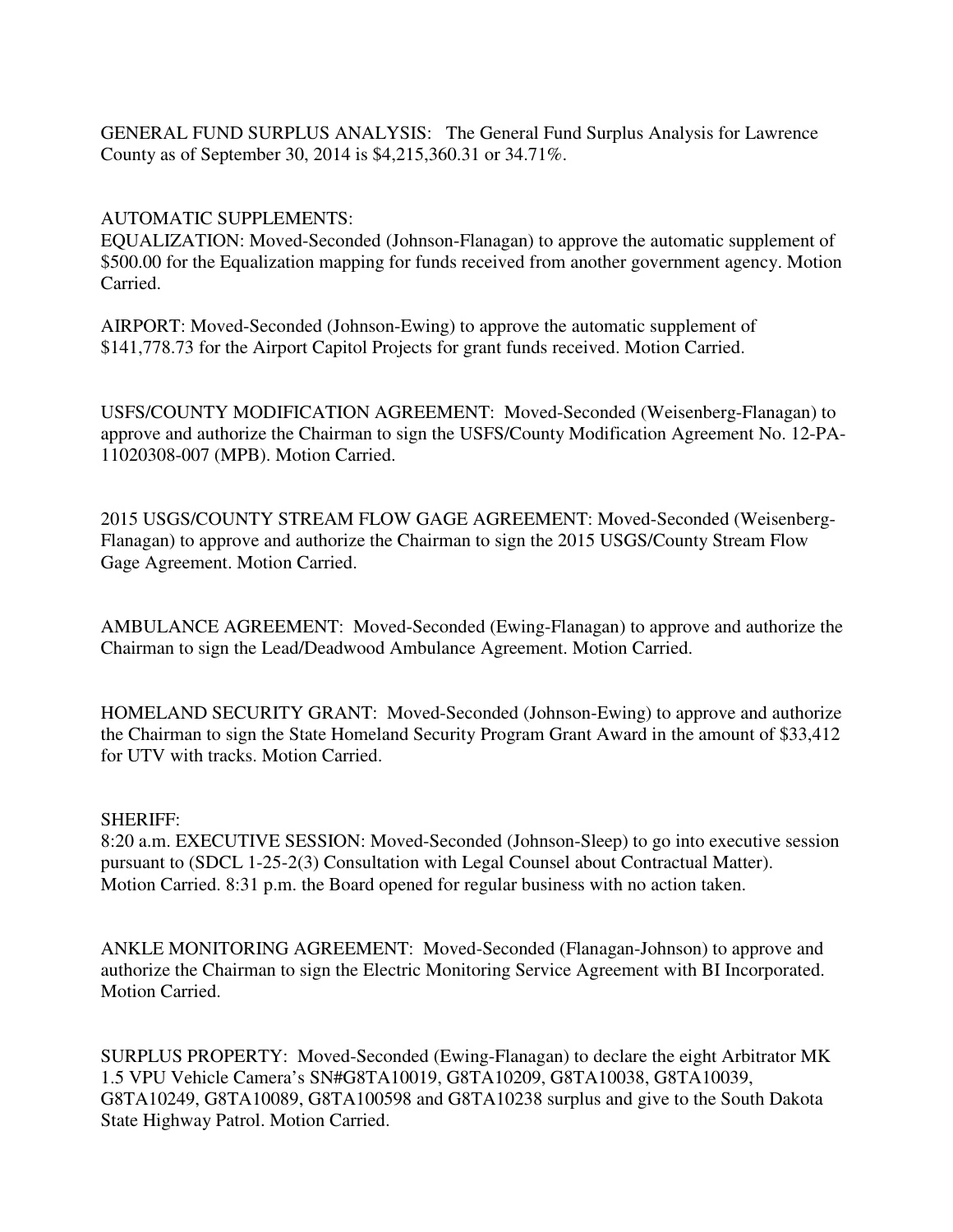GENERAL FUND SURPLUS ANALYSIS: The General Fund Surplus Analysis for Lawrence County as of September 30, 2014 is \$4,215,360.31 or 34.71%.

### AUTOMATIC SUPPLEMENTS:

EQUALIZATION: Moved-Seconded (Johnson-Flanagan) to approve the automatic supplement of \$500.00 for the Equalization mapping for funds received from another government agency. Motion Carried.

AIRPORT: Moved-Seconded (Johnson-Ewing) to approve the automatic supplement of \$141,778.73 for the Airport Capitol Projects for grant funds received. Motion Carried.

USFS/COUNTY MODIFICATION AGREEMENT: Moved-Seconded (Weisenberg-Flanagan) to approve and authorize the Chairman to sign the USFS/County Modification Agreement No. 12-PA-11020308-007 (MPB). Motion Carried.

2015 USGS/COUNTY STREAM FLOW GAGE AGREEMENT: Moved-Seconded (Weisenberg-Flanagan) to approve and authorize the Chairman to sign the 2015 USGS/County Stream Flow Gage Agreement. Motion Carried.

AMBULANCE AGREEMENT: Moved-Seconded (Ewing-Flanagan) to approve and authorize the Chairman to sign the Lead/Deadwood Ambulance Agreement. Motion Carried.

HOMELAND SECURITY GRANT: Moved-Seconded (Johnson-Ewing) to approve and authorize the Chairman to sign the State Homeland Security Program Grant Award in the amount of \$33,412 for UTV with tracks. Motion Carried.

### SHERIFF:

8:20 a.m. EXECUTIVE SESSION: Moved-Seconded (Johnson-Sleep) to go into executive session pursuant to (SDCL 1-25-2(3) Consultation with Legal Counsel about Contractual Matter). Motion Carried. 8:31 p.m. the Board opened for regular business with no action taken.

ANKLE MONITORING AGREEMENT: Moved-Seconded (Flanagan-Johnson) to approve and authorize the Chairman to sign the Electric Monitoring Service Agreement with BI Incorporated. Motion Carried.

SURPLUS PROPERTY: Moved-Seconded (Ewing-Flanagan) to declare the eight Arbitrator MK 1.5 VPU Vehicle Camera's SN#G8TA10019, G8TA10209, G8TA10038, G8TA10039, G8TA10249, G8TA10089, G8TA100598 and G8TA10238 surplus and give to the South Dakota State Highway Patrol. Motion Carried.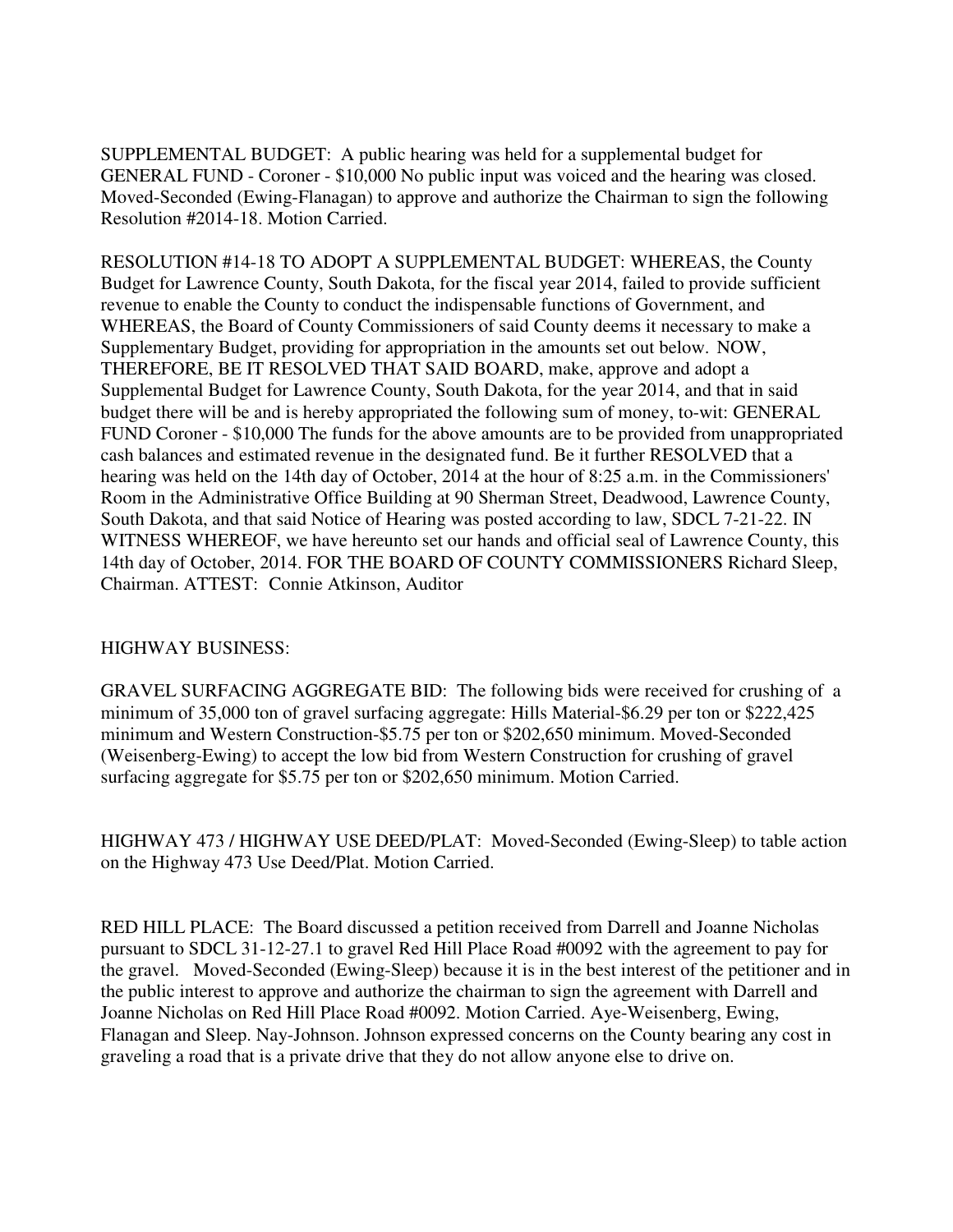SUPPLEMENTAL BUDGET: A public hearing was held for a supplemental budget for GENERAL FUND - Coroner - \$10,000 No public input was voiced and the hearing was closed. Moved-Seconded (Ewing-Flanagan) to approve and authorize the Chairman to sign the following Resolution #2014-18. Motion Carried.

RESOLUTION #14-18 TO ADOPT A SUPPLEMENTAL BUDGET: WHEREAS, the County Budget for Lawrence County, South Dakota, for the fiscal year 2014, failed to provide sufficient revenue to enable the County to conduct the indispensable functions of Government, and WHEREAS, the Board of County Commissioners of said County deems it necessary to make a Supplementary Budget, providing for appropriation in the amounts set out below. NOW, THEREFORE, BE IT RESOLVED THAT SAID BOARD, make, approve and adopt a Supplemental Budget for Lawrence County, South Dakota, for the year 2014, and that in said budget there will be and is hereby appropriated the following sum of money, to-wit: GENERAL FUND Coroner - \$10,000 The funds for the above amounts are to be provided from unappropriated cash balances and estimated revenue in the designated fund. Be it further RESOLVED that a hearing was held on the 14th day of October, 2014 at the hour of 8:25 a.m. in the Commissioners' Room in the Administrative Office Building at 90 Sherman Street, Deadwood, Lawrence County, South Dakota, and that said Notice of Hearing was posted according to law, SDCL 7-21-22. IN WITNESS WHEREOF, we have hereunto set our hands and official seal of Lawrence County, this 14th day of October, 2014. FOR THE BOARD OF COUNTY COMMISSIONERS Richard Sleep, Chairman. ATTEST: Connie Atkinson, Auditor

## HIGHWAY BUSINESS:

GRAVEL SURFACING AGGREGATE BID: The following bids were received for crushing of a minimum of 35,000 ton of gravel surfacing aggregate: Hills Material-\$6.29 per ton or \$222,425 minimum and Western Construction-\$5.75 per ton or \$202,650 minimum. Moved-Seconded (Weisenberg-Ewing) to accept the low bid from Western Construction for crushing of gravel surfacing aggregate for \$5.75 per ton or \$202,650 minimum. Motion Carried.

HIGHWAY 473 / HIGHWAY USE DEED/PLAT: Moved-Seconded (Ewing-Sleep) to table action on the Highway 473 Use Deed/Plat. Motion Carried.

RED HILL PLACE: The Board discussed a petition received from Darrell and Joanne Nicholas pursuant to SDCL 31-12-27.1 to gravel Red Hill Place Road #0092 with the agreement to pay for the gravel. Moved-Seconded (Ewing-Sleep) because it is in the best interest of the petitioner and in the public interest to approve and authorize the chairman to sign the agreement with Darrell and Joanne Nicholas on Red Hill Place Road #0092. Motion Carried. Aye-Weisenberg, Ewing, Flanagan and Sleep. Nay-Johnson. Johnson expressed concerns on the County bearing any cost in graveling a road that is a private drive that they do not allow anyone else to drive on.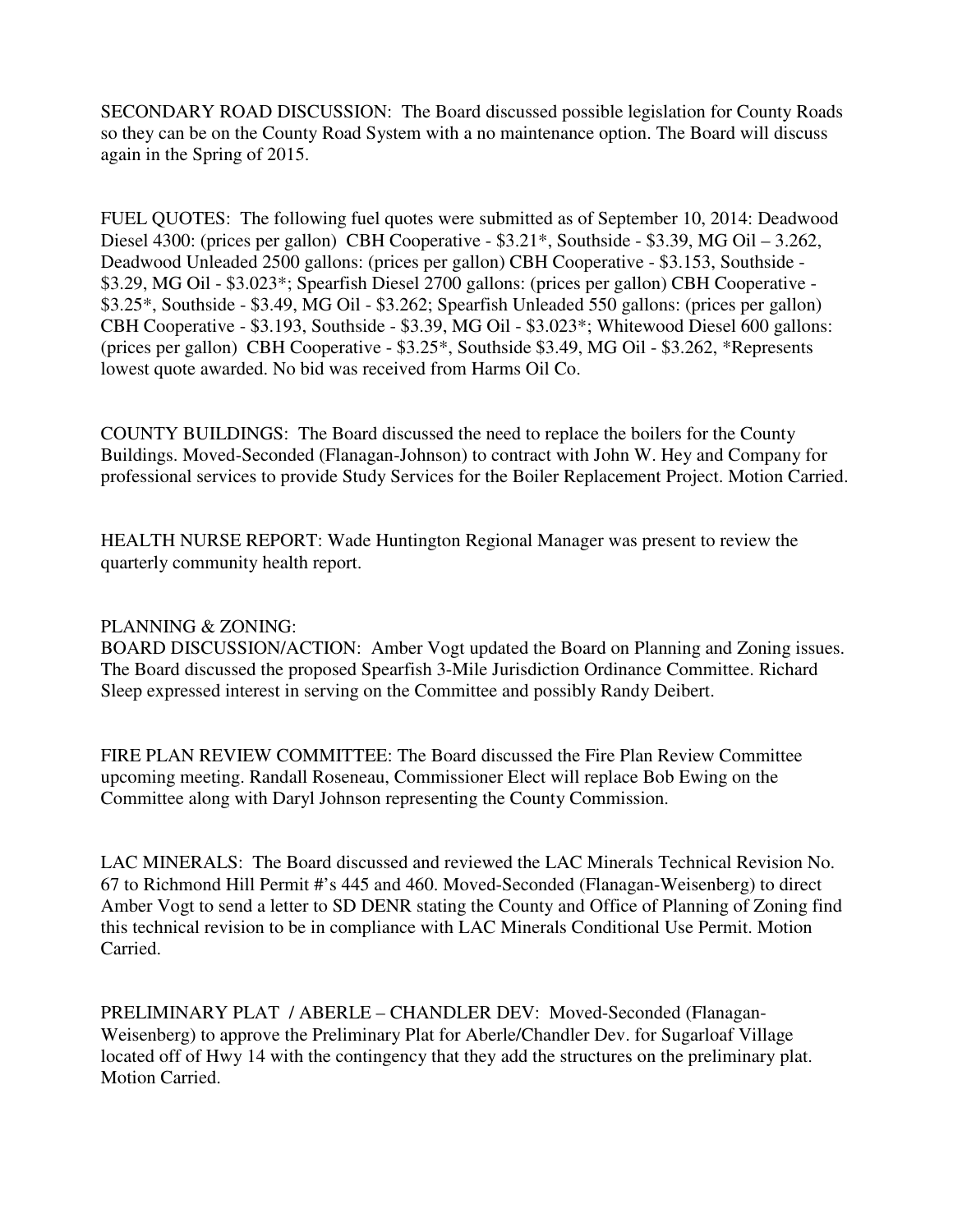SECONDARY ROAD DISCUSSION: The Board discussed possible legislation for County Roads so they can be on the County Road System with a no maintenance option. The Board will discuss again in the Spring of 2015.

FUEL QUOTES: The following fuel quotes were submitted as of September 10, 2014: Deadwood Diesel 4300: (prices per gallon) CBH Cooperative - \$3.21\*, Southside - \$3.39, MG Oil – 3.262, Deadwood Unleaded 2500 gallons: (prices per gallon) CBH Cooperative - \$3.153, Southside - \$3.29, MG Oil - \$3.023\*; Spearfish Diesel 2700 gallons: (prices per gallon) CBH Cooperative - \$3.25\*, Southside - \$3.49, MG Oil - \$3.262; Spearfish Unleaded 550 gallons: (prices per gallon) CBH Cooperative - \$3.193, Southside - \$3.39, MG Oil - \$3.023\*; Whitewood Diesel 600 gallons: (prices per gallon) CBH Cooperative - \$3.25\*, Southside \$3.49, MG Oil - \$3.262, \*Represents lowest quote awarded. No bid was received from Harms Oil Co.

COUNTY BUILDINGS: The Board discussed the need to replace the boilers for the County Buildings. Moved-Seconded (Flanagan-Johnson) to contract with John W. Hey and Company for professional services to provide Study Services for the Boiler Replacement Project. Motion Carried.

HEALTH NURSE REPORT: Wade Huntington Regional Manager was present to review the quarterly community health report.

### PLANNING & ZONING:

BOARD DISCUSSION/ACTION: Amber Vogt updated the Board on Planning and Zoning issues. The Board discussed the proposed Spearfish 3-Mile Jurisdiction Ordinance Committee. Richard Sleep expressed interest in serving on the Committee and possibly Randy Deibert.

FIRE PLAN REVIEW COMMITTEE: The Board discussed the Fire Plan Review Committee upcoming meeting. Randall Roseneau, Commissioner Elect will replace Bob Ewing on the Committee along with Daryl Johnson representing the County Commission.

LAC MINERALS: The Board discussed and reviewed the LAC Minerals Technical Revision No. 67 to Richmond Hill Permit #'s 445 and 460. Moved-Seconded (Flanagan-Weisenberg) to direct Amber Vogt to send a letter to SD DENR stating the County and Office of Planning of Zoning find this technical revision to be in compliance with LAC Minerals Conditional Use Permit. Motion Carried.

PRELIMINARY PLAT / ABERLE – CHANDLER DEV: Moved-Seconded (Flanagan-Weisenberg) to approve the Preliminary Plat for Aberle/Chandler Dev. for Sugarloaf Village located off of Hwy 14 with the contingency that they add the structures on the preliminary plat. Motion Carried.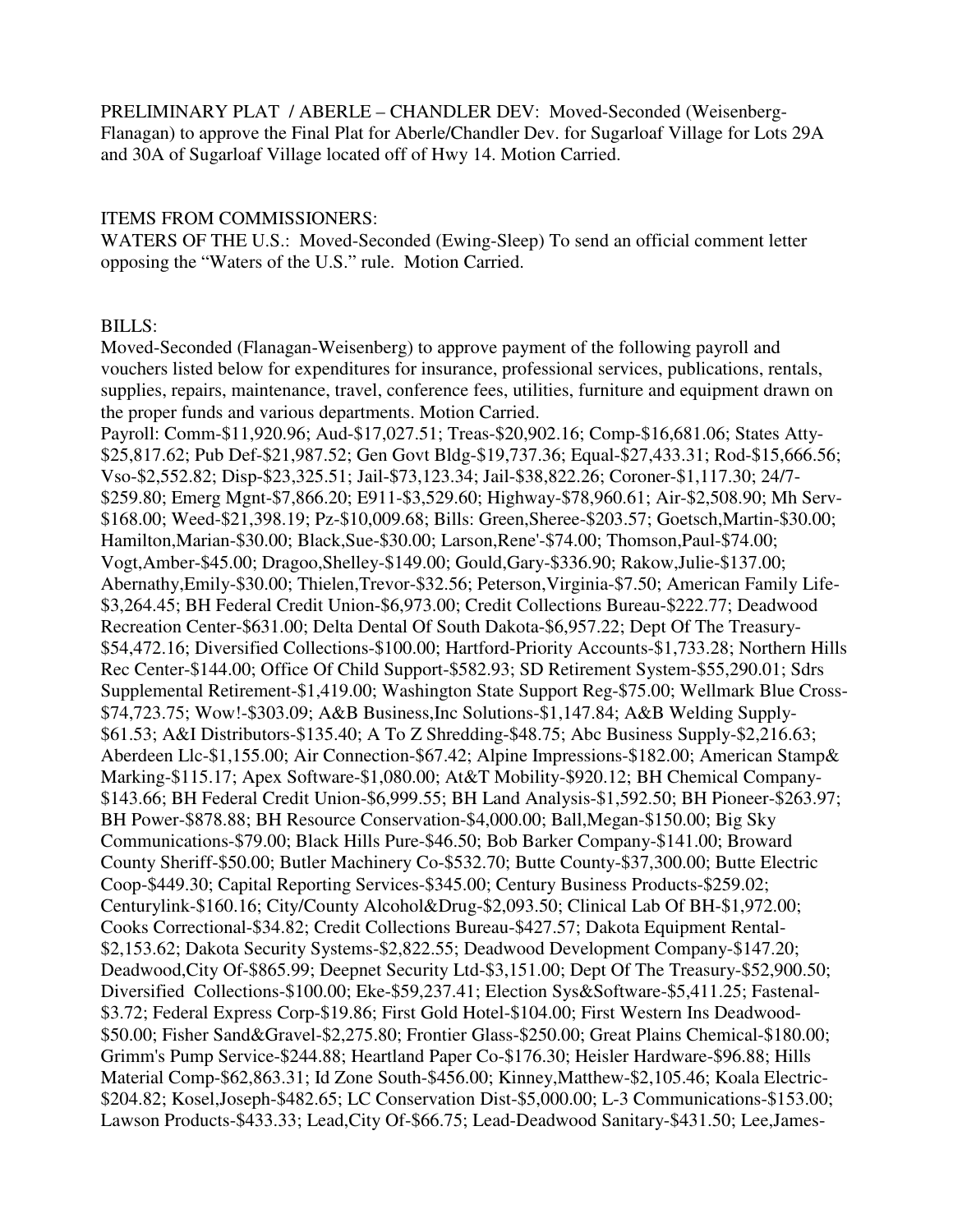PRELIMINARY PLAT / ABERLE – CHANDLER DEV: Moved-Seconded (Weisenberg-Flanagan) to approve the Final Plat for Aberle/Chandler Dev. for Sugarloaf Village for Lots 29A and 30A of Sugarloaf Village located off of Hwy 14. Motion Carried.

### ITEMS FROM COMMISSIONERS:

WATERS OF THE U.S.: Moved-Seconded (Ewing-Sleep) To send an official comment letter opposing the "Waters of the U.S." rule. Motion Carried.

#### BILLS:

Moved-Seconded (Flanagan-Weisenberg) to approve payment of the following payroll and vouchers listed below for expenditures for insurance, professional services, publications, rentals, supplies, repairs, maintenance, travel, conference fees, utilities, furniture and equipment drawn on the proper funds and various departments. Motion Carried.

Payroll: Comm-\$11,920.96; Aud-\$17,027.51; Treas-\$20,902.16; Comp-\$16,681.06; States Atty- \$25,817.62; Pub Def-\$21,987.52; Gen Govt Bldg-\$19,737.36; Equal-\$27,433.31; Rod-\$15,666.56; Vso-\$2,552.82; Disp-\$23,325.51; Jail-\$73,123.34; Jail-\$38,822.26; Coroner-\$1,117.30; 24/7- \$259.80; Emerg Mgnt-\$7,866.20; E911-\$3,529.60; Highway-\$78,960.61; Air-\$2,508.90; Mh Serv- \$168.00; Weed-\$21,398.19; Pz-\$10,009.68; Bills: Green,Sheree-\$203.57; Goetsch,Martin-\$30.00; Hamilton,Marian-\$30.00; Black,Sue-\$30.00; Larson,Rene'-\$74.00; Thomson,Paul-\$74.00; Vogt,Amber-\$45.00; Dragoo,Shelley-\$149.00; Gould,Gary-\$336.90; Rakow,Julie-\$137.00; Abernathy,Emily-\$30.00; Thielen,Trevor-\$32.56; Peterson,Virginia-\$7.50; American Family Life- \$3,264.45; BH Federal Credit Union-\$6,973.00; Credit Collections Bureau-\$222.77; Deadwood Recreation Center-\$631.00; Delta Dental Of South Dakota-\$6,957.22; Dept Of The Treasury- \$54,472.16; Diversified Collections-\$100.00; Hartford-Priority Accounts-\$1,733.28; Northern Hills Rec Center-\$144.00; Office Of Child Support-\$582.93; SD Retirement System-\$55,290.01; Sdrs Supplemental Retirement-\$1,419.00; Washington State Support Reg-\$75.00; Wellmark Blue Cross- \$74,723.75; Wow!-\$303.09; A&B Business,Inc Solutions-\$1,147.84; A&B Welding Supply- \$61.53; A&I Distributors-\$135.40; A To Z Shredding-\$48.75; Abc Business Supply-\$2,216.63; Aberdeen Llc-\$1,155.00; Air Connection-\$67.42; Alpine Impressions-\$182.00; American Stamp& Marking-\$115.17; Apex Software-\$1,080.00; At&T Mobility-\$920.12; BH Chemical Company- \$143.66; BH Federal Credit Union-\$6,999.55; BH Land Analysis-\$1,592.50; BH Pioneer-\$263.97; BH Power-\$878.88; BH Resource Conservation-\$4,000.00; Ball,Megan-\$150.00; Big Sky Communications-\$79.00; Black Hills Pure-\$46.50; Bob Barker Company-\$141.00; Broward County Sheriff-\$50.00; Butler Machinery Co-\$532.70; Butte County-\$37,300.00; Butte Electric Coop-\$449.30; Capital Reporting Services-\$345.00; Century Business Products-\$259.02; Centurylink-\$160.16; City/County Alcohol&Drug-\$2,093.50; Clinical Lab Of BH-\$1,972.00; Cooks Correctional-\$34.82; Credit Collections Bureau-\$427.57; Dakota Equipment Rental- \$2,153.62; Dakota Security Systems-\$2,822.55; Deadwood Development Company-\$147.20; Deadwood,City Of-\$865.99; Deepnet Security Ltd-\$3,151.00; Dept Of The Treasury-\$52,900.50; Diversified Collections-\$100.00; Eke-\$59,237.41; Election Sys&Software-\$5,411.25; Fastenal- \$3.72; Federal Express Corp-\$19.86; First Gold Hotel-\$104.00; First Western Ins Deadwood- \$50.00; Fisher Sand&Gravel-\$2,275.80; Frontier Glass-\$250.00; Great Plains Chemical-\$180.00; Grimm's Pump Service-\$244.88; Heartland Paper Co-\$176.30; Heisler Hardware-\$96.88; Hills Material Comp-\$62,863.31; Id Zone South-\$456.00; Kinney,Matthew-\$2,105.46; Koala Electric- \$204.82; Kosel,Joseph-\$482.65; LC Conservation Dist-\$5,000.00; L-3 Communications-\$153.00; Lawson Products-\$433.33; Lead,City Of-\$66.75; Lead-Deadwood Sanitary-\$431.50; Lee,James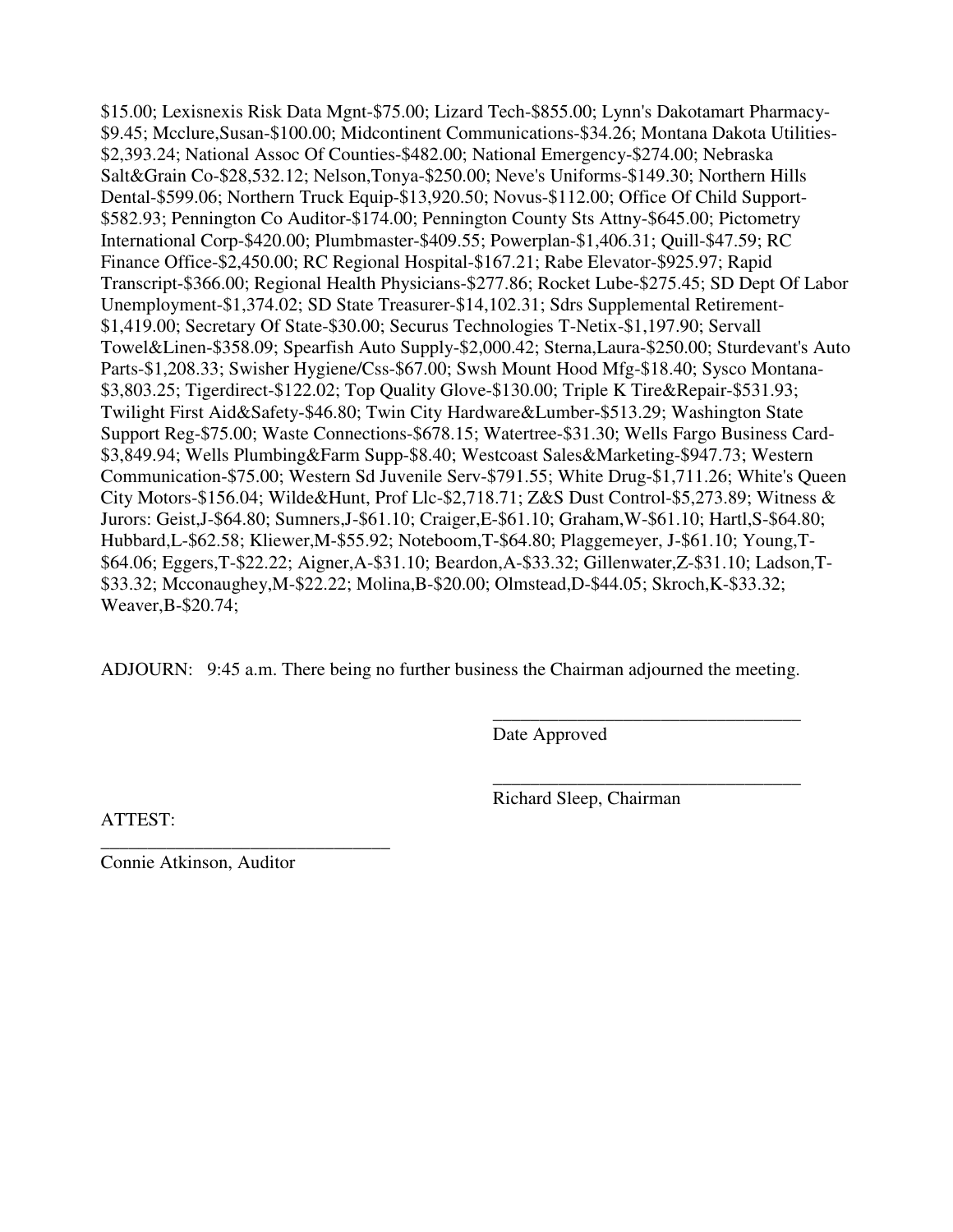\$15.00; Lexisnexis Risk Data Mgnt-\$75.00; Lizard Tech-\$855.00; Lynn's Dakotamart Pharmacy- \$9.45; Mcclure,Susan-\$100.00; Midcontinent Communications-\$34.26; Montana Dakota Utilities- \$2,393.24; National Assoc Of Counties-\$482.00; National Emergency-\$274.00; Nebraska Salt&Grain Co-\$28,532.12; Nelson,Tonya-\$250.00; Neve's Uniforms-\$149.30; Northern Hills Dental-\$599.06; Northern Truck Equip-\$13,920.50; Novus-\$112.00; Office Of Child Support- \$582.93; Pennington Co Auditor-\$174.00; Pennington County Sts Attny-\$645.00; Pictometry International Corp-\$420.00; Plumbmaster-\$409.55; Powerplan-\$1,406.31; Quill-\$47.59; RC Finance Office-\$2,450.00; RC Regional Hospital-\$167.21; Rabe Elevator-\$925.97; Rapid Transcript-\$366.00; Regional Health Physicians-\$277.86; Rocket Lube-\$275.45; SD Dept Of Labor Unemployment-\$1,374.02; SD State Treasurer-\$14,102.31; Sdrs Supplemental Retirement- \$1,419.00; Secretary Of State-\$30.00; Securus Technologies T-Netix-\$1,197.90; Servall Towel&Linen-\$358.09; Spearfish Auto Supply-\$2,000.42; Sterna,Laura-\$250.00; Sturdevant's Auto Parts-\$1,208.33; Swisher Hygiene/Css-\$67.00; Swsh Mount Hood Mfg-\$18.40; Sysco Montana- \$3,803.25; Tigerdirect-\$122.02; Top Quality Glove-\$130.00; Triple K Tire&Repair-\$531.93; Twilight First Aid&Safety-\$46.80; Twin City Hardware&Lumber-\$513.29; Washington State Support Reg-\$75.00; Waste Connections-\$678.15; Watertree-\$31.30; Wells Fargo Business Card- \$3,849.94; Wells Plumbing&Farm Supp-\$8.40; Westcoast Sales&Marketing-\$947.73; Western Communication-\$75.00; Western Sd Juvenile Serv-\$791.55; White Drug-\$1,711.26; White's Queen City Motors-\$156.04; Wilde&Hunt, Prof Llc-\$2,718.71; Z&S Dust Control-\$5,273.89; Witness & Jurors: Geist,J-\$64.80; Sumners,J-\$61.10; Craiger,E-\$61.10; Graham,W-\$61.10; Hartl,S-\$64.80; Hubbard,L-\$62.58; Kliewer,M-\$55.92; Noteboom,T-\$64.80; Plaggemeyer, J-\$61.10; Young,T- \$64.06; Eggers,T-\$22.22; Aigner,A-\$31.10; Beardon,A-\$33.32; Gillenwater,Z-\$31.10; Ladson,T- \$33.32; Mcconaughey,M-\$22.22; Molina,B-\$20.00; Olmstead,D-\$44.05; Skroch,K-\$33.32; Weaver,B-\$20.74;

ADJOURN: 9:45 a.m. There being no further business the Chairman adjourned the meeting.

 $\overline{\phantom{a}}$  , and the contract of the contract of the contract of the contract of the contract of the contract of the contract of the contract of the contract of the contract of the contract of the contract of the contrac

 $\overline{\phantom{a}}$  , and the contract of the contract of the contract of the contract of the contract of the contract of the contract of the contract of the contract of the contract of the contract of the contract of the contrac

Date Approved

ATTEST:

Richard Sleep, Chairman

Connie Atkinson, Auditor

\_\_\_\_\_\_\_\_\_\_\_\_\_\_\_\_\_\_\_\_\_\_\_\_\_\_\_\_\_\_\_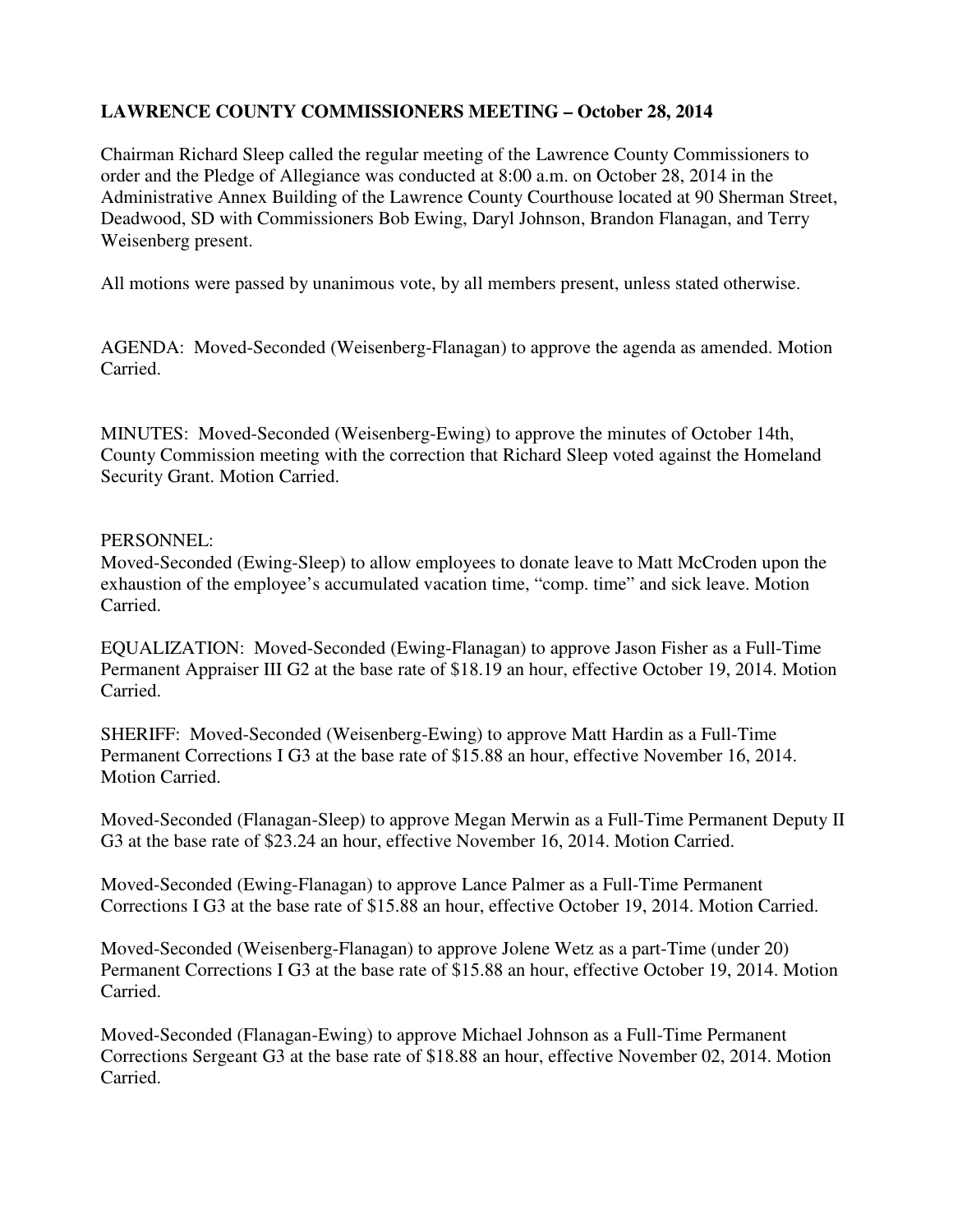# **LAWRENCE COUNTY COMMISSIONERS MEETING – October 28, 2014**

Chairman Richard Sleep called the regular meeting of the Lawrence County Commissioners to order and the Pledge of Allegiance was conducted at 8:00 a.m. on October 28, 2014 in the Administrative Annex Building of the Lawrence County Courthouse located at 90 Sherman Street, Deadwood, SD with Commissioners Bob Ewing, Daryl Johnson, Brandon Flanagan, and Terry Weisenberg present.

All motions were passed by unanimous vote, by all members present, unless stated otherwise.

AGENDA: Moved-Seconded (Weisenberg-Flanagan) to approve the agenda as amended. Motion Carried.

MINUTES: Moved-Seconded (Weisenberg-Ewing) to approve the minutes of October 14th, County Commission meeting with the correction that Richard Sleep voted against the Homeland Security Grant. Motion Carried.

### PERSONNEL:

Moved-Seconded (Ewing-Sleep) to allow employees to donate leave to Matt McCroden upon the exhaustion of the employee's accumulated vacation time, "comp. time" and sick leave. Motion Carried.

EQUALIZATION: Moved-Seconded (Ewing-Flanagan) to approve Jason Fisher as a Full-Time Permanent Appraiser III G2 at the base rate of \$18.19 an hour, effective October 19, 2014. Motion Carried.

SHERIFF: Moved-Seconded (Weisenberg-Ewing) to approve Matt Hardin as a Full-Time Permanent Corrections I G3 at the base rate of \$15.88 an hour, effective November 16, 2014. Motion Carried.

Moved-Seconded (Flanagan-Sleep) to approve Megan Merwin as a Full-Time Permanent Deputy II G3 at the base rate of \$23.24 an hour, effective November 16, 2014. Motion Carried.

Moved-Seconded (Ewing-Flanagan) to approve Lance Palmer as a Full-Time Permanent Corrections I G3 at the base rate of \$15.88 an hour, effective October 19, 2014. Motion Carried.

Moved-Seconded (Weisenberg-Flanagan) to approve Jolene Wetz as a part-Time (under 20) Permanent Corrections I G3 at the base rate of \$15.88 an hour, effective October 19, 2014. Motion Carried.

Moved-Seconded (Flanagan-Ewing) to approve Michael Johnson as a Full-Time Permanent Corrections Sergeant G3 at the base rate of \$18.88 an hour, effective November 02, 2014. Motion Carried.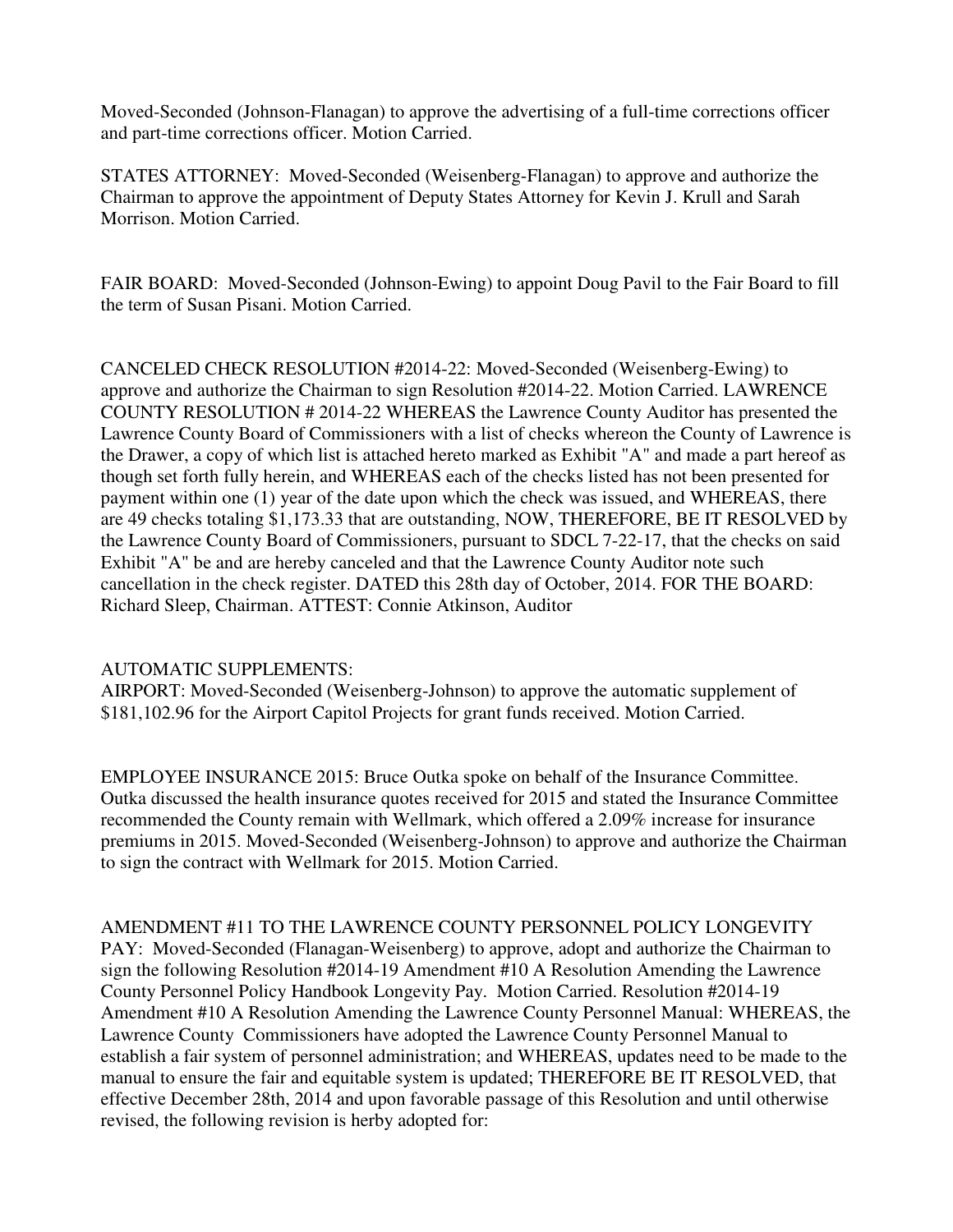Moved-Seconded (Johnson-Flanagan) to approve the advertising of a full-time corrections officer and part-time corrections officer. Motion Carried.

STATES ATTORNEY: Moved-Seconded (Weisenberg-Flanagan) to approve and authorize the Chairman to approve the appointment of Deputy States Attorney for Kevin J. Krull and Sarah Morrison. Motion Carried.

FAIR BOARD: Moved-Seconded (Johnson-Ewing) to appoint Doug Pavil to the Fair Board to fill the term of Susan Pisani. Motion Carried.

CANCELED CHECK RESOLUTION #2014-22: Moved-Seconded (Weisenberg-Ewing) to approve and authorize the Chairman to sign Resolution #2014-22. Motion Carried. LAWRENCE COUNTY RESOLUTION # 2014-22 WHEREAS the Lawrence County Auditor has presented the Lawrence County Board of Commissioners with a list of checks whereon the County of Lawrence is the Drawer, a copy of which list is attached hereto marked as Exhibit "A" and made a part hereof as though set forth fully herein, and WHEREAS each of the checks listed has not been presented for payment within one (1) year of the date upon which the check was issued, and WHEREAS, there are 49 checks totaling \$1,173.33 that are outstanding, NOW, THEREFORE, BE IT RESOLVED by the Lawrence County Board of Commissioners, pursuant to SDCL 7-22-17, that the checks on said Exhibit "A" be and are hereby canceled and that the Lawrence County Auditor note such cancellation in the check register. DATED this 28th day of October, 2014. FOR THE BOARD: Richard Sleep, Chairman. ATTEST: Connie Atkinson, Auditor

### AUTOMATIC SUPPLEMENTS:

AIRPORT: Moved-Seconded (Weisenberg-Johnson) to approve the automatic supplement of \$181,102.96 for the Airport Capitol Projects for grant funds received. Motion Carried.

EMPLOYEE INSURANCE 2015: Bruce Outka spoke on behalf of the Insurance Committee. Outka discussed the health insurance quotes received for 2015 and stated the Insurance Committee recommended the County remain with Wellmark, which offered a 2.09% increase for insurance premiums in 2015. Moved-Seconded (Weisenberg-Johnson) to approve and authorize the Chairman to sign the contract with Wellmark for 2015. Motion Carried.

AMENDMENT #11 TO THE LAWRENCE COUNTY PERSONNEL POLICY LONGEVITY PAY: Moved-Seconded (Flanagan-Weisenberg) to approve, adopt and authorize the Chairman to sign the following Resolution #2014-19 Amendment #10 A Resolution Amending the Lawrence County Personnel Policy Handbook Longevity Pay. Motion Carried. Resolution #2014-19 Amendment #10 A Resolution Amending the Lawrence County Personnel Manual: WHEREAS, the Lawrence County Commissioners have adopted the Lawrence County Personnel Manual to establish a fair system of personnel administration; and WHEREAS, updates need to be made to the manual to ensure the fair and equitable system is updated; THEREFORE BE IT RESOLVED, that effective December 28th, 2014 and upon favorable passage of this Resolution and until otherwise revised, the following revision is herby adopted for: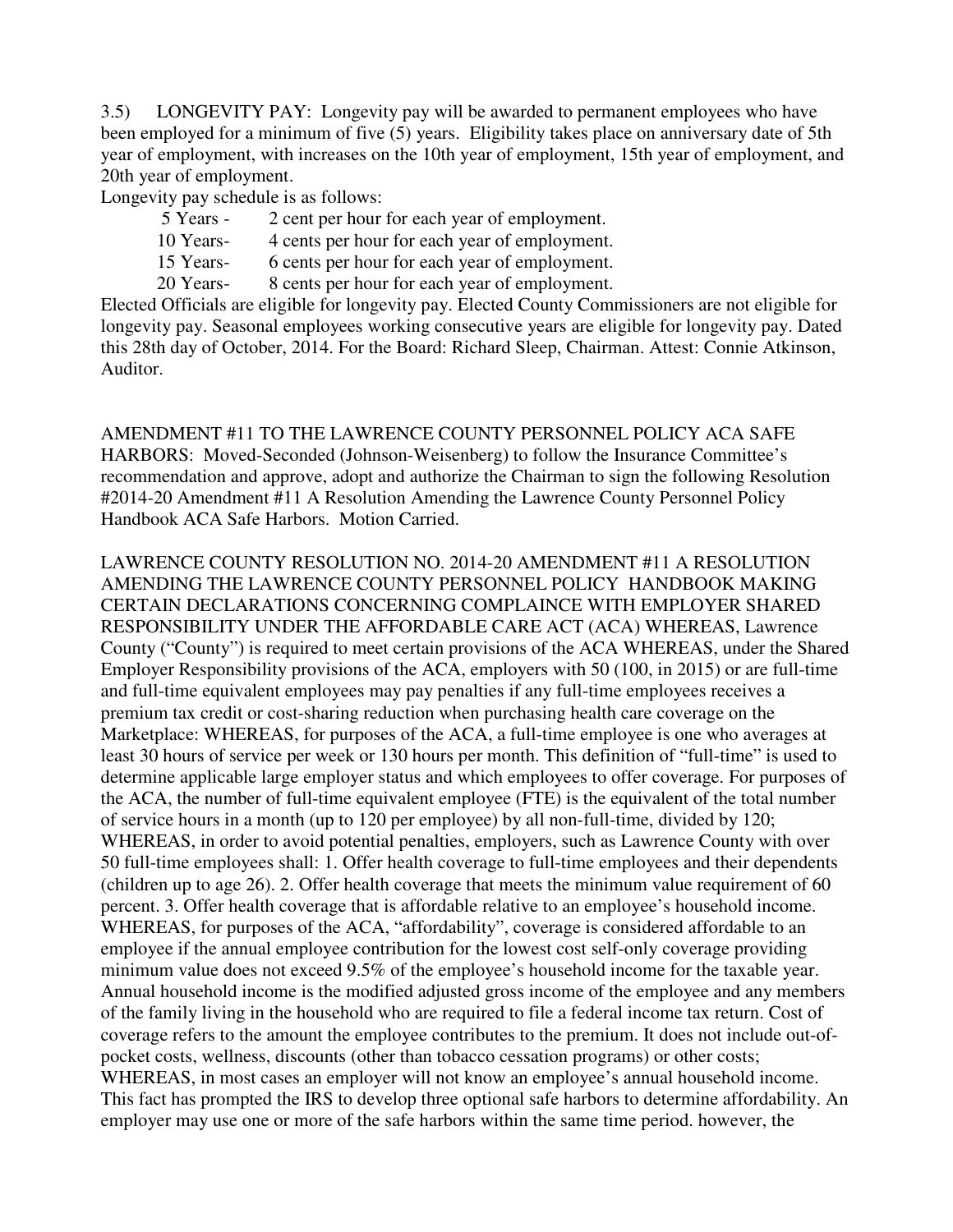3.5) LONGEVITY PAY: Longevity pay will be awarded to permanent employees who have been employed for a minimum of five  $(5)$  years. Eligibility takes place on anniversary date of 5th year of employment, with increases on the 10th year of employment, 15th year of employment, and 20th year of employment.

Longevity pay schedule is as follows:

- 5 Years 2 cent per hour for each year of employment.
- 10 Years- 4 cents per hour for each year of employment.
- 15 Years- 6 cents per hour for each year of employment.
- 20 Years- 8 cents per hour for each year of employment.

Elected Officials are eligible for longevity pay. Elected County Commissioners are not eligible for longevity pay. Seasonal employees working consecutive years are eligible for longevity pay. Dated this 28th day of October, 2014. For the Board: Richard Sleep, Chairman. Attest: Connie Atkinson, Auditor.

AMENDMENT #11 TO THE LAWRENCE COUNTY PERSONNEL POLICY ACA SAFE HARBORS: Moved-Seconded (Johnson-Weisenberg) to follow the Insurance Committee's recommendation and approve, adopt and authorize the Chairman to sign the following Resolution #2014-20 Amendment #11 A Resolution Amending the Lawrence County Personnel Policy Handbook ACA Safe Harbors. Motion Carried.

LAWRENCE COUNTY RESOLUTION NO. 2014-20 AMENDMENT #11 A RESOLUTION AMENDING THE LAWRENCE COUNTY PERSONNEL POLICY HANDBOOK MAKING CERTAIN DECLARATIONS CONCERNING COMPLAINCE WITH EMPLOYER SHARED RESPONSIBILITY UNDER THE AFFORDABLE CARE ACT (ACA) WHEREAS, Lawrence County ("County") is required to meet certain provisions of the ACA WHEREAS, under the Shared Employer Responsibility provisions of the ACA, employers with 50 (100, in 2015) or are full-time and full-time equivalent employees may pay penalties if any full-time employees receives a premium tax credit or cost-sharing reduction when purchasing health care coverage on the Marketplace: WHEREAS, for purposes of the ACA, a full-time employee is one who averages at least 30 hours of service per week or 130 hours per month. This definition of "full-time" is used to determine applicable large employer status and which employees to offer coverage. For purposes of the ACA, the number of full-time equivalent employee (FTE) is the equivalent of the total number of service hours in a month (up to 120 per employee) by all non-full-time, divided by 120; WHEREAS, in order to avoid potential penalties, employers, such as Lawrence County with over 50 full-time employees shall: 1. Offer health coverage to full-time employees and their dependents (children up to age 26). 2. Offer health coverage that meets the minimum value requirement of 60 percent. 3. Offer health coverage that is affordable relative to an employee's household income. WHEREAS, for purposes of the ACA, "affordability", coverage is considered affordable to an employee if the annual employee contribution for the lowest cost self-only coverage providing minimum value does not exceed 9.5% of the employee's household income for the taxable year. Annual household income is the modified adjusted gross income of the employee and any members of the family living in the household who are required to file a federal income tax return. Cost of coverage refers to the amount the employee contributes to the premium. It does not include out-ofpocket costs, wellness, discounts (other than tobacco cessation programs) or other costs; WHEREAS, in most cases an employer will not know an employee's annual household income. This fact has prompted the IRS to develop three optional safe harbors to determine affordability. An employer may use one or more of the safe harbors within the same time period. however, the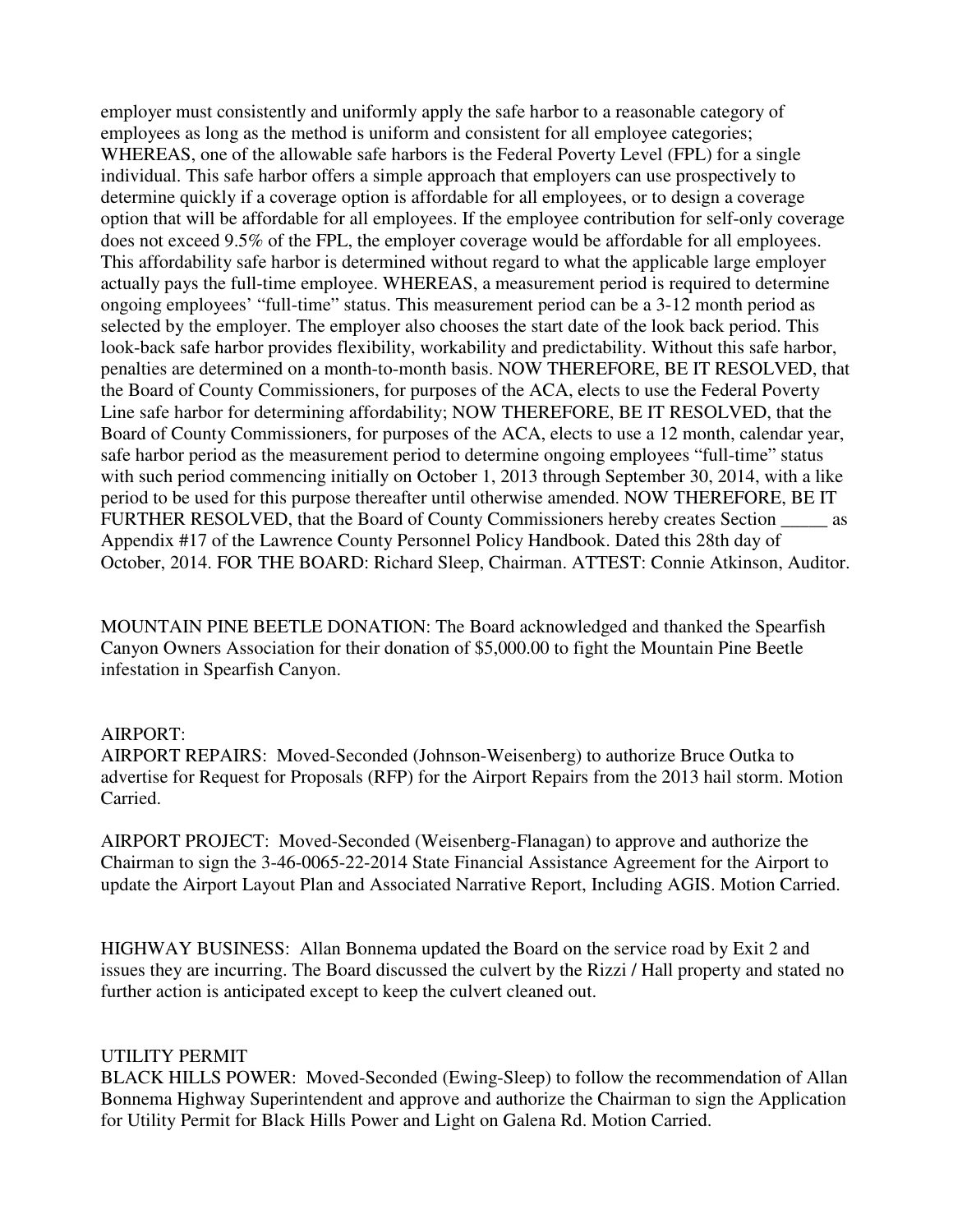employer must consistently and uniformly apply the safe harbor to a reasonable category of employees as long as the method is uniform and consistent for all employee categories; WHEREAS, one of the allowable safe harbors is the Federal Poverty Level (FPL) for a single individual. This safe harbor offers a simple approach that employers can use prospectively to determine quickly if a coverage option is affordable for all employees, or to design a coverage option that will be affordable for all employees. If the employee contribution for self-only coverage does not exceed 9.5% of the FPL, the employer coverage would be affordable for all employees. This affordability safe harbor is determined without regard to what the applicable large employer actually pays the full-time employee. WHEREAS, a measurement period is required to determine ongoing employees' "full-time" status. This measurement period can be a 3-12 month period as selected by the employer. The employer also chooses the start date of the look back period. This look-back safe harbor provides flexibility, workability and predictability. Without this safe harbor, penalties are determined on a month-to-month basis. NOW THEREFORE, BE IT RESOLVED, that the Board of County Commissioners, for purposes of the ACA, elects to use the Federal Poverty Line safe harbor for determining affordability; NOW THEREFORE, BE IT RESOLVED, that the Board of County Commissioners, for purposes of the ACA, elects to use a 12 month, calendar year, safe harbor period as the measurement period to determine ongoing employees "full-time" status with such period commencing initially on October 1, 2013 through September 30, 2014, with a like period to be used for this purpose thereafter until otherwise amended. NOW THEREFORE, BE IT FURTHER RESOLVED, that the Board of County Commissioners hereby creates Section \_\_\_\_\_ as Appendix #17 of the Lawrence County Personnel Policy Handbook. Dated this 28th day of October, 2014. FOR THE BOARD: Richard Sleep, Chairman. ATTEST: Connie Atkinson, Auditor.

MOUNTAIN PINE BEETLE DONATION: The Board acknowledged and thanked the Spearfish Canyon Owners Association for their donation of \$5,000.00 to fight the Mountain Pine Beetle infestation in Spearfish Canyon.

### AIRPORT:

AIRPORT REPAIRS: Moved-Seconded (Johnson-Weisenberg) to authorize Bruce Outka to advertise for Request for Proposals (RFP) for the Airport Repairs from the 2013 hail storm. Motion Carried.

AIRPORT PROJECT: Moved-Seconded (Weisenberg-Flanagan) to approve and authorize the Chairman to sign the 3-46-0065-22-2014 State Financial Assistance Agreement for the Airport to update the Airport Layout Plan and Associated Narrative Report, Including AGIS. Motion Carried.

HIGHWAY BUSINESS: Allan Bonnema updated the Board on the service road by Exit 2 and issues they are incurring. The Board discussed the culvert by the Rizzi / Hall property and stated no further action is anticipated except to keep the culvert cleaned out.

#### UTILITY PERMIT

BLACK HILLS POWER: Moved-Seconded (Ewing-Sleep) to follow the recommendation of Allan Bonnema Highway Superintendent and approve and authorize the Chairman to sign the Application for Utility Permit for Black Hills Power and Light on Galena Rd. Motion Carried.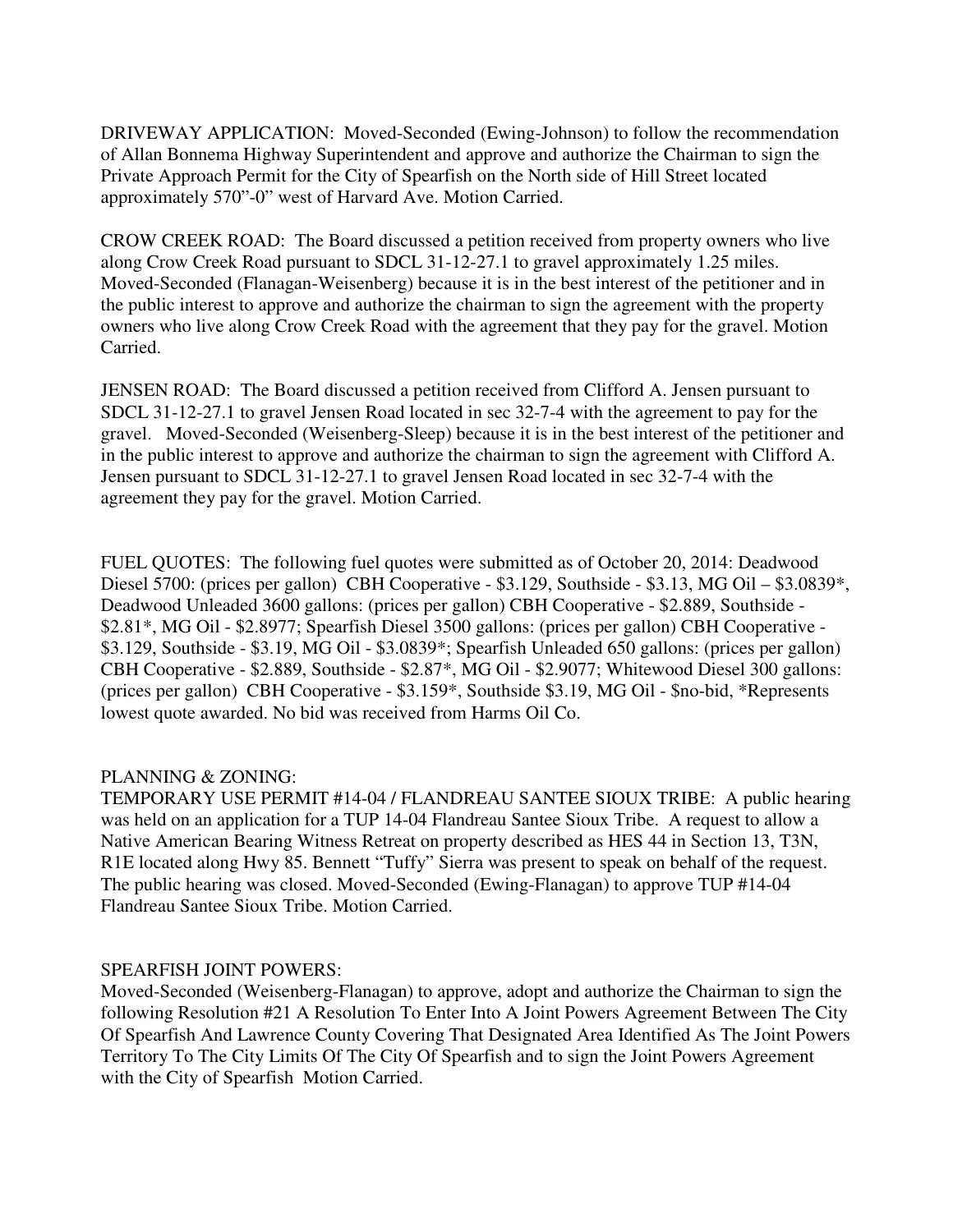DRIVEWAY APPLICATION: Moved-Seconded (Ewing-Johnson) to follow the recommendation of Allan Bonnema Highway Superintendent and approve and authorize the Chairman to sign the Private Approach Permit for the City of Spearfish on the North side of Hill Street located approximately 570"-0" west of Harvard Ave. Motion Carried.

CROW CREEK ROAD: The Board discussed a petition received from property owners who live along Crow Creek Road pursuant to SDCL 31-12-27.1 to gravel approximately 1.25 miles. Moved-Seconded (Flanagan-Weisenberg) because it is in the best interest of the petitioner and in the public interest to approve and authorize the chairman to sign the agreement with the property owners who live along Crow Creek Road with the agreement that they pay for the gravel. Motion Carried.

JENSEN ROAD: The Board discussed a petition received from Clifford A. Jensen pursuant to SDCL 31-12-27.1 to gravel Jensen Road located in sec 32-7-4 with the agreement to pay for the gravel. Moved-Seconded (Weisenberg-Sleep) because it is in the best interest of the petitioner and in the public interest to approve and authorize the chairman to sign the agreement with Clifford A. Jensen pursuant to SDCL 31-12-27.1 to gravel Jensen Road located in sec 32-7-4 with the agreement they pay for the gravel. Motion Carried.

FUEL QUOTES: The following fuel quotes were submitted as of October 20, 2014: Deadwood Diesel 5700: (prices per gallon) CBH Cooperative - \$3.129, Southside - \$3.13, MG Oil – \$3.0839\*, Deadwood Unleaded 3600 gallons: (prices per gallon) CBH Cooperative - \$2.889, Southside - \$2.81\*, MG Oil - \$2.8977; Spearfish Diesel 3500 gallons: (prices per gallon) CBH Cooperative - \$3.129, Southside - \$3.19, MG Oil - \$3.0839\*; Spearfish Unleaded 650 gallons: (prices per gallon) CBH Cooperative - \$2.889, Southside - \$2.87\*, MG Oil - \$2.9077; Whitewood Diesel 300 gallons: (prices per gallon) CBH Cooperative - \$3.159\*, Southside \$3.19, MG Oil - \$no-bid, \*Represents lowest quote awarded. No bid was received from Harms Oil Co.

### PLANNING & ZONING:

TEMPORARY USE PERMIT #14-04 / FLANDREAU SANTEE SIOUX TRIBE: A public hearing was held on an application for a TUP 14-04 Flandreau Santee Sioux Tribe. A request to allow a Native American Bearing Witness Retreat on property described as HES 44 in Section 13, T3N, R1E located along Hwy 85. Bennett "Tuffy" Sierra was present to speak on behalf of the request. The public hearing was closed. Moved-Seconded (Ewing-Flanagan) to approve TUP #14-04 Flandreau Santee Sioux Tribe. Motion Carried.

## SPEARFISH JOINT POWERS:

Moved-Seconded (Weisenberg-Flanagan) to approve, adopt and authorize the Chairman to sign the following Resolution #21 A Resolution To Enter Into A Joint Powers Agreement Between The City Of Spearfish And Lawrence County Covering That Designated Area Identified As The Joint Powers Territory To The City Limits Of The City Of Spearfish and to sign the Joint Powers Agreement with the City of Spearfish Motion Carried.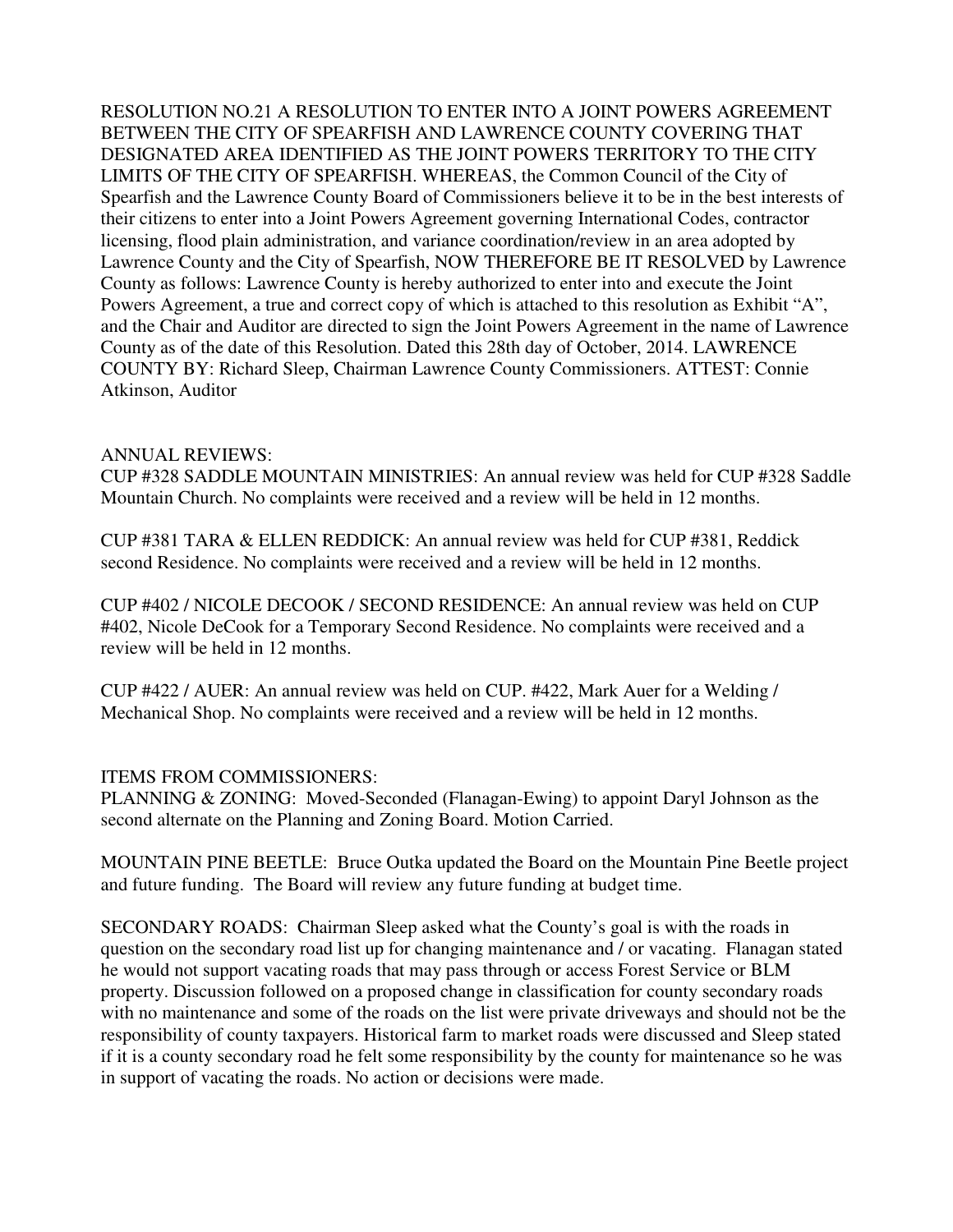RESOLUTION NO.21 A RESOLUTION TO ENTER INTO A JOINT POWERS AGREEMENT BETWEEN THE CITY OF SPEARFISH AND LAWRENCE COUNTY COVERING THAT DESIGNATED AREA IDENTIFIED AS THE JOINT POWERS TERRITORY TO THE CITY LIMITS OF THE CITY OF SPEARFISH. WHEREAS, the Common Council of the City of Spearfish and the Lawrence County Board of Commissioners believe it to be in the best interests of their citizens to enter into a Joint Powers Agreement governing International Codes, contractor licensing, flood plain administration, and variance coordination/review in an area adopted by Lawrence County and the City of Spearfish, NOW THEREFORE BE IT RESOLVED by Lawrence County as follows: Lawrence County is hereby authorized to enter into and execute the Joint Powers Agreement, a true and correct copy of which is attached to this resolution as Exhibit "A", and the Chair and Auditor are directed to sign the Joint Powers Agreement in the name of Lawrence County as of the date of this Resolution. Dated this 28th day of October, 2014. LAWRENCE COUNTY BY: Richard Sleep, Chairman Lawrence County Commissioners. ATTEST: Connie Atkinson, Auditor

### ANNUAL REVIEWS:

CUP #328 SADDLE MOUNTAIN MINISTRIES: An annual review was held for CUP #328 Saddle Mountain Church. No complaints were received and a review will be held in 12 months.

CUP #381 TARA & ELLEN REDDICK: An annual review was held for CUP #381, Reddick second Residence. No complaints were received and a review will be held in 12 months.

CUP #402 / NICOLE DECOOK / SECOND RESIDENCE: An annual review was held on CUP #402, Nicole DeCook for a Temporary Second Residence. No complaints were received and a review will be held in 12 months.

CUP #422 / AUER: An annual review was held on CUP. #422, Mark Auer for a Welding / Mechanical Shop. No complaints were received and a review will be held in 12 months.

### ITEMS FROM COMMISSIONERS:

PLANNING & ZONING: Moved-Seconded (Flanagan-Ewing) to appoint Daryl Johnson as the second alternate on the Planning and Zoning Board. Motion Carried.

MOUNTAIN PINE BEETLE: Bruce Outka updated the Board on the Mountain Pine Beetle project and future funding. The Board will review any future funding at budget time.

SECONDARY ROADS: Chairman Sleep asked what the County's goal is with the roads in question on the secondary road list up for changing maintenance and / or vacating. Flanagan stated he would not support vacating roads that may pass through or access Forest Service or BLM property. Discussion followed on a proposed change in classification for county secondary roads with no maintenance and some of the roads on the list were private driveways and should not be the responsibility of county taxpayers. Historical farm to market roads were discussed and Sleep stated if it is a county secondary road he felt some responsibility by the county for maintenance so he was in support of vacating the roads. No action or decisions were made.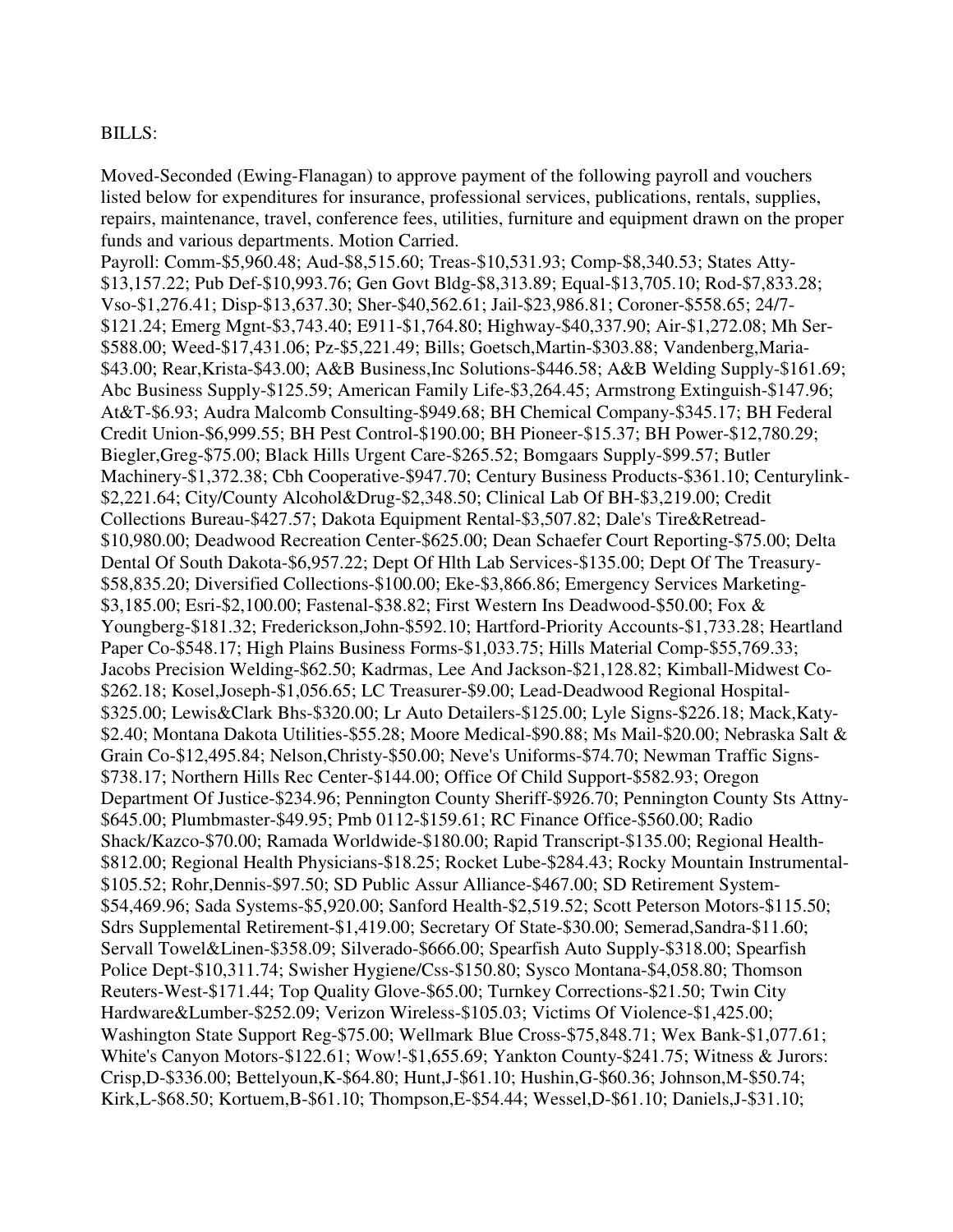### BILLS:

Moved-Seconded (Ewing-Flanagan) to approve payment of the following payroll and vouchers listed below for expenditures for insurance, professional services, publications, rentals, supplies, repairs, maintenance, travel, conference fees, utilities, furniture and equipment drawn on the proper funds and various departments. Motion Carried.

Payroll: Comm-\$5,960.48; Aud-\$8,515.60; Treas-\$10,531.93; Comp-\$8,340.53; States Atty- \$13,157.22; Pub Def-\$10,993.76; Gen Govt Bldg-\$8,313.89; Equal-\$13,705.10; Rod-\$7,833.28; Vso-\$1,276.41; Disp-\$13,637.30; Sher-\$40,562.61; Jail-\$23,986.81; Coroner-\$558.65; 24/7- \$121.24; Emerg Mgnt-\$3,743.40; E911-\$1,764.80; Highway-\$40,337.90; Air-\$1,272.08; Mh Ser- \$588.00; Weed-\$17,431.06; Pz-\$5,221.49; Bills; Goetsch,Martin-\$303.88; Vandenberg,Maria- \$43.00; Rear,Krista-\$43.00; A&B Business,Inc Solutions-\$446.58; A&B Welding Supply-\$161.69; Abc Business Supply-\$125.59; American Family Life-\$3,264.45; Armstrong Extinguish-\$147.96; At&T-\$6.93; Audra Malcomb Consulting-\$949.68; BH Chemical Company-\$345.17; BH Federal Credit Union-\$6,999.55; BH Pest Control-\$190.00; BH Pioneer-\$15.37; BH Power-\$12,780.29; Biegler,Greg-\$75.00; Black Hills Urgent Care-\$265.52; Bomgaars Supply-\$99.57; Butler Machinery-\$1,372.38; Cbh Cooperative-\$947.70; Century Business Products-\$361.10; Centurylink- \$2,221.64; City/County Alcohol&Drug-\$2,348.50; Clinical Lab Of BH-\$3,219.00; Credit Collections Bureau-\$427.57; Dakota Equipment Rental-\$3,507.82; Dale's Tire&Retread- \$10,980.00; Deadwood Recreation Center-\$625.00; Dean Schaefer Court Reporting-\$75.00; Delta Dental Of South Dakota-\$6,957.22; Dept Of Hlth Lab Services-\$135.00; Dept Of The Treasury- \$58,835.20; Diversified Collections-\$100.00; Eke-\$3,866.86; Emergency Services Marketing- \$3,185.00; Esri-\$2,100.00; Fastenal-\$38.82; First Western Ins Deadwood-\$50.00; Fox & Youngberg-\$181.32; Frederickson,John-\$592.10; Hartford-Priority Accounts-\$1,733.28; Heartland Paper Co-\$548.17; High Plains Business Forms-\$1,033.75; Hills Material Comp-\$55,769.33; Jacobs Precision Welding-\$62.50; Kadrmas, Lee And Jackson-\$21,128.82; Kimball-Midwest Co- \$262.18; Kosel,Joseph-\$1,056.65; LC Treasurer-\$9.00; Lead-Deadwood Regional Hospital- \$325.00; Lewis&Clark Bhs-\$320.00; Lr Auto Detailers-\$125.00; Lyle Signs-\$226.18; Mack,Katy- \$2.40; Montana Dakota Utilities-\$55.28; Moore Medical-\$90.88; Ms Mail-\$20.00; Nebraska Salt & Grain Co-\$12,495.84; Nelson,Christy-\$50.00; Neve's Uniforms-\$74.70; Newman Traffic Signs- \$738.17; Northern Hills Rec Center-\$144.00; Office Of Child Support-\$582.93; Oregon Department Of Justice-\$234.96; Pennington County Sheriff-\$926.70; Pennington County Sts Attny- \$645.00; Plumbmaster-\$49.95; Pmb 0112-\$159.61; RC Finance Office-\$560.00; Radio Shack/Kazco-\$70.00; Ramada Worldwide-\$180.00; Rapid Transcript-\$135.00; Regional Health- \$812.00; Regional Health Physicians-\$18.25; Rocket Lube-\$284.43; Rocky Mountain Instrumental- \$105.52; Rohr,Dennis-\$97.50; SD Public Assur Alliance-\$467.00; SD Retirement System- \$54,469.96; Sada Systems-\$5,920.00; Sanford Health-\$2,519.52; Scott Peterson Motors-\$115.50; Sdrs Supplemental Retirement-\$1,419.00; Secretary Of State-\$30.00; Semerad,Sandra-\$11.60; Servall Towel&Linen-\$358.09; Silverado-\$666.00; Spearfish Auto Supply-\$318.00; Spearfish Police Dept-\$10,311.74; Swisher Hygiene/Css-\$150.80; Sysco Montana-\$4,058.80; Thomson Reuters-West-\$171.44; Top Quality Glove-\$65.00; Turnkey Corrections-\$21.50; Twin City Hardware&Lumber-\$252.09; Verizon Wireless-\$105.03; Victims Of Violence-\$1,425.00; Washington State Support Reg-\$75.00; Wellmark Blue Cross-\$75,848.71; Wex Bank-\$1,077.61; White's Canyon Motors-\$122.61; Wow!-\$1,655.69; Yankton County-\$241.75; Witness & Jurors: Crisp,D-\$336.00; Bettelyoun,K-\$64.80; Hunt,J-\$61.10; Hushin,G-\$60.36; Johnson,M-\$50.74; Kirk,L-\$68.50; Kortuem,B-\$61.10; Thompson,E-\$54.44; Wessel,D-\$61.10; Daniels,J-\$31.10;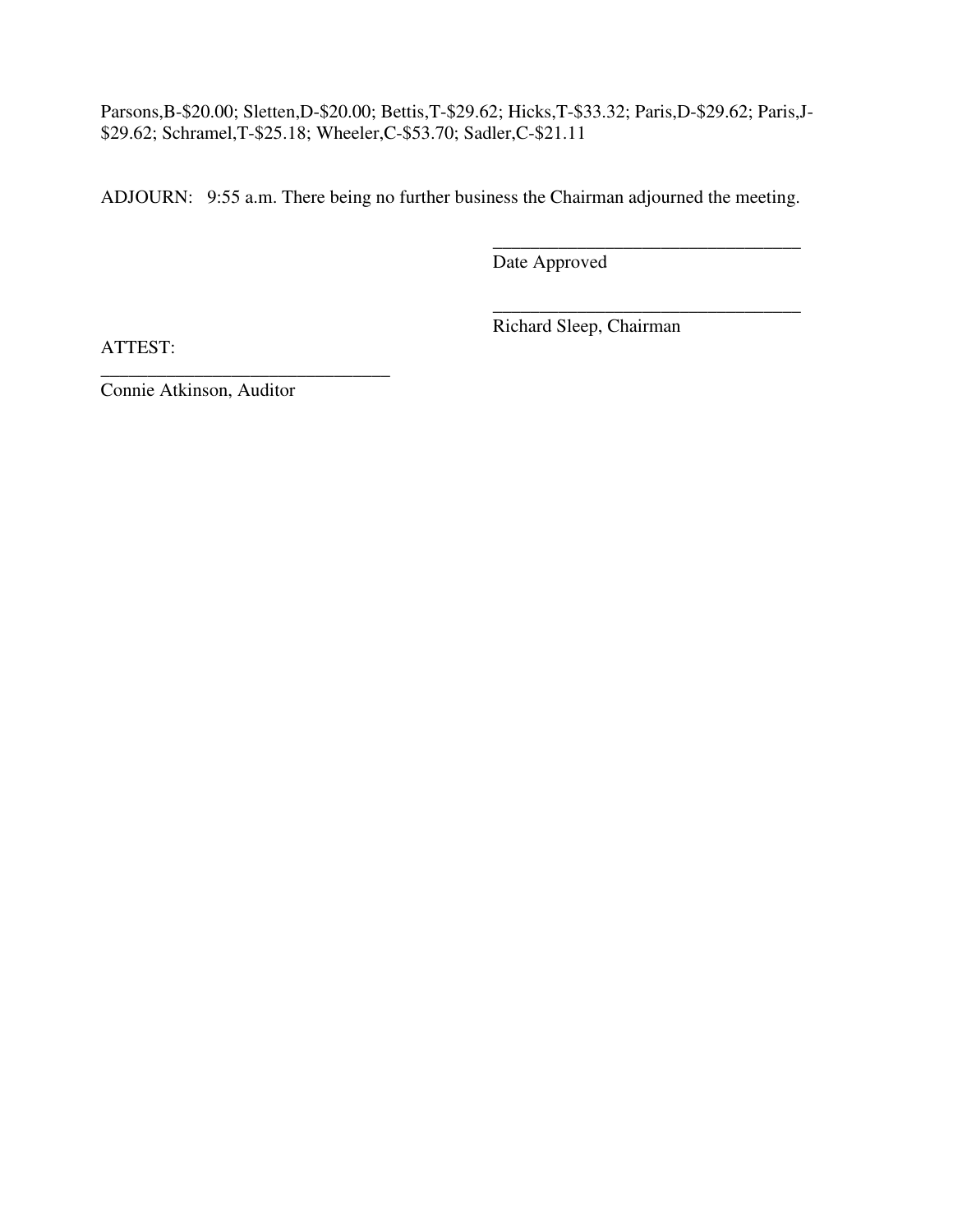Parsons,B-\$20.00; Sletten,D-\$20.00; Bettis,T-\$29.62; Hicks,T-\$33.32; Paris,D-\$29.62; Paris,J- \$29.62; Schramel,T-\$25.18; Wheeler,C-\$53.70; Sadler,C-\$21.11

ADJOURN: 9:55 a.m. There being no further business the Chairman adjourned the meeting.

 $\overline{\phantom{a}}$  , and the contract of the contract of the contract of the contract of the contract of the contract of the contract of the contract of the contract of the contract of the contract of the contract of the contrac

 $\overline{\phantom{a}}$  , and the contract of the contract of the contract of the contract of the contract of the contract of the contract of the contract of the contract of the contract of the contract of the contract of the contrac

Date Approved

Richard Sleep, Chairman

ATTEST:

Connie Atkinson, Auditor

\_\_\_\_\_\_\_\_\_\_\_\_\_\_\_\_\_\_\_\_\_\_\_\_\_\_\_\_\_\_\_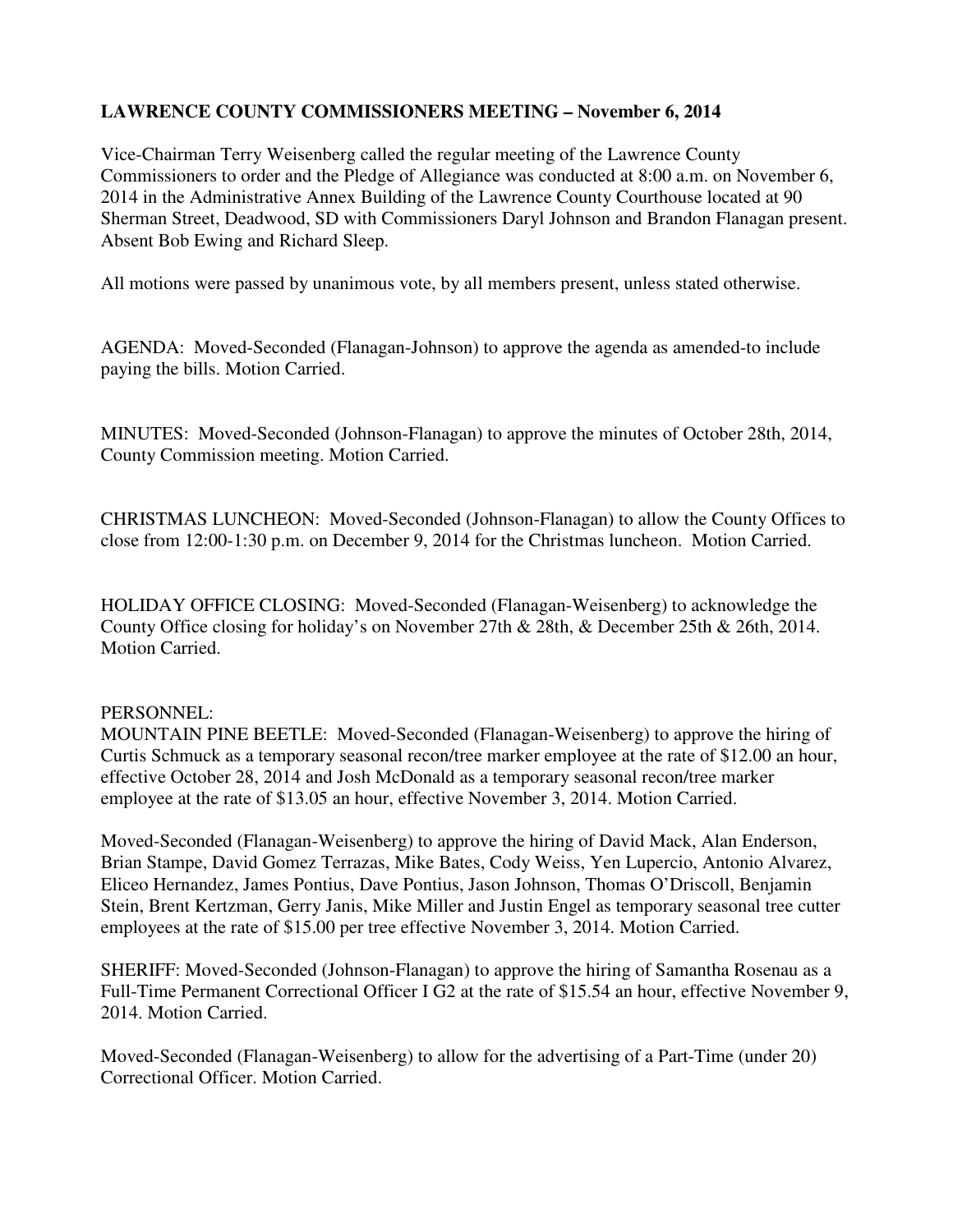# **LAWRENCE COUNTY COMMISSIONERS MEETING – November 6, 2014**

Vice-Chairman Terry Weisenberg called the regular meeting of the Lawrence County Commissioners to order and the Pledge of Allegiance was conducted at 8:00 a.m. on November 6, 2014 in the Administrative Annex Building of the Lawrence County Courthouse located at 90 Sherman Street, Deadwood, SD with Commissioners Daryl Johnson and Brandon Flanagan present. Absent Bob Ewing and Richard Sleep.

All motions were passed by unanimous vote, by all members present, unless stated otherwise.

AGENDA: Moved-Seconded (Flanagan-Johnson) to approve the agenda as amended-to include paying the bills. Motion Carried.

MINUTES: Moved-Seconded (Johnson-Flanagan) to approve the minutes of October 28th, 2014, County Commission meeting. Motion Carried.

CHRISTMAS LUNCHEON: Moved-Seconded (Johnson-Flanagan) to allow the County Offices to close from 12:00-1:30 p.m. on December 9, 2014 for the Christmas luncheon. Motion Carried.

HOLIDAY OFFICE CLOSING: Moved-Seconded (Flanagan-Weisenberg) to acknowledge the County Office closing for holiday's on November 27th & 28th, & December 25th & 26th, 2014. Motion Carried.

### PERSONNEL:

MOUNTAIN PINE BEETLE: Moved-Seconded (Flanagan-Weisenberg) to approve the hiring of Curtis Schmuck as a temporary seasonal recon/tree marker employee at the rate of \$12.00 an hour, effective October 28, 2014 and Josh McDonald as a temporary seasonal recon/tree marker employee at the rate of \$13.05 an hour, effective November 3, 2014. Motion Carried.

Moved-Seconded (Flanagan-Weisenberg) to approve the hiring of David Mack, Alan Enderson, Brian Stampe, David Gomez Terrazas, Mike Bates, Cody Weiss, Yen Lupercio, Antonio Alvarez, Eliceo Hernandez, James Pontius, Dave Pontius, Jason Johnson, Thomas O'Driscoll, Benjamin Stein, Brent Kertzman, Gerry Janis, Mike Miller and Justin Engel as temporary seasonal tree cutter employees at the rate of \$15.00 per tree effective November 3, 2014. Motion Carried.

SHERIFF: Moved-Seconded (Johnson-Flanagan) to approve the hiring of Samantha Rosenau as a Full-Time Permanent Correctional Officer I G2 at the rate of \$15.54 an hour, effective November 9, 2014. Motion Carried.

Moved-Seconded (Flanagan-Weisenberg) to allow for the advertising of a Part-Time (under 20) Correctional Officer. Motion Carried.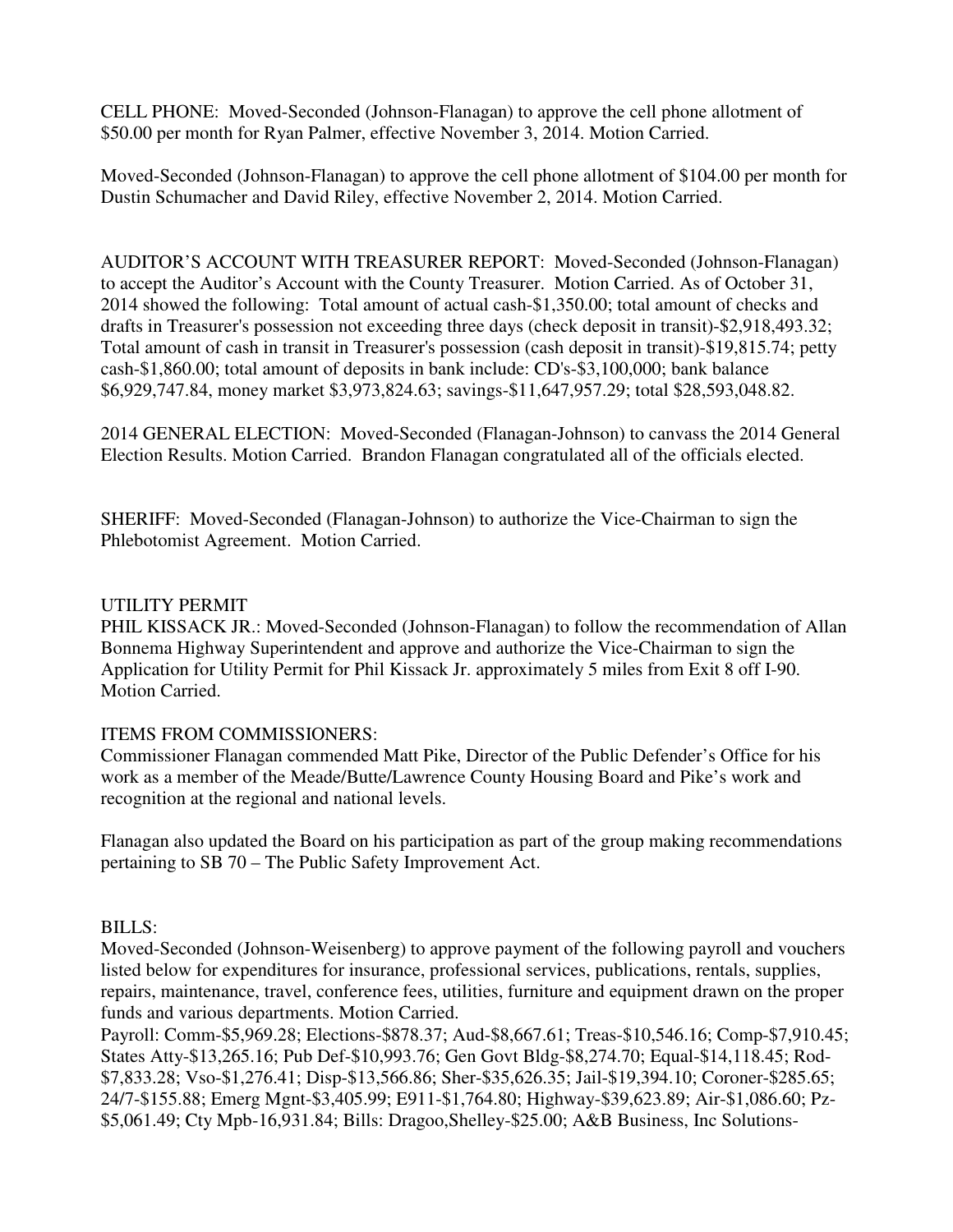CELL PHONE: Moved-Seconded (Johnson-Flanagan) to approve the cell phone allotment of \$50.00 per month for Ryan Palmer, effective November 3, 2014. Motion Carried.

Moved-Seconded (Johnson-Flanagan) to approve the cell phone allotment of \$104.00 per month for Dustin Schumacher and David Riley, effective November 2, 2014. Motion Carried.

AUDITOR'S ACCOUNT WITH TREASURER REPORT: Moved-Seconded (Johnson-Flanagan) to accept the Auditor's Account with the County Treasurer. Motion Carried. As of October 31, 2014 showed the following: Total amount of actual cash-\$1,350.00; total amount of checks and drafts in Treasurer's possession not exceeding three days (check deposit in transit)-\$2,918,493.32; Total amount of cash in transit in Treasurer's possession (cash deposit in transit)-\$19,815.74; petty cash-\$1,860.00; total amount of deposits in bank include: CD's-\$3,100,000; bank balance \$6,929,747.84, money market \$3,973,824.63; savings-\$11,647,957.29; total \$28,593,048.82.

2014 GENERAL ELECTION: Moved-Seconded (Flanagan-Johnson) to canvass the 2014 General Election Results. Motion Carried. Brandon Flanagan congratulated all of the officials elected.

SHERIFF: Moved-Seconded (Flanagan-Johnson) to authorize the Vice-Chairman to sign the Phlebotomist Agreement. Motion Carried.

### UTILITY PERMIT

PHIL KISSACK JR.: Moved-Seconded (Johnson-Flanagan) to follow the recommendation of Allan Bonnema Highway Superintendent and approve and authorize the Vice-Chairman to sign the Application for Utility Permit for Phil Kissack Jr. approximately 5 miles from Exit 8 off I-90. Motion Carried.

## ITEMS FROM COMMISSIONERS:

Commissioner Flanagan commended Matt Pike, Director of the Public Defender's Office for his work as a member of the Meade/Butte/Lawrence County Housing Board and Pike's work and recognition at the regional and national levels.

Flanagan also updated the Board on his participation as part of the group making recommendations pertaining to SB 70 – The Public Safety Improvement Act.

## BILLS:

Moved-Seconded (Johnson-Weisenberg) to approve payment of the following payroll and vouchers listed below for expenditures for insurance, professional services, publications, rentals, supplies, repairs, maintenance, travel, conference fees, utilities, furniture and equipment drawn on the proper funds and various departments. Motion Carried.

Payroll: Comm-\$5,969.28; Elections-\$878.37; Aud-\$8,667.61; Treas-\$10,546.16; Comp-\$7,910.45; States Atty-\$13,265.16; Pub Def-\$10,993.76; Gen Govt Bldg-\$8,274.70; Equal-\$14,118.45; Rod- \$7,833.28; Vso-\$1,276.41; Disp-\$13,566.86; Sher-\$35,626.35; Jail-\$19,394.10; Coroner-\$285.65; 24/7-\$155.88; Emerg Mgnt-\$3,405.99; E911-\$1,764.80; Highway-\$39,623.89; Air-\$1,086.60; Pz- \$5,061.49; Cty Mpb-16,931.84; Bills: Dragoo,Shelley-\$25.00; A&B Business, Inc Solutions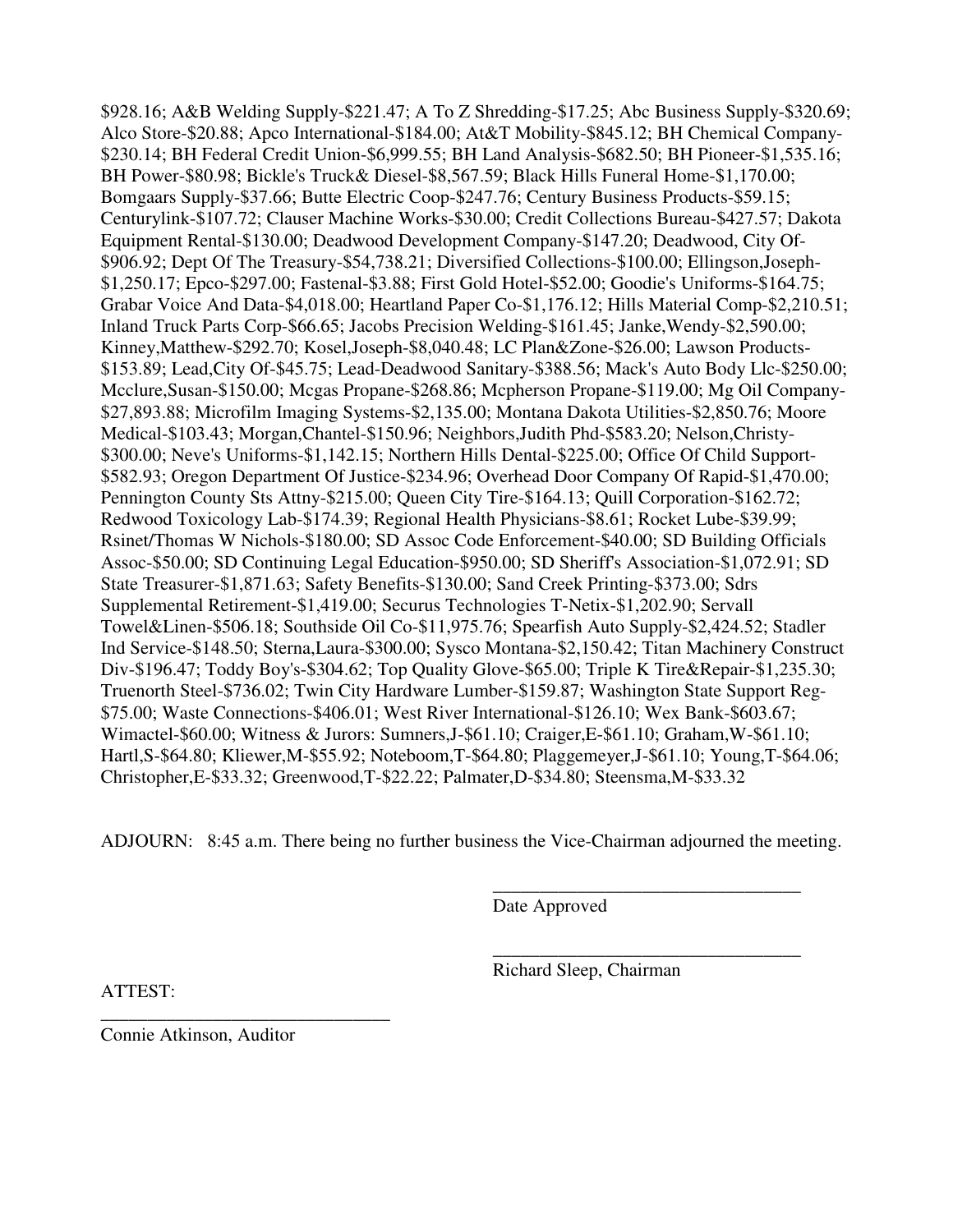\$928.16; A&B Welding Supply-\$221.47; A To Z Shredding-\$17.25; Abc Business Supply-\$320.69; Alco Store-\$20.88; Apco International-\$184.00; At&T Mobility-\$845.12; BH Chemical Company- \$230.14; BH Federal Credit Union-\$6,999.55; BH Land Analysis-\$682.50; BH Pioneer-\$1,535.16; BH Power-\$80.98; Bickle's Truck& Diesel-\$8,567.59; Black Hills Funeral Home-\$1,170.00; Bomgaars Supply-\$37.66; Butte Electric Coop-\$247.76; Century Business Products-\$59.15; Centurylink-\$107.72; Clauser Machine Works-\$30.00; Credit Collections Bureau-\$427.57; Dakota Equipment Rental-\$130.00; Deadwood Development Company-\$147.20; Deadwood, City Of- \$906.92; Dept Of The Treasury-\$54,738.21; Diversified Collections-\$100.00; Ellingson,Joseph- \$1,250.17; Epco-\$297.00; Fastenal-\$3.88; First Gold Hotel-\$52.00; Goodie's Uniforms-\$164.75; Grabar Voice And Data-\$4,018.00; Heartland Paper Co-\$1,176.12; Hills Material Comp-\$2,210.51; Inland Truck Parts Corp-\$66.65; Jacobs Precision Welding-\$161.45; Janke,Wendy-\$2,590.00; Kinney,Matthew-\$292.70; Kosel,Joseph-\$8,040.48; LC Plan&Zone-\$26.00; Lawson Products- \$153.89; Lead,City Of-\$45.75; Lead-Deadwood Sanitary-\$388.56; Mack's Auto Body Llc-\$250.00; Mcclure,Susan-\$150.00; Mcgas Propane-\$268.86; Mcpherson Propane-\$119.00; Mg Oil Company- \$27,893.88; Microfilm Imaging Systems-\$2,135.00; Montana Dakota Utilities-\$2,850.76; Moore Medical-\$103.43; Morgan,Chantel-\$150.96; Neighbors,Judith Phd-\$583.20; Nelson,Christy- \$300.00; Neve's Uniforms-\$1,142.15; Northern Hills Dental-\$225.00; Office Of Child Support- \$582.93; Oregon Department Of Justice-\$234.96; Overhead Door Company Of Rapid-\$1,470.00; Pennington County Sts Attny-\$215.00; Queen City Tire-\$164.13; Quill Corporation-\$162.72; Redwood Toxicology Lab-\$174.39; Regional Health Physicians-\$8.61; Rocket Lube-\$39.99; Rsinet/Thomas W Nichols-\$180.00; SD Assoc Code Enforcement-\$40.00; SD Building Officials Assoc-\$50.00; SD Continuing Legal Education-\$950.00; SD Sheriff's Association-\$1,072.91; SD State Treasurer-\$1,871.63; Safety Benefits-\$130.00; Sand Creek Printing-\$373.00; Sdrs Supplemental Retirement-\$1,419.00; Securus Technologies T-Netix-\$1,202.90; Servall Towel&Linen-\$506.18; Southside Oil Co-\$11,975.76; Spearfish Auto Supply-\$2,424.52; Stadler Ind Service-\$148.50; Sterna,Laura-\$300.00; Sysco Montana-\$2,150.42; Titan Machinery Construct Div-\$196.47; Toddy Boy's-\$304.62; Top Quality Glove-\$65.00; Triple K Tire&Repair-\$1,235.30; Truenorth Steel-\$736.02; Twin City Hardware Lumber-\$159.87; Washington State Support Reg- \$75.00; Waste Connections-\$406.01; West River International-\$126.10; Wex Bank-\$603.67; Wimactel-\$60.00; Witness & Jurors: Sumners,J-\$61.10; Craiger,E-\$61.10; Graham,W-\$61.10; Hartl,S-\$64.80; Kliewer,M-\$55.92; Noteboom,T-\$64.80; Plaggemeyer,J-\$61.10; Young,T-\$64.06; Christopher,E-\$33.32; Greenwood,T-\$22.22; Palmater,D-\$34.80; Steensma,M-\$33.32

ADJOURN: 8:45 a.m. There being no further business the Vice-Chairman adjourned the meeting.

 $\overline{\phantom{a}}$  , and the contract of the contract of the contract of the contract of the contract of the contract of the contract of the contract of the contract of the contract of the contract of the contract of the contrac

 $\overline{\phantom{a}}$  , and the contract of the contract of the contract of the contract of the contract of the contract of the contract of the contract of the contract of the contract of the contract of the contract of the contrac

Date Approved

Richard Sleep, Chairman

ATTEST:

Connie Atkinson, Auditor

\_\_\_\_\_\_\_\_\_\_\_\_\_\_\_\_\_\_\_\_\_\_\_\_\_\_\_\_\_\_\_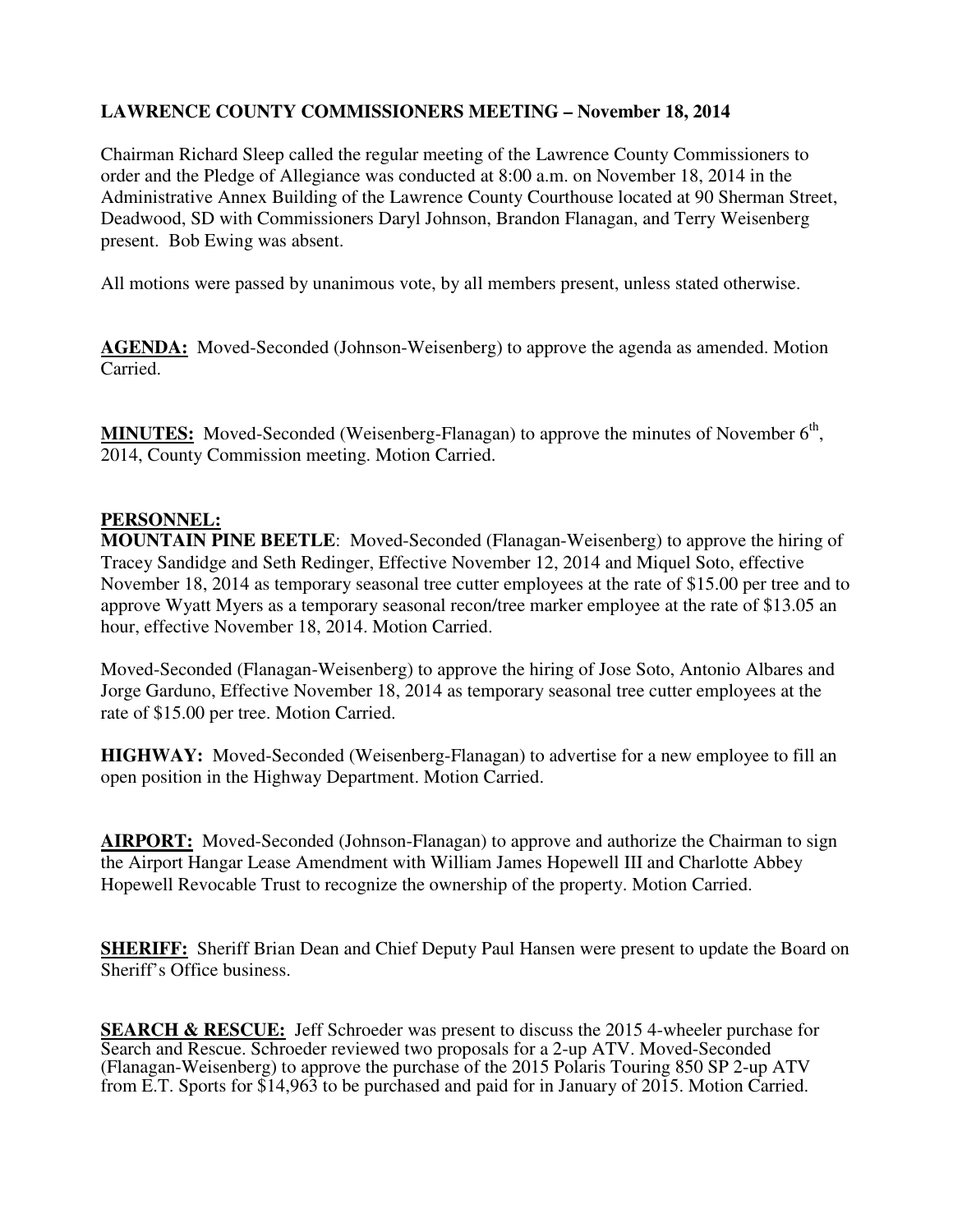# **LAWRENCE COUNTY COMMISSIONERS MEETING – November 18, 2014**

Chairman Richard Sleep called the regular meeting of the Lawrence County Commissioners to order and the Pledge of Allegiance was conducted at 8:00 a.m. on November 18, 2014 in the Administrative Annex Building of the Lawrence County Courthouse located at 90 Sherman Street, Deadwood, SD with Commissioners Daryl Johnson, Brandon Flanagan, and Terry Weisenberg present. Bob Ewing was absent.

All motions were passed by unanimous vote, by all members present, unless stated otherwise.

**AGENDA:** Moved-Seconded (Johnson-Weisenberg) to approve the agenda as amended. Motion Carried.

MINUTES: Moved-Seconded (Weisenberg-Flanagan) to approve the minutes of November 6<sup>th</sup>, 2014, County Commission meeting. Motion Carried.

### **PERSONNEL:**

**MOUNTAIN PINE BEETLE**: Moved-Seconded (Flanagan-Weisenberg) to approve the hiring of Tracey Sandidge and Seth Redinger, Effective November 12, 2014 and Miquel Soto, effective November 18, 2014 as temporary seasonal tree cutter employees at the rate of \$15.00 per tree and to approve Wyatt Myers as a temporary seasonal recon/tree marker employee at the rate of \$13.05 an hour, effective November 18, 2014. Motion Carried.

Moved-Seconded (Flanagan-Weisenberg) to approve the hiring of Jose Soto, Antonio Albares and Jorge Garduno, Effective November 18, 2014 as temporary seasonal tree cutter employees at the rate of \$15.00 per tree. Motion Carried.

**HIGHWAY:** Moved-Seconded (Weisenberg-Flanagan) to advertise for a new employee to fill an open position in the Highway Department. Motion Carried.

**AIRPORT:** Moved-Seconded (Johnson-Flanagan) to approve and authorize the Chairman to sign the Airport Hangar Lease Amendment with William James Hopewell III and Charlotte Abbey Hopewell Revocable Trust to recognize the ownership of the property. Motion Carried.

**SHERIFF:** Sheriff Brian Dean and Chief Deputy Paul Hansen were present to update the Board on Sheriff's Office business.

**SEARCH & RESCUE:** Jeff Schroeder was present to discuss the 2015 4-wheeler purchase for Search and Rescue. Schroeder reviewed two proposals for a 2-up ATV. Moved-Seconded (Flanagan-Weisenberg) to approve the purchase of the 2015 Polaris Touring 850 SP 2-up ATV from E.T. Sports for \$14,963 to be purchased and paid for in January of 2015. Motion Carried.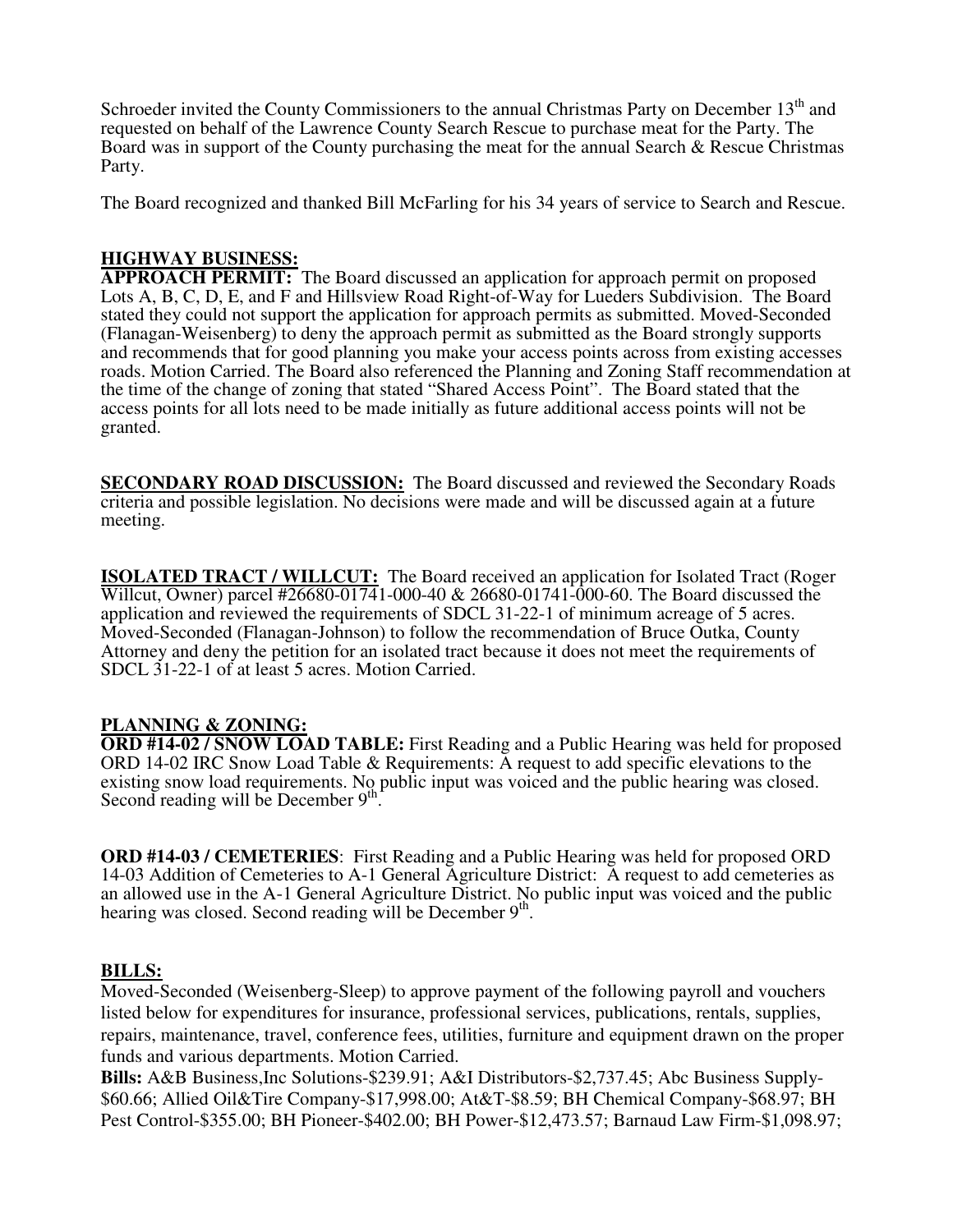Schroeder invited the County Commissioners to the annual Christmas Party on December 13<sup>th</sup> and requested on behalf of the Lawrence County Search Rescue to purchase meat for the Party. The Board was in support of the County purchasing the meat for the annual Search & Rescue Christmas Party.

The Board recognized and thanked Bill McFarling for his 34 years of service to Search and Rescue.

### **HIGHWAY BUSINESS:**

**APPROACH PERMIT:** The Board discussed an application for approach permit on proposed Lots A, B, C, D, E, and F and Hillsview Road Right-of-Way for Lueders Subdivision. The Board stated they could not support the application for approach permits as submitted. Moved-Seconded (Flanagan-Weisenberg) to deny the approach permit as submitted as the Board strongly supports and recommends that for good planning you make your access points across from existing accesses roads. Motion Carried. The Board also referenced the Planning and Zoning Staff recommendation at the time of the change of zoning that stated "Shared Access Point". The Board stated that the access points for all lots need to be made initially as future additional access points will not be granted.

**SECONDARY ROAD DISCUSSION:** The Board discussed and reviewed the Secondary Roads criteria and possible legislation. No decisions were made and will be discussed again at a future meeting.

**ISOLATED TRACT / WILLCUT:** The Board received an application for Isolated Tract (Roger Willcut, Owner) parcel #26680-01741-000-40 & 26680-01741-000-60. The Board discussed the application and reviewed the requirements of SDCL 31-22-1 of minimum acreage of 5 acres. Moved-Seconded (Flanagan-Johnson) to follow the recommendation of Bruce Outka, County Attorney and deny the petition for an isolated tract because it does not meet the requirements of SDCL 31-22-1 of at least 5 acres. Motion Carried.

### **PLANNING & ZONING:**

**ORD #14-02 / SNOW LOAD TABLE:** First Reading and a Public Hearing was held for proposed ORD 14-02 IRC Snow Load Table & Requirements: A request to add specific elevations to the existing snow load requirements. No public input was voiced and the public hearing was closed. Second reading will be December  $9<sup>th</sup>$ .

**ORD #14-03 / CEMETERIES**: First Reading and a Public Hearing was held for proposed ORD 14-03 Addition of Cemeteries to A-1 General Agriculture District: A request to add cemeteries as an allowed use in the A-1 General Agriculture District. No public input was voiced and the public hearing was closed. Second reading will be December 9<sup>th</sup>.

## **BILLS:**

Moved-Seconded (Weisenberg-Sleep) to approve payment of the following payroll and vouchers listed below for expenditures for insurance, professional services, publications, rentals, supplies, repairs, maintenance, travel, conference fees, utilities, furniture and equipment drawn on the proper funds and various departments. Motion Carried.

**Bills:** A&B Business,Inc Solutions-\$239.91; A&I Distributors-\$2,737.45; Abc Business Supply- \$60.66; Allied Oil&Tire Company-\$17,998.00; At&T-\$8.59; BH Chemical Company-\$68.97; BH Pest Control-\$355.00; BH Pioneer-\$402.00; BH Power-\$12,473.57; Barnaud Law Firm-\$1,098.97;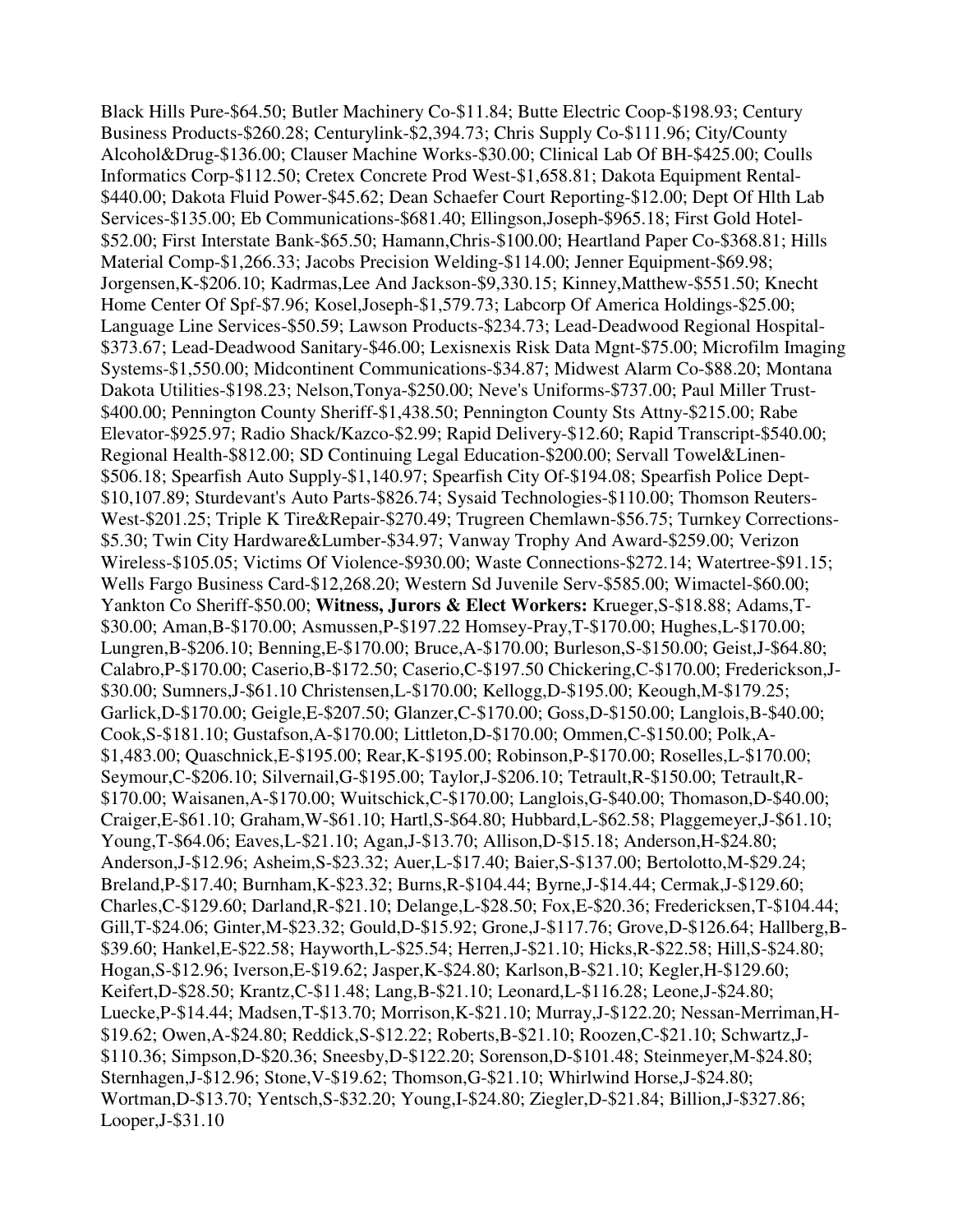Black Hills Pure-\$64.50; Butler Machinery Co-\$11.84; Butte Electric Coop-\$198.93; Century Business Products-\$260.28; Centurylink-\$2,394.73; Chris Supply Co-\$111.96; City/County Alcohol&Drug-\$136.00; Clauser Machine Works-\$30.00; Clinical Lab Of BH-\$425.00; Coulls Informatics Corp-\$112.50; Cretex Concrete Prod West-\$1,658.81; Dakota Equipment Rental- \$440.00; Dakota Fluid Power-\$45.62; Dean Schaefer Court Reporting-\$12.00; Dept Of Hlth Lab Services-\$135.00; Eb Communications-\$681.40; Ellingson,Joseph-\$965.18; First Gold Hotel- \$52.00; First Interstate Bank-\$65.50; Hamann,Chris-\$100.00; Heartland Paper Co-\$368.81; Hills Material Comp-\$1,266.33; Jacobs Precision Welding-\$114.00; Jenner Equipment-\$69.98; Jorgensen,K-\$206.10; Kadrmas,Lee And Jackson-\$9,330.15; Kinney,Matthew-\$551.50; Knecht Home Center Of Spf-\$7.96; Kosel,Joseph-\$1,579.73; Labcorp Of America Holdings-\$25.00; Language Line Services-\$50.59; Lawson Products-\$234.73; Lead-Deadwood Regional Hospital- \$373.67; Lead-Deadwood Sanitary-\$46.00; Lexisnexis Risk Data Mgnt-\$75.00; Microfilm Imaging Systems-\$1,550.00; Midcontinent Communications-\$34.87; Midwest Alarm Co-\$88.20; Montana Dakota Utilities-\$198.23; Nelson,Tonya-\$250.00; Neve's Uniforms-\$737.00; Paul Miller Trust- \$400.00; Pennington County Sheriff-\$1,438.50; Pennington County Sts Attny-\$215.00; Rabe Elevator-\$925.97; Radio Shack/Kazco-\$2.99; Rapid Delivery-\$12.60; Rapid Transcript-\$540.00; Regional Health-\$812.00; SD Continuing Legal Education-\$200.00; Servall Towel&Linen- \$506.18; Spearfish Auto Supply-\$1,140.97; Spearfish City Of-\$194.08; Spearfish Police Dept- \$10,107.89; Sturdevant's Auto Parts-\$826.74; Sysaid Technologies-\$110.00; Thomson Reuters-West-\$201.25; Triple K Tire&Repair-\$270.49; Trugreen Chemlawn-\$56.75; Turnkey Corrections- \$5.30; Twin City Hardware&Lumber-\$34.97; Vanway Trophy And Award-\$259.00; Verizon Wireless-\$105.05; Victims Of Violence-\$930.00; Waste Connections-\$272.14; Watertree-\$91.15; Wells Fargo Business Card-\$12,268.20; Western Sd Juvenile Serv-\$585.00; Wimactel-\$60.00; Yankton Co Sheriff-\$50.00; **Witness, Jurors & Elect Workers:** Krueger,S-\$18.88; Adams,T- \$30.00; Aman,B-\$170.00; Asmussen,P-\$197.22 Homsey-Pray,T-\$170.00; Hughes,L-\$170.00; Lungren,B-\$206.10; Benning,E-\$170.00; Bruce,A-\$170.00; Burleson,S-\$150.00; Geist,J-\$64.80; Calabro,P-\$170.00; Caserio,B-\$172.50; Caserio,C-\$197.50 Chickering,C-\$170.00; Frederickson,J- \$30.00; Sumners,J-\$61.10 Christensen,L-\$170.00; Kellogg,D-\$195.00; Keough,M-\$179.25; Garlick,D-\$170.00; Geigle,E-\$207.50; Glanzer,C-\$170.00; Goss,D-\$150.00; Langlois,B-\$40.00; Cook,S-\$181.10; Gustafson,A-\$170.00; Littleton,D-\$170.00; Ommen,C-\$150.00; Polk,A- \$1,483.00; Quaschnick,E-\$195.00; Rear,K-\$195.00; Robinson,P-\$170.00; Roselles,L-\$170.00; Seymour,C-\$206.10; Silvernail,G-\$195.00; Taylor,J-\$206.10; Tetrault,R-\$150.00; Tetrault,R- \$170.00; Waisanen,A-\$170.00; Wuitschick,C-\$170.00; Langlois,G-\$40.00; Thomason,D-\$40.00; Craiger,E-\$61.10; Graham,W-\$61.10; Hartl,S-\$64.80; Hubbard,L-\$62.58; Plaggemeyer,J-\$61.10; Young,T-\$64.06; Eaves,L-\$21.10; Agan,J-\$13.70; Allison,D-\$15.18; Anderson,H-\$24.80; Anderson,J-\$12.96; Asheim,S-\$23.32; Auer,L-\$17.40; Baier,S-\$137.00; Bertolotto,M-\$29.24; Breland,P-\$17.40; Burnham,K-\$23.32; Burns,R-\$104.44; Byrne,J-\$14.44; Cermak,J-\$129.60; Charles,C-\$129.60; Darland,R-\$21.10; Delange,L-\$28.50; Fox,E-\$20.36; Fredericksen,T-\$104.44; Gill,T-\$24.06; Ginter,M-\$23.32; Gould,D-\$15.92; Grone,J-\$117.76; Grove,D-\$126.64; Hallberg,B- \$39.60; Hankel,E-\$22.58; Hayworth,L-\$25.54; Herren,J-\$21.10; Hicks,R-\$22.58; Hill,S-\$24.80; Hogan,S-\$12.96; Iverson,E-\$19.62; Jasper,K-\$24.80; Karlson,B-\$21.10; Kegler,H-\$129.60; Keifert,D-\$28.50; Krantz,C-\$11.48; Lang,B-\$21.10; Leonard,L-\$116.28; Leone,J-\$24.80; Luecke,P-\$14.44; Madsen,T-\$13.70; Morrison,K-\$21.10; Murray,J-\$122.20; Nessan-Merriman,H- \$19.62; Owen,A-\$24.80; Reddick,S-\$12.22; Roberts,B-\$21.10; Roozen,C-\$21.10; Schwartz,J- \$110.36; Simpson,D-\$20.36; Sneesby,D-\$122.20; Sorenson,D-\$101.48; Steinmeyer,M-\$24.80; Sternhagen,J-\$12.96; Stone,V-\$19.62; Thomson,G-\$21.10; Whirlwind Horse,J-\$24.80; Wortman,D-\$13.70; Yentsch,S-\$32.20; Young,I-\$24.80; Ziegler,D-\$21.84; Billion,J-\$327.86; Looper,J-\$31.10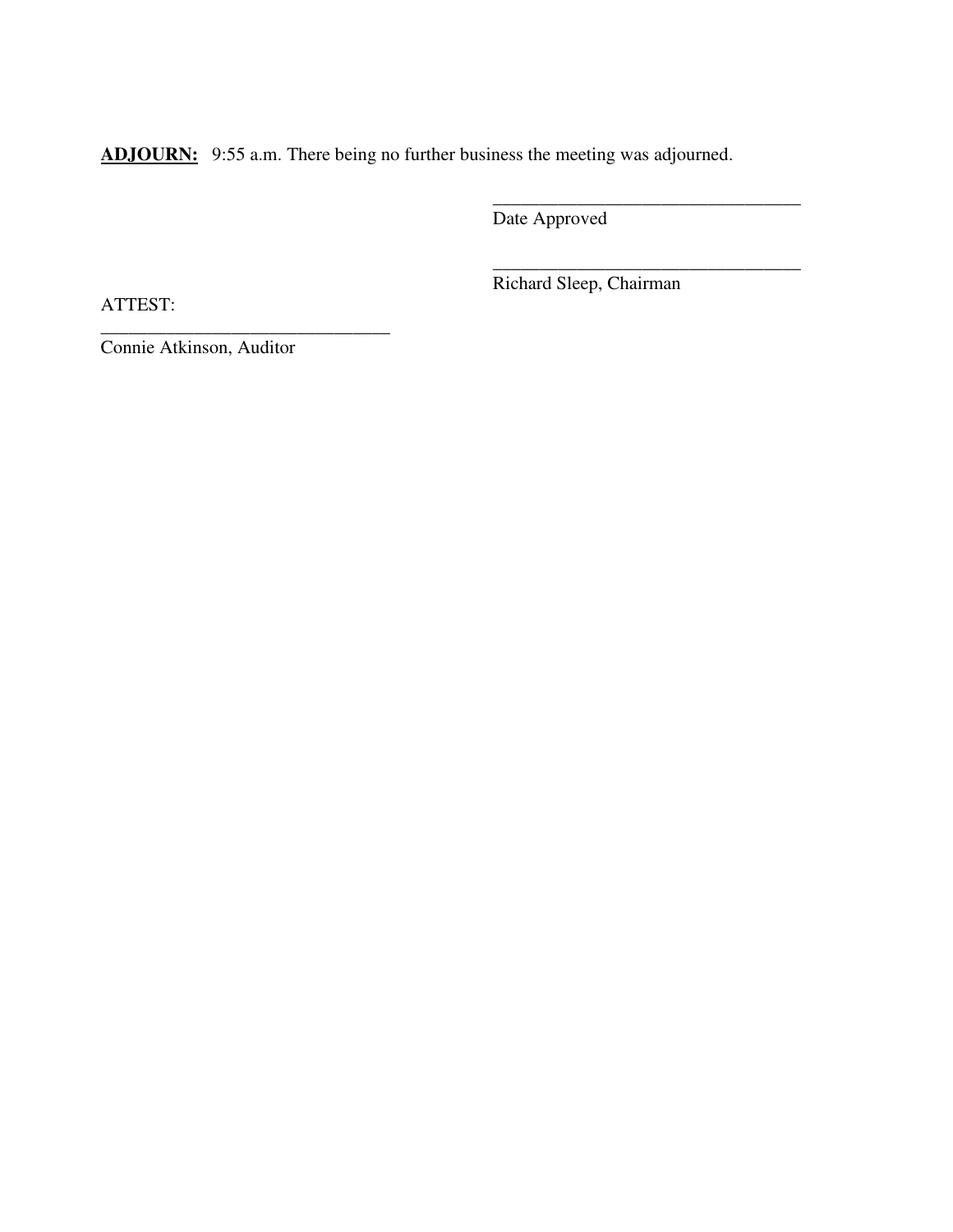ADJOURN: 9:55 a.m. There being no further business the meeting was adjourned.

 $\overline{\phantom{a}}$  , and the contract of the contract of the contract of the contract of the contract of the contract of the contract of the contract of the contract of the contract of the contract of the contract of the contrac

 $\overline{\phantom{a}}$  , and the contract of the contract of the contract of the contract of the contract of the contract of the contract of the contract of the contract of the contract of the contract of the contract of the contrac

Date Approved

ATTEST:

Richard Sleep, Chairman

\_\_\_\_\_\_\_\_\_\_\_\_\_\_\_\_\_\_\_\_\_\_\_\_\_\_\_\_\_\_\_ Connie Atkinson, Auditor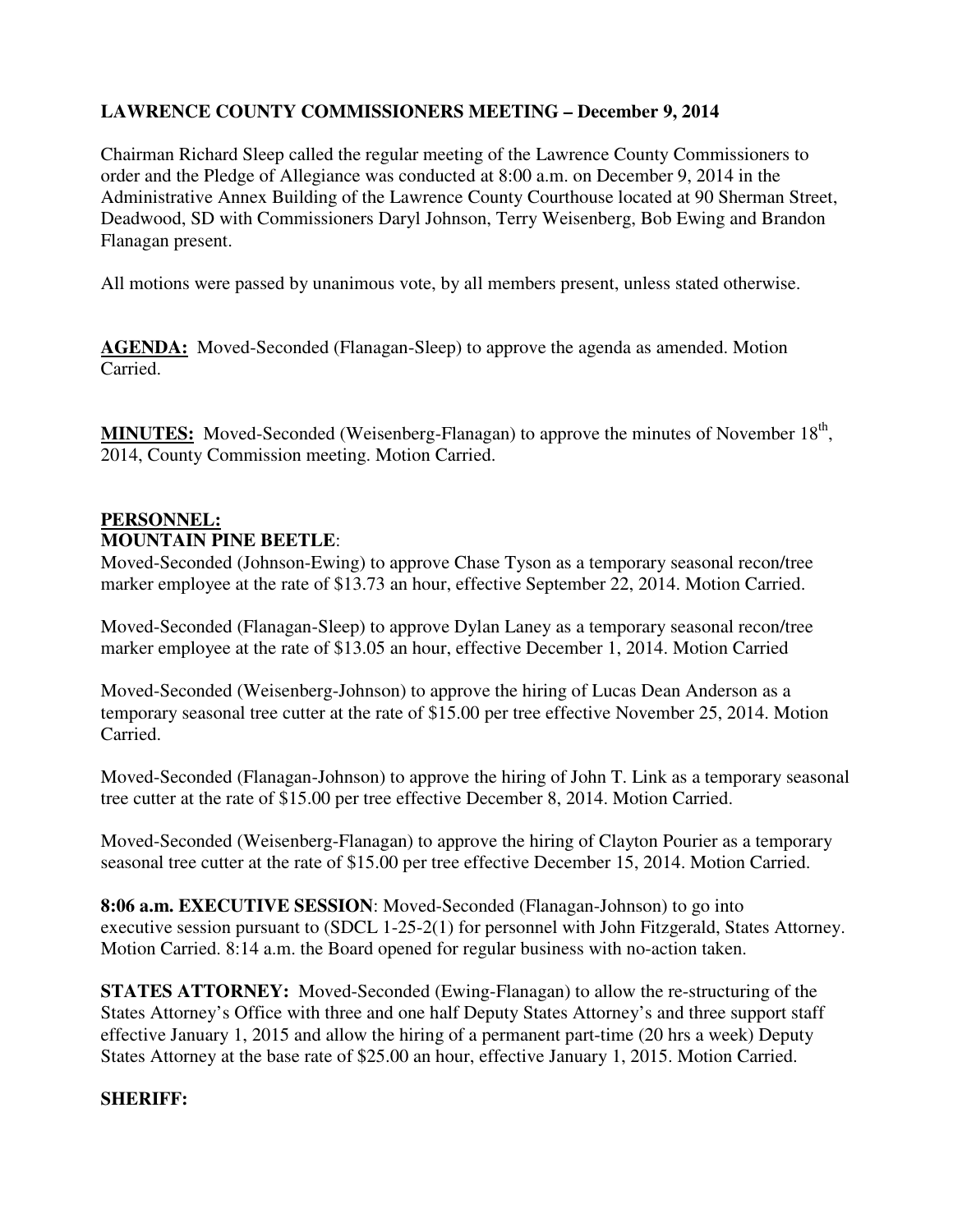# **LAWRENCE COUNTY COMMISSIONERS MEETING – December 9, 2014**

Chairman Richard Sleep called the regular meeting of the Lawrence County Commissioners to order and the Pledge of Allegiance was conducted at 8:00 a.m. on December 9, 2014 in the Administrative Annex Building of the Lawrence County Courthouse located at 90 Sherman Street, Deadwood, SD with Commissioners Daryl Johnson, Terry Weisenberg, Bob Ewing and Brandon Flanagan present.

All motions were passed by unanimous vote, by all members present, unless stated otherwise.

**AGENDA:** Moved-Seconded (Flanagan-Sleep) to approve the agenda as amended. Motion Carried.

MINUTES: Moved-Seconded (Weisenberg-Flanagan) to approve the minutes of November 18<sup>th</sup>, 2014, County Commission meeting. Motion Carried.

## **PERSONNEL:**

### **MOUNTAIN PINE BEETLE**:

Moved-Seconded (Johnson-Ewing) to approve Chase Tyson as a temporary seasonal recon/tree marker employee at the rate of \$13.73 an hour, effective September 22, 2014. Motion Carried.

Moved-Seconded (Flanagan-Sleep) to approve Dylan Laney as a temporary seasonal recon/tree marker employee at the rate of \$13.05 an hour, effective December 1, 2014. Motion Carried

Moved-Seconded (Weisenberg-Johnson) to approve the hiring of Lucas Dean Anderson as a temporary seasonal tree cutter at the rate of \$15.00 per tree effective November 25, 2014. Motion Carried.

Moved-Seconded (Flanagan-Johnson) to approve the hiring of John T. Link as a temporary seasonal tree cutter at the rate of \$15.00 per tree effective December 8, 2014. Motion Carried.

Moved-Seconded (Weisenberg-Flanagan) to approve the hiring of Clayton Pourier as a temporary seasonal tree cutter at the rate of \$15.00 per tree effective December 15, 2014. Motion Carried.

**8:06 a.m. EXECUTIVE SESSION**: Moved-Seconded (Flanagan-Johnson) to go into executive session pursuant to (SDCL 1-25-2(1) for personnel with John Fitzgerald, States Attorney. Motion Carried. 8:14 a.m. the Board opened for regular business with no-action taken.

**STATES ATTORNEY:** Moved-Seconded (Ewing-Flanagan) to allow the re-structuring of the States Attorney's Office with three and one half Deputy States Attorney's and three support staff effective January 1, 2015 and allow the hiring of a permanent part-time (20 hrs a week) Deputy States Attorney at the base rate of \$25.00 an hour, effective January 1, 2015. Motion Carried.

## **SHERIFF:**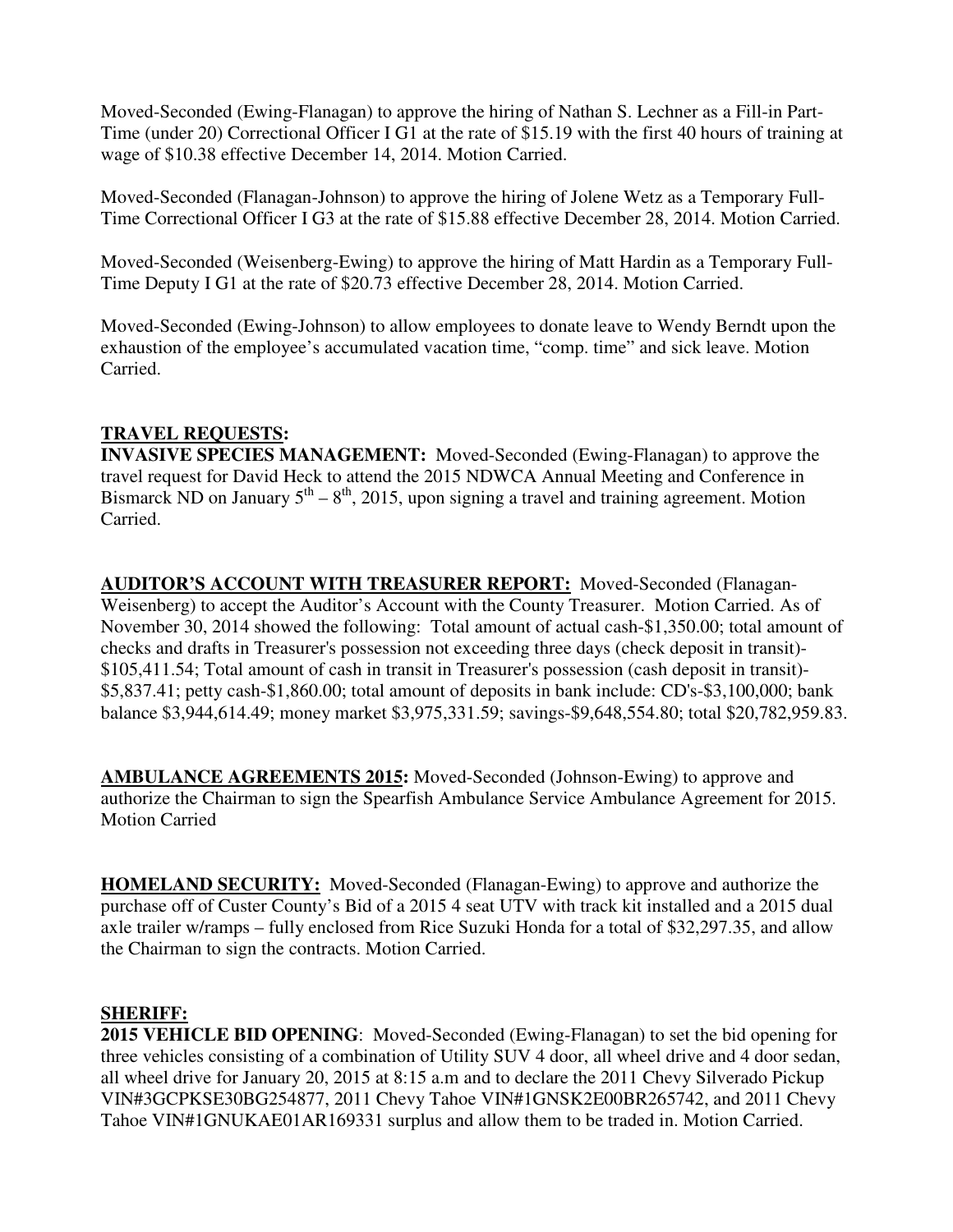Moved-Seconded (Ewing-Flanagan) to approve the hiring of Nathan S. Lechner as a Fill-in Part-Time (under 20) Correctional Officer I G1 at the rate of \$15.19 with the first 40 hours of training at wage of \$10.38 effective December 14, 2014. Motion Carried.

Moved-Seconded (Flanagan-Johnson) to approve the hiring of Jolene Wetz as a Temporary Full-Time Correctional Officer I G3 at the rate of \$15.88 effective December 28, 2014. Motion Carried.

Moved-Seconded (Weisenberg-Ewing) to approve the hiring of Matt Hardin as a Temporary Full-Time Deputy I G1 at the rate of \$20.73 effective December 28, 2014. Motion Carried.

Moved-Seconded (Ewing-Johnson) to allow employees to donate leave to Wendy Berndt upon the exhaustion of the employee's accumulated vacation time, "comp. time" and sick leave. Motion Carried.

# **TRAVEL REQUESTS:**

**INVASIVE SPECIES MANAGEMENT:** Moved-Seconded (Ewing-Flanagan) to approve the travel request for David Heck to attend the 2015 NDWCA Annual Meeting and Conference in Bismarck ND on January  $5^{th} - 8^{th}$ , 2015, upon signing a travel and training agreement. Motion Carried.

**AUDITOR'S ACCOUNT WITH TREASURER REPORT:** Moved-Seconded (Flanagan-Weisenberg) to accept the Auditor's Account with the County Treasurer. Motion Carried. As of November 30, 2014 showed the following: Total amount of actual cash-\$1,350.00; total amount of checks and drafts in Treasurer's possession not exceeding three days (check deposit in transit)- \$105,411.54; Total amount of cash in transit in Treasurer's possession (cash deposit in transit)- \$5,837.41; petty cash-\$1,860.00; total amount of deposits in bank include: CD's-\$3,100,000; bank balance \$3,944,614.49; money market \$3,975,331.59; savings-\$9,648,554.80; total \$20,782,959.83.

**AMBULANCE AGREEMENTS 2015:** Moved-Seconded (Johnson-Ewing) to approve and authorize the Chairman to sign the Spearfish Ambulance Service Ambulance Agreement for 2015. Motion Carried

**HOMELAND SECURITY:** Moved-Seconded (Flanagan-Ewing) to approve and authorize the purchase off of Custer County's Bid of a 2015 4 seat UTV with track kit installed and a 2015 dual axle trailer w/ramps – fully enclosed from Rice Suzuki Honda for a total of \$32,297.35, and allow the Chairman to sign the contracts. Motion Carried.

## **SHERIFF:**

**2015 VEHICLE BID OPENING**: Moved-Seconded (Ewing-Flanagan) to set the bid opening for three vehicles consisting of a combination of Utility SUV 4 door, all wheel drive and 4 door sedan, all wheel drive for January 20, 2015 at 8:15 a.m and to declare the 2011 Chevy Silverado Pickup VIN#3GCPKSE30BG254877, 2011 Chevy Tahoe VIN#1GNSK2E00BR265742, and 2011 Chevy Tahoe VIN#1GNUKAE01AR169331 surplus and allow them to be traded in. Motion Carried.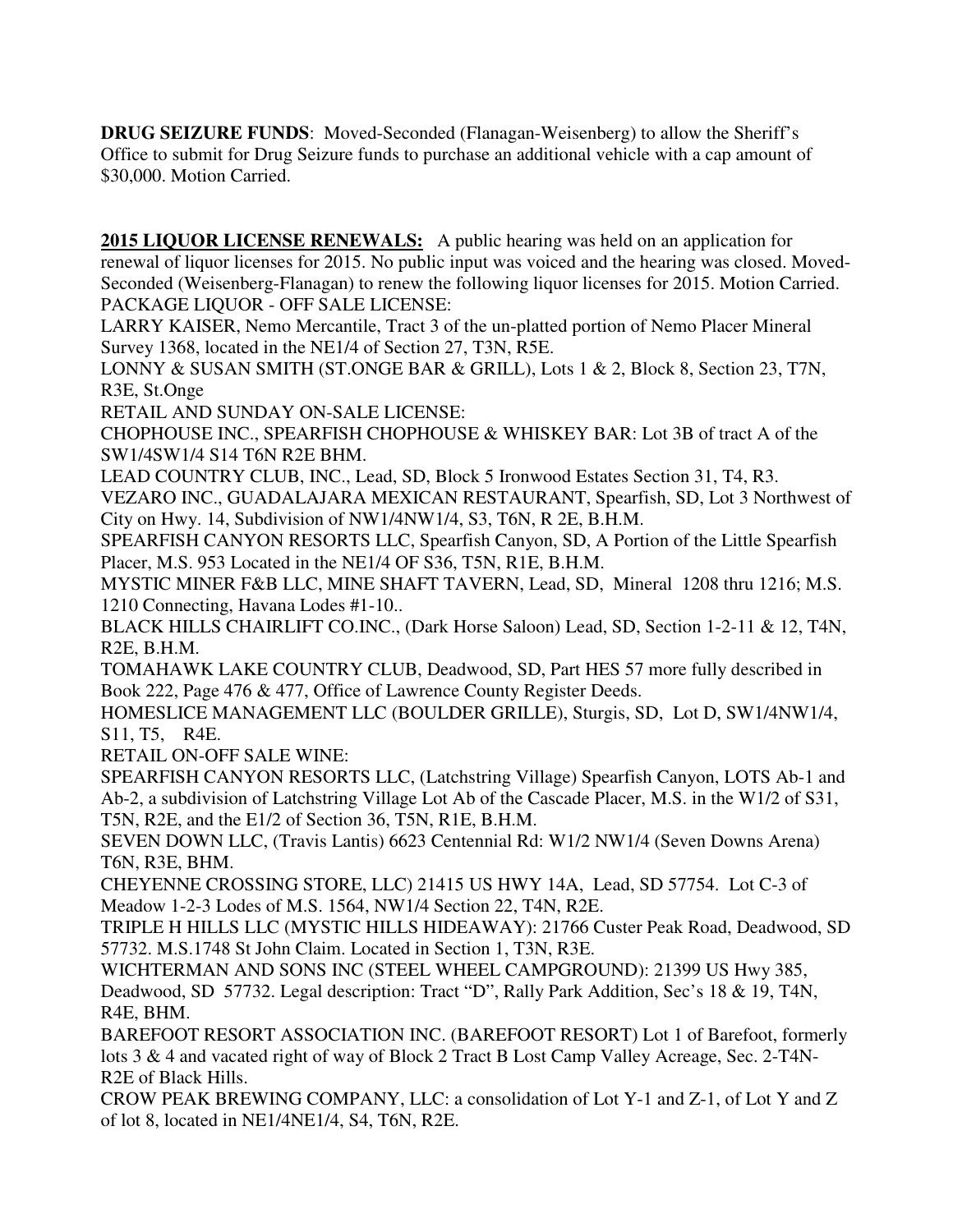**DRUG SEIZURE FUNDS**: Moved-Seconded (Flanagan-Weisenberg) to allow the Sheriff's Office to submit for Drug Seizure funds to purchase an additional vehicle with a cap amount of \$30,000. Motion Carried.

**2015 LIQUOR LICENSE RENEWALS:** A public hearing was held on an application for renewal of liquor licenses for 2015. No public input was voiced and the hearing was closed. Moved-Seconded (Weisenberg-Flanagan) to renew the following liquor licenses for 2015. Motion Carried. PACKAGE LIQUOR - OFF SALE LICENSE:

LARRY KAISER, Nemo Mercantile, Tract 3 of the un-platted portion of Nemo Placer Mineral Survey 1368, located in the NE1/4 of Section 27, T3N, R5E.

LONNY & SUSAN SMITH (ST.ONGE BAR & GRILL), Lots 1 & 2, Block 8, Section 23, T7N, R3E, St.Onge

RETAIL AND SUNDAY ON-SALE LICENSE:

CHOPHOUSE INC., SPEARFISH CHOPHOUSE & WHISKEY BAR: Lot 3B of tract A of the SW1/4SW1/4 S14 T6N R2E BHM.

LEAD COUNTRY CLUB, INC., Lead, SD, Block 5 Ironwood Estates Section 31, T4, R3.

VEZARO INC., GUADALAJARA MEXICAN RESTAURANT, Spearfish, SD, Lot 3 Northwest of City on Hwy. 14, Subdivision of NW1/4NW1/4, S3, T6N, R 2E, B.H.M.

SPEARFISH CANYON RESORTS LLC, Spearfish Canyon, SD, A Portion of the Little Spearfish Placer, M.S. 953 Located in the NE1/4 OF S36, T5N, R1E, B.H.M.

MYSTIC MINER F&B LLC, MINE SHAFT TAVERN, Lead, SD, Mineral 1208 thru 1216; M.S. 1210 Connecting, Havana Lodes #1-10..

BLACK HILLS CHAIRLIFT CO.INC., (Dark Horse Saloon) Lead, SD, Section 1-2-11 & 12, T4N, R2E, B.H.M.

TOMAHAWK LAKE COUNTRY CLUB, Deadwood, SD, Part HES 57 more fully described in Book 222, Page 476 & 477, Office of Lawrence County Register Deeds.

HOMESLICE MANAGEMENT LLC (BOULDER GRILLE), Sturgis, SD, Lot D, SW1/4NW1/4, S11, T5, R4E.

RETAIL ON-OFF SALE WINE:

SPEARFISH CANYON RESORTS LLC, (Latchstring Village) Spearfish Canyon, LOTS Ab-1 and Ab-2, a subdivision of Latchstring Village Lot Ab of the Cascade Placer, M.S. in the W1/2 of S31, T5N, R2E, and the E1/2 of Section 36, T5N, R1E, B.H.M.

SEVEN DOWN LLC, (Travis Lantis) 6623 Centennial Rd: W1/2 NW1/4 (Seven Downs Arena) T6N, R3E, BHM.

CHEYENNE CROSSING STORE, LLC) 21415 US HWY 14A, Lead, SD 57754. Lot C-3 of Meadow 1-2-3 Lodes of M.S. 1564, NW1/4 Section 22, T4N, R2E.

TRIPLE H HILLS LLC (MYSTIC HILLS HIDEAWAY): 21766 Custer Peak Road, Deadwood, SD 57732. M.S.1748 St John Claim. Located in Section 1, T3N, R3E.

WICHTERMAN AND SONS INC (STEEL WHEEL CAMPGROUND): 21399 US Hwy 385, Deadwood, SD 57732. Legal description: Tract "D", Rally Park Addition, Sec's 18 & 19, T4N, R4E, BHM.

BAREFOOT RESORT ASSOCIATION INC. (BAREFOOT RESORT) Lot 1 of Barefoot, formerly lots 3 & 4 and vacated right of way of Block 2 Tract B Lost Camp Valley Acreage, Sec. 2-T4N-R2E of Black Hills.

CROW PEAK BREWING COMPANY, LLC: a consolidation of Lot Y-1 and Z-1, of Lot Y and Z of lot 8, located in NE1/4NE1/4, S4, T6N, R2E.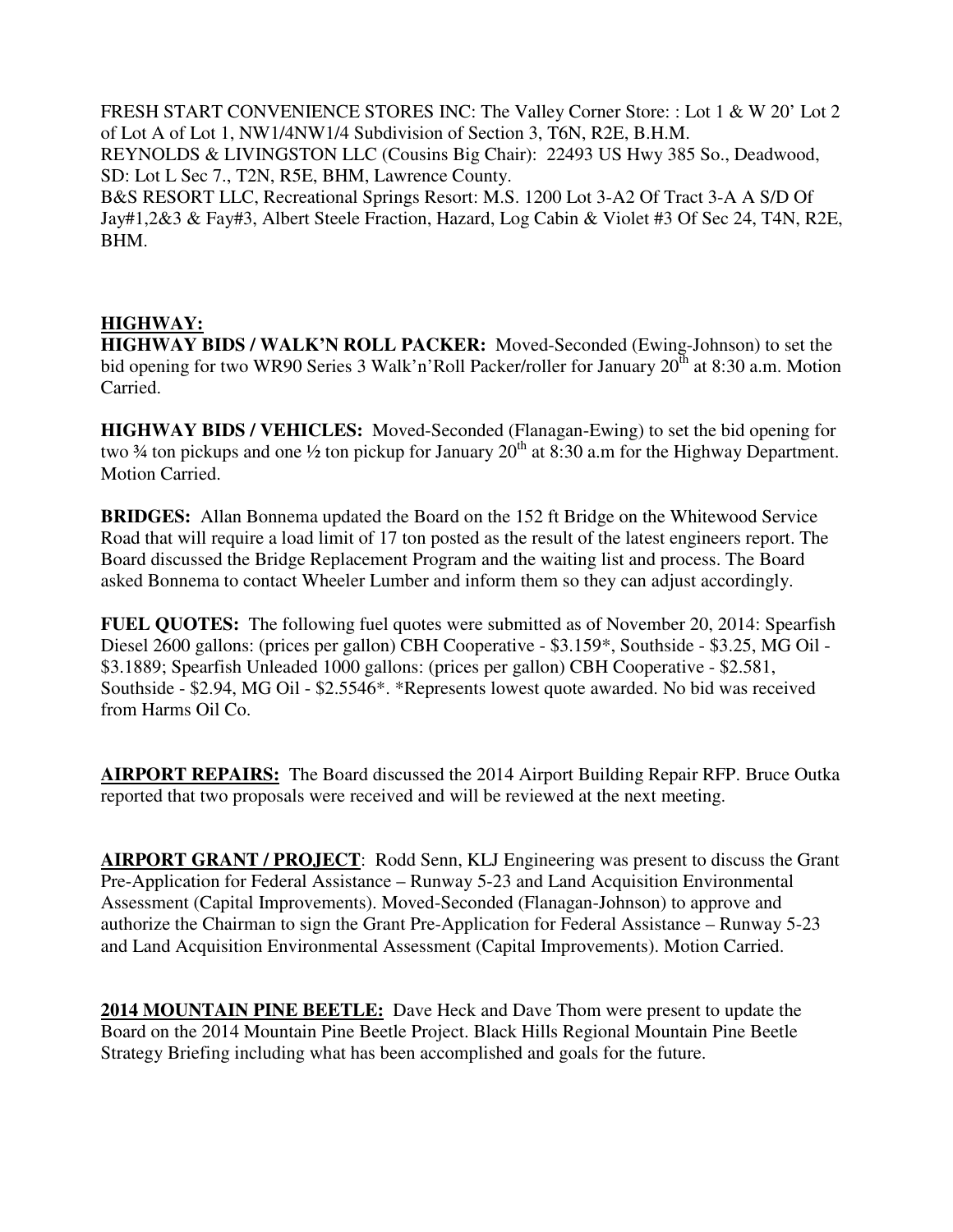FRESH START CONVENIENCE STORES INC: The Valley Corner Store: : Lot 1 & W 20' Lot 2 of Lot A of Lot 1, NW1/4NW1/4 Subdivision of Section 3, T6N, R2E, B.H.M. REYNOLDS & LIVINGSTON LLC (Cousins Big Chair): 22493 US Hwy 385 So., Deadwood, SD: Lot L Sec 7., T2N, R5E, BHM, Lawrence County. B&S RESORT LLC, Recreational Springs Resort: M.S. 1200 Lot 3-A2 Of Tract 3-A A S/D Of Jay#1,2&3 & Fay#3, Albert Steele Fraction, Hazard, Log Cabin & Violet #3 Of Sec 24, T4N, R2E, BHM.

### **HIGHWAY:**

**HIGHWAY BIDS / WALK'N ROLL PACKER:** Moved-Seconded (Ewing-Johnson) to set the bid opening for two WR90 Series 3 Walk'n'Roll Packer/roller for January  $20^{\text{th}}$  at 8:30 a.m. Motion Carried.

**HIGHWAY BIDS / VEHICLES:** Moved-Seconded (Flanagan-Ewing) to set the bid opening for two  $\frac{3}{4}$  ton pickups and one  $\frac{1}{2}$  ton pickup for January  $20^{th}$  at  $8:30$  a.m for the Highway Department. Motion Carried.

**BRIDGES:** Allan Bonnema updated the Board on the 152 ft Bridge on the Whitewood Service Road that will require a load limit of 17 ton posted as the result of the latest engineers report. The Board discussed the Bridge Replacement Program and the waiting list and process. The Board asked Bonnema to contact Wheeler Lumber and inform them so they can adjust accordingly.

**FUEL QUOTES:** The following fuel quotes were submitted as of November 20, 2014: Spearfish Diesel 2600 gallons: (prices per gallon) CBH Cooperative - \$3.159\*, Southside - \$3.25, MG Oil - \$3.1889; Spearfish Unleaded 1000 gallons: (prices per gallon) CBH Cooperative - \$2.581, Southside - \$2.94, MG Oil - \$2.5546\*. \*Represents lowest quote awarded. No bid was received from Harms Oil Co.

**AIRPORT REPAIRS:** The Board discussed the 2014 Airport Building Repair RFP. Bruce Outka reported that two proposals were received and will be reviewed at the next meeting.

**AIRPORT GRANT / PROJECT**: Rodd Senn, KLJ Engineering was present to discuss the Grant Pre-Application for Federal Assistance – Runway 5-23 and Land Acquisition Environmental Assessment (Capital Improvements). Moved-Seconded (Flanagan-Johnson) to approve and authorize the Chairman to sign the Grant Pre-Application for Federal Assistance – Runway 5-23 and Land Acquisition Environmental Assessment (Capital Improvements). Motion Carried.

**2014 MOUNTAIN PINE BEETLE:** Dave Heck and Dave Thom were present to update the Board on the 2014 Mountain Pine Beetle Project. Black Hills Regional Mountain Pine Beetle Strategy Briefing including what has been accomplished and goals for the future.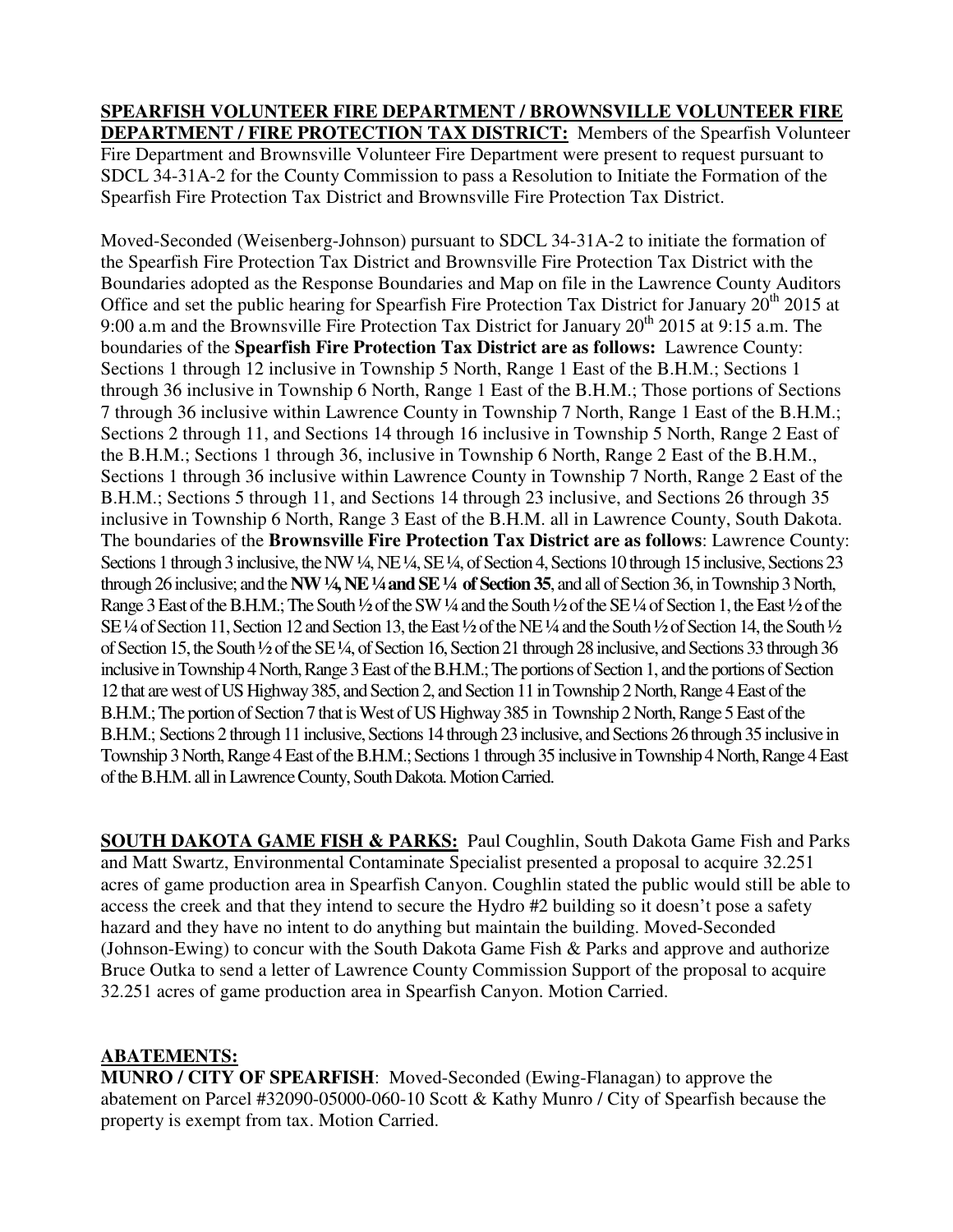**SPEARFISH VOLUNTEER FIRE DEPARTMENT / BROWNSVILLE VOLUNTEER FIRE DEPARTMENT / FIRE PROTECTION TAX DISTRICT:** Members of the Spearfish Volunteer Fire Department and Brownsville Volunteer Fire Department were present to request pursuant to SDCL 34-31A-2 for the County Commission to pass a Resolution to Initiate the Formation of the Spearfish Fire Protection Tax District and Brownsville Fire Protection Tax District.

Moved-Seconded (Weisenberg-Johnson) pursuant to SDCL 34-31A-2 to initiate the formation of the Spearfish Fire Protection Tax District and Brownsville Fire Protection Tax District with the Boundaries adopted as the Response Boundaries and Map on file in the Lawrence County Auditors Office and set the public hearing for Spearfish Fire Protection Tax District for January 20<sup>th</sup> 2015 at 9:00 a.m and the Brownsville Fire Protection Tax District for January 20<sup>th</sup> 2015 at 9:15 a.m. The boundaries of the **Spearfish Fire Protection Tax District are as follows:** Lawrence County: Sections 1 through 12 inclusive in Township 5 North, Range 1 East of the B.H.M.; Sections 1 through 36 inclusive in Township 6 North, Range 1 East of the B.H.M.; Those portions of Sections 7 through 36 inclusive within Lawrence County in Township 7 North, Range 1 East of the B.H.M.; Sections 2 through 11, and Sections 14 through 16 inclusive in Township 5 North, Range 2 East of the B.H.M.; Sections 1 through 36, inclusive in Township 6 North, Range 2 East of the B.H.M., Sections 1 through 36 inclusive within Lawrence County in Township 7 North, Range 2 East of the B.H.M.; Sections 5 through 11, and Sections 14 through 23 inclusive, and Sections 26 through 35 inclusive in Township 6 North, Range 3 East of the B.H.M. all in Lawrence County, South Dakota. The boundaries of the **Brownsville Fire Protection Tax District are as follows**: Lawrence County: Sections 1 through 3 inclusive, the NW ¼, NE ¼, SE ¼, of Section 4, Sections 10 through 15 inclusive, Sections 23 through 26 inclusive; and the **NW ¼, NE ¼ and SE ¼ of Section 35**, and all of Section 36, in Township 3 North, Range 3 East of the B.H.M.; The South ½ of the SW ¼ and the South ½ of the SE ¼ of Section 1, the East ½ of the SE ¼ of Section 11, Section 12 and Section 13, the East ½ of the NE ¼ and the South ½ of Section 14, the South ½ of Section 15, the South ½ of the SE ¼, of Section 16, Section 21 through 28 inclusive, and Sections 33 through 36 inclusive in Township 4 North, Range 3 East of the B.H.M.; The portions of Section 1, and the portions of Section 12 that are west of US Highway 385, and Section 2, and Section 11 in Township 2 North, Range 4 East of the B.H.M.; The portion of Section 7 that is West of US Highway 385 in Township 2 North, Range 5 East of the B.H.M.; Sections 2 through 11 inclusive, Sections 14 through 23 inclusive, and Sections 26 through 35 inclusive in Township 3 North, Range 4 East of the B.H.M.; Sections 1 through 35 inclusive in Township 4 North, Range 4 East of the B.H.M. all in Lawrence County, South Dakota. Motion Carried.

**SOUTH DAKOTA GAME FISH & PARKS:** Paul Coughlin, South Dakota Game Fish and Parks and Matt Swartz, Environmental Contaminate Specialist presented a proposal to acquire 32.251 acres of game production area in Spearfish Canyon. Coughlin stated the public would still be able to access the creek and that they intend to secure the Hydro #2 building so it doesn't pose a safety hazard and they have no intent to do anything but maintain the building. Moved-Seconded (Johnson-Ewing) to concur with the South Dakota Game Fish & Parks and approve and authorize Bruce Outka to send a letter of Lawrence County Commission Support of the proposal to acquire 32.251 acres of game production area in Spearfish Canyon. Motion Carried.

### **ABATEMENTS:**

**MUNRO / CITY OF SPEARFISH**: Moved-Seconded (Ewing-Flanagan) to approve the abatement on Parcel #32090-05000-060-10 Scott & Kathy Munro / City of Spearfish because the property is exempt from tax. Motion Carried.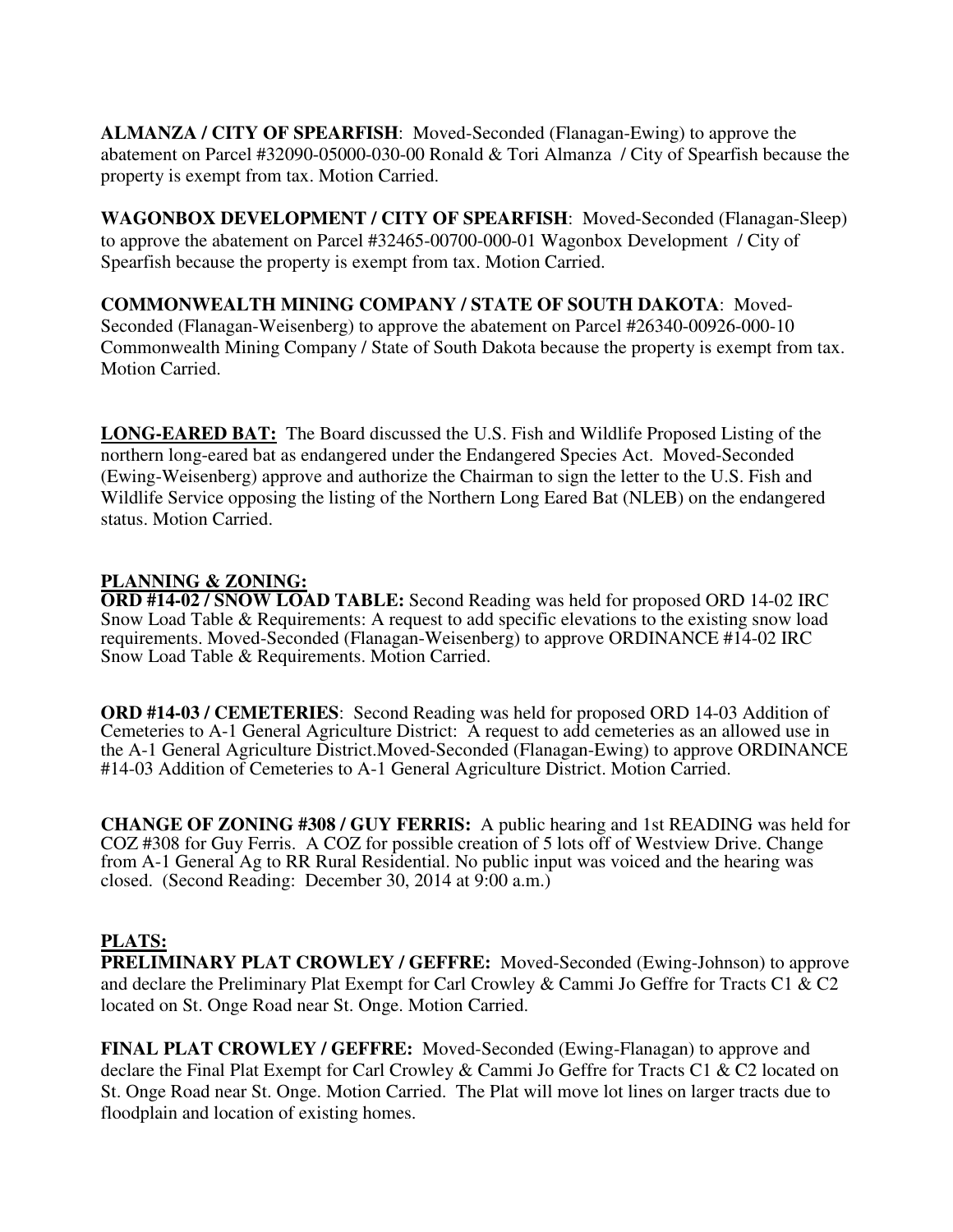**ALMANZA / CITY OF SPEARFISH**: Moved-Seconded (Flanagan-Ewing) to approve the abatement on Parcel #32090-05000-030-00 Ronald & Tori Almanza / City of Spearfish because the property is exempt from tax. Motion Carried.

**WAGONBOX DEVELOPMENT / CITY OF SPEARFISH**: Moved-Seconded (Flanagan-Sleep) to approve the abatement on Parcel #32465-00700-000-01 Wagonbox Development / City of Spearfish because the property is exempt from tax. Motion Carried.

**COMMONWEALTH MINING COMPANY / STATE OF SOUTH DAKOTA**: Moved-Seconded (Flanagan-Weisenberg) to approve the abatement on Parcel #26340-00926-000-10 Commonwealth Mining Company / State of South Dakota because the property is exempt from tax. Motion Carried.

**LONG-EARED BAT:** The Board discussed the U.S. Fish and Wildlife Proposed Listing of the northern long-eared bat as endangered under the Endangered Species Act. Moved-Seconded (Ewing-Weisenberg) approve and authorize the Chairman to sign the letter to the U.S. Fish and Wildlife Service opposing the listing of the Northern Long Eared Bat (NLEB) on the endangered status. Motion Carried.

## **PLANNING & ZONING:**

**ORD #14-02 / SNOW LOAD TABLE:** Second Reading was held for proposed ORD 14-02 IRC Snow Load Table & Requirements: A request to add specific elevations to the existing snow load requirements. Moved-Seconded (Flanagan-Weisenberg) to approve ORDINANCE #14-02 IRC Snow Load Table & Requirements. Motion Carried.

**ORD #14-03 / CEMETERIES**: Second Reading was held for proposed ORD 14-03 Addition of Cemeteries to A-1 General Agriculture District: A request to add cemeteries as an allowed use in the A-1 General Agriculture District.Moved-Seconded (Flanagan-Ewing) to approve ORDINANCE #14-03 Addition of Cemeteries to A-1 General Agriculture District. Motion Carried.

**CHANGE OF ZONING #308 / GUY FERRIS:** A public hearing and 1st READING was held for COZ #308 for Guy Ferris. A COZ for possible creation of 5 lots off of Westview Drive. Change from A-1 General Ag to RR Rural Residential. No public input was voiced and the hearing was closed. (Second Reading: December 30, 2014 at 9:00 a.m.)

## **PLATS:**

**PRELIMINARY PLAT CROWLEY / GEFFRE:** Moved-Seconded (Ewing-Johnson) to approve and declare the Preliminary Plat Exempt for Carl Crowley & Cammi Jo Geffre for Tracts C1 & C2 located on St. Onge Road near St. Onge. Motion Carried.

**FINAL PLAT CROWLEY / GEFFRE:** Moved-Seconded (Ewing-Flanagan) to approve and declare the Final Plat Exempt for Carl Crowley & Cammi Jo Geffre for Tracts C1 & C2 located on St. Onge Road near St. Onge. Motion Carried. The Plat will move lot lines on larger tracts due to floodplain and location of existing homes.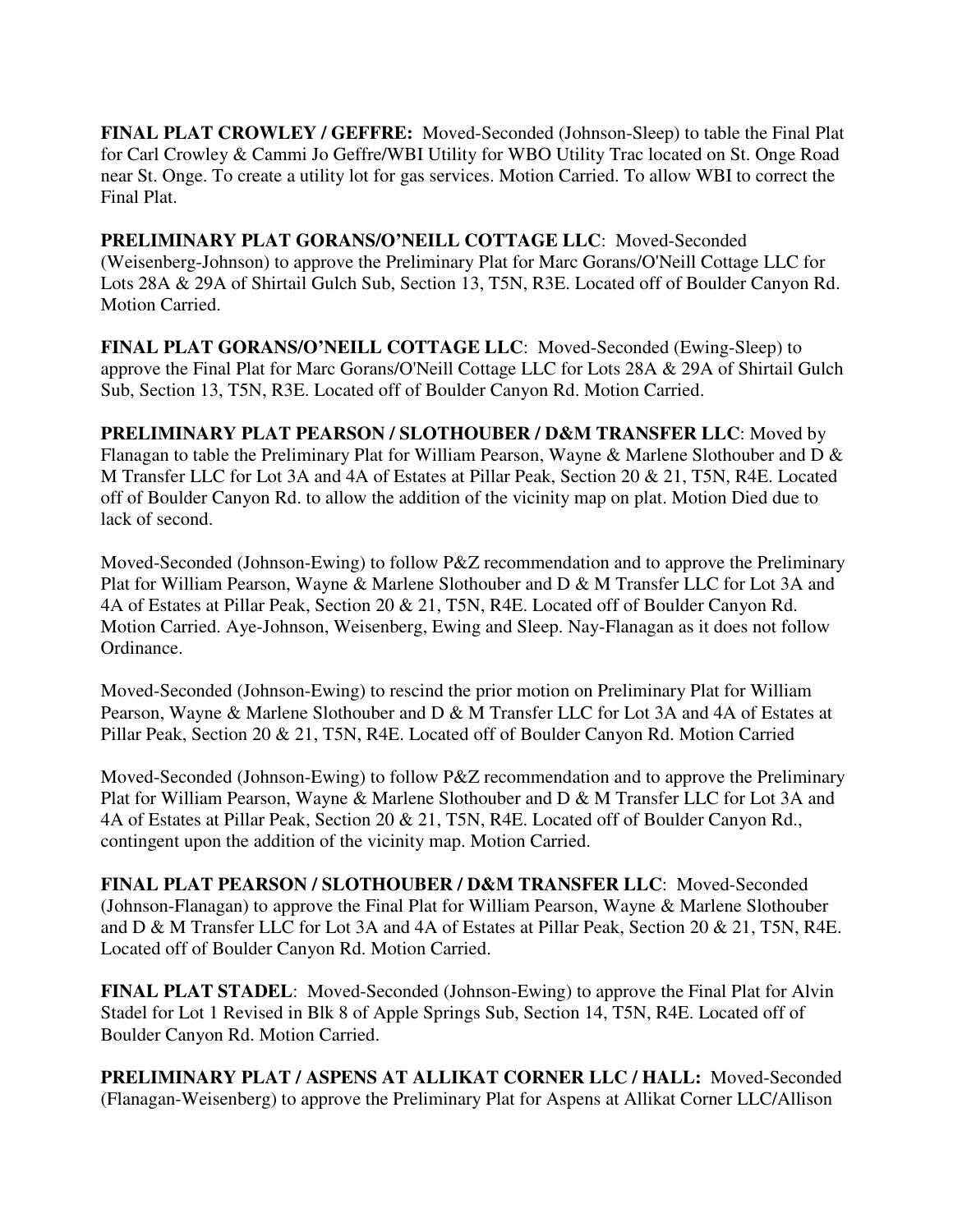**FINAL PLAT CROWLEY / GEFFRE:** Moved-Seconded (Johnson-Sleep) to table the Final Plat for Carl Crowley & Cammi Jo Geffre/WBI Utility for WBO Utility Trac located on St. Onge Road near St. Onge. To create a utility lot for gas services. Motion Carried. To allow WBI to correct the Final Plat.

**PRELIMINARY PLAT GORANS/O'NEILL COTTAGE LLC**: Moved-Seconded (Weisenberg-Johnson) to approve the Preliminary Plat for Marc Gorans/O'Neill Cottage LLC for Lots 28A & 29A of Shirtail Gulch Sub, Section 13, T5N, R3E. Located off of Boulder Canyon Rd. Motion Carried.

**FINAL PLAT GORANS/O'NEILL COTTAGE LLC**: Moved-Seconded (Ewing-Sleep) to approve the Final Plat for Marc Gorans/O'Neill Cottage LLC for Lots 28A & 29A of Shirtail Gulch Sub, Section 13, T5N, R3E. Located off of Boulder Canyon Rd. Motion Carried.

**PRELIMINARY PLAT PEARSON / SLOTHOUBER / D&M TRANSFER LLC**: Moved by Flanagan to table the Preliminary Plat for William Pearson, Wayne & Marlene Slothouber and D & M Transfer LLC for Lot 3A and 4A of Estates at Pillar Peak, Section 20 & 21, T5N, R4E. Located off of Boulder Canyon Rd. to allow the addition of the vicinity map on plat. Motion Died due to lack of second.

Moved-Seconded (Johnson-Ewing) to follow P&Z recommendation and to approve the Preliminary Plat for William Pearson, Wayne & Marlene Slothouber and D & M Transfer LLC for Lot 3A and 4A of Estates at Pillar Peak, Section 20 & 21, T5N, R4E. Located off of Boulder Canyon Rd. Motion Carried. Aye-Johnson, Weisenberg, Ewing and Sleep. Nay-Flanagan as it does not follow Ordinance.

Moved-Seconded (Johnson-Ewing) to rescind the prior motion on Preliminary Plat for William Pearson, Wayne & Marlene Slothouber and D & M Transfer LLC for Lot 3A and 4A of Estates at Pillar Peak, Section 20 & 21, T5N, R4E. Located off of Boulder Canyon Rd. Motion Carried

Moved-Seconded (Johnson-Ewing) to follow P&Z recommendation and to approve the Preliminary Plat for William Pearson, Wayne & Marlene Slothouber and D & M Transfer LLC for Lot 3A and 4A of Estates at Pillar Peak, Section 20 & 21, T5N, R4E. Located off of Boulder Canyon Rd., contingent upon the addition of the vicinity map. Motion Carried.

**FINAL PLAT PEARSON / SLOTHOUBER / D&M TRANSFER LLC**: Moved-Seconded (Johnson-Flanagan) to approve the Final Plat for William Pearson, Wayne & Marlene Slothouber and D & M Transfer LLC for Lot 3A and 4A of Estates at Pillar Peak, Section 20 & 21, T5N, R4E. Located off of Boulder Canyon Rd. Motion Carried.

**FINAL PLAT STADEL**: Moved-Seconded (Johnson-Ewing) to approve the Final Plat for Alvin Stadel for Lot 1 Revised in Blk 8 of Apple Springs Sub, Section 14, T5N, R4E. Located off of Boulder Canyon Rd. Motion Carried.

**PRELIMINARY PLAT / ASPENS AT ALLIKAT CORNER LLC / HALL:** Moved-Seconded (Flanagan-Weisenberg) to approve the Preliminary Plat for Aspens at Allikat Corner LLC/Allison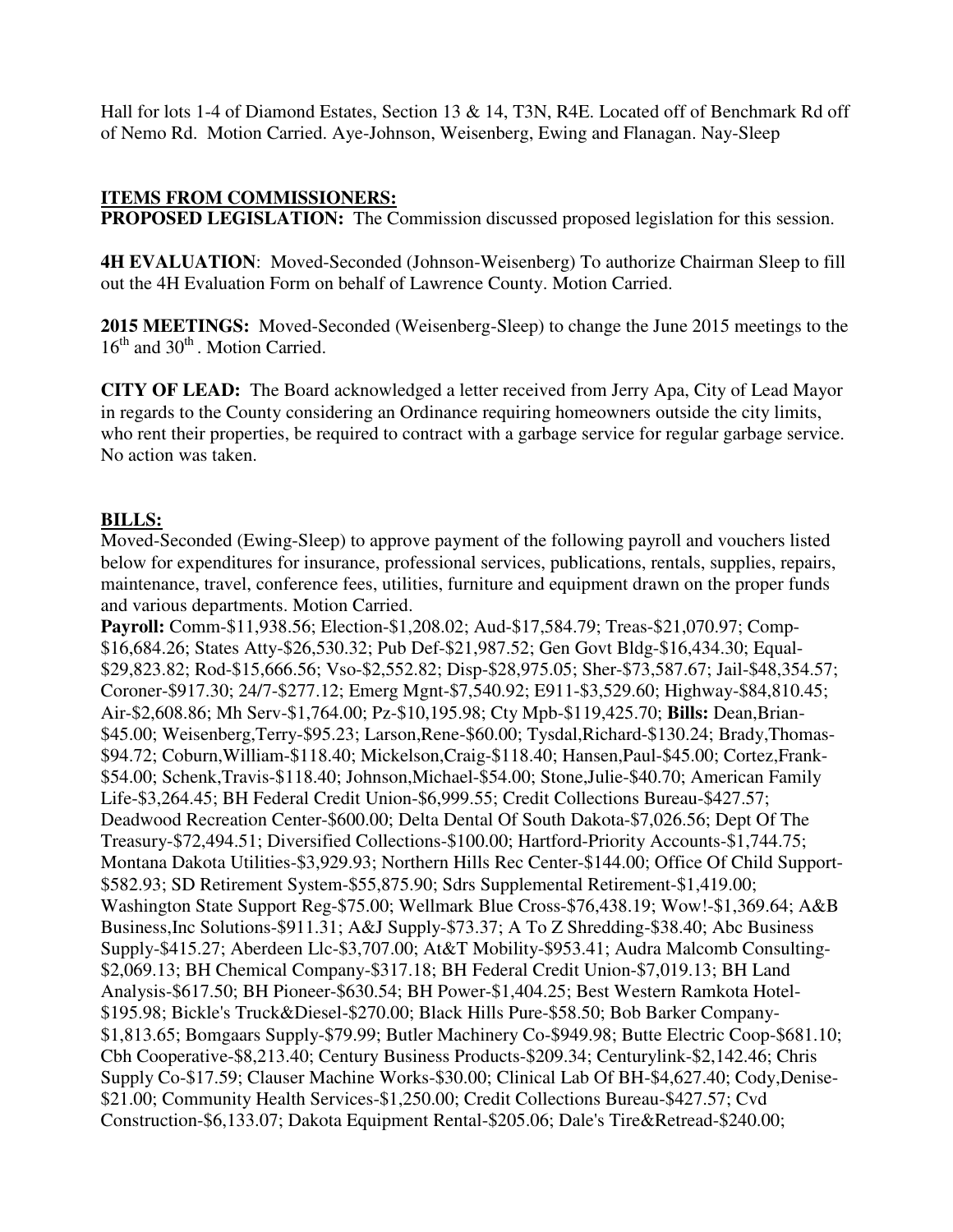Hall for lots 1-4 of Diamond Estates, Section 13 & 14, T3N, R4E. Located off of Benchmark Rd off of Nemo Rd. Motion Carried. Aye-Johnson, Weisenberg, Ewing and Flanagan. Nay-Sleep

### **ITEMS FROM COMMISSIONERS:**

**PROPOSED LEGISLATION:** The Commission discussed proposed legislation for this session.

**4H EVALUATION**: Moved-Seconded (Johnson-Weisenberg) To authorize Chairman Sleep to fill out the 4H Evaluation Form on behalf of Lawrence County. Motion Carried.

**2015 MEETINGS:** Moved-Seconded (Weisenberg-Sleep) to change the June 2015 meetings to the 16<sup>th</sup> and 30<sup>th</sup> . Motion Carried.

**CITY OF LEAD:** The Board acknowledged a letter received from Jerry Apa, City of Lead Mayor in regards to the County considering an Ordinance requiring homeowners outside the city limits, who rent their properties, be required to contract with a garbage service for regular garbage service. No action was taken.

## **BILLS:**

Moved-Seconded (Ewing-Sleep) to approve payment of the following payroll and vouchers listed below for expenditures for insurance, professional services, publications, rentals, supplies, repairs, maintenance, travel, conference fees, utilities, furniture and equipment drawn on the proper funds and various departments. Motion Carried.

**Payroll:** Comm-\$11,938.56; Election-\$1,208.02; Aud-\$17,584.79; Treas-\$21,070.97; Comp- \$16,684.26; States Atty-\$26,530.32; Pub Def-\$21,987.52; Gen Govt Bldg-\$16,434.30; Equal- \$29,823.82; Rod-\$15,666.56; Vso-\$2,552.82; Disp-\$28,975.05; Sher-\$73,587.67; Jail-\$48,354.57; Coroner-\$917.30; 24/7-\$277.12; Emerg Mgnt-\$7,540.92; E911-\$3,529.60; Highway-\$84,810.45; Air-\$2,608.86; Mh Serv-\$1,764.00; Pz-\$10,195.98; Cty Mpb-\$119,425.70; **Bills:** Dean,Brian- \$45.00; Weisenberg,Terry-\$95.23; Larson,Rene-\$60.00; Tysdal,Richard-\$130.24; Brady,Thomas- \$94.72; Coburn,William-\$118.40; Mickelson,Craig-\$118.40; Hansen,Paul-\$45.00; Cortez,Frank- \$54.00; Schenk,Travis-\$118.40; Johnson,Michael-\$54.00; Stone,Julie-\$40.70; American Family Life-\$3,264.45; BH Federal Credit Union-\$6,999.55; Credit Collections Bureau-\$427.57; Deadwood Recreation Center-\$600.00; Delta Dental Of South Dakota-\$7,026.56; Dept Of The Treasury-\$72,494.51; Diversified Collections-\$100.00; Hartford-Priority Accounts-\$1,744.75; Montana Dakota Utilities-\$3,929.93; Northern Hills Rec Center-\$144.00; Office Of Child Support- \$582.93; SD Retirement System-\$55,875.90; Sdrs Supplemental Retirement-\$1,419.00; Washington State Support Reg-\$75.00; Wellmark Blue Cross-\$76,438.19; Wow!-\$1,369.64; A&B Business,Inc Solutions-\$911.31; A&J Supply-\$73.37; A To Z Shredding-\$38.40; Abc Business Supply-\$415.27; Aberdeen Llc-\$3,707.00; At&T Mobility-\$953.41; Audra Malcomb Consulting- \$2,069.13; BH Chemical Company-\$317.18; BH Federal Credit Union-\$7,019.13; BH Land Analysis-\$617.50; BH Pioneer-\$630.54; BH Power-\$1,404.25; Best Western Ramkota Hotel- \$195.98; Bickle's Truck&Diesel-\$270.00; Black Hills Pure-\$58.50; Bob Barker Company- \$1,813.65; Bomgaars Supply-\$79.99; Butler Machinery Co-\$949.98; Butte Electric Coop-\$681.10; Cbh Cooperative-\$8,213.40; Century Business Products-\$209.34; Centurylink-\$2,142.46; Chris Supply Co-\$17.59; Clauser Machine Works-\$30.00; Clinical Lab Of BH-\$4,627.40; Cody,Denise- \$21.00; Community Health Services-\$1,250.00; Credit Collections Bureau-\$427.57; Cvd Construction-\$6,133.07; Dakota Equipment Rental-\$205.06; Dale's Tire&Retread-\$240.00;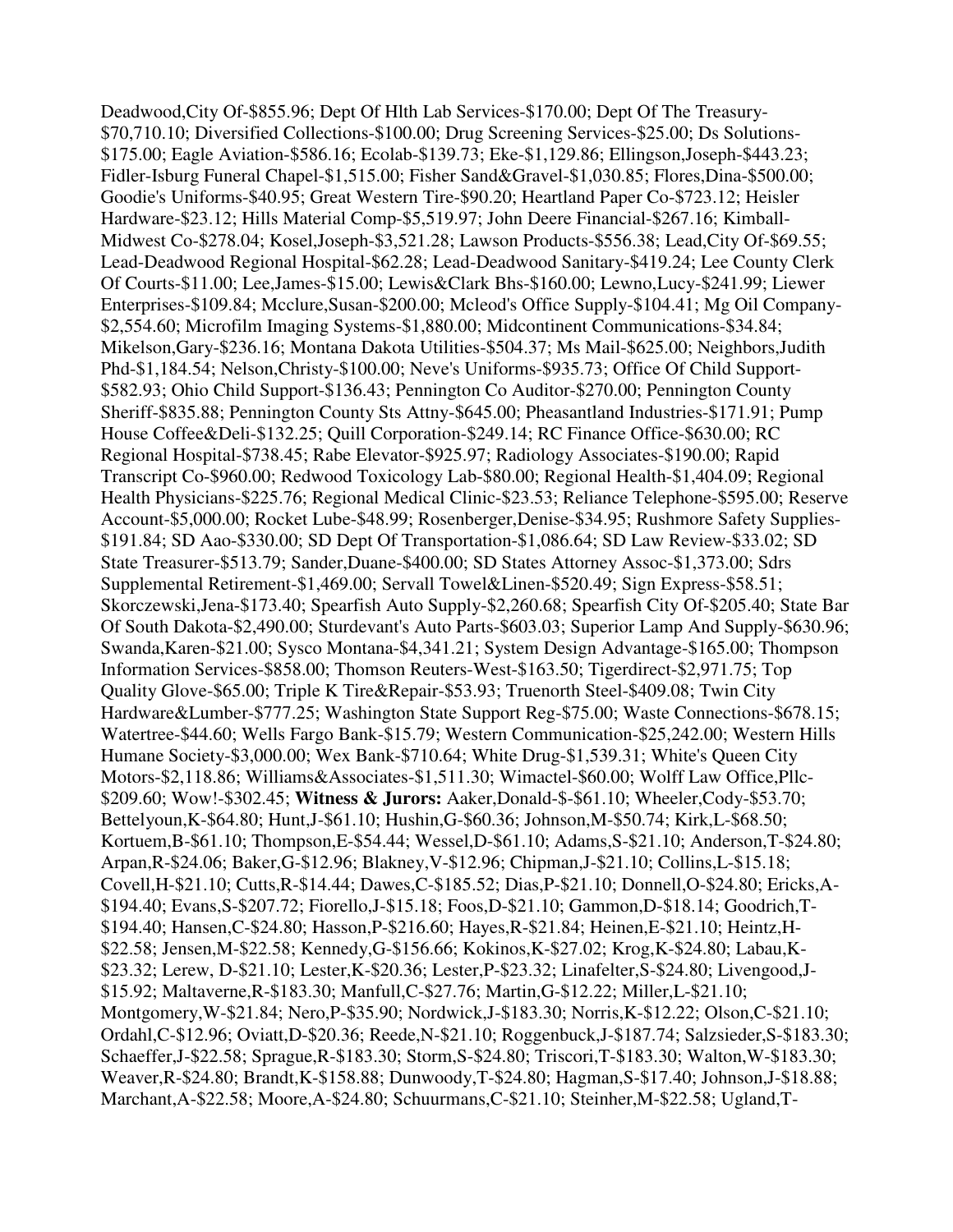Deadwood,City Of-\$855.96; Dept Of Hlth Lab Services-\$170.00; Dept Of The Treasury- \$70,710.10; Diversified Collections-\$100.00; Drug Screening Services-\$25.00; Ds Solutions- \$175.00; Eagle Aviation-\$586.16; Ecolab-\$139.73; Eke-\$1,129.86; Ellingson,Joseph-\$443.23; Fidler-Isburg Funeral Chapel-\$1,515.00; Fisher Sand&Gravel-\$1,030.85; Flores,Dina-\$500.00; Goodie's Uniforms-\$40.95; Great Western Tire-\$90.20; Heartland Paper Co-\$723.12; Heisler Hardware-\$23.12; Hills Material Comp-\$5,519.97; John Deere Financial-\$267.16; Kimball-Midwest Co-\$278.04; Kosel,Joseph-\$3,521.28; Lawson Products-\$556.38; Lead,City Of-\$69.55; Lead-Deadwood Regional Hospital-\$62.28; Lead-Deadwood Sanitary-\$419.24; Lee County Clerk Of Courts-\$11.00; Lee,James-\$15.00; Lewis&Clark Bhs-\$160.00; Lewno,Lucy-\$241.99; Liewer Enterprises-\$109.84; Mcclure,Susan-\$200.00; Mcleod's Office Supply-\$104.41; Mg Oil Company- \$2,554.60; Microfilm Imaging Systems-\$1,880.00; Midcontinent Communications-\$34.84; Mikelson,Gary-\$236.16; Montana Dakota Utilities-\$504.37; Ms Mail-\$625.00; Neighbors,Judith Phd-\$1,184.54; Nelson,Christy-\$100.00; Neve's Uniforms-\$935.73; Office Of Child Support- \$582.93; Ohio Child Support-\$136.43; Pennington Co Auditor-\$270.00; Pennington County Sheriff-\$835.88; Pennington County Sts Attny-\$645.00; Pheasantland Industries-\$171.91; Pump House Coffee&Deli-\$132.25; Quill Corporation-\$249.14; RC Finance Office-\$630.00; RC Regional Hospital-\$738.45; Rabe Elevator-\$925.97; Radiology Associates-\$190.00; Rapid Transcript Co-\$960.00; Redwood Toxicology Lab-\$80.00; Regional Health-\$1,404.09; Regional Health Physicians-\$225.76; Regional Medical Clinic-\$23.53; Reliance Telephone-\$595.00; Reserve Account-\$5,000.00; Rocket Lube-\$48.99; Rosenberger,Denise-\$34.95; Rushmore Safety Supplies- \$191.84; SD Aao-\$330.00; SD Dept Of Transportation-\$1,086.64; SD Law Review-\$33.02; SD State Treasurer-\$513.79; Sander,Duane-\$400.00; SD States Attorney Assoc-\$1,373.00; Sdrs Supplemental Retirement-\$1,469.00; Servall Towel&Linen-\$520.49; Sign Express-\$58.51; Skorczewski,Jena-\$173.40; Spearfish Auto Supply-\$2,260.68; Spearfish City Of-\$205.40; State Bar Of South Dakota-\$2,490.00; Sturdevant's Auto Parts-\$603.03; Superior Lamp And Supply-\$630.96; Swanda,Karen-\$21.00; Sysco Montana-\$4,341.21; System Design Advantage-\$165.00; Thompson Information Services-\$858.00; Thomson Reuters-West-\$163.50; Tigerdirect-\$2,971.75; Top Quality Glove-\$65.00; Triple K Tire&Repair-\$53.93; Truenorth Steel-\$409.08; Twin City Hardware&Lumber-\$777.25; Washington State Support Reg-\$75.00; Waste Connections-\$678.15; Watertree-\$44.60; Wells Fargo Bank-\$15.79; Western Communication-\$25,242.00; Western Hills Humane Society-\$3,000.00; Wex Bank-\$710.64; White Drug-\$1,539.31; White's Queen City Motors-\$2,118.86; Williams&Associates-\$1,511.30; Wimactel-\$60.00; Wolff Law Office,Pllc- \$209.60; Wow!-\$302.45; **Witness & Jurors:** Aaker,Donald-\$-\$61.10; Wheeler,Cody-\$53.70; Bettelyoun,K-\$64.80; Hunt,J-\$61.10; Hushin,G-\$60.36; Johnson,M-\$50.74; Kirk,L-\$68.50; Kortuem,B-\$61.10; Thompson,E-\$54.44; Wessel,D-\$61.10; Adams,S-\$21.10; Anderson,T-\$24.80; Arpan,R-\$24.06; Baker,G-\$12.96; Blakney,V-\$12.96; Chipman,J-\$21.10; Collins,L-\$15.18; Covell,H-\$21.10; Cutts,R-\$14.44; Dawes,C-\$185.52; Dias,P-\$21.10; Donnell,O-\$24.80; Ericks,A- \$194.40; Evans,S-\$207.72; Fiorello,J-\$15.18; Foos,D-\$21.10; Gammon,D-\$18.14; Goodrich,T- \$194.40; Hansen,C-\$24.80; Hasson,P-\$216.60; Hayes,R-\$21.84; Heinen,E-\$21.10; Heintz,H- \$22.58; Jensen,M-\$22.58; Kennedy,G-\$156.66; Kokinos,K-\$27.02; Krog,K-\$24.80; Labau,K- \$23.32; Lerew, D-\$21.10; Lester,K-\$20.36; Lester,P-\$23.32; Linafelter,S-\$24.80; Livengood,J- \$15.92; Maltaverne,R-\$183.30; Manfull,C-\$27.76; Martin,G-\$12.22; Miller,L-\$21.10; Montgomery,W-\$21.84; Nero,P-\$35.90; Nordwick,J-\$183.30; Norris,K-\$12.22; Olson,C-\$21.10; Ordahl,C-\$12.96; Oviatt,D-\$20.36; Reede,N-\$21.10; Roggenbuck,J-\$187.74; Salzsieder,S-\$183.30; Schaeffer,J-\$22.58; Sprague,R-\$183.30; Storm,S-\$24.80; Triscori,T-\$183.30; Walton,W-\$183.30; Weaver,R-\$24.80; Brandt,K-\$158.88; Dunwoody,T-\$24.80; Hagman,S-\$17.40; Johnson,J-\$18.88; Marchant,A-\$22.58; Moore,A-\$24.80; Schuurmans,C-\$21.10; Steinher,M-\$22.58; Ugland,T-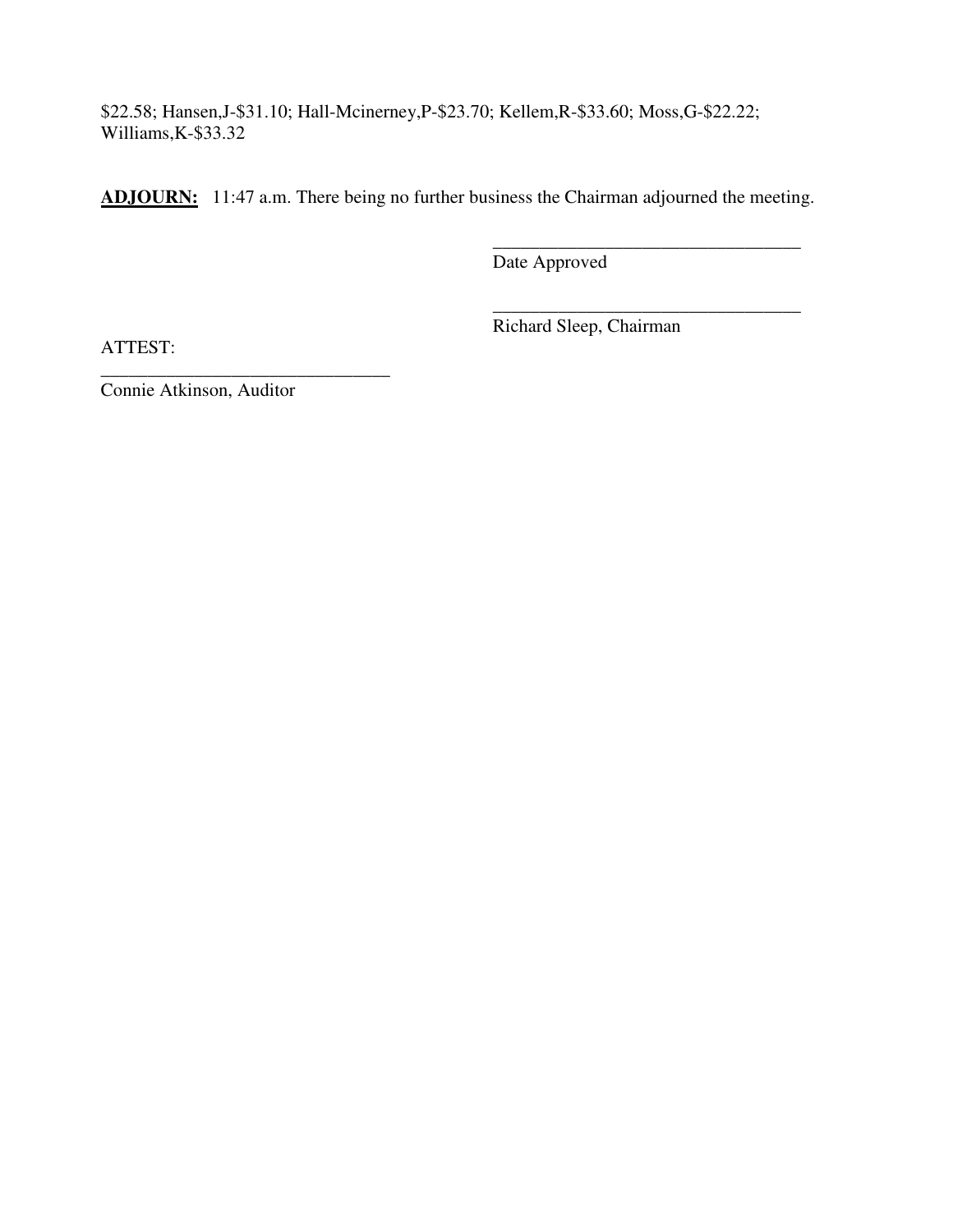\$22.58; Hansen,J-\$31.10; Hall-Mcinerney,P-\$23.70; Kellem,R-\$33.60; Moss,G-\$22.22; Williams,K-\$33.32

**ADJOURN:** 11:47 a.m. There being no further business the Chairman adjourned the meeting.

 $\overline{\phantom{a}}$  , and the contract of the contract of the contract of the contract of the contract of the contract of the contract of the contract of the contract of the contract of the contract of the contract of the contrac

 $\overline{\phantom{a}}$  , and the contract of the contract of the contract of the contract of the contract of the contract of the contract of the contract of the contract of the contract of the contract of the contract of the contrac

Date Approved

Richard Sleep, Chairman

ATTEST:

Connie Atkinson, Auditor

\_\_\_\_\_\_\_\_\_\_\_\_\_\_\_\_\_\_\_\_\_\_\_\_\_\_\_\_\_\_\_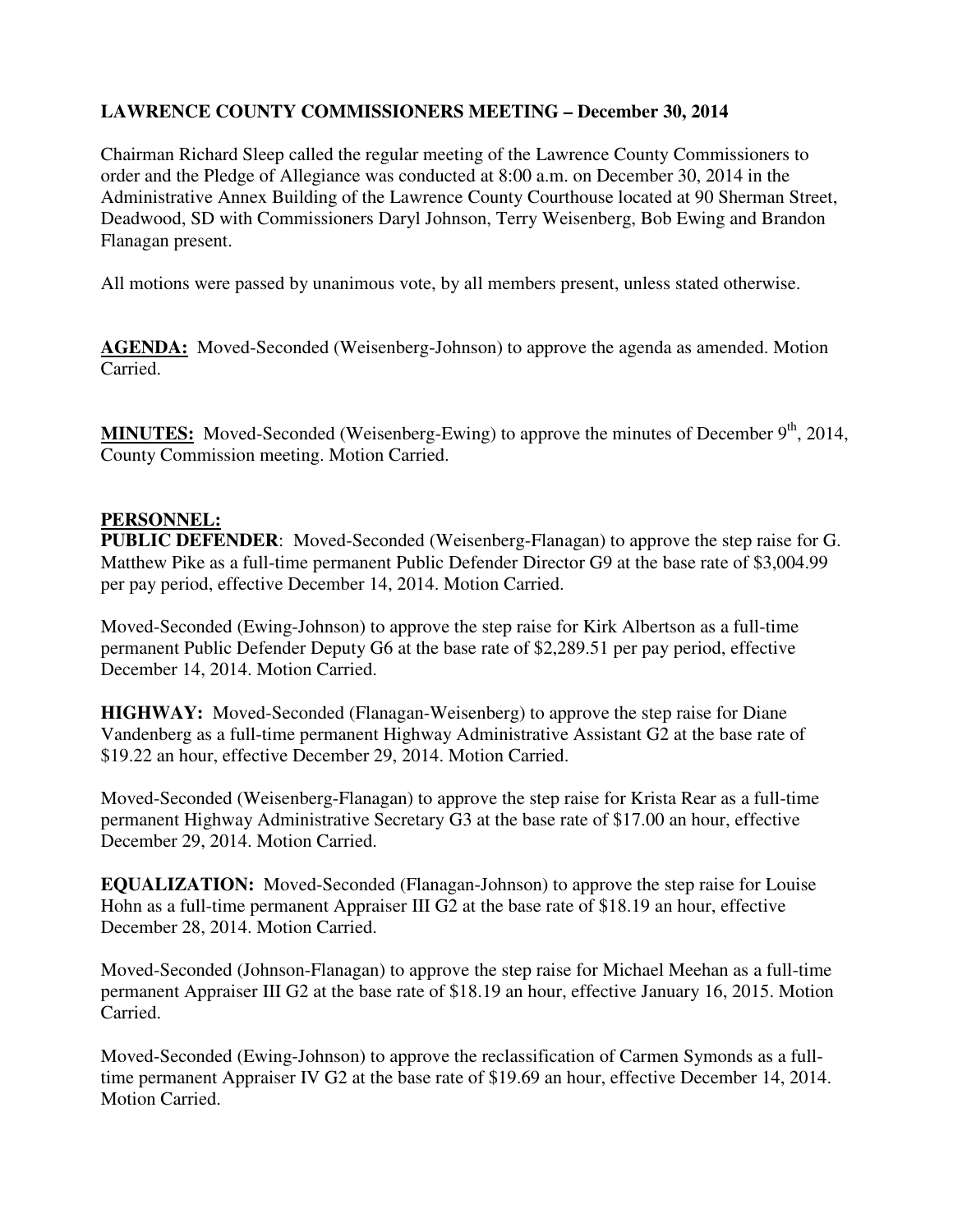# **LAWRENCE COUNTY COMMISSIONERS MEETING – December 30, 2014**

Chairman Richard Sleep called the regular meeting of the Lawrence County Commissioners to order and the Pledge of Allegiance was conducted at 8:00 a.m. on December 30, 2014 in the Administrative Annex Building of the Lawrence County Courthouse located at 90 Sherman Street, Deadwood, SD with Commissioners Daryl Johnson, Terry Weisenberg, Bob Ewing and Brandon Flanagan present.

All motions were passed by unanimous vote, by all members present, unless stated otherwise.

**AGENDA:** Moved-Seconded (Weisenberg-Johnson) to approve the agenda as amended. Motion Carried.

**MINUTES:** Moved-Seconded (Weisenberg-Ewing) to approve the minutes of December 9<sup>th</sup>, 2014, County Commission meeting. Motion Carried.

### **PERSONNEL:**

**PUBLIC DEFENDER**: Moved-Seconded (Weisenberg-Flanagan) to approve the step raise for G. Matthew Pike as a full-time permanent Public Defender Director G9 at the base rate of \$3,004.99 per pay period, effective December 14, 2014. Motion Carried.

Moved-Seconded (Ewing-Johnson) to approve the step raise for Kirk Albertson as a full-time permanent Public Defender Deputy G6 at the base rate of \$2,289.51 per pay period, effective December 14, 2014. Motion Carried.

**HIGHWAY:** Moved-Seconded (Flanagan-Weisenberg) to approve the step raise for Diane Vandenberg as a full-time permanent Highway Administrative Assistant G2 at the base rate of \$19.22 an hour, effective December 29, 2014. Motion Carried.

Moved-Seconded (Weisenberg-Flanagan) to approve the step raise for Krista Rear as a full-time permanent Highway Administrative Secretary G3 at the base rate of \$17.00 an hour, effective December 29, 2014. Motion Carried.

**EQUALIZATION:** Moved-Seconded (Flanagan-Johnson) to approve the step raise for Louise Hohn as a full-time permanent Appraiser III G2 at the base rate of \$18.19 an hour, effective December 28, 2014. Motion Carried.

Moved-Seconded (Johnson-Flanagan) to approve the step raise for Michael Meehan as a full-time permanent Appraiser III G2 at the base rate of \$18.19 an hour, effective January 16, 2015. Motion Carried.

Moved-Seconded (Ewing-Johnson) to approve the reclassification of Carmen Symonds as a fulltime permanent Appraiser IV G2 at the base rate of \$19.69 an hour, effective December 14, 2014. Motion Carried.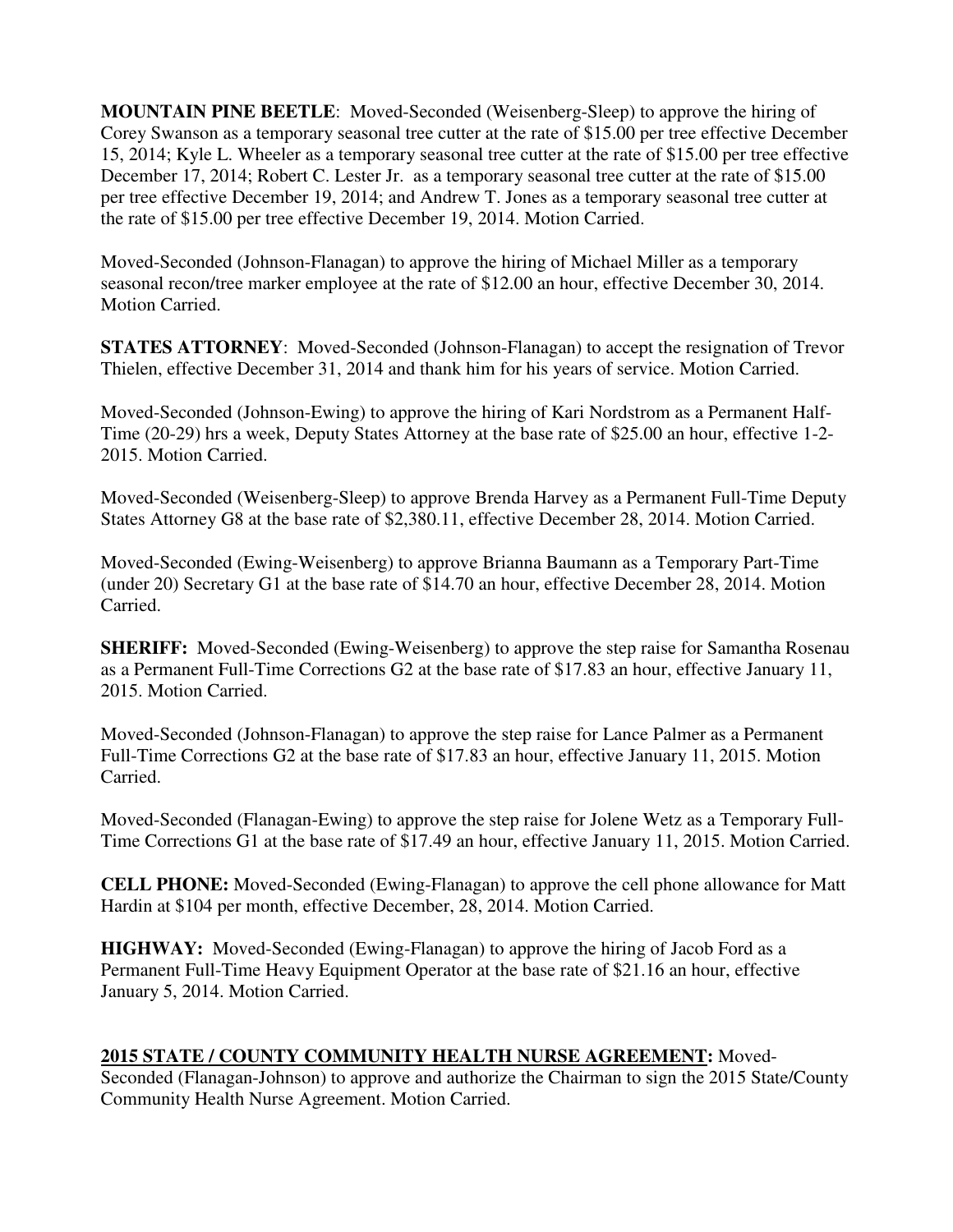**MOUNTAIN PINE BEETLE**: Moved-Seconded (Weisenberg-Sleep) to approve the hiring of Corey Swanson as a temporary seasonal tree cutter at the rate of \$15.00 per tree effective December 15, 2014; Kyle L. Wheeler as a temporary seasonal tree cutter at the rate of \$15.00 per tree effective December 17, 2014; Robert C. Lester Jr. as a temporary seasonal tree cutter at the rate of \$15.00 per tree effective December 19, 2014; and Andrew T. Jones as a temporary seasonal tree cutter at the rate of \$15.00 per tree effective December 19, 2014. Motion Carried.

Moved-Seconded (Johnson-Flanagan) to approve the hiring of Michael Miller as a temporary seasonal recon/tree marker employee at the rate of \$12.00 an hour, effective December 30, 2014. Motion Carried.

**STATES ATTORNEY**: Moved-Seconded (Johnson-Flanagan) to accept the resignation of Trevor Thielen, effective December 31, 2014 and thank him for his years of service. Motion Carried.

Moved-Seconded (Johnson-Ewing) to approve the hiring of Kari Nordstrom as a Permanent Half-Time (20-29) hrs a week, Deputy States Attorney at the base rate of \$25.00 an hour, effective 1-2- 2015. Motion Carried.

Moved-Seconded (Weisenberg-Sleep) to approve Brenda Harvey as a Permanent Full-Time Deputy States Attorney G8 at the base rate of \$2,380.11, effective December 28, 2014. Motion Carried.

Moved-Seconded (Ewing-Weisenberg) to approve Brianna Baumann as a Temporary Part-Time (under 20) Secretary G1 at the base rate of \$14.70 an hour, effective December 28, 2014. Motion Carried.

**SHERIFF:** Moved-Seconded (Ewing-Weisenberg) to approve the step raise for Samantha Rosenau as a Permanent Full-Time Corrections G2 at the base rate of \$17.83 an hour, effective January 11, 2015. Motion Carried.

Moved-Seconded (Johnson-Flanagan) to approve the step raise for Lance Palmer as a Permanent Full-Time Corrections G2 at the base rate of \$17.83 an hour, effective January 11, 2015. Motion Carried.

Moved-Seconded (Flanagan-Ewing) to approve the step raise for Jolene Wetz as a Temporary Full-Time Corrections G1 at the base rate of \$17.49 an hour, effective January 11, 2015. Motion Carried.

**CELL PHONE:** Moved-Seconded (Ewing-Flanagan) to approve the cell phone allowance for Matt Hardin at \$104 per month, effective December, 28, 2014. Motion Carried.

**HIGHWAY:** Moved-Seconded (Ewing-Flanagan) to approve the hiring of Jacob Ford as a Permanent Full-Time Heavy Equipment Operator at the base rate of \$21.16 an hour, effective January 5, 2014. Motion Carried.

## **2015 STATE / COUNTY COMMUNITY HEALTH NURSE AGREEMENT:** Moved-

Seconded (Flanagan-Johnson) to approve and authorize the Chairman to sign the 2015 State/County Community Health Nurse Agreement. Motion Carried.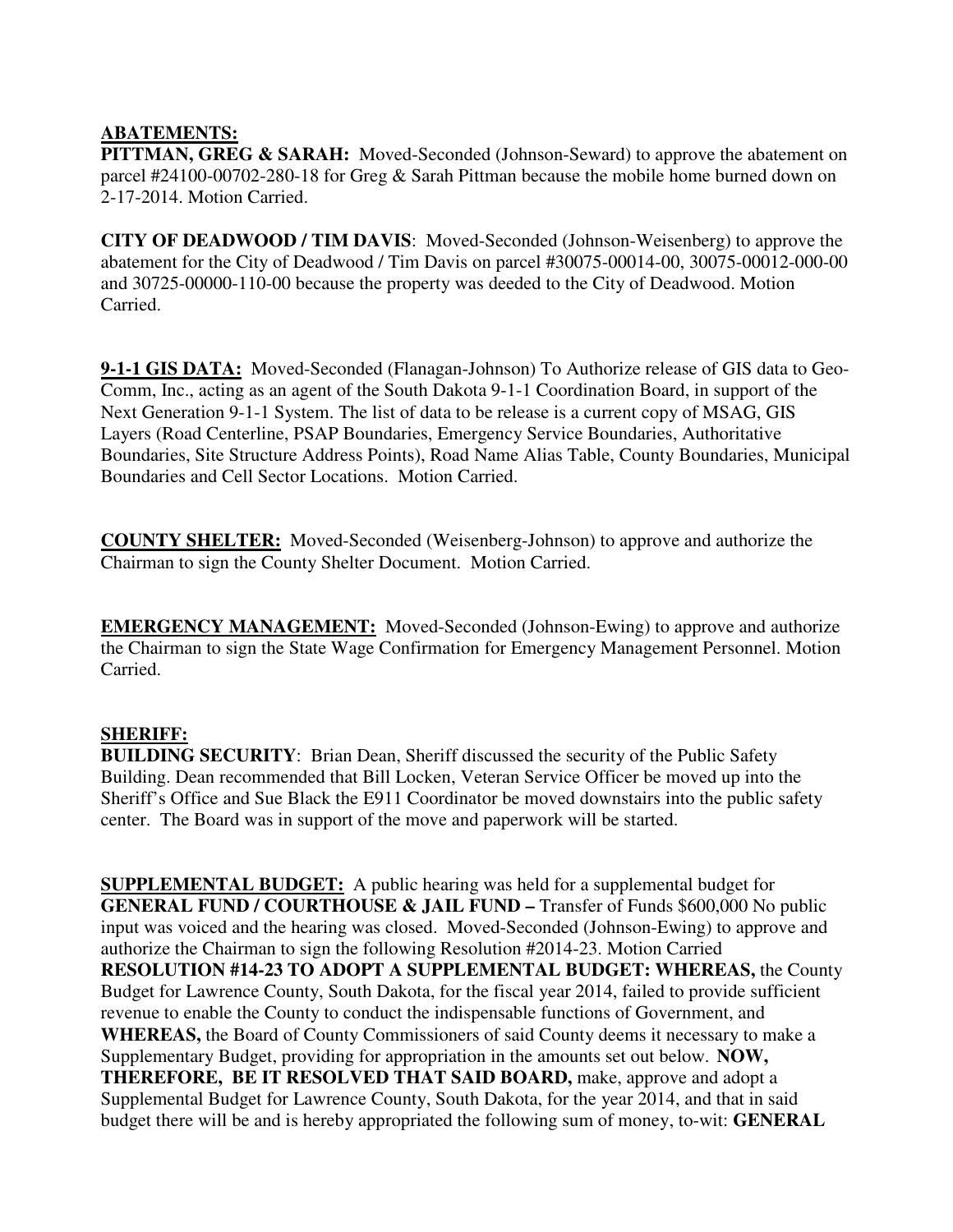#### **ABATEMENTS:**

**PITTMAN, GREG & SARAH:** Moved-Seconded (Johnson-Seward) to approve the abatement on parcel #24100-00702-280-18 for Greg & Sarah Pittman because the mobile home burned down on 2-17-2014. Motion Carried.

**CITY OF DEADWOOD / TIM DAVIS**: Moved-Seconded (Johnson-Weisenberg) to approve the abatement for the City of Deadwood / Tim Davis on parcel #30075-00014-00, 30075-00012-000-00 and 30725-00000-110-00 because the property was deeded to the City of Deadwood. Motion Carried.

**9-1-1 GIS DATA:** Moved-Seconded (Flanagan-Johnson) To Authorize release of GIS data to Geo-Comm, Inc., acting as an agent of the South Dakota 9-1-1 Coordination Board, in support of the Next Generation 9-1-1 System. The list of data to be release is a current copy of MSAG, GIS Layers (Road Centerline, PSAP Boundaries, Emergency Service Boundaries, Authoritative Boundaries, Site Structure Address Points), Road Name Alias Table, County Boundaries, Municipal Boundaries and Cell Sector Locations. Motion Carried.

**COUNTY SHELTER:** Moved-Seconded (Weisenberg-Johnson) to approve and authorize the Chairman to sign the County Shelter Document. Motion Carried.

**EMERGENCY MANAGEMENT:** Moved-Seconded (Johnson-Ewing) to approve and authorize the Chairman to sign the State Wage Confirmation for Emergency Management Personnel. Motion Carried.

#### **SHERIFF:**

**BUILDING SECURITY**: Brian Dean, Sheriff discussed the security of the Public Safety Building. Dean recommended that Bill Locken, Veteran Service Officer be moved up into the Sheriff's Office and Sue Black the E911 Coordinator be moved downstairs into the public safety center. The Board was in support of the move and paperwork will be started.

**SUPPLEMENTAL BUDGET:** A public hearing was held for a supplemental budget for **GENERAL FUND / COURTHOUSE & JAIL FUND – Transfer of Funds \$600,000 No public** input was voiced and the hearing was closed. Moved-Seconded (Johnson-Ewing) to approve and authorize the Chairman to sign the following Resolution #2014-23. Motion Carried **RESOLUTION #14-23 TO ADOPT A SUPPLEMENTAL BUDGET: WHEREAS,** the County Budget for Lawrence County, South Dakota, for the fiscal year 2014, failed to provide sufficient revenue to enable the County to conduct the indispensable functions of Government, and **WHEREAS,** the Board of County Commissioners of said County deems it necessary to make a Supplementary Budget, providing for appropriation in the amounts set out below. **NOW, THEREFORE, BE IT RESOLVED THAT SAID BOARD,** make, approve and adopt a Supplemental Budget for Lawrence County, South Dakota, for the year 2014, and that in said budget there will be and is hereby appropriated the following sum of money, to-wit: **GENERAL**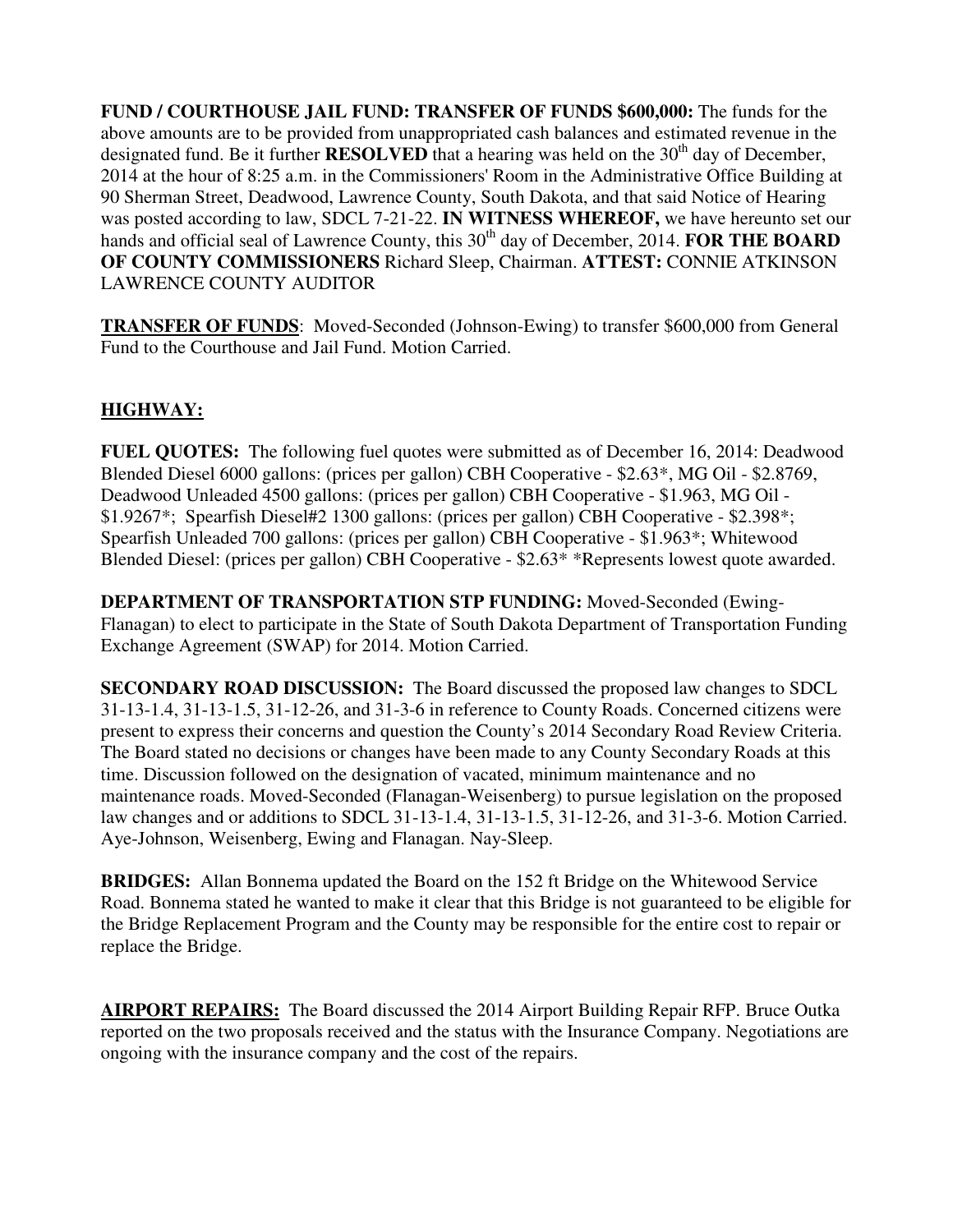**FUND / COURTHOUSE JAIL FUND: TRANSFER OF FUNDS \$600,000:** The funds for the above amounts are to be provided from unappropriated cash balances and estimated revenue in the designated fund. Be it further **RESOLVED** that a hearing was held on the  $30<sup>th</sup>$  day of December, 2014 at the hour of 8:25 a.m. in the Commissioners' Room in the Administrative Office Building at 90 Sherman Street, Deadwood, Lawrence County, South Dakota, and that said Notice of Hearing was posted according to law, SDCL 7-21-22. **IN WITNESS WHEREOF,** we have hereunto set our hands and official seal of Lawrence County, this 30<sup>th</sup> day of December, 2014. **FOR THE BOARD OF COUNTY COMMISSIONERS** Richard Sleep, Chairman. **ATTEST:** CONNIE ATKINSON LAWRENCE COUNTY AUDITOR

**TRANSFER OF FUNDS**: Moved-Seconded (Johnson-Ewing) to transfer \$600,000 from General Fund to the Courthouse and Jail Fund. Motion Carried.

# **HIGHWAY:**

**FUEL QUOTES:** The following fuel quotes were submitted as of December 16, 2014: Deadwood Blended Diesel 6000 gallons: (prices per gallon) CBH Cooperative - \$2.63\*, MG Oil - \$2.8769, Deadwood Unleaded 4500 gallons: (prices per gallon) CBH Cooperative - \$1.963, MG Oil - \$1.9267\*; Spearfish Diesel#2 1300 gallons: (prices per gallon) CBH Cooperative - \$2.398\*; Spearfish Unleaded 700 gallons: (prices per gallon) CBH Cooperative - \$1.963\*; Whitewood Blended Diesel: (prices per gallon) CBH Cooperative - \$2.63\* \*Represents lowest quote awarded.

**DEPARTMENT OF TRANSPORTATION STP FUNDING:** Moved-Seconded (Ewing-Flanagan) to elect to participate in the State of South Dakota Department of Transportation Funding Exchange Agreement (SWAP) for 2014. Motion Carried.

**SECONDARY ROAD DISCUSSION:** The Board discussed the proposed law changes to SDCL 31-13-1.4, 31-13-1.5, 31-12-26, and 31-3-6 in reference to County Roads. Concerned citizens were present to express their concerns and question the County's 2014 Secondary Road Review Criteria. The Board stated no decisions or changes have been made to any County Secondary Roads at this time. Discussion followed on the designation of vacated, minimum maintenance and no maintenance roads. Moved-Seconded (Flanagan-Weisenberg) to pursue legislation on the proposed law changes and or additions to SDCL 31-13-1.4, 31-13-1.5, 31-12-26, and 31-3-6. Motion Carried. Aye-Johnson, Weisenberg, Ewing and Flanagan. Nay-Sleep.

**BRIDGES:** Allan Bonnema updated the Board on the 152 ft Bridge on the Whitewood Service Road. Bonnema stated he wanted to make it clear that this Bridge is not guaranteed to be eligible for the Bridge Replacement Program and the County may be responsible for the entire cost to repair or replace the Bridge.

**AIRPORT REPAIRS:** The Board discussed the 2014 Airport Building Repair RFP. Bruce Outka reported on the two proposals received and the status with the Insurance Company. Negotiations are ongoing with the insurance company and the cost of the repairs.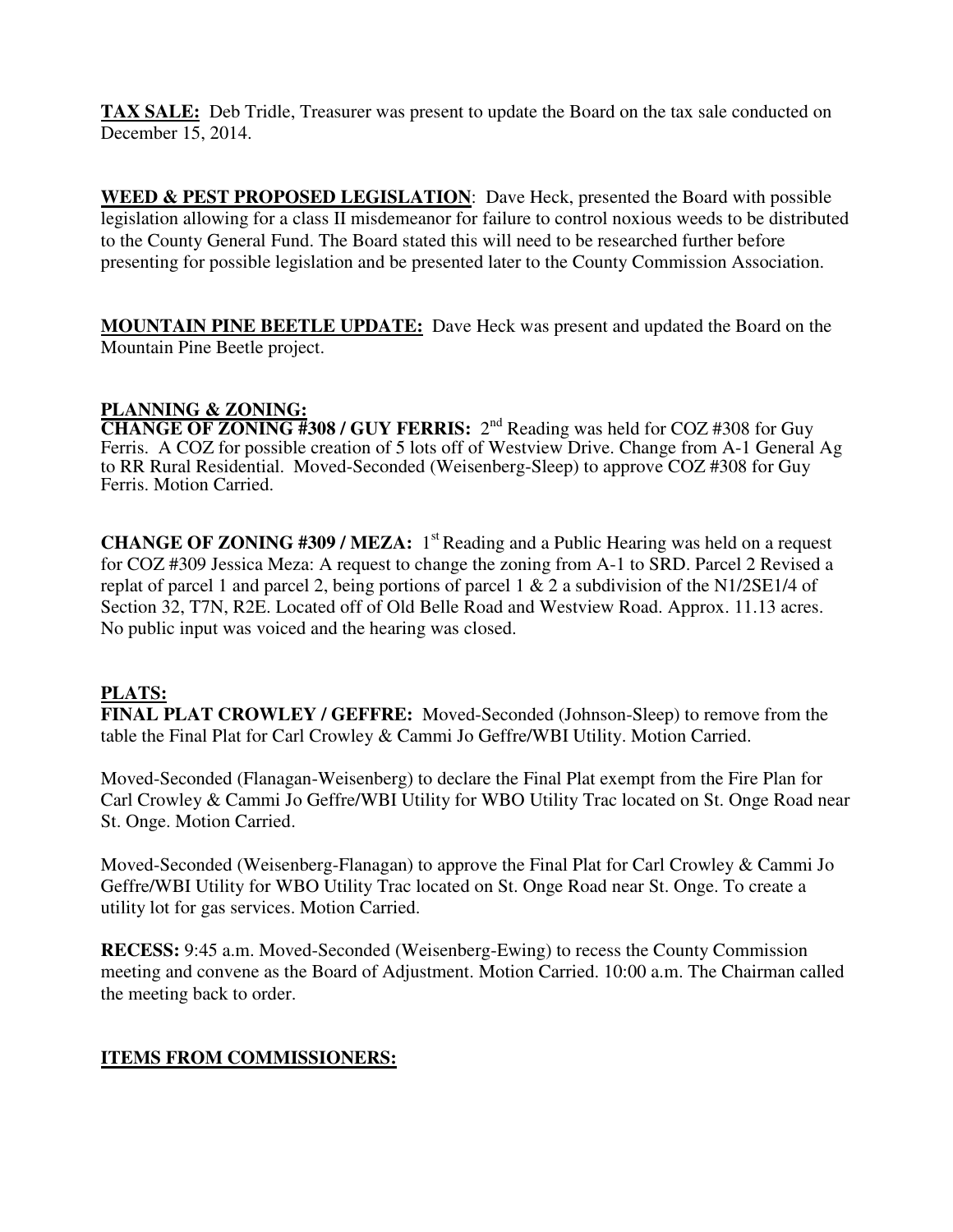**TAX SALE:** Deb Tridle, Treasurer was present to update the Board on the tax sale conducted on December 15, 2014.

**WEED & PEST PROPOSED LEGISLATION**: Dave Heck, presented the Board with possible legislation allowing for a class II misdemeanor for failure to control noxious weeds to be distributed to the County General Fund. The Board stated this will need to be researched further before presenting for possible legislation and be presented later to the County Commission Association.

**MOUNTAIN PINE BEETLE UPDATE:** Dave Heck was present and updated the Board on the Mountain Pine Beetle project.

## **PLANNING & ZONING:**

**CHANGE OF ZONING #308 / GUY FERRIS:** 2<sup>nd</sup> Reading was held for COZ #308 for Guy Ferris. A COZ for possible creation of 5 lots off of Westview Drive. Change from A-1 General Ag to RR Rural Residential. Moved-Seconded (Weisenberg-Sleep) to approve COZ #308 for Guy Ferris. Motion Carried.

**CHANGE OF ZONING #309 / MEZA:** 1<sup>st</sup> Reading and a Public Hearing was held on a request for COZ #309 Jessica Meza: A request to change the zoning from A-1 to SRD. Parcel 2 Revised a replat of parcel 1 and parcel 2, being portions of parcel 1  $\&$  2 a subdivision of the N1/2SE1/4 of Section 32, T7N, R2E. Located off of Old Belle Road and Westview Road. Approx. 11.13 acres. No public input was voiced and the hearing was closed.

## **PLATS:**

**FINAL PLAT CROWLEY / GEFFRE:** Moved-Seconded (Johnson-Sleep) to remove from the table the Final Plat for Carl Crowley & Cammi Jo Geffre/WBI Utility. Motion Carried.

Moved-Seconded (Flanagan-Weisenberg) to declare the Final Plat exempt from the Fire Plan for Carl Crowley & Cammi Jo Geffre/WBI Utility for WBO Utility Trac located on St. Onge Road near St. Onge. Motion Carried.

Moved-Seconded (Weisenberg-Flanagan) to approve the Final Plat for Carl Crowley & Cammi Jo Geffre/WBI Utility for WBO Utility Trac located on St. Onge Road near St. Onge. To create a utility lot for gas services. Motion Carried.

**RECESS:** 9:45 a.m. Moved-Seconded (Weisenberg-Ewing) to recess the County Commission meeting and convene as the Board of Adjustment. Motion Carried. 10:00 a.m. The Chairman called the meeting back to order.

# **ITEMS FROM COMMISSIONERS:**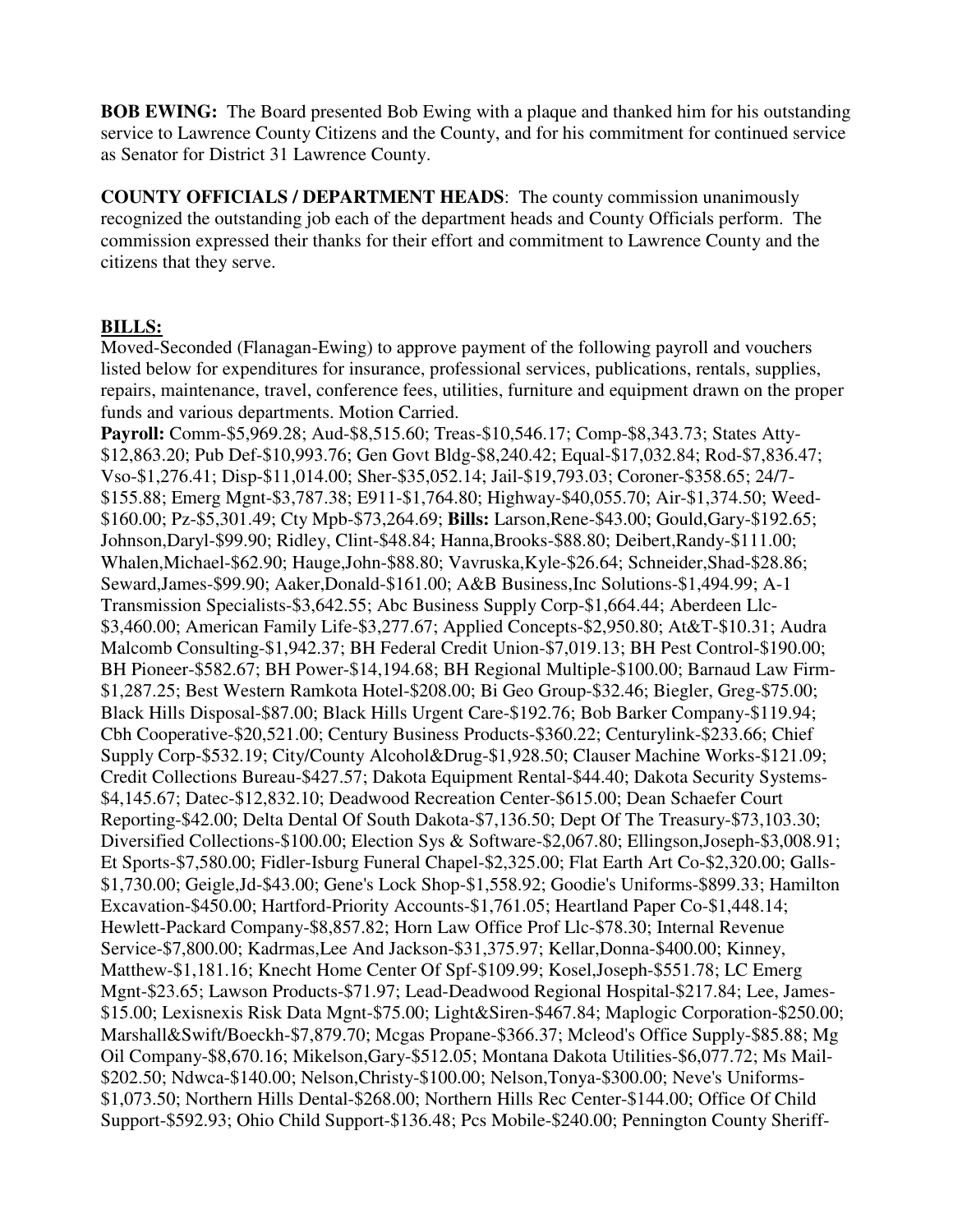**BOB EWING:** The Board presented Bob Ewing with a plaque and thanked him for his outstanding service to Lawrence County Citizens and the County, and for his commitment for continued service as Senator for District 31 Lawrence County.

**COUNTY OFFICIALS / DEPARTMENT HEADS**: The county commission unanimously recognized the outstanding job each of the department heads and County Officials perform. The commission expressed their thanks for their effort and commitment to Lawrence County and the citizens that they serve.

## **BILLS:**

Moved-Seconded (Flanagan-Ewing) to approve payment of the following payroll and vouchers listed below for expenditures for insurance, professional services, publications, rentals, supplies, repairs, maintenance, travel, conference fees, utilities, furniture and equipment drawn on the proper funds and various departments. Motion Carried.

**Payroll:** Comm-\$5,969.28; Aud-\$8,515.60; Treas-\$10,546.17; Comp-\$8,343.73; States Atty- \$12,863.20; Pub Def-\$10,993.76; Gen Govt Bldg-\$8,240.42; Equal-\$17,032.84; Rod-\$7,836.47; Vso-\$1,276.41; Disp-\$11,014.00; Sher-\$35,052.14; Jail-\$19,793.03; Coroner-\$358.65; 24/7- \$155.88; Emerg Mgnt-\$3,787.38; E911-\$1,764.80; Highway-\$40,055.70; Air-\$1,374.50; Weed- \$160.00; Pz-\$5,301.49; Cty Mpb-\$73,264.69; **Bills:** Larson,Rene-\$43.00; Gould,Gary-\$192.65; Johnson,Daryl-\$99.90; Ridley, Clint-\$48.84; Hanna,Brooks-\$88.80; Deibert,Randy-\$111.00; Whalen,Michael-\$62.90; Hauge,John-\$88.80; Vavruska,Kyle-\$26.64; Schneider,Shad-\$28.86; Seward,James-\$99.90; Aaker,Donald-\$161.00; A&B Business,Inc Solutions-\$1,494.99; A-1 Transmission Specialists-\$3,642.55; Abc Business Supply Corp-\$1,664.44; Aberdeen Llc- \$3,460.00; American Family Life-\$3,277.67; Applied Concepts-\$2,950.80; At&T-\$10.31; Audra Malcomb Consulting-\$1,942.37; BH Federal Credit Union-\$7,019.13; BH Pest Control-\$190.00; BH Pioneer-\$582.67; BH Power-\$14,194.68; BH Regional Multiple-\$100.00; Barnaud Law Firm- \$1,287.25; Best Western Ramkota Hotel-\$208.00; Bi Geo Group-\$32.46; Biegler, Greg-\$75.00; Black Hills Disposal-\$87.00; Black Hills Urgent Care-\$192.76; Bob Barker Company-\$119.94; Cbh Cooperative-\$20,521.00; Century Business Products-\$360.22; Centurylink-\$233.66; Chief Supply Corp-\$532.19; City/County Alcohol&Drug-\$1,928.50; Clauser Machine Works-\$121.09; Credit Collections Bureau-\$427.57; Dakota Equipment Rental-\$44.40; Dakota Security Systems- \$4,145.67; Datec-\$12,832.10; Deadwood Recreation Center-\$615.00; Dean Schaefer Court Reporting-\$42.00; Delta Dental Of South Dakota-\$7,136.50; Dept Of The Treasury-\$73,103.30; Diversified Collections-\$100.00; Election Sys & Software-\$2,067.80; Ellingson,Joseph-\$3,008.91; Et Sports-\$7,580.00; Fidler-Isburg Funeral Chapel-\$2,325.00; Flat Earth Art Co-\$2,320.00; Galls- \$1,730.00; Geigle,Jd-\$43.00; Gene's Lock Shop-\$1,558.92; Goodie's Uniforms-\$899.33; Hamilton Excavation-\$450.00; Hartford-Priority Accounts-\$1,761.05; Heartland Paper Co-\$1,448.14; Hewlett-Packard Company-\$8,857.82; Horn Law Office Prof Llc-\$78.30; Internal Revenue Service-\$7,800.00; Kadrmas,Lee And Jackson-\$31,375.97; Kellar,Donna-\$400.00; Kinney, Matthew-\$1,181.16; Knecht Home Center Of Spf-\$109.99; Kosel,Joseph-\$551.78; LC Emerg Mgnt-\$23.65; Lawson Products-\$71.97; Lead-Deadwood Regional Hospital-\$217.84; Lee, James- \$15.00; Lexisnexis Risk Data Mgnt-\$75.00; Light&Siren-\$467.84; Maplogic Corporation-\$250.00; Marshall&Swift/Boeckh-\$7,879.70; Mcgas Propane-\$366.37; Mcleod's Office Supply-\$85.88; Mg Oil Company-\$8,670.16; Mikelson,Gary-\$512.05; Montana Dakota Utilities-\$6,077.72; Ms Mail- \$202.50; Ndwca-\$140.00; Nelson,Christy-\$100.00; Nelson,Tonya-\$300.00; Neve's Uniforms- \$1,073.50; Northern Hills Dental-\$268.00; Northern Hills Rec Center-\$144.00; Office Of Child Support-\$592.93; Ohio Child Support-\$136.48; Pcs Mobile-\$240.00; Pennington County Sheriff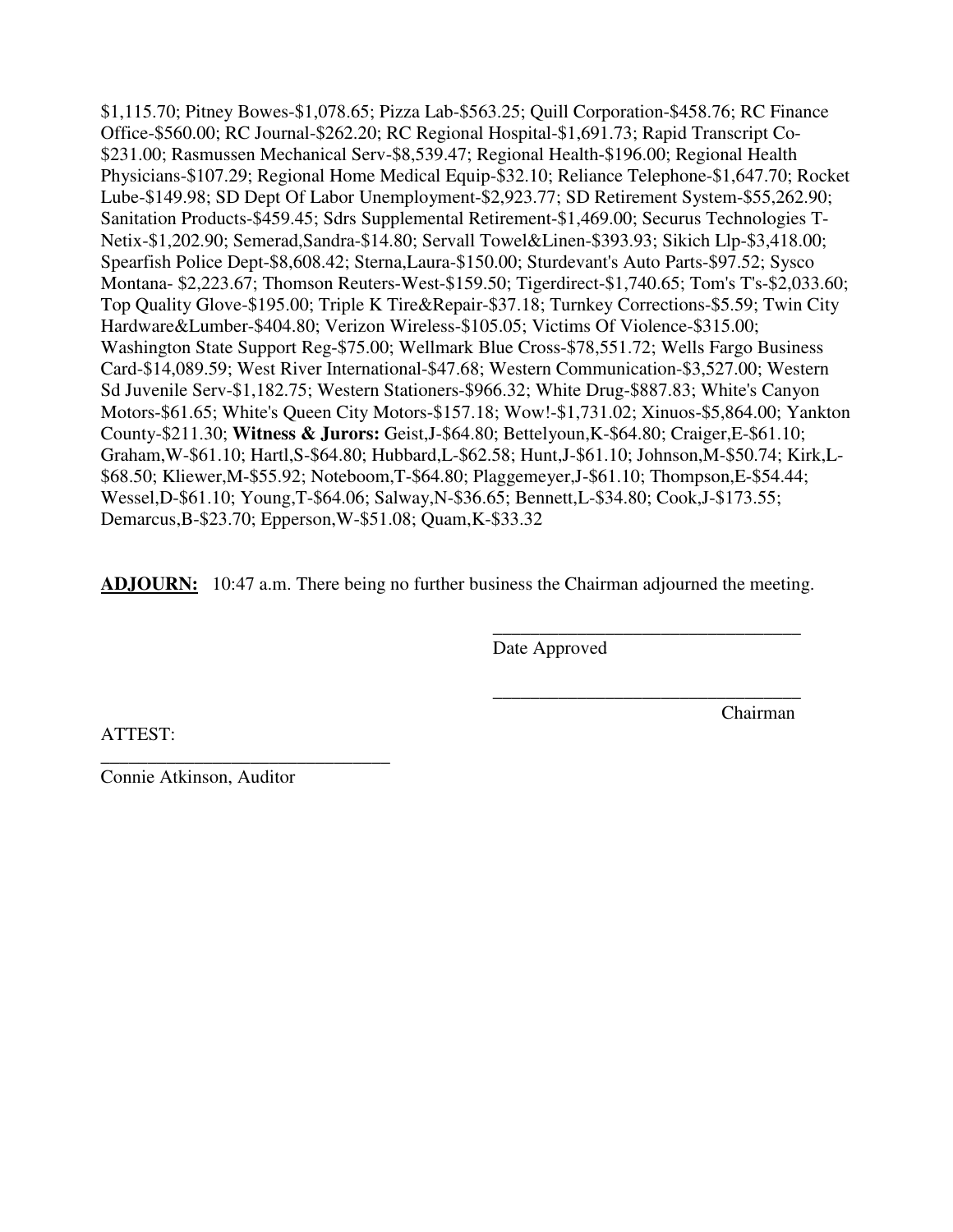\$1,115.70; Pitney Bowes-\$1,078.65; Pizza Lab-\$563.25; Quill Corporation-\$458.76; RC Finance Office-\$560.00; RC Journal-\$262.20; RC Regional Hospital-\$1,691.73; Rapid Transcript Co- \$231.00; Rasmussen Mechanical Serv-\$8,539.47; Regional Health-\$196.00; Regional Health Physicians-\$107.29; Regional Home Medical Equip-\$32.10; Reliance Telephone-\$1,647.70; Rocket Lube-\$149.98; SD Dept Of Labor Unemployment-\$2,923.77; SD Retirement System-\$55,262.90; Sanitation Products-\$459.45; Sdrs Supplemental Retirement-\$1,469.00; Securus Technologies T-Netix-\$1,202.90; Semerad,Sandra-\$14.80; Servall Towel&Linen-\$393.93; Sikich Llp-\$3,418.00; Spearfish Police Dept-\$8,608.42; Sterna,Laura-\$150.00; Sturdevant's Auto Parts-\$97.52; Sysco Montana- \$2,223.67; Thomson Reuters-West-\$159.50; Tigerdirect-\$1,740.65; Tom's T's-\$2,033.60; Top Quality Glove-\$195.00; Triple K Tire&Repair-\$37.18; Turnkey Corrections-\$5.59; Twin City Hardware&Lumber-\$404.80; Verizon Wireless-\$105.05; Victims Of Violence-\$315.00; Washington State Support Reg-\$75.00; Wellmark Blue Cross-\$78,551.72; Wells Fargo Business Card-\$14,089.59; West River International-\$47.68; Western Communication-\$3,527.00; Western Sd Juvenile Serv-\$1,182.75; Western Stationers-\$966.32; White Drug-\$887.83; White's Canyon Motors-\$61.65; White's Queen City Motors-\$157.18; Wow!-\$1,731.02; Xinuos-\$5,864.00; Yankton County-\$211.30; **Witness & Jurors:** Geist,J-\$64.80; Bettelyoun,K-\$64.80; Craiger,E-\$61.10; Graham,W-\$61.10; Hartl,S-\$64.80; Hubbard,L-\$62.58; Hunt,J-\$61.10; Johnson,M-\$50.74; Kirk,L- \$68.50; Kliewer,M-\$55.92; Noteboom,T-\$64.80; Plaggemeyer,J-\$61.10; Thompson,E-\$54.44; Wessel,D-\$61.10; Young,T-\$64.06; Salway,N-\$36.65; Bennett,L-\$34.80; Cook,J-\$173.55; Demarcus,B-\$23.70; Epperson,W-\$51.08; Quam,K-\$33.32

**ADJOURN:** 10:47 a.m. There being no further business the Chairman adjourned the meeting.

 $\overline{\phantom{a}}$  , and the contract of the contract of the contract of the contract of the contract of the contract of the contract of the contract of the contract of the contract of the contract of the contract of the contrac

 $\overline{\phantom{a}}$  , and the contract of the contract of the contract of the contract of the contract of the contract of the contract of the contract of the contract of the contract of the contract of the contract of the contrac

Date Approved

ATTEST:

Chairman

Connie Atkinson, Auditor

\_\_\_\_\_\_\_\_\_\_\_\_\_\_\_\_\_\_\_\_\_\_\_\_\_\_\_\_\_\_\_